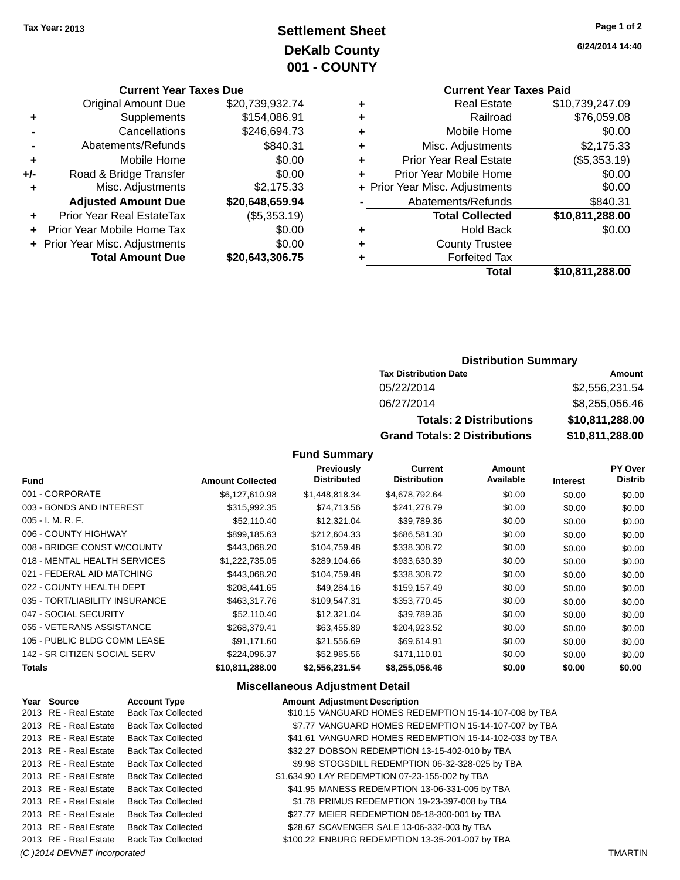## **Settlement Sheet Tax Year: 2013 Page 1 of 2 DeKalb County 001 - COUNTY**

### **Current Year Taxes Due**

| <b>Original Amount Due</b> | \$20,739,932.74                |
|----------------------------|--------------------------------|
| Supplements                | \$154,086.91                   |
| Cancellations              | \$246,694.73                   |
| Abatements/Refunds         | \$840.31                       |
| Mobile Home                | \$0.00                         |
| Road & Bridge Transfer     | \$0.00                         |
| Misc. Adjustments          | \$2,175.33                     |
| <b>Adjusted Amount Due</b> | \$20,648,659.94                |
| Prior Year Real EstateTax  | (\$5,353.19)                   |
| Prior Year Mobile Home Tax | \$0.00                         |
|                            | \$0.00                         |
| <b>Total Amount Due</b>    | \$20,643,306.75                |
|                            | + Prior Year Misc. Adjustments |

### **Current Year Taxes Paid +** Real Estate \$10,739,247.09

|   | Total                          | \$10,811,288.00   |
|---|--------------------------------|-------------------|
| ٠ | <b>Forfeited Tax</b>           |                   |
| ٠ | <b>County Trustee</b>          |                   |
| ٠ | <b>Hold Back</b>               | \$0.00            |
|   | <b>Total Collected</b>         | \$10,811,288.00   |
|   | Abatements/Refunds             | \$840.31          |
|   | + Prior Year Misc. Adjustments | \$0.00            |
| ٠ | Prior Year Mobile Home         | \$0.00            |
| ٠ | <b>Prior Year Real Estate</b>  | (\$5,353.19)      |
| ٠ | Misc. Adjustments              | \$2,175.33        |
| ٠ | Mobile Home                    | \$0.00            |
| ÷ | Railroad                       | \$76,059.08       |
| т | ngal Lolal <del>c</del>        | 00. 172, CU, U, U |

### **Distribution Summary**

| <b>Tax Distribution Date</b>         | Amount          |
|--------------------------------------|-----------------|
| 05/22/2014                           | \$2,556,231.54  |
| 06/27/2014                           | \$8,255,056.46  |
| <b>Totals: 2 Distributions</b>       | \$10,811,288.00 |
| <b>Grand Totals: 2 Distributions</b> | \$10,811,288.00 |

### **Fund Summary**

| <b>Fund</b>                    | <b>Amount Collected</b> | Previously<br><b>Distributed</b> | <b>Current</b><br><b>Distribution</b> | <b>Amount</b><br>Available | <b>Interest</b> | <b>PY Over</b><br><b>Distrib</b> |
|--------------------------------|-------------------------|----------------------------------|---------------------------------------|----------------------------|-----------------|----------------------------------|
| 001 - CORPORATE                | \$6,127,610.98          | \$1,448,818.34                   | \$4,678,792.64                        | \$0.00                     | \$0.00          | \$0.00                           |
| 003 - BONDS AND INTEREST       | \$315,992.35            | \$74,713.56                      | \$241,278.79                          | \$0.00                     | \$0.00          | \$0.00                           |
| $005 - I. M. R. F.$            | \$52,110,40             | \$12,321.04                      | \$39,789.36                           | \$0.00                     | \$0.00          | \$0.00                           |
| 006 - COUNTY HIGHWAY           | \$899,185.63            | \$212,604.33                     | \$686,581.30                          | \$0.00                     | \$0.00          | \$0.00                           |
| 008 - BRIDGE CONST W/COUNTY    | \$443.068.20            | \$104,759.48                     | \$338,308.72                          | \$0.00                     | \$0.00          | \$0.00                           |
| 018 - MENTAL HEALTH SERVICES   | \$1.222.735.05          | \$289,104.66                     | \$933,630.39                          | \$0.00                     | \$0.00          | \$0.00                           |
| 021 - FEDERAL AID MATCHING     | \$443,068.20            | \$104,759.48                     | \$338,308.72                          | \$0.00                     | \$0.00          | \$0.00                           |
| 022 - COUNTY HEALTH DEPT       | \$208,441.65            | \$49,284.16                      | \$159,157.49                          | \$0.00                     | \$0.00          | \$0.00                           |
| 035 - TORT/LIABILITY INSURANCE | \$463,317.76            | \$109.547.31                     | \$353,770.45                          | \$0.00                     | \$0.00          | \$0.00                           |
| 047 - SOCIAL SECURITY          | \$52,110.40             | \$12,321.04                      | \$39,789.36                           | \$0.00                     | \$0.00          | \$0.00                           |
| 055 - VETERANS ASSISTANCE      | \$268.379.41            | \$63,455.89                      | \$204,923.52                          | \$0.00                     | \$0.00          | \$0.00                           |
| 105 - PUBLIC BLDG COMM LEASE   | \$91.171.60             | \$21,556.69                      | \$69,614.91                           | \$0.00                     | \$0.00          | \$0.00                           |
| 142 - SR CITIZEN SOCIAL SERV   | \$224,096.37            | \$52,985.56                      | \$171,110.81                          | \$0.00                     | \$0.00          | \$0.00                           |
| <b>Totals</b>                  | \$10,811,288.00         | \$2,556,231.54                   | \$8,255,056.46                        | \$0.00                     | \$0.00          | \$0.00                           |

### **Miscellaneous Adjustment Detail**

| Year Source                  | <b>Account Type</b>       | <b>Amount Adjustment Description</b>                   |                |
|------------------------------|---------------------------|--------------------------------------------------------|----------------|
| 2013 RE - Real Estate        | <b>Back Tax Collected</b> | \$10.15 VANGUARD HOMES REDEMPTION 15-14-107-008 by TBA |                |
| 2013 RE - Real Estate        | <b>Back Tax Collected</b> | \$7.77 VANGUARD HOMES REDEMPTION 15-14-107-007 by TBA  |                |
| 2013 RE - Real Estate        | <b>Back Tax Collected</b> | \$41.61 VANGUARD HOMES REDEMPTION 15-14-102-033 by TBA |                |
| 2013 RE - Real Estate        | <b>Back Tax Collected</b> | \$32.27 DOBSON REDEMPTION 13-15-402-010 by TBA         |                |
| 2013 RE - Real Estate        | <b>Back Tax Collected</b> | \$9.98 STOGSDILL REDEMPTION 06-32-328-025 by TBA       |                |
| 2013 RE - Real Estate        | <b>Back Tax Collected</b> | \$1,634.90 LAY REDEMPTION 07-23-155-002 by TBA         |                |
| 2013 RE - Real Estate        | <b>Back Tax Collected</b> | \$41.95 MANESS REDEMPTION 13-06-331-005 by TBA         |                |
| 2013 RE - Real Estate        | <b>Back Tax Collected</b> | \$1.78 PRIMUS REDEMPTION 19-23-397-008 by TBA          |                |
| 2013 RE - Real Estate        | <b>Back Tax Collected</b> | \$27.77 MEIER REDEMPTION 06-18-300-001 by TBA          |                |
| 2013 RE - Real Estate        | <b>Back Tax Collected</b> | \$28.67 SCAVENGER SALE 13-06-332-003 by TBA            |                |
| 2013 RE - Real Estate        | Back Tax Collected        | \$100.22 ENBURG REDEMPTION 13-35-201-007 by TBA        |                |
| (C) 2014 DEVNET Incorporated |                           |                                                        | <b>TMARTIN</b> |

**6/24/2014 14:40**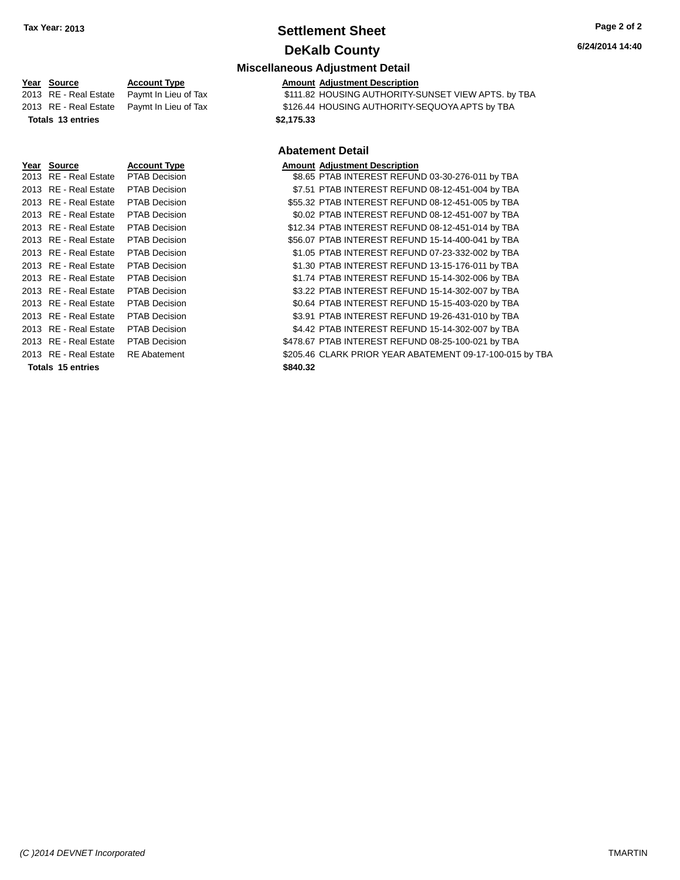### **Settlement Sheet Tax Year: 2013 Page 2 of 2 DeKalb County**

### **6/24/2014 14:40**

### **Miscellaneous Adjustment Detail**

**Year Source 19 Account Type**<br> **Amount Adjustment Description**<br>
2013 RE - Real Estate Paymt In Lieu of Tax \$111.82 HOUSING AUTHORITY-S  $\overline{3111.82}$  HOUSING AUTHORITY-SUNSET VIEW APTS. by TBA 2013 RE - Real Estate Paymt In Lieu of Tax \$126.44 HOUSING AUTHORITY-SEQUOYA APTS by TBA **Totals 13 entries \$2,175.33**

### **Abatement Detail**

|                       |                      | Арактисти рекан                                          |  |
|-----------------------|----------------------|----------------------------------------------------------|--|
| <u>Year Source</u>    | <b>Account Type</b>  | <b>Amount Adjustment Description</b>                     |  |
| 2013 RE - Real Estate | <b>PTAB Decision</b> | \$8.65 PTAB INTEREST REFUND 03-30-276-011 by TBA         |  |
| 2013 RE - Real Estate | <b>PTAB Decision</b> | \$7.51 PTAB INTEREST REFUND 08-12-451-004 by TBA         |  |
| 2013 RE - Real Estate | PTAB Decision        | \$55.32 PTAB INTEREST REFUND 08-12-451-005 by TBA        |  |
| 2013 RE - Real Estate | PTAB Decision        | \$0.02 PTAB INTEREST REFUND 08-12-451-007 by TBA         |  |
| 2013 RE - Real Estate | PTAB Decision        | \$12.34 PTAB INTEREST REFUND 08-12-451-014 by TBA        |  |
| 2013 RE - Real Estate | <b>PTAB Decision</b> | \$56.07 PTAB INTEREST REFUND 15-14-400-041 by TBA        |  |
| 2013 RE - Real Estate | <b>PTAB Decision</b> | \$1.05 PTAB INTEREST REFUND 07-23-332-002 by TBA         |  |
| 2013 RE - Real Estate | <b>PTAB Decision</b> | \$1.30 PTAB INTEREST REFUND 13-15-176-011 by TBA         |  |
| 2013 RE - Real Estate | <b>PTAB Decision</b> | \$1.74 PTAB INTEREST REFUND 15-14-302-006 by TBA         |  |
| 2013 RE - Real Estate | <b>PTAB Decision</b> | \$3.22 PTAB INTEREST REFUND 15-14-302-007 by TBA         |  |
| 2013 RE - Real Estate | <b>PTAB Decision</b> | \$0.64 PTAB INTEREST REFUND 15-15-403-020 by TBA         |  |
| 2013 RE - Real Estate | <b>PTAB Decision</b> | \$3.91 PTAB INTEREST REFUND 19-26-431-010 by TBA         |  |
| 2013 RE - Real Estate | <b>PTAB Decision</b> | \$4.42 PTAB INTEREST REFUND 15-14-302-007 by TBA         |  |
| 2013 RE - Real Estate | <b>PTAB Decision</b> | \$478.67 PTAB INTEREST REFUND 08-25-100-021 by TBA       |  |
| 2013 RE - Real Estate | <b>RE</b> Abatement  | \$205.46 CLARK PRIOR YEAR ABATEMENT 09-17-100-015 by TBA |  |
| Totals 15 entries     |                      | \$840.32                                                 |  |
|                       |                      |                                                          |  |

*(C )2014 DEVNET Incorporated* TMARTIN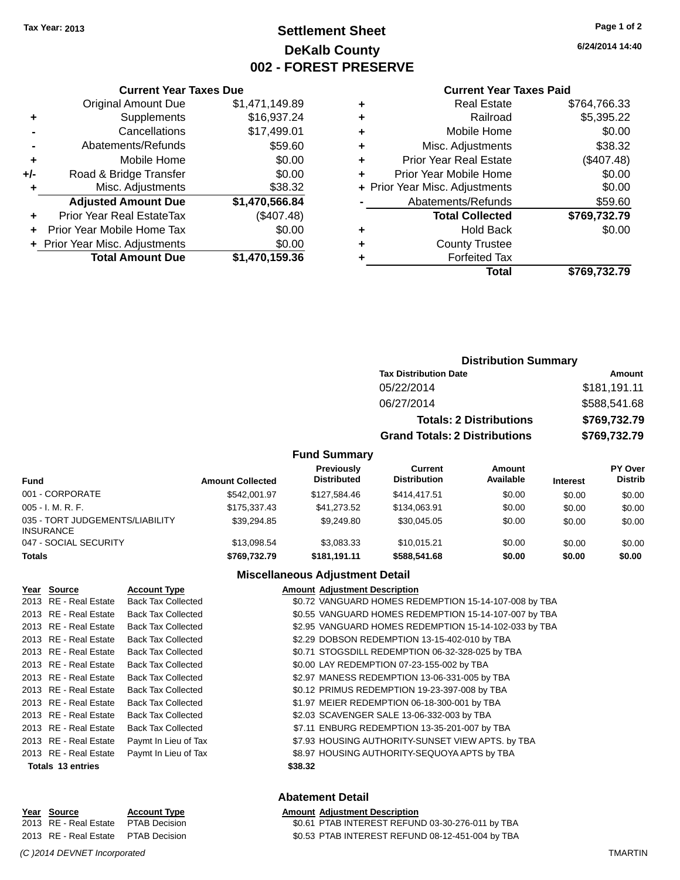### **Settlement Sheet Tax Year: 2013 Page 1 of 2 DeKalb County 002 - FOREST PRESERVE**

**6/24/2014 14:40**

#### **Current Year Taxes Paid**

|       | <b>Total Amount Due</b>        | \$1,470,159.36 |
|-------|--------------------------------|----------------|
|       | + Prior Year Misc. Adjustments | \$0.00         |
|       | Prior Year Mobile Home Tax     | \$0.00         |
| ٠     | Prior Year Real EstateTax      | (\$407.48)     |
|       | <b>Adjusted Amount Due</b>     | \$1,470,566.84 |
| ٠     | Misc. Adjustments              | \$38.32        |
| $+/-$ | Road & Bridge Transfer         | \$0.00         |
| ÷     | Mobile Home                    | \$0.00         |
|       | Abatements/Refunds             | \$59.60        |
|       | Cancellations                  | \$17,499.01    |
| ٠     | Supplements                    | \$16,937.24    |
|       | <b>Original Amount Due</b>     | \$1,471,149.89 |
|       |                                |                |

**Current Year Taxes Due**

|   | <b>Real Estate</b>             | \$764,766.33 |
|---|--------------------------------|--------------|
| ٠ | Railroad                       | \$5,395.22   |
| ٠ | Mobile Home                    | \$0.00       |
| ٠ | Misc. Adjustments              | \$38.32      |
|   | <b>Prior Year Real Estate</b>  | (\$407.48)   |
|   | Prior Year Mobile Home         | \$0.00       |
|   | + Prior Year Misc. Adjustments | \$0.00       |
|   | Abatements/Refunds             | \$59.60      |
|   | <b>Total Collected</b>         | \$769,732.79 |
| ٠ | <b>Hold Back</b>               | \$0.00       |
|   | <b>County Trustee</b>          |              |
|   | <b>Forfeited Tax</b>           |              |
|   | Total                          | \$769,732.79 |
|   |                                |              |

### **Distribution Summary Tax Distribution Date Amount** 05/22/2014 \$181,191.11 06/27/2014 \$588,541.68 **Totals: 2 Distributions \$769,732.79 Grand Totals: 2 Distributions \$769,732.79**

#### **Fund Summary**

| <b>Fund</b>                                         | <b>Amount Collected</b> | <b>Previously</b><br><b>Distributed</b> | Current<br><b>Distribution</b> | Amount<br>Available | <b>Interest</b> | PY Over<br><b>Distrib</b> |
|-----------------------------------------------------|-------------------------|-----------------------------------------|--------------------------------|---------------------|-----------------|---------------------------|
| 001 - CORPORATE                                     | \$542.001.97            | \$127.584.46                            | \$414,417.51                   | \$0.00              | \$0.00          | \$0.00                    |
| $005 - I. M. R. F.$                                 | \$175,337.43            | \$41.273.52                             | \$134,063.91                   | \$0.00              | \$0.00          | \$0.00                    |
| 035 - TORT JUDGEMENTS/LIABILITY<br><b>INSURANCE</b> | \$39.294.85             | \$9,249.80                              | \$30,045.05                    | \$0.00              | \$0.00          | \$0.00                    |
| 047 - SOCIAL SECURITY                               | \$13,098.54             | \$3.083.33                              | \$10.015.21                    | \$0.00              | \$0.00          | \$0.00                    |
| <b>Totals</b>                                       | \$769.732.79            | \$181.191.11                            | \$588,541.68                   | \$0.00              | \$0.00          | \$0.00                    |

#### **Miscellaneous Adjustment Detail**

| Year Source              | <b>Account Type</b>       | <b>Amount Adjustment Description</b>                  |
|--------------------------|---------------------------|-------------------------------------------------------|
| 2013 RE - Real Estate    | <b>Back Tax Collected</b> | \$0.72 VANGUARD HOMES REDEMPTION 15-14-107-008 by TBA |
| 2013 RE - Real Estate    | <b>Back Tax Collected</b> | \$0.55 VANGUARD HOMES REDEMPTION 15-14-107-007 by TBA |
| 2013 RE - Real Estate    | <b>Back Tax Collected</b> | \$2.95 VANGUARD HOMES REDEMPTION 15-14-102-033 by TBA |
| 2013 RE - Real Estate    | <b>Back Tax Collected</b> | \$2.29 DOBSON REDEMPTION 13-15-402-010 by TBA         |
| 2013 RE - Real Estate    | <b>Back Tax Collected</b> | \$0.71 STOGSDILL REDEMPTION 06-32-328-025 by TBA      |
| 2013 RE - Real Estate    | <b>Back Tax Collected</b> | \$0.00 LAY REDEMPTION 07-23-155-002 by TBA            |
| 2013 RE - Real Estate    | <b>Back Tax Collected</b> | \$2.97 MANESS REDEMPTION 13-06-331-005 by TBA         |
| 2013 RE - Real Estate    | <b>Back Tax Collected</b> | \$0.12 PRIMUS REDEMPTION 19-23-397-008 by TBA         |
| 2013 RE - Real Estate    | <b>Back Tax Collected</b> | \$1.97 MEIER REDEMPTION 06-18-300-001 by TBA          |
| 2013 RE - Real Estate    | <b>Back Tax Collected</b> | \$2.03 SCAVENGER SALE 13-06-332-003 by TBA            |
| 2013 RE - Real Estate    | <b>Back Tax Collected</b> | \$7.11 ENBURG REDEMPTION 13-35-201-007 by TBA         |
| 2013 RE - Real Estate    | Paymt In Lieu of Tax      | \$7.93 HOUSING AUTHORITY-SUNSET VIEW APTS. by TBA     |
| 2013 RE - Real Estate    | Paymt In Lieu of Tax      | \$8.97 HOUSING AUTHORITY-SEQUOYA APTS by TBA          |
| <b>Totals 13 entries</b> |                           | \$38.32                                               |
|                          |                           |                                                       |

### **Abatement Detail**

#### **Year Source Account Type Amount Adjustment Description**<br>2013 RE - Real Estate PTAB Decision **Amount Adjustment Description** \$0.61 PTAB INTEREST REFUND 03-30-276-011 by TBA

2013 RE - Real Estate PTAB Decision \$0.53 PTAB INTEREST REFUND 08-12-451-004 by TBA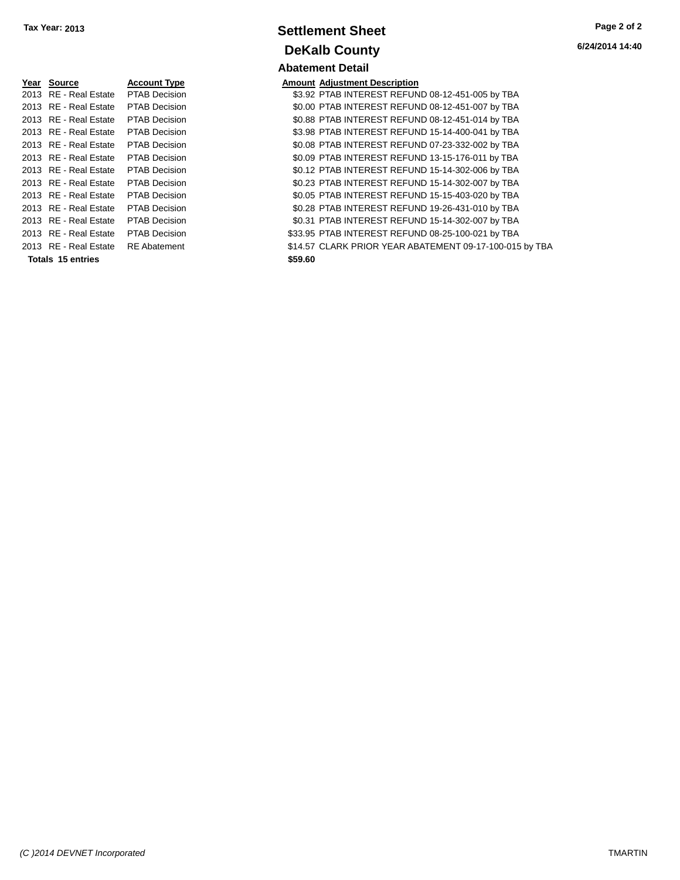| Year | Source                   | <b>Account Type</b>  | Amount  |
|------|--------------------------|----------------------|---------|
|      | 2013 RE - Real Estate    | <b>PTAB Decision</b> | \$3.92  |
|      | 2013 RE - Real Estate    | <b>PTAB Decision</b> | \$0.00  |
|      | 2013 RE - Real Estate    | <b>PTAB Decision</b> | \$0.88  |
|      | 2013 RE - Real Estate    | <b>PTAB Decision</b> | \$3.98  |
|      | 2013 RE - Real Estate    | <b>PTAB Decision</b> | \$0.08  |
|      | 2013 RE - Real Estate    | <b>PTAB Decision</b> | \$0.09  |
|      | 2013 RE - Real Estate    | <b>PTAB Decision</b> | \$0.12  |
|      | 2013 RE - Real Estate    | <b>PTAB Decision</b> | \$0.23  |
|      | 2013 RE - Real Estate    | <b>PTAB Decision</b> | \$0.05  |
|      | 2013 RE - Real Estate    | <b>PTAB Decision</b> | \$0.28  |
|      | 2013 RE - Real Estate    | PTAB Decision        | \$0.31  |
|      | 2013 RE - Real Estate    | <b>PTAB Decision</b> | \$33.95 |
|      | 2013 RE - Real Estate    | <b>RE</b> Abatement  | \$14.57 |
|      | <b>Totals 15 entries</b> |                      | \$59.60 |

### **Settlement Sheet Tax Year: 2013 Page 2 of 2 DeKalb County Abatement Detail**

**6/24/2014 14:40**

### **Amount Adjustment Description**

\$3.92 PTAB INTEREST REFUND 08-12-451-005 by TBA \$0.00 PTAB INTEREST REFUND 08-12-451-007 by TBA \$0.88 PTAB INTEREST REFUND 08-12-451-014 by TBA \$3.98 PTAB INTEREST REFUND 15-14-400-041 by TBA \$0.08 PTAB INTEREST REFUND 07-23-332-002 by TBA \$0.09 PTAB INTEREST REFUND 13-15-176-011 by TBA \$0.12 PTAB INTEREST REFUND 15-14-302-006 by TBA \$0.23 PTAB INTEREST REFUND 15-14-302-007 by TBA \$0.05 PTAB INTEREST REFUND 15-15-403-020 by TBA \$0.28 PTAB INTEREST REFUND 19-26-431-010 by TBA \$0.31 PTAB INTEREST REFUND 15-14-302-007 by TBA \$33.95 PTAB INTEREST REFUND 08-25-100-021 by TBA \$14.57 CLARK PRIOR YEAR ABATEMENT 09-17-100-015 by TBA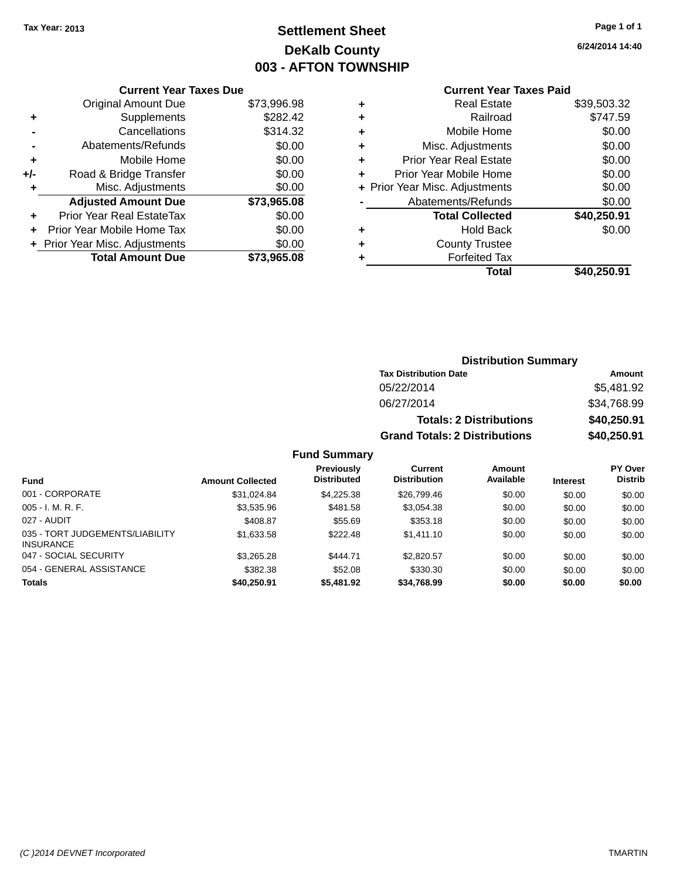## **Settlement Sheet Tax Year: 2013 Page 1 of 1 DeKalb County 003 - AFTON TOWNSHIP**

**6/24/2014 14:40**

### **Current Year Taxes Paid**

|     | <b>Current Year Taxes Due</b>  |             |
|-----|--------------------------------|-------------|
|     | <b>Original Amount Due</b>     | \$73,996.98 |
| ٠   | Supplements                    | \$282.42    |
|     | Cancellations                  | \$314.32    |
|     | Abatements/Refunds             | \$0.00      |
| ٠   | Mobile Home                    | \$0.00      |
| +/- | Road & Bridge Transfer         | \$0.00      |
|     | Misc. Adjustments              | \$0.00      |
|     | <b>Adjusted Amount Due</b>     | \$73,965.08 |
| ÷   | Prior Year Real EstateTax      | \$0.00      |
|     | Prior Year Mobile Home Tax     | \$0.00      |
|     | + Prior Year Misc. Adjustments | \$0.00      |
|     | <b>Total Amount Due</b>        | \$73.965.08 |
|     |                                |             |

| ٠ | <b>Real Estate</b>             | \$39,503.32 |
|---|--------------------------------|-------------|
| ٠ | Railroad                       | \$747.59    |
| ٠ | Mobile Home                    | \$0.00      |
| ٠ | Misc. Adjustments              | \$0.00      |
| ٠ | <b>Prior Year Real Estate</b>  | \$0.00      |
| ٠ | Prior Year Mobile Home         | \$0.00      |
|   | + Prior Year Misc. Adjustments | \$0.00      |
|   | Abatements/Refunds             | \$0.00      |
|   | <b>Total Collected</b>         | \$40,250.91 |
| ٠ | <b>Hold Back</b>               | \$0.00      |
| ٠ | <b>County Trustee</b>          |             |
| ٠ | <b>Forfeited Tax</b>           |             |
|   | Total                          | \$40,250.91 |
|   |                                |             |

| <b>Distribution Summary</b>          |             |  |  |  |
|--------------------------------------|-------------|--|--|--|
| <b>Tax Distribution Date</b>         | Amount      |  |  |  |
| 05/22/2014                           | \$5,481.92  |  |  |  |
| 06/27/2014                           | \$34,768.99 |  |  |  |
| <b>Totals: 2 Distributions</b>       | \$40,250.91 |  |  |  |
| <b>Grand Totals: 2 Distributions</b> | \$40,250.91 |  |  |  |

| <b>Fund</b>                                         | <b>Amount Collected</b> | <b>Previously</b><br><b>Distributed</b> | Current<br><b>Distribution</b> | Amount<br>Available | <b>Interest</b> | PY Over<br><b>Distrib</b> |
|-----------------------------------------------------|-------------------------|-----------------------------------------|--------------------------------|---------------------|-----------------|---------------------------|
| 001 - CORPORATE                                     | \$31.024.84             | \$4.225.38                              | \$26,799.46                    | \$0.00              | \$0.00          | \$0.00                    |
| $005 - I. M. R. F.$                                 | \$3,535.96              | \$481.58                                | \$3,054.38                     | \$0.00              | \$0.00          | \$0.00                    |
| 027 - AUDIT                                         | \$408.87                | \$55.69                                 | \$353.18                       | \$0.00              | \$0.00          | \$0.00                    |
| 035 - TORT JUDGEMENTS/LIABILITY<br><b>INSURANCE</b> | \$1,633.58              | \$222.48                                | \$1,411.10                     | \$0.00              | \$0.00          | \$0.00                    |
| 047 - SOCIAL SECURITY                               | \$3,265.28              | \$444.71                                | \$2,820.57                     | \$0.00              | \$0.00          | \$0.00                    |
| 054 - GENERAL ASSISTANCE                            | \$382.38                | \$52.08                                 | \$330.30                       | \$0.00              | \$0.00          | \$0.00                    |
| <b>Totals</b>                                       | \$40,250.91             | \$5,481.92                              | \$34,768.99                    | \$0.00              | \$0.00          | \$0.00                    |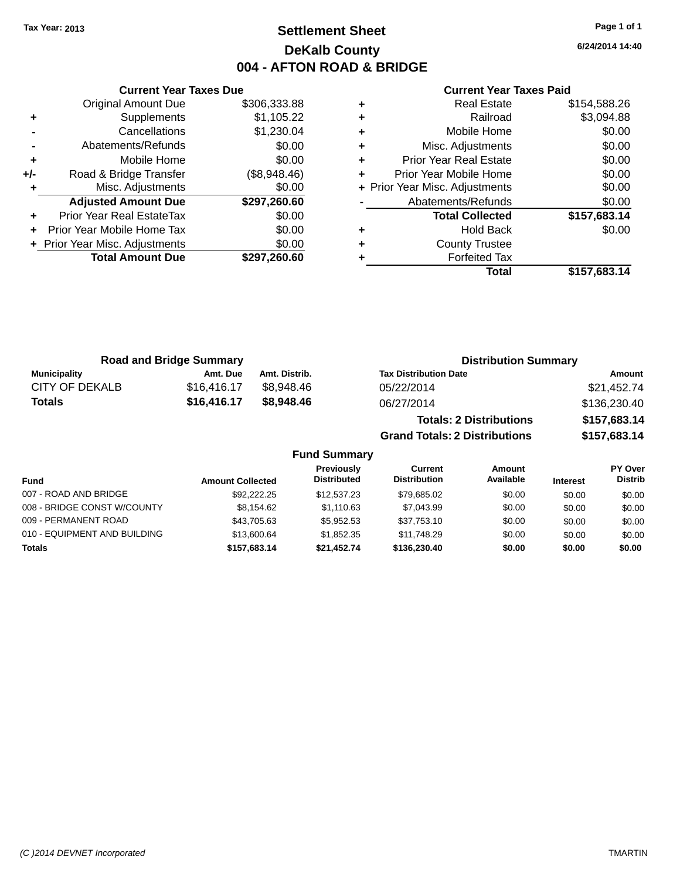### **Settlement Sheet Tax Year: 2013 Page 1 of 1 DeKalb County 004 - AFTON ROAD & BRIDGE**

**6/24/2014 14:40**

#### **Current Year Taxes Paid**

|     | <b>Original Amount Due</b>     | \$306,333.88 |
|-----|--------------------------------|--------------|
| ٠   | Supplements                    | \$1,105.22   |
|     | Cancellations                  | \$1,230.04   |
|     | Abatements/Refunds             | \$0.00       |
| ٠   | Mobile Home                    | \$0.00       |
| +/- | Road & Bridge Transfer         | (\$8,948.46) |
|     | Misc. Adjustments              | \$0.00       |
|     | <b>Adjusted Amount Due</b>     | \$297,260.60 |
| ÷   | Prior Year Real EstateTax      | \$0.00       |
| ÷   | Prior Year Mobile Home Tax     | \$0.00       |
|     | + Prior Year Misc. Adjustments | \$0.00       |
|     | <b>Total Amount Due</b>        | \$297,260.60 |
|     |                                |              |

**Current Year Taxes Due**

| ٠ | <b>Real Estate</b>             | \$154,588.26 |
|---|--------------------------------|--------------|
| ٠ | Railroad                       | \$3,094.88   |
| ٠ | Mobile Home                    | \$0.00       |
| ٠ | Misc. Adjustments              | \$0.00       |
| ٠ | <b>Prior Year Real Estate</b>  | \$0.00       |
| ٠ | Prior Year Mobile Home         | \$0.00       |
|   | + Prior Year Misc. Adjustments | \$0.00       |
|   | Abatements/Refunds             | \$0.00       |
|   | <b>Total Collected</b>         | \$157,683.14 |
| ٠ | <b>Hold Back</b>               | \$0.00       |
| ٠ | <b>County Trustee</b>          |              |
| ٠ | <b>Forfeited Tax</b>           |              |
|   | Total                          | \$157,683.14 |
|   |                                |              |

**Grand Totals: 2 Distributions \$157,683.14**

| <b>Road and Bridge Summary</b> |             |               | <b>Distribution Summary</b>    |              |  |  |
|--------------------------------|-------------|---------------|--------------------------------|--------------|--|--|
| Municipality                   | Amt. Due    | Amt. Distrib. | <b>Tax Distribution Date</b>   | Amount       |  |  |
| CITY OF DEKALB                 | \$16,416.17 | \$8.948.46    | 05/22/2014                     | \$21,452.74  |  |  |
| Totals                         | \$16,416.17 | \$8,948.46    | 06/27/2014                     | \$136,230.40 |  |  |
|                                |             |               | <b>Totals: 2 Distributions</b> | \$157,683.14 |  |  |

**Fund Summary Fund Interest Amount Collected Distributed PY Over Distrib Amount Available Current Distribution Previously** 007 - ROAD AND BRIDGE 60.00 \$92,222.25 \$12,537.23 \$79,685.02 \$0.00 \$0.00 \$0.00 \$0.00 008 - BRIDGE CONST W/COUNTY  $$8,154.62$   $$1,110.63$   $$7,043.99$   $$0.00$   $$0.00$   $$0.00$ 009 - PERMANENT ROAD \$43,705.63 \$5,952.53 \$37,753.10 \$0.00 \$0.00 \$0.00 010 - EQUIPMENT AND BUILDING \$13,600.64 \$1,852.35 \$11,748.29 \$0.00 \$0.00 \$0.00 **Totals \$157,683.14 \$21,452.74 \$136,230.40 \$0.00 \$0.00 \$0.00**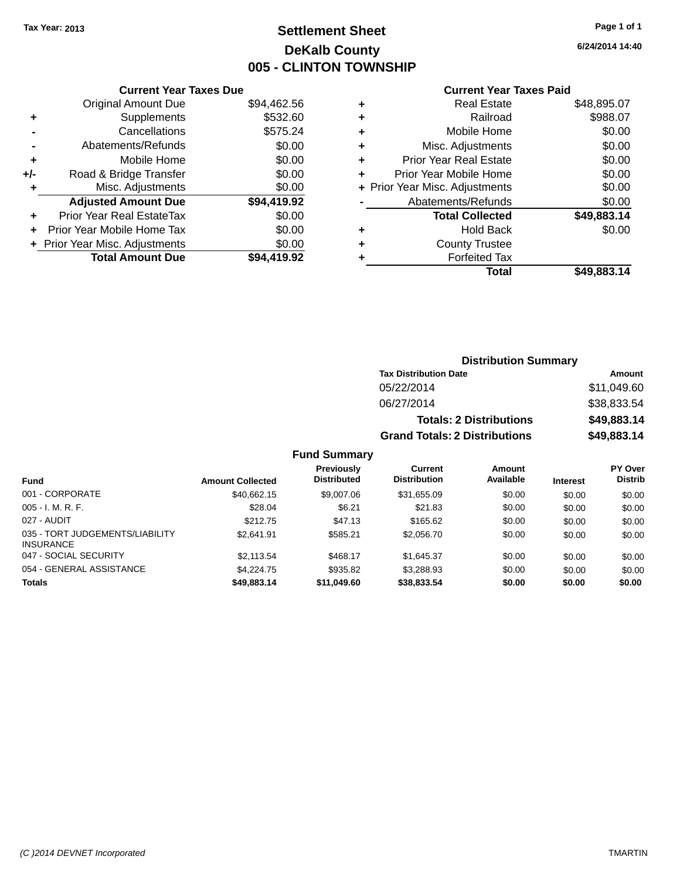### **Settlement Sheet Tax Year: 2013 Page 1 of 1 DeKalb County 005 - CLINTON TOWNSHIP**

**6/24/2014 14:40**

|     | <b>Current Year Taxes Due</b>  |             |  |  |  |
|-----|--------------------------------|-------------|--|--|--|
|     | <b>Original Amount Due</b>     | \$94,462.56 |  |  |  |
| ٠   | Supplements                    | \$532.60    |  |  |  |
|     | Cancellations                  | \$575.24    |  |  |  |
|     | Abatements/Refunds             | \$0.00      |  |  |  |
| ٠   | Mobile Home                    | \$0.00      |  |  |  |
| +/- | Road & Bridge Transfer         | \$0.00      |  |  |  |
| ٠   | Misc. Adjustments              | \$0.00      |  |  |  |
|     | <b>Adjusted Amount Due</b>     | \$94,419.92 |  |  |  |
|     | Prior Year Real EstateTax      | \$0.00      |  |  |  |
|     | Prior Year Mobile Home Tax     | \$0.00      |  |  |  |
|     | + Prior Year Misc. Adjustments | \$0.00      |  |  |  |
|     | <b>Total Amount Due</b>        | \$94,419.92 |  |  |  |
|     |                                |             |  |  |  |

### **Current Year Taxes Paid**

|   | <b>Real Estate</b>             | \$48,895.07 |
|---|--------------------------------|-------------|
| ÷ | Railroad                       | \$988.07    |
| ٠ | Mobile Home                    | \$0.00      |
| ٠ | Misc. Adjustments              | \$0.00      |
| ٠ | <b>Prior Year Real Estate</b>  | \$0.00      |
| ٠ | Prior Year Mobile Home         | \$0.00      |
|   | + Prior Year Misc. Adjustments | \$0.00      |
|   | Abatements/Refunds             | \$0.00      |
|   | <b>Total Collected</b>         | \$49,883.14 |
| ٠ | <b>Hold Back</b>               | \$0.00      |
| ٠ | <b>County Trustee</b>          |             |
| ٠ | <b>Forfeited Tax</b>           |             |
|   | Total                          | \$49,883.14 |
|   |                                |             |

### **Distribution Summary Tax Distribution Date Amount** 05/22/2014 \$11,049.60 06/27/2014 \$38,833.54 **Totals: 2 Distributions \$49,883.14 Grand Totals: 2 Distributions \$49,883.14**

| <b>Fund</b>                                         | <b>Amount Collected</b> | <b>Previously</b><br><b>Distributed</b> | Current<br><b>Distribution</b> | Amount<br>Available | <b>Interest</b> | <b>PY Over</b><br><b>Distrib</b> |
|-----------------------------------------------------|-------------------------|-----------------------------------------|--------------------------------|---------------------|-----------------|----------------------------------|
| 001 - CORPORATE                                     | \$40.662.15             | \$9,007.06                              | \$31,655.09                    | \$0.00              | \$0.00          | \$0.00                           |
| $005 - I. M. R. F.$                                 | \$28.04                 | \$6.21                                  | \$21.83                        | \$0.00              | \$0.00          | \$0.00                           |
| 027 - AUDIT                                         | \$212.75                | \$47.13                                 | \$165.62                       | \$0.00              | \$0.00          | \$0.00                           |
| 035 - TORT JUDGEMENTS/LIABILITY<br><b>INSURANCE</b> | \$2,641.91              | \$585.21                                | \$2,056.70                     | \$0.00              | \$0.00          | \$0.00                           |
| 047 - SOCIAL SECURITY                               | \$2.113.54              | \$468.17                                | \$1.645.37                     | \$0.00              | \$0.00          | \$0.00                           |
| 054 - GENERAL ASSISTANCE                            | \$4.224.75              | \$935.82                                | \$3.288.93                     | \$0.00              | \$0.00          | \$0.00                           |
| <b>Totals</b>                                       | \$49,883.14             | \$11,049.60                             | \$38,833.54                    | \$0.00              | \$0.00          | \$0.00                           |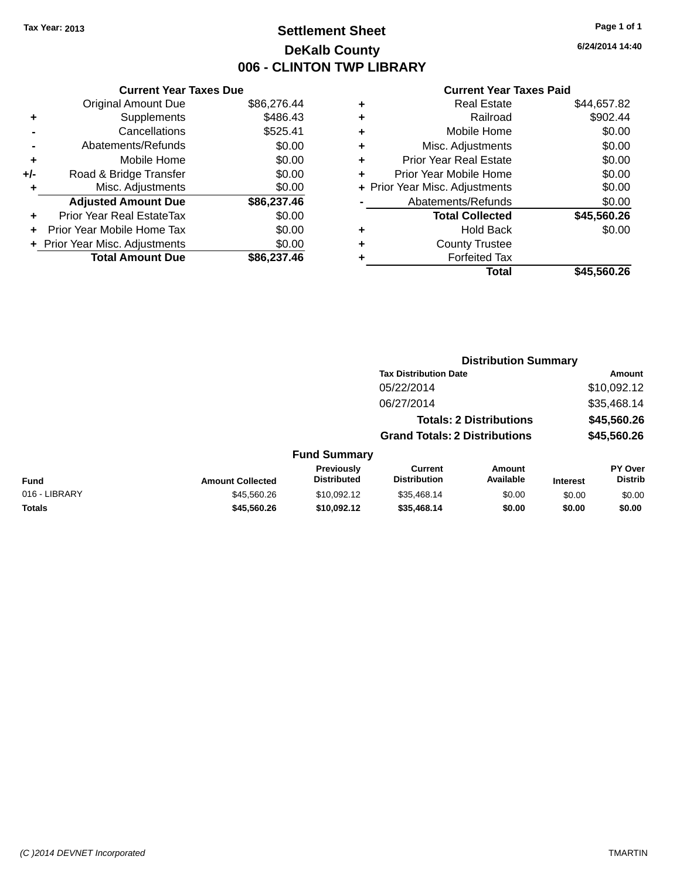### **Settlement Sheet Tax Year: 2013 Page 1 of 1 DeKalb County 006 - CLINTON TWP LIBRARY**

**6/24/2014 14:40**

|     | <b>Current Year Taxes Due</b>  |             |
|-----|--------------------------------|-------------|
|     | <b>Original Amount Due</b>     | \$86,276.44 |
| ٠   | Supplements                    | \$486.43    |
|     | Cancellations                  | \$525.41    |
|     | Abatements/Refunds             | \$0.00      |
| ٠   | Mobile Home                    | \$0.00      |
| +/- | Road & Bridge Transfer         | \$0.00      |
| ٠   | Misc. Adjustments              | \$0.00      |
|     | <b>Adjusted Amount Due</b>     | \$86,237.46 |
| ÷   | Prior Year Real EstateTax      | \$0.00      |
| ٠   | Prior Year Mobile Home Tax     | \$0.00      |
|     | + Prior Year Misc. Adjustments | \$0.00      |
|     | <b>Total Amount Due</b>        | \$86,237,46 |

| ٠ | <b>Real Estate</b>             | \$44,657.82 |
|---|--------------------------------|-------------|
| ٠ | Railroad                       | \$902.44    |
| ٠ | Mobile Home                    | \$0.00      |
| ٠ | Misc. Adjustments              | \$0.00      |
| ٠ | <b>Prior Year Real Estate</b>  | \$0.00      |
| ٠ | Prior Year Mobile Home         | \$0.00      |
|   | + Prior Year Misc. Adjustments | \$0.00      |
|   | Abatements/Refunds             | \$0.00      |
|   | <b>Total Collected</b>         | \$45,560.26 |
| ٠ | Hold Back                      | \$0.00      |
| ٠ | <b>County Trustee</b>          |             |
| ٠ | <b>Forfeited Tax</b>           |             |
|   | Total                          | \$45,560.26 |
|   |                                |             |

|               |                         |                                  | <b>Distribution Summary</b>           |                                |                 |                           |  |
|---------------|-------------------------|----------------------------------|---------------------------------------|--------------------------------|-----------------|---------------------------|--|
|               |                         |                                  | <b>Tax Distribution Date</b>          |                                |                 | <b>Amount</b>             |  |
|               |                         |                                  | 05/22/2014                            |                                |                 | \$10,092.12               |  |
|               |                         |                                  | 06/27/2014                            |                                |                 | \$35,468.14               |  |
|               |                         |                                  |                                       | <b>Totals: 2 Distributions</b> |                 | \$45,560.26               |  |
|               |                         |                                  | <b>Grand Totals: 2 Distributions</b>  |                                |                 | \$45,560.26               |  |
|               |                         | <b>Fund Summary</b>              |                                       |                                |                 |                           |  |
| <b>Fund</b>   | <b>Amount Collected</b> | Previously<br><b>Distributed</b> | <b>Current</b><br><b>Distribution</b> | Amount<br>Available            | <b>Interest</b> | PY Over<br><b>Distrib</b> |  |
| 016 - LIBRARY | \$45,560.26             | \$10.092.12                      | \$35,468.14                           | \$0.00                         | \$0.00          | \$0.00                    |  |
| <b>Totals</b> | \$45,560.26             | \$10,092.12                      | \$35,468.14                           | \$0.00                         | \$0.00          | \$0.00                    |  |
|               |                         |                                  |                                       |                                |                 |                           |  |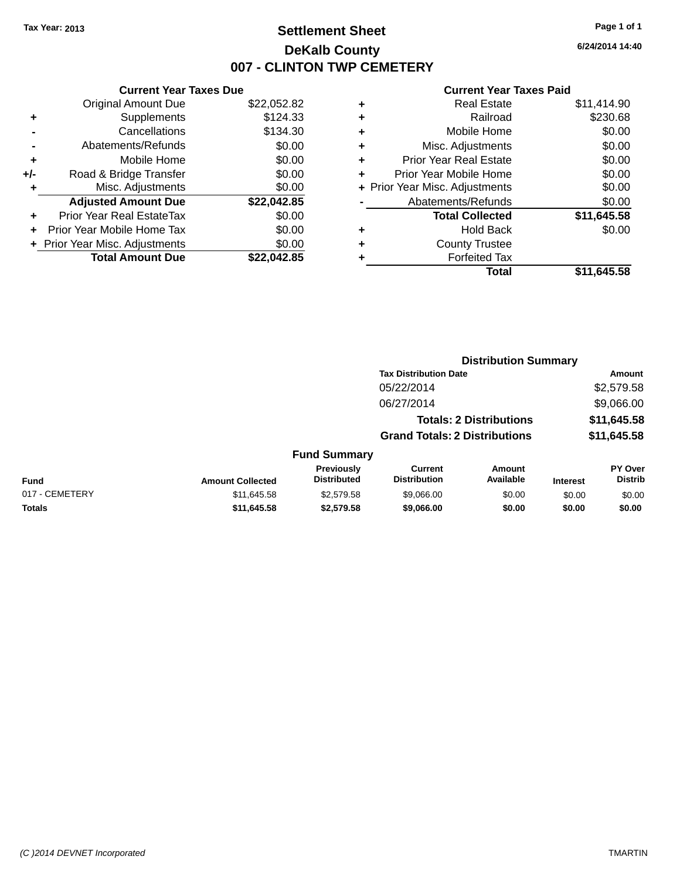### **Settlement Sheet Tax Year: 2013 Page 1 of 1 DeKalb County 007 - CLINTON TWP CEMETERY**

**6/24/2014 14:40**

|     | <b>Current Year Taxes Due</b>  |             |  |  |  |  |
|-----|--------------------------------|-------------|--|--|--|--|
|     | <b>Original Amount Due</b>     | \$22,052.82 |  |  |  |  |
| ٠   | Supplements                    | \$124.33    |  |  |  |  |
|     | Cancellations                  | \$134.30    |  |  |  |  |
|     | Abatements/Refunds             | \$0.00      |  |  |  |  |
| ٠   | Mobile Home                    | \$0.00      |  |  |  |  |
| +/- | Road & Bridge Transfer         | \$0.00      |  |  |  |  |
|     | Misc. Adjustments              | \$0.00      |  |  |  |  |
|     | <b>Adjusted Amount Due</b>     | \$22,042.85 |  |  |  |  |
| ÷   | Prior Year Real EstateTax      | \$0.00      |  |  |  |  |
|     | Prior Year Mobile Home Tax     | \$0.00      |  |  |  |  |
|     | + Prior Year Misc. Adjustments | \$0.00      |  |  |  |  |
|     | <b>Total Amount Due</b>        | \$22.042.85 |  |  |  |  |
|     |                                |             |  |  |  |  |

| ٠ | <b>Real Estate</b>             | \$11,414.90 |
|---|--------------------------------|-------------|
| ٠ | Railroad                       | \$230.68    |
| ٠ | Mobile Home                    | \$0.00      |
| ٠ | Misc. Adjustments              | \$0.00      |
| ٠ | <b>Prior Year Real Estate</b>  | \$0.00      |
|   | Prior Year Mobile Home         | \$0.00      |
|   | + Prior Year Misc. Adjustments | \$0.00      |
|   | Abatements/Refunds             | \$0.00      |
|   | <b>Total Collected</b>         | \$11,645.58 |
| ٠ | <b>Hold Back</b>               | \$0.00      |
| ٠ | <b>County Trustee</b>          |             |
| ٠ | <b>Forfeited Tax</b>           |             |
|   | Total                          | \$11.645.58 |
|   |                                |             |

|                |                         |                                  | <b>Distribution Summary</b>           |                                |                 |                           |
|----------------|-------------------------|----------------------------------|---------------------------------------|--------------------------------|-----------------|---------------------------|
|                |                         |                                  | <b>Tax Distribution Date</b>          |                                |                 | <b>Amount</b>             |
|                |                         |                                  | 05/22/2014                            |                                |                 | \$2,579.58                |
|                |                         |                                  | 06/27/2014                            |                                |                 | \$9,066.00                |
|                |                         |                                  |                                       | <b>Totals: 2 Distributions</b> |                 | \$11,645.58               |
|                |                         |                                  | <b>Grand Totals: 2 Distributions</b>  |                                |                 | \$11,645.58               |
|                |                         | <b>Fund Summary</b>              |                                       |                                |                 |                           |
| <b>Fund</b>    | <b>Amount Collected</b> | Previously<br><b>Distributed</b> | <b>Current</b><br><b>Distribution</b> | Amount<br>Available            | <b>Interest</b> | PY Over<br><b>Distrib</b> |
| 017 - CEMETERY | \$11,645.58             | \$2,579.58                       | \$9,066,00                            | \$0.00                         | \$0.00          | \$0.00                    |
| <b>Totals</b>  | \$11,645.58             | \$2,579.58                       | \$9,066.00                            | \$0.00                         | \$0.00          | \$0.00                    |
|                |                         |                                  |                                       |                                |                 |                           |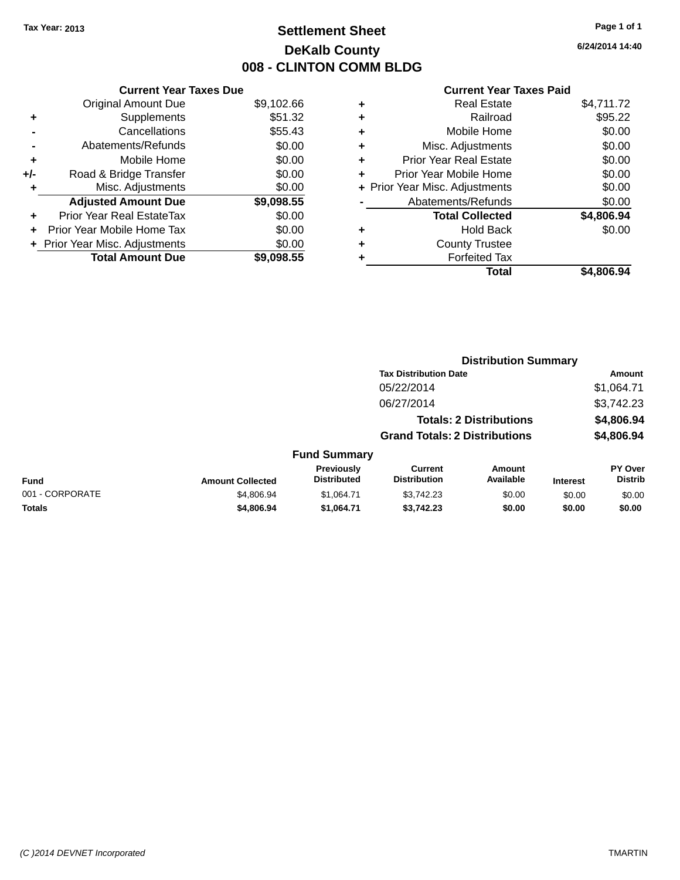## **Settlement Sheet Tax Year: 2013 Page 1 of 1 DeKalb County 008 - CLINTON COMM BLDG**

**6/24/2014 14:40**

|     | <b>Current Year Taxes Due</b>  |            |
|-----|--------------------------------|------------|
|     | <b>Original Amount Due</b>     | \$9,102.66 |
| ٠   | Supplements                    | \$51.32    |
|     | Cancellations                  | \$55.43    |
|     | Abatements/Refunds             | \$0.00     |
| ٠   | Mobile Home                    | \$0.00     |
| +/- | Road & Bridge Transfer         | \$0.00     |
|     | Misc. Adjustments              | \$0.00     |
|     | <b>Adjusted Amount Due</b>     | \$9,098.55 |
| ÷   | Prior Year Real EstateTax      | \$0.00     |
| ÷   | Prior Year Mobile Home Tax     | \$0.00     |
|     | + Prior Year Misc. Adjustments | \$0.00     |
|     | <b>Total Amount Due</b>        | \$9.098.55 |

|   | <b>Real Estate</b>             | \$4,711.72 |
|---|--------------------------------|------------|
| ٠ | Railroad                       | \$95.22    |
| ٠ | Mobile Home                    | \$0.00     |
| ٠ | Misc. Adjustments              | \$0.00     |
| ٠ | <b>Prior Year Real Estate</b>  | \$0.00     |
| ÷ | Prior Year Mobile Home         | \$0.00     |
|   | + Prior Year Misc. Adjustments | \$0.00     |
|   | Abatements/Refunds             | \$0.00     |
|   | <b>Total Collected</b>         | \$4,806.94 |
| ٠ | <b>Hold Back</b>               | \$0.00     |
| ٠ | <b>County Trustee</b>          |            |
| ٠ | <b>Forfeited Tax</b>           |            |
|   | Total                          | \$4,806.94 |
|   |                                |            |

|                 |                         |                                  | <b>Distribution Summary</b>           |                                |                 |                           |
|-----------------|-------------------------|----------------------------------|---------------------------------------|--------------------------------|-----------------|---------------------------|
|                 |                         |                                  | <b>Tax Distribution Date</b>          |                                |                 | Amount                    |
|                 |                         |                                  | 05/22/2014                            |                                |                 | \$1,064.71                |
|                 |                         |                                  | 06/27/2014                            |                                |                 | \$3,742.23                |
|                 |                         |                                  |                                       | <b>Totals: 2 Distributions</b> |                 | \$4,806.94                |
|                 |                         |                                  | <b>Grand Totals: 2 Distributions</b>  |                                |                 | \$4,806.94                |
|                 |                         | <b>Fund Summary</b>              |                                       |                                |                 |                           |
| <b>Fund</b>     | <b>Amount Collected</b> | Previously<br><b>Distributed</b> | <b>Current</b><br><b>Distribution</b> | Amount<br>Available            | <b>Interest</b> | PY Over<br><b>Distrib</b> |
| 001 - CORPORATE | \$4,806.94              | \$1,064.71                       | \$3,742.23                            | \$0.00                         | \$0.00          | \$0.00                    |
| <b>Totals</b>   | \$4,806.94              | \$1,064.71                       | \$3,742.23                            | \$0.00                         | \$0.00          | \$0.00                    |
|                 |                         |                                  |                                       |                                |                 |                           |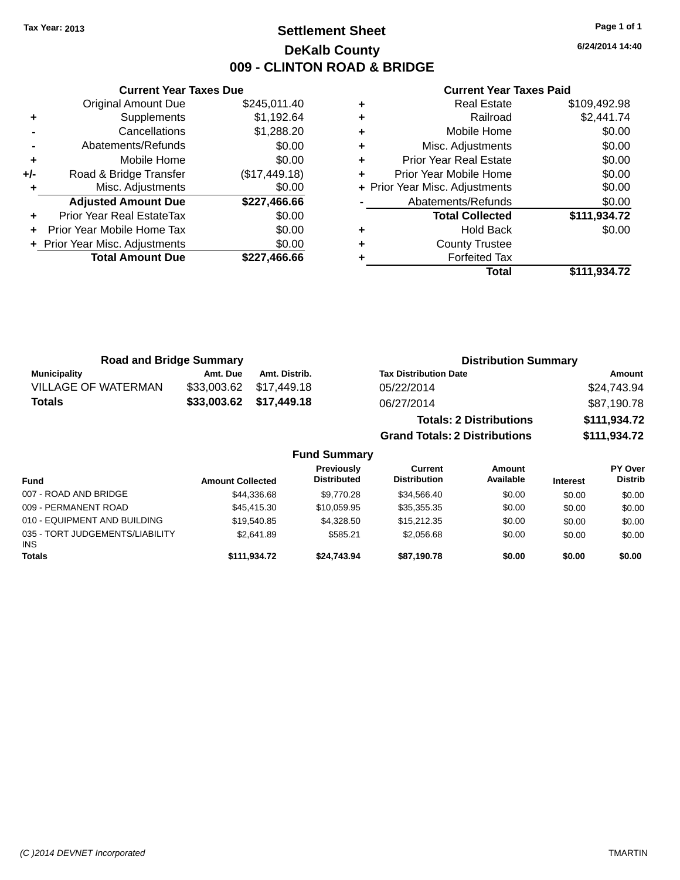### **Settlement Sheet Tax Year: 2013 Page 1 of 1 DeKalb County 009 - CLINTON ROAD & BRIDGE**

**6/24/2014 14:40**

|     | <b>Current Year Taxes Due</b>  |               |
|-----|--------------------------------|---------------|
|     | <b>Original Amount Due</b>     | \$245,011.40  |
| ٠   | Supplements                    | \$1,192.64    |
|     | Cancellations                  | \$1,288.20    |
|     | Abatements/Refunds             | \$0.00        |
| ٠   | Mobile Home                    | \$0.00        |
| +/- | Road & Bridge Transfer         | (\$17,449.18) |
|     | Misc. Adjustments              | \$0.00        |
|     | <b>Adjusted Amount Due</b>     | \$227,466.66  |
| ٠   | Prior Year Real EstateTax      | \$0.00        |
|     | Prior Year Mobile Home Tax     | \$0.00        |
|     | + Prior Year Misc. Adjustments | \$0.00        |
|     | <b>Total Amount Due</b>        | \$227,466.66  |
|     |                                |               |

|   | Total                          | \$111,934.72 |
|---|--------------------------------|--------------|
|   | <b>Forfeited Tax</b>           |              |
| ٠ | <b>County Trustee</b>          |              |
| ٠ | <b>Hold Back</b>               | \$0.00       |
|   | <b>Total Collected</b>         | \$111,934.72 |
|   | Abatements/Refunds             | \$0.00       |
|   | + Prior Year Misc. Adjustments | \$0.00       |
| ٠ | Prior Year Mobile Home         | \$0.00       |
| ٠ | <b>Prior Year Real Estate</b>  | \$0.00       |
| ٠ | Misc. Adjustments              | \$0.00       |
| ٠ | Mobile Home                    | \$0.00       |
| ٠ | Railroad                       | \$2,441.74   |
|   | <b>Real Estate</b>             | \$109,492.98 |

| <b>Road and Bridge Summary</b> |             |                         | <b>Distribution Summary</b>          |              |
|--------------------------------|-------------|-------------------------|--------------------------------------|--------------|
| <b>Municipality</b>            | Amt. Due    | Amt. Distrib.           | <b>Tax Distribution Date</b>         | Amount       |
| <b>VILLAGE OF WATERMAN</b>     | \$33,003.62 | \$17,449.18             | 05/22/2014                           | \$24,743.94  |
| Totals                         |             | \$33,003.62 \$17,449.18 | 06/27/2014                           | \$87,190.78  |
|                                |             |                         | <b>Totals: 2 Distributions</b>       | \$111,934.72 |
|                                |             |                         | <b>Grand Totals: 2 Distributions</b> | \$111,934.72 |
|                                |             | E. A.                   |                                      |              |

|  | <b>Fund Summary</b> |
|--|---------------------|
|--|---------------------|

| <b>Fund</b>                             | <b>Amount Collected</b> | Previously<br><b>Distributed</b> | Current<br><b>Distribution</b> | Amount<br>Available | <b>Interest</b> | PY Over<br><b>Distrib</b> |
|-----------------------------------------|-------------------------|----------------------------------|--------------------------------|---------------------|-----------------|---------------------------|
| 007 - ROAD AND BRIDGE                   | \$44.336.68             | \$9.770.28                       | \$34,566.40                    | \$0.00              | \$0.00          | \$0.00                    |
| 009 - PERMANENT ROAD                    | \$45,415,30             | \$10,059.95                      | \$35,355.35                    | \$0.00              | \$0.00          | \$0.00                    |
| 010 - EQUIPMENT AND BUILDING            | \$19,540.85             | \$4.328.50                       | \$15,212.35                    | \$0.00              | \$0.00          | \$0.00                    |
| 035 - TORT JUDGEMENTS/LIABILITY<br>INS. | \$2.641.89              | \$585.21                         | \$2.056.68                     | \$0.00              | \$0.00          | \$0.00                    |
| <b>Totals</b>                           | \$111.934.72            | \$24.743.94                      | \$87.190.78                    | \$0.00              | \$0.00          | \$0.00                    |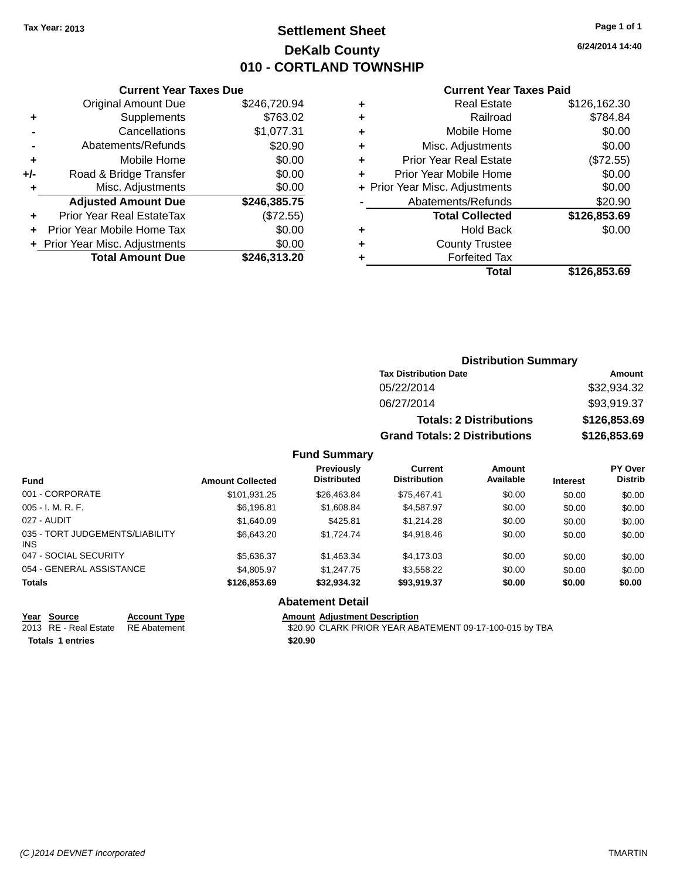### **Settlement Sheet Tax Year: 2013 Page 1 of 1 DeKalb County 010 - CORTLAND TOWNSHIP**

**6/24/2014 14:40**

|       | <b>Current Year Taxes Due</b>  |              |  |  |  |  |
|-------|--------------------------------|--------------|--|--|--|--|
|       | <b>Original Amount Due</b>     | \$246,720.94 |  |  |  |  |
|       | Supplements                    | \$763.02     |  |  |  |  |
|       | Cancellations                  | \$1,077.31   |  |  |  |  |
|       | Abatements/Refunds             | \$20.90      |  |  |  |  |
| ٠     | Mobile Home                    | \$0.00       |  |  |  |  |
| $+/-$ | Road & Bridge Transfer         | \$0.00       |  |  |  |  |
| ٠     | Misc. Adjustments              | \$0.00       |  |  |  |  |
|       | <b>Adjusted Amount Due</b>     | \$246,385.75 |  |  |  |  |
|       | Prior Year Real EstateTax      | (\$72.55)    |  |  |  |  |
|       | Prior Year Mobile Home Tax     | \$0.00       |  |  |  |  |
|       | + Prior Year Misc. Adjustments | \$0.00       |  |  |  |  |
|       | <b>Total Amount Due</b>        | \$246,313.20 |  |  |  |  |
|       |                                |              |  |  |  |  |

|    | <b>Current Year Taxes Paid</b> |              |
|----|--------------------------------|--------------|
| Ŧ. | <b>Real Estate</b>             | \$126,162.30 |
| Ŧ. | Railroad                       | \$784.84     |
| ÷. | Mobile Home                    | \$0.00       |
| ÷. | Misc. Adjustments              | \$0.00       |
| ÷. | <b>Prior Year Real Estate</b>  | (\$72.55)    |
| ÷  | Prior Year Mobile Home         | \$0.00       |
|    | + Prior Year Misc. Adjustments | \$0.00       |
|    | Abatements/Refunds             | \$20.90      |
|    | <b>Total Collected</b>         | \$126,853.69 |
| ÷  | Hold Back                      | \$0.00       |

|   | Total                 | \$126,853.69 |
|---|-----------------------|--------------|
| ٠ | <b>Forfeited Tax</b>  |              |
| ٠ | <b>County Trustee</b> |              |

| <b>Distribution Summary</b>          |              |  |  |  |  |
|--------------------------------------|--------------|--|--|--|--|
| <b>Tax Distribution Date</b>         | Amount       |  |  |  |  |
| 05/22/2014                           | \$32,934.32  |  |  |  |  |
| 06/27/2014                           | \$93,919.37  |  |  |  |  |
| <b>Totals: 2 Distributions</b>       | \$126,853.69 |  |  |  |  |
| <b>Grand Totals: 2 Distributions</b> | \$126,853.69 |  |  |  |  |

#### **Fund Summary**

| <b>Fund</b>                             | <b>Amount Collected</b> | Previously<br><b>Distributed</b> | <b>Current</b><br><b>Distribution</b> | Amount<br>Available | <b>Interest</b> | PY Over<br><b>Distrib</b> |
|-----------------------------------------|-------------------------|----------------------------------|---------------------------------------|---------------------|-----------------|---------------------------|
| 001 - CORPORATE                         | \$101,931.25            | \$26,463.84                      | \$75,467.41                           | \$0.00              | \$0.00          | \$0.00                    |
| $005 - I. M. R. F.$                     | \$6,196.81              | \$1,608.84                       | \$4,587.97                            | \$0.00              | \$0.00          | \$0.00                    |
| 027 - AUDIT                             | \$1,640.09              | \$425.81                         | \$1,214.28                            | \$0.00              | \$0.00          | \$0.00                    |
| 035 - TORT JUDGEMENTS/LIABILITY<br>INS. | \$6,643,20              | \$1,724,74                       | \$4.918.46                            | \$0.00              | \$0.00          | \$0.00                    |
| 047 - SOCIAL SECURITY                   | \$5,636.37              | \$1,463.34                       | \$4,173.03                            | \$0.00              | \$0.00          | \$0.00                    |
| 054 - GENERAL ASSISTANCE                | \$4,805.97              | \$1,247.75                       | \$3,558.22                            | \$0.00              | \$0.00          | \$0.00                    |
| Totals                                  | \$126,853.69            | \$32,934.32                      | \$93,919.37                           | \$0.00              | \$0.00          | \$0.00                    |

### **Abatement Detail**

**<u>Year Source</u>**<br> **Account Type**<br> **ADDEC ADDEC READ**<br> **ADDEC READ**<br> **ADDEC READ** 

**Totals 1 entries \$20.90**

Amount Adjustment Description<br>\$20.90 CLARK PRIOR YEAR ABATEMENT 09-17-100-015 by TBA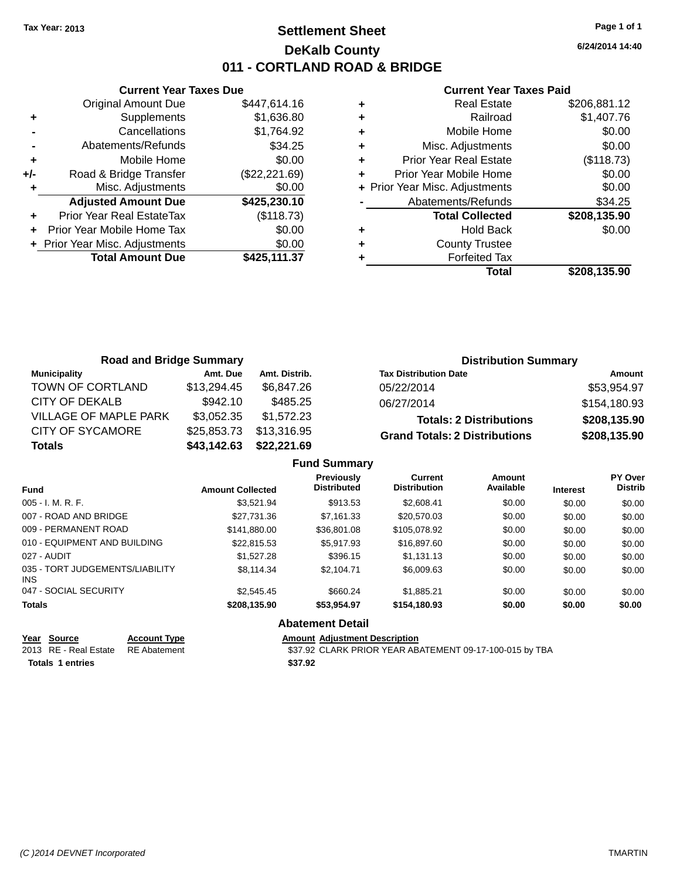### **Settlement Sheet Tax Year: 2013 Page 1 of 1 DeKalb County 011 - CORTLAND ROAD & BRIDGE**

**6/24/2014 14:40**

#### **Current Year Taxes Paid**

|       | <b>Current Year Taxes Due</b>  |               |  |  |  |  |
|-------|--------------------------------|---------------|--|--|--|--|
|       | <b>Original Amount Due</b>     | \$447,614.16  |  |  |  |  |
| ÷     | Supplements                    | \$1,636.80    |  |  |  |  |
|       | Cancellations                  | \$1,764.92    |  |  |  |  |
|       | Abatements/Refunds             | \$34.25       |  |  |  |  |
| ٠     | Mobile Home                    | \$0.00        |  |  |  |  |
| $+/-$ | Road & Bridge Transfer         | (\$22,221.69) |  |  |  |  |
|       | Misc. Adjustments              | \$0.00        |  |  |  |  |
|       | <b>Adjusted Amount Due</b>     | \$425,230.10  |  |  |  |  |
|       | Prior Year Real EstateTax      | (\$118.73)    |  |  |  |  |
|       | Prior Year Mobile Home Tax     | \$0.00        |  |  |  |  |
|       | + Prior Year Misc. Adjustments | \$0.00        |  |  |  |  |
|       | <b>Total Amount Due</b>        | \$425,111.37  |  |  |  |  |
|       |                                |               |  |  |  |  |

|   | <b>Real Estate</b>             | \$206,881.12 |
|---|--------------------------------|--------------|
| ٠ | Railroad                       | \$1,407.76   |
| ٠ | Mobile Home                    | \$0.00       |
| ٠ | Misc. Adjustments              | \$0.00       |
| ٠ | Prior Year Real Estate         | (\$118.73)   |
| ٠ | Prior Year Mobile Home         | \$0.00       |
|   | + Prior Year Misc. Adjustments | \$0.00       |
|   | Abatements/Refunds             | \$34.25      |
|   | <b>Total Collected</b>         | \$208,135.90 |
| ٠ | <b>Hold Back</b>               | \$0.00       |
| ٠ | <b>County Trustee</b>          |              |
|   | <b>Forfeited Tax</b>           |              |
|   | Total                          | \$208,135.90 |

| <b>Road and Bridge Summary</b> |             |               | <b>Distribution Summary</b>          |              |
|--------------------------------|-------------|---------------|--------------------------------------|--------------|
| <b>Municipality</b>            | Amt. Due    | Amt. Distrib. | <b>Tax Distribution Date</b>         | Amount       |
| TOWN OF CORTLAND               | \$13,294.45 | \$6.847.26    | 05/22/2014                           | \$53,954.97  |
| CITY OF DEKALB                 | \$942.10    | \$485.25      | 06/27/2014                           | \$154,180.93 |
| VILLAGE OF MAPLE PARK          | \$3,052.35  | \$1,572.23    | <b>Totals: 2 Distributions</b>       | \$208,135.90 |
| CITY OF SYCAMORE               | \$25,853.73 | \$13,316.95   | <b>Grand Totals: 2 Distributions</b> | \$208,135.90 |
| <b>Totals</b>                  | \$43,142.63 | \$22,221.69   |                                      |              |

|                                         |                         | <b>Fund Summary</b>                     |                                |                     |                 |                                  |
|-----------------------------------------|-------------------------|-----------------------------------------|--------------------------------|---------------------|-----------------|----------------------------------|
| <b>Fund</b>                             | <b>Amount Collected</b> | <b>Previously</b><br><b>Distributed</b> | Current<br><b>Distribution</b> | Amount<br>Available | <b>Interest</b> | <b>PY Over</b><br><b>Distrib</b> |
| $005 - I. M. R. F.$                     | \$3.521.94              | \$913.53                                | \$2,608.41                     | \$0.00              | \$0.00          | \$0.00                           |
| 007 - ROAD AND BRIDGE                   | \$27.731.36             | \$7.161.33                              | \$20,570.03                    | \$0.00              | \$0.00          | \$0.00                           |
| 009 - PERMANENT ROAD                    | \$141.880.00            | \$36,801.08                             | \$105,078.92                   | \$0.00              | \$0.00          | \$0.00                           |
| 010 - EQUIPMENT AND BUILDING            | \$22.815.53             | \$5,917.93                              | \$16,897.60                    | \$0.00              | \$0.00          | \$0.00                           |
| 027 - AUDIT                             | \$1,527.28              | \$396.15                                | \$1.131.13                     | \$0.00              | \$0.00          | \$0.00                           |
| 035 - TORT JUDGEMENTS/LIABILITY<br>INS. | \$8,114,34              | \$2.104.71                              | \$6,009.63                     | \$0.00              | \$0.00          | \$0.00                           |
| 047 - SOCIAL SECURITY                   | \$2,545.45              | \$660.24                                | \$1,885.21                     | \$0.00              | \$0.00          | \$0.00                           |
| <b>Totals</b>                           | \$208,135.90            | \$53.954.97                             | \$154.180.93                   | \$0.00              | \$0.00          | \$0.00                           |
|                                         |                         | <b>Abatement Detail</b>                 |                                |                     |                 |                                  |

**Totals 1 entries \$37.92**

**Year Source Account Type Amount Adjustment Description**<br>2013 RE - Real Estate RE Abatement **Amount SA SA SA SA SA SA SA SA SA ARA** B \$37.92 CLARK PRIOR YEAR ABATEMENT 09-17-100-015 by TBA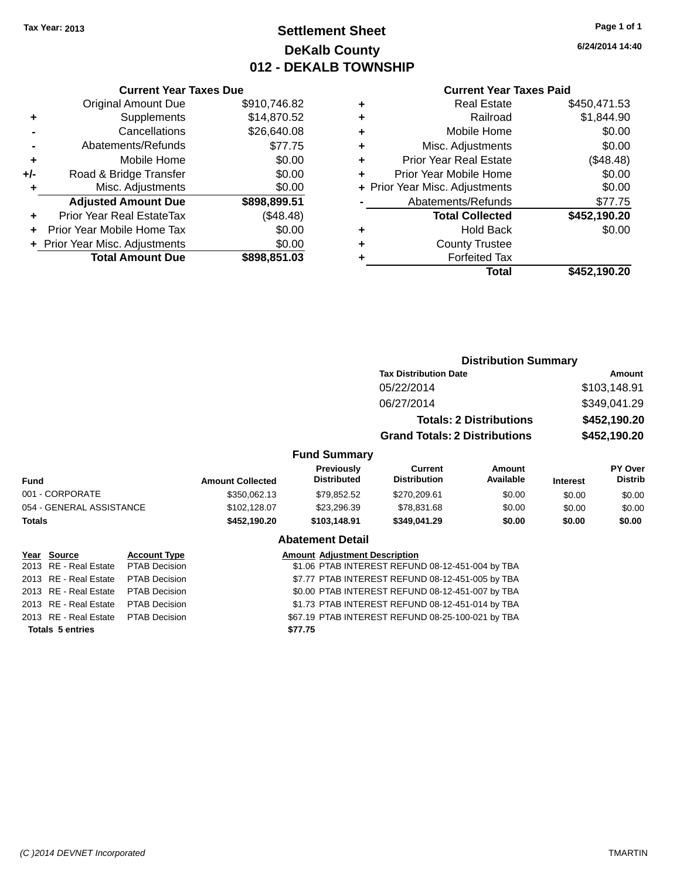### **Settlement Sheet Tax Year: 2013 Page 1 of 1 DeKalb County 012 - DEKALB TOWNSHIP**

**6/24/2014 14:40**

#### **Current Year Taxes Paid**

|     | <b>Current Year Taxes Due</b>  |              |
|-----|--------------------------------|--------------|
|     | <b>Original Amount Due</b>     | \$910,746.82 |
| ٠   | Supplements                    | \$14,870.52  |
|     | Cancellations                  | \$26,640.08  |
|     | Abatements/Refunds             | \$77.75      |
| ٠   | Mobile Home                    | \$0.00       |
| +/- | Road & Bridge Transfer         | \$0.00       |
|     | Misc. Adjustments              | \$0.00       |
|     | <b>Adjusted Amount Due</b>     | \$898,899.51 |
| ÷   | Prior Year Real EstateTax      | (\$48.48)    |
| ÷   | Prior Year Mobile Home Tax     | \$0.00       |
|     | + Prior Year Misc. Adjustments | \$0.00       |
|     | <b>Total Amount Due</b>        | \$898.851.03 |

| ٠ | <b>Real Estate</b>             | \$450,471.53 |
|---|--------------------------------|--------------|
| ٠ | Railroad                       | \$1,844.90   |
| ٠ | Mobile Home                    | \$0.00       |
| ٠ | Misc. Adjustments              | \$0.00       |
| ٠ | <b>Prior Year Real Estate</b>  | (\$48.48)    |
| ٠ | Prior Year Mobile Home         | \$0.00       |
|   | + Prior Year Misc. Adjustments | \$0.00       |
|   | Abatements/Refunds             | \$77.75      |
|   | <b>Total Collected</b>         | \$452,190.20 |
| ٠ | <b>Hold Back</b>               | \$0.00       |
| ٠ | <b>County Trustee</b>          |              |
| ٠ | <b>Forfeited Tax</b>           |              |
|   | Total                          | \$452,190.20 |
|   |                                |              |

|                                               |                          |                      |                                                  |                                                  | <b>Distribution Summary</b>          |                                |                 |                                  |  |
|-----------------------------------------------|--------------------------|----------------------|--------------------------------------------------|--------------------------------------------------|--------------------------------------|--------------------------------|-----------------|----------------------------------|--|
|                                               |                          |                      |                                                  |                                                  | <b>Tax Distribution Date</b>         |                                | Amount          |                                  |  |
|                                               |                          |                      |                                                  |                                                  | 05/22/2014                           |                                |                 | \$103,148.91                     |  |
|                                               |                          |                      |                                                  |                                                  | 06/27/2014                           |                                | \$349,041.29    |                                  |  |
|                                               |                          |                      |                                                  |                                                  |                                      | <b>Totals: 2 Distributions</b> | \$452,190.20    |                                  |  |
|                                               |                          |                      |                                                  |                                                  | <b>Grand Totals: 2 Distributions</b> |                                | \$452,190.20    |                                  |  |
|                                               |                          |                      |                                                  | <b>Fund Summary</b>                              |                                      |                                |                 |                                  |  |
| <b>Fund</b>                                   |                          |                      | <b>Amount Collected</b>                          | Previously<br><b>Distributed</b>                 | Current<br><b>Distribution</b>       | <b>Amount</b><br>Available     | <b>Interest</b> | <b>PY Over</b><br><b>Distrib</b> |  |
|                                               | 001 - CORPORATE          |                      | \$350,062.13                                     | \$79,852.52                                      | \$270,209.61                         | \$0.00                         | \$0.00          | \$0.00                           |  |
|                                               | 054 - GENERAL ASSISTANCE |                      | \$102,128.07                                     | \$23,296.39                                      | \$78,831.68                          | \$0.00                         | \$0.00          | \$0.00                           |  |
| <b>Totals</b>                                 |                          |                      | \$452,190.20                                     | \$103,148.91                                     | \$349,041.29                         | \$0.00                         | \$0.00          | \$0.00                           |  |
|                                               |                          |                      |                                                  | <b>Abatement Detail</b>                          |                                      |                                |                 |                                  |  |
|                                               | Year Source              | <b>Account Type</b>  |                                                  | <b>Amount Adjustment Description</b>             |                                      |                                |                 |                                  |  |
|                                               | 2013 RE - Real Estate    | <b>PTAB Decision</b> | \$1.06 PTAB INTEREST REFUND 08-12-451-004 by TBA |                                                  |                                      |                                |                 |                                  |  |
| 2013                                          | RE - Real Estate         | <b>PTAB Decision</b> | \$7.77 PTAB INTEREST REFUND 08-12-451-005 by TBA |                                                  |                                      |                                |                 |                                  |  |
| 2013 RE - Real Estate<br><b>PTAB Decision</b> |                          |                      |                                                  | \$0.00 PTAB INTEREST REFUND 08-12-451-007 by TBA |                                      |                                |                 |                                  |  |

**Totals 5 entries \$77.75**

2013 RE - Real Estate PTAB Decision \$1.73 PTAB INTEREST REFUND 08-12-451-014 by TBA 2013 RE - Real Estate PTAB Decision \$67.19 PTAB INTEREST REFUND 08-25-100-021 by TBA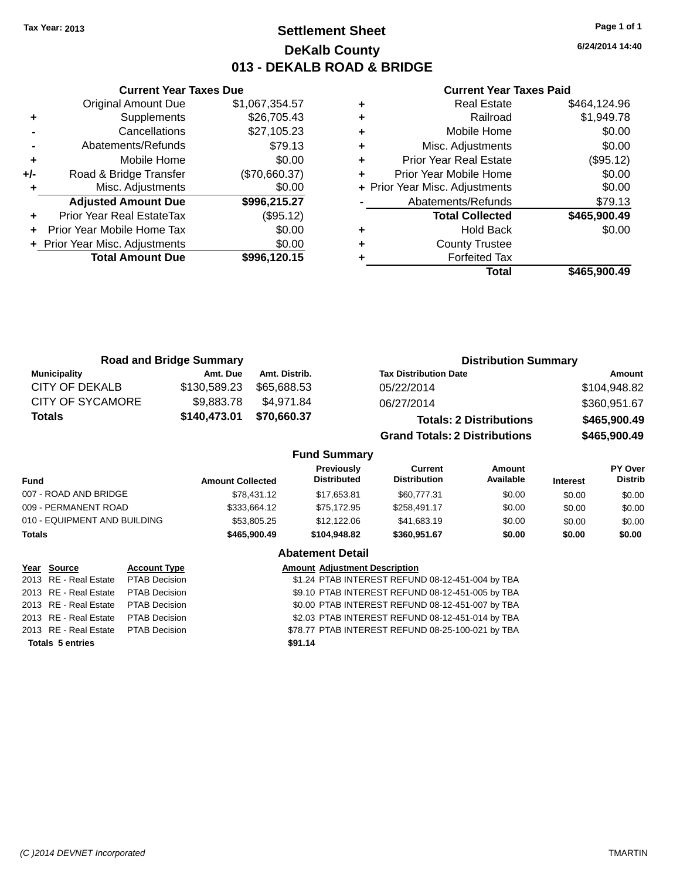**+** Supplements

**Current Year Taxes Due**

**-** Cancellations \$27,105.23 **-** Abatements/Refunds \$79.13 **+** Mobile Home \$0.00 **+/-** Road & Bridge Transfer (\$70,660.37) **+** Misc. Adjustments \$0.00

**+** Prior Year Real EstateTax (\$95.12) **+** Prior Year Mobile Home Tax \$0.00 **+ Prior Year Misc. Adjustments**  $$0.00$ 

Original Amount Due \$1,067,354.57<br>Supplements \$26,705.43

**Adjusted Amount Due \$996,215.27**

**Total Amount Due \$996,120.15**

### **Settlement Sheet Tax Year: 2013 Page 1 of 1 DeKalb County 013 - DEKALB ROAD & BRIDGE**

**6/24/2014 14:40**

#### **Current Year Taxes Paid**

| ٠ | Real Estate                    | \$464,124.96 |
|---|--------------------------------|--------------|
| ÷ | Railroad                       | \$1,949.78   |
| ÷ | Mobile Home                    | \$0.00       |
| ÷ | Misc. Adjustments              | \$0.00       |
| ٠ | <b>Prior Year Real Estate</b>  | (\$95.12)    |
| ٠ | Prior Year Mobile Home         | \$0.00       |
|   | + Prior Year Misc. Adjustments | \$0.00       |
|   | Abatements/Refunds             | \$79.13      |
|   | <b>Total Collected</b>         | \$465,900.49 |
| ٠ | <b>Hold Back</b>               | \$0.00       |
| ٠ | <b>County Trustee</b>          |              |
| ٠ | <b>Forfeited Tax</b>           |              |
|   | Total                          | \$465,900.49 |
|   |                                |              |

| <b>Road and Bridge Summary</b> |              |               | <b>Distribution Summary</b>          |              |
|--------------------------------|--------------|---------------|--------------------------------------|--------------|
| <b>Municipality</b>            | Amt. Due     | Amt. Distrib. | <b>Tax Distribution Date</b>         | Amount       |
| CITY OF DEKALB                 | \$130,589.23 | \$65.688.53   | 05/22/2014                           | \$104,948.82 |
| <b>CITY OF SYCAMORE</b>        | \$9,883.78   | \$4.971.84    | 06/27/2014                           | \$360,951.67 |
| <b>Totals</b>                  | \$140,473.01 | \$70,660.37   | <b>Totals: 2 Distributions</b>       | \$465,900.49 |
|                                |              |               | <b>Grand Totals: 2 Distributions</b> | \$465,900.49 |

#### **Fund Summary**

| <b>Fund</b>                  | <b>Amount Collected</b> | <b>Previously</b><br><b>Distributed</b> | Current<br><b>Distribution</b> | Amount<br>Available | <b>Interest</b> | <b>PY Over</b><br><b>Distrib</b> |
|------------------------------|-------------------------|-----------------------------------------|--------------------------------|---------------------|-----------------|----------------------------------|
| 007 - ROAD AND BRIDGE        | \$78,431.12             | \$17,653.81                             | \$60,777.31                    | \$0.00              | \$0.00          | \$0.00                           |
| 009 - PERMANENT ROAD         | \$333,664.12            | \$75.172.95                             | \$258.491.17                   | \$0.00              | \$0.00          | \$0.00                           |
| 010 - EQUIPMENT AND BUILDING | \$53,805.25             | \$12,122.06                             | \$41,683.19                    | \$0.00              | \$0.00          | \$0.00                           |
| <b>Totals</b>                | \$465,900.49            | \$104.948.82                            | \$360,951.67                   | \$0.00              | \$0.00          | \$0.00                           |

### **Abatement Detail**

| Year Source                         | <b>Account Type</b> |         | <b>Amount Adjustment Description</b>              |
|-------------------------------------|---------------------|---------|---------------------------------------------------|
| 2013 RE - Real Estate PTAB Decision |                     |         | \$1.24 PTAB INTEREST REFUND 08-12-451-004 by TBA  |
| 2013 RE - Real Estate PTAB Decision |                     |         | \$9.10 PTAB INTEREST REFUND 08-12-451-005 by TBA  |
| 2013 RE - Real Estate PTAB Decision |                     |         | \$0.00 PTAB INTEREST REFUND 08-12-451-007 by TBA  |
| 2013 RE - Real Estate PTAB Decision |                     |         | \$2.03 PTAB INTEREST REFUND 08-12-451-014 by TBA  |
| 2013 RE - Real Estate PTAB Decision |                     |         | \$78.77 PTAB INTEREST REFUND 08-25-100-021 by TBA |
| <b>Totals 5 entries</b>             |                     | \$91.14 |                                                   |
|                                     |                     |         |                                                   |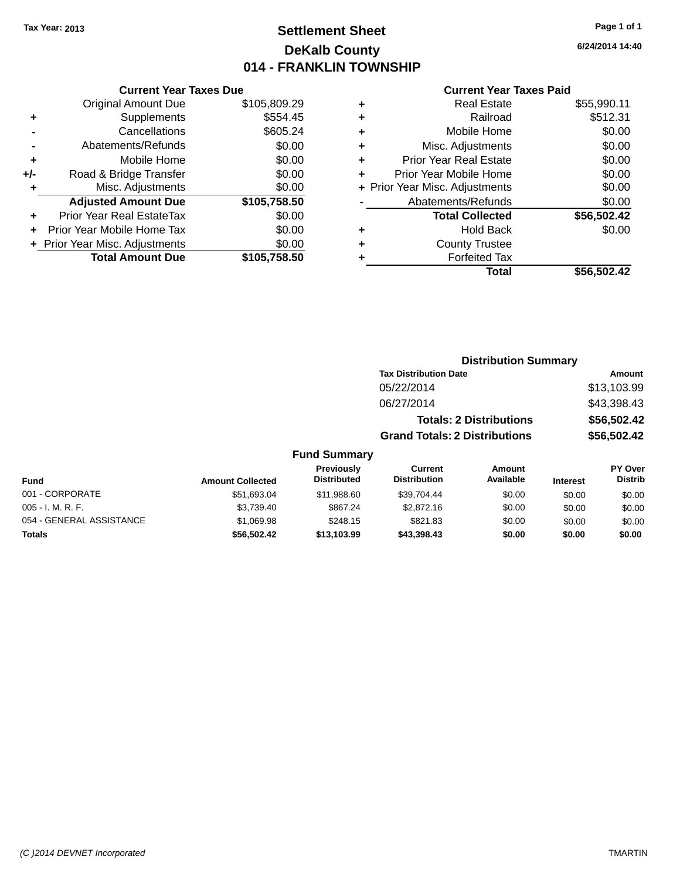## **Settlement Sheet Tax Year: 2013 Page 1 of 1 DeKalb County 014 - FRANKLIN TOWNSHIP**

### **Current Year Taxes Due**

|       | <b>Original Amount Due</b>     | \$105,809.29 |
|-------|--------------------------------|--------------|
| ٠     | Supplements                    | \$554.45     |
|       | Cancellations                  | \$605.24     |
|       | Abatements/Refunds             | \$0.00       |
| ٠     | Mobile Home                    | \$0.00       |
| $+/-$ | Road & Bridge Transfer         | \$0.00       |
| ٠     | Misc. Adjustments              | \$0.00       |
|       | <b>Adjusted Amount Due</b>     | \$105,758.50 |
|       | Prior Year Real EstateTax      | \$0.00       |
|       | Prior Year Mobile Home Tax     | \$0.00       |
|       | + Prior Year Misc. Adjustments | \$0.00       |
|       | <b>Total Amount Due</b>        | \$105,758.50 |

### **Current Year Taxes Paid**

|   | <b>Real Estate</b>             | \$55,990.11 |
|---|--------------------------------|-------------|
| ٠ | Railroad                       | \$512.31    |
| ٠ | Mobile Home                    | \$0.00      |
| ٠ | Misc. Adjustments              | \$0.00      |
| ٠ | <b>Prior Year Real Estate</b>  | \$0.00      |
| ٠ | Prior Year Mobile Home         | \$0.00      |
|   | + Prior Year Misc. Adjustments | \$0.00      |
|   | Abatements/Refunds             | \$0.00      |
|   | <b>Total Collected</b>         | \$56,502.42 |
| ٠ | <b>Hold Back</b>               | \$0.00      |
| ٠ | <b>County Trustee</b>          |             |
| ٠ | <b>Forfeited Tax</b>           |             |
|   | Total                          | \$56,502.42 |
|   |                                |             |

| <b>Distribution Summary</b>          |             |  |  |  |  |
|--------------------------------------|-------------|--|--|--|--|
| <b>Tax Distribution Date</b>         | Amount      |  |  |  |  |
| 05/22/2014                           | \$13,103.99 |  |  |  |  |
| 06/27/2014                           | \$43,398.43 |  |  |  |  |
| <b>Totals: 2 Distributions</b>       | \$56,502.42 |  |  |  |  |
| <b>Grand Totals: 2 Distributions</b> | \$56,502.42 |  |  |  |  |

| <b>Fund</b>              | <b>Amount Collected</b> | <b>Previously</b><br><b>Distributed</b> | Current<br><b>Distribution</b> | Amount<br>Available | <b>Interest</b> | <b>PY Over</b><br><b>Distrib</b> |
|--------------------------|-------------------------|-----------------------------------------|--------------------------------|---------------------|-----------------|----------------------------------|
| 001 - CORPORATE          | \$51,693.04             | \$11,988.60                             | \$39.704.44                    | \$0.00              | \$0.00          | \$0.00                           |
| $005 - I. M. R. F.$      | \$3.739.40              | \$867.24                                | \$2,872.16                     | \$0.00              | \$0.00          | \$0.00                           |
| 054 - GENERAL ASSISTANCE | \$1.069.98              | \$248.15                                | \$821.83                       | \$0.00              | \$0.00          | \$0.00                           |
| <b>Totals</b>            | \$56,502.42             | \$13,103.99                             | \$43,398.43                    | \$0.00              | \$0.00          | \$0.00                           |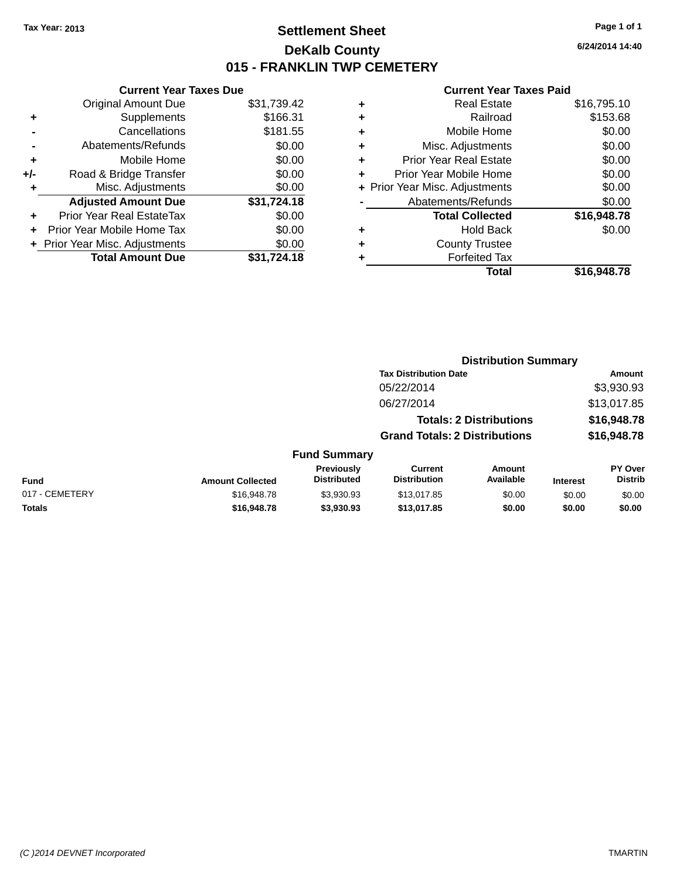### **Settlement Sheet Tax Year: 2013 Page 1 of 1 DeKalb County 015 - FRANKLIN TWP CEMETERY**

**6/24/2014 14:40**

|     | <b>Current Year Taxes Due</b>  |             |
|-----|--------------------------------|-------------|
|     | <b>Original Amount Due</b>     | \$31,739.42 |
| ٠   | Supplements                    | \$166.31    |
|     | Cancellations                  | \$181.55    |
|     | Abatements/Refunds             | \$0.00      |
| ٠   | Mobile Home                    | \$0.00      |
| +/- | Road & Bridge Transfer         | \$0.00      |
| ٠   | Misc. Adjustments              | \$0.00      |
|     | <b>Adjusted Amount Due</b>     | \$31,724.18 |
| ٠   | Prior Year Real EstateTax      | \$0.00      |
| ٠   | Prior Year Mobile Home Tax     | \$0.00      |
|     | + Prior Year Misc. Adjustments | \$0.00      |
|     | <b>Total Amount Due</b>        | \$31,724.18 |
|     |                                |             |

| ٠ | <b>Real Estate</b>             | \$16,795.10 |
|---|--------------------------------|-------------|
| ٠ | Railroad                       | \$153.68    |
| ٠ | Mobile Home                    | \$0.00      |
| ٠ | Misc. Adjustments              | \$0.00      |
| ٠ | <b>Prior Year Real Estate</b>  | \$0.00      |
| ٠ | Prior Year Mobile Home         | \$0.00      |
|   | + Prior Year Misc. Adjustments | \$0.00      |
|   | Abatements/Refunds             | \$0.00      |
|   | <b>Total Collected</b>         | \$16,948.78 |
| ٠ | <b>Hold Back</b>               | \$0.00      |
| ٠ | <b>County Trustee</b>          |             |
| ٠ | <b>Forfeited Tax</b>           |             |
|   | Total                          | \$16,948.78 |
|   |                                |             |

|                |                         |                                  | <b>Distribution Summary</b>           |                                |                 |                           |
|----------------|-------------------------|----------------------------------|---------------------------------------|--------------------------------|-----------------|---------------------------|
|                |                         |                                  | <b>Tax Distribution Date</b>          |                                |                 | Amount                    |
|                |                         |                                  | 05/22/2014                            |                                |                 | \$3,930.93                |
|                |                         |                                  | 06/27/2014                            |                                |                 | \$13,017.85               |
|                |                         |                                  |                                       | <b>Totals: 2 Distributions</b> |                 | \$16,948.78               |
|                |                         |                                  | <b>Grand Totals: 2 Distributions</b>  |                                |                 | \$16,948.78               |
|                |                         | <b>Fund Summary</b>              |                                       |                                |                 |                           |
| <b>Fund</b>    | <b>Amount Collected</b> | Previously<br><b>Distributed</b> | <b>Current</b><br><b>Distribution</b> | Amount<br>Available            | <b>Interest</b> | PY Over<br><b>Distrib</b> |
| 017 - CEMETERY | \$16,948.78             | \$3,930.93                       | \$13,017.85                           | \$0.00                         | \$0.00          | \$0.00                    |
| <b>Totals</b>  | \$16,948.78             | \$3,930.93                       | \$13,017.85                           | \$0.00                         | \$0.00          | \$0.00                    |
|                |                         |                                  |                                       |                                |                 |                           |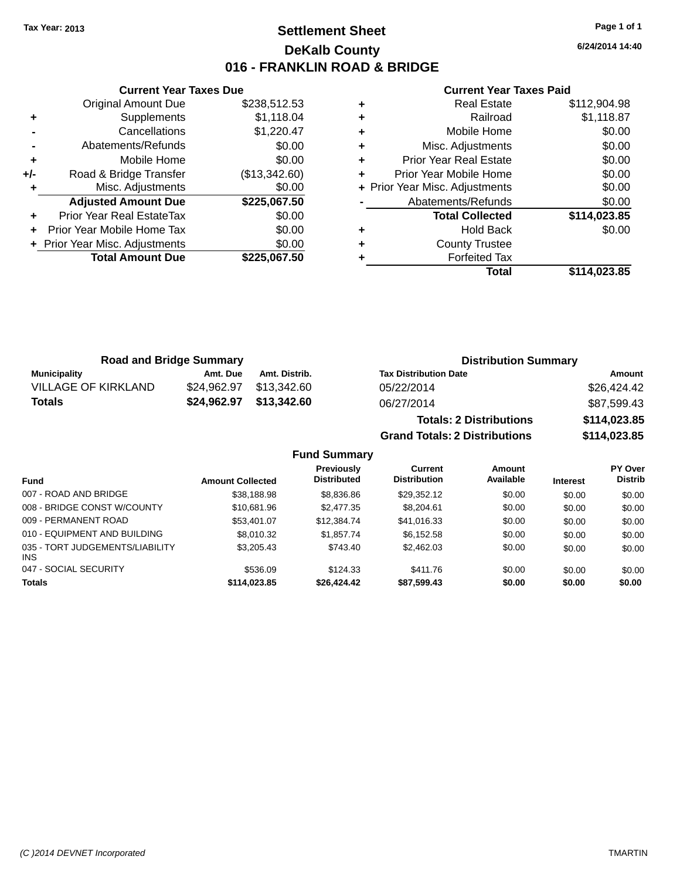### **Settlement Sheet Tax Year: 2013 Page 1 of 1 DeKalb County 016 - FRANKLIN ROAD & BRIDGE**

**6/24/2014 14:40**

#### **Current Year Taxes Paid**

|     | <b>Current Year Taxes Due</b>  |               |  |  |  |
|-----|--------------------------------|---------------|--|--|--|
|     | <b>Original Amount Due</b>     | \$238,512.53  |  |  |  |
| ٠   | Supplements                    | \$1,118.04    |  |  |  |
|     | Cancellations                  | \$1,220.47    |  |  |  |
|     | Abatements/Refunds             | \$0.00        |  |  |  |
| ٠   | Mobile Home                    | \$0.00        |  |  |  |
| +/- | Road & Bridge Transfer         | (\$13,342.60) |  |  |  |
|     | Misc. Adjustments              | \$0.00        |  |  |  |
|     | <b>Adjusted Amount Due</b>     | \$225,067.50  |  |  |  |
| ٠   | Prior Year Real EstateTax      | \$0.00        |  |  |  |
|     | Prior Year Mobile Home Tax     | \$0.00        |  |  |  |
|     | + Prior Year Misc. Adjustments | \$0.00        |  |  |  |
|     | <b>Total Amount Due</b>        | \$225,067.50  |  |  |  |
|     |                                |               |  |  |  |

| <b>Real Estate</b>            | \$112,904.98                   |
|-------------------------------|--------------------------------|
| Railroad                      | \$1,118.87                     |
| Mobile Home                   | \$0.00                         |
| Misc. Adjustments             | \$0.00                         |
| <b>Prior Year Real Estate</b> | \$0.00                         |
| Prior Year Mobile Home        | \$0.00                         |
|                               | \$0.00                         |
| Abatements/Refunds            | \$0.00                         |
| <b>Total Collected</b>        | \$114,023.85                   |
| <b>Hold Back</b>              | \$0.00                         |
| <b>County Trustee</b>         |                                |
| <b>Forfeited Tax</b>          |                                |
| Total                         | \$114.023.85                   |
|                               | + Prior Year Misc. Adjustments |

**Grand Totals: 2 Distributions \$114,023.85**

| <b>Road and Bridge Summary</b> |             |               | <b>Distribution Summary</b>    |              |  |
|--------------------------------|-------------|---------------|--------------------------------|--------------|--|
| Municipality                   | Amt. Due    | Amt. Distrib. | <b>Tax Distribution Date</b>   | Amount       |  |
| VILLAGE OF KIRKLAND            | \$24.962.97 | \$13.342.60   | 05/22/2014                     | \$26,424.42  |  |
| Totals                         | \$24,962.97 | \$13,342.60   | 06/27/2014                     | \$87,599.43  |  |
|                                |             |               | <b>Totals: 2 Distributions</b> | \$114,023.85 |  |

**Fund Summary Fund Interest Amount Collected Distributed PY Over Distrib Amount Available Current Distribution Previously** 007 - ROAD AND BRIDGE 60.00 \$38,188.98 \$38,188.98 \$8,836.86 \$29,352.12 \$0.00 \$0.00 \$0.00 008 - BRIDGE CONST W/COUNTY  $$10,681.96$   $$2,477.35$   $$8,204.61$   $$0.00$   $$0.00$   $$0.00$ 009 - PERMANENT ROAD \$53,401.07 \$12,384.74 \$41,016.33 \$0.00 \$0.00 \$0.00 \$0.00 010 - EQUIPMENT AND BUILDING \$8,010.32 \$1,857.74 \$6,152.58 \$0.00 \$0.00 \$0.00 035 - TORT JUDGEMENTS/LIABILITY INS \$3,205.43 \$743.40 \$2,462.03 \$0.00 \$0.00 \$0.00 047 - SOCIAL SECURITY \$536.09 \$124.33 \$0.00 \$0.00 \$0.00 \$0.00 **Totals \$114,023.85 \$26,424.42 \$87,599.43 \$0.00 \$0.00 \$0.00**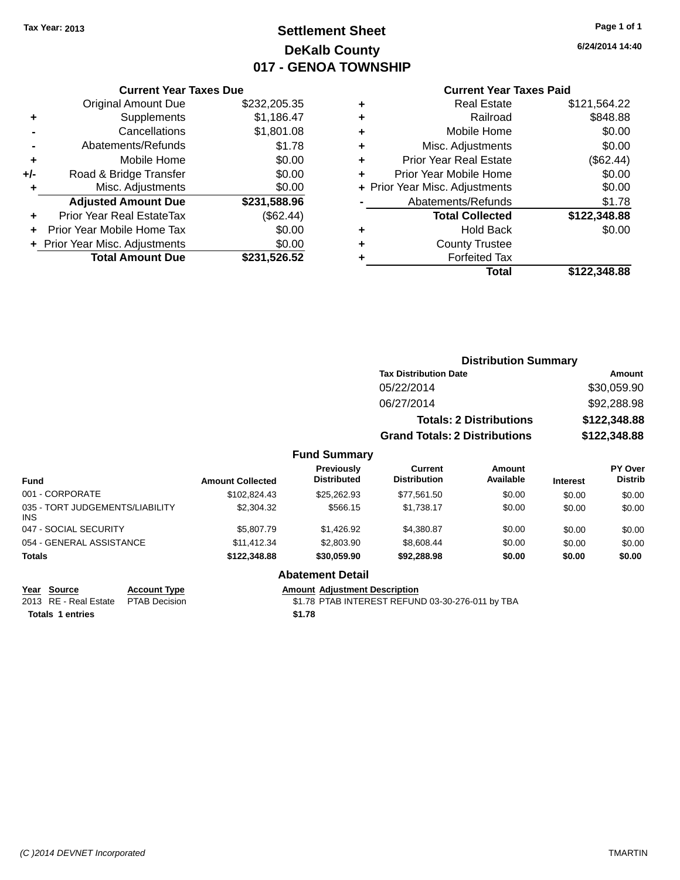## **Settlement Sheet Tax Year: 2013 Page 1 of 1 DeKalb County 017 - GENOA TOWNSHIP**

**6/24/2014 14:40**

### **Current Year Taxes Paid**

|       | <b>Current Year Taxes Due</b>  |              |
|-------|--------------------------------|--------------|
|       | <b>Original Amount Due</b>     | \$232,205.35 |
| ٠     | Supplements                    | \$1,186.47   |
|       | Cancellations                  | \$1,801.08   |
|       | Abatements/Refunds             | \$1.78       |
| ٠     | Mobile Home                    | \$0.00       |
| $+/-$ | Road & Bridge Transfer         | \$0.00       |
| ٠     | Misc. Adjustments              | \$0.00       |
|       | <b>Adjusted Amount Due</b>     | \$231,588.96 |
| ٠     | Prior Year Real EstateTax      | (\$62.44)    |
|       | Prior Year Mobile Home Tax     | \$0.00       |
|       | + Prior Year Misc. Adjustments | \$0.00       |
|       | <b>Total Amount Due</b>        | \$231,526.52 |
|       |                                |              |

| ٠ | <b>Real Estate</b>             | \$121,564.22 |
|---|--------------------------------|--------------|
| ٠ | Railroad                       | \$848.88     |
| ٠ | Mobile Home                    | \$0.00       |
| ٠ | Misc. Adjustments              | \$0.00       |
| ٠ | <b>Prior Year Real Estate</b>  | (\$62.44)    |
| ÷ | Prior Year Mobile Home         | \$0.00       |
|   | + Prior Year Misc. Adjustments | \$0.00       |
|   | Abatements/Refunds             | \$1.78       |
|   | <b>Total Collected</b>         | \$122,348.88 |
| ٠ | Hold Back                      | \$0.00       |
| ٠ | <b>County Trustee</b>          |              |
| ٠ | <b>Forfeited Tax</b>           |              |
|   | Total                          | \$122,348,88 |
|   |                                |              |

|      | <b>Distribution Summary</b>          |              |
|------|--------------------------------------|--------------|
|      | <b>Tax Distribution Date</b>         | Amount       |
|      | 05/22/2014                           | \$30,059.90  |
|      | 06/27/2014                           | \$92,288.98  |
|      | <b>Totals: 2 Distributions</b>       | \$122,348.88 |
|      | <b>Grand Totals: 2 Distributions</b> | \$122,348.88 |
| marv |                                      |              |

### **Fund Summary**

| <b>Fund</b>                                   | <b>Amount Collected</b> | Previously<br><b>Distributed</b> | Current<br><b>Distribution</b> | Amount<br>Available | <b>Interest</b> | PY Over<br><b>Distrib</b> |
|-----------------------------------------------|-------------------------|----------------------------------|--------------------------------|---------------------|-----------------|---------------------------|
| 001 - CORPORATE                               | \$102.824.43            | \$25,262.93                      | \$77.561.50                    | \$0.00              | \$0.00          | \$0.00                    |
| 035 - TORT JUDGEMENTS/LIABILITY<br><b>INS</b> | \$2,304.32              | \$566.15                         | \$1.738.17                     | \$0.00              | \$0.00          | \$0.00                    |
| 047 - SOCIAL SECURITY                         | \$5,807.79              | \$1.426.92                       | \$4.380.87                     | \$0.00              | \$0.00          | \$0.00                    |
| 054 - GENERAL ASSISTANCE                      | \$11.412.34             | \$2,803.90                       | \$8,608,44                     | \$0.00              | \$0.00          | \$0.00                    |
| <b>Totals</b>                                 | \$122,348,88            | \$30,059.90                      | \$92,288,98                    | \$0.00              | \$0.00          | \$0.00                    |

### **Abatement Detail**

Amount Adjustment Description<br>\$1.78 PTAB INTEREST REFUND 03-30-276-011 by TBA

**Totals 1 entries \$1.78**

**<u>Year Source</u>**<br> **Account Type**<br> **AMOURE ADDED ADDED ADDED ADDED ADDED PROPERTY**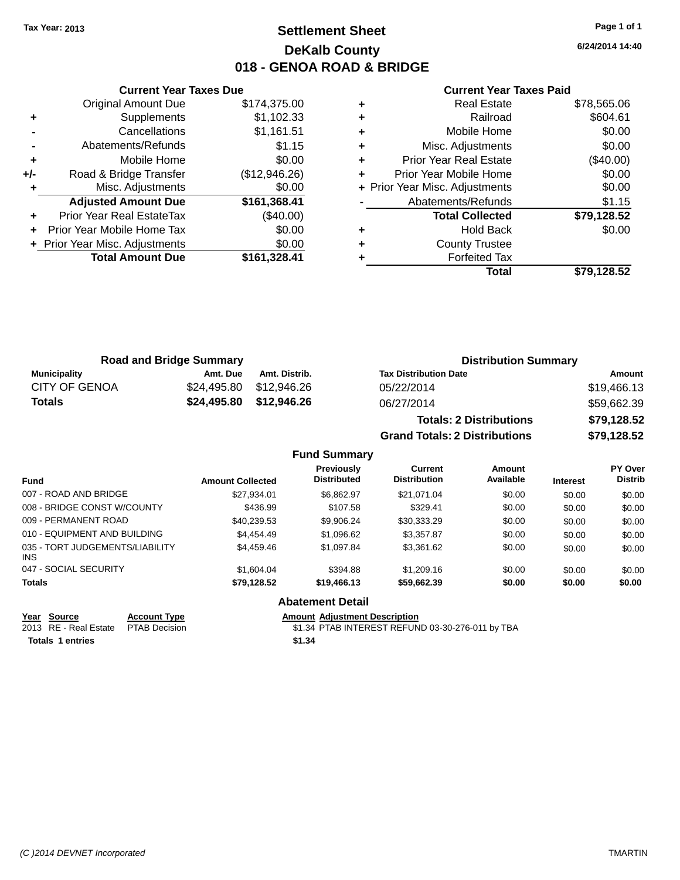### **Settlement Sheet Tax Year: 2013 Page 1 of 1 DeKalb County 018 - GENOA ROAD & BRIDGE**

**6/24/2014 14:40**

#### **Current Year Taxes Paid**

|     | <b>Current Year Taxes Due</b>  |               |  |  |  |  |
|-----|--------------------------------|---------------|--|--|--|--|
|     | <b>Original Amount Due</b>     | \$174,375.00  |  |  |  |  |
| ٠   | Supplements                    | \$1,102.33    |  |  |  |  |
|     | Cancellations                  | \$1,161.51    |  |  |  |  |
|     | Abatements/Refunds             | \$1.15        |  |  |  |  |
| ÷   | Mobile Home                    | \$0.00        |  |  |  |  |
| +/- | Road & Bridge Transfer         | (\$12,946.26) |  |  |  |  |
| ٠   | Misc. Adjustments              | \$0.00        |  |  |  |  |
|     | <b>Adjusted Amount Due</b>     | \$161,368.41  |  |  |  |  |
| ÷   | Prior Year Real EstateTax      | $(\$40.00)$   |  |  |  |  |
|     | Prior Year Mobile Home Tax     | \$0.00        |  |  |  |  |
|     | + Prior Year Misc. Adjustments | \$0.00        |  |  |  |  |
|     | <b>Total Amount Due</b>        | \$161,328.41  |  |  |  |  |
|     |                                |               |  |  |  |  |

| ٠ | <b>Real Estate</b>             | \$78,565.06 |
|---|--------------------------------|-------------|
| ٠ | Railroad                       | \$604.61    |
| ٠ | Mobile Home                    | \$0.00      |
| ٠ | Misc. Adjustments              | \$0.00      |
| ٠ | <b>Prior Year Real Estate</b>  | $(\$40.00)$ |
| ٠ | Prior Year Mobile Home         | \$0.00      |
|   | + Prior Year Misc. Adjustments | \$0.00      |
|   | Abatements/Refunds             | \$1.15      |
|   | <b>Total Collected</b>         | \$79,128.52 |
| ٠ | Hold Back                      | \$0.00      |
| ٠ | <b>County Trustee</b>          |             |
| ٠ | <b>Forfeited Tax</b>           |             |
|   | Total                          | \$79,128.52 |
|   |                                |             |

| <b>Road and Bridge Summary</b> |          | <b>Distribution Summary</b> |                                |             |
|--------------------------------|----------|-----------------------------|--------------------------------|-------------|
| <b>Municipality</b>            | Amt. Due | Amt. Distrib.               | <b>Tax Distribution Date</b>   | Amount      |
| CITY OF GENOA                  |          | \$24,495.80 \$12,946.26     | 05/22/2014                     | \$19,466.13 |
| Totals                         |          | \$24,495.80 \$12,946.26     | 06/27/2014                     | \$59,662.39 |
|                                |          |                             | <b>Totals: 2 Distributions</b> | \$79,128.52 |

**Grand Totals: 2 Distributions \$79,128.52**

| ıls: 2 Distributions |  |
|----------------------|--|
|                      |  |

**Fund Summary**

| <b>Fund</b>                                   | <b>Amount Collected</b> | Previously<br><b>Distributed</b> | Current<br><b>Distribution</b> | Amount<br>Available | <b>Interest</b> | PY Over<br><b>Distrib</b> |
|-----------------------------------------------|-------------------------|----------------------------------|--------------------------------|---------------------|-----------------|---------------------------|
| 007 - ROAD AND BRIDGE                         | \$27,934.01             | \$6.862.97                       | \$21,071.04                    | \$0.00              | \$0.00          | \$0.00                    |
| 008 - BRIDGE CONST W/COUNTY                   | \$436.99                | \$107.58                         | \$329.41                       | \$0.00              | \$0.00          | \$0.00                    |
| 009 - PERMANENT ROAD                          | \$40.239.53             | \$9.906.24                       | \$30,333.29                    | \$0.00              | \$0.00          | \$0.00                    |
| 010 - EQUIPMENT AND BUILDING                  | \$4,454.49              | \$1,096.62                       | \$3,357.87                     | \$0.00              | \$0.00          | \$0.00                    |
| 035 - TORT JUDGEMENTS/LIABILITY<br><b>INS</b> | \$4,459.46              | \$1,097.84                       | \$3,361.62                     | \$0.00              | \$0.00          | \$0.00                    |
| 047 - SOCIAL SECURITY                         | \$1,604.04              | \$394.88                         | \$1,209.16                     | \$0.00              | \$0.00          | \$0.00                    |
| <b>Totals</b>                                 | \$79,128.52             | \$19,466.13                      | \$59,662.39                    | \$0.00              | \$0.00          | \$0.00                    |
|                                               |                         | AL - 4 - -- - -- 4 B - 4 - 51    |                                |                     |                 |                           |

### **Abatement Detail**

**Totals 1 entries \$1.34**

**Year Source Account Type Anneurs Amount Adjustment Description**<br>2013 RE - Real Estate PTAB Decision **Amount Adjustment Description** \$1.34 PTAB INTEREST REFUND 03-30-276-011 by TBA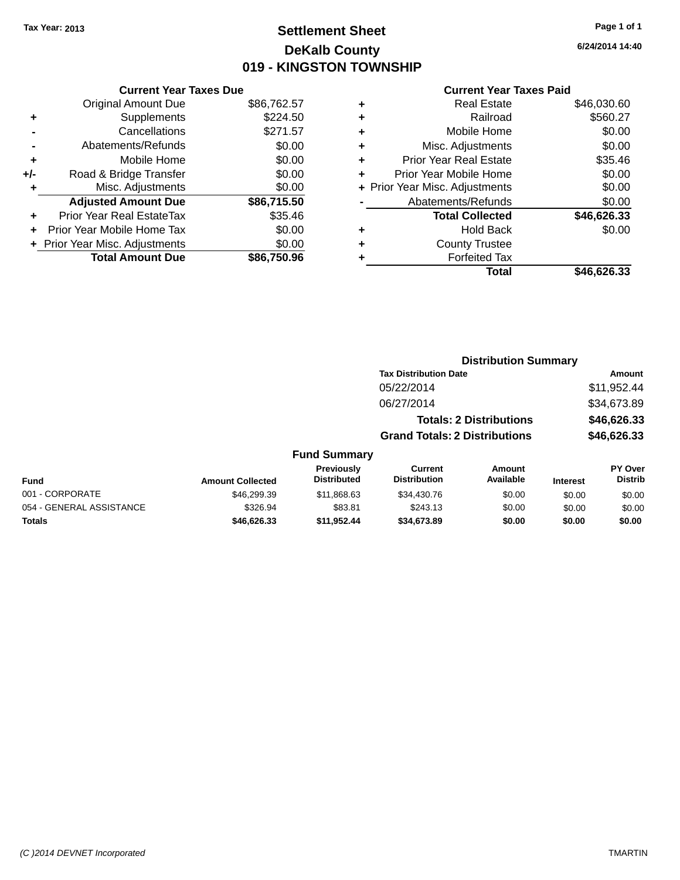## **Settlement Sheet Tax Year: 2013 Page 1 of 1 DeKalb County 019 - KINGSTON TOWNSHIP**

**6/24/2014 14:40**

|     | <b>Current Year Taxes Due</b>  |             |
|-----|--------------------------------|-------------|
|     | <b>Original Amount Due</b>     | \$86,762.57 |
| ÷   | Supplements                    | \$224.50    |
|     | Cancellations                  | \$271.57    |
|     | Abatements/Refunds             | \$0.00      |
| ٠   | Mobile Home                    | \$0.00      |
| +/- | Road & Bridge Transfer         | \$0.00      |
| ٠   | Misc. Adjustments              | \$0.00      |
|     | <b>Adjusted Amount Due</b>     | \$86,715.50 |
| ÷   | Prior Year Real EstateTax      | \$35.46     |
| ÷   | Prior Year Mobile Home Tax     | \$0.00      |
|     | + Prior Year Misc. Adjustments | \$0.00      |
|     | <b>Total Amount Due</b>        | \$86.750.96 |

| ٠ | <b>Real Estate</b>             | \$46,030.60 |
|---|--------------------------------|-------------|
| ٠ | Railroad                       | \$560.27    |
| ٠ | Mobile Home                    | \$0.00      |
| ٠ | Misc. Adjustments              | \$0.00      |
| ٠ | <b>Prior Year Real Estate</b>  | \$35.46     |
| ٠ | Prior Year Mobile Home         | \$0.00      |
|   | + Prior Year Misc. Adjustments | \$0.00      |
|   | Abatements/Refunds             | \$0.00      |
|   | <b>Total Collected</b>         | \$46,626.33 |
| ٠ | <b>Hold Back</b>               | \$0.00      |
| ٠ | <b>County Trustee</b>          |             |
| ٠ | <b>Forfeited Tax</b>           |             |
|   | Total                          | \$46,626.33 |
|   |                                |             |

| <b>Distribution Summary</b> |                                                 |                                                                                                        |                           |
|-----------------------------|-------------------------------------------------|--------------------------------------------------------------------------------------------------------|---------------------------|
|                             |                                                 |                                                                                                        | <b>Amount</b>             |
|                             |                                                 |                                                                                                        | \$11,952.44               |
|                             |                                                 |                                                                                                        | \$34,673.89               |
|                             |                                                 |                                                                                                        | \$46,626.33               |
|                             |                                                 |                                                                                                        | \$46,626.33               |
|                             |                                                 |                                                                                                        |                           |
| <b>Current</b>              | <b>Amount</b><br>Available                      | <b>Interest</b>                                                                                        | PY Over<br><b>Distrib</b> |
| \$34,430.76                 | \$0.00                                          | \$0.00                                                                                                 | \$0.00                    |
| \$243.13                    | \$0.00                                          | \$0.00                                                                                                 | \$0.00                    |
| \$34,673.89                 | \$0.00                                          | \$0.00                                                                                                 | \$0.00                    |
|                             | 05/22/2014<br>06/27/2014<br><b>Distribution</b> | <b>Tax Distribution Date</b><br><b>Totals: 2 Distributions</b><br><b>Grand Totals: 2 Distributions</b> |                           |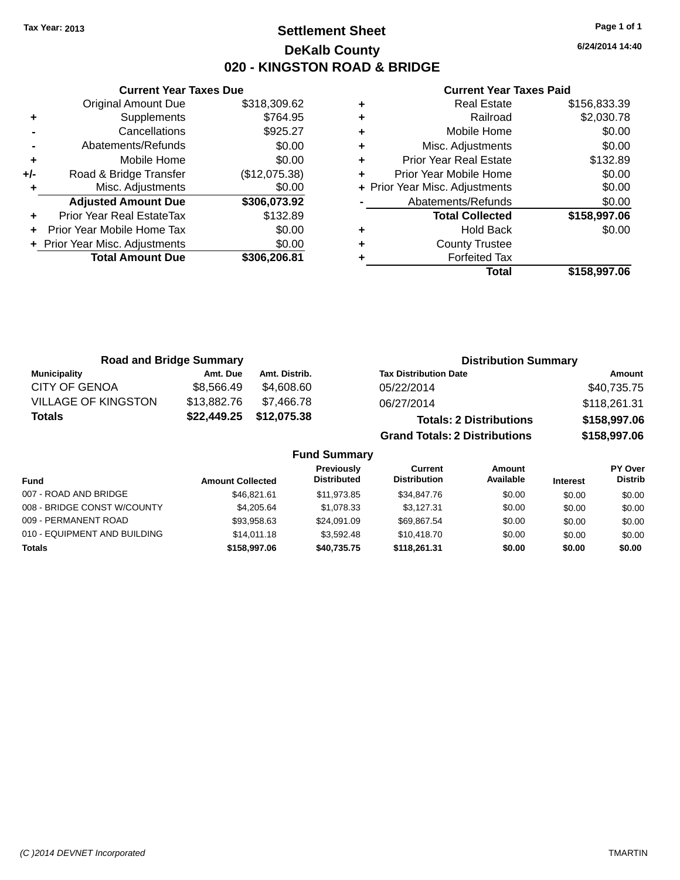### **Settlement Sheet Tax Year: 2013 Page 1 of 1 DeKalb County 020 - KINGSTON ROAD & BRIDGE**

**6/24/2014 14:40**

#### **Current Year Taxes Paid**

|     | <b>Current Year Taxes Due</b>  |               |  |  |  |  |
|-----|--------------------------------|---------------|--|--|--|--|
|     | <b>Original Amount Due</b>     | \$318,309.62  |  |  |  |  |
| ٠   | Supplements                    | \$764.95      |  |  |  |  |
|     | Cancellations                  | \$925.27      |  |  |  |  |
|     | Abatements/Refunds             | \$0.00        |  |  |  |  |
| ٠   | Mobile Home                    | \$0.00        |  |  |  |  |
| +/- | Road & Bridge Transfer         | (\$12,075.38) |  |  |  |  |
|     | Misc. Adjustments              | \$0.00        |  |  |  |  |
|     | <b>Adjusted Amount Due</b>     | \$306,073.92  |  |  |  |  |
| ٠   | Prior Year Real EstateTax      | \$132.89      |  |  |  |  |
|     | Prior Year Mobile Home Tax     | \$0.00        |  |  |  |  |
|     | + Prior Year Misc. Adjustments | \$0.00        |  |  |  |  |
|     | <b>Total Amount Due</b>        | \$306,206.81  |  |  |  |  |
|     |                                |               |  |  |  |  |

| <b>Real Estate</b>             | \$156,833.39 |
|--------------------------------|--------------|
| Railroad                       | \$2,030.78   |
| Mobile Home                    | \$0.00       |
| Misc. Adjustments              | \$0.00       |
| <b>Prior Year Real Estate</b>  | \$132.89     |
| Prior Year Mobile Home         | \$0.00       |
| + Prior Year Misc. Adjustments | \$0.00       |
| Abatements/Refunds             | \$0.00       |
| <b>Total Collected</b>         | \$158,997.06 |
| <b>Hold Back</b>               | \$0.00       |
| <b>County Trustee</b>          |              |
| <b>Forfeited Tax</b>           |              |
| Total                          | \$158,997.06 |
|                                |              |

| <b>Road and Bridge Summary</b> |             |               | <b>Distribution Summary</b>          |              |  |
|--------------------------------|-------------|---------------|--------------------------------------|--------------|--|
| <b>Municipality</b>            | Amt. Due    | Amt. Distrib. | <b>Tax Distribution Date</b>         | Amount       |  |
| <b>CITY OF GENOA</b>           | \$8,566.49  | \$4,608.60    | 05/22/2014                           | \$40,735.75  |  |
| <b>VILLAGE OF KINGSTON</b>     | \$13,882.76 | \$7.466.78    | 06/27/2014                           | \$118,261.31 |  |
| <b>Totals</b>                  | \$22,449.25 | \$12,075.38   | <b>Totals: 2 Distributions</b>       | \$158,997.06 |  |
|                                |             |               | <b>Grand Totals: 2 Distributions</b> | \$158,997.06 |  |

| <b>Fund</b>                  | <b>Amount Collected</b> | Previously<br><b>Distributed</b> | Current<br><b>Distribution</b> | Amount<br>Available | <b>Interest</b> | <b>PY Over</b><br><b>Distrib</b> |
|------------------------------|-------------------------|----------------------------------|--------------------------------|---------------------|-----------------|----------------------------------|
| 007 - ROAD AND BRIDGE        | \$46,821.61             | \$11,973.85                      | \$34,847.76                    | \$0.00              | \$0.00          | \$0.00                           |
| 008 - BRIDGE CONST W/COUNTY  | \$4,205.64              | \$1.078.33                       | \$3.127.31                     | \$0.00              | \$0.00          | \$0.00                           |
| 009 - PERMANENT ROAD         | \$93.958.63             | \$24.091.09                      | \$69.867.54                    | \$0.00              | \$0.00          | \$0.00                           |
| 010 - EQUIPMENT AND BUILDING | \$14,011.18             | \$3,592.48                       | \$10,418.70                    | \$0.00              | \$0.00          | \$0.00                           |
| Totals                       | \$158,997.06            | \$40,735.75                      | \$118,261,31                   | \$0.00              | \$0.00          | \$0.00                           |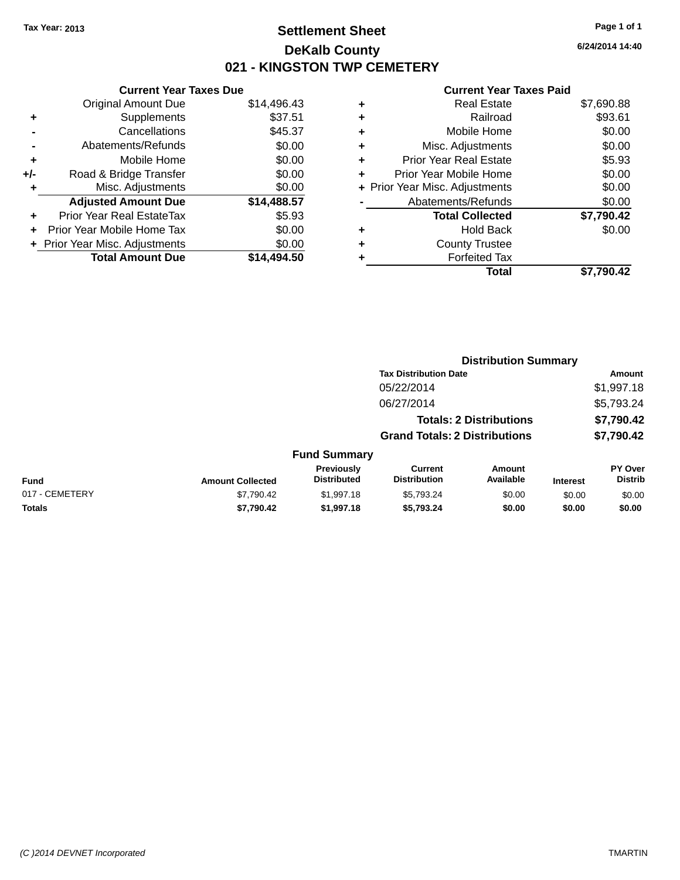### **Settlement Sheet Tax Year: 2013 Page 1 of 1 DeKalb County 021 - KINGSTON TWP CEMETERY**

**6/24/2014 14:40**

|     | <b>Current Year Taxes Due</b>  |             |
|-----|--------------------------------|-------------|
|     | <b>Original Amount Due</b>     | \$14,496.43 |
| ٠   | Supplements                    | \$37.51     |
|     | Cancellations                  | \$45.37     |
|     | Abatements/Refunds             | \$0.00      |
| ÷   | Mobile Home                    | \$0.00      |
| +/- | Road & Bridge Transfer         | \$0.00      |
| ٠   | Misc. Adjustments              | \$0.00      |
|     | <b>Adjusted Amount Due</b>     | \$14,488.57 |
| ÷   | Prior Year Real EstateTax      | \$5.93      |
| ٠   | Prior Year Mobile Home Tax     | \$0.00      |
|     | + Prior Year Misc. Adjustments | \$0.00      |
|     | <b>Total Amount Due</b>        | \$14,494.50 |
|     |                                |             |

|   | <b>Real Estate</b>             | \$7,690.88 |
|---|--------------------------------|------------|
| ٠ | Railroad                       | \$93.61    |
| ٠ | Mobile Home                    | \$0.00     |
| ٠ | Misc. Adjustments              | \$0.00     |
| ٠ | <b>Prior Year Real Estate</b>  | \$5.93     |
| ٠ | Prior Year Mobile Home         | \$0.00     |
|   | + Prior Year Misc. Adjustments | \$0.00     |
|   | Abatements/Refunds             | \$0.00     |
|   | <b>Total Collected</b>         | \$7,790.42 |
| ٠ | Hold Back                      | \$0.00     |
| ٠ | <b>County Trustee</b>          |            |
|   | <b>Forfeited Tax</b>           |            |
|   | Total                          | \$7,790.42 |
|   |                                |            |

|                |                         |                                         |                                       | <b>Distribution Summary</b>    |                 |                           |
|----------------|-------------------------|-----------------------------------------|---------------------------------------|--------------------------------|-----------------|---------------------------|
|                |                         |                                         | <b>Tax Distribution Date</b>          |                                |                 | Amount                    |
|                |                         |                                         | 05/22/2014                            |                                |                 | \$1,997.18                |
|                |                         |                                         | 06/27/2014                            |                                |                 | \$5,793.24                |
|                |                         |                                         |                                       | <b>Totals: 2 Distributions</b> |                 | \$7,790.42                |
|                |                         |                                         | <b>Grand Totals: 2 Distributions</b>  |                                |                 | \$7,790.42                |
|                |                         | <b>Fund Summary</b>                     |                                       |                                |                 |                           |
| <b>Fund</b>    | <b>Amount Collected</b> | <b>Previously</b><br><b>Distributed</b> | <b>Current</b><br><b>Distribution</b> | Amount<br>Available            | <b>Interest</b> | PY Over<br><b>Distrib</b> |
| 017 - CEMETERY | \$7.790.42              | \$1,997.18                              | \$5.793.24                            | \$0.00                         | \$0.00          | \$0.00                    |
| <b>Totals</b>  | \$7,790.42              | \$1,997.18                              | \$5,793.24                            | \$0.00                         | \$0.00          | \$0.00                    |
|                |                         |                                         |                                       |                                |                 |                           |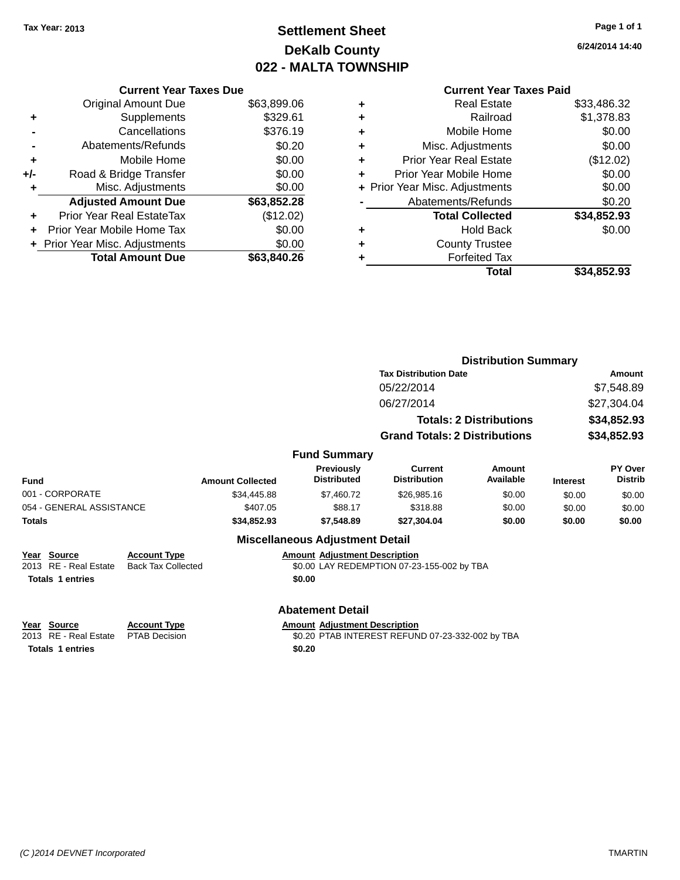## **Settlement Sheet Tax Year: 2013 Page 1 of 1 DeKalb County 022 - MALTA TOWNSHIP**

**6/24/2014 14:40**

|     | <b>Current Year Taxes Due</b>  |             |
|-----|--------------------------------|-------------|
|     | <b>Original Amount Due</b>     | \$63,899.06 |
| ٠   | Supplements                    | \$329.61    |
|     | Cancellations                  | \$376.19    |
|     | Abatements/Refunds             | \$0.20      |
| ٠   | Mobile Home                    | \$0.00      |
| +/- | Road & Bridge Transfer         | \$0.00      |
| ٠   | Misc. Adjustments              | \$0.00      |
|     | <b>Adjusted Amount Due</b>     | \$63,852.28 |
| ٠   | Prior Year Real EstateTax      | (\$12.02)   |
|     | Prior Year Mobile Home Tax     | \$0.00      |
|     | + Prior Year Misc. Adjustments | \$0.00      |
|     | <b>Total Amount Due</b>        | \$63,840.26 |
|     |                                |             |

### **Current Year Taxes Paid**

|   | <b>Real Estate</b>             | \$33,486.32 |
|---|--------------------------------|-------------|
| ٠ | Railroad                       | \$1,378.83  |
| ٠ | Mobile Home                    | \$0.00      |
| ٠ | Misc. Adjustments              | \$0.00      |
| ٠ | <b>Prior Year Real Estate</b>  | (\$12.02)   |
| ÷ | Prior Year Mobile Home         | \$0.00      |
|   | + Prior Year Misc. Adjustments | \$0.00      |
|   | Abatements/Refunds             | \$0.20      |
|   | <b>Total Collected</b>         | \$34,852.93 |
| ٠ | <b>Hold Back</b>               | \$0.00      |
| ٠ | <b>County Trustee</b>          |             |
|   | <b>Forfeited Tax</b>           |             |
|   | Total                          | \$34,852.93 |
|   |                                |             |

|                                      |                                                  |                         |                                         |                                            | <b>Distribution Summary</b>    |                 |                           |
|--------------------------------------|--------------------------------------------------|-------------------------|-----------------------------------------|--------------------------------------------|--------------------------------|-----------------|---------------------------|
|                                      |                                                  |                         |                                         | <b>Tax Distribution Date</b>               |                                |                 | Amount                    |
|                                      |                                                  |                         |                                         | 05/22/2014                                 |                                |                 | \$7,548.89                |
|                                      |                                                  |                         |                                         | 06/27/2014                                 |                                |                 | \$27,304.04               |
|                                      |                                                  |                         |                                         |                                            | <b>Totals: 2 Distributions</b> |                 | \$34,852.93               |
|                                      |                                                  |                         |                                         | <b>Grand Totals: 2 Distributions</b>       |                                |                 | \$34,852.93               |
|                                      |                                                  |                         | <b>Fund Summary</b>                     |                                            |                                |                 |                           |
| Fund                                 |                                                  | <b>Amount Collected</b> | <b>Previously</b><br><b>Distributed</b> | Current<br><b>Distribution</b>             | Amount<br>Available            | <b>Interest</b> | PY Over<br><b>Distrib</b> |
| 001 - CORPORATE                      |                                                  | \$34,445.88             | \$7,460.72                              | \$26,985.16                                | \$0.00                         | \$0.00          | \$0.00                    |
| 054 - GENERAL ASSISTANCE             |                                                  | \$407.05                | \$88.17                                 | \$318.88                                   | \$0.00                         | \$0.00          | \$0.00                    |
| <b>Totals</b>                        |                                                  | \$34,852.93             | \$7,548.89                              | \$27,304.04                                | \$0.00                         | \$0.00          | \$0.00                    |
|                                      |                                                  |                         | <b>Miscellaneous Adjustment Detail</b>  |                                            |                                |                 |                           |
| Year Source<br>2013 RE - Real Estate | <b>Account Type</b><br><b>Back Tax Collected</b> |                         | <b>Amount Adjustment Description</b>    | \$0.00 LAY REDEMPTION 07-23-155-002 by TBA |                                |                 |                           |
| <b>Totals 1 entries</b>              |                                                  |                         | \$0.00                                  |                                            |                                |                 |                           |
|                                      |                                                  |                         | <b>Abatement Detail</b>                 |                                            |                                |                 |                           |
| Year Source                          | <b>Account Type</b>                              |                         | <b>Amount Adjustment Description</b>    |                                            |                                |                 |                           |

### **<u>Year Source</u> <b>Account Type**<br> **Account Type ADJUST**<br> **ACCOUNT ADDED**<br> **ACCOUNT ADDED**<br> **ACCOUNT Totals 1 entries \$0.20**

<u>2006 Realistment Description</u><br>2013 PTAB INTEREST REFUND 07-23-332-002 by TBA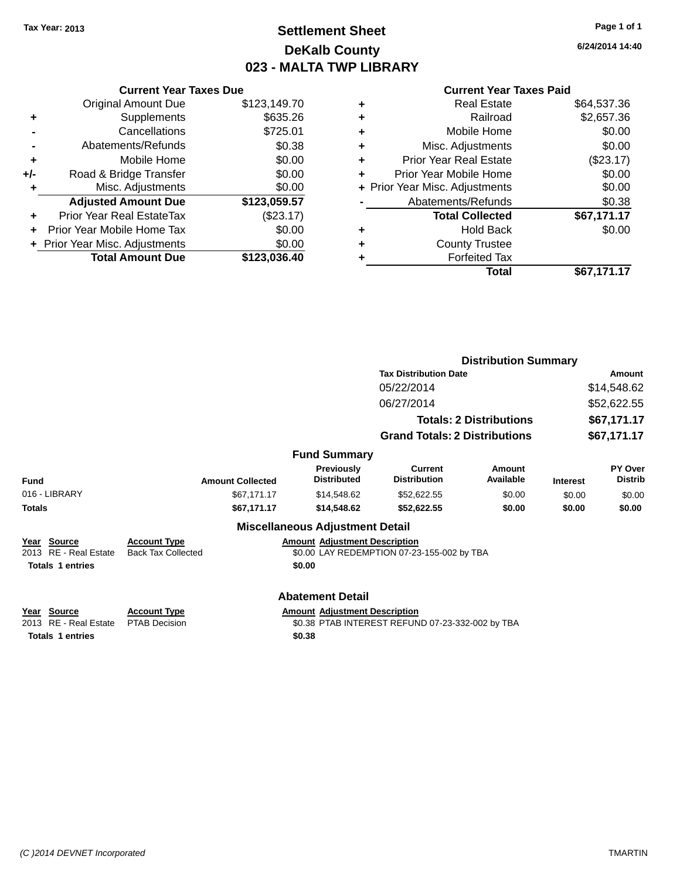## **Settlement Sheet Tax Year: 2013 Page 1 of 1 DeKalb County 023 - MALTA TWP LIBRARY**

**6/24/2014 14:40**

| <b>Original Amount Due</b> | \$123,149.70                                                    |
|----------------------------|-----------------------------------------------------------------|
| Supplements                | \$635.26                                                        |
| Cancellations              | \$725.01                                                        |
| Abatements/Refunds         | \$0.38                                                          |
| Mobile Home                | \$0.00                                                          |
| Road & Bridge Transfer     | \$0.00                                                          |
| Misc. Adjustments          | \$0.00                                                          |
| <b>Adjusted Amount Due</b> | \$123,059.57                                                    |
| Prior Year Real EstateTax  | (\$23.17)                                                       |
| Prior Year Mobile Home Tax | \$0.00                                                          |
|                            | \$0.00                                                          |
| <b>Total Amount Due</b>    | \$123,036.40                                                    |
|                            | <b>Current Year Taxes Due</b><br>+ Prior Year Misc. Adjustments |

|   | <b>Real Estate</b>             | \$64,537.36 |
|---|--------------------------------|-------------|
| ٠ | Railroad                       | \$2,657.36  |
| ٠ | Mobile Home                    | \$0.00      |
| ٠ | Misc. Adjustments              | \$0.00      |
| ٠ | <b>Prior Year Real Estate</b>  | (\$23.17)   |
| ÷ | Prior Year Mobile Home         | \$0.00      |
|   | + Prior Year Misc. Adjustments | \$0.00      |
|   | Abatements/Refunds             | \$0.38      |
|   | <b>Total Collected</b>         | \$67,171.17 |
| ٠ | <b>Hold Back</b>               | \$0.00      |
| ٠ | <b>County Trustee</b>          |             |
|   | <b>Forfeited Tax</b>           |             |
|   | Total                          | \$67,171.17 |
|   |                                |             |

|                         |                                                                          |                                         | <b>Distribution Summary</b>                |                                |                 |                           |
|-------------------------|--------------------------------------------------------------------------|-----------------------------------------|--------------------------------------------|--------------------------------|-----------------|---------------------------|
|                         |                                                                          |                                         | <b>Tax Distribution Date</b>               |                                | <b>Amount</b>   |                           |
|                         |                                                                          |                                         | 05/22/2014                                 |                                |                 | \$14,548.62               |
|                         |                                                                          |                                         | 06/27/2014                                 |                                |                 | \$52,622.55               |
|                         |                                                                          |                                         |                                            |                                |                 |                           |
|                         |                                                                          |                                         |                                            | <b>Totals: 2 Distributions</b> |                 | \$67,171.17               |
|                         |                                                                          |                                         | <b>Grand Totals: 2 Distributions</b>       |                                |                 | \$67,171.17               |
|                         |                                                                          | <b>Fund Summary</b>                     |                                            |                                |                 |                           |
| <b>Fund</b>             | <b>Amount Collected</b>                                                  | <b>Previously</b><br><b>Distributed</b> | Current<br><b>Distribution</b>             | Amount<br>Available            | <b>Interest</b> | PY Over<br><b>Distrib</b> |
| 016 - LIBRARY           | \$67,171.17                                                              | \$14,548.62                             | \$52,622.55                                | \$0.00                         | \$0.00          | \$0.00                    |
| <b>Totals</b>           | \$67,171.17                                                              | \$14,548.62                             | \$52,622.55                                | \$0.00                         | \$0.00          | \$0.00                    |
|                         |                                                                          | <b>Miscellaneous Adjustment Detail</b>  |                                            |                                |                 |                           |
| Year Source             | <b>Account Type</b>                                                      | <b>Amount Adjustment Description</b>    |                                            |                                |                 |                           |
| 2013 RE - Real Estate   | <b>Back Tax Collected</b>                                                |                                         | \$0.00 LAY REDEMPTION 07-23-155-002 by TBA |                                |                 |                           |
| <b>Totals 1 entries</b> |                                                                          | \$0.00                                  |                                            |                                |                 |                           |
|                         |                                                                          | <b>Abatement Detail</b>                 |                                            |                                |                 |                           |
| Year Source             | <b>Account Type</b>                                                      | <b>Amount Adjustment Description</b>    |                                            |                                |                 |                           |
| 2013 RE - Real Estate   | <b>PTAB Decision</b><br>\$0.38 PTAB INTEREST REFUND 07-23-332-002 by TBA |                                         |                                            |                                |                 |                           |
| <b>Totals 1 entries</b> |                                                                          | \$0.38                                  |                                            |                                |                 |                           |
|                         |                                                                          |                                         |                                            |                                |                 |                           |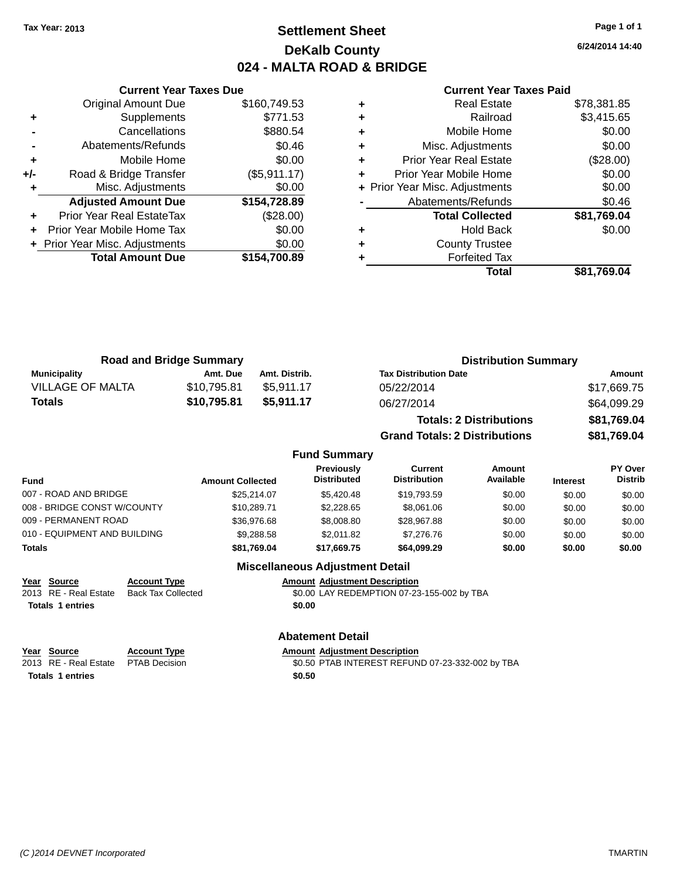### **Settlement Sheet Tax Year: 2013 Page 1 of 1 DeKalb County 024 - MALTA ROAD & BRIDGE**

**6/24/2014 14:40**

#### **Current Year Taxes Paid**

|     | <b>Current Year Taxes Due</b>    |              |
|-----|----------------------------------|--------------|
|     | <b>Original Amount Due</b>       | \$160,749.53 |
| ٠   | Supplements                      | \$771.53     |
|     | Cancellations                    | \$880.54     |
|     | Abatements/Refunds               | \$0.46       |
| ٠   | Mobile Home                      | \$0.00       |
| +/- | Road & Bridge Transfer           | (\$5,911.17) |
|     | Misc. Adjustments                | \$0.00       |
|     | <b>Adjusted Amount Due</b>       | \$154,728.89 |
| ٠   | <b>Prior Year Real EstateTax</b> | (\$28.00)    |
|     | Prior Year Mobile Home Tax       | \$0.00       |
|     | + Prior Year Misc. Adjustments   | \$0.00       |
|     | <b>Total Amount Due</b>          | \$154,700.89 |
|     |                                  |              |

| ٠ | <b>Real Estate</b>             | \$78,381.85 |
|---|--------------------------------|-------------|
| ٠ | Railroad                       | \$3,415.65  |
| ٠ | Mobile Home                    | \$0.00      |
| ٠ | Misc. Adjustments              | \$0.00      |
| ٠ | <b>Prior Year Real Estate</b>  | (\$28.00)   |
| ٠ | Prior Year Mobile Home         | \$0.00      |
|   | + Prior Year Misc. Adjustments | \$0.00      |
|   | Abatements/Refunds             | \$0.46      |
|   | <b>Total Collected</b>         | \$81,769.04 |
| ٠ | <b>Hold Back</b>               | \$0.00      |
| ٠ | <b>County Trustee</b>          |             |
| ٠ | <b>Forfeited Tax</b>           |             |
|   | Total                          | \$81,769.04 |
|   |                                |             |

| <b>Road and Bridge Summary</b> |             |               | <b>Distribution Summary</b>  |             |
|--------------------------------|-------------|---------------|------------------------------|-------------|
| Municipality                   | Amt. Due    | Amt. Distrib. | <b>Tax Distribution Date</b> | Amount      |
| <b>VILLAGE OF MALTA</b>        | \$10.795.81 | \$5.911.17    | 05/22/2014                   | \$17,669.75 |
| Totals                         | \$10,795.81 | \$5.911.17    | 06/27/2014                   | \$64,099.29 |

| <b>Totals: 2 Distributions</b> | \$81,769.04 |
|--------------------------------|-------------|
| Grand Totals: 2 Distributions  | \$81,769.04 |

### **Fund Summary**

| Fund                         | <b>Amount Collected</b> | Previously<br><b>Distributed</b> | Current<br><b>Distribution</b> | Amount<br>Available | <b>Interest</b> | <b>PY Over</b><br><b>Distrib</b> |
|------------------------------|-------------------------|----------------------------------|--------------------------------|---------------------|-----------------|----------------------------------|
| 007 - ROAD AND BRIDGE        | \$25.214.07             | \$5,420.48                       | \$19,793.59                    | \$0.00              | \$0.00          | \$0.00                           |
| 008 - BRIDGE CONST W/COUNTY  | \$10.289.71             | \$2,228.65                       | \$8,061.06                     | \$0.00              | \$0.00          | \$0.00                           |
| 009 - PERMANENT ROAD         | \$36,976.68             | \$8,008.80                       | \$28,967.88                    | \$0.00              | \$0.00          | \$0.00                           |
| 010 - EQUIPMENT AND BUILDING | \$9,288.58              | \$2.011.82                       | \$7.276.76                     | \$0.00              | \$0.00          | \$0.00                           |
| Totals                       | \$81,769.04             | \$17,669.75                      | \$64,099.29                    | \$0.00              | \$0.00          | \$0.00                           |

### **Miscellaneous Adjustment Detail**

**Year Source Account Type**<br>
2013 RE - Real Estate Back Tax Collected **Amount Adjustment Description**<br>
\$0.00 LAY REDEMPTION 07-23 **Totals 1 entries \$0.00**

\$0.00 LAY REDEMPTION 07-23-155-002 by TBA

### **Abatement Detail**

**Year Source Account Type Anneurs Amount Adjustment Description**<br>
2013 RE - Real Estate PTAB Decision **Amount Adjustment Description Totals 1 entries \$0.50**

\$0.50 PTAB INTEREST REFUND 07-23-332-002 by TBA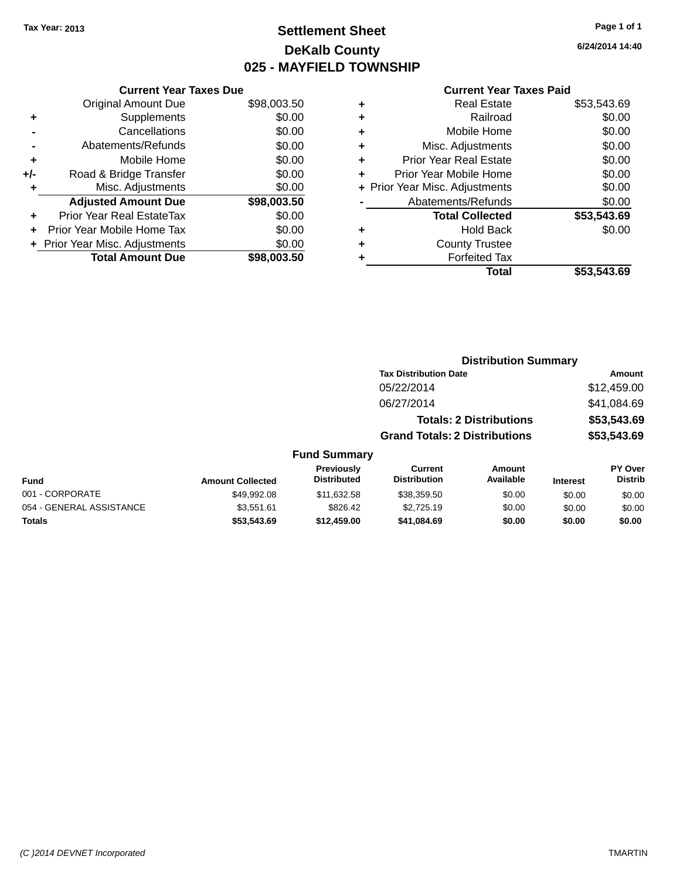## **Settlement Sheet Tax Year: 2013 Page 1 of 1 DeKalb County 025 - MAYFIELD TOWNSHIP**

**6/24/2014 14:40**

|     | <b>Current Year Taxes Due</b>  |             |
|-----|--------------------------------|-------------|
|     | <b>Original Amount Due</b>     | \$98,003.50 |
| ٠   | Supplements                    | \$0.00      |
|     | Cancellations                  | \$0.00      |
|     | Abatements/Refunds             | \$0.00      |
| ٠   | Mobile Home                    | \$0.00      |
| +/- | Road & Bridge Transfer         | \$0.00      |
| ٠   | Misc. Adjustments              | \$0.00      |
|     | <b>Adjusted Amount Due</b>     | \$98,003.50 |
| ٠   | Prior Year Real EstateTax      | \$0.00      |
|     | Prior Year Mobile Home Tax     | \$0.00      |
|     | + Prior Year Misc. Adjustments | \$0.00      |
|     | <b>Total Amount Due</b>        | \$98,003.50 |

### **Current Year Taxes Paid**

|   | Total                          | \$53,543.69 |
|---|--------------------------------|-------------|
| ٠ | <b>Forfeited Tax</b>           |             |
| ٠ | <b>County Trustee</b>          |             |
| ٠ | <b>Hold Back</b>               | \$0.00      |
|   | <b>Total Collected</b>         | \$53,543.69 |
|   | Abatements/Refunds             | \$0.00      |
|   | + Prior Year Misc. Adjustments | \$0.00      |
| ٠ | Prior Year Mobile Home         | \$0.00      |
| ٠ | <b>Prior Year Real Estate</b>  | \$0.00      |
| ٠ | Misc. Adjustments              | \$0.00      |
| ٠ | Mobile Home                    | \$0.00      |
| ٠ | Railroad                       | \$0.00      |
|   | <b>Real Estate</b>             | \$53,543.69 |

|                          |                         |                                  | <b>Distribution Summary</b>          |                                |                 |                                  |
|--------------------------|-------------------------|----------------------------------|--------------------------------------|--------------------------------|-----------------|----------------------------------|
|                          |                         |                                  | <b>Tax Distribution Date</b>         |                                |                 | Amount                           |
|                          |                         |                                  | 05/22/2014                           |                                |                 | \$12,459.00                      |
|                          |                         |                                  | 06/27/2014                           |                                |                 | \$41,084.69                      |
|                          |                         |                                  |                                      | <b>Totals: 2 Distributions</b> |                 | \$53,543.69                      |
|                          |                         |                                  | <b>Grand Totals: 2 Distributions</b> |                                |                 | \$53,543.69                      |
|                          |                         | <b>Fund Summary</b>              |                                      |                                |                 |                                  |
| <b>Fund</b>              | <b>Amount Collected</b> | Previously<br><b>Distributed</b> | Current<br><b>Distribution</b>       | Amount<br>Available            | <b>Interest</b> | <b>PY Over</b><br><b>Distrib</b> |
| 001 - CORPORATE          | \$49,992.08             | \$11,632.58                      | \$38,359.50                          | \$0.00                         | \$0.00          | \$0.00                           |
| 054 - GENERAL ASSISTANCE | \$3.551.61              | \$826.42                         | \$2.725.19                           | \$0.00                         | \$0.00          | \$0.00                           |

**Totals \$53,543.69 \$12,459.00 \$41,084.69 \$0.00 \$0.00 \$0.00**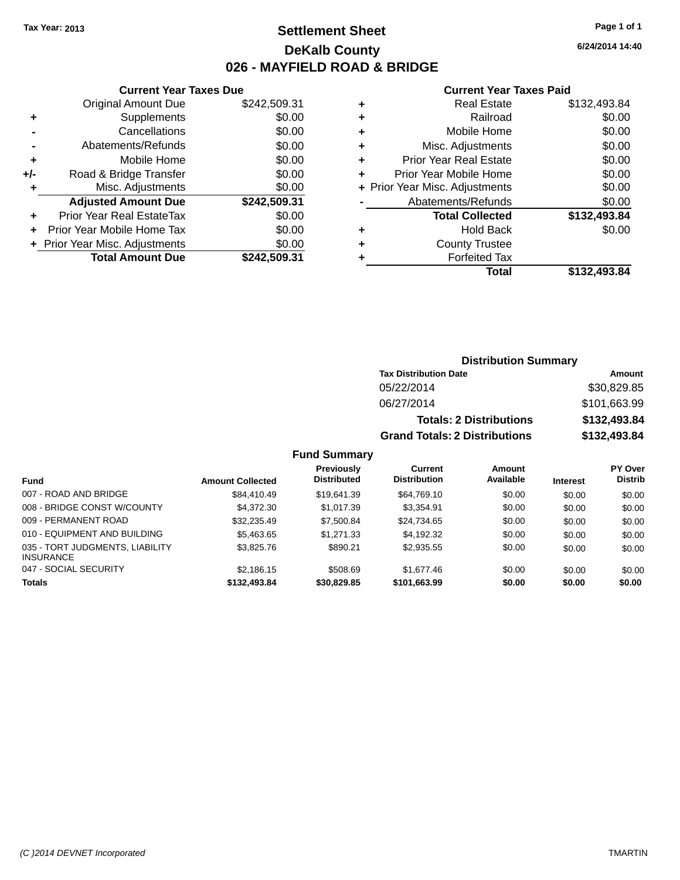### **Settlement Sheet Tax Year: 2013 Page 1 of 1 DeKalb County 026 - MAYFIELD ROAD & BRIDGE**

**6/24/2014 14:40**

### **Current Year Taxes Paid**

| \$0.00<br>\$0.00<br>\$0.00<br>\$0.00<br>\$0.00<br>\$242,509.31<br>\$0.00<br>\$0.00<br>\$0.00 |
|----------------------------------------------------------------------------------------------|

| ٠ | <b>Real Estate</b>             | \$132,493.84 |
|---|--------------------------------|--------------|
| ٠ | Railroad                       | \$0.00       |
| ٠ | Mobile Home                    | \$0.00       |
| ٠ | Misc. Adjustments              | \$0.00       |
| ٠ | <b>Prior Year Real Estate</b>  | \$0.00       |
| ٠ | Prior Year Mobile Home         | \$0.00       |
|   | + Prior Year Misc. Adjustments | \$0.00       |
|   | Abatements/Refunds             | \$0.00       |
|   | <b>Total Collected</b>         | \$132,493.84 |
| ٠ | <b>Hold Back</b>               | \$0.00       |
| ٠ | <b>County Trustee</b>          |              |
| ٠ | <b>Forfeited Tax</b>           |              |
|   | Total                          | \$132,493.84 |
|   |                                |              |

| <b>Distribution Summary</b>          |              |  |
|--------------------------------------|--------------|--|
| <b>Tax Distribution Date</b>         | Amount       |  |
| 05/22/2014                           | \$30,829.85  |  |
| 06/27/2014                           | \$101,663.99 |  |
| <b>Totals: 2 Distributions</b>       | \$132,493.84 |  |
| <b>Grand Totals: 2 Distributions</b> | \$132,493.84 |  |

| <b>Fund</b>                                         | <b>Amount Collected</b> | <b>Previously</b><br><b>Distributed</b> | Current<br><b>Distribution</b> | Amount<br>Available | <b>Interest</b> | <b>PY Over</b><br><b>Distrib</b> |
|-----------------------------------------------------|-------------------------|-----------------------------------------|--------------------------------|---------------------|-----------------|----------------------------------|
| 007 - ROAD AND BRIDGE                               | \$84,410.49             | \$19.641.39                             | \$64,769.10                    | \$0.00              | \$0.00          | \$0.00                           |
| 008 - BRIDGE CONST W/COUNTY                         | \$4.372.30              | \$1.017.39                              | \$3.354.91                     | \$0.00              | \$0.00          | \$0.00                           |
| 009 - PERMANENT ROAD                                | \$32.235.49             | \$7,500.84                              | \$24.734.65                    | \$0.00              | \$0.00          | \$0.00                           |
| 010 - EQUIPMENT AND BUILDING                        | \$5.463.65              | \$1,271,33                              | \$4,192.32                     | \$0.00              | \$0.00          | \$0.00                           |
| 035 - TORT JUDGMENTS, LIABILITY<br><b>INSURANCE</b> | \$3.825.76              | \$890.21                                | \$2,935.55                     | \$0.00              | \$0.00          | \$0.00                           |
| 047 - SOCIAL SECURITY                               | \$2.186.15              | \$508.69                                | \$1,677,46                     | \$0.00              | \$0.00          | \$0.00                           |
| <b>Totals</b>                                       | \$132,493.84            | \$30,829.85                             | \$101,663.99                   | \$0.00              | \$0.00          | \$0.00                           |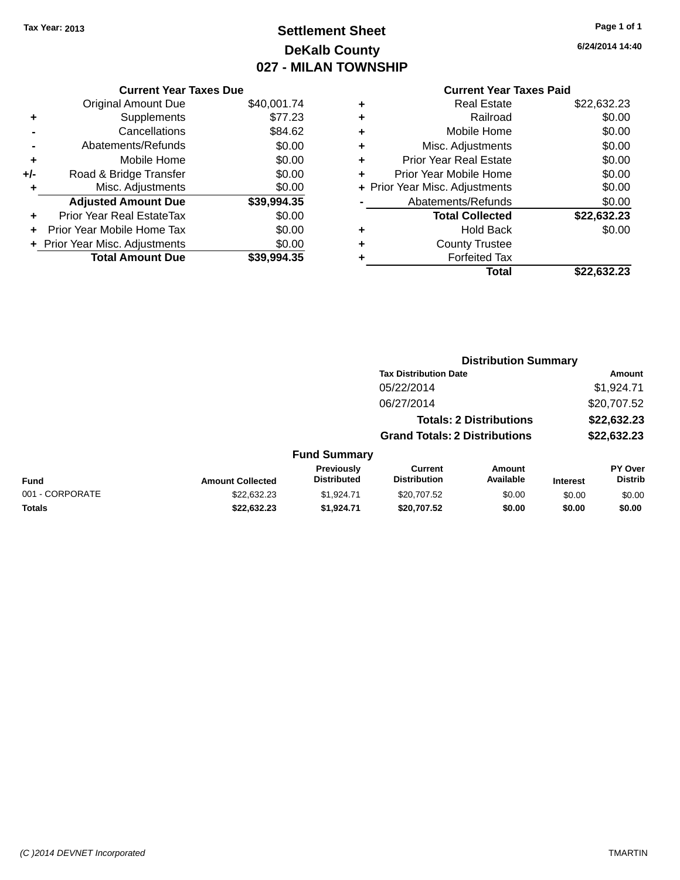## **Settlement Sheet Tax Year: 2013 Page 1 of 1 DeKalb County 027 - MILAN TOWNSHIP**

**6/24/2014 14:40**

|     | <b>Current Year Taxes Due</b>  |             |
|-----|--------------------------------|-------------|
|     | <b>Original Amount Due</b>     | \$40,001.74 |
| ٠   | Supplements                    | \$77.23     |
|     | Cancellations                  | \$84.62     |
|     | Abatements/Refunds             | \$0.00      |
| ٠   | Mobile Home                    | \$0.00      |
| +/- | Road & Bridge Transfer         | \$0.00      |
| ٠   | Misc. Adjustments              | \$0.00      |
|     | <b>Adjusted Amount Due</b>     | \$39,994.35 |
| ٠   | Prior Year Real EstateTax      | \$0.00      |
| ÷   | Prior Year Mobile Home Tax     | \$0.00      |
|     | + Prior Year Misc. Adjustments | \$0.00      |
|     | <b>Total Amount Due</b>        | \$39,994.35 |

|   | Total                          | \$22,632.23 |
|---|--------------------------------|-------------|
| ٠ | <b>Forfeited Tax</b>           |             |
| ٠ | <b>County Trustee</b>          |             |
| ٠ | Hold Back                      | \$0.00      |
|   | <b>Total Collected</b>         | \$22,632.23 |
|   | Abatements/Refunds             | \$0.00      |
|   | + Prior Year Misc. Adjustments | \$0.00      |
| ٠ | Prior Year Mobile Home         | \$0.00      |
| ÷ | <b>Prior Year Real Estate</b>  | \$0.00      |
| ٠ | Misc. Adjustments              | \$0.00      |
| ٠ | Mobile Home                    | \$0.00      |
| ٠ | Railroad                       | \$0.00      |
| ٠ | <b>Real Estate</b>             | \$22,632.23 |
|   |                                |             |

|                 |                         |                                  | <b>Distribution Summary</b>           |                                |                 |                                  |  |
|-----------------|-------------------------|----------------------------------|---------------------------------------|--------------------------------|-----------------|----------------------------------|--|
|                 |                         |                                  | <b>Tax Distribution Date</b>          |                                |                 | Amount                           |  |
|                 |                         |                                  | 05/22/2014                            |                                |                 | \$1,924.71                       |  |
|                 |                         |                                  | 06/27/2014                            |                                |                 | \$20,707.52                      |  |
|                 |                         |                                  |                                       | <b>Totals: 2 Distributions</b> |                 | \$22,632.23                      |  |
|                 |                         |                                  | <b>Grand Totals: 2 Distributions</b>  |                                |                 | \$22,632.23                      |  |
|                 |                         | <b>Fund Summary</b>              |                                       |                                |                 |                                  |  |
| <b>Fund</b>     | <b>Amount Collected</b> | Previously<br><b>Distributed</b> | <b>Current</b><br><b>Distribution</b> | Amount<br>Available            | <b>Interest</b> | <b>PY Over</b><br><b>Distrib</b> |  |
| 001 - CORPORATE | \$22,632,23             | \$1.924.71                       | \$20,707.52                           | \$0.00                         | \$0.00          | \$0.00                           |  |
| <b>Totals</b>   | \$22,632.23             | \$1,924.71                       | \$20,707.52                           | \$0.00                         | \$0.00          | \$0.00                           |  |
|                 |                         |                                  |                                       |                                |                 |                                  |  |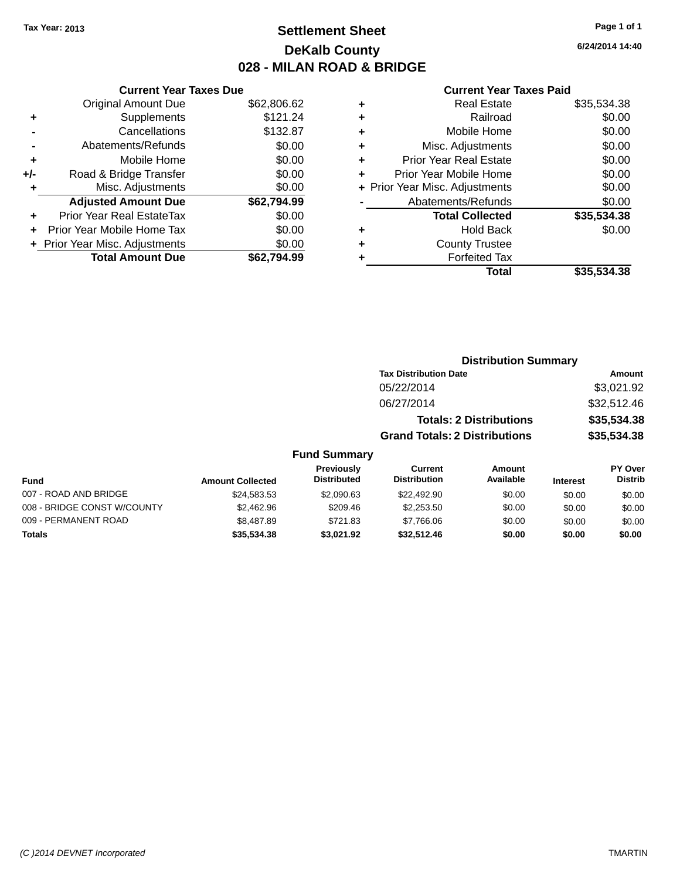## **Settlement Sheet Tax Year: 2013 Page 1 of 1 DeKalb County 028 - MILAN ROAD & BRIDGE**

**6/24/2014 14:40**

#### **Current Year Taxes Paid**

|     | <b>Current Year Taxes Due</b>  |             |
|-----|--------------------------------|-------------|
|     | <b>Original Amount Due</b>     | \$62,806.62 |
| ٠   | Supplements                    | \$121.24    |
|     | Cancellations                  | \$132.87    |
|     | Abatements/Refunds             | \$0.00      |
| ٠   | Mobile Home                    | \$0.00      |
| +/- | Road & Bridge Transfer         | \$0.00      |
|     | Misc. Adjustments              | \$0.00      |
|     | <b>Adjusted Amount Due</b>     | \$62,794.99 |
| ٠   | Prior Year Real EstateTax      | \$0.00      |
|     | Prior Year Mobile Home Tax     | \$0.00      |
|     | + Prior Year Misc. Adjustments | \$0.00      |
|     | <b>Total Amount Due</b>        | \$62.794.99 |
|     |                                |             |

| ٠ | <b>Real Estate</b>             | \$35,534.38 |
|---|--------------------------------|-------------|
| ٠ | Railroad                       | \$0.00      |
| ٠ | Mobile Home                    | \$0.00      |
| ٠ | Misc. Adjustments              | \$0.00      |
| ٠ | <b>Prior Year Real Estate</b>  | \$0.00      |
| ٠ | Prior Year Mobile Home         | \$0.00      |
|   | + Prior Year Misc. Adjustments | \$0.00      |
|   | Abatements/Refunds             | \$0.00      |
|   | <b>Total Collected</b>         | \$35,534.38 |
| ٠ | <b>Hold Back</b>               | \$0.00      |
| ٠ | <b>County Trustee</b>          |             |
| ٠ | <b>Forfeited Tax</b>           |             |
|   | Total                          | \$35,534.38 |
|   |                                |             |

| <b>Distribution Summary</b>          |             |
|--------------------------------------|-------------|
| <b>Tax Distribution Date</b>         | Amount      |
| 05/22/2014                           | \$3,021.92  |
| 06/27/2014                           | \$32,512.46 |
| <b>Totals: 2 Distributions</b>       | \$35,534.38 |
| <b>Grand Totals: 2 Distributions</b> | \$35,534.38 |

| <b>Fund</b>                 | <b>Amount Collected</b> | Previously<br><b>Distributed</b> | Current<br><b>Distribution</b> | Amount<br>Available | <b>Interest</b> | <b>PY Over</b><br><b>Distrib</b> |
|-----------------------------|-------------------------|----------------------------------|--------------------------------|---------------------|-----------------|----------------------------------|
| 007 - ROAD AND BRIDGE       | \$24,583.53             | \$2.090.63                       | \$22,492.90                    | \$0.00              | \$0.00          | \$0.00                           |
| 008 - BRIDGE CONST W/COUNTY | \$2,462.96              | \$209.46                         | \$2,253,50                     | \$0.00              | \$0.00          | \$0.00                           |
| 009 - PERMANENT ROAD        | \$8,487.89              | \$721.83                         | \$7,766.06                     | \$0.00              | \$0.00          | \$0.00                           |
| <b>Totals</b>               | \$35,534,38             | \$3.021.92                       | \$32.512.46                    | \$0.00              | \$0.00          | \$0.00                           |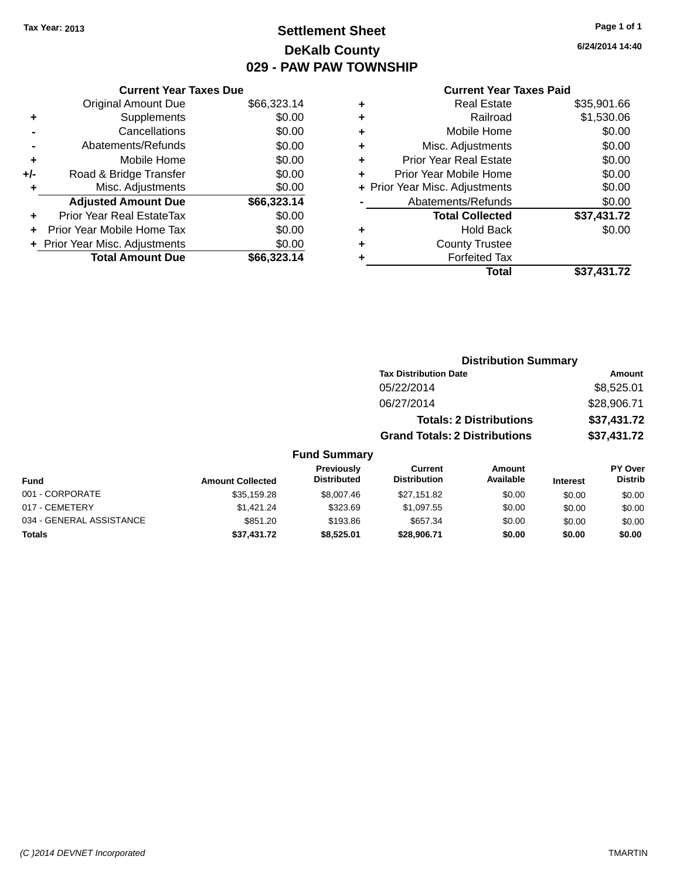## **Settlement Sheet Tax Year: 2013 Page 1 of 1 DeKalb County 029 - PAW PAW TOWNSHIP**

**6/24/2014 14:40**

### **Current Year Taxes Paid**

| <b>Current Year Taxes Due</b> |                         |
|-------------------------------|-------------------------|
| <b>Original Amount Due</b>    | \$66,323.14             |
| Supplements                   | \$0.00                  |
| Cancellations                 | \$0.00                  |
| Abatements/Refunds            | \$0.00                  |
| Mobile Home                   | \$0.00                  |
| Road & Bridge Transfer        | \$0.00                  |
| Misc. Adjustments             | \$0.00                  |
| <b>Adjusted Amount Due</b>    | \$66,323.14             |
| Prior Year Real EstateTax     | \$0.00                  |
| Prior Year Mobile Home Tax    | \$0.00                  |
| Prior Year Misc. Adjustments  | \$0.00                  |
|                               | \$66.323.14             |
|                               | <b>Total Amount Due</b> |

| ٠ | <b>Real Estate</b>             | \$35,901.66 |
|---|--------------------------------|-------------|
| ٠ | Railroad                       | \$1,530.06  |
| ٠ | Mobile Home                    | \$0.00      |
| ٠ | Misc. Adjustments              | \$0.00      |
| ٠ | <b>Prior Year Real Estate</b>  | \$0.00      |
| ÷ | Prior Year Mobile Home         | \$0.00      |
|   | + Prior Year Misc. Adjustments | \$0.00      |
|   | Abatements/Refunds             | \$0.00      |
|   | <b>Total Collected</b>         | \$37,431.72 |
| ٠ | Hold Back                      | \$0.00      |
| ٠ | <b>County Trustee</b>          |             |
| ٠ | <b>Forfeited Tax</b>           |             |
|   | Total                          | \$37,431.72 |
|   |                                |             |

|                     | <b>Distribution Summary</b>          |             |
|---------------------|--------------------------------------|-------------|
|                     | <b>Tax Distribution Date</b>         | Amount      |
|                     | 05/22/2014                           | \$8,525.01  |
|                     | 06/27/2014                           | \$28,906.71 |
|                     | <b>Totals: 2 Distributions</b>       | \$37,431.72 |
|                     | <b>Grand Totals: 2 Distributions</b> | \$37,431.72 |
| <b>Fund Summary</b> |                                      |             |

#### **Fund Interest Amount Collected Distributed PY Over Distrib Amount Available Current Distribution Previously** 001 - CORPORATE 60.00 \$35,159.28 \$35,159.28 \$8,007.46 \$27,151.82 \$0.00 \$0.00 \$0.00 \$0.00 017 - CEMETERY \$1,421.24 \$323.69 \$1,097.55 \$0.00 \$0.00 \$0.00 034 - GENERAL ASSISTANCE \$851.20 \$657.34 \$0.00 \$0.00 \$0.00 **Totals \$37,431.72 \$8,525.01 \$28,906.71 \$0.00 \$0.00 \$0.00**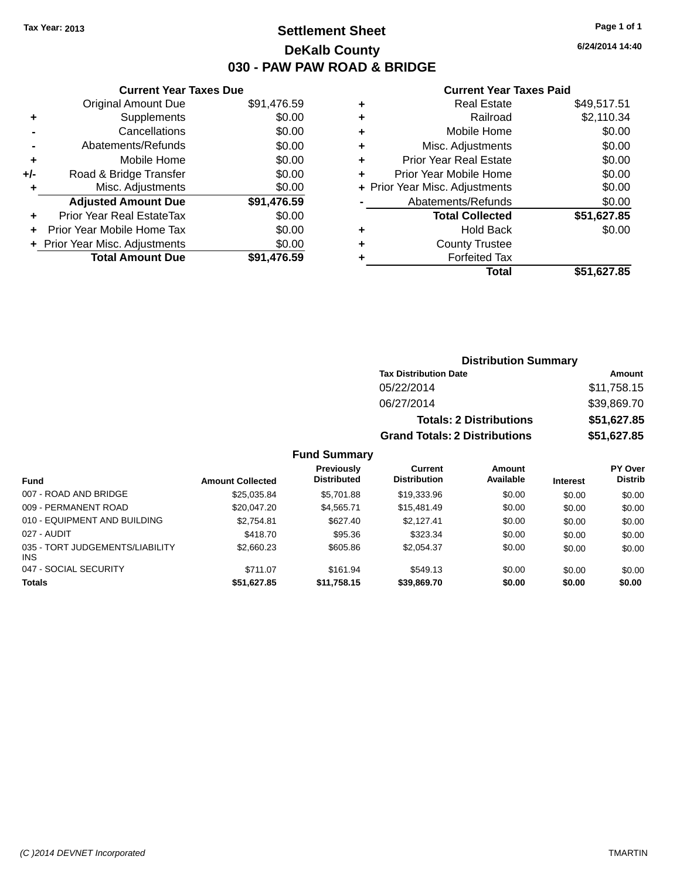### **Settlement Sheet Tax Year: 2013 Page 1 of 1 DeKalb County 030 - PAW PAW ROAD & BRIDGE**

**6/24/2014 14:40**

#### **Current Year Taxes Paid**

|     | <b>Current Year Taxes Due</b>  |             |
|-----|--------------------------------|-------------|
|     | <b>Original Amount Due</b>     | \$91,476.59 |
| ٠   | Supplements                    | \$0.00      |
|     | Cancellations                  | \$0.00      |
|     | Abatements/Refunds             | \$0.00      |
| ÷   | Mobile Home                    | \$0.00      |
| +/- | Road & Bridge Transfer         | \$0.00      |
|     | Misc. Adjustments              | \$0.00      |
|     | <b>Adjusted Amount Due</b>     | \$91,476.59 |
| ٠   | Prior Year Real EstateTax      | \$0.00      |
|     | Prior Year Mobile Home Tax     | \$0.00      |
|     | + Prior Year Misc. Adjustments | \$0.00      |
|     | <b>Total Amount Due</b>        | \$91.476.59 |
|     |                                |             |

|   | <b>Real Estate</b>             | \$49,517.51 |
|---|--------------------------------|-------------|
| ٠ | Railroad                       | \$2,110.34  |
| ٠ | Mobile Home                    | \$0.00      |
| ٠ | Misc. Adjustments              | \$0.00      |
| ٠ | <b>Prior Year Real Estate</b>  | \$0.00      |
|   | Prior Year Mobile Home         | \$0.00      |
|   | + Prior Year Misc. Adjustments | \$0.00      |
|   | Abatements/Refunds             | \$0.00      |
|   | <b>Total Collected</b>         | \$51,627.85 |
| ٠ | <b>Hold Back</b>               | \$0.00      |
| ٠ | <b>County Trustee</b>          |             |
| ٠ | <b>Forfeited Tax</b>           |             |
|   | Total                          | \$51,627.85 |
|   |                                |             |

| <b>Distribution Summary</b>          |             |  |  |  |
|--------------------------------------|-------------|--|--|--|
| <b>Tax Distribution Date</b>         | Amount      |  |  |  |
| 05/22/2014                           | \$11,758.15 |  |  |  |
| 06/27/2014                           | \$39,869.70 |  |  |  |
| <b>Totals: 2 Distributions</b>       | \$51,627.85 |  |  |  |
| <b>Grand Totals: 2 Distributions</b> | \$51,627.85 |  |  |  |

| <b>Fund</b>                            | <b>Amount Collected</b> | <b>Previously</b><br><b>Distributed</b> | Current<br><b>Distribution</b> | Amount<br>Available | <b>Interest</b> | <b>PY Over</b><br><b>Distrib</b> |
|----------------------------------------|-------------------------|-----------------------------------------|--------------------------------|---------------------|-----------------|----------------------------------|
| 007 - ROAD AND BRIDGE                  | \$25,035.84             | \$5.701.88                              | \$19,333,96                    | \$0.00              | \$0.00          | \$0.00                           |
| 009 - PERMANENT ROAD                   | \$20,047.20             | \$4.565.71                              | \$15,481.49                    | \$0.00              | \$0.00          | \$0.00                           |
| 010 - EQUIPMENT AND BUILDING           | \$2.754.81              | \$627.40                                | \$2.127.41                     | \$0.00              | \$0.00          | \$0.00                           |
| 027 - AUDIT                            | \$418.70                | \$95.36                                 | \$323.34                       | \$0.00              | \$0.00          | \$0.00                           |
| 035 - TORT JUDGEMENTS/LIABILITY<br>INS | \$2,660.23              | \$605.86                                | \$2.054.37                     | \$0.00              | \$0.00          | \$0.00                           |
| 047 - SOCIAL SECURITY                  | \$711.07                | \$161.94                                | \$549.13                       | \$0.00              | \$0.00          | \$0.00                           |
| <b>Totals</b>                          | \$51,627.85             | \$11,758.15                             | \$39,869.70                    | \$0.00              | \$0.00          | \$0.00                           |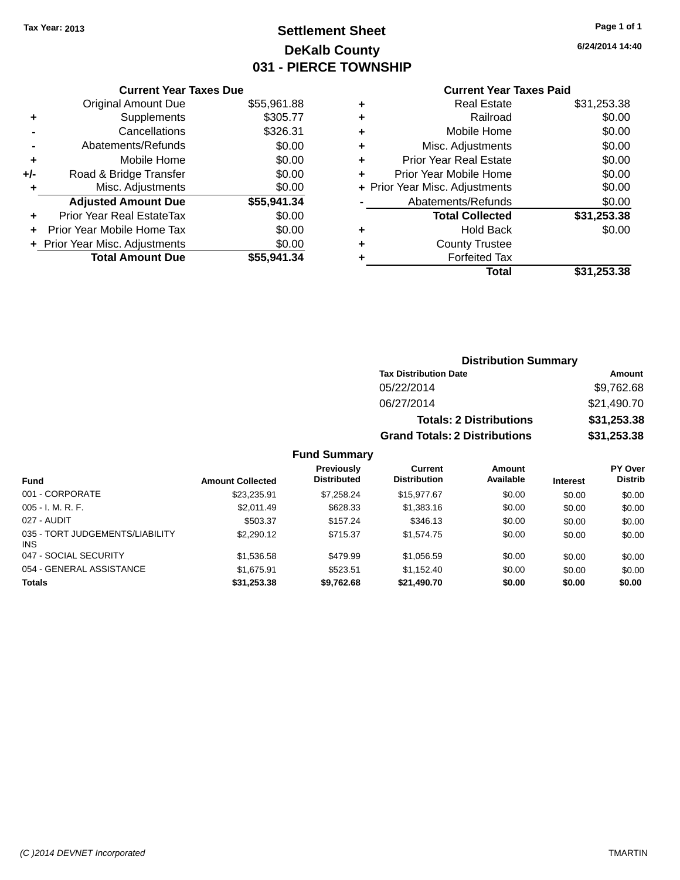## **Settlement Sheet Tax Year: 2013 Page 1 of 1 DeKalb County 031 - PIERCE TOWNSHIP**

**6/24/2014 14:40**

### **Current Year Taxes Paid**

|       | <b>Current Year Taxes Due</b>  |             |  |  |  |
|-------|--------------------------------|-------------|--|--|--|
|       | <b>Original Amount Due</b>     | \$55,961.88 |  |  |  |
| ٠     | Supplements                    | \$305.77    |  |  |  |
|       | Cancellations                  | \$326.31    |  |  |  |
|       | Abatements/Refunds             | \$0.00      |  |  |  |
| ٠     | Mobile Home                    | \$0.00      |  |  |  |
| $+/-$ | Road & Bridge Transfer         | \$0.00      |  |  |  |
| ٠     | Misc. Adjustments              | \$0.00      |  |  |  |
|       | <b>Adjusted Amount Due</b>     | \$55,941.34 |  |  |  |
| ٠     | Prior Year Real EstateTax      | \$0.00      |  |  |  |
|       | Prior Year Mobile Home Tax     | \$0.00      |  |  |  |
|       | + Prior Year Misc. Adjustments | \$0.00      |  |  |  |
|       | <b>Total Amount Due</b>        | \$55,941.34 |  |  |  |
|       |                                |             |  |  |  |

|   | <b>Real Estate</b>             | \$31,253.38 |
|---|--------------------------------|-------------|
| ٠ | Railroad                       | \$0.00      |
| ٠ | Mobile Home                    | \$0.00      |
| ٠ | Misc. Adjustments              | \$0.00      |
| ٠ | <b>Prior Year Real Estate</b>  | \$0.00      |
| ÷ | Prior Year Mobile Home         | \$0.00      |
|   | + Prior Year Misc. Adjustments | \$0.00      |
|   | Abatements/Refunds             | \$0.00      |
|   | <b>Total Collected</b>         | \$31,253.38 |
| ٠ | <b>Hold Back</b>               | \$0.00      |
| ٠ | <b>County Trustee</b>          |             |
| ٠ | <b>Forfeited Tax</b>           |             |
|   | Total                          | \$31,253.38 |
|   |                                |             |

### **Distribution Summary Tax Distribution Date Amount** 05/22/2014 \$9,762.68 06/27/2014 \$21,490.70 **Totals: 2 Distributions \$31,253.38 Grand Totals: 2 Distributions \$31,253.38**

| <b>Fund</b>                                   | <b>Amount Collected</b> | <b>Previously</b><br><b>Distributed</b> | Current<br><b>Distribution</b> | Amount<br>Available | <b>Interest</b> | <b>PY Over</b><br><b>Distrib</b> |
|-----------------------------------------------|-------------------------|-----------------------------------------|--------------------------------|---------------------|-----------------|----------------------------------|
| 001 - CORPORATE                               | \$23,235.91             | \$7.258.24                              | \$15,977.67                    | \$0.00              | \$0.00          | \$0.00                           |
| $005 - I. M. R. F.$                           | \$2.011.49              | \$628.33                                | \$1,383.16                     | \$0.00              | \$0.00          | \$0.00                           |
| 027 - AUDIT                                   | \$503.37                | \$157.24                                | \$346.13                       | \$0.00              | \$0.00          | \$0.00                           |
| 035 - TORT JUDGEMENTS/LIABILITY<br><b>INS</b> | \$2,290.12              | \$715.37                                | \$1.574.75                     | \$0.00              | \$0.00          | \$0.00                           |
| 047 - SOCIAL SECURITY                         | \$1,536.58              | \$479.99                                | \$1.056.59                     | \$0.00              | \$0.00          | \$0.00                           |
| 054 - GENERAL ASSISTANCE                      | \$1,675.91              | \$523.51                                | \$1.152.40                     | \$0.00              | \$0.00          | \$0.00                           |
| <b>Totals</b>                                 | \$31,253.38             | \$9,762.68                              | \$21,490.70                    | \$0.00              | \$0.00          | \$0.00                           |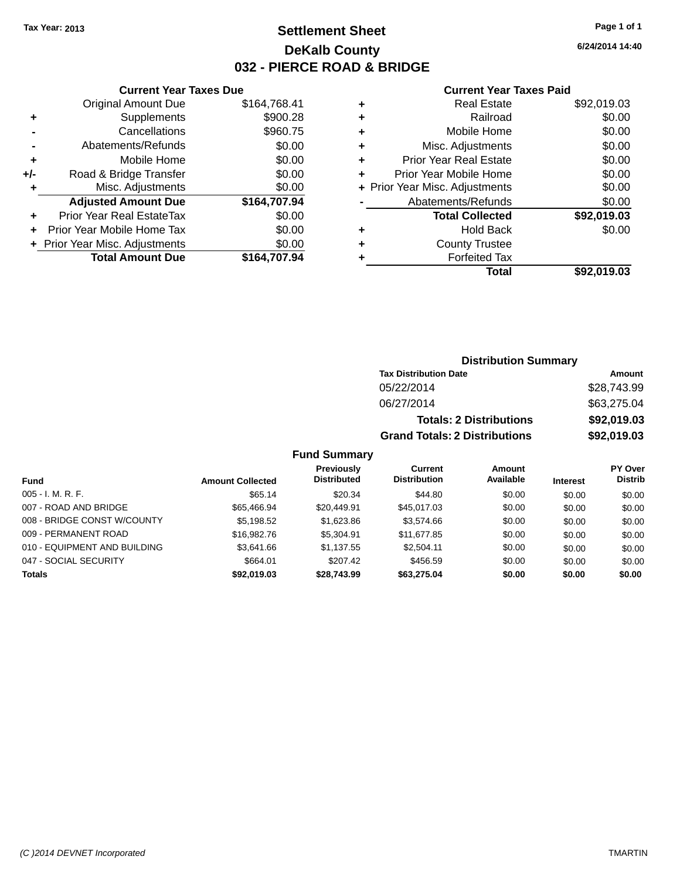### **Settlement Sheet Tax Year: 2013 Page 1 of 1 DeKalb County 032 - PIERCE ROAD & BRIDGE**

**6/24/2014 14:40**

#### **Current Year Taxes Paid**

|     | <b>Current Year Taxes Due</b>  |              |  |  |  |
|-----|--------------------------------|--------------|--|--|--|
|     | <b>Original Amount Due</b>     | \$164,768.41 |  |  |  |
| ٠   | Supplements                    | \$900.28     |  |  |  |
|     | Cancellations                  | \$960.75     |  |  |  |
|     | Abatements/Refunds             | \$0.00       |  |  |  |
| ٠   | Mobile Home                    | \$0.00       |  |  |  |
| +/- | Road & Bridge Transfer         | \$0.00       |  |  |  |
| ٠   | Misc. Adjustments              | \$0.00       |  |  |  |
|     | <b>Adjusted Amount Due</b>     | \$164,707.94 |  |  |  |
| ٠   | Prior Year Real EstateTax      | \$0.00       |  |  |  |
|     | Prior Year Mobile Home Tax     | \$0.00       |  |  |  |
|     | + Prior Year Misc. Adjustments | \$0.00       |  |  |  |
|     | <b>Total Amount Due</b>        | \$164.707.94 |  |  |  |
|     |                                |              |  |  |  |

| ٠ | <b>Real Estate</b>             | \$92,019.03 |
|---|--------------------------------|-------------|
| ٠ | Railroad                       | \$0.00      |
| ÷ | Mobile Home                    | \$0.00      |
| ٠ | Misc. Adjustments              | \$0.00      |
| ٠ | <b>Prior Year Real Estate</b>  | \$0.00      |
| ٠ | Prior Year Mobile Home         | \$0.00      |
|   | + Prior Year Misc. Adjustments | \$0.00      |
|   | Abatements/Refunds             | \$0.00      |
|   | <b>Total Collected</b>         | \$92,019.03 |
| ٠ | <b>Hold Back</b>               | \$0.00      |
| ٠ | <b>County Trustee</b>          |             |
| ٠ | <b>Forfeited Tax</b>           |             |
|   | Total                          | \$92,019.03 |
|   |                                |             |

### **Distribution Summary Tax Distribution Date Amount** 05/22/2014 \$28,743.99 06/27/2014 \$63,275.04 **Totals: 2 Distributions \$92,019.03 Grand Totals: 2 Distributions \$92,019.03**

|                              |                         | <b>Previously</b>  | Current             | Amount    |                 | <b>PY Over</b> |
|------------------------------|-------------------------|--------------------|---------------------|-----------|-----------------|----------------|
| <b>Fund</b>                  | <b>Amount Collected</b> | <b>Distributed</b> | <b>Distribution</b> | Available | <b>Interest</b> | <b>Distrib</b> |
| $005 - I. M. R. F.$          | \$65.14                 | \$20.34            | \$44.80             | \$0.00    | \$0.00          | \$0.00         |
| 007 - ROAD AND BRIDGE        | \$65.466.94             | \$20,449.91        | \$45,017.03         | \$0.00    | \$0.00          | \$0.00         |
| 008 - BRIDGE CONST W/COUNTY  | \$5,198.52              | \$1,623.86         | \$3,574.66          | \$0.00    | \$0.00          | \$0.00         |
| 009 - PERMANENT ROAD         | \$16,982.76             | \$5,304.91         | \$11.677.85         | \$0.00    | \$0.00          | \$0.00         |
| 010 - EQUIPMENT AND BUILDING | \$3.641.66              | \$1.137.55         | \$2.504.11          | \$0.00    | \$0.00          | \$0.00         |
| 047 - SOCIAL SECURITY        | \$664.01                | \$207.42           | \$456.59            | \$0.00    | \$0.00          | \$0.00         |
| <b>Totals</b>                | \$92,019.03             | \$28.743.99        | \$63,275.04         | \$0.00    | \$0.00          | \$0.00         |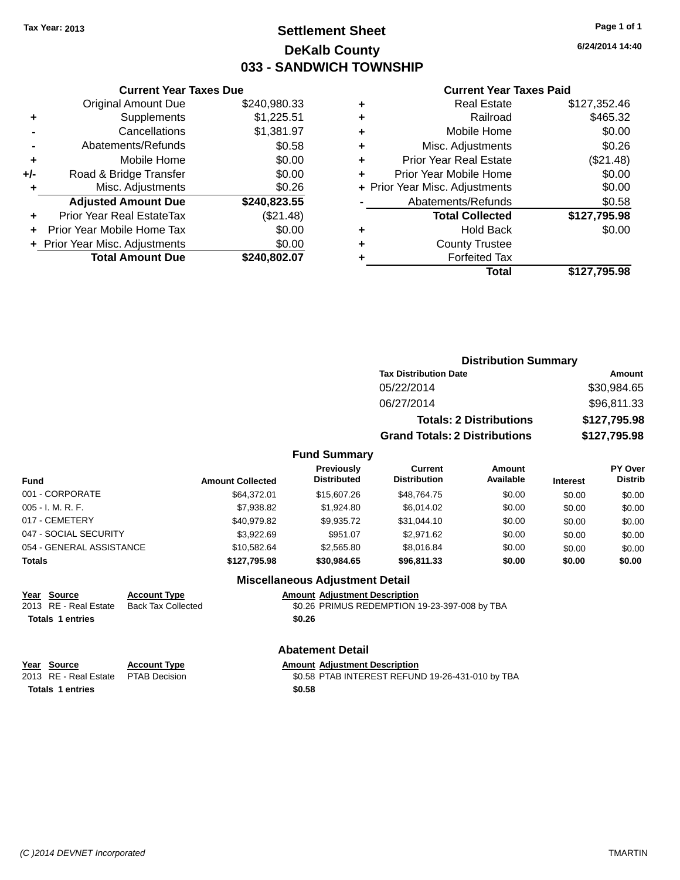### **Settlement Sheet Tax Year: 2013 Page 1 of 1 DeKalb County 033 - SANDWICH TOWNSHIP**

**6/24/2014 14:40**

#### **Current Year Taxes Paid**

|       | <b>Original Amount Due</b>       | \$240,980.33 |
|-------|----------------------------------|--------------|
| ٠     | Supplements                      | \$1,225.51   |
|       | Cancellations                    | \$1,381.97   |
|       | Abatements/Refunds               | \$0.58       |
| ÷     | Mobile Home                      | \$0.00       |
| $+/-$ | Road & Bridge Transfer           | \$0.00       |
| ٠     | Misc. Adjustments                | \$0.26       |
|       | <b>Adjusted Amount Due</b>       | \$240,823.55 |
| ÷     | <b>Prior Year Real EstateTax</b> | (\$21.48)    |
|       | Prior Year Mobile Home Tax       | \$0.00       |
|       | + Prior Year Misc. Adjustments   | \$0.00       |
|       | <b>Total Amount Due</b>          | \$240,802.07 |
|       |                                  |              |

**Current Year Taxes Due**

|   | <b>Real Estate</b>             | \$127,352.46 |
|---|--------------------------------|--------------|
| ٠ | Railroad                       | \$465.32     |
| ٠ | Mobile Home                    | \$0.00       |
| ٠ | Misc. Adjustments              | \$0.26       |
| ٠ | <b>Prior Year Real Estate</b>  | (\$21.48)    |
| ÷ | Prior Year Mobile Home         | \$0.00       |
|   | + Prior Year Misc. Adjustments | \$0.00       |
|   | Abatements/Refunds             | \$0.58       |
|   | <b>Total Collected</b>         | \$127,795.98 |
| ٠ | Hold Back                      | \$0.00       |
| ٠ | <b>County Trustee</b>          |              |
| ٠ | <b>Forfeited Tax</b>           |              |
|   | Total                          | \$127,795.98 |
|   |                                |              |

| <b>Distribution Summary</b>          |              |
|--------------------------------------|--------------|
| <b>Tax Distribution Date</b>         | Amount       |
| 05/22/2014                           | \$30,984.65  |
| 06/27/2014                           | \$96,811.33  |
| <b>Totals: 2 Distributions</b>       | \$127,795.98 |
| <b>Grand Totals: 2 Distributions</b> | \$127,795.98 |

### **Fund Summary**

| Fund                     | <b>Amount Collected</b> | Previously<br><b>Distributed</b> | <b>Current</b><br><b>Distribution</b> | Amount<br>Available | <b>Interest</b> | PY Over<br><b>Distrib</b> |
|--------------------------|-------------------------|----------------------------------|---------------------------------------|---------------------|-----------------|---------------------------|
| 001 - CORPORATE          | \$64.372.01             | \$15,607.26                      | \$48.764.75                           | \$0.00              | \$0.00          | \$0.00                    |
| 005 - I. M. R. F.        | \$7,938.82              | \$1.924.80                       | \$6,014.02                            | \$0.00              | \$0.00          | \$0.00                    |
| 017 - CEMETERY           | \$40.979.82             | \$9.935.72                       | \$31,044.10                           | \$0.00              | \$0.00          | \$0.00                    |
| 047 - SOCIAL SECURITY    | \$3.922.69              | \$951.07                         | \$2,971.62                            | \$0.00              | \$0.00          | \$0.00                    |
| 054 - GENERAL ASSISTANCE | \$10.582.64             | \$2,565.80                       | \$8,016.84                            | \$0.00              | \$0.00          | \$0.00                    |
| <b>Totals</b>            | \$127.795.98            | \$30,984.65                      | \$96,811,33                           | \$0.00              | \$0.00          | \$0.00                    |

### **Miscellaneous Adjustment Detail**

**Year Source Account Type Amount Adjustment Description**

\$0.26 PRIMUS REDEMPTION 19-23-397-008 by TBA **Totals 1 entries \$0.26**

# **<u>Year Source</u> <b>Account Type Amount Adjustment Description**<br>
2013 RE - Real Estate PTAB Decision **60.58 PTAB INTEREST REFUN**

**Totals 1 entries \$0.58**

### **Abatement Detail**

\$0.58 PTAB INTEREST REFUND 19-26-431-010 by TBA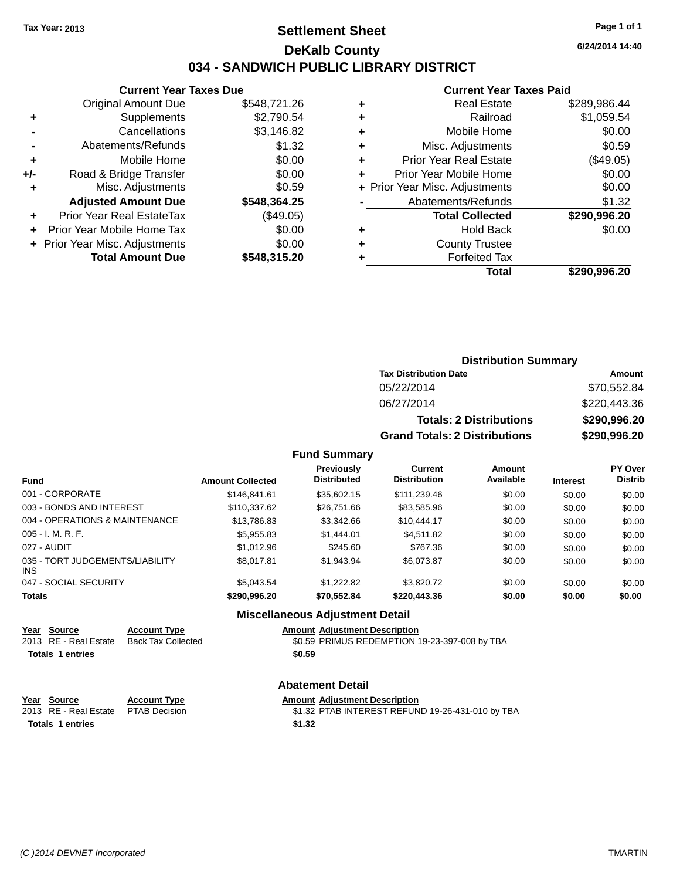### **Settlement Sheet Tax Year: 2013 Page 1 of 1 DeKalb County 034 - SANDWICH PUBLIC LIBRARY DISTRICT**

|     | <b>Current Year Taxes Due</b>  |              |  |  |
|-----|--------------------------------|--------------|--|--|
|     | <b>Original Amount Due</b>     | \$548,721.26 |  |  |
| ٠   | Supplements                    | \$2,790.54   |  |  |
|     | Cancellations                  | \$3,146.82   |  |  |
|     | Abatements/Refunds             | \$1.32       |  |  |
| ٠   | Mobile Home                    | \$0.00       |  |  |
| +/- | Road & Bridge Transfer         | \$0.00       |  |  |
| ٠   | \$0.59<br>Misc. Adjustments    |              |  |  |
|     | <b>Adjusted Amount Due</b>     | \$548,364.25 |  |  |
| ٠   | Prior Year Real EstateTax      | (\$49.05)    |  |  |
| ٠   | Prior Year Mobile Home Tax     | \$0.00       |  |  |
|     | + Prior Year Misc. Adjustments | \$0.00       |  |  |
|     | <b>Total Amount Due</b>        | \$548,315.20 |  |  |

#### **Current Year Taxes Paid**

| ٠ | <b>Real Estate</b>             | \$289,986.44 |
|---|--------------------------------|--------------|
| ٠ | Railroad                       | \$1,059.54   |
| ٠ | Mobile Home                    | \$0.00       |
| ٠ | Misc. Adjustments              | \$0.59       |
| ٠ | Prior Year Real Estate         | (\$49.05)    |
| ٠ | Prior Year Mobile Home         | \$0.00       |
|   | + Prior Year Misc. Adjustments | \$0.00       |
|   | Abatements/Refunds             | \$1.32       |
|   | <b>Total Collected</b>         | \$290,996.20 |
| ٠ | Hold Back                      | \$0.00       |
| ٠ | <b>County Trustee</b>          |              |
| ٠ | <b>Forfeited Tax</b>           |              |
|   | Total                          | \$290,996.20 |
|   |                                |              |

### **Distribution Summary Tax Distribution Date Amount** 05/22/2014 \$70,552.84 06/27/2014 \$220,443.36 **Totals: 2 Distributions \$290,996.20 Grand Totals: 2 Distributions \$290,996.20**

#### **Fund Summary**

| <b>Fund</b>                             | <b>Amount Collected</b> | Previously<br><b>Distributed</b> | Current<br><b>Distribution</b> | Amount<br>Available | <b>Interest</b> | <b>PY Over</b><br><b>Distrib</b> |
|-----------------------------------------|-------------------------|----------------------------------|--------------------------------|---------------------|-----------------|----------------------------------|
| 001 - CORPORATE                         | \$146.841.61            | \$35,602.15                      | \$111,239.46                   | \$0.00              | \$0.00          | \$0.00                           |
| 003 - BONDS AND INTEREST                | \$110,337.62            | \$26,751.66                      | \$83,585.96                    | \$0.00              | \$0.00          | \$0.00                           |
| 004 - OPERATIONS & MAINTENANCE          | \$13,786.83             | \$3,342.66                       | \$10,444.17                    | \$0.00              | \$0.00          | \$0.00                           |
| 005 - I. M. R. F.                       | \$5,955.83              | \$1,444.01                       | \$4,511.82                     | \$0.00              | \$0.00          | \$0.00                           |
| 027 - AUDIT                             | \$1,012.96              | \$245.60                         | \$767.36                       | \$0.00              | \$0.00          | \$0.00                           |
| 035 - TORT JUDGEMENTS/LIABILITY<br>INS. | \$8.017.81              | \$1.943.94                       | \$6.073.87                     | \$0.00              | \$0.00          | \$0.00                           |
| 047 - SOCIAL SECURITY                   | \$5.043.54              | \$1,222.82                       | \$3.820.72                     | \$0.00              | \$0.00          | \$0.00                           |
| <b>Totals</b>                           | \$290,996.20            | \$70,552.84                      | \$220,443.36                   | \$0.00              | \$0.00          | \$0.00                           |

#### **Miscellaneous Adjustment Detail**

### **Year Source Account Type Amount Adjustment Description**  $\overline{$0.59}$  PRIMUS REDEMPTION 19-23-397-008 by TBA

**Totals 1 entries \$0.59**

### **Abatement Detail**

| Year Source |                         | <b>Account Type</b>                 | <b>Amount Adiustment Description</b>             |
|-------------|-------------------------|-------------------------------------|--------------------------------------------------|
|             |                         | 2013 RE - Real Estate PTAB Decision | \$1.32 PTAB INTEREST REFUND 19-26-431-010 by TBA |
|             | <b>Totals 1 entries</b> |                                     | \$1.32                                           |

**6/24/2014 14:40**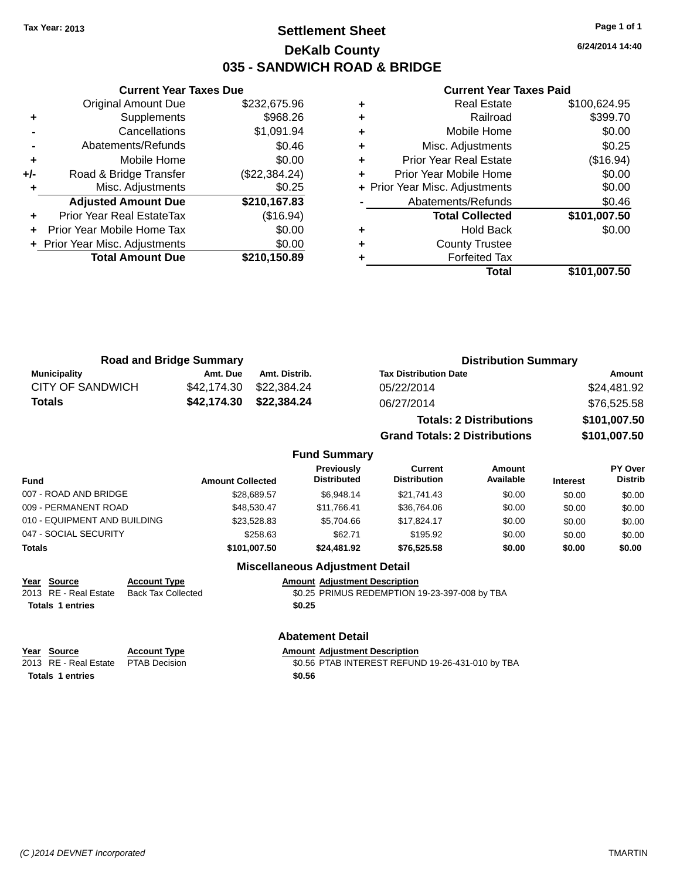## **Settlement Sheet Tax Year: 2013 Page 1 of 1 DeKalb County 035 - SANDWICH ROAD & BRIDGE**

|     | <b>Current Year Taxes Due</b>  |               |  |  |  |
|-----|--------------------------------|---------------|--|--|--|
|     | <b>Original Amount Due</b>     | \$232,675.96  |  |  |  |
| ٠   | Supplements                    | \$968.26      |  |  |  |
|     | Cancellations                  | \$1,091.94    |  |  |  |
|     | Abatements/Refunds             | \$0.46        |  |  |  |
| ٠   | Mobile Home                    | \$0.00        |  |  |  |
| +/- | Road & Bridge Transfer         | (\$22,384.24) |  |  |  |
| ٠   | Misc. Adjustments              | \$0.25        |  |  |  |
|     | <b>Adjusted Amount Due</b>     | \$210,167.83  |  |  |  |
|     | Prior Year Real EstateTax      | (\$16.94)     |  |  |  |
|     | Prior Year Mobile Home Tax     | \$0.00        |  |  |  |
|     | + Prior Year Misc. Adjustments | \$0.00        |  |  |  |
|     | <b>Total Amount Due</b>        | \$210,150.89  |  |  |  |
|     |                                |               |  |  |  |

#### **Current Year Taxes Paid**

|   | <b>Real Estate</b>             | \$100,624.95 |
|---|--------------------------------|--------------|
| ٠ | Railroad                       | \$399.70     |
| ٠ | Mobile Home                    | \$0.00       |
| ٠ | Misc. Adjustments              | \$0.25       |
| ٠ | Prior Year Real Estate         | (\$16.94)    |
|   | Prior Year Mobile Home         | \$0.00       |
|   | + Prior Year Misc. Adjustments | \$0.00       |
|   | Abatements/Refunds             | \$0.46       |
|   | <b>Total Collected</b>         | \$101,007.50 |
| ٠ | <b>Hold Back</b>               | \$0.00       |
|   | <b>County Trustee</b>          |              |
|   | <b>Forfeited Tax</b>           |              |
|   | Total                          | \$101,007.50 |
|   |                                |              |

**Grand Totals: 2 Distributions \$101,007.50**

| <b>Road and Bridge Summary</b> |             |                         | <b>Distribution Summary</b>    |              |  |
|--------------------------------|-------------|-------------------------|--------------------------------|--------------|--|
| Municipality                   | Amt. Due    | Amt. Distrib.           | <b>Tax Distribution Date</b>   | Amount       |  |
| <b>CITY OF SANDWICH</b>        |             | \$42,174,30 \$22,384,24 | 05/22/2014                     | \$24,481.92  |  |
| <b>Totals</b>                  | \$42,174.30 | \$22,384.24             | 06/27/2014                     | \$76,525.58  |  |
|                                |             |                         | <b>Totals: 2 Distributions</b> | \$101,007.50 |  |

#### **Fund Summary Fund Interest Amount Collected Distributed PY Over Distrib Amount Available Current Distribution Previously** 007 - ROAD AND BRIDGE \$28,689.57 \$6,948.14 \$21,741.43 \$0.00 \$0.00 \$0.00 \$0.00 009 - PERMANENT ROAD \$48,530.47 \$11,766.41 \$36,764.06 \$0.00 \$0.00 \$0.00 \$0.00 \$0.00 \$0.00 \$0.00 010 - EQUIPMENT AND BUILDING \$23,528.83 \$5,704.66 \$17,824.17 \$0.00 \$0.00 \$0.00 \$0.00 047 - SOCIAL SECURITY \$258.63 \$195.92 \$0.00 \$0.00 \$0.00 \$0.00 **Totals \$101,007.50 \$24,481.92 \$76,525.58 \$0.00 \$0.00 \$0.00 Miscellaneous Adjustment Detail**

## **Year Source Account Type Amount Adjustment Description**

External Estate Back Tax Collected **30.25 PRIMUS REDEMPTION 19-23-397-008 by TBA Totals 1 entries \$0.25**

### **Abatement Detail**

**Year Source Account Type Anneurs Adjustment Description**<br>
2013 RE - Real Estate PTAB Decision **Amount Adjustment Description** PTAB Decision  $$0.56$  PTAB INTEREST REFUND 19-26-431-010 by TBA **Totals 1 entries \$0.56**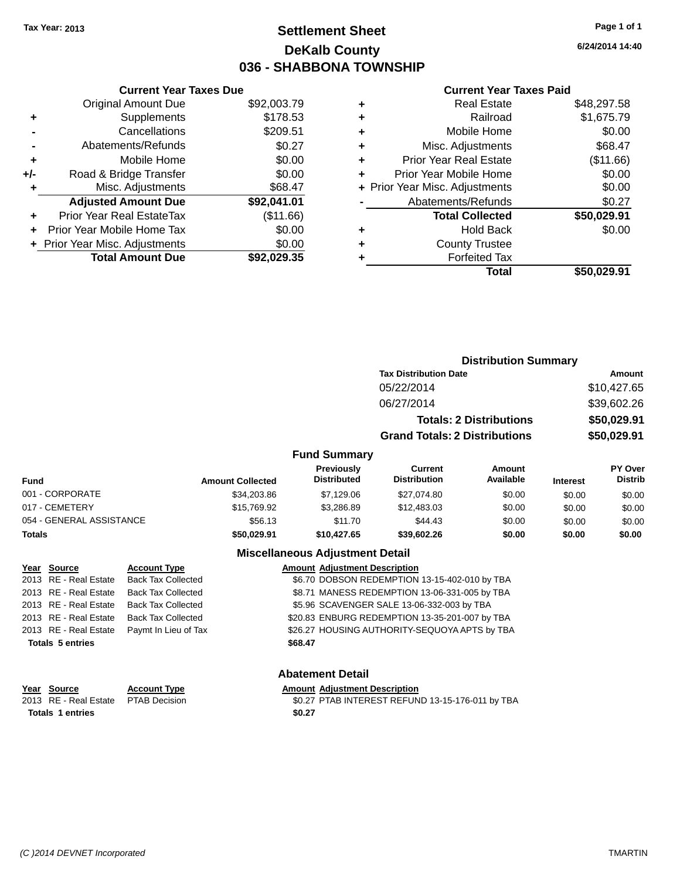## **Settlement Sheet Tax Year: 2013 Page 1 of 1 DeKalb County 036 - SHABBONA TOWNSHIP**

**6/24/2014 14:40**

### **Current Year Taxes Paid**

|     | <b>Current Year Taxes Due</b>  |             |
|-----|--------------------------------|-------------|
|     | <b>Original Amount Due</b>     | \$92,003.79 |
| ٠   | Supplements                    | \$178.53    |
|     | Cancellations                  | \$209.51    |
|     | Abatements/Refunds             | \$0.27      |
| ٠   | Mobile Home                    | \$0.00      |
| +/- | Road & Bridge Transfer         | \$0.00      |
|     | Misc. Adjustments              | \$68.47     |
|     | <b>Adjusted Amount Due</b>     | \$92,041.01 |
| ٠   | Prior Year Real EstateTax      | (\$11.66)   |
|     | Prior Year Mobile Home Tax     | \$0.00      |
|     | + Prior Year Misc. Adjustments | \$0.00      |
|     | <b>Total Amount Due</b>        | \$92.029.35 |
|     |                                |             |

| ٠ | <b>Real Estate</b>             | \$48,297.58 |
|---|--------------------------------|-------------|
| ٠ | Railroad                       | \$1,675.79  |
| ٠ | Mobile Home                    | \$0.00      |
| ٠ | Misc. Adjustments              | \$68.47     |
| ٠ | <b>Prior Year Real Estate</b>  | (\$11.66)   |
| ٠ | Prior Year Mobile Home         | \$0.00      |
|   | + Prior Year Misc. Adjustments | \$0.00      |
|   | Abatements/Refunds             | \$0.27      |
|   | <b>Total Collected</b>         | \$50,029.91 |
| ٠ | <b>Hold Back</b>               | \$0.00      |
|   | <b>County Trustee</b>          |             |
| ٠ | <b>Forfeited Tax</b>           |             |
|   | Total                          | \$50,029.91 |
|   |                                |             |

|                                         |                                      | <b>Distribution Summary</b> |                 |                                  |
|-----------------------------------------|--------------------------------------|-----------------------------|-----------------|----------------------------------|
|                                         | <b>Tax Distribution Date</b>         | Amount                      |                 |                                  |
|                                         | 05/22/2014                           | \$10,427.65                 |                 |                                  |
|                                         | 06/27/2014                           |                             | \$39,602.26     |                                  |
|                                         | <b>Totals: 2 Distributions</b>       |                             | \$50,029.91     |                                  |
|                                         | <b>Grand Totals: 2 Distributions</b> |                             |                 | \$50,029.91                      |
| <b>Fund Summary</b>                     |                                      |                             |                 |                                  |
| <b>Previously</b><br><b>Distributed</b> | Current<br><b>Distribution</b>       | Amount<br>Available         | <b>Interest</b> | <b>PY Over</b><br><b>Distrib</b> |

| Fund                     | <b>Amount Collected</b> | <b>FIEVIOUSIV</b><br><b>Distributed</b> | uurent<br><b>Distribution</b> | AIIIOUIIL<br>Available | <b>Interest</b> | г г оvег<br><b>Distrib</b> |
|--------------------------|-------------------------|-----------------------------------------|-------------------------------|------------------------|-----------------|----------------------------|
| 001 - CORPORATE          | \$34,203.86             | \$7.129.06                              | \$27.074.80                   | \$0.00                 | \$0.00          | \$0.00                     |
| 017 - CEMETERY           | \$15,769.92             | \$3.286.89                              | \$12,483.03                   | \$0.00                 | \$0.00          | \$0.00                     |
| 054 - GENERAL ASSISTANCE | \$56.13                 | \$11.70                                 | \$44.43                       | \$0.00                 | \$0.00          | \$0.00                     |
| Totals                   | \$50,029.91             | \$10,427.65                             | \$39,602.26                   | \$0.00                 | \$0.00          | \$0.00                     |

### **Miscellaneous Adjustment Detail**

| Year Source             | <b>Account Type</b>                        | <b>Amount Adjustment Description</b>           |
|-------------------------|--------------------------------------------|------------------------------------------------|
|                         | 2013 RE - Real Estate Back Tax Collected   | \$6.70 DOBSON REDEMPTION 13-15-402-010 by TBA  |
|                         | 2013 RE - Real Estate Back Tax Collected   | \$8.71 MANESS REDEMPTION 13-06-331-005 by TBA  |
|                         | 2013 RE - Real Estate Back Tax Collected   | \$5.96 SCAVENGER SALE 13-06-332-003 by TBA     |
|                         | 2013 RE - Real Estate Back Tax Collected   | \$20.83 ENBURG REDEMPTION 13-35-201-007 by TBA |
|                         | 2013 RE - Real Estate Paymt In Lieu of Tax | \$26.27 HOUSING AUTHORITY-SEQUOYA APTS by TBA  |
| <b>Totals 5 entries</b> |                                            | \$68.47                                        |

### **Abatement Detail**

| Year Source                         | <b>Account Type</b> | <b>Amount Adjustment Description</b>             |
|-------------------------------------|---------------------|--------------------------------------------------|
| 2013 RE - Real Estate PTAB Decision |                     | \$0.27 PTAB INTEREST REFUND 13-15-176-011 by TBA |
| Totals 1 entries                    |                     | \$0.27                                           |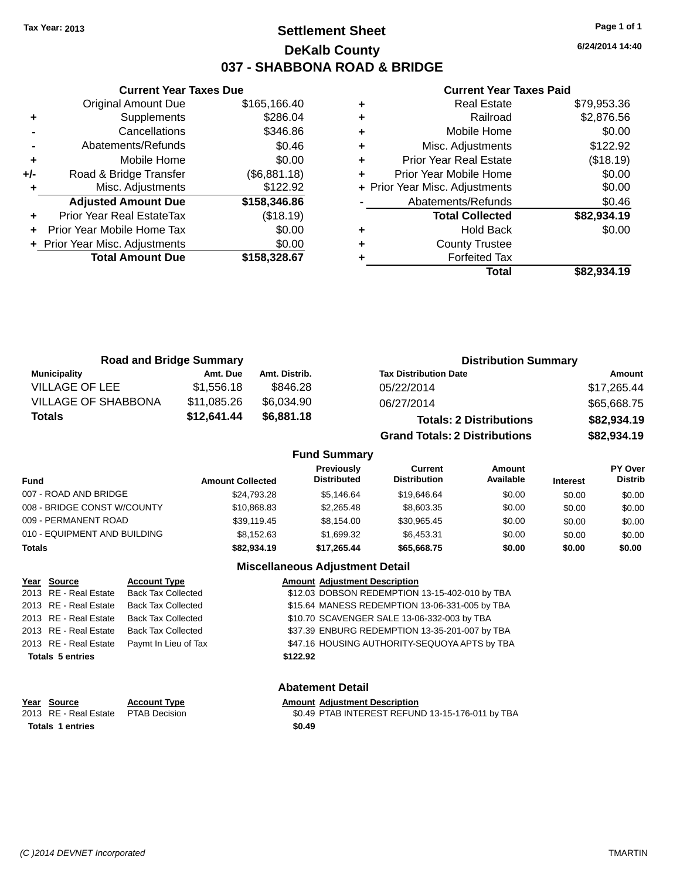## **Settlement Sheet Tax Year: 2013 Page 1 of 1 DeKalb County 037 - SHABBONA ROAD & BRIDGE**

**6/24/2014 14:40**

#### **Current Year Taxes Paid**

|     | <b>Current Year Taxes Due</b>  |              |  |  |  |
|-----|--------------------------------|--------------|--|--|--|
|     | <b>Original Amount Due</b>     | \$165,166.40 |  |  |  |
| ٠   | Supplements                    | \$286.04     |  |  |  |
|     | Cancellations                  | \$346.86     |  |  |  |
|     | Abatements/Refunds             | \$0.46       |  |  |  |
| ٠   | Mobile Home                    | \$0.00       |  |  |  |
| +/- | Road & Bridge Transfer         | (\$6,881.18) |  |  |  |
| ٠   | Misc. Adjustments              | \$122.92     |  |  |  |
|     | <b>Adjusted Amount Due</b>     | \$158,346.86 |  |  |  |
|     | Prior Year Real EstateTax      | (\$18.19)    |  |  |  |
|     | Prior Year Mobile Home Tax     | \$0.00       |  |  |  |
|     | + Prior Year Misc. Adjustments | \$0.00       |  |  |  |
|     | <b>Total Amount Due</b>        | \$158,328.67 |  |  |  |
|     |                                |              |  |  |  |

|   | <b>Real Estate</b>             | \$79,953.36 |
|---|--------------------------------|-------------|
| ÷ | Railroad                       | \$2,876.56  |
| ÷ | Mobile Home                    | \$0.00      |
| ٠ | Misc. Adjustments              | \$122.92    |
| ٠ | <b>Prior Year Real Estate</b>  | (\$18.19)   |
| ٠ | Prior Year Mobile Home         | \$0.00      |
|   | + Prior Year Misc. Adjustments | \$0.00      |
|   | Abatements/Refunds             | \$0.46      |
|   | <b>Total Collected</b>         | \$82,934.19 |
| ٠ | Hold Back                      | \$0.00      |
| ٠ | <b>County Trustee</b>          |             |
|   | <b>Forfeited Tax</b>           |             |
|   | Total                          | \$82.934.19 |

| <b>Road and Bridge Summary</b> |             |               | <b>Distribution Summary</b>          |             |
|--------------------------------|-------------|---------------|--------------------------------------|-------------|
| <b>Municipality</b>            | Amt. Due    | Amt. Distrib. | <b>Tax Distribution Date</b>         | Amount      |
| <b>VILLAGE OF LEE</b>          | \$1,556.18  | \$846.28      | 05/22/2014                           | \$17,265.44 |
| <b>VILLAGE OF SHABBONA</b>     | \$11,085.26 | \$6,034.90    | 06/27/2014                           | \$65,668.75 |
| Totals                         | \$12,641.44 | \$6,881.18    | <b>Totals: 2 Distributions</b>       | \$82,934.19 |
|                                |             |               | <b>Grand Totals: 2 Distributions</b> | \$82,934.19 |

### **Fund Summary**

| <b>Fund</b>                  | <b>Amount Collected</b> | <b>Previously</b><br><b>Distributed</b> | Current<br><b>Distribution</b> | Amount<br>Available | <b>Interest</b> | PY Over<br><b>Distrib</b> |
|------------------------------|-------------------------|-----------------------------------------|--------------------------------|---------------------|-----------------|---------------------------|
| 007 - ROAD AND BRIDGE        | \$24,793.28             | \$5.146.64                              | \$19,646.64                    | \$0.00              | \$0.00          | \$0.00                    |
| 008 - BRIDGE CONST W/COUNTY  | \$10,868.83             | \$2,265.48                              | \$8,603.35                     | \$0.00              | \$0.00          | \$0.00                    |
| 009 - PERMANENT ROAD         | \$39.119.45             | \$8.154.00                              | \$30.965.45                    | \$0.00              | \$0.00          | \$0.00                    |
| 010 - EQUIPMENT AND BUILDING | \$8.152.63              | \$1.699.32                              | \$6.453.31                     | \$0.00              | \$0.00          | \$0.00                    |
| <b>Totals</b>                | \$82,934.19             | \$17.265.44                             | \$65,668.75                    | \$0.00              | \$0.00          | \$0.00                    |

### **Miscellaneous Adjustment Detail**

| Year Source             | <b>Account Type</b>       |          | <b>Amount Adjustment Description</b>           |
|-------------------------|---------------------------|----------|------------------------------------------------|
| 2013 RE - Real Estate   | <b>Back Tax Collected</b> |          | \$12.03 DOBSON REDEMPTION 13-15-402-010 by TBA |
| 2013 RE - Real Estate   | <b>Back Tax Collected</b> |          | \$15.64 MANESS REDEMPTION 13-06-331-005 by TBA |
| 2013 RE - Real Estate   | <b>Back Tax Collected</b> |          | \$10.70 SCAVENGER SALE 13-06-332-003 by TBA    |
| 2013 RE - Real Estate   | <b>Back Tax Collected</b> |          | \$37.39 ENBURG REDEMPTION 13-35-201-007 by TBA |
| 2013 RE - Real Estate   | Paymt In Lieu of Tax      |          | \$47.16 HOUSING AUTHORITY-SEQUOYA APTS by TBA  |
| <b>Totals 5 entries</b> |                           | \$122.92 |                                                |
|                         |                           |          |                                                |

### **Abatement Detail**

| Year Source                          | <b>Account Type</b> | <b>Amount Adjustment Description</b>             |
|--------------------------------------|---------------------|--------------------------------------------------|
| 2013 RE - Real Estate  PTAB Decision |                     | \$0.49 PTAB INTEREST REFUND 13-15-176-011 by TBA |
| <b>Totals 1 entries</b>              |                     | \$0.49                                           |
|                                      |                     |                                                  |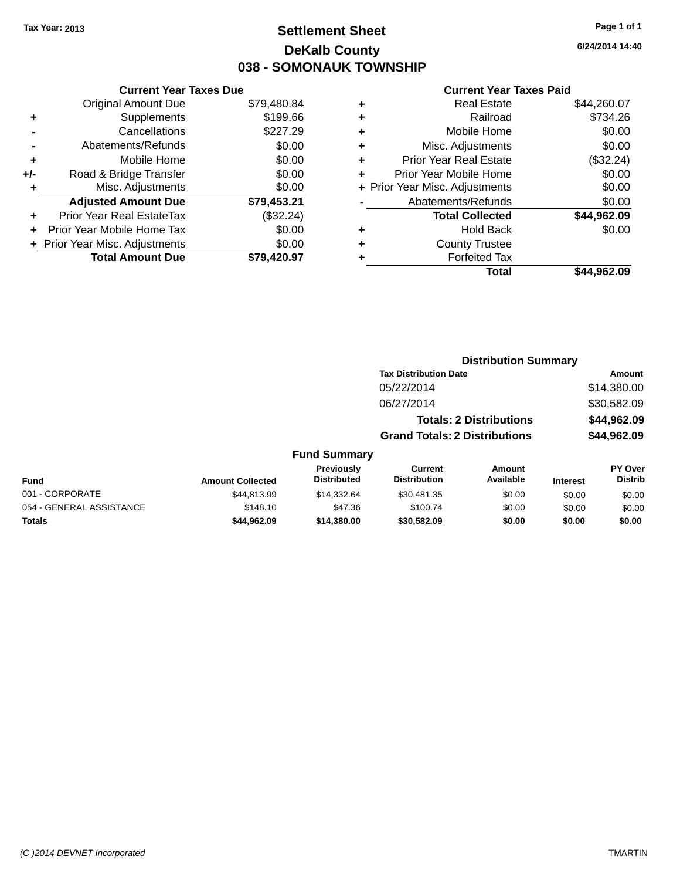## **Settlement Sheet Tax Year: 2013 Page 1 of 1 DeKalb County 038 - SOMONAUK TOWNSHIP**

**6/24/2014 14:40**

#### **Current Year Taxes Paid**

|     | <b>Current Year Taxes Due</b>  |             |
|-----|--------------------------------|-------------|
|     | <b>Original Amount Due</b>     | \$79,480.84 |
| ٠   | Supplements                    | \$199.66    |
|     | Cancellations                  | \$227.29    |
|     | Abatements/Refunds             | \$0.00      |
| ٠   | Mobile Home                    | \$0.00      |
| +/- | Road & Bridge Transfer         | \$0.00      |
| ٠   | Misc. Adjustments              | \$0.00      |
|     | <b>Adjusted Amount Due</b>     | \$79,453.21 |
| ÷   | Prior Year Real EstateTax      | (\$32.24)   |
|     | Prior Year Mobile Home Tax     | \$0.00      |
|     | + Prior Year Misc. Adjustments | \$0.00      |
|     | <b>Total Amount Due</b>        | \$79.420.97 |
|     |                                |             |

| ٠ | <b>Real Estate</b>             | \$44,260.07 |
|---|--------------------------------|-------------|
| ٠ | Railroad                       | \$734.26    |
| ٠ | Mobile Home                    | \$0.00      |
| ٠ | Misc. Adjustments              | \$0.00      |
| ٠ | <b>Prior Year Real Estate</b>  | (\$32.24)   |
| ٠ | Prior Year Mobile Home         | \$0.00      |
|   | + Prior Year Misc. Adjustments | \$0.00      |
|   | Abatements/Refunds             | \$0.00      |
|   | <b>Total Collected</b>         | \$44,962.09 |
| ٠ | <b>Hold Back</b>               | \$0.00      |
| ٠ | <b>County Trustee</b>          |             |
| ٠ | <b>Forfeited Tax</b>           |             |
|   | Total                          | \$44,962.09 |
|   |                                |             |

|                          |                         |                                  |                                       | <b>Distribution Summary</b>    |                 |                           |
|--------------------------|-------------------------|----------------------------------|---------------------------------------|--------------------------------|-----------------|---------------------------|
|                          |                         |                                  | <b>Tax Distribution Date</b>          |                                |                 | <b>Amount</b>             |
|                          |                         |                                  | 05/22/2014                            |                                |                 | \$14,380.00               |
|                          |                         |                                  | 06/27/2014                            |                                |                 | \$30,582.09               |
|                          |                         |                                  |                                       | <b>Totals: 2 Distributions</b> |                 | \$44,962.09               |
|                          |                         |                                  | <b>Grand Totals: 2 Distributions</b>  |                                |                 | \$44,962.09               |
|                          |                         | <b>Fund Summary</b>              |                                       |                                |                 |                           |
| Fund                     | <b>Amount Collected</b> | Previously<br><b>Distributed</b> | <b>Current</b><br><b>Distribution</b> | <b>Amount</b><br>Available     | <b>Interest</b> | PY Over<br><b>Distrib</b> |
| 001 - CORPORATE          | \$44,813.99             | \$14,332.64                      | \$30,481.35                           | \$0.00                         | \$0.00          | \$0.00                    |
| 054 - GENERAL ASSISTANCE | \$148.10                | \$47.36                          | \$100.74                              | \$0.00                         | \$0.00          | \$0.00                    |

**Totals \$44,962.09 \$14,380.00 \$30,582.09 \$0.00 \$0.00 \$0.00**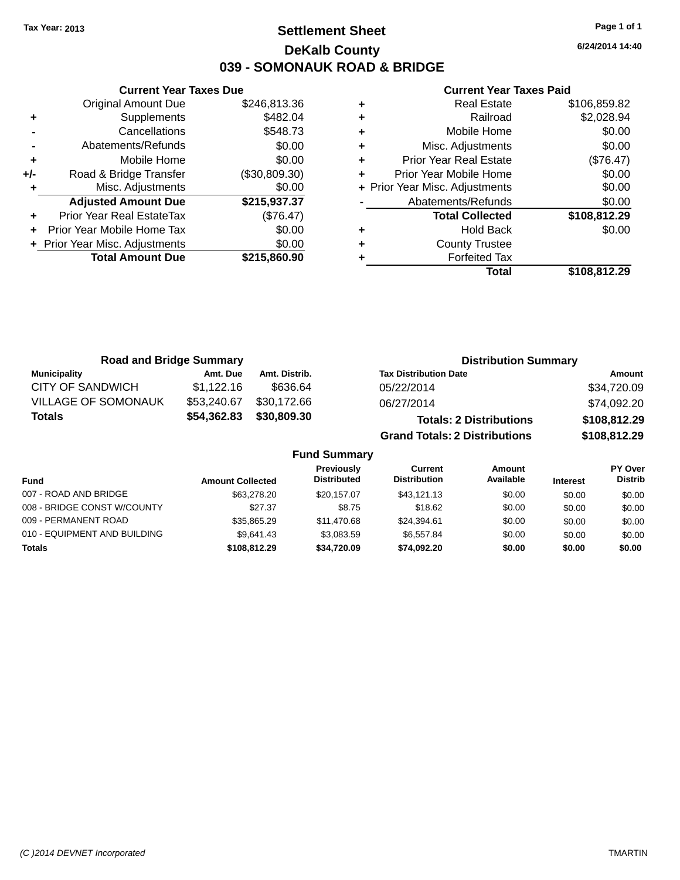## **Settlement Sheet Tax Year: 2013 Page 1 of 1 DeKalb County 039 - SOMONAUK ROAD & BRIDGE**

**6/24/2014 14:40**

#### **Current Year Taxes Paid**

|     | <b>Current Year Taxes Due</b>  |               |
|-----|--------------------------------|---------------|
|     | <b>Original Amount Due</b>     | \$246,813.36  |
| ٠   | Supplements                    | \$482.04      |
|     | Cancellations                  | \$548.73      |
|     | Abatements/Refunds             | \$0.00        |
| ٠   | Mobile Home                    | \$0.00        |
| +/- | Road & Bridge Transfer         | (\$30,809.30) |
|     | Misc. Adjustments              | \$0.00        |
|     | <b>Adjusted Amount Due</b>     | \$215,937.37  |
|     | Prior Year Real EstateTax      | (\$76.47)     |
|     | Prior Year Mobile Home Tax     | \$0.00        |
|     | + Prior Year Misc. Adjustments | \$0.00        |
|     | <b>Total Amount Due</b>        | \$215,860.90  |
|     |                                |               |

|   | <b>Real Estate</b>             | \$106,859.82 |
|---|--------------------------------|--------------|
| ٠ | Railroad                       | \$2,028.94   |
| ٠ | Mobile Home                    | \$0.00       |
| ٠ | Misc. Adjustments              | \$0.00       |
| ٠ | Prior Year Real Estate         | (\$76.47)    |
| ٠ | Prior Year Mobile Home         | \$0.00       |
|   | + Prior Year Misc. Adjustments | \$0.00       |
|   | Abatements/Refunds             | \$0.00       |
|   | <b>Total Collected</b>         | \$108,812.29 |
| ٠ | <b>Hold Back</b>               | \$0.00       |
| ٠ | <b>County Trustee</b>          |              |
|   | <b>Forfeited Tax</b>           |              |
|   | Total                          | \$108,812.29 |

| <b>Road and Bridge Summary</b> |             |               | <b>Distribution Summary</b>          |              |  |  |
|--------------------------------|-------------|---------------|--------------------------------------|--------------|--|--|
| <b>Municipality</b>            | Amt. Due    | Amt. Distrib. | <b>Tax Distribution Date</b>         | Amount       |  |  |
| CITY OF SANDWICH               | \$1,122.16  | \$636.64      | 05/22/2014                           | \$34,720.09  |  |  |
| <b>VILLAGE OF SOMONAUK</b>     | \$53,240.67 | \$30.172.66   | 06/27/2014                           | \$74,092.20  |  |  |
| <b>Totals</b>                  | \$54,362.83 | \$30,809.30   | <b>Totals: 2 Distributions</b>       | \$108,812.29 |  |  |
|                                |             |               | <b>Grand Totals: 2 Distributions</b> | \$108,812.29 |  |  |

**Fund Summary**

| <b>Fund</b>                  | <b>Amount Collected</b> | <b>Previously</b><br><b>Distributed</b> | Current<br><b>Distribution</b> | Amount<br>Available | <b>Interest</b> | <b>PY Over</b><br><b>Distrib</b> |
|------------------------------|-------------------------|-----------------------------------------|--------------------------------|---------------------|-----------------|----------------------------------|
|                              |                         |                                         |                                |                     |                 |                                  |
| 007 - ROAD AND BRIDGE        | \$63,278.20             | \$20.157.07                             | \$43.121.13                    | \$0.00              | \$0.00          | \$0.00                           |
| 008 - BRIDGE CONST W/COUNTY  | \$27.37                 | \$8.75                                  | \$18.62                        | \$0.00              | \$0.00          | \$0.00                           |
| 009 - PERMANENT ROAD         | \$35,865.29             | \$11,470.68                             | \$24.394.61                    | \$0.00              | \$0.00          | \$0.00                           |
| 010 - EQUIPMENT AND BUILDING | \$9.641.43              | \$3.083.59                              | \$6.557.84                     | \$0.00              | \$0.00          | \$0.00                           |
| <b>Totals</b>                | \$108,812,29            | \$34,720.09                             | \$74.092.20                    | \$0.00              | \$0.00          | \$0.00                           |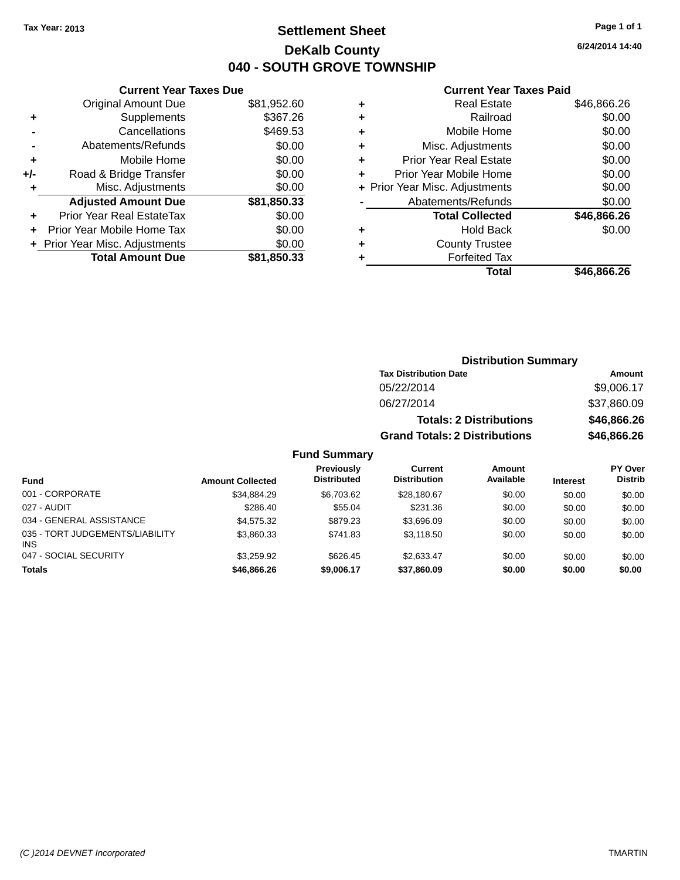## **Settlement Sheet Tax Year: 2013 Page 1 of 1 DeKalb County 040 - SOUTH GROVE TOWNSHIP**

**6/24/2014 14:40**

#### **Current Year Taxes Paid**

| <b>Original Amount Due</b> | \$81,952.60                                                     |
|----------------------------|-----------------------------------------------------------------|
| Supplements                | \$367.26                                                        |
| Cancellations              | \$469.53                                                        |
| Abatements/Refunds         | \$0.00                                                          |
| Mobile Home                | \$0.00                                                          |
| Road & Bridge Transfer     | \$0.00                                                          |
| Misc. Adjustments          | \$0.00                                                          |
| <b>Adjusted Amount Due</b> | \$81,850.33                                                     |
| Prior Year Real EstateTax  | \$0.00                                                          |
| Prior Year Mobile Home Tax | \$0.00                                                          |
|                            | \$0.00                                                          |
| <b>Total Amount Due</b>    | \$81,850.33                                                     |
|                            | <b>Current Year Taxes Due</b><br>+ Prior Year Misc. Adjustments |

| ٠ | <b>Real Estate</b>             | \$46,866.26 |
|---|--------------------------------|-------------|
| ٠ | Railroad                       | \$0.00      |
| ٠ | Mobile Home                    | \$0.00      |
| ٠ | Misc. Adjustments              | \$0.00      |
| ٠ | <b>Prior Year Real Estate</b>  | \$0.00      |
| ÷ | Prior Year Mobile Home         | \$0.00      |
|   | + Prior Year Misc. Adjustments | \$0.00      |
|   | Abatements/Refunds             | \$0.00      |
|   | <b>Total Collected</b>         | \$46,866.26 |
| ٠ | <b>Hold Back</b>               | \$0.00      |
| ٠ | <b>County Trustee</b>          |             |
| ٠ | <b>Forfeited Tax</b>           |             |
|   | Total                          | \$46,866.26 |
|   |                                |             |

| <b>Distribution Summary</b>          |             |
|--------------------------------------|-------------|
| <b>Tax Distribution Date</b>         | Amount      |
| 05/22/2014                           | \$9,006.17  |
| 06/27/2014                           | \$37,860.09 |
| <b>Totals: 2 Distributions</b>       | \$46,866.26 |
| <b>Grand Totals: 2 Distributions</b> | \$46,866.26 |
|                                      |             |

### **Fund Summary**

| <b>Fund</b>                                   | <b>Amount Collected</b> | Previously<br><b>Distributed</b> | Current<br><b>Distribution</b> | Amount<br>Available | <b>Interest</b> | <b>PY Over</b><br><b>Distrib</b> |
|-----------------------------------------------|-------------------------|----------------------------------|--------------------------------|---------------------|-----------------|----------------------------------|
| 001 - CORPORATE                               | \$34.884.29             | \$6.703.62                       | \$28,180.67                    | \$0.00              | \$0.00          | \$0.00                           |
| 027 - AUDIT                                   | \$286.40                | \$55.04                          | \$231.36                       | \$0.00              | \$0.00          | \$0.00                           |
| 034 - GENERAL ASSISTANCE                      | \$4.575.32              | \$879.23                         | \$3.696.09                     | \$0.00              | \$0.00          | \$0.00                           |
| 035 - TORT JUDGEMENTS/LIABILITY<br><b>INS</b> | \$3,860.33              | \$741.83                         | \$3.118.50                     | \$0.00              | \$0.00          | \$0.00                           |
| 047 - SOCIAL SECURITY                         | \$3.259.92              | \$626.45                         | \$2.633.47                     | \$0.00              | \$0.00          | \$0.00                           |
| Totals                                        | \$46,866.26             | \$9,006.17                       | \$37,860.09                    | \$0.00              | \$0.00          | \$0.00                           |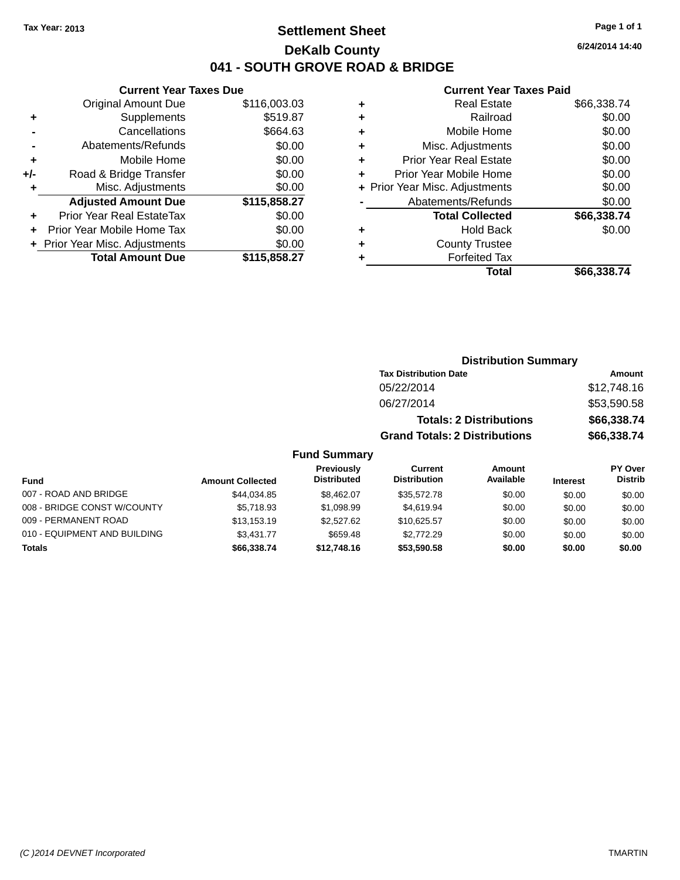## **Settlement Sheet Tax Year: 2013 Page 1 of 1 DeKalb County 041 - SOUTH GROVE ROAD & BRIDGE**

**6/24/2014 14:40**

### **Current Year Taxes Paid**

|     | <b>Current Year Taxes Due</b>  |              |
|-----|--------------------------------|--------------|
|     | <b>Original Amount Due</b>     | \$116,003.03 |
| ٠   | Supplements                    | \$519.87     |
|     | Cancellations                  | \$664.63     |
|     | Abatements/Refunds             | \$0.00       |
| ٠   | Mobile Home                    | \$0.00       |
| +/- | Road & Bridge Transfer         | \$0.00       |
| ٠   | Misc. Adjustments              | \$0.00       |
|     | <b>Adjusted Amount Due</b>     | \$115,858.27 |
|     | Prior Year Real EstateTax      | \$0.00       |
|     | Prior Year Mobile Home Tax     | \$0.00       |
|     | + Prior Year Misc. Adjustments | \$0.00       |
|     | <b>Total Amount Due</b>        | \$115,858.27 |
|     |                                |              |

| ٠ | <b>Real Estate</b>             | \$66,338.74 |
|---|--------------------------------|-------------|
| ٠ | Railroad                       | \$0.00      |
| ٠ | Mobile Home                    | \$0.00      |
| ٠ | Misc. Adjustments              | \$0.00      |
| ٠ | <b>Prior Year Real Estate</b>  | \$0.00      |
| ٠ | Prior Year Mobile Home         | \$0.00      |
|   | + Prior Year Misc. Adjustments | \$0.00      |
|   | Abatements/Refunds             | \$0.00      |
|   | <b>Total Collected</b>         | \$66,338.74 |
| ٠ | Hold Back                      | \$0.00      |
| ٠ | <b>County Trustee</b>          |             |
| ٠ | <b>Forfeited Tax</b>           |             |
|   | Total                          | \$66,338.74 |
|   |                                |             |

|                     | <b>Distribution Summary</b>          |             |
|---------------------|--------------------------------------|-------------|
|                     | <b>Tax Distribution Date</b>         | Amount      |
|                     | 05/22/2014                           | \$12,748.16 |
|                     | 06/27/2014                           | \$53,590.58 |
|                     | <b>Totals: 2 Distributions</b>       | \$66,338.74 |
|                     | <b>Grand Totals: 2 Distributions</b> | \$66,338.74 |
| <b>Fund Summary</b> |                                      |             |

#### **Fund Interest Amount Collected Distributed PY Over Distrib Amount Available Current Distribution Previously** 007 - ROAD AND BRIDGE 60.00 \$144,034.85 \$8,462.07 \$35,572.78 \$0.00 \$0.00 \$0.00 \$0.00 008 - BRIDGE CONST W/COUNTY  $$5,718.93$   $$1,098.99$   $$4,619.94$  \$0.00  $$0.00$  \$0.00 \$0.00 009 - PERMANENT ROAD \$13,153.19 \$2,527.62 \$10,625.57 \$0.00 \$0.00 \$0.00 \$0.00 010 - EQUIPMENT AND BUILDING \$3,431.77 \$659.48 \$2,772.29 \$0.00 \$0.00 \$0.00 \$0.00 **Totals \$66,338.74 \$12,748.16 \$53,590.58 \$0.00 \$0.00 \$0.00**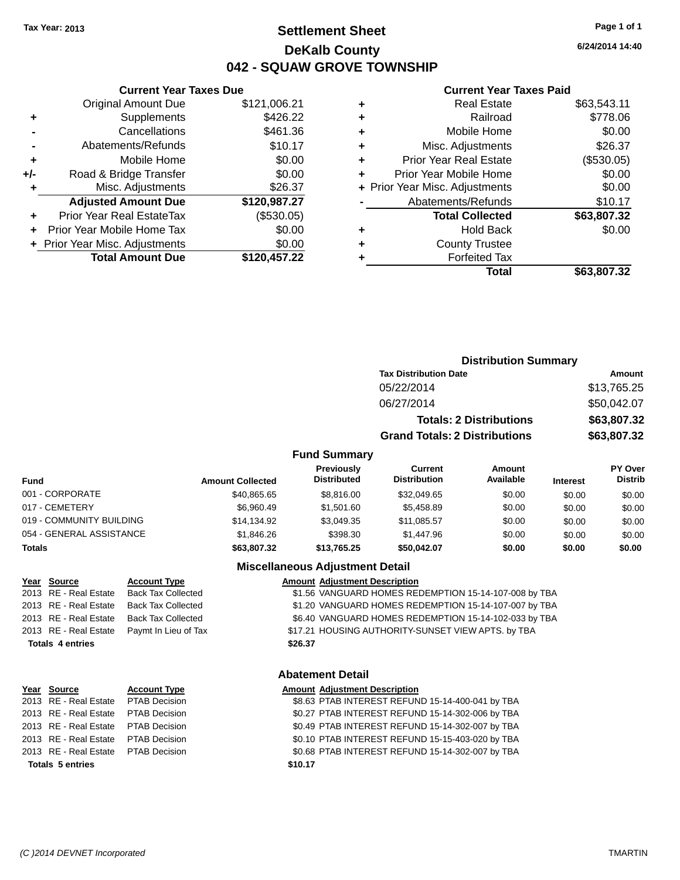## **Settlement Sheet Tax Year: 2013 Page 1 of 1 DeKalb County 042 - SQUAW GROVE TOWNSHIP**

**6/24/2014 14:40**

#### **Current Year Taxes Paid**

|       | <b>Total Amount Due</b>        | \$120,457.22 |
|-------|--------------------------------|--------------|
|       | + Prior Year Misc. Adjustments | \$0.00       |
|       | Prior Year Mobile Home Tax     | \$0.00       |
|       | Prior Year Real EstateTax      | (\$530.05)   |
|       | <b>Adjusted Amount Due</b>     | \$120,987.27 |
|       | Misc. Adjustments              | \$26.37      |
| $+/-$ | Road & Bridge Transfer         | \$0.00       |
| ٠     | Mobile Home                    | \$0.00       |
|       | Abatements/Refunds             | \$10.17      |
|       | Cancellations                  | \$461.36     |
| ٠     | Supplements                    | \$426.22     |
|       | <b>Original Amount Due</b>     | \$121,006.21 |
|       |                                |              |

**Current Year Taxes Due**

|   | Real Estate                    | \$63,543.11 |
|---|--------------------------------|-------------|
| ٠ | Railroad                       | \$778.06    |
| ٠ | Mobile Home                    | \$0.00      |
| ٠ | Misc. Adjustments              | \$26.37     |
| ٠ | <b>Prior Year Real Estate</b>  | (\$530.05)  |
| ٠ | Prior Year Mobile Home         | \$0.00      |
|   | + Prior Year Misc. Adjustments | \$0.00      |
|   | Abatements/Refunds             | \$10.17     |
|   | <b>Total Collected</b>         | \$63,807.32 |
| ٠ | Hold Back                      | \$0.00      |
| ٠ | <b>County Trustee</b>          |             |
| ٠ | <b>Forfeited Tax</b>           |             |
|   | Total                          | \$63,807.32 |
|   |                                |             |

|      | <b>Distribution Summary</b>          |             |
|------|--------------------------------------|-------------|
|      | <b>Tax Distribution Date</b>         | Amount      |
|      | 05/22/2014                           | \$13,765.25 |
|      | 06/27/2014                           | \$50,042.07 |
|      | <b>Totals: 2 Distributions</b>       | \$63,807.32 |
|      | <b>Grand Totals: 2 Distributions</b> | \$63,807.32 |
| narv |                                      |             |

#### **Fund Summary**

| <b>Fund</b>              | <b>Amount Collected</b> | Previously<br><b>Distributed</b> | Current<br><b>Distribution</b> | Amount<br>Available | <b>Interest</b> | <b>PY Over</b><br><b>Distrib</b> |
|--------------------------|-------------------------|----------------------------------|--------------------------------|---------------------|-----------------|----------------------------------|
| 001 - CORPORATE          | \$40,865.65             | \$8,816,00                       | \$32,049.65                    | \$0.00              | \$0.00          | \$0.00                           |
| 017 - CEMETERY           | \$6,960.49              | \$1,501.60                       | \$5.458.89                     | \$0.00              | \$0.00          | \$0.00                           |
| 019 - COMMUNITY BUILDING | \$14.134.92             | \$3.049.35                       | \$11,085.57                    | \$0.00              | \$0.00          | \$0.00                           |
| 054 - GENERAL ASSISTANCE | \$1,846,26              | \$398.30                         | \$1,447.96                     | \$0.00              | \$0.00          | \$0.00                           |
| <b>Totals</b>            | \$63,807.32             | \$13,765.25                      | \$50,042.07                    | \$0.00              | \$0.00          | \$0.00                           |

#### **Miscellaneous Adjustment Detail**

### **Year Source Account Type Amount Adjustment Description**

| \$26.37 |                                                       |  |  |  |
|---------|-------------------------------------------------------|--|--|--|
|         | \$17.21 HOUSING AUTHORITY-SUNSET VIEW APTS. by TBA    |  |  |  |
|         | \$6.40 VANGUARD HOMES REDEMPTION 15-14-102-033 by TBA |  |  |  |
|         | \$1.20 VANGUARD HOMES REDEMPTION 15-14-107-007 by TBA |  |  |  |
|         | \$1.56 VANGUARD HOMES REDEMPTION 15-14-107-008 by TBA |  |  |  |
|         |                                                       |  |  |  |

#### **Abatement Detail**

#### **Year Source Account Type Amount Adjustment Description**

|  |  |  | \$8.63 PTAB INTEREST REFUND 15-14-400-041 by TBA<br>\$0.27 PTAB INTEREST REFUND 15-14-302-006 by TBA<br>\$0.49 PTAB INTEREST REFUND 15-14-302-007 by TBA<br>\$0.10 PTAB INTEREST REFUND 15-15-403-020 by TBA<br>\$0.68 PTAB INTEREST REFUND 15-14-302-007 by TBA |
|--|--|--|------------------------------------------------------------------------------------------------------------------------------------------------------------------------------------------------------------------------------------------------------------------|

### $\overline{12013}$  RE - Real Estate Back Tax Collected 2013 RE - Real Estate Back Tax Collected 2013 RE - Real Estate Back Tax Collected 2013 RE - Real Estate Paymt In Lieu of Tax  $Totals$  **4** entries

2013 RE - Real Estate PTAB Decision 2013 RE - Real Estate PTAB Decision 2013 RE - Real Estate PTAB Decision 2013 RE - Real Estate PTAB Decision 2013 RE - Real Estate PTAB Decision **Totals 5 entries**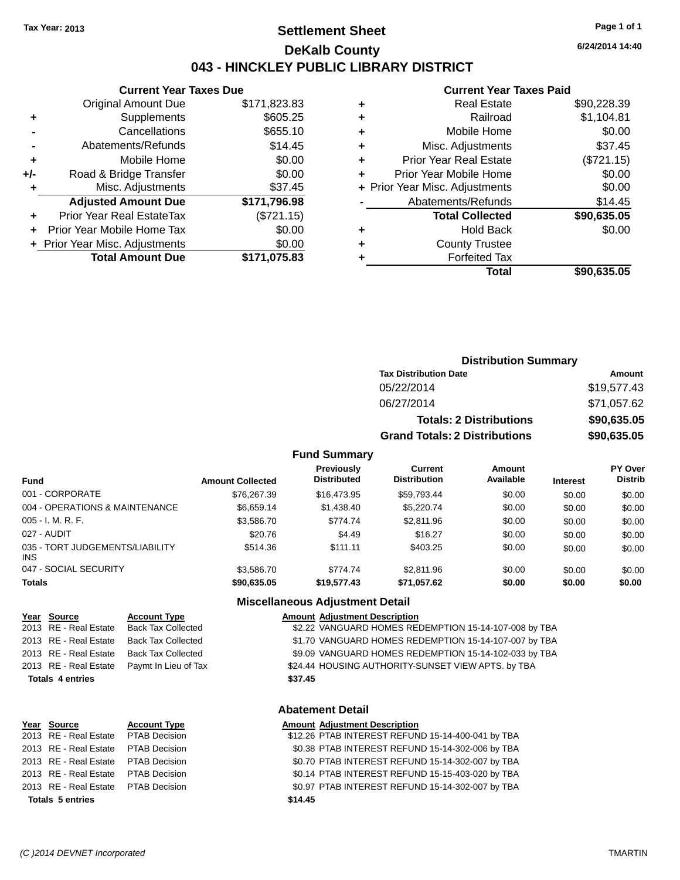## **Settlement Sheet Tax Year: 2013 Page 1 of 1 DeKalb County 043 - HINCKLEY PUBLIC LIBRARY DISTRICT**

**6/24/2014 14:40**

## **Current Year Taxes Paid**

|     | <b>Current Year Taxes Due</b>  |              |
|-----|--------------------------------|--------------|
|     | <b>Original Amount Due</b>     | \$171,823.83 |
| ٠   | Supplements                    | \$605.25     |
|     | Cancellations                  | \$655.10     |
|     | Abatements/Refunds             | \$14.45      |
| ٠   | Mobile Home                    | \$0.00       |
| +/- | Road & Bridge Transfer         | \$0.00       |
|     | Misc. Adjustments              | \$37.45      |
|     | <b>Adjusted Amount Due</b>     | \$171,796.98 |
|     | Prior Year Real EstateTax      | (\$721.15)   |
|     | Prior Year Mobile Home Tax     | \$0.00       |
|     | + Prior Year Misc. Adjustments | \$0.00       |
|     | <b>Total Amount Due</b>        | \$171.075.83 |
|     |                                |              |

|   | Total                          | \$90,635.05 |
|---|--------------------------------|-------------|
| ٠ | <b>Forfeited Tax</b>           |             |
| ٠ | <b>County Trustee</b>          |             |
| ٠ | <b>Hold Back</b>               | \$0.00      |
|   | <b>Total Collected</b>         | \$90,635.05 |
|   | Abatements/Refunds             | \$14.45     |
|   | + Prior Year Misc. Adjustments | \$0.00      |
| ٠ | Prior Year Mobile Home         | \$0.00      |
| ٠ | <b>Prior Year Real Estate</b>  | (\$721.15)  |
| ٠ | Misc. Adjustments              | \$37.45     |
| ٠ | Mobile Home                    | \$0.00      |
| ٠ | Railroad                       | \$1,104.81  |
| ٠ | <b>Real Estate</b>             | \$90.228.39 |
|   |                                |             |

| <b>Distribution Summary</b>          |             |  |  |  |  |
|--------------------------------------|-------------|--|--|--|--|
| <b>Tax Distribution Date</b>         | Amount      |  |  |  |  |
| 05/22/2014                           | \$19,577.43 |  |  |  |  |
| 06/27/2014                           | \$71,057.62 |  |  |  |  |
| <b>Totals: 2 Distributions</b>       | \$90,635.05 |  |  |  |  |
| <b>Grand Totals: 2 Distributions</b> | \$90,635.05 |  |  |  |  |

#### **Fund Summary**

| <b>Fund</b>                             | <b>Amount Collected</b> | Previously<br><b>Distributed</b> | Current<br><b>Distribution</b> | Amount<br>Available | <b>Interest</b> | <b>PY Over</b><br><b>Distrib</b> |
|-----------------------------------------|-------------------------|----------------------------------|--------------------------------|---------------------|-----------------|----------------------------------|
| 001 - CORPORATE                         | \$76,267.39             | \$16,473.95                      | \$59.793.44                    | \$0.00              | \$0.00          | \$0.00                           |
| 004 - OPERATIONS & MAINTENANCE          | \$6.659.14              | \$1,438,40                       | \$5,220,74                     | \$0.00              | \$0.00          | \$0.00                           |
| $005 - I. M. R. F.$                     | \$3,586.70              | \$774.74                         | \$2,811.96                     | \$0.00              | \$0.00          | \$0.00                           |
| 027 - AUDIT                             | \$20.76                 | \$4.49                           | \$16.27                        | \$0.00              | \$0.00          | \$0.00                           |
| 035 - TORT JUDGEMENTS/LIABILITY<br>INS. | \$514.36                | \$111.11                         | \$403.25                       | \$0.00              | \$0.00          | \$0.00                           |
| 047 - SOCIAL SECURITY                   | \$3.586.70              | \$774.74                         | \$2,811.96                     | \$0.00              | \$0.00          | \$0.00                           |
| <b>Totals</b>                           | \$90.635.05             | \$19,577.43                      | \$71,057.62                    | \$0.00              | \$0.00          | \$0.00                           |

### **Miscellaneous Adjustment Detail**

| Year Source             | <b>Account Type</b>                        | <b>Amount Adjustment Description</b>                  |
|-------------------------|--------------------------------------------|-------------------------------------------------------|
| 2013 RE - Real Estate   | <b>Back Tax Collected</b>                  | \$2.22 VANGUARD HOMES REDEMPTION 15-14-107-008 by TBA |
| 2013 RE - Real Estate   | Back Tax Collected                         | \$1.70 VANGUARD HOMES REDEMPTION 15-14-107-007 by TBA |
|                         | 2013 RE - Real Estate Back Tax Collected   | \$9.09 VANGUARD HOMES REDEMPTION 15-14-102-033 by TBA |
|                         | 2013 RE - Real Estate Paymt In Lieu of Tax | \$24.44 HOUSING AUTHORITY-SUNSET VIEW APTS. by TBA    |
| <b>Totals 4 entries</b> |                                            | \$37.45                                               |

### **Abatement Detail**

| Year Source                          | <b>Account Type</b> |         | <b>Amount Adjustment Description</b>              |
|--------------------------------------|---------------------|---------|---------------------------------------------------|
| 2013 RE - Real Estate  PTAB Decision |                     |         | \$12.26 PTAB INTEREST REFUND 15-14-400-041 by TBA |
| 2013 RE - Real Estate PTAB Decision  |                     |         | \$0.38 PTAB INTEREST REFUND 15-14-302-006 by TBA  |
| 2013 RE - Real Estate  PTAB Decision |                     |         | \$0.70 PTAB INTEREST REFUND 15-14-302-007 by TBA  |
| 2013 RE - Real Estate PTAB Decision  |                     |         | \$0.14 PTAB INTEREST REFUND 15-15-403-020 by TBA  |
| 2013 RE - Real Estate PTAB Decision  |                     |         | \$0.97 PTAB INTEREST REFUND 15-14-302-007 by TBA  |
| <b>Totals 5 entries</b>              |                     | \$14.45 |                                                   |
|                                      |                     |         |                                                   |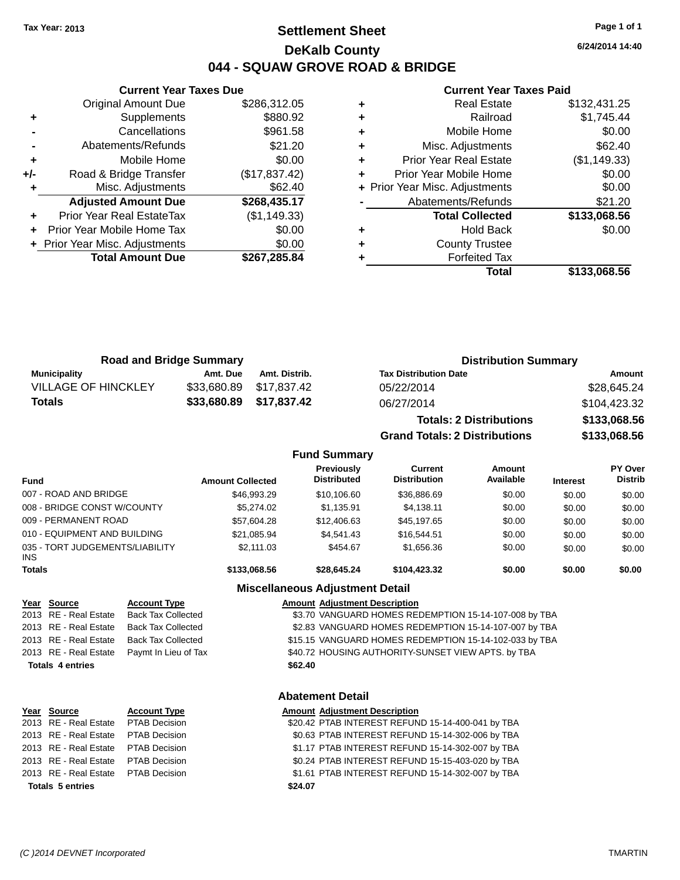## **Settlement Sheet Tax Year: 2013 Page 1 of 1 DeKalb County 044 - SQUAW GROVE ROAD & BRIDGE**

**6/24/2014 14:40**

### **Current Year Taxes Paid**

|     | <b>Current Year Taxes Due</b>  |               |  |  |  |  |
|-----|--------------------------------|---------------|--|--|--|--|
|     | <b>Original Amount Due</b>     | \$286,312.05  |  |  |  |  |
| ٠   | Supplements                    | \$880.92      |  |  |  |  |
|     | Cancellations                  | \$961.58      |  |  |  |  |
|     | Abatements/Refunds             | \$21.20       |  |  |  |  |
| ٠   | Mobile Home                    | \$0.00        |  |  |  |  |
| +/- | Road & Bridge Transfer         | (\$17,837.42) |  |  |  |  |
| ۰   | Misc. Adjustments              | \$62.40       |  |  |  |  |
|     | <b>Adjusted Amount Due</b>     | \$268,435.17  |  |  |  |  |
|     | Prior Year Real EstateTax      | (\$1,149.33)  |  |  |  |  |
|     | Prior Year Mobile Home Tax     | \$0.00        |  |  |  |  |
|     | + Prior Year Misc. Adjustments | \$0.00        |  |  |  |  |
|     | <b>Total Amount Due</b>        | \$267,285.84  |  |  |  |  |
|     |                                |               |  |  |  |  |

|   | Total                          | \$133,068.56 |
|---|--------------------------------|--------------|
|   | <b>Forfeited Tax</b>           |              |
| ٠ | <b>County Trustee</b>          |              |
| ٠ | <b>Hold Back</b>               | \$0.00       |
|   | <b>Total Collected</b>         | \$133,068.56 |
|   | Abatements/Refunds             | \$21.20      |
|   | + Prior Year Misc. Adjustments | \$0.00       |
| ٠ | Prior Year Mobile Home         | \$0.00       |
| ٠ | <b>Prior Year Real Estate</b>  | (\$1,149.33) |
| ٠ | Misc. Adjustments              | \$62.40      |
| ٠ | Mobile Home                    | \$0.00       |
| ٠ | Railroad                       | \$1,745.44   |
|   | <b>Real Estate</b>             | \$132,431.25 |

|                            | <b>Road and Bridge Summary</b> |                         | <b>Distribution Summary</b>  |              |
|----------------------------|--------------------------------|-------------------------|------------------------------|--------------|
| Municipality               | Amt. Due                       | Amt. Distrib.           | <b>Tax Distribution Date</b> | Amount       |
| <b>VILLAGE OF HINCKLEY</b> |                                | \$33,680.89 \$17,837.42 | 05/22/2014                   | \$28,645.24  |
| <b>Totals</b>              | \$33,680.89 \$17,837.42        |                         | 06/27/2014                   | \$104,423.32 |

| <b>Totals: 2 Distributions</b>       | \$133,068.56 |
|--------------------------------------|--------------|
| <b>Grand Totals: 2 Distributions</b> | \$133,068.56 |

#### **Fund Summary**

| <b>Fund</b>                                   | <b>Amount Collected</b> | <b>Previously</b><br><b>Distributed</b> | Current<br><b>Distribution</b> | Amount<br>Available | <b>Interest</b> | <b>PY Over</b><br><b>Distrib</b> |
|-----------------------------------------------|-------------------------|-----------------------------------------|--------------------------------|---------------------|-----------------|----------------------------------|
| 007 - ROAD AND BRIDGE                         | \$46,993,29             | \$10.106.60                             | \$36,886,69                    | \$0.00              | \$0.00          | \$0.00                           |
| 008 - BRIDGE CONST W/COUNTY                   | \$5.274.02              | \$1.135.91                              | \$4,138.11                     | \$0.00              | \$0.00          | \$0.00                           |
| 009 - PERMANENT ROAD                          | \$57,604.28             | \$12,406.63                             | \$45.197.65                    | \$0.00              | \$0.00          | \$0.00                           |
| 010 - EQUIPMENT AND BUILDING                  | \$21,085.94             | \$4.541.43                              | \$16.544.51                    | \$0.00              | \$0.00          | \$0.00                           |
| 035 - TORT JUDGEMENTS/LIABILITY<br><b>INS</b> | \$2.111.03              | \$454.67                                | \$1,656,36                     | \$0.00              | \$0.00          | \$0.00                           |
| <b>Totals</b>                                 | \$133,068.56            | \$28,645.24                             | \$104.423.32                   | \$0.00              | \$0.00          | \$0.00                           |

#### **Miscellaneous Adjustment Detail**

# **Year Source Account Type Amount Adjustment Description**

\$3.70 VANGUARD HOMES REDEMPTION 15-14-107-008 by TBA 2013 RE - Real Estate Back Tax Collected \$2.83 VANGUARD HOMES REDEMPTION 15-14-107-007 by TBA 2013 RE - Real Estate Back Tax Collected \$15.15 VANGUARD HOMES REDEMPTION 15-14-102-033 by TBA 2013 RE - Real Estate Paymt In Lieu of Tax \$40.72 HOUSING AUTHORITY-SUNSET VIEW APTS. by TBA **Totals 4 entries \$62.40**

## **Abatement Detail**

| Year Source                          | <b>Account Type</b> |         | <b>Amount Adjustment Description</b>              |  |  |
|--------------------------------------|---------------------|---------|---------------------------------------------------|--|--|
| 2013 RE - Real Estate  PTAB Decision |                     |         | \$20.42 PTAB INTEREST REFUND 15-14-400-041 by TBA |  |  |
| 2013 RE - Real Estate PTAB Decision  |                     |         | \$0.63 PTAB INTEREST REFUND 15-14-302-006 by TBA  |  |  |
| 2013 RE - Real Estate PTAB Decision  |                     |         | \$1.17 PTAB INTEREST REFUND 15-14-302-007 by TBA  |  |  |
| 2013 RE - Real Estate PTAB Decision  |                     |         | \$0.24 PTAB INTEREST REFUND 15-15-403-020 by TBA  |  |  |
| 2013 RE - Real Estate PTAB Decision  |                     |         | \$1.61 PTAB INTEREST REFUND 15-14-302-007 by TBA  |  |  |
| <b>Totals 5 entries</b>              |                     | \$24.07 |                                                   |  |  |
|                                      |                     |         |                                                   |  |  |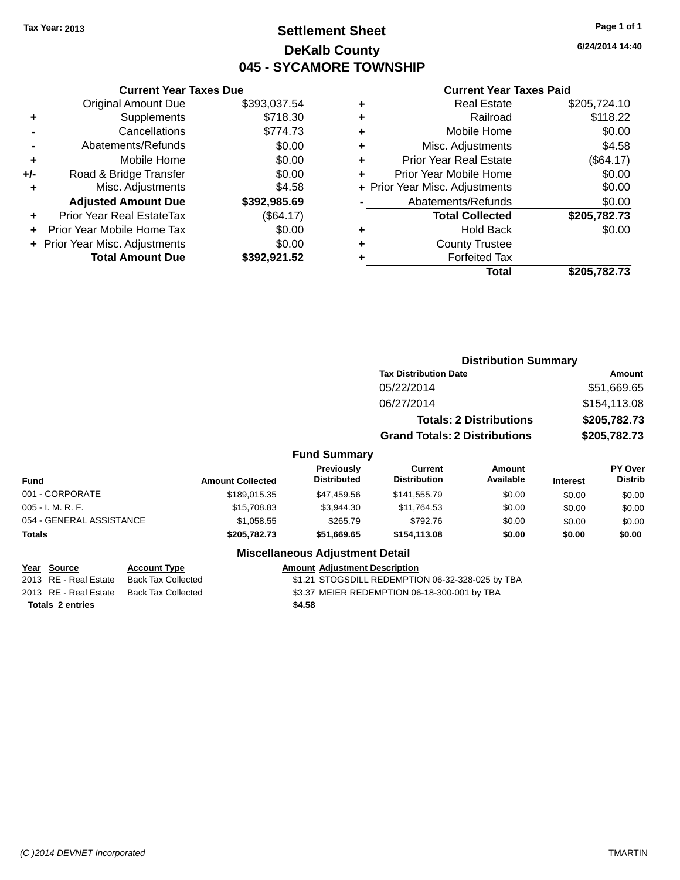## **Settlement Sheet Tax Year: 2013 Page 1 of 1 DeKalb County 045 - SYCAMORE TOWNSHIP**

**6/24/2014 14:40**

#### **Current Year Taxes Paid**

|       | <b>Current Year Taxes Due</b>  |              |  |  |  |  |
|-------|--------------------------------|--------------|--|--|--|--|
|       | <b>Original Amount Due</b>     | \$393,037.54 |  |  |  |  |
| ٠     | Supplements                    | \$718.30     |  |  |  |  |
|       | Cancellations                  | \$774.73     |  |  |  |  |
|       | Abatements/Refunds             | \$0.00       |  |  |  |  |
| ٠     | Mobile Home                    | \$0.00       |  |  |  |  |
| $+/-$ | Road & Bridge Transfer         | \$0.00       |  |  |  |  |
|       | Misc. Adjustments              | \$4.58       |  |  |  |  |
|       | <b>Adjusted Amount Due</b>     | \$392,985.69 |  |  |  |  |
| ٠     | Prior Year Real EstateTax      | (\$64.17)    |  |  |  |  |
|       | Prior Year Mobile Home Tax     | \$0.00       |  |  |  |  |
|       | + Prior Year Misc. Adjustments | \$0.00       |  |  |  |  |
|       | <b>Total Amount Due</b>        | \$392,921.52 |  |  |  |  |
|       |                                |              |  |  |  |  |

| ٠ | <b>Real Estate</b>             | \$205,724.10 |
|---|--------------------------------|--------------|
| ٠ | Railroad                       | \$118.22     |
| ٠ | Mobile Home                    | \$0.00       |
| ٠ | Misc. Adjustments              | \$4.58       |
| ٠ | <b>Prior Year Real Estate</b>  | (\$64.17)    |
| ٠ | Prior Year Mobile Home         | \$0.00       |
|   | + Prior Year Misc. Adjustments | \$0.00       |
|   | Abatements/Refunds             | \$0.00       |
|   | <b>Total Collected</b>         | \$205,782.73 |
| ٠ | Hold Back                      | \$0.00       |
| ٠ | <b>County Trustee</b>          |              |
| ٠ | <b>Forfeited Tax</b>           |              |
|   | Total                          | \$205,782.73 |
|   |                                |              |

|                     | <b>Distribution Summary</b>          |              |
|---------------------|--------------------------------------|--------------|
|                     | <b>Tax Distribution Date</b>         | Amount       |
|                     | 05/22/2014                           | \$51,669.65  |
|                     | 06/27/2014                           | \$154,113.08 |
|                     | <b>Totals: 2 Distributions</b>       | \$205,782.73 |
|                     | <b>Grand Totals: 2 Distributions</b> | \$205,782.73 |
| <b>Fund Summary</b> |                                      |              |

| Fund                     | <b>Amount Collected</b> | <b>Previously</b><br><b>Distributed</b> | Current<br><b>Distribution</b> | Amount<br>Available | <b>Interest</b> | <b>PY Over</b><br><b>Distrib</b> |
|--------------------------|-------------------------|-----------------------------------------|--------------------------------|---------------------|-----------------|----------------------------------|
| 001 - CORPORATE          | \$189,015.35            | \$47.459.56                             | \$141.555.79                   | \$0.00              | \$0.00          | \$0.00                           |
| $005 - I. M. R. F.$      | \$15,708.83             | \$3.944.30                              | \$11,764.53                    | \$0.00              | \$0.00          | \$0.00                           |
| 054 - GENERAL ASSISTANCE | \$1,058.55              | \$265.79                                | \$792.76                       | \$0.00              | \$0.00          | \$0.00                           |
| Totals                   | \$205,782.73            | \$51,669.65                             | \$154,113,08                   | \$0.00              | \$0.00          | \$0.00                           |

### **Miscellaneous Adjustment Detail**

| Year Source             | <b>Account Type</b>                      | Amount |
|-------------------------|------------------------------------------|--------|
| 2013 RE - Real Estate   | Back Tax Collected                       | \$1.21 |
|                         | 2013 RE - Real Estate Back Tax Collected | \$3.37 |
| <b>Totals 2 entries</b> |                                          | \$4.58 |

**Peart Source III Account Adjustment Description** ected **31.21 STOGSDILL REDEMPTION 06-32-328-025 by TBA** ected **2013 83.37 MEIER REDEMPTION 06-18-300-001 by TBA**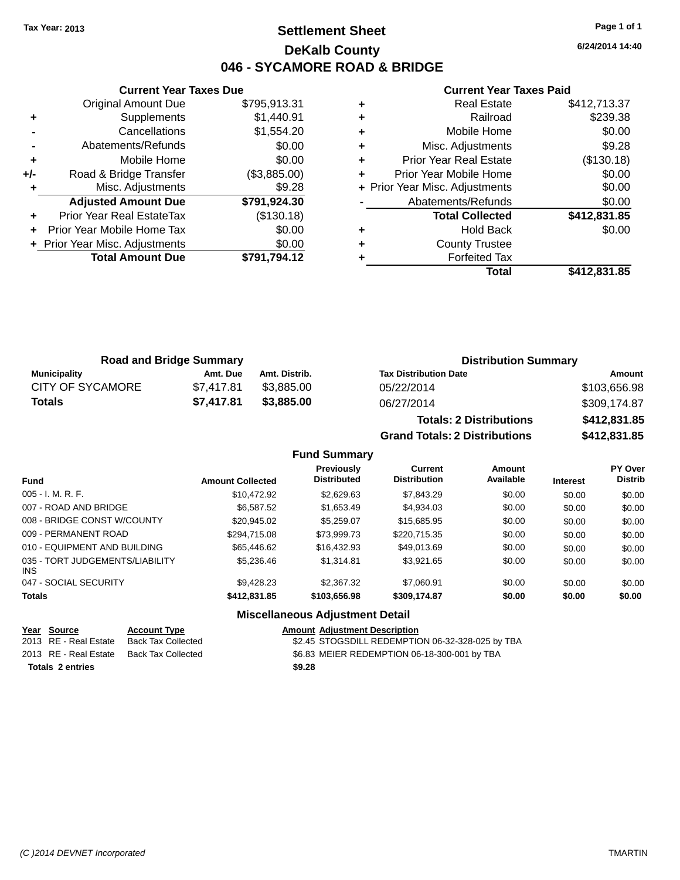## **Settlement Sheet Tax Year: 2013 Page 1 of 1 DeKalb County 046 - SYCAMORE ROAD & BRIDGE**

**6/24/2014 14:40**

#### **Current Year Taxes Paid**

|     | <b>Current Year Taxes Due</b>  |              |  |  |
|-----|--------------------------------|--------------|--|--|
|     | <b>Original Amount Due</b>     | \$795,913.31 |  |  |
| ٠   | Supplements                    | \$1,440.91   |  |  |
|     | Cancellations                  | \$1,554.20   |  |  |
|     | Abatements/Refunds             | \$0.00       |  |  |
| ٠   | Mobile Home                    | \$0.00       |  |  |
| +/- | Road & Bridge Transfer         | (\$3,885.00) |  |  |
|     | Misc. Adjustments              | \$9.28       |  |  |
|     | <b>Adjusted Amount Due</b>     | \$791,924.30 |  |  |
| ٠   | Prior Year Real EstateTax      | (\$130.18)   |  |  |
|     | Prior Year Mobile Home Tax     | \$0.00       |  |  |
|     | + Prior Year Misc. Adjustments | \$0.00       |  |  |
|     | <b>Total Amount Due</b>        | \$791,794.12 |  |  |
|     |                                |              |  |  |

|   | <b>Real Estate</b>             | \$412,713.37 |
|---|--------------------------------|--------------|
| ٠ | Railroad                       | \$239.38     |
| ٠ | Mobile Home                    | \$0.00       |
| ٠ | Misc. Adjustments              | \$9.28       |
| ٠ | <b>Prior Year Real Estate</b>  | (\$130.18)   |
| ٠ | Prior Year Mobile Home         | \$0.00       |
|   | + Prior Year Misc. Adjustments | \$0.00       |
|   | Abatements/Refunds             | \$0.00       |
|   | <b>Total Collected</b>         | \$412,831.85 |
| ٠ | <b>Hold Back</b>               | \$0.00       |
| ٠ | <b>County Trustee</b>          |              |
|   | <b>Forfeited Tax</b>           |              |
|   | Total                          | \$412,831.85 |

| <b>Road and Bridge Summary</b> |            |               | <b>Distribution Summary</b>  |              |  |
|--------------------------------|------------|---------------|------------------------------|--------------|--|
| <b>Municipality</b>            | Amt. Due   | Amt. Distrib. | <b>Tax Distribution Date</b> | Amount       |  |
| <b>CITY OF SYCAMORE</b>        | \$7.417.81 | \$3.885.00    | 05/22/2014                   | \$103,656.98 |  |
| Totals                         | \$7.417.81 | \$3,885,00    | 06/27/2014                   | \$309,174.87 |  |
|                                |            |               | _ _ _                        | **** *** **  |  |

| <b>Totals: 2 Distributions</b> | \$412,831.85 |
|--------------------------------|--------------|
| Grand Totals: 2 Distributions  | \$412,831.85 |

### **Fund Summary**

| <b>Fund</b>                                   | <b>Amount Collected</b> | <b>Previously</b><br><b>Distributed</b> | <b>Current</b><br><b>Distribution</b> | Amount<br>Available | <b>Interest</b> | <b>PY Over</b><br><b>Distrib</b> |
|-----------------------------------------------|-------------------------|-----------------------------------------|---------------------------------------|---------------------|-----------------|----------------------------------|
| $005 - I. M. R. F.$                           | \$10.472.92             | \$2,629.63                              | \$7,843.29                            | \$0.00              | \$0.00          | \$0.00                           |
| 007 - ROAD AND BRIDGE                         | \$6,587.52              | \$1,653.49                              | \$4,934.03                            | \$0.00              | \$0.00          | \$0.00                           |
| 008 - BRIDGE CONST W/COUNTY                   | \$20,945.02             | \$5,259.07                              | \$15,685.95                           | \$0.00              | \$0.00          | \$0.00                           |
| 009 - PERMANENT ROAD                          | \$294.715.08            | \$73,999.73                             | \$220,715.35                          | \$0.00              | \$0.00          | \$0.00                           |
| 010 - EQUIPMENT AND BUILDING                  | \$65,446.62             | \$16,432.93                             | \$49,013.69                           | \$0.00              | \$0.00          | \$0.00                           |
| 035 - TORT JUDGEMENTS/LIABILITY<br><b>INS</b> | \$5,236.46              | \$1.314.81                              | \$3.921.65                            | \$0.00              | \$0.00          | \$0.00                           |
| 047 - SOCIAL SECURITY                         | \$9,428.23              | \$2,367,32                              | \$7.060.91                            | \$0.00              | \$0.00          | \$0.00                           |
| <b>Totals</b>                                 | \$412,831,85            | \$103,656,98                            | \$309,174.87                          | \$0.00              | \$0.00          | \$0.00                           |

#### **Miscellaneous Adjustment Detail**

#### **Year Source Account Type And Adjustment Description**

| \$9.28<br><b>Totals 2 entries</b>                                                               |  |
|-------------------------------------------------------------------------------------------------|--|
| \$6.83 MEIER REDEMPTION 06-18-300-001 by TBA<br>2013 RE - Real Estate Back Tax Collected        |  |
| \$2.45 STOGSDILL REDEMPTION 06-32-328-025 by TBA<br>2013 RE - Real Estate<br>Back Tax Collected |  |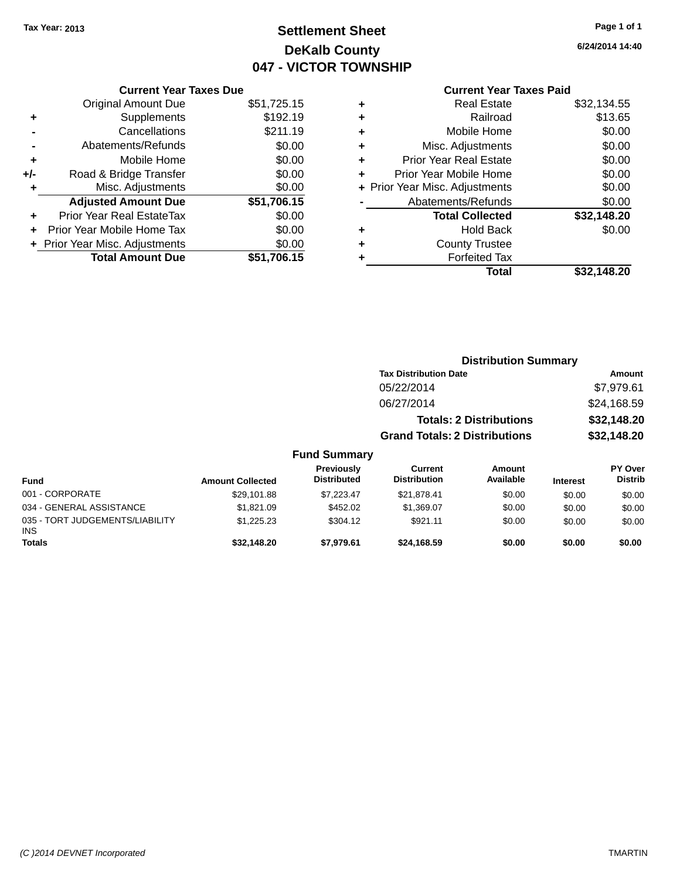## **Settlement Sheet Tax Year: 2013 Page 1 of 1 DeKalb County 047 - VICTOR TOWNSHIP**

**Totals \$32,148.20 \$7,979.61 \$24,168.59 \$0.00 \$0.00 \$0.00**

**6/24/2014 14:40**

### **Current Year Taxes Paid**

|     | <b>Current Year Taxes Due</b>  |             |  |  |  |
|-----|--------------------------------|-------------|--|--|--|
|     | <b>Original Amount Due</b>     | \$51,725.15 |  |  |  |
| ٠   | Supplements                    | \$192.19    |  |  |  |
|     | Cancellations                  | \$211.19    |  |  |  |
|     | Abatements/Refunds             | \$0.00      |  |  |  |
| ٠   | Mobile Home                    | \$0.00      |  |  |  |
| +/- | Road & Bridge Transfer         | \$0.00      |  |  |  |
|     | Misc. Adjustments              | \$0.00      |  |  |  |
|     | <b>Adjusted Amount Due</b>     | \$51,706.15 |  |  |  |
| ٠   | Prior Year Real EstateTax      | \$0.00      |  |  |  |
|     | Prior Year Mobile Home Tax     | \$0.00      |  |  |  |
|     | + Prior Year Misc. Adjustments | \$0.00      |  |  |  |
|     | <b>Total Amount Due</b>        | \$51,706.15 |  |  |  |
|     |                                |             |  |  |  |

|   | <b>Real Estate</b>             | \$32,134.55 |
|---|--------------------------------|-------------|
| ٠ | Railroad                       | \$13.65     |
| ٠ | Mobile Home                    | \$0.00      |
| ٠ | Misc. Adjustments              | \$0.00      |
| ٠ | <b>Prior Year Real Estate</b>  | \$0.00      |
| ٠ | Prior Year Mobile Home         | \$0.00      |
|   | + Prior Year Misc. Adjustments | \$0.00      |
|   | Abatements/Refunds             | \$0.00      |
|   | <b>Total Collected</b>         | \$32,148.20 |
| ٠ | Hold Back                      | \$0.00      |
| ٠ | <b>County Trustee</b>          |             |
| ٠ | <b>Forfeited Tax</b>           |             |
|   | Total                          | \$32,148.20 |
|   |                                |             |

|                          |                         |                                  | <b>Distribution Summary</b>           |                                |                 |                           |  |
|--------------------------|-------------------------|----------------------------------|---------------------------------------|--------------------------------|-----------------|---------------------------|--|
|                          |                         |                                  | <b>Tax Distribution Date</b>          |                                |                 | Amount                    |  |
|                          |                         |                                  | 05/22/2014                            |                                |                 | \$7,979.61                |  |
|                          |                         |                                  | 06/27/2014                            |                                |                 | \$24,168.59               |  |
|                          |                         |                                  |                                       | <b>Totals: 2 Distributions</b> |                 | \$32,148.20               |  |
|                          |                         |                                  | <b>Grand Totals: 2 Distributions</b>  |                                |                 | \$32,148.20               |  |
|                          |                         | <b>Fund Summary</b>              |                                       |                                |                 |                           |  |
| Fund                     | <b>Amount Collected</b> | Previously<br><b>Distributed</b> | <b>Current</b><br><b>Distribution</b> | Amount<br>Available            | <b>Interest</b> | PY Over<br><b>Distrib</b> |  |
| 001 - CORPORATE          | \$29.101.88             | \$7.223.47                       | \$21,878.41                           | \$0.00                         | \$0.00          | \$0.00                    |  |
| 034 - GENERAL ASSISTANCE | \$1.821.09              | \$452.02                         | \$1.369.07                            | \$0.00                         | \$0.00          | \$0.00                    |  |

\$1,225.23 \$304.12 \$921.11 \$0.00 \$0.00 \$0.00

INS

035 - TORT JUDGEMENTS/LIABILITY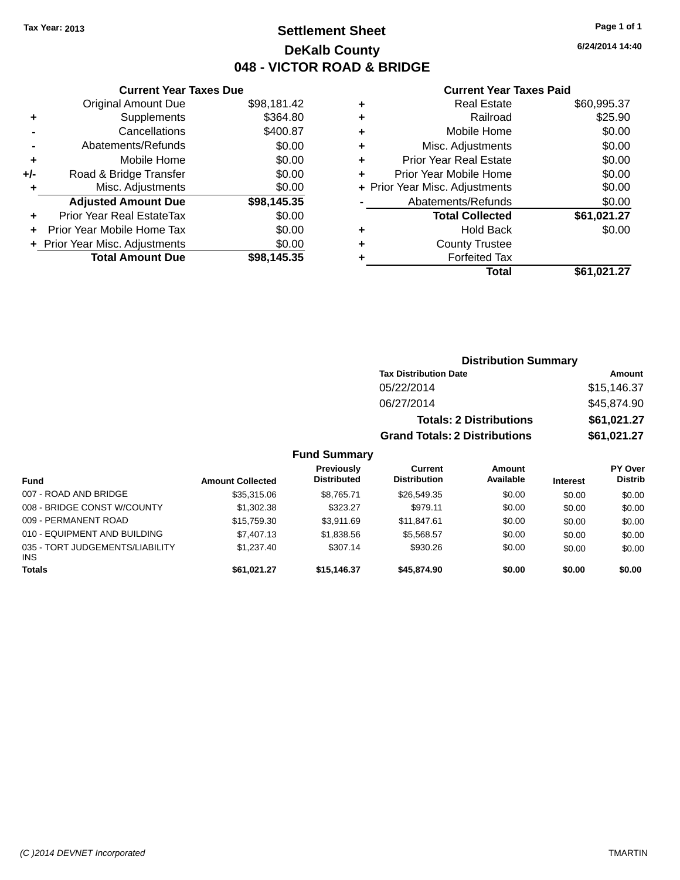## **Settlement Sheet Tax Year: 2013 Page 1 of 1 DeKalb County 048 - VICTOR ROAD & BRIDGE**

**6/24/2014 14:40**

#### **Current Year Taxes Paid**

|     | <b>Current Year Taxes Due</b>  |             |
|-----|--------------------------------|-------------|
|     | <b>Original Amount Due</b>     | \$98,181.42 |
| ٠   | Supplements                    | \$364.80    |
|     | Cancellations                  | \$400.87    |
|     | Abatements/Refunds             | \$0.00      |
| ÷   | Mobile Home                    | \$0.00      |
| +/- | Road & Bridge Transfer         | \$0.00      |
|     | Misc. Adjustments              | \$0.00      |
|     | <b>Adjusted Amount Due</b>     | \$98,145.35 |
| ÷   | Prior Year Real EstateTax      | \$0.00      |
|     | Prior Year Mobile Home Tax     | \$0.00      |
|     | + Prior Year Misc. Adjustments | \$0.00      |
|     | <b>Total Amount Due</b>        | \$98.145.35 |
|     |                                |             |

| ٠ | <b>Real Estate</b>             | \$60,995.37 |
|---|--------------------------------|-------------|
| ٠ | Railroad                       | \$25.90     |
| ٠ | Mobile Home                    | \$0.00      |
| ٠ | Misc. Adjustments              | \$0.00      |
| ٠ | <b>Prior Year Real Estate</b>  | \$0.00      |
| ٠ | Prior Year Mobile Home         | \$0.00      |
|   | + Prior Year Misc. Adjustments | \$0.00      |
|   | Abatements/Refunds             | \$0.00      |
|   | <b>Total Collected</b>         | \$61,021.27 |
| ٠ | <b>Hold Back</b>               | \$0.00      |
|   | <b>County Trustee</b>          |             |
| ٠ | <b>Forfeited Tax</b>           |             |
|   | Total                          | \$61,021.27 |
|   |                                |             |

| <b>Distribution Summary</b>          |             |  |  |  |
|--------------------------------------|-------------|--|--|--|
| <b>Tax Distribution Date</b>         | Amount      |  |  |  |
| 05/22/2014                           | \$15,146.37 |  |  |  |
| 06/27/2014                           | \$45,874.90 |  |  |  |
| <b>Totals: 2 Distributions</b>       | \$61,021.27 |  |  |  |
| <b>Grand Totals: 2 Distributions</b> | \$61,021.27 |  |  |  |

### **Fund Summary**

| Fund                                          | <b>Amount Collected</b> | Previously<br><b>Distributed</b> | Current<br><b>Distribution</b> | Amount<br>Available | <b>Interest</b> | <b>PY Over</b><br><b>Distrib</b> |
|-----------------------------------------------|-------------------------|----------------------------------|--------------------------------|---------------------|-----------------|----------------------------------|
| 007 - ROAD AND BRIDGE                         | \$35,315.06             | \$8.765.71                       | \$26,549.35                    | \$0.00              | \$0.00          | \$0.00                           |
| 008 - BRIDGE CONST W/COUNTY                   | \$1,302.38              | \$323.27                         | \$979.11                       | \$0.00              | \$0.00          | \$0.00                           |
| 009 - PERMANENT ROAD                          | \$15,759.30             | \$3.911.69                       | \$11.847.61                    | \$0.00              | \$0.00          | \$0.00                           |
| 010 - EQUIPMENT AND BUILDING                  | \$7,407.13              | \$1,838.56                       | \$5.568.57                     | \$0.00              | \$0.00          | \$0.00                           |
| 035 - TORT JUDGEMENTS/LIABILITY<br><b>INS</b> | \$1,237.40              | \$307.14                         | \$930.26                       | \$0.00              | \$0.00          | \$0.00                           |
| <b>Totals</b>                                 | \$61.021.27             | \$15.146.37                      | \$45,874.90                    | \$0.00              | \$0.00          | \$0.00                           |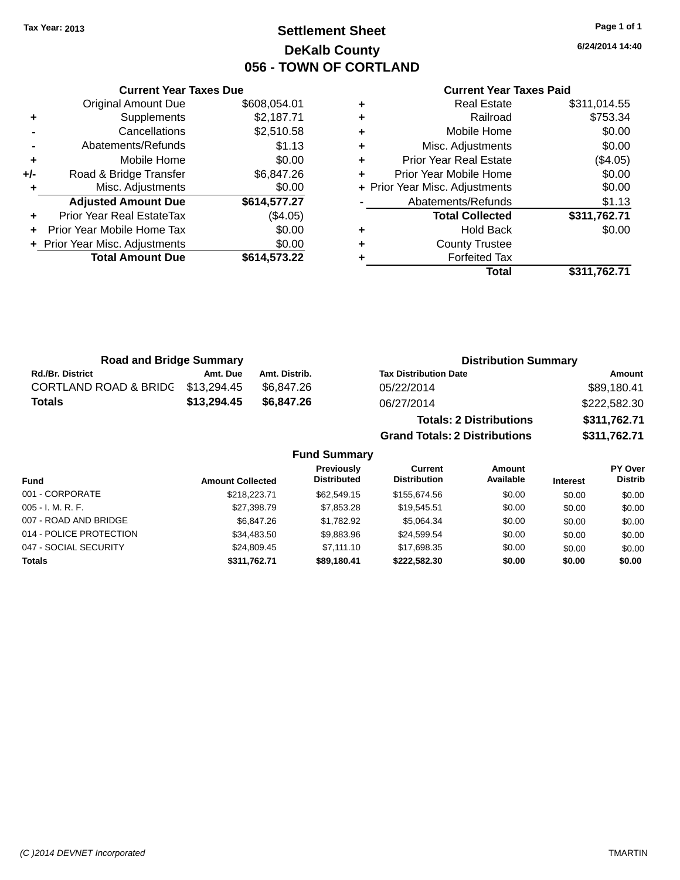## **Settlement Sheet Tax Year: 2013 Page 1 of 1 DeKalb County 056 - TOWN OF CORTLAND**

**6/24/2014 14:40**

#### **Current Year Taxes Paid**

|     | <b>Original Amount Due</b>     | \$608,054.01 |
|-----|--------------------------------|--------------|
| ٠   | Supplements                    | \$2,187.71   |
|     | Cancellations                  | \$2,510.58   |
|     | Abatements/Refunds             | \$1.13       |
| ٠   | Mobile Home                    | \$0.00       |
| +/- | Road & Bridge Transfer         | \$6,847.26   |
| ٠   | Misc. Adjustments              | \$0.00       |
|     | <b>Adjusted Amount Due</b>     | \$614,577.27 |
| ÷   | Prior Year Real EstateTax      | (\$4.05)     |
| ÷   | Prior Year Mobile Home Tax     | \$0.00       |
|     | + Prior Year Misc. Adjustments | \$0.00       |
|     | <b>Total Amount Due</b>        | \$614,573.22 |
|     |                                |              |

**Current Year Taxes Due**

|   | <b>Real Estate</b>             | \$311,014.55 |
|---|--------------------------------|--------------|
| ٠ | Railroad                       | \$753.34     |
| ٠ | Mobile Home                    | \$0.00       |
| ٠ | Misc. Adjustments              | \$0.00       |
| ٠ | Prior Year Real Estate         | (\$4.05)     |
| ٠ | Prior Year Mobile Home         | \$0.00       |
|   | + Prior Year Misc. Adjustments | \$0.00       |
|   | Abatements/Refunds             | \$1.13       |
|   | <b>Total Collected</b>         | \$311,762.71 |
| ٠ | <b>Hold Back</b>               | \$0.00       |
| ٠ | <b>County Trustee</b>          |              |
| ٠ | <b>Forfeited Tax</b>           |              |
|   | Total                          | \$311,762.71 |
|   |                                |              |

**Grand Totals: 2 Distributions \$311,762.71**

| <b>Road and Bridge Summary</b>   |             |               | <b>Distribution Summary</b>    |              |  |
|----------------------------------|-------------|---------------|--------------------------------|--------------|--|
| <b>Rd./Br. District</b>          | Amt. Due    | Amt. Distrib. | <b>Tax Distribution Date</b>   | Amount       |  |
| <b>CORTLAND ROAD &amp; BRIDG</b> | \$13,294.45 | \$6.847.26    | 05/22/2014                     | \$89,180.41  |  |
| <b>Totals</b>                    | \$13,294.45 | \$6,847.26    | 06/27/2014                     | \$222,582.30 |  |
|                                  |             |               | <b>Totals: 2 Distributions</b> | \$311,762.71 |  |

**Fund Summary Fund Interest Amount Collected Distributed PY Over Distrib Amount Available Current Distribution Previously** 001 - CORPORATE 60.00 \$218,223.71 \$62,549.15 \$155,674.56 \$0.00 \$0.00 \$0.00 \$0.00 005 - I. M. R. F. \$27,398.79 \$7,853.28 \$19,545.51 \$0.00 \$0.00 \$0.00 007 - ROAD AND BRIDGE 60.00 \$6,847.26 \$1,782.92 \$5,064.34 \$0.00 \$0.00 \$0.00 \$0.00 014 - POLICE PROTECTION \$34,483.50 \$9,883.96 \$24,599.54 \$0.00 \$0.00 \$0.00 \$0.00 047 - SOCIAL SECURITY \$24,809.45 \$7,111.10 \$17,698.35 \$0.00 \$0.00 \$0.00 \$0.00 **Totals \$311,762.71 \$89,180.41 \$222,582.30 \$0.00 \$0.00 \$0.00**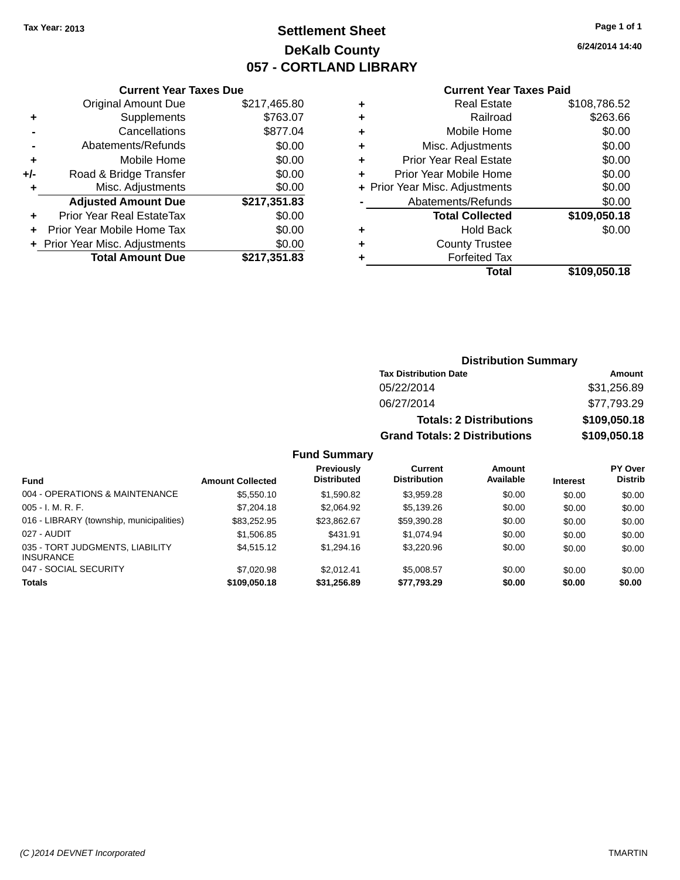## **Settlement Sheet Tax Year: 2013 Page 1 of 1 DeKalb County 057 - CORTLAND LIBRARY**

**6/24/2014 14:40**

#### **Current Year Taxes Paid**

|     | <b>Current Year Taxes Due</b>  |              |  |  |  |
|-----|--------------------------------|--------------|--|--|--|
|     | <b>Original Amount Due</b>     | \$217,465.80 |  |  |  |
| ٠   | Supplements                    | \$763.07     |  |  |  |
|     | Cancellations                  | \$877.04     |  |  |  |
|     | Abatements/Refunds             | \$0.00       |  |  |  |
| ٠   | Mobile Home                    | \$0.00       |  |  |  |
| +/- | Road & Bridge Transfer         | \$0.00       |  |  |  |
|     | Misc. Adjustments              | \$0.00       |  |  |  |
|     | <b>Adjusted Amount Due</b>     | \$217,351.83 |  |  |  |
| ÷   | Prior Year Real EstateTax      | \$0.00       |  |  |  |
|     | Prior Year Mobile Home Tax     | \$0.00       |  |  |  |
|     | + Prior Year Misc. Adjustments | \$0.00       |  |  |  |
|     | <b>Total Amount Due</b>        | \$217,351.83 |  |  |  |
|     |                                |              |  |  |  |

|   | <b>Real Estate</b>             | \$108,786.52 |
|---|--------------------------------|--------------|
| ٠ | Railroad                       | \$263.66     |
| ٠ | Mobile Home                    | \$0.00       |
| ٠ | Misc. Adjustments              | \$0.00       |
| ٠ | <b>Prior Year Real Estate</b>  | \$0.00       |
| ٠ | Prior Year Mobile Home         | \$0.00       |
|   | + Prior Year Misc. Adjustments | \$0.00       |
|   | Abatements/Refunds             | \$0.00       |
|   | <b>Total Collected</b>         | \$109,050.18 |
| ٠ | Hold Back                      | \$0.00       |
| ٠ | <b>County Trustee</b>          |              |
| ٠ | <b>Forfeited Tax</b>           |              |
|   | Total                          | \$109,050.18 |
|   |                                |              |

| <b>Distribution Summary</b>          |              |  |  |  |
|--------------------------------------|--------------|--|--|--|
| <b>Tax Distribution Date</b>         | Amount       |  |  |  |
| 05/22/2014                           | \$31,256.89  |  |  |  |
| 06/27/2014                           | \$77,793.29  |  |  |  |
| <b>Totals: 2 Distributions</b>       | \$109,050.18 |  |  |  |
| <b>Grand Totals: 2 Distributions</b> | \$109,050.18 |  |  |  |

### **Fund Summary**

| Fund                                                | <b>Amount Collected</b> | Previously<br><b>Distributed</b> | Current<br><b>Distribution</b> | Amount<br>Available | <b>Interest</b> | <b>PY Over</b><br><b>Distrib</b> |
|-----------------------------------------------------|-------------------------|----------------------------------|--------------------------------|---------------------|-----------------|----------------------------------|
| 004 - OPERATIONS & MAINTENANCE                      | \$5,550,10              | \$1.590.82                       | \$3.959.28                     | \$0.00              | \$0.00          | \$0.00                           |
| $005 - I. M. R. F.$                                 | \$7,204.18              | \$2,064.92                       | \$5.139.26                     | \$0.00              | \$0.00          | \$0.00                           |
| 016 - LIBRARY (township, municipalities)            | \$83.252.95             | \$23.862.67                      | \$59,390.28                    | \$0.00              | \$0.00          | \$0.00                           |
| 027 - AUDIT                                         | \$1,506.85              | \$431.91                         | \$1.074.94                     | \$0.00              | \$0.00          | \$0.00                           |
| 035 - TORT JUDGMENTS, LIABILITY<br><b>INSURANCE</b> | \$4.515.12              | \$1,294.16                       | \$3,220.96                     | \$0.00              | \$0.00          | \$0.00                           |
| 047 - SOCIAL SECURITY                               | \$7,020.98              | \$2.012.41                       | \$5.008.57                     | \$0.00              | \$0.00          | \$0.00                           |
| <b>Totals</b>                                       | \$109,050.18            | \$31.256.89                      | \$77,793.29                    | \$0.00              | \$0.00          | \$0.00                           |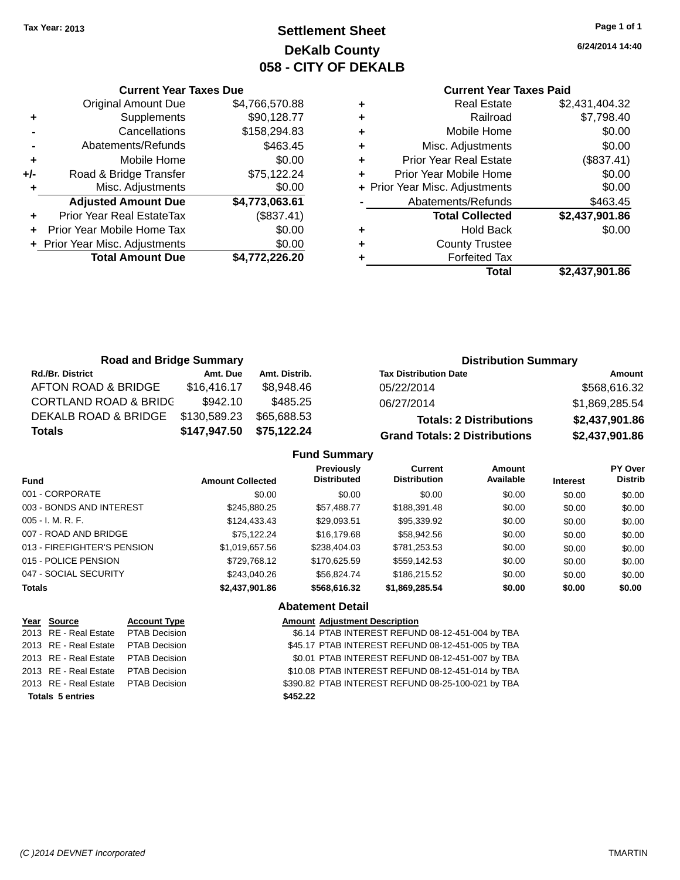## **Settlement Sheet Tax Year: 2013 Page 1 of 1 DeKalb County 058 - CITY OF DEKALB**

**6/24/2014 14:40**

### **Current Year Taxes Paid**

|       | <b>Current Year Taxes Due</b>  |                |
|-------|--------------------------------|----------------|
|       | <b>Original Amount Due</b>     | \$4,766,570.88 |
| ٠     | Supplements                    | \$90,128.77    |
|       | Cancellations                  | \$158,294.83   |
|       | Abatements/Refunds             | \$463.45       |
| ٠     | Mobile Home                    | \$0.00         |
| $+/-$ | Road & Bridge Transfer         | \$75,122.24    |
|       | Misc. Adjustments              | \$0.00         |
|       | <b>Adjusted Amount Due</b>     | \$4,773,063.61 |
|       | Prior Year Real EstateTax      | (\$837.41)     |
|       | Prior Year Mobile Home Tax     | \$0.00         |
|       | + Prior Year Misc. Adjustments | \$0.00         |
|       | <b>Total Amount Due</b>        | \$4.772.226.20 |
|       |                                |                |

|   | <b>Real Estate</b>             | \$2,431,404.32 |
|---|--------------------------------|----------------|
|   | Railroad                       | \$7,798.40     |
| ٠ | Mobile Home                    | \$0.00         |
| ٠ | Misc. Adjustments              | \$0.00         |
| ٠ | <b>Prior Year Real Estate</b>  | (\$837.41)     |
|   | Prior Year Mobile Home         | \$0.00         |
|   | + Prior Year Misc. Adjustments | \$0.00         |
|   | Abatements/Refunds             | \$463.45       |
|   | <b>Total Collected</b>         | \$2,437,901.86 |
| ٠ | <b>Hold Back</b>               | \$0.00         |
|   | <b>County Trustee</b>          |                |
|   | <b>Forfeited Tax</b>           |                |
|   | Total                          | \$2,437,901.86 |
|   |                                |                |

| <b>Road and Bridge Summary</b>   |              |               | <b>Distribution Summary</b>          |                |  |
|----------------------------------|--------------|---------------|--------------------------------------|----------------|--|
| <b>Rd./Br. District</b>          | Amt. Due     | Amt. Distrib. | <b>Tax Distribution Date</b>         | Amount         |  |
| AFTON ROAD & BRIDGE              | \$16,416.17  | \$8.948.46    | 05/22/2014                           | \$568,616.32   |  |
| <b>CORTLAND ROAD &amp; BRIDC</b> | \$942.10     | \$485.25      | 06/27/2014                           | \$1,869,285.54 |  |
| DEKALB ROAD & BRIDGE             | \$130,589.23 | \$65,688.53   | <b>Totals: 2 Distributions</b>       | \$2,437,901.86 |  |
| <b>Totals</b>                    | \$147,947.50 | \$75,122.24   | <b>Grand Totals: 2 Distributions</b> | \$2,437,901.86 |  |

### **Fund Summary**

| <b>Fund</b>                 | <b>Amount Collected</b> | <b>Previously</b><br><b>Distributed</b> | <b>Current</b><br><b>Distribution</b> | Amount<br>Available | <b>Interest</b> | <b>PY Over</b><br><b>Distrib</b> |
|-----------------------------|-------------------------|-----------------------------------------|---------------------------------------|---------------------|-----------------|----------------------------------|
| 001 - CORPORATE             | \$0.00                  | \$0.00                                  | \$0.00                                | \$0.00              | \$0.00          | \$0.00                           |
| 003 - BONDS AND INTEREST    | \$245,880,25            | \$57,488.77                             | \$188,391.48                          | \$0.00              | \$0.00          | \$0.00                           |
| $005 - I. M. R. F.$         | \$124,433.43            | \$29,093.51                             | \$95,339.92                           | \$0.00              | \$0.00          | \$0.00                           |
| 007 - ROAD AND BRIDGE       | \$75.122.24             | \$16,179.68                             | \$58,942.56                           | \$0.00              | \$0.00          | \$0.00                           |
| 013 - FIREFIGHTER'S PENSION | \$1,019,657.56          | \$238,404.03                            | \$781.253.53                          | \$0.00              | \$0.00          | \$0.00                           |
| 015 - POLICE PENSION        | \$729,768.12            | \$170,625.59                            | \$559,142.53                          | \$0.00              | \$0.00          | \$0.00                           |
| 047 - SOCIAL SECURITY       | \$243,040.26            | \$56.824.74                             | \$186,215,52                          | \$0.00              | \$0.00          | \$0.00                           |
| <b>Totals</b>               | \$2,437,901.86          | \$568,616.32                            | \$1,869,285.54                        | \$0.00              | \$0.00          | \$0.00                           |

### **Abatement Detail**

| Year Source                         | <b>Account Type</b> | <b>Amount Adjustment Description</b>               |
|-------------------------------------|---------------------|----------------------------------------------------|
| 2013 RE - Real Estate PTAB Decision |                     | \$6.14 PTAB INTEREST REFUND 08-12-451-004 by TBA   |
| 2013 RE - Real Estate PTAB Decision |                     | \$45.17 PTAB INTEREST REFUND 08-12-451-005 by TBA  |
| 2013 RE - Real Estate PTAB Decision |                     | \$0.01 PTAB INTEREST REFUND 08-12-451-007 by TBA   |
| 2013 RE - Real Estate PTAB Decision |                     | \$10.08 PTAB INTEREST REFUND 08-12-451-014 by TBA  |
| 2013 RE - Real Estate PTAB Decision |                     | \$390.82 PTAB INTEREST REFUND 08-25-100-021 by TBA |
| <b>Totals 5 entries</b>             |                     | \$452.22                                           |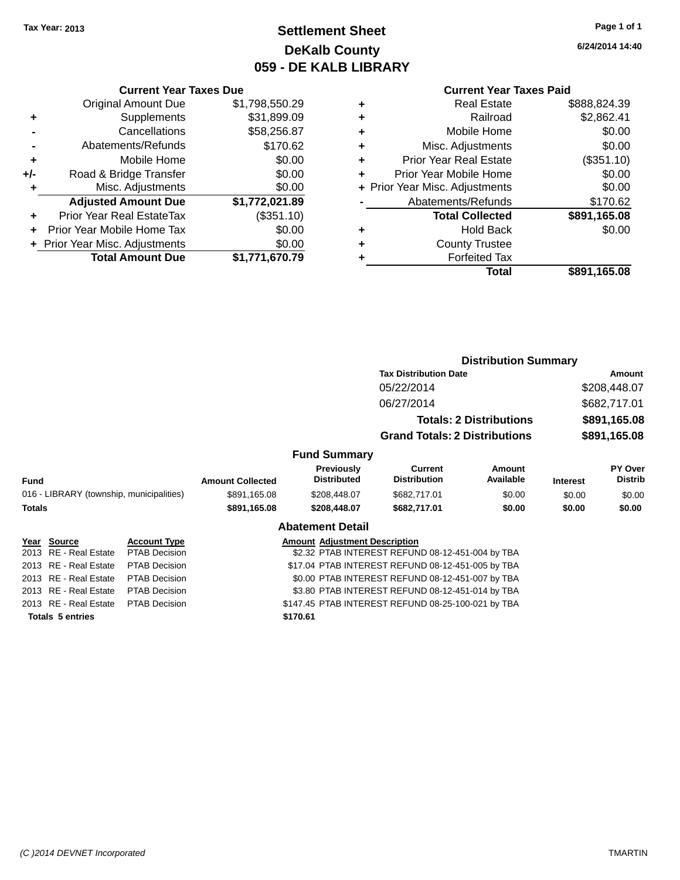## **Settlement Sheet Tax Year: 2013 Page 1 of 1 DeKalb County 059 - DE KALB LIBRARY**

**6/24/2014 14:40**

# **Current Year Taxes Paid**

|     | <b>Current Year Taxes Due</b>  |                |
|-----|--------------------------------|----------------|
|     | <b>Original Amount Due</b>     | \$1,798,550.29 |
| ٠   | Supplements                    | \$31,899.09    |
|     | Cancellations                  | \$58,256.87    |
|     | Abatements/Refunds             | \$170.62       |
| ٠   | Mobile Home                    | \$0.00         |
| +/- | Road & Bridge Transfer         | \$0.00         |
| ٠   | Misc. Adjustments              | \$0.00         |
|     | <b>Adjusted Amount Due</b>     | \$1,772,021.89 |
| ÷   | Prior Year Real EstateTax      | (\$351.10)     |
|     | Prior Year Mobile Home Tax     | \$0.00         |
|     | + Prior Year Misc. Adjustments | \$0.00         |
|     | <b>Total Amount Due</b>        | \$1,771,670.79 |

| ٠ | <b>Real Estate</b>             | \$888,824.39 |
|---|--------------------------------|--------------|
| ٠ | Railroad                       | \$2,862.41   |
| ٠ | Mobile Home                    | \$0.00       |
| ٠ | Misc. Adjustments              | \$0.00       |
| ٠ | <b>Prior Year Real Estate</b>  | (\$351.10)   |
| ٠ | Prior Year Mobile Home         | \$0.00       |
|   | + Prior Year Misc. Adjustments | \$0.00       |
|   | Abatements/Refunds             | \$170.62     |
|   | <b>Total Collected</b>         | \$891,165.08 |
| ٠ | <b>Hold Back</b>               | \$0.00       |
| ٠ | <b>County Trustee</b>          |              |
| ٠ | <b>Forfeited Tax</b>           |              |
|   | Total                          | \$891,165.08 |
|   |                                |              |

|               |                                          |                      |                         |                                         |                                                    | <b>Distribution Summary</b>    |                 |                           |
|---------------|------------------------------------------|----------------------|-------------------------|-----------------------------------------|----------------------------------------------------|--------------------------------|-----------------|---------------------------|
|               |                                          |                      |                         |                                         | <b>Tax Distribution Date</b>                       |                                |                 | Amount                    |
|               |                                          |                      |                         |                                         | 05/22/2014                                         |                                |                 | \$208,448.07              |
|               |                                          |                      |                         |                                         | 06/27/2014                                         |                                |                 | \$682,717.01              |
|               |                                          |                      |                         |                                         |                                                    | <b>Totals: 2 Distributions</b> |                 | \$891,165.08              |
|               |                                          |                      |                         |                                         | <b>Grand Totals: 2 Distributions</b>               |                                |                 | \$891,165.08              |
|               |                                          |                      |                         | <b>Fund Summary</b>                     |                                                    |                                |                 |                           |
| <b>Fund</b>   |                                          |                      | <b>Amount Collected</b> | <b>Previously</b><br><b>Distributed</b> | Current<br><b>Distribution</b>                     | Amount<br>Available            | <b>Interest</b> | PY Over<br><b>Distrib</b> |
|               | 016 - LIBRARY (township, municipalities) |                      | \$891,165.08            | \$208,448.07                            | \$682,717.01                                       | \$0.00                         | \$0.00          | \$0.00                    |
| <b>Totals</b> |                                          |                      | \$891,165.08            | \$208,448.07                            | \$682,717.01                                       | \$0.00                         | \$0.00          | \$0.00                    |
|               |                                          |                      |                         | <b>Abatement Detail</b>                 |                                                    |                                |                 |                           |
|               | Year Source                              | <b>Account Type</b>  |                         | <b>Amount Adjustment Description</b>    |                                                    |                                |                 |                           |
| 2013          | RE - Real Estate                         | <b>PTAB Decision</b> |                         |                                         | \$2.32 PTAB INTEREST REFUND 08-12-451-004 by TBA   |                                |                 |                           |
|               | 2013 RE - Real Estate                    | <b>PTAB Decision</b> |                         |                                         | \$17.04 PTAB INTEREST REFUND 08-12-451-005 by TBA  |                                |                 |                           |
|               | 2013 RE - Real Estate                    | <b>PTAB Decision</b> |                         |                                         | \$0.00 PTAB INTEREST REFUND 08-12-451-007 by TBA   |                                |                 |                           |
|               | 2013 RE - Real Estate                    | <b>PTAB Decision</b> |                         |                                         | \$3.80 PTAB INTEREST REFUND 08-12-451-014 by TBA   |                                |                 |                           |
|               | 2013 RE - Real Estate                    | <b>PTAB Decision</b> |                         |                                         | \$147.45 PTAB INTEREST REFUND 08-25-100-021 by TBA |                                |                 |                           |
|               | <b>Totals 5 entries</b>                  |                      |                         | \$170.61                                |                                                    |                                |                 |                           |

*(C )2014 DEVNET Incorporated* TMARTIN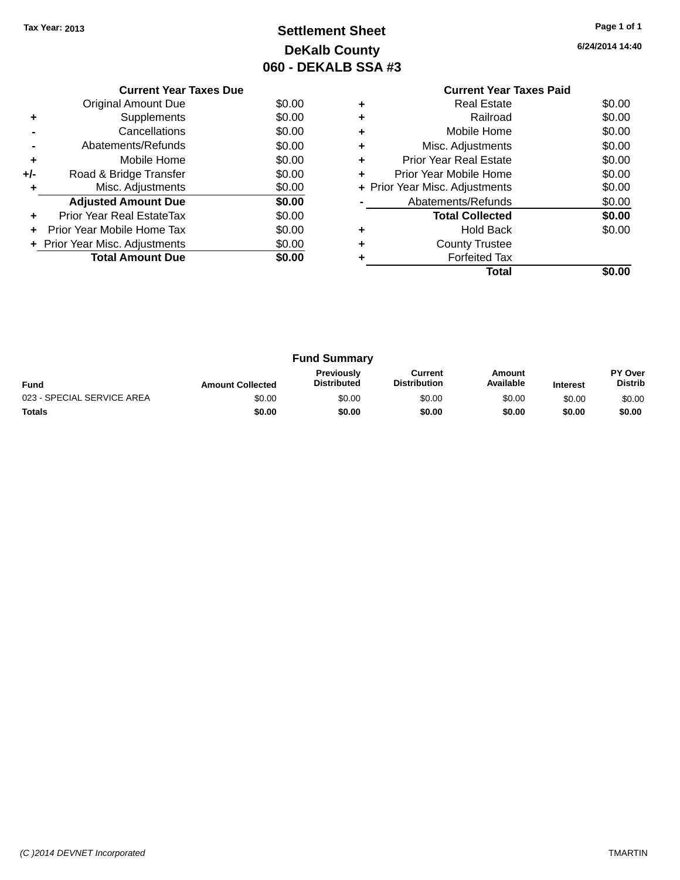## **Settlement Sheet Tax Year: 2013 Page 1 of 1 DeKalb County 060 - DEKALB SSA #3**

**6/24/2014 14:40**

|     | <b>Current Year Taxes Due</b>  |        |
|-----|--------------------------------|--------|
|     | <b>Original Amount Due</b>     | \$0.00 |
|     | Supplements                    | \$0.00 |
|     | Cancellations                  | \$0.00 |
|     | Abatements/Refunds             | \$0.00 |
| ٠   | Mobile Home                    | \$0.00 |
| +/- | Road & Bridge Transfer         | \$0.00 |
| ٠   | Misc. Adjustments              | \$0.00 |
|     | <b>Adjusted Amount Due</b>     | \$0.00 |
|     | Prior Year Real EstateTax      | \$0.00 |
| ÷   | Prior Year Mobile Home Tax     | \$0.00 |
|     | + Prior Year Misc. Adjustments | \$0.00 |
|     | <b>Total Amount Due</b>        | \$0.00 |
|     |                                |        |

### **Current Year Taxes Paid +** Real Estate \$0.00 **+** Railroad \$0.00 **+** Mobile Home \$0.00 **+** Misc. Adjustments \$0.00 **+** Prior Year Real Estate \$0.00 **+** Prior Year Mobile Home \$0.00<br> **+** Prior Year Misc. Adjustments \$0.00 **+ Prior Year Misc. Adjustments -** Abatements/Refunds \$0.00 **Total Collected \$0.00 +** Hold Back \$0.00 **+** County Trustee **+** Forfeited Tax **Total \$0.00**

|                            |                         | <b>Fund Summary</b>                     |                                |                     |                 |                           |
|----------------------------|-------------------------|-----------------------------------------|--------------------------------|---------------------|-----------------|---------------------------|
| <b>Fund</b>                | <b>Amount Collected</b> | <b>Previously</b><br><b>Distributed</b> | Current<br><b>Distribution</b> | Amount<br>Available | <b>Interest</b> | PY Over<br><b>Distrib</b> |
| 023 - SPECIAL SERVICE AREA | \$0.00                  | \$0.00                                  | \$0.00                         | \$0.00              | \$0.00          | \$0.00                    |
| <b>Totals</b>              | \$0.00                  | \$0.00                                  | \$0.00                         | \$0.00              | \$0.00          | \$0.00                    |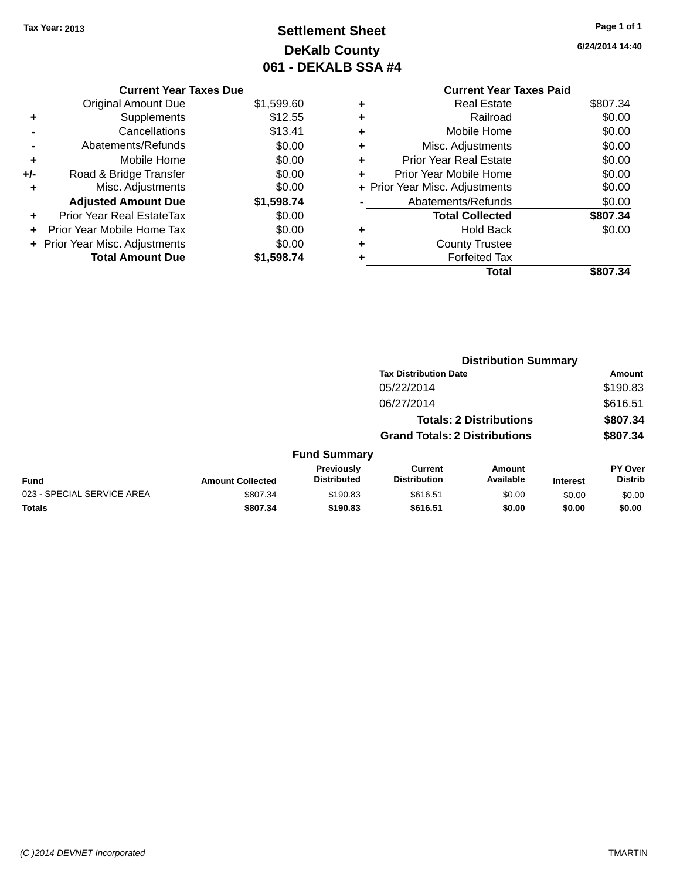## **Settlement Sheet Tax Year: 2013 Page 1 of 1 DeKalb County 061 - DEKALB SSA #4**

**6/24/2014 14:40**

### **Current Year Taxes Paid +** Real Estate \$807.34 **+** Railroad \$0.00 **+** Mobile Home \$0.00 **+** Misc. Adjustments \$0.00 **+** Prior Year Real Estate \$0.00 **+** Prior Year Mobile Home \$0.00 **+ Prior Year Misc. Adjustments**  $$0.00$ **-** Abatements/Refunds \$0.00 **Total Collected \$807.34 +** Hold Back \$0.00 **+** County Trustee **+** Forfeited Tax **Total \$807.34**

|                            |                         |                                  |                                       | <b>Distribution Summary</b>    |                 |                                  |
|----------------------------|-------------------------|----------------------------------|---------------------------------------|--------------------------------|-----------------|----------------------------------|
|                            |                         |                                  | <b>Tax Distribution Date</b>          |                                |                 | Amount                           |
|                            |                         |                                  | 05/22/2014                            |                                |                 | \$190.83                         |
|                            |                         |                                  | 06/27/2014                            |                                |                 | \$616.51                         |
|                            |                         |                                  |                                       | <b>Totals: 2 Distributions</b> |                 | \$807.34                         |
|                            |                         |                                  | <b>Grand Totals: 2 Distributions</b>  |                                |                 | \$807.34                         |
|                            |                         | <b>Fund Summary</b>              |                                       |                                |                 |                                  |
| Fund                       | <b>Amount Collected</b> | Previously<br><b>Distributed</b> | <b>Current</b><br><b>Distribution</b> | <b>Amount</b><br>Available     | <b>Interest</b> | <b>PY Over</b><br><b>Distrib</b> |
| 023 - SPECIAL SERVICE AREA | \$807.34                | \$190.83                         | \$616.51                              | \$0.00                         | \$0.00          | \$0.00                           |
| <b>Totals</b>              | \$807.34                | \$190.83                         | \$616.51                              | \$0.00                         | \$0.00          | \$0.00                           |
|                            |                         |                                  |                                       |                                |                 |                                  |

# **Current Year Taxes Due**

|       | <b>Original Amount Due</b>     | \$1,599.60 |
|-------|--------------------------------|------------|
| ٠     | Supplements                    | \$12.55    |
|       | Cancellations                  | \$13.41    |
|       | Abatements/Refunds             | \$0.00     |
| ٠     | Mobile Home                    | \$0.00     |
| $+/-$ | Road & Bridge Transfer         | \$0.00     |
| ٠     | Misc. Adjustments              | \$0.00     |
|       | <b>Adjusted Amount Due</b>     | \$1,598.74 |
| ٠     | Prior Year Real EstateTax      | \$0.00     |
| ٠     | Prior Year Mobile Home Tax     | \$0.00     |
|       | + Prior Year Misc. Adjustments | \$0.00     |
|       | <b>Total Amount Due</b>        | \$1,598.74 |
|       |                                |            |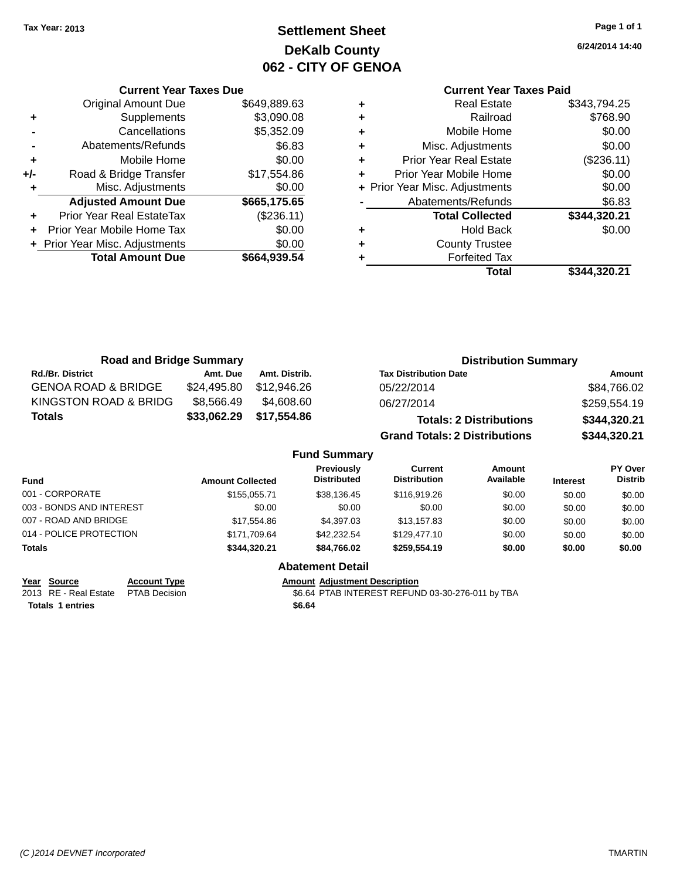## **Settlement Sheet Tax Year: 2013 Page 1 of 1 DeKalb County 062 - CITY OF GENOA**

**6/24/2014 14:40**

### **Current Year Taxes Paid**

|                                | <b>Current Year Taxes Due</b>    |              |  |  |
|--------------------------------|----------------------------------|--------------|--|--|
|                                | <b>Original Amount Due</b>       | \$649,889.63 |  |  |
| \$3,090.08<br>Supplements<br>٠ |                                  |              |  |  |
|                                | Cancellations                    | \$5,352.09   |  |  |
|                                | Abatements/Refunds               | \$6.83       |  |  |
| ٠                              | Mobile Home                      | \$0.00       |  |  |
| +/-                            | Road & Bridge Transfer           | \$17,554.86  |  |  |
| ٠                              | Misc. Adjustments                | \$0.00       |  |  |
|                                | <b>Adjusted Amount Due</b>       | \$665,175.65 |  |  |
| ٠                              | <b>Prior Year Real EstateTax</b> | (\$236.11)   |  |  |
| ٠                              | Prior Year Mobile Home Tax       | \$0.00       |  |  |
|                                | + Prior Year Misc. Adjustments   | \$0.00       |  |  |
|                                | <b>Total Amount Due</b>          | \$664,939.54 |  |  |
|                                |                                  |              |  |  |

| ٠ | Real Estate                    | \$343,794.25 |
|---|--------------------------------|--------------|
| ٠ | Railroad                       | \$768.90     |
| ٠ | Mobile Home                    | \$0.00       |
| ٠ | Misc. Adjustments              | \$0.00       |
| ٠ | <b>Prior Year Real Estate</b>  | (\$236.11)   |
| ٠ | Prior Year Mobile Home         | \$0.00       |
|   | + Prior Year Misc. Adjustments | \$0.00       |
|   | Abatements/Refunds             | \$6.83       |
|   | <b>Total Collected</b>         | \$344,320.21 |
| ٠ | Hold Back                      | \$0.00       |
|   | <b>County Trustee</b>          |              |
| ٠ | <b>Forfeited Tax</b>           |              |
|   | Total                          | \$344.320.21 |
|   |                                |              |

| <b>Road and Bridge Summary</b> |             |               | <b>Distribution Summary</b>          |              |  |
|--------------------------------|-------------|---------------|--------------------------------------|--------------|--|
| <b>Rd./Br. District</b>        | Amt. Due    | Amt. Distrib. | <b>Tax Distribution Date</b>         | Amount       |  |
| <b>GENOA ROAD &amp; BRIDGE</b> | \$24,495.80 | \$12,946.26   | 05/22/2014                           | \$84,766.02  |  |
| KINGSTON ROAD & BRIDG          | \$8,566.49  | \$4,608,60    | 06/27/2014                           | \$259,554.19 |  |
| Totals                         | \$33,062.29 | \$17,554.86   | <b>Totals: 2 Distributions</b>       | \$344,320.21 |  |
|                                |             |               | <b>Grand Totals: 2 Distributions</b> | \$344,320.21 |  |

### **Fund Summary**

| <b>Fund</b>              | <b>Amount Collected</b> | <b>Previously</b><br><b>Distributed</b> | Current<br><b>Distribution</b> | Amount<br>Available | <b>Interest</b> | <b>PY Over</b><br><b>Distrib</b> |
|--------------------------|-------------------------|-----------------------------------------|--------------------------------|---------------------|-----------------|----------------------------------|
| 001 - CORPORATE          | \$155,055,71            | \$38.136.45                             | \$116,919.26                   | \$0.00              | \$0.00          | \$0.00                           |
| 003 - BONDS AND INTEREST | \$0.00                  | \$0.00                                  | \$0.00                         | \$0.00              | \$0.00          | \$0.00                           |
| 007 - ROAD AND BRIDGE    | \$17.554.86             | \$4,397.03                              | \$13,157.83                    | \$0.00              | \$0.00          | \$0.00                           |
| 014 - POLICE PROTECTION  | \$171,709.64            | \$42,232.54                             | \$129,477.10                   | \$0.00              | \$0.00          | \$0.00                           |
| <b>Totals</b>            | \$344.320.21            | \$84.766.02                             | \$259,554.19                   | \$0.00              | \$0.00          | \$0.00                           |

**Abatement Detail**

| Year Source             | <b>Account Type</b>                 |        | <b>Amount Adiustment Description</b> |
|-------------------------|-------------------------------------|--------|--------------------------------------|
|                         | 2013 RE - Real Estate PTAB Decision |        | \$6.64 PTAB INTEREST REFUN           |
| <b>Totals 1 entries</b> |                                     | \$6.64 |                                      |

2013 RE - Real Estate PTAB Decision \$6.64 PTAB INTEREST REFUND 03-30-276-011 by TBA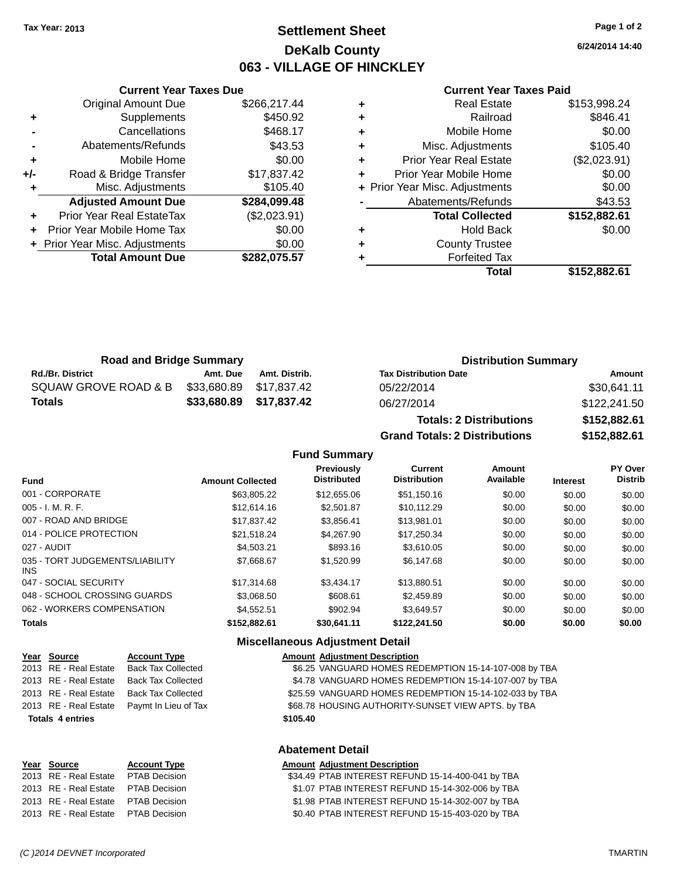## **Settlement Sheet Tax Year: 2013 Page 1 of 2 DeKalb County 063 - VILLAGE OF HINCKLEY**

**6/24/2014 14:40**

#### **Current Year Taxes Paid**

|     | <b>Current Year Taxes Due</b>         |              |  |  |  |
|-----|---------------------------------------|--------------|--|--|--|
|     | <b>Original Amount Due</b>            | \$266,217.44 |  |  |  |
| ٠   | Supplements                           | \$450.92     |  |  |  |
|     | Cancellations                         | \$468.17     |  |  |  |
|     | Abatements/Refunds                    | \$43.53      |  |  |  |
| ٠   | \$0.00<br>Mobile Home                 |              |  |  |  |
| +/- | \$17,837.42<br>Road & Bridge Transfer |              |  |  |  |
|     | Misc. Adjustments<br>\$105.40         |              |  |  |  |
|     | <b>Adjusted Amount Due</b>            | \$284,099.48 |  |  |  |
|     | Prior Year Real EstateTax             | (\$2,023.91) |  |  |  |
|     | Prior Year Mobile Home Tax            | \$0.00       |  |  |  |
|     | + Prior Year Misc. Adjustments        | \$0.00       |  |  |  |
|     | <b>Total Amount Due</b>               | \$282.075.57 |  |  |  |
|     |                                       |              |  |  |  |

|   | <b>Real Estate</b>             | \$153,998.24 |
|---|--------------------------------|--------------|
| ٠ | Railroad                       | \$846.41     |
| ٠ | Mobile Home                    | \$0.00       |
| ٠ | Misc. Adjustments              | \$105.40     |
| ٠ | <b>Prior Year Real Estate</b>  | (\$2,023.91) |
| ٠ | Prior Year Mobile Home         | \$0.00       |
|   | + Prior Year Misc. Adjustments | \$0.00       |
|   | Abatements/Refunds             | \$43.53      |
|   | <b>Total Collected</b>         | \$152,882.61 |
| ٠ | <b>Hold Back</b>               | \$0.00       |
| ٠ | <b>County Trustee</b>          |              |
|   | <b>Forfeited Tax</b>           |              |
|   | Total                          | \$152,882.61 |
|   |                                |              |

| <b>Road and Bridge Summary</b> |                         |               | <b>Distribution Summary</b>  |              |  |
|--------------------------------|-------------------------|---------------|------------------------------|--------------|--|
| <b>Rd./Br. District</b>        | Amt. Due                | Amt. Distrib. | <b>Tax Distribution Date</b> | Amount       |  |
| SQUAW GROVE ROAD & B           | \$33,680.89 \$17,837.42 |               | 05/22/2014                   | \$30.641.11  |  |
| <b>Totals</b>                  | \$33,680.89 \$17,837.42 |               | 06/27/2014                   | \$122,241.50 |  |

| <b>Totals: 2 Distributions</b> | \$152,882.61 |
|--------------------------------|--------------|
| Grand Totals: 2 Distributions  | \$152,882.61 |

### **Fund Summary**

| Fund                                    | <b>Amount Collected</b> | Previously<br><b>Distributed</b> | Current<br><b>Distribution</b> | Amount<br>Available | <b>Interest</b> | <b>PY Over</b><br><b>Distrib</b> |
|-----------------------------------------|-------------------------|----------------------------------|--------------------------------|---------------------|-----------------|----------------------------------|
| 001 - CORPORATE                         | \$63,805.22             | \$12,655,06                      | \$51.150.16                    | \$0.00              | \$0.00          | \$0.00                           |
| 005 - I. M. R. F.                       | \$12,614.16             | \$2,501.87                       | \$10.112.29                    | \$0.00              | \$0.00          | \$0.00                           |
| 007 - ROAD AND BRIDGE                   | \$17.837.42             | \$3.856.41                       | \$13,981.01                    | \$0.00              | \$0.00          | \$0.00                           |
| 014 - POLICE PROTECTION                 | \$21.518.24             | \$4,267.90                       | \$17.250.34                    | \$0.00              | \$0.00          | \$0.00                           |
| 027 - AUDIT                             | \$4.503.21              | \$893.16                         | \$3.610.05                     | \$0.00              | \$0.00          | \$0.00                           |
| 035 - TORT JUDGEMENTS/LIABILITY<br>INS. | \$7.668.67              | \$1,520.99                       | \$6,147.68                     | \$0.00              | \$0.00          | \$0.00                           |
| 047 - SOCIAL SECURITY                   | \$17,314.68             | \$3,434.17                       | \$13.880.51                    | \$0.00              | \$0.00          | \$0.00                           |
| 048 - SCHOOL CROSSING GUARDS            | \$3.068.50              | \$608.61                         | \$2.459.89                     | \$0.00              | \$0.00          | \$0.00                           |
| 062 - WORKERS COMPENSATION              | \$4.552.51              | \$902.94                         | \$3.649.57                     | \$0.00              | \$0.00          | \$0.00                           |
| <b>Totals</b>                           | \$152,882.61            | \$30.641.11                      | \$122,241.50                   | \$0.00              | \$0.00          | \$0.00                           |

|                         |                           |          | <b>Miscellaneous Adjustment Detail</b> |
|-------------------------|---------------------------|----------|----------------------------------------|
| Year Source             | <b>Account Type</b>       |          | <b>Amount Adjustment Description</b>   |
| 2013 RE - Real Estate   | <b>Back Tax Collected</b> |          | \$6.25 VANGUARD HOMES RE               |
| 2013 RE - Real Estate   | <b>Back Tax Collected</b> |          | \$4.78 VANGUARD HOMES RE               |
| 2013 RE - Real Estate   | <b>Back Tax Collected</b> |          | \$25.59 VANGUARD HOMES RE              |
| 2013 RE - Real Estate   | Paymt In Lieu of Tax      |          | \$68.78 HOUSING AUTHORITY-S            |
| <b>Totals 4 entries</b> |                           | \$105.40 |                                        |
|                         |                           |          |                                        |
|                         |                           |          |                                        |

### **Miscellaneous Adjustment Detail**

| <u>Year Source</u>      | <b>Account Type</b>       | Amount Adjustment Description                          |
|-------------------------|---------------------------|--------------------------------------------------------|
| 2013 RE - Real Estate   | <b>Back Tax Collected</b> | \$6.25 VANGUARD HOMES REDEMPTION 15-14-107-008 by TBA  |
| 2013 RE - Real Estate   | <b>Back Tax Collected</b> | \$4.78 VANGUARD HOMES REDEMPTION 15-14-107-007 by TBA  |
| 2013 RE - Real Estate   | <b>Back Tax Collected</b> | \$25.59 VANGUARD HOMES REDEMPTION 15-14-102-033 by TBA |
| 2013 RE - Real Estate   | Paymt In Lieu of Tax      | \$68.78 HOUSING AUTHORITY-SUNSET VIEW APTS. by TBA     |
| <b>Totals 4 entries</b> |                           | \$105.40                                               |

#### **Abatement Detail**

| Year Source                          | <b>Account Type</b> | <b>Amount Adjustment Description</b>              |
|--------------------------------------|---------------------|---------------------------------------------------|
| 2013 RE - Real Estate PTAB Decision  |                     | \$34.49 PTAB INTEREST REFUND 15-14-400-041 by TBA |
| 2013 RE - Real Estate PTAB Decision  |                     | \$1.07 PTAB INTEREST REFUND 15-14-302-006 by TBA  |
| 2013 RE - Real Estate PTAB Decision  |                     | \$1.98 PTAB INTEREST REFUND 15-14-302-007 by TBA  |
| 2013 RE - Real Estate  PTAB Decision |                     | \$0.40 PTAB INTEREST REFUND 15-15-403-020 by TBA  |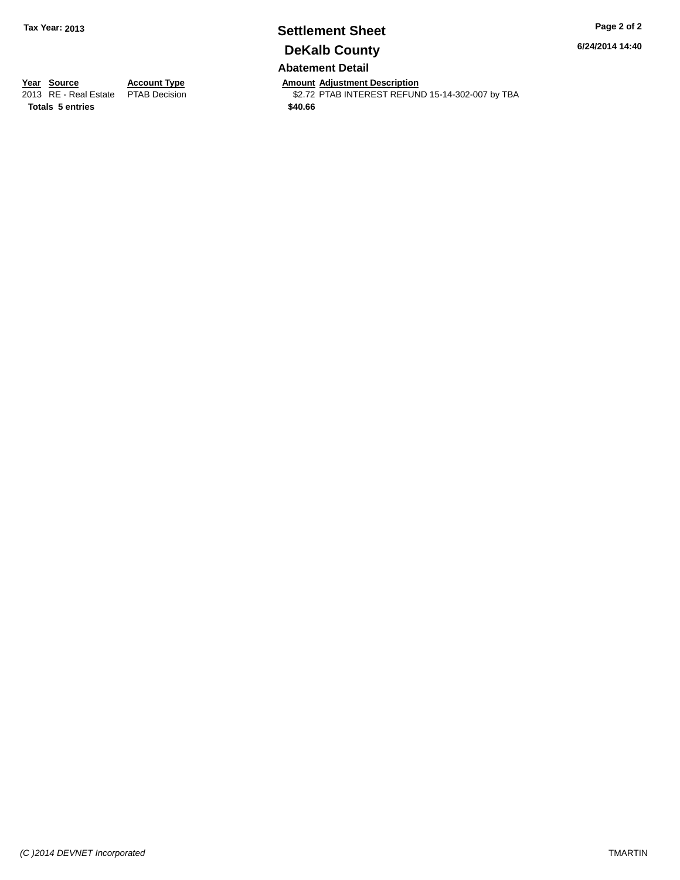## **Settlement Sheet Tax Year: 2013 Page 2 of 2 DeKalb County**

**6/24/2014 14:40**

### **Abatement Detail**

**Totals 5 entries \$40.66**

**Year Source Account Type Anneurs Amount Adjustment Description**<br>
2013 RE - Real Estate PTAB Decision **Amount Adjustment Description** \$2.72 PTAB INTEREST REFUND 15-14-302-007 by TBA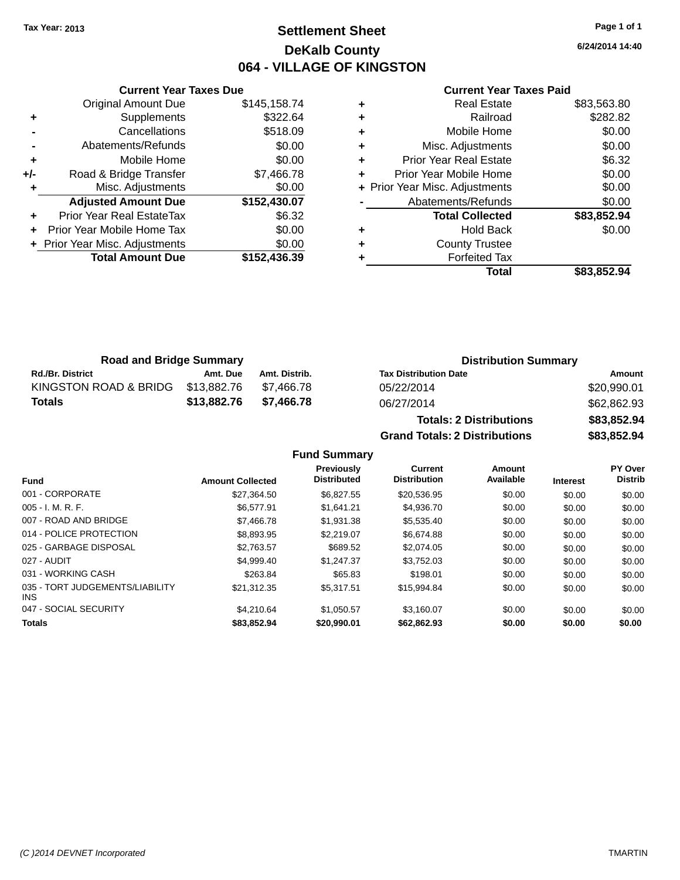## **Settlement Sheet Tax Year: 2013 Page 1 of 1 DeKalb County 064 - VILLAGE OF KINGSTON**

**6/24/2014 14:40**

#### **Current Year Taxes Paid**

|     | <b>Current Year Taxes Due</b>  |              |
|-----|--------------------------------|--------------|
|     | <b>Original Amount Due</b>     | \$145,158.74 |
| ٠   | Supplements                    | \$322.64     |
|     | Cancellations                  | \$518.09     |
|     | Abatements/Refunds             | \$0.00       |
| ٠   | Mobile Home                    | \$0.00       |
| +/- | Road & Bridge Transfer         | \$7,466.78   |
|     | Misc. Adjustments              | \$0.00       |
|     | <b>Adjusted Amount Due</b>     | \$152,430.07 |
| ٠   | Prior Year Real EstateTax      | \$6.32       |
|     | Prior Year Mobile Home Tax     | \$0.00       |
|     | + Prior Year Misc. Adjustments | \$0.00       |
|     | <b>Total Amount Due</b>        | \$152,436.39 |
|     |                                |              |

| <b>Real Estate</b>             | \$83,563.80 |
|--------------------------------|-------------|
| Railroad                       | \$282.82    |
| Mobile Home                    | \$0.00      |
| Misc. Adjustments              | \$0.00      |
| <b>Prior Year Real Estate</b>  | \$6.32      |
| Prior Year Mobile Home         | \$0.00      |
| + Prior Year Misc. Adjustments | \$0.00      |
| Abatements/Refunds             | \$0.00      |
| <b>Total Collected</b>         | \$83,852.94 |
| <b>Hold Back</b>               | \$0.00      |
| <b>County Trustee</b>          |             |
| <b>Forfeited Tax</b>           |             |
| Total                          | \$83,852.94 |
|                                |             |

| <b>Road and Bridge Summary</b> |             |               | <b>Distribution Summary</b>  |             |  |
|--------------------------------|-------------|---------------|------------------------------|-------------|--|
| <b>Rd./Br. District</b>        | Amt. Due    | Amt. Distrib. | <b>Tax Distribution Date</b> | Amount      |  |
| KINGSTON ROAD & BRIDG          | \$13.882.76 | \$7.466.78    | 05/22/2014                   | \$20,990.01 |  |
| Totals                         | \$13.882.76 | \$7.466.78    | 06/27/2014                   | \$62,862.93 |  |
|                                |             |               |                              |             |  |

| <b>Totals: 2 Distributions</b> | \$83,852.94 |
|--------------------------------|-------------|
| Grand Totals: 2 Distributions  | \$83,852.94 |

### **Fund Summary**

| <b>Fund</b>                             | <b>Amount Collected</b> | <b>Previously</b><br><b>Distributed</b> | Current<br><b>Distribution</b> | Amount<br>Available | <b>Interest</b> | PY Over<br><b>Distrib</b> |
|-----------------------------------------|-------------------------|-----------------------------------------|--------------------------------|---------------------|-----------------|---------------------------|
|                                         |                         |                                         |                                |                     |                 |                           |
| 001 - CORPORATE                         | \$27.364.50             | \$6.827.55                              | \$20.536.95                    | \$0.00              | \$0.00          | \$0.00                    |
| $005 - I. M. R. F.$                     | \$6.577.91              | \$1.641.21                              | \$4,936,70                     | \$0.00              | \$0.00          | \$0.00                    |
| 007 - ROAD AND BRIDGE                   | \$7,466.78              | \$1.931.38                              | \$5,535.40                     | \$0.00              | \$0.00          | \$0.00                    |
| 014 - POLICE PROTECTION                 | \$8,893.95              | \$2,219.07                              | \$6.674.88                     | \$0.00              | \$0.00          | \$0.00                    |
| 025 - GARBAGE DISPOSAL                  | \$2.763.57              | \$689.52                                | \$2.074.05                     | \$0.00              | \$0.00          | \$0.00                    |
| 027 - AUDIT                             | \$4,999.40              | \$1.247.37                              | \$3,752.03                     | \$0.00              | \$0.00          | \$0.00                    |
| 031 - WORKING CASH                      | \$263.84                | \$65.83                                 | \$198.01                       | \$0.00              | \$0.00          | \$0.00                    |
| 035 - TORT JUDGEMENTS/LIABILITY<br>INS. | \$21.312.35             | \$5.317.51                              | \$15.994.84                    | \$0.00              | \$0.00          | \$0.00                    |
| 047 - SOCIAL SECURITY                   | \$4.210.64              | \$1.050.57                              | \$3.160.07                     | \$0.00              | \$0.00          | \$0.00                    |
| <b>Totals</b>                           | \$83,852.94             | \$20,990.01                             | \$62.862.93                    | \$0.00              | \$0.00          | \$0.00                    |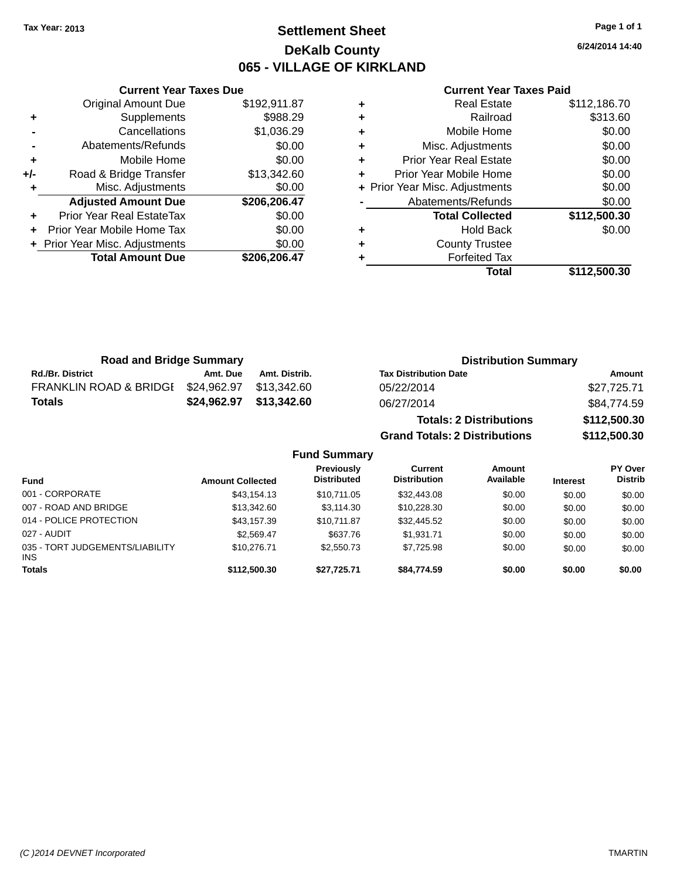## **Settlement Sheet Tax Year: 2013 Page 1 of 1 DeKalb County 065 - VILLAGE OF KIRKLAND**

**6/24/2014 14:40**

#### **Current Year Taxes Paid**

|     | <b>Total Amount Due</b>        | \$206,206.47 |
|-----|--------------------------------|--------------|
|     | + Prior Year Misc. Adjustments | \$0.00       |
| ÷   | Prior Year Mobile Home Tax     | \$0.00       |
| ÷   | Prior Year Real EstateTax      | \$0.00       |
|     | <b>Adjusted Amount Due</b>     | \$206,206.47 |
|     | Misc. Adjustments              | \$0.00       |
| +/- | Road & Bridge Transfer         | \$13,342.60  |
| ٠   | Mobile Home                    | \$0.00       |
|     | Abatements/Refunds             | \$0.00       |
|     | Cancellations                  | \$1,036.29   |
| ٠   | Supplements                    | \$988.29     |
|     | <b>Original Amount Due</b>     | \$192,911.87 |
|     |                                |              |

**Current Year Taxes Due**

|   | Total                          | \$112,500.30 |
|---|--------------------------------|--------------|
| ٠ | <b>Forfeited Tax</b>           |              |
| ٠ | <b>County Trustee</b>          |              |
| ٠ | <b>Hold Back</b>               | \$0.00       |
|   | <b>Total Collected</b>         | \$112,500.30 |
|   | Abatements/Refunds             | \$0.00       |
|   | + Prior Year Misc. Adjustments | \$0.00       |
| ٠ | Prior Year Mobile Home         | \$0.00       |
| ٠ | <b>Prior Year Real Estate</b>  | \$0.00       |
| ٠ | Misc. Adjustments              | \$0.00       |
| ٠ | Mobile Home                    | \$0.00       |
| ٠ | Railroad                       | \$313.60     |
| ٠ | <b>Real Estate</b>             | \$112,186.70 |

**Grand Totals: 2 Distributions \$112,500.30**

| <b>Road and Bridge Summary</b>    |             |               | <b>Distribution Summary</b>    |              |  |
|-----------------------------------|-------------|---------------|--------------------------------|--------------|--|
| <b>Rd./Br. District</b>           | Amt. Due    | Amt. Distrib. | <b>Tax Distribution Date</b>   | Amount       |  |
| <b>FRANKLIN ROAD &amp; BRIDGE</b> | \$24.962.97 | \$13.342.60   | 05/22/2014                     | \$27,725.71  |  |
| Totals                            | \$24,962.97 | \$13,342.60   | 06/27/2014                     | \$84,774.59  |  |
|                                   |             |               | <b>Totals: 2 Distributions</b> | \$112,500.30 |  |

**Fund Summary Fund Interest Amount Collected Distributed PY Over Distrib Amount Available Current Distribution Previously** 001 - CORPORATE \$43,154.13 \$10,711.05 \$32,443.08 \$0.00 \$0.00 \$0.00 007 - ROAD AND BRIDGE 60.00 \$13,342.60 \$3,114.30 \$10,228.30 \$0.00 \$0.00 \$0.00 \$0.00 014 - POLICE PROTECTION \$43,157.39 \$10,711.87 \$32,445.52 \$0.00 \$0.00 \$0.00 \$0.00 027 - AUDIT \$2,569.47 \$637.76 \$1,931.71 \$0.00 \$0.00 \$0.00 035 - TORT JUDGEMENTS/LIABILITY INS \$10,276.71 \$2,550.73 \$7,725.98 \$0.00 \$0.00 \$0.00 **Totals \$112,500.30 \$27,725.71 \$84,774.59 \$0.00 \$0.00 \$0.00**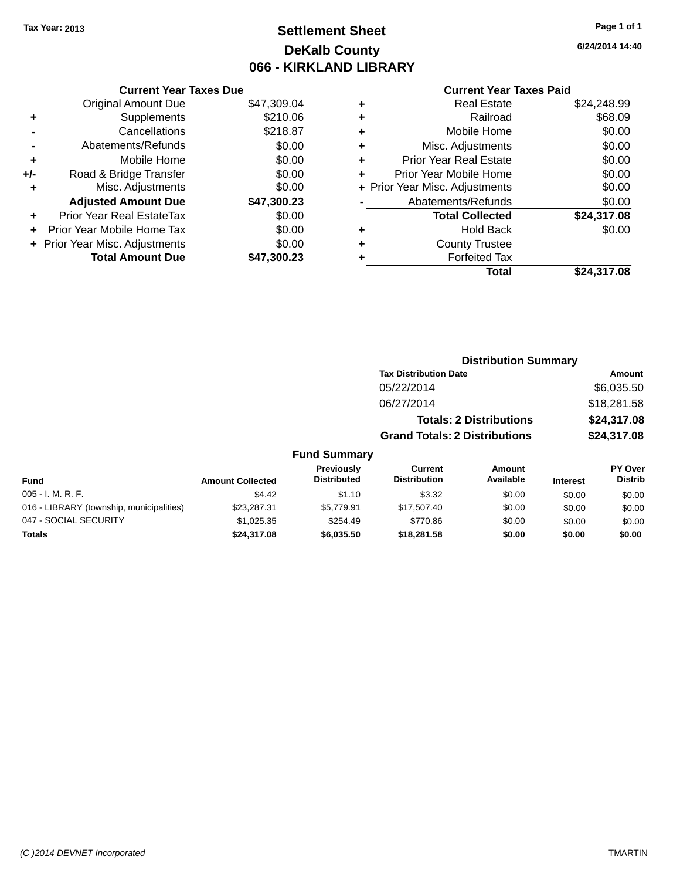## **Settlement Sheet Tax Year: 2013 Page 1 of 1 DeKalb County 066 - KIRKLAND LIBRARY**

**6/24/2014 14:40**

### **Current Year Taxes Paid**

|       | <b>Current Year Taxes Due</b>  |             |
|-------|--------------------------------|-------------|
|       | <b>Original Amount Due</b>     | \$47,309.04 |
| ٠     | Supplements                    | \$210.06    |
|       | Cancellations                  | \$218.87    |
|       | Abatements/Refunds             | \$0.00      |
| ÷     | Mobile Home                    | \$0.00      |
| $+/-$ | Road & Bridge Transfer         | \$0.00      |
|       | Misc. Adjustments              | \$0.00      |
|       | <b>Adjusted Amount Due</b>     | \$47,300.23 |
| ٠     | Prior Year Real EstateTax      | \$0.00      |
|       | Prior Year Mobile Home Tax     | \$0.00      |
|       | + Prior Year Misc. Adjustments | \$0.00      |
|       | <b>Total Amount Due</b>        | \$47.300.23 |
|       |                                |             |

| ٠ | <b>Real Estate</b>             | \$24,248.99 |
|---|--------------------------------|-------------|
| ٠ | Railroad                       | \$68.09     |
| ٠ | Mobile Home                    | \$0.00      |
| ٠ | Misc. Adjustments              | \$0.00      |
| ٠ | <b>Prior Year Real Estate</b>  | \$0.00      |
| ٠ | Prior Year Mobile Home         | \$0.00      |
|   | + Prior Year Misc. Adjustments | \$0.00      |
|   | Abatements/Refunds             | \$0.00      |
|   | <b>Total Collected</b>         | \$24,317.08 |
| ٠ | <b>Hold Back</b>               | \$0.00      |
| ٠ | <b>County Trustee</b>          |             |
| ٠ | <b>Forfeited Tax</b>           |             |
|   | Total                          | \$24,317.08 |
|   |                                |             |

|                     |                                      | <b>Distribution Summary</b>    |             |
|---------------------|--------------------------------------|--------------------------------|-------------|
|                     | <b>Tax Distribution Date</b>         |                                | Amount      |
|                     | 05/22/2014                           |                                | \$6,035.50  |
|                     | 06/27/2014                           |                                | \$18,281.58 |
|                     |                                      | <b>Totals: 2 Distributions</b> | \$24,317.08 |
|                     | <b>Grand Totals: 2 Distributions</b> |                                | \$24,317.08 |
| <b>Fund Summary</b> |                                      |                                |             |
| Daniel Arrester     | $\mathcal{L}$                        | $A = -1$                       | <b>DV A</b> |

| <b>Fund</b>                              | <b>Amount Collected</b> | Previously<br><b>Distributed</b> | Current<br><b>Distribution</b> | Amount<br>Available | <b>Interest</b> | PY Over<br><b>Distrib</b> |
|------------------------------------------|-------------------------|----------------------------------|--------------------------------|---------------------|-----------------|---------------------------|
| 005 - I. M. R. F.                        | \$4.42                  | \$1.10                           | \$3.32                         | \$0.00              | \$0.00          | \$0.00                    |
| 016 - LIBRARY (township, municipalities) | \$23,287.31             | \$5.779.91                       | \$17.507.40                    | \$0.00              | \$0.00          | \$0.00                    |
| 047 - SOCIAL SECURITY                    | \$1,025.35              | \$254.49                         | \$770.86                       | \$0.00              | \$0.00          | \$0.00                    |
| <b>Totals</b>                            | \$24,317.08             | \$6,035,50                       | \$18,281,58                    | \$0.00              | \$0.00          | \$0.00                    |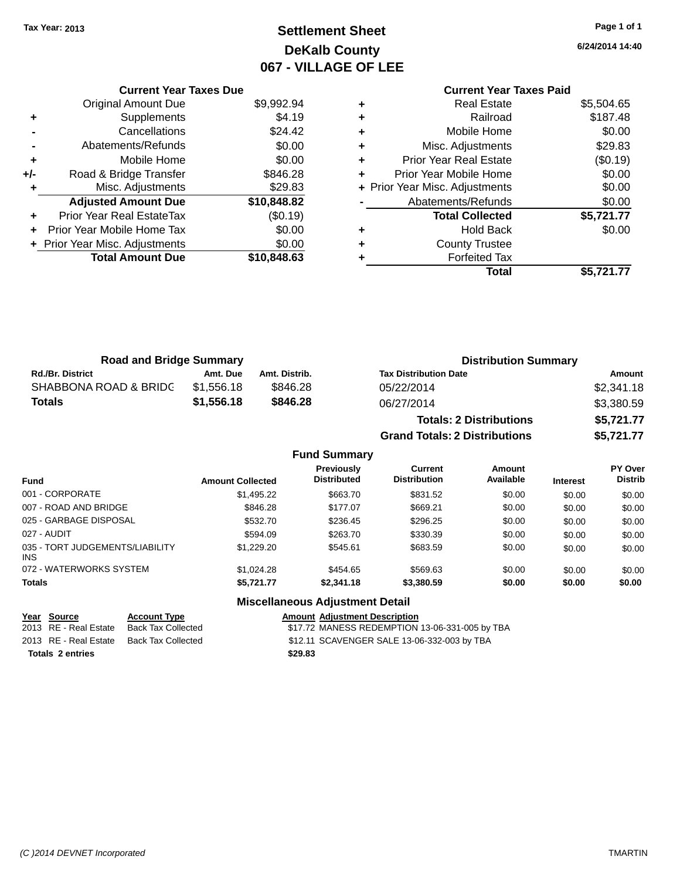## **Settlement Sheet Tax Year: 2013 Page 1 of 1 DeKalb County 067 - VILLAGE OF LEE**

**6/24/2014 14:40**

**Current Year Taxes Paid +** Real Estate \$5,504.65 **+** Railroad \$187.48 **+** Mobile Home \$0.00 **+** Misc. Adjustments \$29.83 **+** Prior Year Real Estate (\$0.19) **+** Prior Year Mobile Home \$0.00 **+** Prior Year Misc. Adjustments  $$0.00$ Abatements/Refunds \$0.00 **Total Collected \$5,721.77 +** Hold Back \$0.00 **+** County Trustee

**Total \$5,721.77**

**+** Forfeited Tax

**Grand Totals: 2 Distributions \$5,721.77**

|       | <b>Current Year Taxes Due</b>  |             |
|-------|--------------------------------|-------------|
|       | Original Amount Due            | \$9,992.94  |
| ٠     | Supplements                    | \$4.19      |
|       | Cancellations                  | \$24.42     |
|       | Abatements/Refunds             | \$0.00      |
| ٠     | Mobile Home                    | \$0.00      |
| $+/-$ | Road & Bridge Transfer         | \$846.28    |
| ٠     | Misc. Adjustments              | \$29.83     |
|       | <b>Adjusted Amount Due</b>     | \$10,848.82 |
| ÷     | Prior Year Real EstateTax      | (\$0.19)    |
|       | Prior Year Mobile Home Tax     | \$0.00      |
|       | + Prior Year Misc. Adjustments | \$0.00      |
|       | <b>Total Amount Due</b>        | \$10,848.63 |
|       |                                |             |

| <b>Road and Bridge Summary</b> |            |               | <b>Distribution Summary</b>    |            |  |
|--------------------------------|------------|---------------|--------------------------------|------------|--|
| <b>Rd./Br. District</b>        | Amt. Due   | Amt. Distrib. | <b>Tax Distribution Date</b>   | Amount     |  |
| SHABBONA ROAD & BRIDC          | \$1.556.18 | \$846.28      | 05/22/2014                     | \$2,341.18 |  |
| Totals                         | \$1.556.18 | \$846.28      | 06/27/2014                     | \$3,380.59 |  |
|                                |            |               | <b>Totals: 2 Distributions</b> | \$5,721.77 |  |

**Fund Summary Fund Interest Amount Collected Distributed PY Over Distrib Amount Available Current Distribution Previously** 001 - CORPORATE \$1,495.22 \$663.70 \$831.52 \$0.00 \$0.00 \$0.00 007 - ROAD AND BRIDGE \$846.28 \$669.21 \$0.00 \$0.00 \$0.00 \$0.00 025 - GARBAGE DISPOSAL \$532.70 \$236.45 \$296.25 \$0.00 \$0.00 \$0.00 \$0.00 027 - AUDIT \$594.09 \$263.70 \$330.39 \$0.00 \$0.00 \$0.00 035 - TORT JUDGEMENTS/LIABILITY INS \$1,229.20 \$545.61 \$683.59 \$0.00 \$0.00 \$0.00 072 - WATERWORKS SYSTEM \$1,024.28 \$454.65 \$569.63 \$0.00 \$0.00 \$0.00 \$0.00 **Totals \$5,721.77 \$2,341.18 \$3,380.59 \$0.00 \$0.00 \$0.00**

### **Miscellaneous Adjustment Detail**

| Year Source             | <b>Account Type</b> | <b>Amount Adiustment Description</b>           |
|-------------------------|---------------------|------------------------------------------------|
| 2013 RE - Real Estate   | Back Tax Collected  | \$17.72 MANESS REDEMPTION 13-06-331-005 by TBA |
| 2013 RE - Real Estate   | Back Tax Collected  | \$12.11 SCAVENGER SALE 13-06-332-003 by TBA    |
| <b>Totals 2 entries</b> |                     | \$29.83                                        |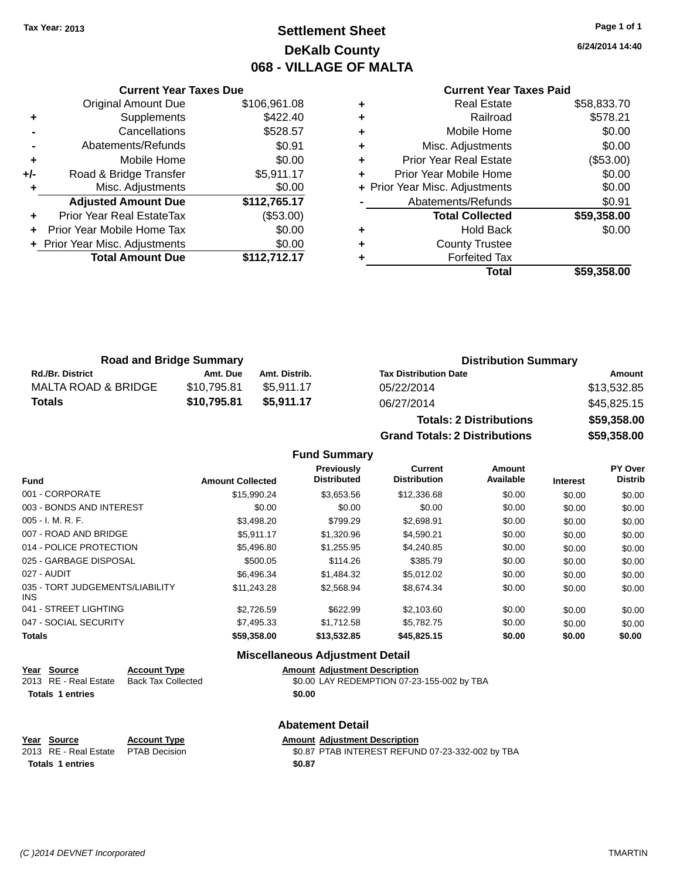## **Settlement Sheet Tax Year: 2013 Page 1 of 1 DeKalb County 068 - VILLAGE OF MALTA**

**6/24/2014 14:40**

| <b>Current Year Taxes Paid</b> |  |  |
|--------------------------------|--|--|
|                                |  |  |

|     | <b>Current Year Taxes Due</b>  |              |
|-----|--------------------------------|--------------|
|     | <b>Original Amount Due</b>     | \$106,961.08 |
| ٠   | Supplements                    | \$422.40     |
|     | Cancellations                  | \$528.57     |
|     | Abatements/Refunds             | \$0.91       |
| ٠   | Mobile Home                    | \$0.00       |
| +/- | Road & Bridge Transfer         | \$5,911.17   |
| ٠   | Misc. Adjustments              | \$0.00       |
|     | <b>Adjusted Amount Due</b>     | \$112,765.17 |
|     | Prior Year Real EstateTax      | (\$53.00)    |
|     | Prior Year Mobile Home Tax     | \$0.00       |
|     | + Prior Year Misc. Adjustments | \$0.00       |
|     | <b>Total Amount Due</b>        | \$112,712.17 |
|     |                                |              |

| ٠ | <b>Real Estate</b>             | \$58,833.70 |
|---|--------------------------------|-------------|
| ٠ | Railroad                       | \$578.21    |
| ٠ | Mobile Home                    | \$0.00      |
| ٠ | Misc. Adjustments              | \$0.00      |
| ٠ | <b>Prior Year Real Estate</b>  | (\$53.00)   |
| ٠ | Prior Year Mobile Home         | \$0.00      |
|   | + Prior Year Misc. Adjustments | \$0.00      |
|   | Abatements/Refunds             | \$0.91      |
|   | <b>Total Collected</b>         | \$59,358.00 |
| ٠ | <b>Hold Back</b>               | \$0.00      |
| ٠ | <b>County Trustee</b>          |             |
| ٠ | <b>Forfeited Tax</b>           |             |
|   | Total                          | \$59,358.00 |
|   |                                |             |

| <b>Road and Bridge Summary</b> |             |               | <b>Distribution Summary</b>  |             |  |
|--------------------------------|-------------|---------------|------------------------------|-------------|--|
| <b>Rd./Br. District</b>        | Amt. Due    | Amt. Distrib. | <b>Tax Distribution Date</b> | Amount      |  |
| MALTA ROAD & BRIDGE            | \$10.795.81 | \$5.911.17    | 05/22/2014                   | \$13,532.85 |  |
| <b>Totals</b>                  | \$10.795.81 | \$5.911.17    | 06/27/2014                   | \$45,825.15 |  |

| <b>Totals: 2 Distributions</b> | \$59,358.00 |
|--------------------------------|-------------|
| Grand Totals: 2 Distributions  | \$59,358.00 |

### **Fund Summary**

| <b>Fund</b>                             | <b>Amount Collected</b> | Previously<br><b>Distributed</b> | <b>Current</b><br><b>Distribution</b> | Amount<br>Available | <b>Interest</b> | <b>PY Over</b><br><b>Distrib</b> |
|-----------------------------------------|-------------------------|----------------------------------|---------------------------------------|---------------------|-----------------|----------------------------------|
| 001 - CORPORATE                         | \$15,990.24             | \$3,653.56                       | \$12,336.68                           | \$0.00              | \$0.00          | \$0.00                           |
| 003 - BONDS AND INTEREST                | \$0.00                  | \$0.00                           | \$0.00                                | \$0.00              | \$0.00          | \$0.00                           |
| $005 - I. M. R. F.$                     | \$3.498.20              | \$799.29                         | \$2.698.91                            | \$0.00              | \$0.00          | \$0.00                           |
| 007 - ROAD AND BRIDGE                   | \$5.911.17              | \$1,320.96                       | \$4.590.21                            | \$0.00              | \$0.00          | \$0.00                           |
| 014 - POLICE PROTECTION                 | \$5,496.80              | \$1,255.95                       | \$4,240.85                            | \$0.00              | \$0.00          | \$0.00                           |
| 025 - GARBAGE DISPOSAL                  | \$500.05                | \$114.26                         | \$385.79                              | \$0.00              | \$0.00          | \$0.00                           |
| 027 - AUDIT                             | \$6.496.34              | \$1,484.32                       | \$5.012.02                            | \$0.00              | \$0.00          | \$0.00                           |
| 035 - TORT JUDGEMENTS/LIABILITY<br>INS. | \$11,243.28             | \$2,568.94                       | \$8.674.34                            | \$0.00              | \$0.00          | \$0.00                           |
| 041 - STREET LIGHTING                   | \$2,726.59              | \$622.99                         | \$2.103.60                            | \$0.00              | \$0.00          | \$0.00                           |
| 047 - SOCIAL SECURITY                   | \$7,495.33              | \$1.712.58                       | \$5.782.75                            | \$0.00              | \$0.00          | \$0.00                           |
| <b>Totals</b>                           | \$59,358.00             | \$13,532.85                      | \$45,825.15                           | \$0.00              | \$0.00          | \$0.00                           |

#### **Miscellaneous Adjustment Detail**

| Year Source             | <b>Account Type</b> | <b>Amount Adiustment Description</b>       |
|-------------------------|---------------------|--------------------------------------------|
| 2013 RE - Real Estate   | Back Tax Collected  | \$0.00 LAY REDEMPTION 07-23-155-002 by TBA |
| <b>Totals 1 entries</b> |                     | \$0.00                                     |

# **Abatement Detail**

### **Year Source Account Type Amount Adjustment Description Totals 1 entries \$0.87**

2013 RE - Real Estate PTAB Decision \$0.87 PTAB INTEREST REFUND 07-23-332-002 by TBA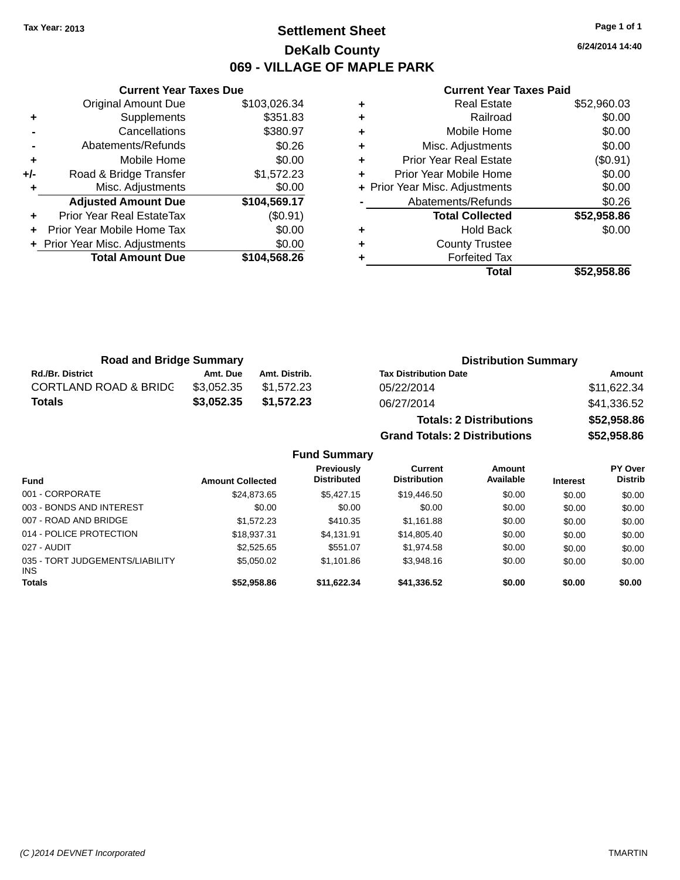## **Settlement Sheet Tax Year: 2013 Page 1 of 1 DeKalb County 069 - VILLAGE OF MAPLE PARK**

**6/24/2014 14:40**

#### **Current Year Taxes Paid**

|     | <b>Current Year Taxes Due</b>  |              |
|-----|--------------------------------|--------------|
|     | <b>Original Amount Due</b>     | \$103,026.34 |
| ٠   | Supplements                    | \$351.83     |
|     | Cancellations                  | \$380.97     |
|     | Abatements/Refunds             | \$0.26       |
| ٠   | Mobile Home                    | \$0.00       |
| +/- | Road & Bridge Transfer         | \$1,572.23   |
|     | Misc. Adjustments              | \$0.00       |
|     | <b>Adjusted Amount Due</b>     | \$104,569.17 |
| ٠   | Prior Year Real EstateTax      | (\$0.91)     |
|     | Prior Year Mobile Home Tax     | \$0.00       |
|     | + Prior Year Misc. Adjustments | \$0.00       |
|     | <b>Total Amount Due</b>        | \$104,568.26 |
|     |                                |              |

|   | <b>Real Estate</b>             | \$52,960.03 |
|---|--------------------------------|-------------|
| ٠ | Railroad                       | \$0.00      |
| ٠ | Mobile Home                    | \$0.00      |
| ٠ | Misc. Adjustments              | \$0.00      |
| ٠ | Prior Year Real Estate         | (\$0.91)    |
| ٠ | Prior Year Mobile Home         | \$0.00      |
|   | + Prior Year Misc. Adjustments | \$0.00      |
|   | Abatements/Refunds             | \$0.26      |
|   | <b>Total Collected</b>         | \$52,958.86 |
|   |                                |             |
| ٠ | Hold Back                      | \$0.00      |
| ٠ | <b>County Trustee</b>          |             |
|   | <b>Forfeited Tax</b>           |             |

**Grand Totals: 2 Distributions \$52,958.86**

| <b>Road and Bridge Summary</b>   |            |               | <b>Distribution Summary</b>    |             |  |
|----------------------------------|------------|---------------|--------------------------------|-------------|--|
| <b>Rd./Br. District</b>          | Amt. Due   | Amt. Distrib. | <b>Tax Distribution Date</b>   | Amount      |  |
| <b>CORTLAND ROAD &amp; BRIDC</b> | \$3.052.35 | \$1.572.23    | 05/22/2014                     | \$11,622.34 |  |
| <b>Totals</b>                    | \$3,052.35 | \$1,572.23    | 06/27/2014                     | \$41,336.52 |  |
|                                  |            |               | <b>Totals: 2 Distributions</b> | \$52,958.86 |  |

|                                         |                         | <b>Fund Summary</b>              |                                       |                     |                 |                                  |
|-----------------------------------------|-------------------------|----------------------------------|---------------------------------------|---------------------|-----------------|----------------------------------|
| <b>Fund</b>                             | <b>Amount Collected</b> | Previously<br><b>Distributed</b> | <b>Current</b><br><b>Distribution</b> | Amount<br>Available | <b>Interest</b> | <b>PY Over</b><br><b>Distrib</b> |
| 001 - CORPORATE                         | \$24,873.65             | \$5,427.15                       | \$19,446.50                           | \$0.00              | \$0.00          | \$0.00                           |
| 003 - BONDS AND INTEREST                | \$0.00                  | \$0.00                           | \$0.00                                | \$0.00              | \$0.00          | \$0.00                           |
| 007 - ROAD AND BRIDGE                   | \$1,572.23              | \$410.35                         | \$1.161.88                            | \$0.00              | \$0.00          | \$0.00                           |
| 014 - POLICE PROTECTION                 | \$18,937.31             | \$4,131.91                       | \$14,805.40                           | \$0.00              | \$0.00          | \$0.00                           |
| 027 - AUDIT                             | \$2,525.65              | \$551.07                         | \$1,974.58                            | \$0.00              | \$0.00          | \$0.00                           |
| 035 - TORT JUDGEMENTS/LIABILITY<br>INS. | \$5,050.02              | \$1,101.86                       | \$3,948.16                            | \$0.00              | \$0.00          | \$0.00                           |
| <b>Totals</b>                           | \$52,958.86             | \$11.622.34                      | \$41.336.52                           | \$0.00              | \$0.00          | \$0.00                           |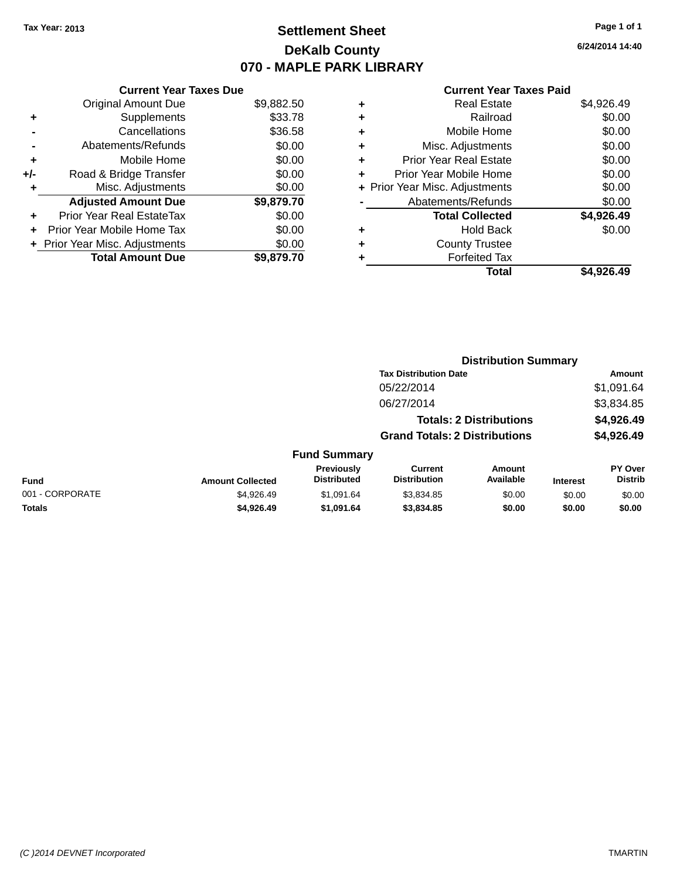## **Settlement Sheet Tax Year: 2013 Page 1 of 1 DeKalb County 070 - MAPLE PARK LIBRARY**

**6/24/2014 14:40**

#### **Current Year Taxes Paid**

|     | <b>Current Year Taxes Due</b>  |            |  |  |
|-----|--------------------------------|------------|--|--|
|     | <b>Original Amount Due</b>     | \$9,882.50 |  |  |
| ٠   | Supplements                    | \$33.78    |  |  |
|     | \$36.58<br>Cancellations       |            |  |  |
|     | Abatements/Refunds             | \$0.00     |  |  |
| ٠   | Mobile Home                    | \$0.00     |  |  |
| +/- | Road & Bridge Transfer         | \$0.00     |  |  |
|     | Misc. Adjustments              | \$0.00     |  |  |
|     | <b>Adjusted Amount Due</b>     | \$9,879.70 |  |  |
| ÷   | Prior Year Real EstateTax      | \$0.00     |  |  |
|     | Prior Year Mobile Home Tax     | \$0.00     |  |  |
|     | + Prior Year Misc. Adjustments | \$0.00     |  |  |
|     | <b>Total Amount Due</b>        | \$9.879.70 |  |  |

|   | <b>Real Estate</b>             | \$4,926.49 |
|---|--------------------------------|------------|
| ٠ | Railroad                       | \$0.00     |
| ٠ | Mobile Home                    | \$0.00     |
| ٠ | Misc. Adjustments              | \$0.00     |
| ٠ | <b>Prior Year Real Estate</b>  | \$0.00     |
| ٠ | Prior Year Mobile Home         | \$0.00     |
|   | + Prior Year Misc. Adjustments | \$0.00     |
|   | Abatements/Refunds             | \$0.00     |
|   | <b>Total Collected</b>         | \$4,926.49 |
| ٠ | <b>Hold Back</b>               | \$0.00     |
| ٠ | <b>County Trustee</b>          |            |
| ٠ | <b>Forfeited Tax</b>           |            |
|   | Total                          | \$4.926.49 |
|   |                                |            |

|                         |                                  |                                       |                     |                                                                                                        | <b>Amount</b>               |
|-------------------------|----------------------------------|---------------------------------------|---------------------|--------------------------------------------------------------------------------------------------------|-----------------------------|
|                         |                                  | 05/22/2014                            |                     |                                                                                                        | \$1,091.64                  |
|                         |                                  | 06/27/2014                            |                     |                                                                                                        | \$3,834.85                  |
|                         |                                  |                                       |                     |                                                                                                        | \$4,926.49                  |
|                         |                                  |                                       |                     |                                                                                                        | \$4,926.49                  |
|                         |                                  |                                       |                     |                                                                                                        |                             |
| <b>Amount Collected</b> | Previously<br><b>Distributed</b> | <b>Current</b><br><b>Distribution</b> | Amount<br>Available | <b>Interest</b>                                                                                        | PY Over<br><b>Distrib</b>   |
| \$4,926.49              | \$1,091.64                       | \$3,834.85                            | \$0.00              | \$0.00                                                                                                 | \$0.00                      |
| \$4,926.49              | \$1,091.64                       | \$3,834.85                            | \$0.00              | \$0.00                                                                                                 | \$0.00                      |
|                         |                                  |                                       | <b>Fund Summary</b> | <b>Tax Distribution Date</b><br><b>Totals: 2 Distributions</b><br><b>Grand Totals: 2 Distributions</b> | <b>Distribution Summary</b> |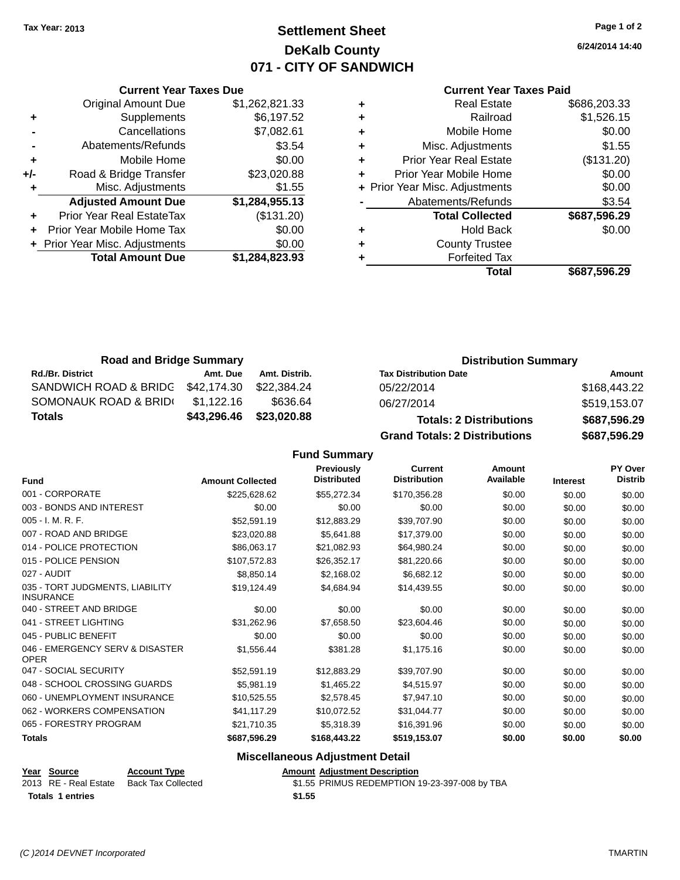## **Settlement Sheet Tax Year: 2013 Page 1 of 2 DeKalb County 071 - CITY OF SANDWICH**

**6/24/2014 14:40**

#### **Current Year Taxes Paid**

|     | <b>Current Year Taxes Due</b>    |                |  |  |
|-----|----------------------------------|----------------|--|--|
|     | <b>Original Amount Due</b>       | \$1,262,821.33 |  |  |
| ٠   | Supplements                      | \$6,197.52     |  |  |
|     | \$7,082.61<br>Cancellations      |                |  |  |
|     | Abatements/Refunds               | \$3.54         |  |  |
| ٠   | Mobile Home                      | \$0.00         |  |  |
| +/- | Road & Bridge Transfer           | \$23,020.88    |  |  |
| ٠   | Misc. Adjustments                | \$1.55         |  |  |
|     | <b>Adjusted Amount Due</b>       | \$1,284,955.13 |  |  |
|     | <b>Prior Year Real EstateTax</b> | (\$131.20)     |  |  |
|     | Prior Year Mobile Home Tax       | \$0.00         |  |  |
|     | + Prior Year Misc. Adjustments   | \$0.00         |  |  |
|     | <b>Total Amount Due</b>          | \$1,284,823.93 |  |  |
|     |                                  |                |  |  |

| ٠ | <b>Real Estate</b>             | \$686,203.33 |
|---|--------------------------------|--------------|
| ٠ | Railroad                       | \$1,526.15   |
| ٠ | Mobile Home                    | \$0.00       |
| ٠ | Misc. Adjustments              | \$1.55       |
| ٠ | <b>Prior Year Real Estate</b>  | (\$131.20)   |
| ÷ | Prior Year Mobile Home         | \$0.00       |
|   | + Prior Year Misc. Adjustments | \$0.00       |
|   | Abatements/Refunds             | \$3.54       |
|   | <b>Total Collected</b>         | \$687,596.29 |
| ٠ | <b>Hold Back</b>               | \$0.00       |
| ٠ | <b>County Trustee</b>          |              |
| ٠ | <b>Forfeited Tax</b>           |              |
|   | Total                          | \$687,596.29 |
|   |                                |              |

| <b>Road and Bridge Summary</b> |             |               | <b>Distribution Summary</b>          |              |  |
|--------------------------------|-------------|---------------|--------------------------------------|--------------|--|
| <b>Rd./Br. District</b>        | Amt. Due    | Amt. Distrib. | <b>Tax Distribution Date</b>         | Amount       |  |
| SANDWICH ROAD & BRIDG          | \$42,174.30 | \$22,384.24   | 05/22/2014                           | \$168,443.22 |  |
| SOMONAUK ROAD & BRID(          | \$1.122.16  | \$636.64      | 06/27/2014                           | \$519,153.07 |  |
| Totals                         | \$43,296.46 | \$23,020.88   | <b>Totals: 2 Distributions</b>       | \$687,596.29 |  |
|                                |             |               | <b>Grand Totals: 2 Distributions</b> | \$687,596.29 |  |

### **Fund Summary**

| <b>Fund</b>                                         | <b>Amount Collected</b> | Previously<br><b>Distributed</b> | <b>Current</b><br><b>Distribution</b> | Amount<br>Available | <b>Interest</b> | PY Over<br><b>Distrib</b> |
|-----------------------------------------------------|-------------------------|----------------------------------|---------------------------------------|---------------------|-----------------|---------------------------|
| 001 - CORPORATE                                     | \$225,628.62            | \$55,272.34                      | \$170,356.28                          | \$0.00              | \$0.00          | \$0.00                    |
| 003 - BONDS AND INTEREST                            | \$0.00                  | \$0.00                           | \$0.00                                | \$0.00              | \$0.00          | \$0.00                    |
| 005 - I. M. R. F.                                   | \$52,591.19             | \$12,883.29                      | \$39,707.90                           | \$0.00              | \$0.00          | \$0.00                    |
| 007 - ROAD AND BRIDGE                               | \$23,020.88             | \$5,641.88                       | \$17,379.00                           | \$0.00              | \$0.00          | \$0.00                    |
| 014 - POLICE PROTECTION                             | \$86,063.17             | \$21,082.93                      | \$64,980.24                           | \$0.00              | \$0.00          | \$0.00                    |
| 015 - POLICE PENSION                                | \$107,572.83            | \$26,352.17                      | \$81,220.66                           | \$0.00              | \$0.00          | \$0.00                    |
| 027 - AUDIT                                         | \$8,850.14              | \$2,168.02                       | \$6,682.12                            | \$0.00              | \$0.00          | \$0.00                    |
| 035 - TORT JUDGMENTS, LIABILITY<br><b>INSURANCE</b> | \$19,124.49             | \$4,684.94                       | \$14,439.55                           | \$0.00              | \$0.00          | \$0.00                    |
| 040 - STREET AND BRIDGE                             | \$0.00                  | \$0.00                           | \$0.00                                | \$0.00              | \$0.00          | \$0.00                    |
| 041 - STREET LIGHTING                               | \$31,262.96             | \$7,658.50                       | \$23,604.46                           | \$0.00              | \$0.00          | \$0.00                    |
| 045 - PUBLIC BENEFIT                                | \$0.00                  | \$0.00                           | \$0.00                                | \$0.00              | \$0.00          | \$0.00                    |
| 046 - EMERGENCY SERV & DISASTER<br><b>OPER</b>      | \$1,556.44              | \$381.28                         | \$1,175.16                            | \$0.00              | \$0.00          | \$0.00                    |
| 047 - SOCIAL SECURITY                               | \$52,591.19             | \$12,883.29                      | \$39,707.90                           | \$0.00              | \$0.00          | \$0.00                    |
| 048 - SCHOOL CROSSING GUARDS                        | \$5,981.19              | \$1,465.22                       | \$4,515.97                            | \$0.00              | \$0.00          | \$0.00                    |
| 060 - UNEMPLOYMENT INSURANCE                        | \$10,525.55             | \$2,578.45                       | \$7,947.10                            | \$0.00              | \$0.00          | \$0.00                    |
| 062 - WORKERS COMPENSATION                          | \$41,117.29             | \$10,072.52                      | \$31,044.77                           | \$0.00              | \$0.00          | \$0.00                    |
| 065 - FORESTRY PROGRAM                              | \$21,710.35             | \$5,318.39                       | \$16,391.96                           | \$0.00              | \$0.00          | \$0.00                    |
| <b>Totals</b>                                       | \$687,596.29            | \$168,443.22                     | \$519,153.07                          | \$0.00              | \$0.00          | \$0.00                    |

#### **Miscellaneous Adjustment Detail**

| Year Source             | <b>Account Type</b> | <b>Amount Adjustment Description</b>          |
|-------------------------|---------------------|-----------------------------------------------|
| 2013 RE - Real Estate   | Back Tax Collected  | \$1.55 PRIMUS REDEMPTION 19-23-397-008 by TBA |
| <b>Totals 1 entries</b> |                     | \$1.55                                        |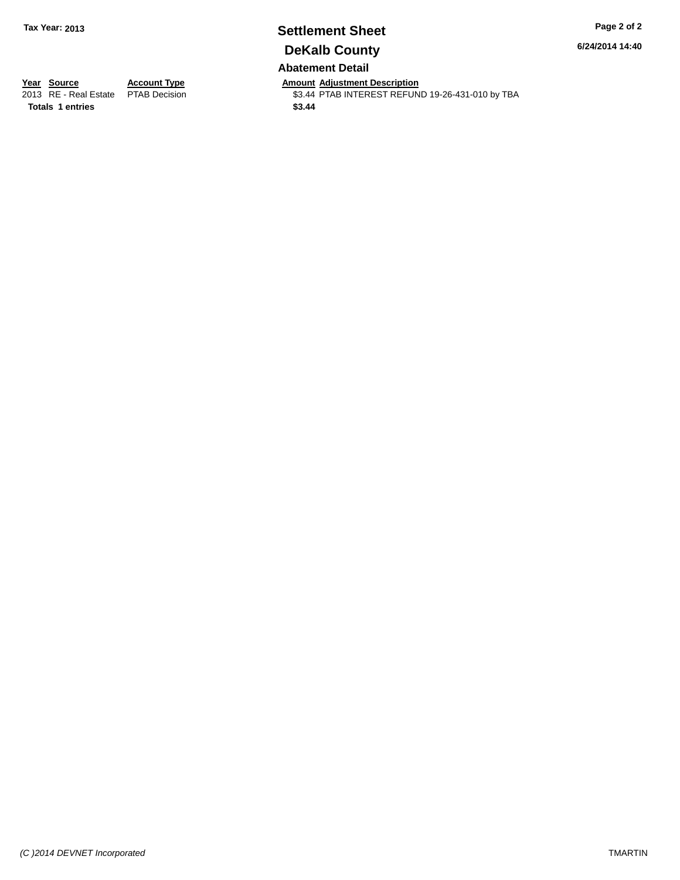### **Settlement Sheet Tax Year: 2013 Page 2 of 2 DeKalb County Abatement Detail**

**6/24/2014 14:40**

**Year Source Account Type Anneunt Adjustment Description**<br>
2013 RE - Real Estate PTAB Decision **Amount Adjustment Description** 

\$3.44 PTAB INTEREST REFUND 19-26-431-010 by TBA

**Totals 1 entries \$3.44**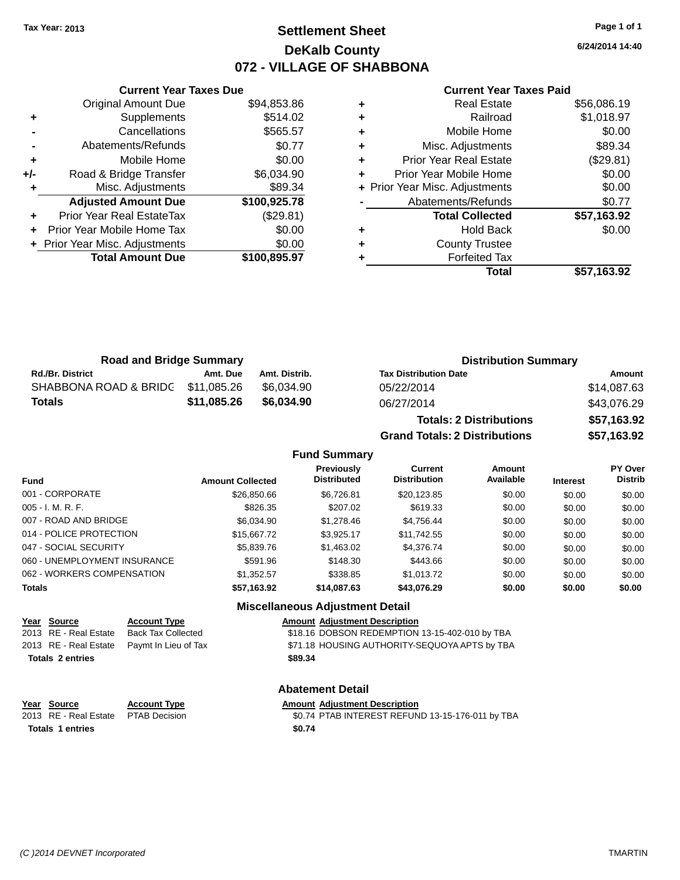## **Settlement Sheet Tax Year: 2013 Page 1 of 1 DeKalb County 072 - VILLAGE OF SHABBONA**

**6/24/2014 14:40**

#### **Current Year Taxes Paid**

|     | <b>Original Amount Due</b>     | \$94,853.86  |
|-----|--------------------------------|--------------|
| ٠   | Supplements                    | \$514.02     |
|     | Cancellations                  | \$565.57     |
|     | Abatements/Refunds             | \$0.77       |
| ٠   | Mobile Home                    | \$0.00       |
| +/- | Road & Bridge Transfer         | \$6,034.90   |
| ٠   | Misc. Adjustments              | \$89.34      |
|     | <b>Adjusted Amount Due</b>     | \$100,925.78 |
| ٠   | Prior Year Real EstateTax      | (\$29.81)    |
| ÷   | Prior Year Mobile Home Tax     | \$0.00       |
|     |                                |              |
|     | + Prior Year Misc. Adjustments | \$0.00       |
|     | <b>Total Amount Due</b>        | \$100,895.97 |

**Current Year Taxes Due**

| ٠ | <b>Real Estate</b>             | \$56,086.19 |
|---|--------------------------------|-------------|
| ٠ | Railroad                       | \$1,018.97  |
| ٠ | Mobile Home                    | \$0.00      |
| ٠ | Misc. Adjustments              | \$89.34     |
| ٠ | <b>Prior Year Real Estate</b>  | (\$29.81)   |
| ٠ | Prior Year Mobile Home         | \$0.00      |
|   | + Prior Year Misc. Adjustments | \$0.00      |
|   | Abatements/Refunds             | \$0.77      |
|   | <b>Total Collected</b>         | \$57,163.92 |
| ٠ | <b>Hold Back</b>               | \$0.00      |
| ٠ | <b>County Trustee</b>          |             |
| ٠ | <b>Forfeited Tax</b>           |             |
|   | Total                          | \$57,163.92 |
|   |                                |             |

| <b>Road and Bridge Summary</b>    |             |               | <b>Distribution Summary</b>  |             |
|-----------------------------------|-------------|---------------|------------------------------|-------------|
| <b>Rd./Br. District</b>           | Amt. Due    | Amt. Distrib. | <b>Tax Distribution Date</b> | Amount      |
| SHABBONA ROAD & BRIDC \$11,085.26 |             | \$6.034.90    | 05/22/2014                   | \$14,087.63 |
| <b>Totals</b>                     | \$11,085.26 | \$6,034.90    | 06/27/2014                   | \$43,076.29 |

| <b>Totals: 2 Distributions</b>       | \$57,163.92 |
|--------------------------------------|-------------|
| <b>Grand Totals: 2 Distributions</b> | \$57,163.92 |

#### **Fund Summary**

| <b>Fund</b>                  | <b>Amount Collected</b> | Previously<br><b>Distributed</b>       | Current<br><b>Distribution</b> | Amount<br>Available | <b>Interest</b> | PY Over<br><b>Distrib</b> |
|------------------------------|-------------------------|----------------------------------------|--------------------------------|---------------------|-----------------|---------------------------|
| 001 - CORPORATE              | \$26,850.66             | \$6.726.81                             | \$20,123.85                    | \$0.00              | \$0.00          | \$0.00                    |
| 005 - I. M. R. F.            | \$826.35                | \$207.02                               | \$619.33                       | \$0.00              | \$0.00          | \$0.00                    |
| 007 - ROAD AND BRIDGE        | \$6,034.90              | \$1,278.46                             | \$4.756.44                     | \$0.00              | \$0.00          | \$0.00                    |
| 014 - POLICE PROTECTION      | \$15,667,72             | \$3.925.17                             | \$11,742.55                    | \$0.00              | \$0.00          | \$0.00                    |
| 047 - SOCIAL SECURITY        | \$5,839.76              | \$1,463.02                             | \$4.376.74                     | \$0.00              | \$0.00          | \$0.00                    |
| 060 - UNEMPLOYMENT INSURANCE | \$591.96                | \$148.30                               | \$443.66                       | \$0.00              | \$0.00          | \$0.00                    |
| 062 - WORKERS COMPENSATION   | \$1.352.57              | \$338.85                               | \$1.013.72                     | \$0.00              | \$0.00          | \$0.00                    |
| <b>Totals</b>                | \$57,163.92             | \$14,087.63                            | \$43,076.29                    | \$0.00              | \$0.00          | \$0.00                    |
|                              |                         | <b>Miscellaneous Adjustment Detail</b> |                                |                     |                 |                           |

### **Year Source Account Type Amount Adjustment Description**<br>2013 RE - Real Estate Back Tax Collected \$18.16 DOBSON REDEMPTION 2013 RE - Real Estate Paymt In Lieu of Tax \$71.18 HOUSING AUTHORITY-SEQUOYA APTS by TBA **Totals 2 entries \$89.34**

|   | <b>Account Type</b>       |
|---|---------------------------|
| э | <b>Back Tax Collected</b> |
| э | Paymt In Lieu of Tax      |

#### **Abatement Detail**

#### **Year** Source **Account Type Account Adjustment Description**

2013 RE - Real Estate PTAB Decision \$0.74 PTAB INTEREST REFUND 13-15-176-011 by TBA **Totals 1 entries \$0.74**

 $\overline{$18.16}$  DOBSON REDEMPTION 13-15-402-010 by TBA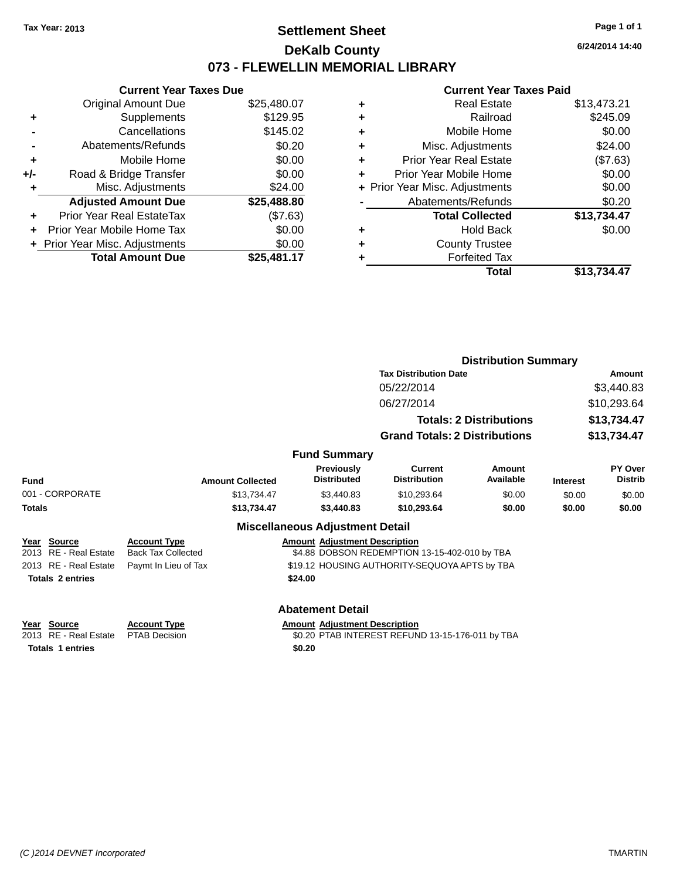## **Settlement Sheet Tax Year: 2013 Page 1 of 1 DeKalb County 073 - FLEWELLIN MEMORIAL LIBRARY**

**6/24/2014 14:40**

#### **Current Year Taxes Paid**

|     | <b>Current Year Taxes Due</b>  |             |  |  |  |
|-----|--------------------------------|-------------|--|--|--|
|     | <b>Original Amount Due</b>     | \$25,480.07 |  |  |  |
| ٠   | Supplements                    | \$129.95    |  |  |  |
|     | Cancellations                  | \$145.02    |  |  |  |
|     | Abatements/Refunds             | \$0.20      |  |  |  |
| ٠   | Mobile Home                    | \$0.00      |  |  |  |
| +/- | Road & Bridge Transfer         | \$0.00      |  |  |  |
| ٠   | Misc. Adjustments              | \$24.00     |  |  |  |
|     | <b>Adjusted Amount Due</b>     | \$25,488.80 |  |  |  |
| ÷   | Prior Year Real EstateTax      | (\$7.63)    |  |  |  |
| ÷   | Prior Year Mobile Home Tax     | \$0.00      |  |  |  |
|     | + Prior Year Misc. Adjustments | \$0.00      |  |  |  |
|     | <b>Total Amount Due</b>        | \$25.481.17 |  |  |  |

| ٠ | <b>Real Estate</b>             | \$13,473.21 |
|---|--------------------------------|-------------|
| ٠ | Railroad                       | \$245.09    |
| ٠ | Mobile Home                    | \$0.00      |
| ٠ | Misc. Adjustments              | \$24.00     |
| ٠ | <b>Prior Year Real Estate</b>  | (\$7.63)    |
| ٠ | Prior Year Mobile Home         | \$0.00      |
|   | + Prior Year Misc. Adjustments | \$0.00      |
|   | Abatements/Refunds             | \$0.20      |
|   | <b>Total Collected</b>         | \$13,734.47 |
| ٠ | Hold Back                      | \$0.00      |
| ٠ | <b>County Trustee</b>          |             |
| ٠ | <b>Forfeited Tax</b>           |             |
|   | Total                          | \$13.734.47 |
|   |                                |             |

|                         |                           |                                         |                                                  | <b>Distribution Summary</b>    |                 |                           |  |
|-------------------------|---------------------------|-----------------------------------------|--------------------------------------------------|--------------------------------|-----------------|---------------------------|--|
|                         |                           |                                         | <b>Tax Distribution Date</b>                     |                                |                 | Amount                    |  |
|                         |                           |                                         | 05/22/2014                                       |                                |                 | \$3,440.83                |  |
|                         |                           |                                         | 06/27/2014                                       |                                |                 | \$10,293.64               |  |
|                         |                           |                                         |                                                  | <b>Totals: 2 Distributions</b> |                 | \$13,734.47               |  |
|                         |                           |                                         | <b>Grand Totals: 2 Distributions</b>             |                                |                 | \$13,734.47               |  |
|                         |                           | <b>Fund Summary</b>                     |                                                  |                                |                 |                           |  |
| Fund                    | <b>Amount Collected</b>   | <b>Previously</b><br><b>Distributed</b> | Current<br><b>Distribution</b>                   | Amount<br>Available            | <b>Interest</b> | PY Over<br><b>Distrib</b> |  |
| 001 - CORPORATE         | \$13,734.47               | \$3,440.83                              | \$10,293.64                                      | \$0.00                         | \$0.00          | \$0.00                    |  |
| <b>Totals</b>           | \$13,734.47               | \$3,440.83                              | \$10,293.64                                      | \$0.00                         | \$0.00          | \$0.00                    |  |
|                         |                           | <b>Miscellaneous Adjustment Detail</b>  |                                                  |                                |                 |                           |  |
| Year Source             | <b>Account Type</b>       | <b>Amount Adjustment Description</b>    |                                                  |                                |                 |                           |  |
| 2013 RE - Real Estate   | <b>Back Tax Collected</b> |                                         | \$4.88 DOBSON REDEMPTION 13-15-402-010 by TBA    |                                |                 |                           |  |
| 2013 RE - Real Estate   | Paymt In Lieu of Tax      |                                         | \$19.12 HOUSING AUTHORITY-SEQUOYA APTS by TBA    |                                |                 |                           |  |
| <b>Totals 2 entries</b> |                           | \$24.00                                 |                                                  |                                |                 |                           |  |
|                         |                           | <b>Abatement Detail</b>                 |                                                  |                                |                 |                           |  |
| Year Source             | <b>Account Type</b>       | <b>Amount Adjustment Description</b>    |                                                  |                                |                 |                           |  |
| 2013 RE - Real Estate   | <b>PTAB Decision</b>      |                                         | \$0.20 PTAB INTEREST REFUND 13-15-176-011 by TBA |                                |                 |                           |  |
| <b>Totals 1 entries</b> |                           | \$0.20                                  |                                                  |                                |                 |                           |  |
|                         |                           |                                         |                                                  |                                |                 |                           |  |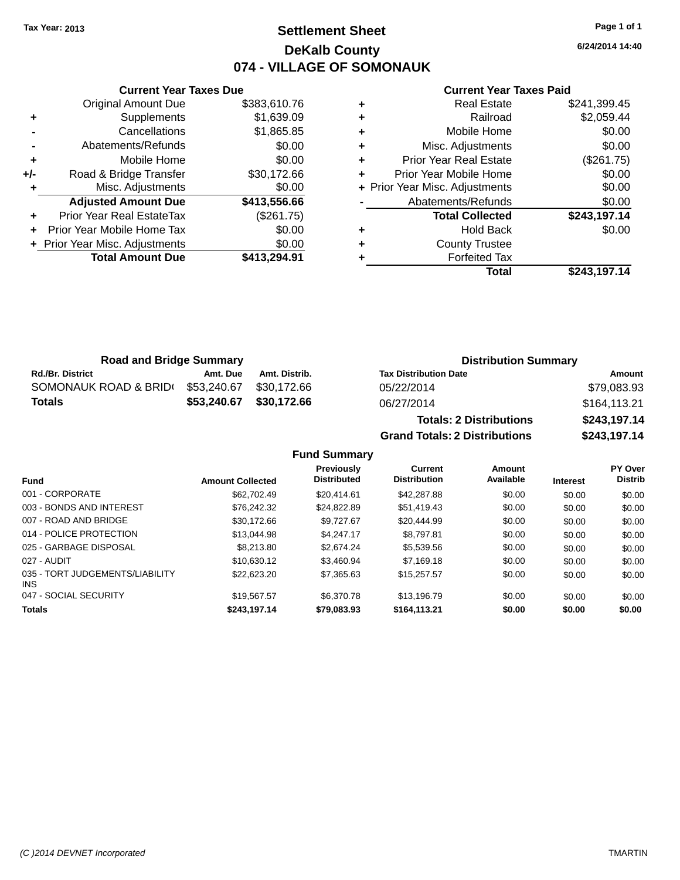## **Settlement Sheet Tax Year: 2013 Page 1 of 1 DeKalb County 074 - VILLAGE OF SOMONAUK**

**6/24/2014 14:40**

#### **Current Year Taxes Paid**

|     | <b>Total Amount Due</b>        | \$413,294.91 |
|-----|--------------------------------|--------------|
|     | + Prior Year Misc. Adjustments | \$0.00       |
| ٠   | Prior Year Mobile Home Tax     | \$0.00       |
| ٠   | Prior Year Real EstateTax      | (\$261.75)   |
|     | <b>Adjusted Amount Due</b>     | \$413,556.66 |
| ÷   | Misc. Adjustments              | \$0.00       |
| +/- | Road & Bridge Transfer         | \$30,172.66  |
| ÷   | Mobile Home                    | \$0.00       |
| -   | Abatements/Refunds             | \$0.00       |
|     | Cancellations                  | \$1,865.85   |
| ٠   | Supplements                    | \$1,639.09   |
|     | <b>Original Amount Due</b>     | \$383,610.76 |
|     |                                |              |

**Current Year Taxes Due**

| <b>Real Estate</b>             | \$241,399.45 |
|--------------------------------|--------------|
| Railroad                       | \$2,059.44   |
| Mobile Home                    | \$0.00       |
| Misc. Adjustments              | \$0.00       |
| <b>Prior Year Real Estate</b>  | (\$261.75)   |
| Prior Year Mobile Home         | \$0.00       |
| + Prior Year Misc. Adjustments | \$0.00       |
| Abatements/Refunds             | \$0.00       |
| <b>Total Collected</b>         | \$243,197.14 |
| <b>Hold Back</b>               | \$0.00       |
| <b>County Trustee</b>          |              |
| <b>Forfeited Tax</b>           |              |
| Total                          | \$243,197.14 |
|                                |              |

| <b>Road and Bridge Summary</b> |             |               | <b>Distribution Summary</b>    |              |  |
|--------------------------------|-------------|---------------|--------------------------------|--------------|--|
| <b>Rd./Br. District</b>        | Amt. Due    | Amt. Distrib. | <b>Tax Distribution Date</b>   | Amount       |  |
| SOMONAUK ROAD & BRIDI          | \$53,240.67 | \$30.172.66   | 05/22/2014                     | \$79,083.93  |  |
| Totals                         | \$53,240.67 | \$30,172.66   | 06/27/2014                     | \$164,113.21 |  |
|                                |             |               | <b>Totals: 2 Distributions</b> | \$243,197.14 |  |

**Fund Summary**

**Previously**

001 - CORPORATE \$62,702.49 \$20,414.61 \$42,287.88 \$0.00 \$0.00 \$0.00 003 - BONDS AND INTEREST 60.00 \$26,242.32 \$24,822.89 \$51,419.43 \$0.00 \$0.00 \$0.00 \$0.00 007 - ROAD AND BRIDGE 60.00 \$30,172.66 \$9,727.67 \$20,444.99 \$0.00 \$0.00 \$0.00 \$0.00 014 - POLICE PROTECTION \$13,044.98 \$4,247.17 \$8,797.81 \$0.00 \$0.00 \$0.00 \$0.00 025 - GARBAGE DISPOSAL \$8,213.80 \$2,674.24 \$5,539.56 \$0.00 \$0.00 \$0.00 \$0.00 027 - AUDIT \$10,630.12 \$3,460.94 \$7,169.18 \$0.00 \$0.00 \$0.00

047 - SOCIAL SECURITY \$19,567.57 \$6,370.78 \$13,196.79 \$0.00 \$0.00 \$0.00 **Totals \$243,197.14 \$79,083.93 \$164,113.21 \$0.00 \$0.00 \$0.00**

**Fund Interest Amount Collected Distributed**

**Grand Totals: 2 Distributions \$243,197.14**

**Current Distribution**

\$22,623.20 \$7,365.63 \$15,257.57 \$0.00 \$0.00 \$0.00

**Amount Available**

035 - TORT JUDGEMENTS/LIABILITY

INS

**PY Over Distrib**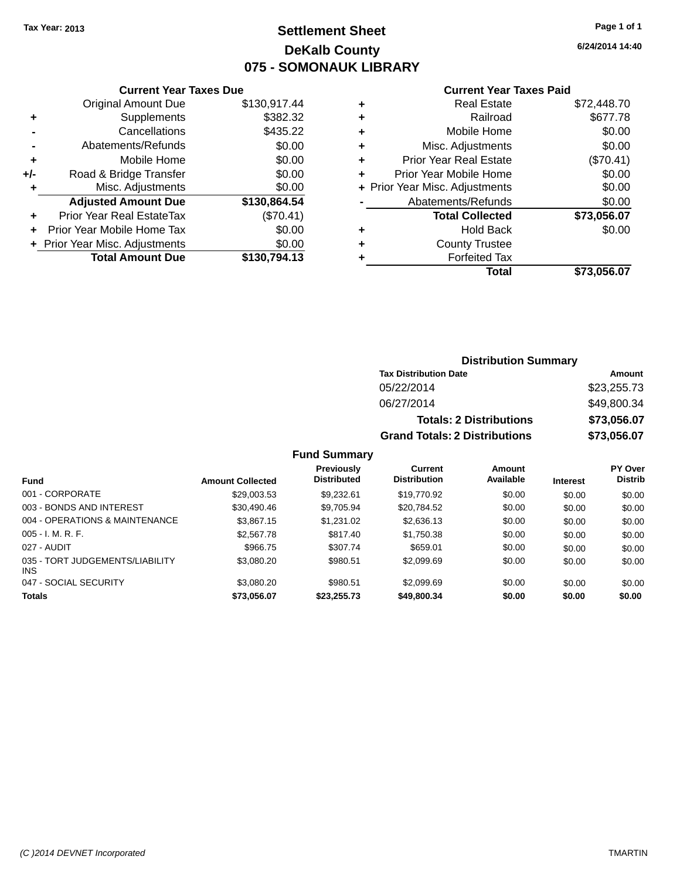## **Settlement Sheet Tax Year: 2013 Page 1 of 1 DeKalb County 075 - SOMONAUK LIBRARY**

**6/24/2014 14:40**

| Year Taxes Due |  |  |
|----------------|--|--|
|                |  |  |

|     | <b>Current Year Taxes Due</b>    |              |  |  |  |  |
|-----|----------------------------------|--------------|--|--|--|--|
|     | <b>Original Amount Due</b>       | \$130,917.44 |  |  |  |  |
| ٠   | Supplements                      | \$382.32     |  |  |  |  |
|     | Cancellations                    | \$435.22     |  |  |  |  |
|     | Abatements/Refunds               | \$0.00       |  |  |  |  |
| ٠   | Mobile Home                      |              |  |  |  |  |
| +/- | \$0.00<br>Road & Bridge Transfer |              |  |  |  |  |
| ۰   | Misc. Adjustments                | \$0.00       |  |  |  |  |
|     | <b>Adjusted Amount Due</b>       | \$130,864.54 |  |  |  |  |
| ÷   | Prior Year Real EstateTax        | (\$70.41)    |  |  |  |  |
|     | Prior Year Mobile Home Tax       | \$0.00       |  |  |  |  |
|     | + Prior Year Misc. Adjustments   | \$0.00       |  |  |  |  |
|     | <b>Total Amount Due</b>          | \$130,794.13 |  |  |  |  |
|     |                                  |              |  |  |  |  |

#### **Current Year Taxes Paid**

| ٠ | <b>Real Estate</b>             | \$72,448.70 |
|---|--------------------------------|-------------|
| ٠ | Railroad                       | \$677.78    |
| ٠ | Mobile Home                    | \$0.00      |
| ٠ | Misc. Adjustments              | \$0.00      |
| ٠ | <b>Prior Year Real Estate</b>  | (\$70.41)   |
| ٠ | Prior Year Mobile Home         | \$0.00      |
|   | + Prior Year Misc. Adjustments | \$0.00      |
|   | Abatements/Refunds             | \$0.00      |
|   | <b>Total Collected</b>         | \$73,056.07 |
| ٠ | <b>Hold Back</b>               | \$0.00      |
| ٠ | <b>County Trustee</b>          |             |
| ٠ | <b>Forfeited Tax</b>           |             |
|   | <b>Total</b>                   | \$73,056.07 |
|   |                                |             |

### **Distribution Summary Tax Distribution Date Amount** 05/22/2014 \$23,255.73 06/27/2014 \$49,800.34 **Totals: 2 Distributions \$73,056.07 Grand Totals: 2 Distributions \$73,056.07**

### **Fund Summary**

| <b>Fund</b>                             | <b>Amount Collected</b> | Previously<br><b>Distributed</b> | Current<br><b>Distribution</b> | Amount<br>Available | <b>Interest</b> | <b>PY Over</b><br><b>Distrib</b> |
|-----------------------------------------|-------------------------|----------------------------------|--------------------------------|---------------------|-----------------|----------------------------------|
| 001 - CORPORATE                         | \$29,003.53             | \$9.232.61                       | \$19,770.92                    | \$0.00              | \$0.00          | \$0.00                           |
| 003 - BONDS AND INTEREST                | \$30,490.46             | \$9.705.94                       | \$20,784.52                    | \$0.00              | \$0.00          | \$0.00                           |
| 004 - OPERATIONS & MAINTENANCE          | \$3,867.15              | \$1.231.02                       | \$2,636.13                     | \$0.00              | \$0.00          | \$0.00                           |
| $005 - I. M. R. F.$                     | \$2,567.78              | \$817.40                         | \$1,750.38                     | \$0.00              | \$0.00          | \$0.00                           |
| 027 - AUDIT                             | \$966.75                | \$307.74                         | \$659.01                       | \$0.00              | \$0.00          | \$0.00                           |
| 035 - TORT JUDGEMENTS/LIABILITY<br>INS. | \$3,080.20              | \$980.51                         | \$2,099.69                     | \$0.00              | \$0.00          | \$0.00                           |
| 047 - SOCIAL SECURITY                   | \$3,080.20              | \$980.51                         | \$2,099.69                     | \$0.00              | \$0.00          | \$0.00                           |
| <b>Totals</b>                           | \$73,056.07             | \$23,255.73                      | \$49,800.34                    | \$0.00              | \$0.00          | \$0.00                           |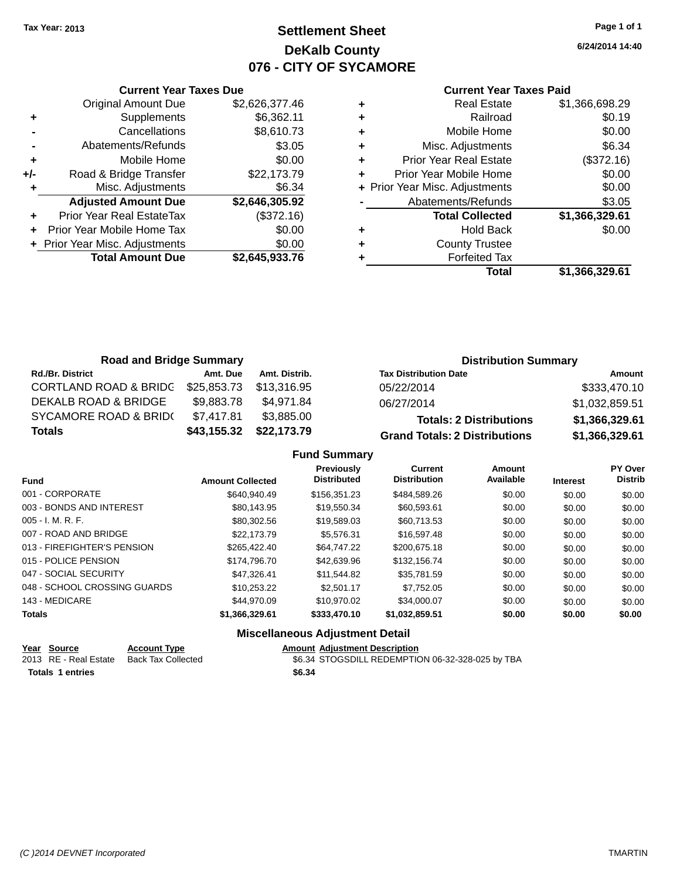## **Settlement Sheet Tax Year: 2013 Page 1 of 1 DeKalb County 076 - CITY OF SYCAMORE**

**6/24/2014 14:40**

|     | <b>Current Year Taxes Due</b> |                |  |  |  |  |
|-----|-------------------------------|----------------|--|--|--|--|
|     | Original Amount Due           | \$2,626,377.46 |  |  |  |  |
| ٠   | Supplements                   | \$6,362.11     |  |  |  |  |
|     | Cancellations                 | \$8,610.73     |  |  |  |  |
|     | Abatements/Refunds            | \$3.05         |  |  |  |  |
| ٠   | Mobile Home                   | \$0.00         |  |  |  |  |
| +/- | Road & Bridge Transfer        | \$22,173.79    |  |  |  |  |
| ٠   | Misc. Adjustments             | \$6.34         |  |  |  |  |
|     | <b>Adjusted Amount Due</b>    | \$2,646,305.92 |  |  |  |  |
| ÷   | Prior Year Real EstateTax     | (\$372.16)     |  |  |  |  |
|     | Prior Year Mobile Home Tax    | \$0.00         |  |  |  |  |
|     | Prior Year Misc. Adjustments  | \$0.00         |  |  |  |  |
|     | <b>Total Amount Due</b>       | \$2,645,933.76 |  |  |  |  |
|     |                               |                |  |  |  |  |

#### **Current Year Taxes Paid**

| ٠ | <b>Real Estate</b>             | \$1,366,698.29 |
|---|--------------------------------|----------------|
| ٠ | Railroad                       | \$0.19         |
| ٠ | Mobile Home                    | \$0.00         |
| ٠ | Misc. Adjustments              | \$6.34         |
| ٠ | <b>Prior Year Real Estate</b>  | (\$372.16)     |
| ÷ | Prior Year Mobile Home         | \$0.00         |
|   | + Prior Year Misc. Adjustments | \$0.00         |
|   | Abatements/Refunds             | \$3.05         |
|   | <b>Total Collected</b>         | \$1,366,329.61 |
| ٠ | Hold Back                      | \$0.00         |
| ٠ | <b>County Trustee</b>          |                |
| ٠ | <b>Forfeited Tax</b>           |                |
|   | <b>Total</b>                   | \$1,366,329.61 |
|   |                                |                |

| <b>Road and Bridge Summary</b>   |             |               | <b>Distribution Summary</b>          |                |  |
|----------------------------------|-------------|---------------|--------------------------------------|----------------|--|
| <b>Rd./Br. District</b>          | Amt. Due    | Amt. Distrib. | <b>Tax Distribution Date</b>         | Amount         |  |
| <b>CORTLAND ROAD &amp; BRIDG</b> | \$25,853.73 | \$13.316.95   | 05/22/2014                           | \$333,470.10   |  |
| DEKALB ROAD & BRIDGE             | \$9,883.78  | \$4.971.84    | 06/27/2014                           | \$1,032,859.51 |  |
| SYCAMORE ROAD & BRID(            | \$7,417.81  | \$3,885.00    | <b>Totals: 2 Distributions</b>       | \$1,366,329.61 |  |
| <b>Totals</b>                    | \$43,155.32 | \$22,173.79   | <b>Grand Totals: 2 Distributions</b> | \$1,366,329.61 |  |

## **Fund Summary**

| <b>Fund</b>                  | <b>Amount Collected</b> | Previously<br><b>Distributed</b> | <b>Current</b><br><b>Distribution</b> | Amount<br>Available | <b>Interest</b> | <b>PY Over</b><br><b>Distrib</b> |
|------------------------------|-------------------------|----------------------------------|---------------------------------------|---------------------|-----------------|----------------------------------|
| 001 - CORPORATE              | \$640.940.49            | \$156,351,23                     | \$484,589.26                          | \$0.00              | \$0.00          | \$0.00                           |
| 003 - BONDS AND INTEREST     | \$80.143.95             | \$19,550.34                      | \$60,593.61                           | \$0.00              | \$0.00          | \$0.00                           |
| $005 - I. M. R. F.$          | \$80.302.56             | \$19,589.03                      | \$60,713.53                           | \$0.00              | \$0.00          | \$0.00                           |
| 007 - ROAD AND BRIDGE        | \$22,173.79             | \$5.576.31                       | \$16,597.48                           | \$0.00              | \$0.00          | \$0.00                           |
| 013 - FIREFIGHTER'S PENSION  | \$265.422.40            | \$64,747.22                      | \$200,675.18                          | \$0.00              | \$0.00          | \$0.00                           |
| 015 - POLICE PENSION         | \$174,796.70            | \$42,639.96                      | \$132,156.74                          | \$0.00              | \$0.00          | \$0.00                           |
| 047 - SOCIAL SECURITY        | \$47.326.41             | \$11.544.82                      | \$35,781.59                           | \$0.00              | \$0.00          | \$0.00                           |
| 048 - SCHOOL CROSSING GUARDS | \$10.253.22             | \$2,501.17                       | \$7.752.05                            | \$0.00              | \$0.00          | \$0.00                           |
| 143 - MEDICARE               | \$44,970.09             | \$10.970.02                      | \$34,000.07                           | \$0.00              | \$0.00          | \$0.00                           |
| <b>Totals</b>                | \$1,366,329.61          | \$333,470.10                     | \$1,032,859.51                        | \$0.00              | \$0.00          | \$0.00                           |

## **Miscellaneous Adjustment Detail**

| Year Source             | <b>Account Type</b> | <b>Amount Adiustment Description</b>             |
|-------------------------|---------------------|--------------------------------------------------|
| 2013 RE - Real Estate   | Back Tax Collected  | \$6.34 STOGSDILL REDEMPTION 06-32-328-025 by TBA |
| <b>Totals 1 entries</b> |                     | \$6.34                                           |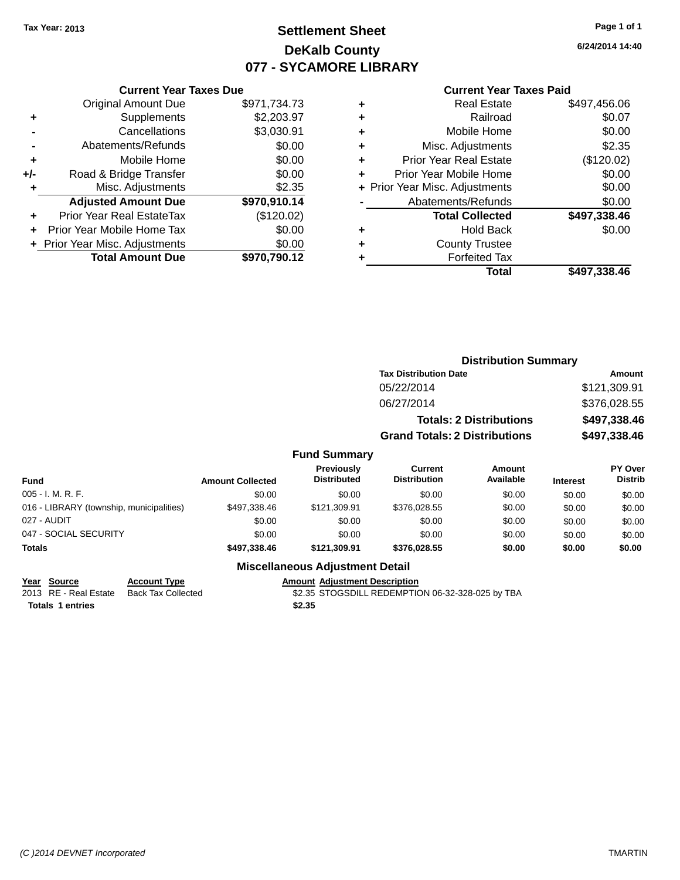## **Settlement Sheet Tax Year: 2013 Page 1 of 1 DeKalb County 077 - SYCAMORE LIBRARY**

**6/24/2014 14:40**

#### **Current Year Taxes Paid**

|     | <b>Current Year Taxes Due</b>  |              |  |  |  |  |
|-----|--------------------------------|--------------|--|--|--|--|
|     | <b>Original Amount Due</b>     | \$971,734.73 |  |  |  |  |
| ٠   | Supplements                    | \$2,203.97   |  |  |  |  |
|     | Cancellations                  | \$3,030.91   |  |  |  |  |
|     | Abatements/Refunds             | \$0.00       |  |  |  |  |
| ٠   | Mobile Home                    | \$0.00       |  |  |  |  |
| +/- | Road & Bridge Transfer         | \$0.00       |  |  |  |  |
|     | Misc. Adjustments              | \$2.35       |  |  |  |  |
|     | <b>Adjusted Amount Due</b>     | \$970,910.14 |  |  |  |  |
| ÷   | Prior Year Real EstateTax      | (\$120.02)   |  |  |  |  |
|     | Prior Year Mobile Home Tax     | \$0.00       |  |  |  |  |
|     | + Prior Year Misc. Adjustments | \$0.00       |  |  |  |  |
|     | <b>Total Amount Due</b>        | \$970.790.12 |  |  |  |  |
|     |                                |              |  |  |  |  |

| ٠ | <b>Real Estate</b>             | \$497,456.06 |
|---|--------------------------------|--------------|
| ٠ | Railroad                       | \$0.07       |
| ٠ | Mobile Home                    | \$0.00       |
| ٠ | Misc. Adjustments              | \$2.35       |
| ٠ | <b>Prior Year Real Estate</b>  | (\$120.02)   |
| ٠ | Prior Year Mobile Home         | \$0.00       |
|   | + Prior Year Misc. Adjustments | \$0.00       |
|   | Abatements/Refunds             | \$0.00       |
|   | <b>Total Collected</b>         | \$497,338.46 |
| ٠ | Hold Back                      | \$0.00       |
| ٠ | <b>County Trustee</b>          |              |
| ٠ | <b>Forfeited Tax</b>           |              |
|   | Total                          | \$497,338.46 |
|   |                                |              |

|                                          |                         |                                  | <b>Distribution Summary</b>           |                                |                 |                                  |
|------------------------------------------|-------------------------|----------------------------------|---------------------------------------|--------------------------------|-----------------|----------------------------------|
|                                          |                         |                                  | <b>Tax Distribution Date</b>          |                                |                 | <b>Amount</b>                    |
|                                          |                         |                                  | 05/22/2014                            |                                |                 | \$121,309.91                     |
|                                          |                         |                                  | 06/27/2014                            |                                |                 | \$376,028.55                     |
|                                          |                         |                                  |                                       | <b>Totals: 2 Distributions</b> |                 | \$497,338.46                     |
|                                          |                         |                                  | <b>Grand Totals: 2 Distributions</b>  |                                |                 | \$497,338.46                     |
|                                          |                         | <b>Fund Summary</b>              |                                       |                                |                 |                                  |
| <b>Fund</b>                              | <b>Amount Collected</b> | Previously<br><b>Distributed</b> | <b>Current</b><br><b>Distribution</b> | <b>Amount</b><br>Available     | <b>Interest</b> | <b>PY Over</b><br><b>Distrib</b> |
| 005 - I. M. R. F.                        | \$0.00                  | \$0.00                           | \$0.00                                | \$0.00                         | \$0.00          | \$0.00                           |
| 016 - LIBRARY (township, municipalities) | \$497,338.46            | \$121,309.91                     | \$376,028.55                          | \$0.00                         | \$0.00          | \$0.00                           |

| Totals                                   | \$497.338.46 | \$121.309.91 | \$376.028.55 | \$0.00 | \$0.00       | \$0.00 |
|------------------------------------------|--------------|--------------|--------------|--------|--------------|--------|
| 047 - SOCIAL SECURITY                    | \$0.00       | \$0.00       | \$0.00       | \$0.00 | \$0.00       | \$0.00 |
| 027 - AUDIT                              | \$0.00       | \$0.00       | \$0.00       | \$0.00 | \$0.00       | \$0.00 |
| 016 - LIBRARY (township, municipalities) | \$497.338.46 | \$121.309.91 | \$376,028.55 | \$0.00 | \$0.00       | \$0.00 |
| UUJ - I. IVI. N. F.                      | JU.UU        | JU.UU        | JU.UU        | JU.UU  | <b>JU.UU</b> | ຈບ.ບບ  |

#### **Miscellaneous Adjustment Detail**

**Year Source Account Type**<br>
2013 RE - Real Estate Back Tax Collected **Amount Adjustment Description**<br>
\$2.35 STOGSDILL REDEMPTIC **Totals 1 entries \$2.35**

\$2.35 STOGSDILL REDEMPTION 06-32-328-025 by TBA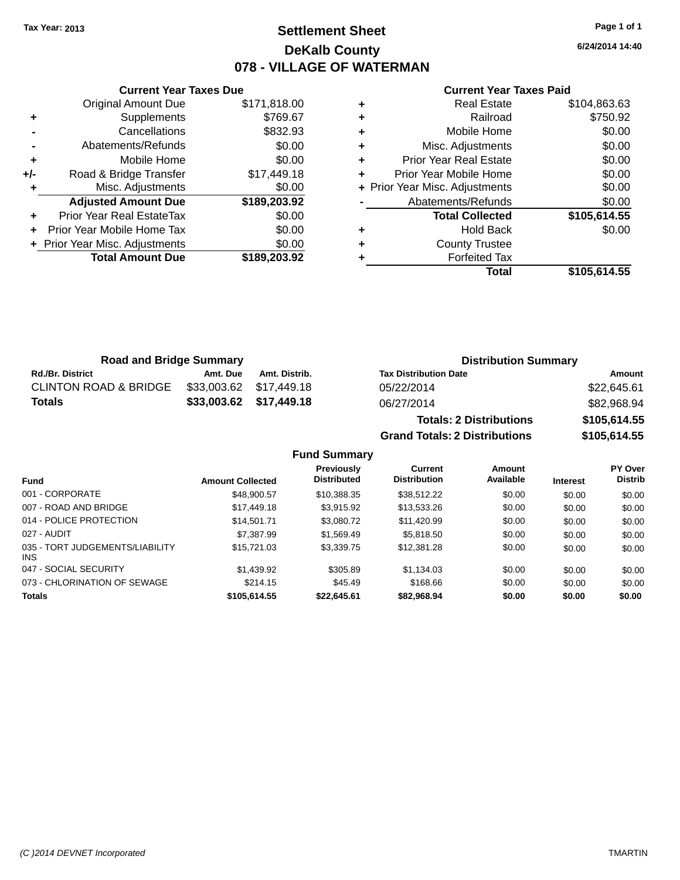## **Settlement Sheet Tax Year: 2013 Page 1 of 1 DeKalb County 078 - VILLAGE OF WATERMAN**

**6/24/2014 14:40**

#### **Current Year Taxes Paid**

|     | <b>Original Amount Due</b>     | \$171,818.00 |
|-----|--------------------------------|--------------|
| ٠   | Supplements                    | \$769.67     |
|     | Cancellations                  | \$832.93     |
|     | Abatements/Refunds             | \$0.00       |
| ÷   | Mobile Home                    | \$0.00       |
| +/- | Road & Bridge Transfer         | \$17,449.18  |
|     | Misc. Adjustments              | \$0.00       |
|     | <b>Adjusted Amount Due</b>     | \$189,203.92 |
| ÷   | Prior Year Real EstateTax      | \$0.00       |
| ÷   | Prior Year Mobile Home Tax     | \$0.00       |
|     | + Prior Year Misc. Adjustments | \$0.00       |
|     |                                |              |
|     | <b>Total Amount Due</b>        | \$189,203.92 |

**Current Year Taxes Due**

| <b>Real Estate</b>             | \$104,863.63 |
|--------------------------------|--------------|
| Railroad                       | \$750.92     |
| Mobile Home                    | \$0.00       |
| Misc. Adjustments              | \$0.00       |
| <b>Prior Year Real Estate</b>  | \$0.00       |
| Prior Year Mobile Home         | \$0.00       |
| + Prior Year Misc. Adjustments | \$0.00       |
| Abatements/Refunds             | \$0.00       |
| <b>Total Collected</b>         | \$105,614.55 |
| <b>Hold Back</b>               | \$0.00       |
| <b>County Trustee</b>          |              |
| <b>Forfeited Tax</b>           |              |
| Total                          | \$105,614.55 |
|                                |              |

**Grand Totals: 2 Distributions \$105,614.55**

| <b>Road and Bridge Summary</b>   |          |                         | <b>Distribution Summary</b>    |              |  |
|----------------------------------|----------|-------------------------|--------------------------------|--------------|--|
| <b>Rd./Br. District</b>          | Amt. Due | Amt. Distrib.           | <b>Tax Distribution Date</b>   | Amount       |  |
| <b>CLINTON ROAD &amp; BRIDGE</b> |          | \$33,003.62 \$17,449.18 | 05/22/2014                     | \$22,645.61  |  |
| Totals                           |          | \$33,003.62 \$17,449.18 | 06/27/2014                     | \$82,968.94  |  |
|                                  |          |                         | <b>Totals: 2 Distributions</b> | \$105,614.55 |  |

**Fund Summary Fund Interest Amount Collected Distributed PY Over Distrib Amount Available Current Distribution Previously** 001 - CORPORATE \$48,900.57 \$10,388.35 \$38,512.22 \$0.00 \$0.00 \$0.00 007 - ROAD AND BRIDGE \$17,449.18 \$3,915.92 \$13,533.26 \$0.00 \$0.00 \$0.00 014 - POLICE PROTECTION \$14,501.71 \$3,080.72 \$11,420.99 \$0.00 \$0.00 \$0.00 \$0.00 027 - AUDIT \$7,387.99 \$1,569.49 \$5,818.50 \$0.00 \$0.00 \$0.00 035 - TORT JUDGEMENTS/LIABILITY INS \$15,721.03 \$3,339.75 \$12,381.28 \$0.00 \$0.00 \$0.00 047 - SOCIAL SECURITY \$1,439.92 \$305.89 \$1,134.03 \$0.00 \$0.00 \$0.00 073 - CHLORINATION OF SEWAGE \$214.15 \$45.49 \$168.66 \$0.00 \$0.00 \$0.00 \$0.00 **Totals \$105,614.55 \$22,645.61 \$82,968.94 \$0.00 \$0.00 \$0.00**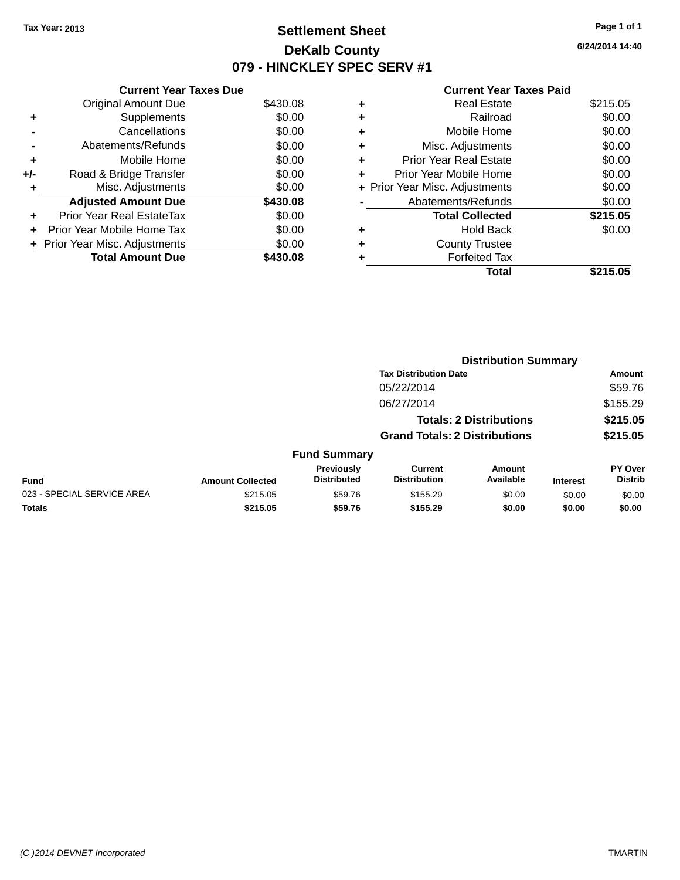## **Settlement Sheet Tax Year: 2013 Page 1 of 1 DeKalb County 079 - HINCKLEY SPEC SERV #1**

**6/24/2014 14:40**

#### **Current Year Taxes Paid**

| <b>Current Year Taxes Due</b> |                                |
|-------------------------------|--------------------------------|
| <b>Original Amount Due</b>    | \$430.08                       |
| Supplements                   | \$0.00                         |
| Cancellations                 | \$0.00                         |
| Abatements/Refunds            | \$0.00                         |
| Mobile Home                   | \$0.00                         |
| Road & Bridge Transfer        | \$0.00                         |
| Misc. Adjustments             | \$0.00                         |
| <b>Adjusted Amount Due</b>    | \$430.08                       |
| Prior Year Real EstateTax     | \$0.00                         |
| Prior Year Mobile Home Tax    | \$0.00                         |
|                               | \$0.00                         |
| <b>Total Amount Due</b>       | \$430.08                       |
|                               | + Prior Year Misc. Adjustments |

|   | Total                          | \$215.05 |
|---|--------------------------------|----------|
|   | <b>Forfeited Tax</b>           |          |
| ٠ | <b>County Trustee</b>          |          |
| ٠ | <b>Hold Back</b>               | \$0.00   |
|   | <b>Total Collected</b>         | \$215.05 |
|   | Abatements/Refunds             | \$0.00   |
|   | + Prior Year Misc. Adjustments | \$0.00   |
| ٠ | Prior Year Mobile Home         | \$0.00   |
| ÷ | <b>Prior Year Real Estate</b>  | \$0.00   |
| ٠ | Misc. Adjustments              | \$0.00   |
| ÷ | Mobile Home                    | \$0.00   |
| ٠ | Railroad                       | \$0.00   |
| ٠ | <b>Real Estate</b>             | \$215.05 |
|   |                                |          |

|                            |                         |                                  |                                       | <b>Distribution Summary</b>    |                 |                                  |
|----------------------------|-------------------------|----------------------------------|---------------------------------------|--------------------------------|-----------------|----------------------------------|
|                            |                         |                                  | <b>Tax Distribution Date</b>          |                                |                 | Amount                           |
|                            |                         |                                  | 05/22/2014                            |                                |                 | \$59.76                          |
|                            |                         |                                  | 06/27/2014                            |                                |                 | \$155.29                         |
|                            |                         |                                  |                                       | <b>Totals: 2 Distributions</b> |                 | \$215.05                         |
|                            |                         |                                  | <b>Grand Totals: 2 Distributions</b>  |                                |                 | \$215.05                         |
|                            |                         | <b>Fund Summary</b>              |                                       |                                |                 |                                  |
| <b>Fund</b>                | <b>Amount Collected</b> | Previously<br><b>Distributed</b> | <b>Current</b><br><b>Distribution</b> | Amount<br>Available            | <b>Interest</b> | <b>PY Over</b><br><b>Distrib</b> |
| 023 - SPECIAL SERVICE AREA | \$215.05                | \$59.76                          | \$155.29                              | \$0.00                         | \$0.00          | \$0.00                           |
| <b>Totals</b>              | \$215.05                | \$59.76                          | \$155.29                              | \$0.00                         | \$0.00          | \$0.00                           |
|                            |                         |                                  |                                       |                                |                 |                                  |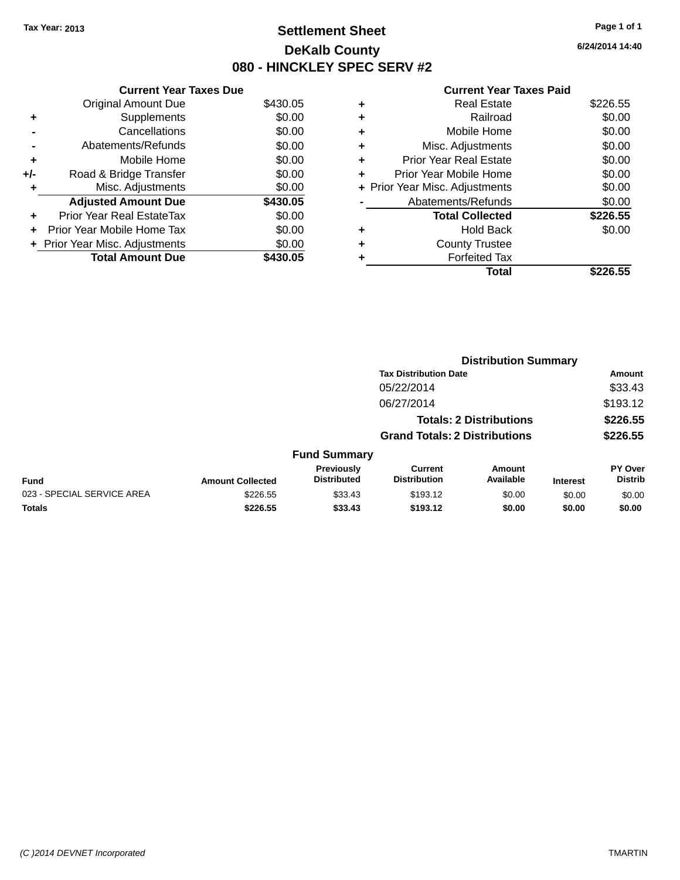## **Settlement Sheet Tax Year: 2013 Page 1 of 1 DeKalb County 080 - HINCKLEY SPEC SERV #2**

**6/24/2014 14:40**

|     | <b>Current Year Taxes Due</b>     |          |
|-----|-----------------------------------|----------|
|     | <b>Original Amount Due</b>        | \$430.05 |
| ٠   | Supplements                       | \$0.00   |
|     | Cancellations                     | \$0.00   |
|     | Abatements/Refunds                | \$0.00   |
| ٠   | Mobile Home                       | \$0.00   |
| +/- | Road & Bridge Transfer            | \$0.00   |
| ٠   | Misc. Adjustments                 | \$0.00   |
|     | <b>Adjusted Amount Due</b>        | \$430.05 |
| ÷   | Prior Year Real EstateTax         | \$0.00   |
| ÷   | <b>Prior Year Mobile Home Tax</b> | \$0.00   |
|     | + Prior Year Misc. Adjustments    | \$0.00   |
|     | <b>Total Amount Due</b>           | \$430.05 |

| ٠ | <b>Real Estate</b>             | \$226.55 |
|---|--------------------------------|----------|
| ٠ | Railroad                       | \$0.00   |
| ٠ | Mobile Home                    | \$0.00   |
| ٠ | Misc. Adjustments              | \$0.00   |
| ٠ | <b>Prior Year Real Estate</b>  | \$0.00   |
| ٠ | Prior Year Mobile Home         | \$0.00   |
|   | + Prior Year Misc. Adjustments | \$0.00   |
|   | Abatements/Refunds             | \$0.00   |
|   | <b>Total Collected</b>         | \$226.55 |
| ٠ | <b>Hold Back</b>               | \$0.00   |
| ٠ | <b>County Trustee</b>          |          |
|   | <b>Forfeited Tax</b>           |          |
|   | Total                          | \$226.55 |
|   |                                |          |

|                            |                         |                                  |                                       | <b>Distribution Summary</b>    |                 |                           |
|----------------------------|-------------------------|----------------------------------|---------------------------------------|--------------------------------|-----------------|---------------------------|
|                            |                         |                                  | <b>Tax Distribution Date</b>          |                                |                 | <b>Amount</b>             |
|                            |                         |                                  | 05/22/2014                            |                                |                 | \$33.43                   |
|                            |                         |                                  | 06/27/2014                            |                                |                 | \$193.12                  |
|                            |                         |                                  |                                       | <b>Totals: 2 Distributions</b> |                 | \$226.55                  |
|                            |                         |                                  | <b>Grand Totals: 2 Distributions</b>  |                                |                 | \$226.55                  |
|                            |                         | <b>Fund Summary</b>              |                                       |                                |                 |                           |
| <b>Fund</b>                | <b>Amount Collected</b> | Previously<br><b>Distributed</b> | <b>Current</b><br><b>Distribution</b> | Amount<br>Available            | <b>Interest</b> | PY Over<br><b>Distrib</b> |
| 023 - SPECIAL SERVICE AREA | \$226.55                | \$33.43                          | \$193.12                              | \$0.00                         | \$0.00          | \$0.00                    |
| <b>Totals</b>              | \$226.55                | \$33.43                          | \$193.12                              | \$0.00                         | \$0.00          | \$0.00                    |
|                            |                         |                                  |                                       |                                |                 |                           |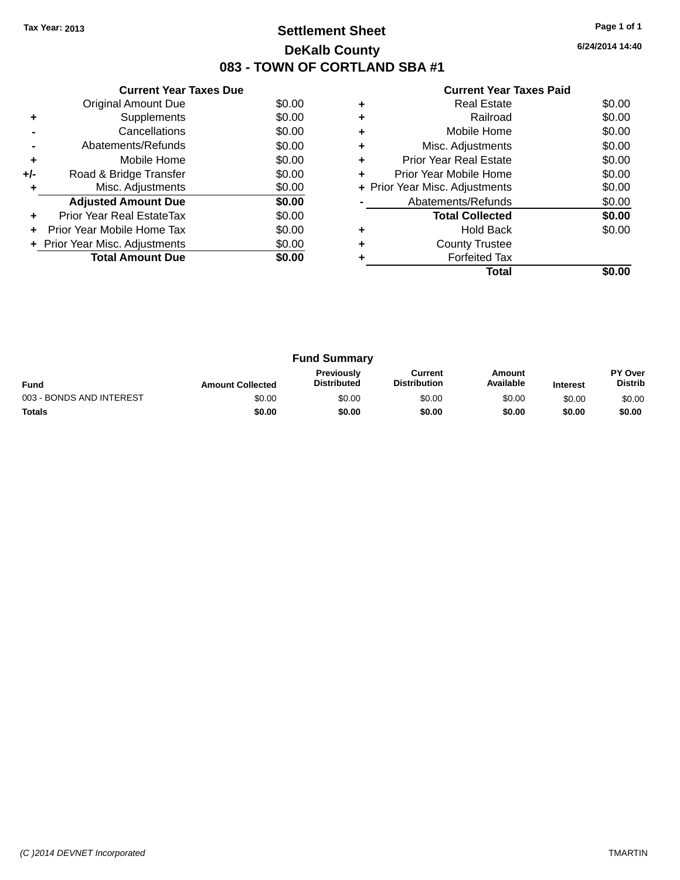## **Settlement Sheet Tax Year: 2013 Page 1 of 1 DeKalb County 083 - TOWN OF CORTLAND SBA #1**

**6/24/2014 14:40**

| <b>Current Year Taxes Paid</b> |  |  |
|--------------------------------|--|--|
|                                |  |  |

|     | <b>Current Year Taxes Due</b>  |        |
|-----|--------------------------------|--------|
|     | <b>Original Amount Due</b>     | \$0.00 |
| ٠   | Supplements                    | \$0.00 |
|     | Cancellations                  | \$0.00 |
|     | Abatements/Refunds             | \$0.00 |
| ٠   | Mobile Home                    | \$0.00 |
| +/- | Road & Bridge Transfer         | \$0.00 |
| ٠   | Misc. Adjustments              | \$0.00 |
|     | <b>Adjusted Amount Due</b>     | \$0.00 |
| ٠   | Prior Year Real EstateTax      | \$0.00 |
| ÷   | Prior Year Mobile Home Tax     | \$0.00 |
|     | + Prior Year Misc. Adjustments | \$0.00 |
|     | <b>Total Amount Due</b>        | \$0.00 |
|     |                                |        |

|   | <b>Real Estate</b>             | \$0.00 |
|---|--------------------------------|--------|
|   | Railroad                       | \$0.00 |
| ٠ | Mobile Home                    | \$0.00 |
| ٠ | Misc. Adjustments              | \$0.00 |
| ٠ | <b>Prior Year Real Estate</b>  | \$0.00 |
| ٠ | Prior Year Mobile Home         | \$0.00 |
|   | + Prior Year Misc. Adjustments | \$0.00 |
|   | Abatements/Refunds             | \$0.00 |
|   | <b>Total Collected</b>         | \$0.00 |
|   | <b>Hold Back</b>               | \$0.00 |
| ÷ | <b>County Trustee</b>          |        |
|   | <b>Forfeited Tax</b>           |        |
|   | Total                          |        |

| <b>Fund Summary</b>                                                                                                                                           |        |        |        |        |        |                                  |
|---------------------------------------------------------------------------------------------------------------------------------------------------------------|--------|--------|--------|--------|--------|----------------------------------|
| <b>Previously</b><br>Amount<br>Current<br>Available<br><b>Distribution</b><br><b>Distributed</b><br><b>Fund</b><br><b>Amount Collected</b><br><b>Interest</b> |        |        |        |        |        | <b>PY Over</b><br><b>Distrib</b> |
| 003 - BONDS AND INTEREST                                                                                                                                      | \$0.00 | \$0.00 | \$0.00 | \$0.00 | \$0.00 | \$0.00                           |
| <b>Totals</b>                                                                                                                                                 | \$0.00 | \$0.00 | \$0.00 | \$0.00 | \$0.00 | \$0.00                           |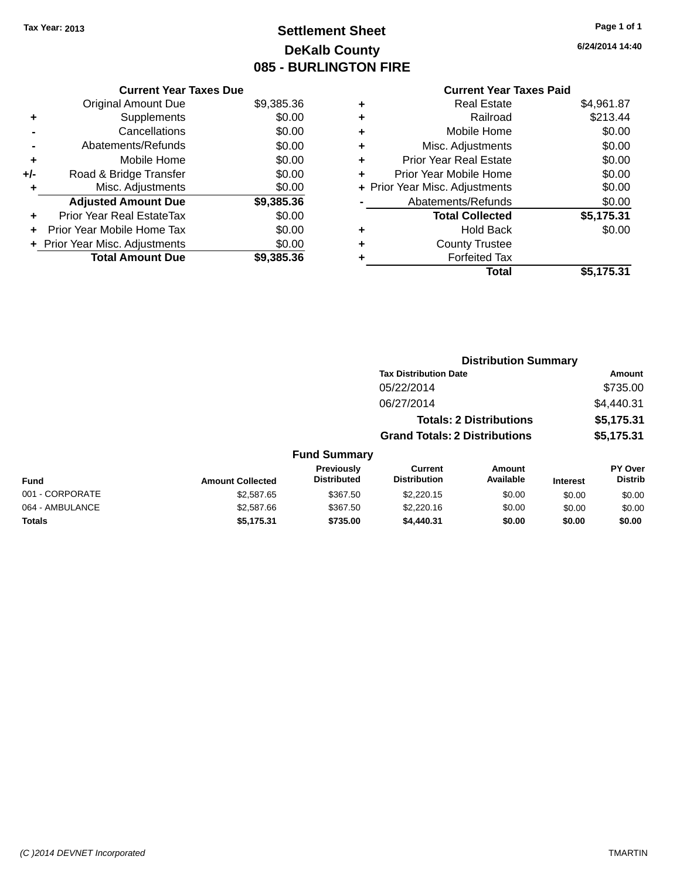## **Settlement Sheet Tax Year: 2013 Page 1 of 1 DeKalb County 085 - BURLINGTON FIRE**

**6/24/2014 14:40**

|     | <b>Current Year Taxes Due</b>    |            |
|-----|----------------------------------|------------|
|     | <b>Original Amount Due</b>       | \$9,385.36 |
| ٠   | Supplements                      | \$0.00     |
|     | Cancellations                    | \$0.00     |
|     | Abatements/Refunds               | \$0.00     |
| ٠   | Mobile Home                      | \$0.00     |
| +/- | Road & Bridge Transfer           | \$0.00     |
| ٠   | Misc. Adjustments                | \$0.00     |
|     | <b>Adjusted Amount Due</b>       | \$9,385.36 |
| ٠   | <b>Prior Year Real EstateTax</b> | \$0.00     |
| ÷   | Prior Year Mobile Home Tax       | \$0.00     |
|     | + Prior Year Misc. Adjustments   | \$0.00     |
|     | <b>Total Amount Due</b>          | \$9,385,36 |

## **Current Year Taxes Paid**

|   | <b>Real Estate</b>             | \$4,961.87 |
|---|--------------------------------|------------|
| ٠ | Railroad                       | \$213.44   |
| ٠ | Mobile Home                    | \$0.00     |
| ٠ | Misc. Adjustments              | \$0.00     |
| ÷ | <b>Prior Year Real Estate</b>  | \$0.00     |
| ٠ | Prior Year Mobile Home         | \$0.00     |
|   | + Prior Year Misc. Adjustments | \$0.00     |
|   | Abatements/Refunds             | \$0.00     |
|   | <b>Total Collected</b>         | \$5,175.31 |
| ٠ | Hold Back                      | \$0.00     |
| ٠ | <b>County Trustee</b>          |            |
|   | <b>Forfeited Tax</b>           |            |
|   | Total                          | \$5,175.31 |
|   |                                |            |

|                 |                         |                                         | <b>Distribution Summary</b>          |                                |                 |                                  |
|-----------------|-------------------------|-----------------------------------------|--------------------------------------|--------------------------------|-----------------|----------------------------------|
|                 |                         |                                         | <b>Tax Distribution Date</b>         |                                |                 | <b>Amount</b>                    |
|                 |                         |                                         | 05/22/2014                           |                                |                 | \$735.00                         |
|                 |                         |                                         | 06/27/2014                           |                                |                 | \$4,440.31                       |
|                 |                         |                                         |                                      | <b>Totals: 2 Distributions</b> |                 | \$5,175.31                       |
|                 |                         |                                         | <b>Grand Totals: 2 Distributions</b> |                                |                 | \$5,175.31                       |
|                 |                         | <b>Fund Summary</b>                     |                                      |                                |                 |                                  |
| <b>Fund</b>     | <b>Amount Collected</b> | <b>Previously</b><br><b>Distributed</b> | Current<br><b>Distribution</b>       | Amount<br>Available            | <b>Interest</b> | <b>PY Over</b><br><b>Distrib</b> |
| 001 - CORPORATE | \$2,587.65              | \$367.50                                | \$2,220.15                           | \$0.00                         | \$0.00          | \$0.00                           |
| 064 - AMBULANCE | \$2,587.66              | \$367.50                                | \$2,220.16                           | \$0.00                         | \$0.00          | \$0.00                           |
| <b>Totals</b>   | \$5,175,31              | \$735.00                                | \$4,440.31                           | \$0.00                         | \$0.00          | \$0.00                           |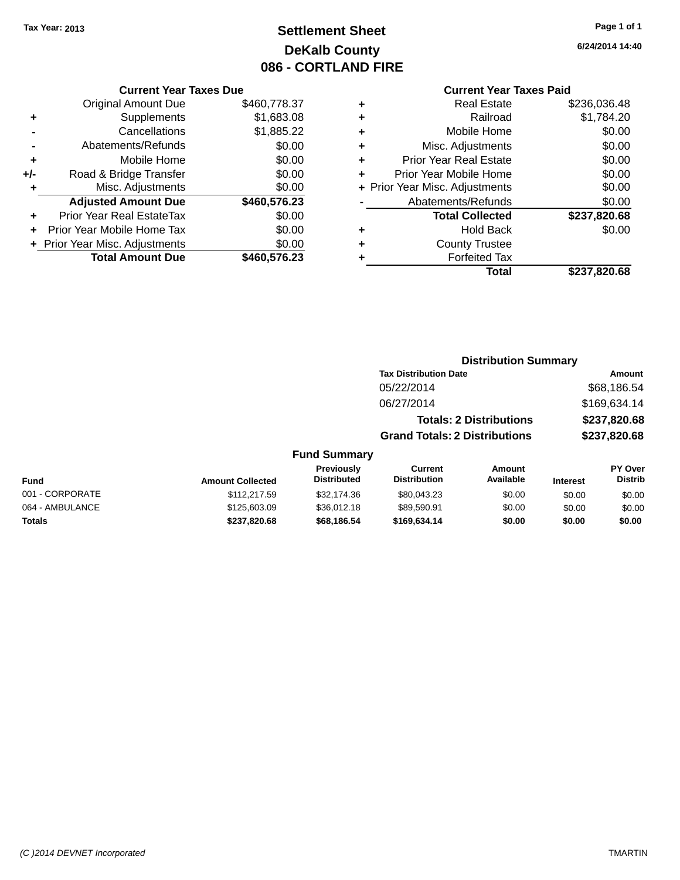## **Settlement Sheet Tax Year: 2013 Page 1 of 1 DeKalb County 086 - CORTLAND FIRE**

**Totals \$237,820.68 \$68,186.54 \$169,634.14 \$0.00 \$0.00 \$0.00**

**6/24/2014 14:40**

#### **Current Year Taxes Paid**

| <b>Original Amount Due</b> | \$460,778.37                                                    |
|----------------------------|-----------------------------------------------------------------|
| Supplements                | \$1,683.08                                                      |
| Cancellations              | \$1,885.22                                                      |
| Abatements/Refunds         | \$0.00                                                          |
| Mobile Home                | \$0.00                                                          |
| Road & Bridge Transfer     | \$0.00                                                          |
| Misc. Adjustments          | \$0.00                                                          |
| <b>Adjusted Amount Due</b> | \$460,576.23                                                    |
| Prior Year Real EstateTax  | \$0.00                                                          |
| Prior Year Mobile Home Tax | \$0.00                                                          |
|                            | \$0.00                                                          |
| <b>Total Amount Due</b>    | \$460,576.23                                                    |
|                            | <b>Current Year Taxes Due</b><br>+ Prior Year Misc. Adjustments |

| <b>Real Estate</b>            | \$236,036.48                   |
|-------------------------------|--------------------------------|
| Railroad                      | \$1,784.20                     |
| Mobile Home                   | \$0.00                         |
| Misc. Adjustments             | \$0.00                         |
| <b>Prior Year Real Estate</b> | \$0.00                         |
| Prior Year Mobile Home        | \$0.00                         |
|                               | \$0.00                         |
| Abatements/Refunds            | \$0.00                         |
| <b>Total Collected</b>        | \$237,820.68                   |
| <b>Hold Back</b>              | \$0.00                         |
| <b>County Trustee</b>         |                                |
| <b>Forfeited Tax</b>          |                                |
| Total                         | \$237,820.68                   |
|                               | + Prior Year Misc. Adjustments |

|                 |                         |                                  |                                       | <b>Distribution Summary</b>    |                 |                                  |
|-----------------|-------------------------|----------------------------------|---------------------------------------|--------------------------------|-----------------|----------------------------------|
|                 |                         |                                  | <b>Tax Distribution Date</b>          |                                |                 | <b>Amount</b>                    |
|                 |                         |                                  | 05/22/2014                            |                                |                 | \$68,186.54                      |
|                 |                         |                                  | 06/27/2014                            |                                |                 | \$169,634.14                     |
|                 |                         |                                  |                                       | <b>Totals: 2 Distributions</b> |                 | \$237,820.68                     |
|                 |                         |                                  | <b>Grand Totals: 2 Distributions</b>  |                                |                 | \$237,820.68                     |
|                 |                         | <b>Fund Summary</b>              |                                       |                                |                 |                                  |
| <b>Fund</b>     | <b>Amount Collected</b> | Previously<br><b>Distributed</b> | <b>Current</b><br><b>Distribution</b> | Amount<br>Available            | <b>Interest</b> | <b>PY Over</b><br><b>Distrib</b> |
| 001 - CORPORATE | \$112,217.59            | \$32,174.36                      | \$80,043.23                           | \$0.00                         | \$0.00          | \$0.00                           |
| 064 - AMBULANCE | \$125,603.09            | \$36,012.18                      | \$89,590.91                           | \$0.00                         | \$0.00          | \$0.00                           |

#### *(C )2014 DEVNET Incorporated* TMARTIN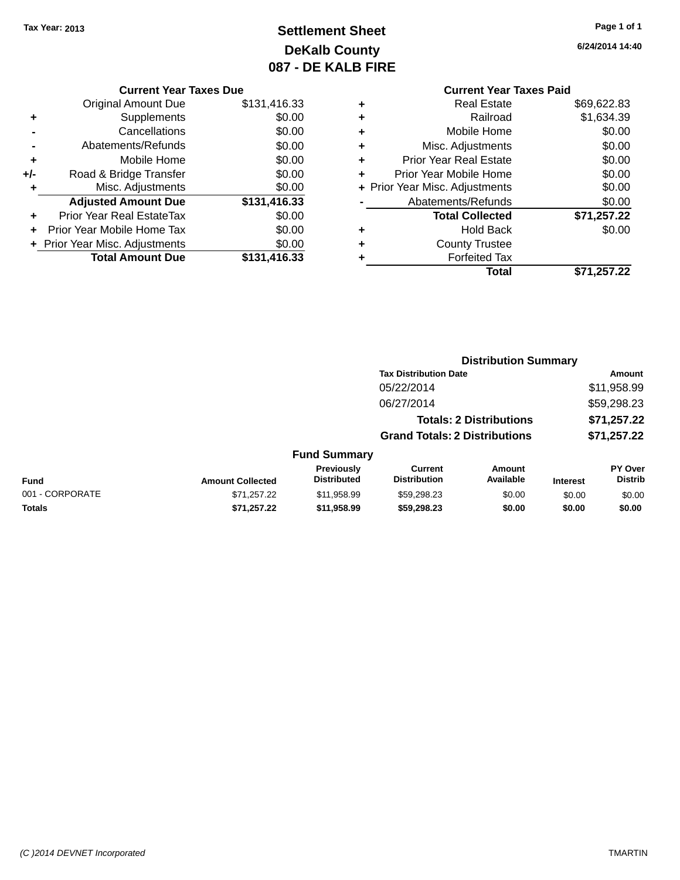## **Settlement Sheet Tax Year: 2013 Page 1 of 1 DeKalb County 087 - DE KALB FIRE**

## **6/24/2014 14:40**

|     | <b>Current Year Taxes Due</b>  |              |  |  |
|-----|--------------------------------|--------------|--|--|
|     | <b>Original Amount Due</b>     | \$131,416.33 |  |  |
| ٠   | Supplements                    | \$0.00       |  |  |
|     | Cancellations                  | \$0.00       |  |  |
|     | Abatements/Refunds             | \$0.00       |  |  |
| ٠   | Mobile Home                    | \$0.00       |  |  |
| +/- | Road & Bridge Transfer         | \$0.00       |  |  |
| ٠   | Misc. Adjustments              | \$0.00       |  |  |
|     | <b>Adjusted Amount Due</b>     | \$131,416.33 |  |  |
| ٠   | Prior Year Real EstateTax      | \$0.00       |  |  |
|     | Prior Year Mobile Home Tax     | \$0.00       |  |  |
|     | + Prior Year Misc. Adjustments | \$0.00       |  |  |
|     | <b>Total Amount Due</b>        | \$131,416.33 |  |  |
|     |                                |              |  |  |

## **Current Year Taxes Paid +** Real Estate \$69,622.83 **+** Railroad \$1,634.39 **+** Mobile Home \$0.00 **+** Misc. Adjustments \$0.00 **+** Prior Year Real Estate \$0.00 **+** Prior Year Mobile Home \$0.00 **+ Prior Year Misc. Adjustments**  $$0.00$ **-** Abatements/Refunds \$0.00 **Total Collected \$71,257.22 +** Hold Back \$0.00 **+** County Trustee **+** Forfeited Tax **Total \$71,257.22**

**Distribution Summary Tax Distribution Date Amount** 05/22/2014 \$11,958.99

|                 |                         |                                  | 06/27/2014                            |                                |                 | \$59,298.23                      |
|-----------------|-------------------------|----------------------------------|---------------------------------------|--------------------------------|-----------------|----------------------------------|
|                 |                         |                                  |                                       | <b>Totals: 2 Distributions</b> | \$71,257.22     |                                  |
|                 |                         |                                  | <b>Grand Totals: 2 Distributions</b>  |                                |                 | \$71,257.22                      |
|                 |                         | <b>Fund Summary</b>              |                                       |                                |                 |                                  |
| <b>Fund</b>     | <b>Amount Collected</b> | Previously<br><b>Distributed</b> | <b>Current</b><br><b>Distribution</b> | <b>Amount</b><br>Available     | <b>Interest</b> | <b>PY Over</b><br><b>Distrib</b> |
| 001 - CORPORATE | \$71,257.22             | \$11,958.99                      | \$59,298.23                           | \$0.00                         | \$0.00          | \$0.00                           |
| <b>Totals</b>   | \$71.257.22             | \$11,958.99                      | \$59,298,23                           | \$0.00                         | \$0.00          | \$0.00                           |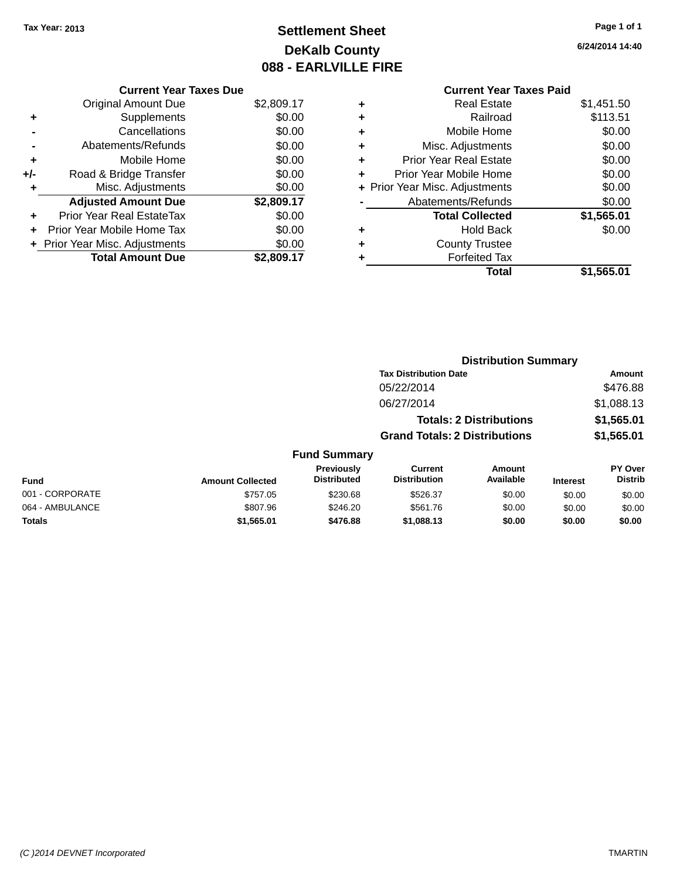## **Settlement Sheet Tax Year: 2013 Page 1 of 1 DeKalb County 088 - EARLVILLE FIRE**

**6/24/2014 14:40**

# **Current Year Taxes Paid**

|       | <b>Current Year Taxes Due</b>  |            |
|-------|--------------------------------|------------|
|       | <b>Original Amount Due</b>     | \$2,809.17 |
| ٠     | Supplements                    | \$0.00     |
|       | Cancellations                  | \$0.00     |
|       | Abatements/Refunds             | \$0.00     |
| ٠     | Mobile Home                    | \$0.00     |
| $+/-$ | Road & Bridge Transfer         | \$0.00     |
| ٠     | Misc. Adjustments              | \$0.00     |
|       | <b>Adjusted Amount Due</b>     | \$2,809.17 |
| ÷     | Prior Year Real EstateTax      | \$0.00     |
|       | Prior Year Mobile Home Tax     | \$0.00     |
|       | + Prior Year Misc. Adjustments | \$0.00     |
|       | <b>Total Amount Due</b>        | \$2,809.17 |

| <b>Real Estate</b>             | \$1,451.50 |
|--------------------------------|------------|
| Railroad                       | \$113.51   |
| Mobile Home                    | \$0.00     |
| Misc. Adjustments              | \$0.00     |
| <b>Prior Year Real Estate</b>  | \$0.00     |
| Prior Year Mobile Home         | \$0.00     |
| + Prior Year Misc. Adjustments | \$0.00     |
| Abatements/Refunds             | \$0.00     |
| <b>Total Collected</b>         | \$1,565.01 |
| <b>Hold Back</b>               | \$0.00     |
| <b>County Trustee</b>          |            |
| <b>Forfeited Tax</b>           |            |
| Total                          | \$1,565.01 |
|                                |            |

|                 |                         |                                  | <b>Distribution Summary</b>          |                                |                 |                                  |
|-----------------|-------------------------|----------------------------------|--------------------------------------|--------------------------------|-----------------|----------------------------------|
|                 |                         |                                  | <b>Tax Distribution Date</b>         |                                |                 | Amount                           |
|                 |                         |                                  | 05/22/2014                           |                                |                 | \$476.88                         |
|                 |                         |                                  | 06/27/2014                           |                                |                 | \$1,088.13                       |
|                 |                         |                                  |                                      | <b>Totals: 2 Distributions</b> |                 | \$1,565.01                       |
|                 |                         |                                  | <b>Grand Totals: 2 Distributions</b> |                                |                 | \$1,565.01                       |
|                 |                         | <b>Fund Summary</b>              |                                      |                                |                 |                                  |
| <b>Fund</b>     | <b>Amount Collected</b> | Previously<br><b>Distributed</b> | Current<br><b>Distribution</b>       | Amount<br>Available            | <b>Interest</b> | <b>PY Over</b><br><b>Distrib</b> |
| 001 - CORPORATE | \$757.05                | \$230.68                         | \$526.37                             | \$0.00                         | \$0.00          | \$0.00                           |
| 064 - AMBULANCE | \$807.96                | \$246.20                         | \$561.76                             | \$0.00                         | \$0.00          | \$0.00                           |
| <b>Totals</b>   | \$1,565.01              | \$476.88                         | \$1,088.13                           | \$0.00                         | \$0.00          | \$0.00                           |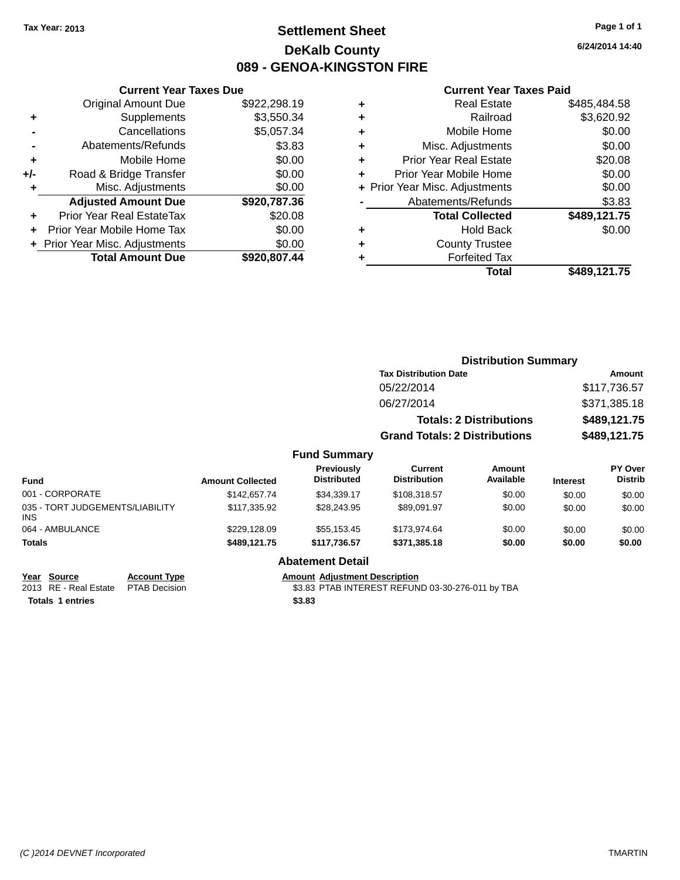## **Settlement Sheet Tax Year: 2013 Page 1 of 1 DeKalb County 089 - GENOA-KINGSTON FIRE**

**6/24/2014 14:40**

#### **Current Year Taxes Paid**

| <b>Current Year Taxes Due</b>  |              |
|--------------------------------|--------------|
| <b>Original Amount Due</b>     | \$922,298.19 |
| Supplements                    | \$3,550.34   |
| Cancellations                  | \$5,057.34   |
| Abatements/Refunds             | \$3.83       |
| Mobile Home                    | \$0.00       |
| Road & Bridge Transfer         | \$0.00       |
| Misc. Adjustments              | \$0.00       |
| <b>Adjusted Amount Due</b>     | \$920,787.36 |
| Prior Year Real EstateTax      | \$20.08      |
| Prior Year Mobile Home Tax     | \$0.00       |
| + Prior Year Misc. Adjustments | \$0.00       |
| <b>Total Amount Due</b>        | \$920,807.44 |
|                                |              |

| ٠ | <b>Real Estate</b>             | \$485,484.58 |
|---|--------------------------------|--------------|
| ٠ | Railroad                       | \$3,620.92   |
| ٠ | Mobile Home                    | \$0.00       |
| ٠ | Misc. Adjustments              | \$0.00       |
| ٠ | <b>Prior Year Real Estate</b>  | \$20.08      |
| ٠ | Prior Year Mobile Home         | \$0.00       |
|   | + Prior Year Misc. Adjustments | \$0.00       |
|   | Abatements/Refunds             | \$3.83       |
|   | <b>Total Collected</b>         | \$489,121.75 |
| ٠ | <b>Hold Back</b>               | \$0.00       |
| ٠ | <b>County Trustee</b>          |              |
| ٠ | <b>Forfeited Tax</b>           |              |
|   | Total                          | \$489,121.75 |
|   |                                |              |

|                                 |                         |                                  |                                       | <b>Distribution Summary</b>    |                 |                           |
|---------------------------------|-------------------------|----------------------------------|---------------------------------------|--------------------------------|-----------------|---------------------------|
|                                 |                         |                                  | <b>Tax Distribution Date</b>          |                                |                 | <b>Amount</b>             |
|                                 |                         |                                  | 05/22/2014                            |                                |                 | \$117,736.57              |
|                                 |                         |                                  | 06/27/2014                            |                                |                 | \$371,385.18              |
|                                 |                         |                                  |                                       | <b>Totals: 2 Distributions</b> |                 | \$489,121.75              |
|                                 |                         |                                  | <b>Grand Totals: 2 Distributions</b>  |                                |                 | \$489,121.75              |
|                                 |                         | <b>Fund Summary</b>              |                                       |                                |                 |                           |
| <b>Fund</b>                     | <b>Amount Collected</b> | Previously<br><b>Distributed</b> | <b>Current</b><br><b>Distribution</b> | <b>Amount</b><br>Available     | <b>Interest</b> | PY Over<br><b>Distrib</b> |
| 001 - CORPORATE                 | \$142,657.74            | \$34,339.17                      | \$108,318.57                          | \$0.00                         | \$0.00          | \$0.00                    |
| 035 - TORT JUDGEMENTS/LIABILITY | \$117,335.92            | \$28,243.95                      | \$89.091.97                           | \$0.00                         | \$0.00          | \$0.00                    |

| <b>Totals</b> | \$489.121.75 | \$117.736.57            | \$371.385.18 | \$0.00 | \$0.00 | \$0.00 |
|---------------|--------------|-------------------------|--------------|--------|--------|--------|
|               |              | <b>Abatement Detail</b> |              |        |        |        |

064 - AMBULANCE 60.00 \$229,128.09 \$55,153.45 \$173,974.64 \$0.00 \$0.00 \$0.00 \$0.00

| Year Source      | <b>Account Type</b>                 | <b>Amount Adjustment Description</b>             |
|------------------|-------------------------------------|--------------------------------------------------|
|                  | 2013 RE - Real Estate PTAB Decision | \$3.83 PTAB INTEREST REFUND 03-30-276-011 by TBA |
| Totals 1 entries |                                     | \$3.83                                           |

INS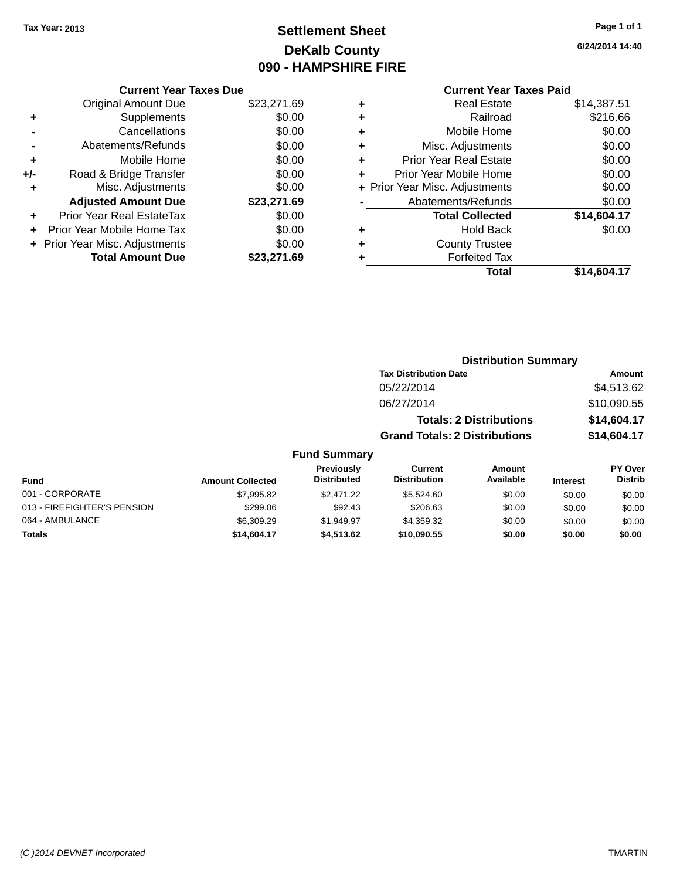## **Settlement Sheet Tax Year: 2013 Page 1 of 1 DeKalb County 090 - HAMPSHIRE FIRE**

**6/24/2014 14:40**

## **Current Year Taxes Paid**

|       | <b>Current Year Taxes Due</b>  |             |
|-------|--------------------------------|-------------|
|       | <b>Original Amount Due</b>     | \$23,271.69 |
| ٠     | Supplements                    | \$0.00      |
|       | Cancellations                  | \$0.00      |
|       | Abatements/Refunds             | \$0.00      |
| ÷     | Mobile Home                    | \$0.00      |
| $+/-$ | Road & Bridge Transfer         | \$0.00      |
|       | Misc. Adjustments              | \$0.00      |
|       | <b>Adjusted Amount Due</b>     | \$23,271.69 |
| ٠     | Prior Year Real EstateTax      | \$0.00      |
|       | Prior Year Mobile Home Tax     | \$0.00      |
|       | + Prior Year Misc. Adjustments | \$0.00      |
|       | <b>Total Amount Due</b>        | \$23,271.69 |
|       |                                |             |

| ٠ | <b>Real Estate</b>             | \$14,387.51 |
|---|--------------------------------|-------------|
| ٠ | Railroad                       | \$216.66    |
| ٠ | Mobile Home                    | \$0.00      |
| ٠ | Misc. Adjustments              | \$0.00      |
| ٠ | <b>Prior Year Real Estate</b>  | \$0.00      |
| ٠ | Prior Year Mobile Home         | \$0.00      |
|   | + Prior Year Misc. Adjustments | \$0.00      |
|   | Abatements/Refunds             | \$0.00      |
|   | <b>Total Collected</b>         | \$14,604.17 |
| ٠ | <b>Hold Back</b>               | \$0.00      |
|   | <b>County Trustee</b>          |             |
| ٠ | <b>Forfeited Tax</b>           |             |
|   | Total                          | \$14,604.17 |
|   |                                |             |

| <b>Distribution Summary</b>          |             |  |  |  |
|--------------------------------------|-------------|--|--|--|
| <b>Tax Distribution Date</b>         | Amount      |  |  |  |
| 05/22/2014                           | \$4,513.62  |  |  |  |
| 06/27/2014                           | \$10,090.55 |  |  |  |
| <b>Totals: 2 Distributions</b>       | \$14,604.17 |  |  |  |
| <b>Grand Totals: 2 Distributions</b> | \$14,604.17 |  |  |  |

| Fund                        | <b>Amount Collected</b> | Previously<br><b>Distributed</b> | Current<br><b>Distribution</b> | Amount<br>Available | <b>Interest</b> | <b>PY Over</b><br><b>Distrib</b> |
|-----------------------------|-------------------------|----------------------------------|--------------------------------|---------------------|-----------------|----------------------------------|
| 001 - CORPORATE             | \$7,995.82              | \$2.471.22                       | \$5.524.60                     | \$0.00              | \$0.00          | \$0.00                           |
| 013 - FIREFIGHTER'S PENSION | \$299.06                | \$92.43                          | \$206.63                       | \$0.00              | \$0.00          | \$0.00                           |
| 064 - AMBULANCE             | \$6,309.29              | \$1.949.97                       | \$4,359,32                     | \$0.00              | \$0.00          | \$0.00                           |
| <b>Totals</b>               | \$14,604.17             | \$4.513.62                       | \$10,090.55                    | \$0.00              | \$0.00          | \$0.00                           |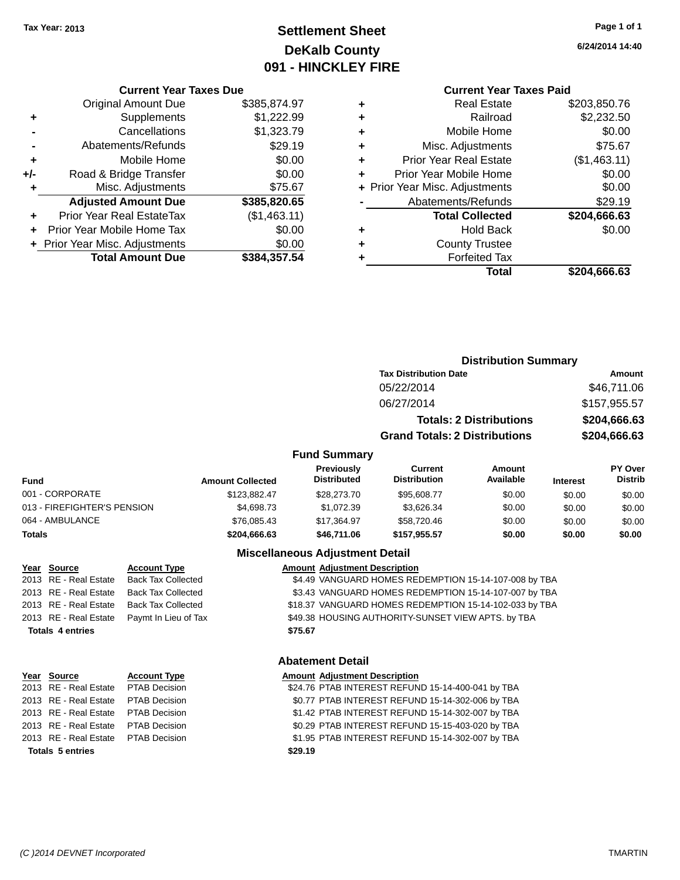## **Settlement Sheet Tax Year: 2013 Page 1 of 1 DeKalb County 091 - HINCKLEY FIRE**

**6/24/2014 14:40**

| <b>Current Year Taxes Due</b> |  |  |  |
|-------------------------------|--|--|--|
|-------------------------------|--|--|--|

|     | <b>Original Amount Due</b>     | \$385,874.97 |
|-----|--------------------------------|--------------|
| ٠   | Supplements                    | \$1,222.99   |
|     | Cancellations                  | \$1,323.79   |
|     | Abatements/Refunds             | \$29.19      |
| ٠   | Mobile Home                    | \$0.00       |
| +/- | Road & Bridge Transfer         | \$0.00       |
| ٠   | Misc. Adjustments              | \$75.67      |
|     | <b>Adjusted Amount Due</b>     | \$385,820.65 |
| ÷   | Prior Year Real EstateTax      | (\$1,463.11) |
|     | Prior Year Mobile Home Tax     | \$0.00       |
|     | + Prior Year Misc. Adjustments | \$0.00       |
|     | <b>Total Amount Due</b>        | \$384,357.54 |

## **Current Year Taxes Paid**

|   | Total                          | \$204,666.63 |
|---|--------------------------------|--------------|
|   | <b>Forfeited Tax</b>           |              |
| ٠ | <b>County Trustee</b>          |              |
| ٠ | <b>Hold Back</b>               | \$0.00       |
|   | <b>Total Collected</b>         | \$204,666.63 |
|   | Abatements/Refunds             | \$29.19      |
|   | + Prior Year Misc. Adjustments | \$0.00       |
| ٠ | Prior Year Mobile Home         | \$0.00       |
| ٠ | <b>Prior Year Real Estate</b>  | (\$1,463.11) |
| ٠ | Misc. Adjustments              | \$75.67      |
| ٠ | Mobile Home                    | \$0.00       |
| ٠ | Railroad                       | \$2,232.50   |
|   | <b>Real Estate</b>             | \$203,850.76 |

## **Distribution Summary Tax Distribution Date Amount** 05/22/2014 \$46,711.06 06/27/2014 \$157,955.57 **Totals: 2 Distributions \$204,666.63 Grand Totals: 2 Distributions \$204,666.63**

#### **Fund Summary**

| <b>Fund</b>                 | <b>Amount Collected</b> | <b>Previously</b><br><b>Distributed</b> | Current<br><b>Distribution</b> | Amount<br>Available | <b>Interest</b> | <b>PY Over</b><br><b>Distrib</b> |
|-----------------------------|-------------------------|-----------------------------------------|--------------------------------|---------------------|-----------------|----------------------------------|
| 001 - CORPORATE             | \$123.882.47            | \$28,273.70                             | \$95,608.77                    | \$0.00              | \$0.00          | \$0.00                           |
| 013 - FIREFIGHTER'S PENSION | \$4,698,73              | \$1.072.39                              | \$3.626.34                     | \$0.00              | \$0.00          | \$0.00                           |
| 064 - AMBULANCE             | \$76,085.43             | \$17,364.97                             | \$58,720.46                    | \$0.00              | \$0.00          | \$0.00                           |
| <b>Totals</b>               | \$204,666,63            | \$46,711.06                             | \$157.955.57                   | \$0.00              | \$0.00          | \$0.00                           |

## **Miscellaneous Adjustment Detail**

| Year Source             | <b>Account Type</b>       |         | <b>Amount Adjustment Description</b>                   |
|-------------------------|---------------------------|---------|--------------------------------------------------------|
| 2013 RE - Real Estate   | <b>Back Tax Collected</b> |         | \$4.49 VANGUARD HOMES REDEMPTION 15-14-107-008 by TBA  |
| 2013 RE - Real Estate   | <b>Back Tax Collected</b> |         | \$3.43 VANGUARD HOMES REDEMPTION 15-14-107-007 by TBA  |
| 2013 RE - Real Estate   | <b>Back Tax Collected</b> |         | \$18.37 VANGUARD HOMES REDEMPTION 15-14-102-033 by TBA |
| 2013 RE - Real Estate   | Paymt In Lieu of Tax      |         | \$49.38 HOUSING AUTHORITY-SUNSET VIEW APTS. by TBA     |
| <b>Totals 4 entries</b> |                           | \$75.67 |                                                        |
|                         |                           |         |                                                        |
|                         |                           |         |                                                        |

**Totals 5 entries \$29.19**

# **Year Source Account Type Amount Adjustment Description**<br>2013 RE - Real Estate PTAB Decision **Amount 1924.76 PTAB INTEREST REFUN**

#### **Abatement Detail**

\$24.76 PTAB INTEREST REFUND 15-14-400-041 by TBA 2013 RE - Real Estate PTAB Decision \$0.77 PTAB INTEREST REFUND 15-14-302-006 by TBA 2013 RE - Real Estate PTAB Decision \$1.42 PTAB INTEREST REFUND 15-14-302-007 by TBA 2013 RE - Real Estate PTAB Decision \$0.29 PTAB INTEREST REFUND 15-15-403-020 by TBA 2013 RE - Real Estate PTAB Decision \$1.95 PTAB INTEREST REFUND 15-14-302-007 by TBA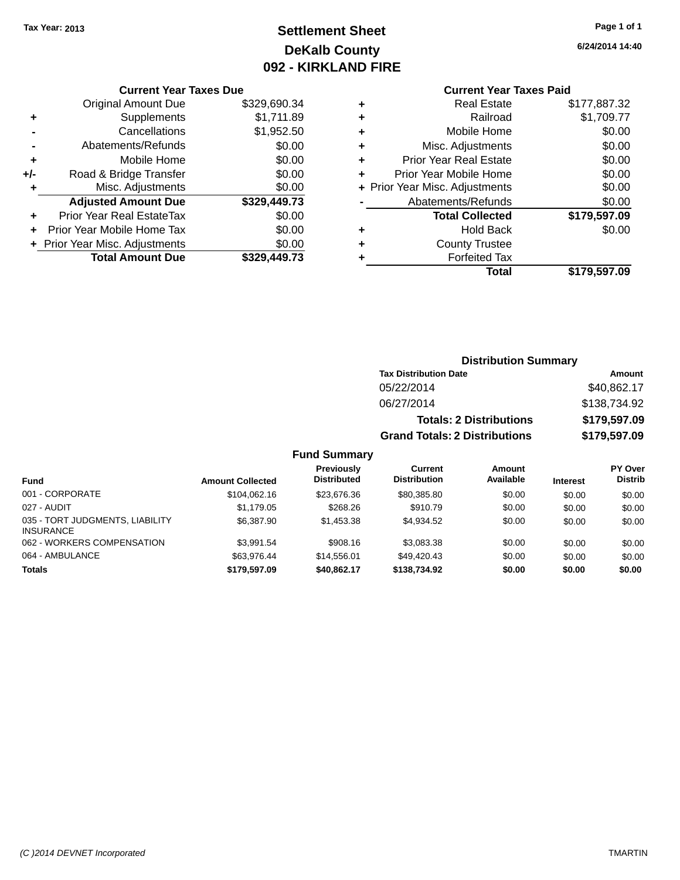## **Settlement Sheet Tax Year: 2013 Page 1 of 1 DeKalb County 092 - KIRKLAND FIRE**

**6/24/2014 14:40**

#### **Current Year Taxes Due**

|     | <b>Original Amount Due</b>       | \$329,690.34 |
|-----|----------------------------------|--------------|
| ٠   | Supplements                      | \$1,711.89   |
|     | Cancellations                    | \$1,952.50   |
|     | Abatements/Refunds               | \$0.00       |
| ٠   | Mobile Home                      | \$0.00       |
| +/- | Road & Bridge Transfer           | \$0.00       |
| ٠   | Misc. Adjustments                | \$0.00       |
|     | <b>Adjusted Amount Due</b>       | \$329,449.73 |
|     | <b>Prior Year Real EstateTax</b> | \$0.00       |
|     | Prior Year Mobile Home Tax       | \$0.00       |
|     | + Prior Year Misc. Adjustments   | \$0.00       |
|     | <b>Total Amount Due</b>          | \$329,449.73 |

## **Current Year Taxes Paid**

|   | Total                          | \$179,597.09 |
|---|--------------------------------|--------------|
| ٠ | <b>Forfeited Tax</b>           |              |
| ٠ | <b>County Trustee</b>          |              |
| ٠ | <b>Hold Back</b>               | \$0.00       |
|   | <b>Total Collected</b>         | \$179,597.09 |
|   | Abatements/Refunds             | \$0.00       |
|   | + Prior Year Misc. Adjustments | \$0.00       |
| ٠ | Prior Year Mobile Home         | \$0.00       |
| ٠ | <b>Prior Year Real Estate</b>  | \$0.00       |
| ٠ | Misc. Adjustments              | \$0.00       |
| ٠ | Mobile Home                    | \$0.00       |
| ٠ | Railroad                       | \$1,709.77   |
| ٠ | <b>Real Estate</b>             | \$177,887.32 |

#### **Distribution Summary Tax Distribution Date Amount** 05/22/2014 \$40,862.17 06/27/2014 \$138,734.92 **Totals: 2 Distributions \$179,597.09 Grand Totals: 2 Distributions \$179,597.09**

| <b>Fund</b>                                         | <b>Amount Collected</b> | Previously<br><b>Distributed</b> | <b>Current</b><br><b>Distribution</b> | Amount<br>Available | <b>Interest</b> | PY Over<br><b>Distrib</b> |
|-----------------------------------------------------|-------------------------|----------------------------------|---------------------------------------|---------------------|-----------------|---------------------------|
| 001 - CORPORATE                                     | \$104.062.16            | \$23.676.36                      | \$80,385.80                           | \$0.00              | \$0.00          | \$0.00                    |
| 027 - AUDIT                                         | \$1,179.05              | \$268.26                         | \$910.79                              | \$0.00              | \$0.00          | \$0.00                    |
| 035 - TORT JUDGMENTS, LIABILITY<br><b>INSURANCE</b> | \$6,387.90              | \$1.453.38                       | \$4.934.52                            | \$0.00              | \$0.00          | \$0.00                    |
| 062 - WORKERS COMPENSATION                          | \$3.991.54              | \$908.16                         | \$3,083,38                            | \$0.00              | \$0.00          | \$0.00                    |
| 064 - AMBULANCE                                     | \$63.976.44             | \$14,556,01                      | \$49.420.43                           | \$0.00              | \$0.00          | \$0.00                    |
| <b>Totals</b>                                       | \$179,597.09            | \$40,862.17                      | \$138,734,92                          | \$0.00              | \$0.00          | \$0.00                    |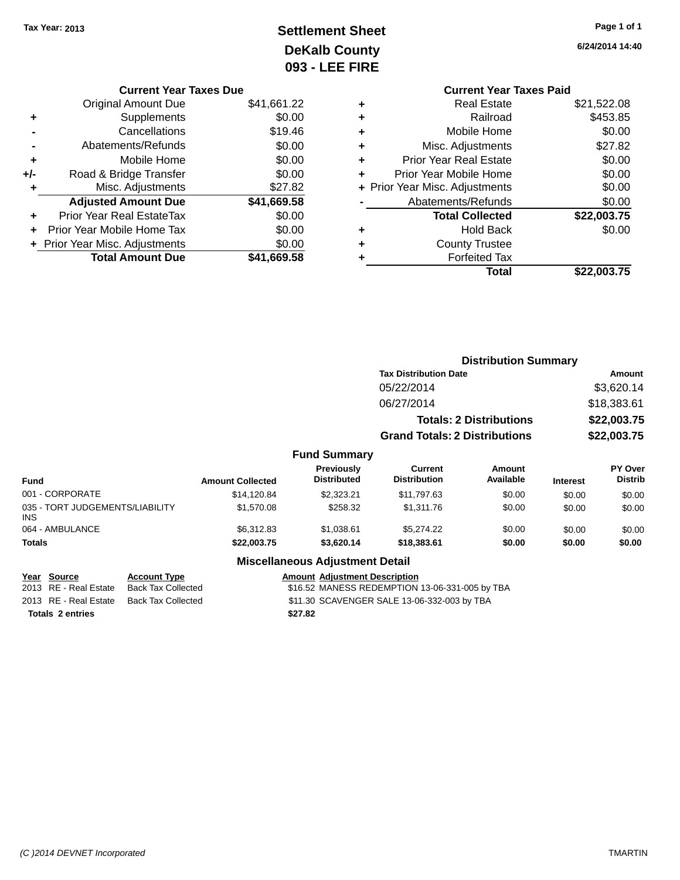## **Settlement Sheet Tax Year: 2013 Page 1 of 1 DeKalb County 093 - LEE FIRE**

**6/24/2014 14:40**

| \$21,522.08<br><b>Real Estate</b><br>٠<br>\$453.85<br>Railroad<br>٠<br>\$0.00<br>Mobile Home<br>٠<br>\$27.82<br>Misc. Adjustments<br>٠<br>\$0.00<br><b>Prior Year Real Estate</b><br>٠<br>\$0.00<br>Prior Year Mobile Home<br>٠<br>\$0.00<br>+ Prior Year Misc. Adjustments<br>\$0.00<br>Abatements/Refunds<br>\$22,003.75<br><b>Total Collected</b><br>\$0.00<br>Hold Back<br><b>County Trustee</b><br>٠<br><b>Forfeited Tax</b><br>Total<br>\$22.003.75 | <b>Current Year Taxes Paid</b> |  |
|-----------------------------------------------------------------------------------------------------------------------------------------------------------------------------------------------------------------------------------------------------------------------------------------------------------------------------------------------------------------------------------------------------------------------------------------------------------|--------------------------------|--|
|                                                                                                                                                                                                                                                                                                                                                                                                                                                           |                                |  |
|                                                                                                                                                                                                                                                                                                                                                                                                                                                           |                                |  |
|                                                                                                                                                                                                                                                                                                                                                                                                                                                           |                                |  |
|                                                                                                                                                                                                                                                                                                                                                                                                                                                           |                                |  |
|                                                                                                                                                                                                                                                                                                                                                                                                                                                           |                                |  |
|                                                                                                                                                                                                                                                                                                                                                                                                                                                           |                                |  |
|                                                                                                                                                                                                                                                                                                                                                                                                                                                           |                                |  |
|                                                                                                                                                                                                                                                                                                                                                                                                                                                           |                                |  |
|                                                                                                                                                                                                                                                                                                                                                                                                                                                           |                                |  |
|                                                                                                                                                                                                                                                                                                                                                                                                                                                           |                                |  |
|                                                                                                                                                                                                                                                                                                                                                                                                                                                           |                                |  |
|                                                                                                                                                                                                                                                                                                                                                                                                                                                           |                                |  |
|                                                                                                                                                                                                                                                                                                                                                                                                                                                           |                                |  |

**Distribution Summary**

|     | <b>Current Year Taxes Due</b>  |             |
|-----|--------------------------------|-------------|
|     | Original Amount Due            | \$41,661.22 |
| ٠   | Supplements                    | \$0.00      |
|     | Cancellations                  | \$19.46     |
|     | Abatements/Refunds             | \$0.00      |
| ٠   | Mobile Home                    | \$0.00      |
| +/- | Road & Bridge Transfer         | \$0.00      |
| ٠   | Misc. Adjustments              | \$27.82     |
|     | <b>Adjusted Amount Due</b>     | \$41,669.58 |
| ٠   | Prior Year Real EstateTax      | \$0.00      |
|     | Prior Year Mobile Home Tax     | \$0.00      |
|     | + Prior Year Misc. Adjustments | \$0.00      |
|     | <b>Total Amount Due</b>        | \$41.669.58 |

|                                         |                         |                                         | <b>Tax Distribution Date</b>          |                                |                                          | Amount                    |
|-----------------------------------------|-------------------------|-----------------------------------------|---------------------------------------|--------------------------------|------------------------------------------|---------------------------|
|                                         |                         |                                         | 05/22/2014                            |                                | \$3,620.14<br>\$18,383.61<br>\$22,003.75 |                           |
|                                         |                         |                                         | 06/27/2014                            |                                |                                          |                           |
|                                         |                         |                                         |                                       | <b>Totals: 2 Distributions</b> |                                          |                           |
|                                         |                         |                                         | <b>Grand Totals: 2 Distributions</b>  |                                | \$22,003.75                              |                           |
|                                         |                         | <b>Fund Summary</b>                     |                                       |                                |                                          |                           |
| <b>Fund</b>                             | <b>Amount Collected</b> | <b>Previously</b><br><b>Distributed</b> | <b>Current</b><br><b>Distribution</b> | Amount<br>Available            | <b>Interest</b>                          | PY Over<br><b>Distrib</b> |
| 001 - CORPORATE                         | \$14.120.84             | \$2,323.21                              | \$11,797.63                           | \$0.00                         | \$0.00                                   | \$0.00                    |
| 035 - TORT JUDGEMENTS/LIABILITY<br>INS. | \$1,570.08              | \$258.32                                | \$1,311.76                            | \$0.00                         | \$0.00                                   | \$0.00                    |
| 064 - AMBULANCE                         | \$6,312.83              | \$1,038.61                              | \$5,274.22                            | \$0.00                         | \$0.00                                   | \$0.00                    |
| <b>Totals</b>                           | \$22.003.75             | \$3,620.14                              | \$18,383.61                           | \$0.00                         | \$0.00                                   | \$0.00                    |

|                         |                       | <b>Miscellaneous Adjustment Detail</b> |                                      |                                                |  |
|-------------------------|-----------------------|----------------------------------------|--------------------------------------|------------------------------------------------|--|
|                         | Year Source           | <b>Account Type</b>                    | <b>Amount Adjustment Description</b> |                                                |  |
|                         | 2013 RE - Real Estate | Back Tax Collected                     |                                      | \$16.52 MANESS REDEMPTION 13-06-331-005 by TBA |  |
|                         | 2013 RE - Real Estate | Back Tax Collected                     |                                      | \$11.30 SCAVENGER SALE 13-06-332-003 by TBA    |  |
| <b>Totals 2 entries</b> |                       | \$27.82                                |                                      |                                                |  |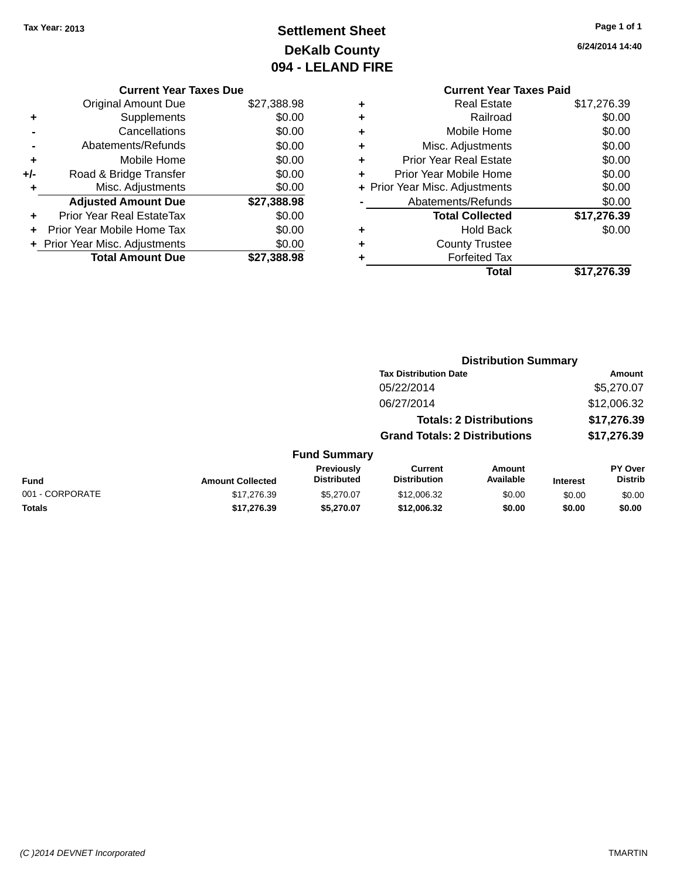## **Settlement Sheet Tax Year: 2013 Page 1 of 1 DeKalb County 094 - LELAND FIRE**

**Current Year Taxes Paid**

| TMART |  |  |
|-------|--|--|
|       |  |  |

|                 |                         |                                  | <b>Distribution Summary</b>           |                                |                 |                           |
|-----------------|-------------------------|----------------------------------|---------------------------------------|--------------------------------|-----------------|---------------------------|
|                 |                         |                                  | <b>Tax Distribution Date</b>          |                                |                 | Amount                    |
|                 |                         |                                  | 05/22/2014                            |                                |                 | \$5,270.07                |
|                 |                         |                                  | 06/27/2014                            |                                |                 | \$12,006.32               |
|                 |                         |                                  |                                       | <b>Totals: 2 Distributions</b> |                 | \$17,276.39               |
|                 |                         |                                  | <b>Grand Totals: 2 Distributions</b>  |                                |                 | \$17,276.39               |
|                 |                         | <b>Fund Summary</b>              |                                       |                                |                 |                           |
| <b>Fund</b>     | <b>Amount Collected</b> | Previously<br><b>Distributed</b> | <b>Current</b><br><b>Distribution</b> | Amount<br>Available            | <b>Interest</b> | PY Over<br><b>Distrib</b> |
| 001 - CORPORATE | \$17,276.39             | \$5,270.07                       | \$12,006.32                           | \$0.00                         | \$0.00          | \$0.00                    |
| <b>Totals</b>   | \$17,276.39             | \$5,270.07                       | \$12,006.32                           | \$0.00                         | \$0.00          | \$0.00                    |

#### **Current Year Taxes Due**

|       | <b>Original Amount Due</b>       | \$27,388.98 |
|-------|----------------------------------|-------------|
| ٠     | Supplements                      | \$0.00      |
|       | Cancellations                    | \$0.00      |
|       | Abatements/Refunds               | \$0.00      |
| ٠     | Mobile Home                      | \$0.00      |
| $+/-$ | Road & Bridge Transfer           | \$0.00      |
| ٠     | Misc. Adjustments                | \$0.00      |
|       | <b>Adjusted Amount Due</b>       | \$27,388.98 |
|       | <b>Prior Year Real EstateTax</b> | \$0.00      |
|       | Prior Year Mobile Home Tax       | \$0.00      |
|       | + Prior Year Misc. Adjustments   | \$0.00      |
|       | <b>Total Amount Due</b>          | \$27.388.98 |

|   | <b>Current Year Taxes Paid</b> |             |
|---|--------------------------------|-------------|
| ٠ | <b>Real Estate</b>             | \$17,276.39 |
| ÷ | Railroad                       | \$0.00      |
| ٠ | Mobile Home                    | \$0.00      |
| ٠ | Misc. Adjustments              | \$0.00      |
| ٠ | <b>Prior Year Real Estate</b>  | \$0.00      |
| ÷ | Prior Year Mobile Home         | \$0.00      |
|   | + Prior Year Misc. Adjustments | \$0.00      |
|   | Abatements/Refunds             | \$0.00      |
|   | <b>Total Collected</b>         | \$17,276.39 |
| ٠ | <b>Hold Back</b>               | \$0.00      |
| ٠ | <b>County Trustee</b>          |             |
| ٠ | <b>Forfeited Tax</b>           |             |
|   | Total                          | \$17,276.39 |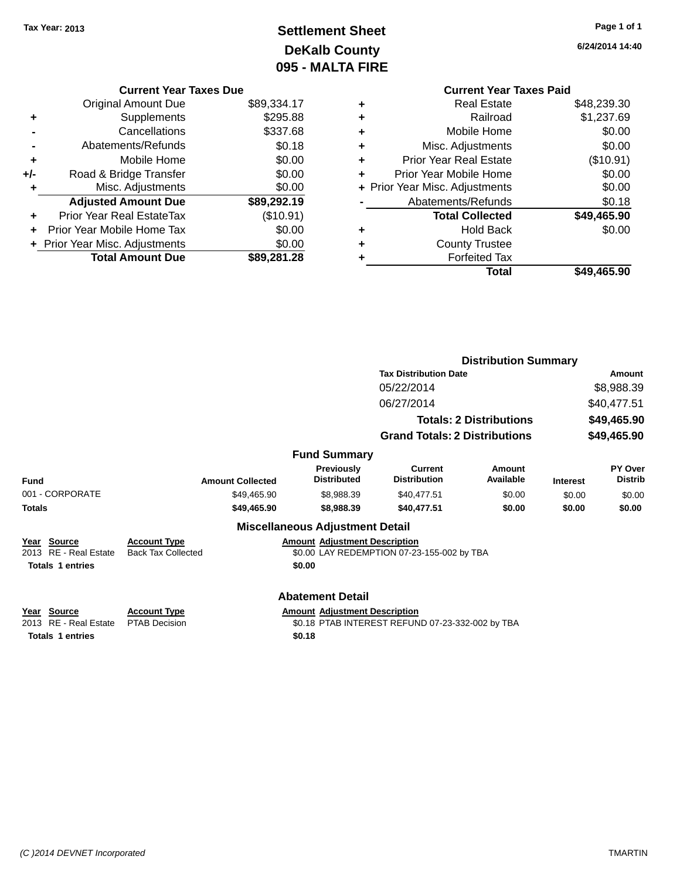## **Settlement Sheet Tax Year: 2013 Page 1 of 1 DeKalb County 095 - MALTA FIRE**

**6/24/2014 14:40**

## **Current Year Taxes Paid +** Real Estate \$48,239.30 **+** Railroad \$1,237.69 **+** Mobile Home \$0.00 **+** Misc. Adjustments \$0.00 **+** Prior Year Real Estate (\$10.91) **+** Prior Year Mobile Home \$0.00 **+** Prior Year Misc. Adjustments  $$0.00$ Abatements/Refunds \$0.18 **Total Collected \$49,465.90 +** Hold Back \$0.00 **+** County Trustee **+** Forfeited Tax **Total \$49,465.90**

|                                                                 |                                                  |                                                |                                                  | <b>Distribution Summary</b>    |                 |                                  |
|-----------------------------------------------------------------|--------------------------------------------------|------------------------------------------------|--------------------------------------------------|--------------------------------|-----------------|----------------------------------|
|                                                                 |                                                  |                                                | <b>Tax Distribution Date</b>                     |                                |                 | Amount                           |
|                                                                 |                                                  |                                                | 05/22/2014                                       |                                |                 | \$8,988.39                       |
|                                                                 |                                                  |                                                | 06/27/2014                                       |                                |                 | \$40,477.51                      |
|                                                                 |                                                  |                                                |                                                  | <b>Totals: 2 Distributions</b> |                 | \$49,465.90                      |
|                                                                 |                                                  |                                                | <b>Grand Totals: 2 Distributions</b>             |                                | \$49,465.90     |                                  |
|                                                                 |                                                  | <b>Fund Summary</b>                            |                                                  |                                |                 |                                  |
| <b>Fund</b>                                                     | <b>Amount Collected</b>                          | <b>Previously</b><br><b>Distributed</b>        | <b>Current</b><br><b>Distribution</b>            | Amount<br>Available            | <b>Interest</b> | <b>PY Over</b><br><b>Distrib</b> |
| 001 - CORPORATE                                                 | \$49,465.90                                      | \$8,988.39                                     | \$40,477.51                                      | \$0.00                         | \$0.00          | \$0.00                           |
| <b>Totals</b>                                                   | \$49,465.90                                      | \$8,988.39                                     | \$40,477.51                                      | \$0.00                         | \$0.00          | \$0.00                           |
|                                                                 |                                                  | <b>Miscellaneous Adjustment Detail</b>         |                                                  |                                |                 |                                  |
| Year Source<br>2013 RE - Real Estate<br><b>Totals 1 entries</b> | <b>Account Type</b><br><b>Back Tax Collected</b> | <b>Amount Adjustment Description</b><br>\$0.00 | \$0.00 LAY REDEMPTION 07-23-155-002 by TBA       |                                |                 |                                  |
|                                                                 |                                                  | <b>Abatement Detail</b>                        |                                                  |                                |                 |                                  |
| Year Source<br>2013 RE - Real Estate                            | <b>Account Type</b><br><b>PTAB Decision</b>      | <b>Amount Adjustment Description</b>           | \$0.18 PTAB INTEREST REFUND 07-23-332-002 by TBA |                                |                 |                                  |
|                                                                 |                                                  |                                                |                                                  |                                |                 |                                  |

**Current Year Taxes Due** Original Amount Due \$89,334.17

**Adjusted Amount Due \$89,292.19**

**Total Amount Due \$89,281.28**

**+** Supplements \$295.88 **-** Cancellations \$337.68 **-** Abatements/Refunds \$0.18 **+** Mobile Home \$0.00 **+/-** Road & Bridge Transfer \$0.00 **+** Misc. Adjustments \$0.00

**+** Prior Year Real EstateTax (\$10.91) **+** Prior Year Mobile Home Tax \$0.00 **+ Prior Year Misc. Adjustments**  $$0.00$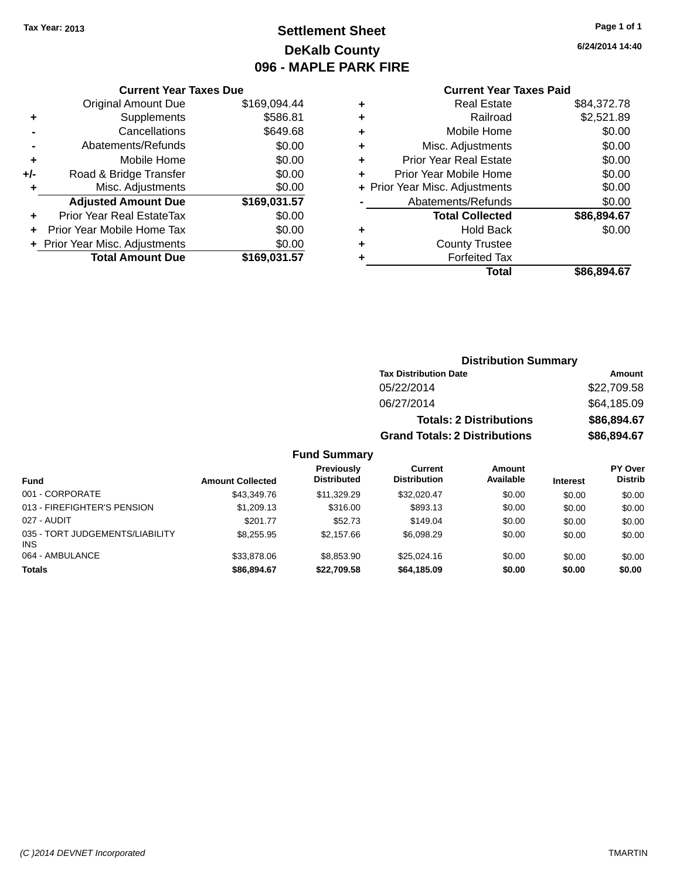## **Settlement Sheet Tax Year: 2013 Page 1 of 1 DeKalb County 096 - MAPLE PARK FIRE**

**6/24/2014 14:40**

#### **Current Year Taxes Paid**

| <b>Current Year Taxes Due</b>  |                         |  |  |  |  |  |
|--------------------------------|-------------------------|--|--|--|--|--|
| <b>Original Amount Due</b>     | \$169,094.44            |  |  |  |  |  |
| Supplements                    | \$586.81                |  |  |  |  |  |
| Cancellations                  | \$649.68                |  |  |  |  |  |
| \$0.00<br>Abatements/Refunds   |                         |  |  |  |  |  |
| Mobile Home                    | \$0.00                  |  |  |  |  |  |
| Road & Bridge Transfer         | \$0.00                  |  |  |  |  |  |
| Misc. Adjustments              | \$0.00                  |  |  |  |  |  |
| <b>Adjusted Amount Due</b>     | \$169,031.57            |  |  |  |  |  |
| Prior Year Real EstateTax      | \$0.00                  |  |  |  |  |  |
| Prior Year Mobile Home Tax     | \$0.00                  |  |  |  |  |  |
| + Prior Year Misc. Adjustments | \$0.00                  |  |  |  |  |  |
|                                | \$169.031.57            |  |  |  |  |  |
|                                | <b>Total Amount Due</b> |  |  |  |  |  |

| ٠ | <b>Real Estate</b>             | \$84,372.78 |
|---|--------------------------------|-------------|
| ٠ | Railroad                       | \$2,521.89  |
| ٠ | Mobile Home                    | \$0.00      |
| ٠ | Misc. Adjustments              | \$0.00      |
| ٠ | <b>Prior Year Real Estate</b>  | \$0.00      |
| ٠ | Prior Year Mobile Home         | \$0.00      |
|   | + Prior Year Misc. Adjustments | \$0.00      |
|   | Abatements/Refunds             | \$0.00      |
|   | <b>Total Collected</b>         | \$86,894.67 |
| ٠ | <b>Hold Back</b>               | \$0.00      |
| ٠ | <b>County Trustee</b>          |             |
|   | <b>Forfeited Tax</b>           |             |
|   | Total                          | \$86.894.67 |
|   |                                |             |

## **Distribution Summary Tax Distribution Date Amount** 05/22/2014 \$22,709.58 06/27/2014 \$64,185.09 **Totals: 2 Distributions \$86,894.67 Grand Totals: 2 Distributions \$86,894.67**

| <b>Fund</b>                                   | <b>Amount Collected</b> | Previously<br><b>Distributed</b> | Current<br><b>Distribution</b> | Amount<br>Available | <b>Interest</b> | PY Over<br><b>Distrib</b> |
|-----------------------------------------------|-------------------------|----------------------------------|--------------------------------|---------------------|-----------------|---------------------------|
| 001 - CORPORATE                               | \$43,349.76             | \$11,329.29                      | \$32,020.47                    | \$0.00              | \$0.00          | \$0.00                    |
| 013 - FIREFIGHTER'S PENSION                   | \$1,209.13              | \$316.00                         | \$893.13                       | \$0.00              | \$0.00          | \$0.00                    |
| 027 - AUDIT                                   | \$201.77                | \$52.73                          | \$149.04                       | \$0.00              | \$0.00          | \$0.00                    |
| 035 - TORT JUDGEMENTS/LIABILITY<br><b>INS</b> | \$8,255.95              | \$2.157.66                       | \$6.098.29                     | \$0.00              | \$0.00          | \$0.00                    |
| 064 - AMBULANCE                               | \$33,878,06             | \$8.853.90                       | \$25,024.16                    | \$0.00              | \$0.00          | \$0.00                    |
| <b>Totals</b>                                 | \$86,894,67             | \$22.709.58                      | \$64,185.09                    | \$0.00              | \$0.00          | \$0.00                    |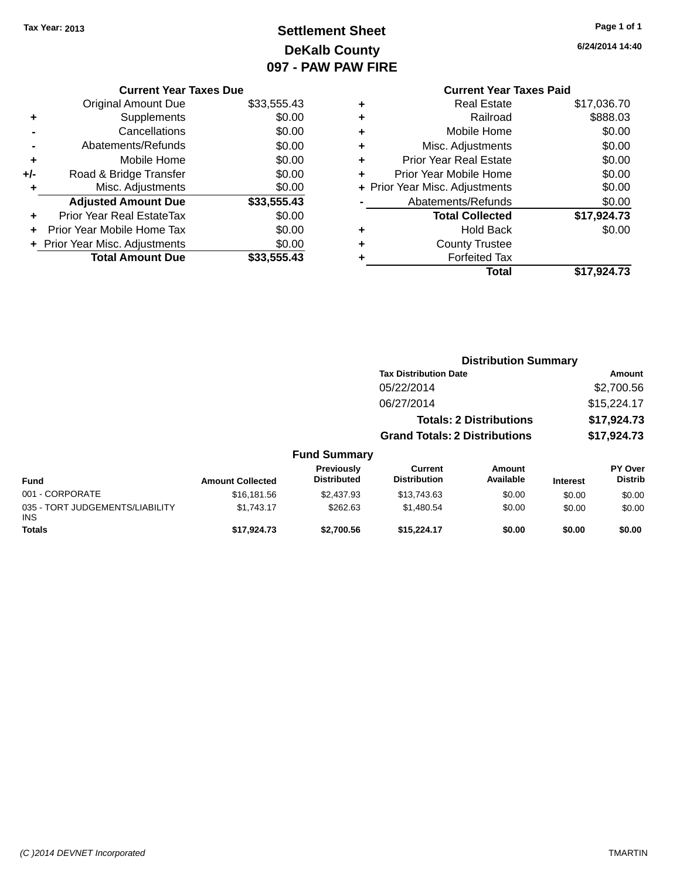## **Settlement Sheet Tax Year: 2013 Page 1 of 1 DeKalb County 097 - PAW PAW FIRE**

**6/24/2014 14:40**

|     | <b>Current Year Taxes Due</b>  |             |
|-----|--------------------------------|-------------|
|     | <b>Original Amount Due</b>     | \$33,555.43 |
| ٠   | Supplements                    | \$0.00      |
|     | Cancellations                  | \$0.00      |
|     | Abatements/Refunds             | \$0.00      |
| ÷   | Mobile Home                    | \$0.00      |
| +/- | Road & Bridge Transfer         | \$0.00      |
| ٠   | Misc. Adjustments              | \$0.00      |
|     | <b>Adjusted Amount Due</b>     | \$33,555.43 |
| ٠   | Prior Year Real EstateTax      | \$0.00      |
|     | Prior Year Mobile Home Tax     | \$0.00      |
|     | + Prior Year Misc. Adjustments | \$0.00      |
|     | <b>Total Amount Due</b>        | \$33,555.43 |
|     |                                |             |

## **Current Year Taxes Paid +** Real Estate \$17,036.70 **+** Railroad \$888.03 **+** Mobile Home \$0.00 **+** Misc. Adjustments \$0.00 **+** Prior Year Real Estate \$0.00 **+** Prior Year Mobile Home \$0.00 **+ Prior Year Misc. Adjustments**  $$0.00$ **-** Abatements/Refunds \$0.00 **Total Collected \$17,924.73 +** Hold Back \$0.00 **+** County Trustee **+** Forfeited Tax **Total \$17,924.73**

|                                         |                         |                                  |                                       | <b>Distribution Summary</b>    |                 |                                  |  |
|-----------------------------------------|-------------------------|----------------------------------|---------------------------------------|--------------------------------|-----------------|----------------------------------|--|
|                                         |                         |                                  | <b>Tax Distribution Date</b>          |                                |                 | Amount                           |  |
|                                         |                         |                                  | 05/22/2014                            |                                |                 | \$2,700.56                       |  |
|                                         |                         |                                  | 06/27/2014                            |                                |                 | \$15,224.17                      |  |
|                                         |                         |                                  |                                       | <b>Totals: 2 Distributions</b> |                 | \$17,924.73                      |  |
|                                         |                         |                                  | <b>Grand Totals: 2 Distributions</b>  |                                |                 | \$17,924.73                      |  |
|                                         |                         | <b>Fund Summary</b>              |                                       |                                |                 |                                  |  |
| <b>Fund</b>                             | <b>Amount Collected</b> | Previously<br><b>Distributed</b> | <b>Current</b><br><b>Distribution</b> | <b>Amount</b><br>Available     | <b>Interest</b> | <b>PY Over</b><br><b>Distrib</b> |  |
| 001 - CORPORATE                         | \$16,181.56             | \$2,437.93                       | \$13,743.63                           | \$0.00                         | \$0.00          | \$0.00                           |  |
| 035 - TORT JUDGEMENTS/LIABILITY<br>INS. | \$1,743.17              | \$262.63                         | \$1,480.54                            | \$0.00                         | \$0.00          | \$0.00                           |  |
| <b>Totals</b>                           | \$17.924.73             | \$2,700.56                       | \$15,224.17                           | \$0.00                         | \$0.00          | \$0.00                           |  |
|                                         |                         |                                  |                                       |                                |                 |                                  |  |

INS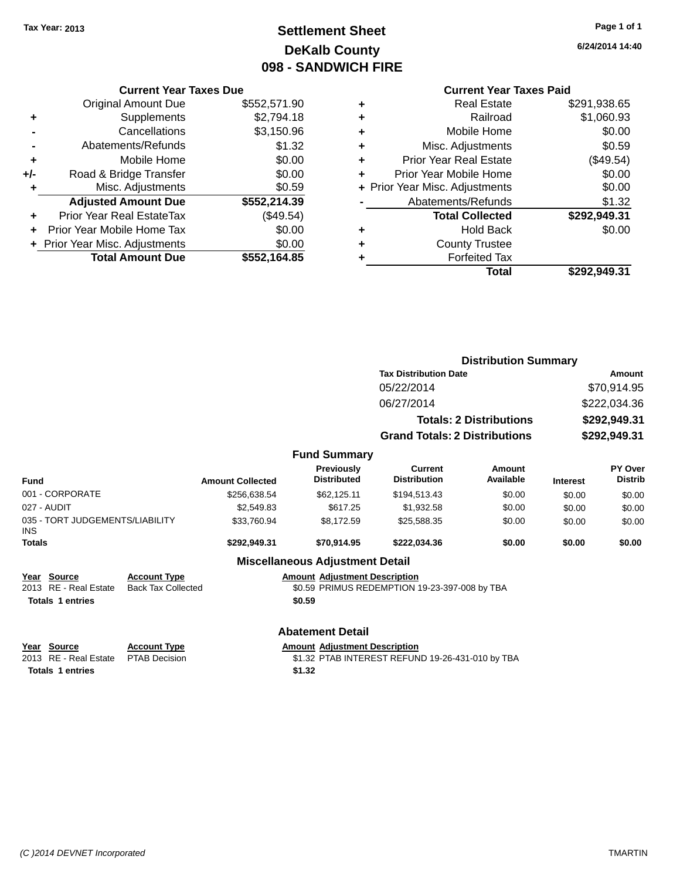## **Settlement Sheet Tax Year: 2013 Page 1 of 1 DeKalb County 098 - SANDWICH FIRE**

**6/24/2014 14:40**

## **Current Year Taxes Paid**

|       | <b>Current Year Taxes Due</b>  |              |  |  |  |  |  |
|-------|--------------------------------|--------------|--|--|--|--|--|
|       | <b>Original Amount Due</b>     | \$552,571.90 |  |  |  |  |  |
| ٠     | Supplements                    | \$2,794.18   |  |  |  |  |  |
|       | Cancellations                  | \$3,150.96   |  |  |  |  |  |
|       | Abatements/Refunds             | \$1.32       |  |  |  |  |  |
| ٠     | Mobile Home                    | \$0.00       |  |  |  |  |  |
| $+/-$ | Road & Bridge Transfer         | \$0.00       |  |  |  |  |  |
|       | Misc. Adjustments              | \$0.59       |  |  |  |  |  |
|       | <b>Adjusted Amount Due</b>     | \$552,214.39 |  |  |  |  |  |
| ٠     | Prior Year Real EstateTax      | (\$49.54)    |  |  |  |  |  |
|       | Prior Year Mobile Home Tax     | \$0.00       |  |  |  |  |  |
|       | + Prior Year Misc. Adjustments | \$0.00       |  |  |  |  |  |
|       | <b>Total Amount Due</b>        | \$552,164.85 |  |  |  |  |  |
|       |                                |              |  |  |  |  |  |

|   | <b>Real Estate</b>             | \$291,938.65 |
|---|--------------------------------|--------------|
| ٠ | Railroad                       | \$1,060.93   |
| ٠ | Mobile Home                    | \$0.00       |
| ٠ | Misc. Adjustments              | \$0.59       |
| ٠ | <b>Prior Year Real Estate</b>  | (\$49.54)    |
| ÷ | Prior Year Mobile Home         | \$0.00       |
|   | + Prior Year Misc. Adjustments | \$0.00       |
|   | Abatements/Refunds             | \$1.32       |
|   | <b>Total Collected</b>         | \$292,949.31 |
| ٠ | <b>Hold Back</b>               | \$0.00       |
| ٠ | <b>County Trustee</b>          |              |
| ٠ | <b>Forfeited Tax</b>           |              |
|   | Total                          | \$292,949.31 |
|   |                                |              |

|                                                        |                                                  |                         |                                         | <b>Distribution Summary</b>                   |                                |                 |                           |
|--------------------------------------------------------|--------------------------------------------------|-------------------------|-----------------------------------------|-----------------------------------------------|--------------------------------|-----------------|---------------------------|
|                                                        |                                                  |                         |                                         | <b>Tax Distribution Date</b>                  |                                | Amount          |                           |
|                                                        |                                                  |                         |                                         | 05/22/2014                                    |                                |                 | \$70,914.95               |
|                                                        |                                                  |                         |                                         | 06/27/2014                                    |                                |                 | \$222,034.36              |
|                                                        |                                                  |                         |                                         |                                               | <b>Totals: 2 Distributions</b> |                 | \$292,949.31              |
|                                                        |                                                  |                         |                                         | <b>Grand Totals: 2 Distributions</b>          |                                |                 | \$292,949.31              |
|                                                        |                                                  |                         | <b>Fund Summary</b>                     |                                               |                                |                 |                           |
| <b>Fund</b>                                            |                                                  | <b>Amount Collected</b> | <b>Previously</b><br><b>Distributed</b> | <b>Current</b><br><b>Distribution</b>         | Amount<br>Available            | <b>Interest</b> | PY Over<br><b>Distrib</b> |
| 001 - CORPORATE                                        |                                                  | \$256,638.54            | \$62,125.11                             | \$194,513.43                                  | \$0.00                         | \$0.00          | \$0.00                    |
| 027 - AUDIT                                            |                                                  | \$2,549.83              | \$617.25                                | \$1,932.58                                    | \$0.00                         | \$0.00          | \$0.00                    |
| 035 - TORT JUDGEMENTS/LIABILITY<br>\$33,760.94<br>INS. |                                                  |                         | \$8,172.59                              | \$25,588.35                                   | \$0.00                         | \$0.00          | \$0.00                    |
| <b>Totals</b>                                          |                                                  | \$292,949.31            | \$70,914.95                             | \$222,034.36                                  | \$0.00                         | \$0.00          | \$0.00                    |
|                                                        |                                                  |                         | <b>Miscellaneous Adjustment Detail</b>  |                                               |                                |                 |                           |
| <b>Source</b><br>Year<br>RE - Real Estate<br>2013      | <b>Account Type</b><br><b>Back Tax Collected</b> |                         | <b>Amount Adjustment Description</b>    | \$0.59 PRIMUS REDEMPTION 19-23-397-008 by TBA |                                |                 |                           |
| <b>Totals 1 entries</b>                                |                                                  |                         | \$0.59                                  |                                               |                                |                 |                           |

## **Abatement Detail**

**<u>Year Source</u> Account Type**<br> **Account Type Adding Adding Adding Adding Adding Adding Adding Adding Adding Adding Adding Adding Adding Adding Adding Adding Adding Adding Adding Adding Adding Adding Adding Adding Adding** 

Amount Adjustment Description<br>\$1.32 PTAB INTEREST REFUND 19-26-431-010 by TBA **Totals 1 entries \$1.32**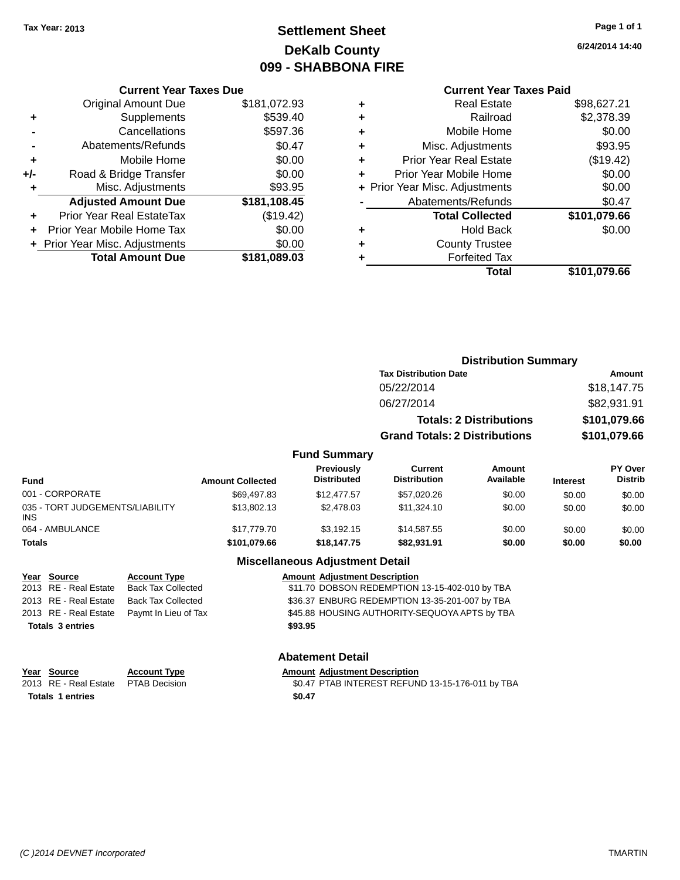## **Settlement Sheet Tax Year: 2013 Page 1 of 1 DeKalb County 099 - SHABBONA FIRE**

**6/24/2014 14:40**

## **Current Year Taxes Paid**

|       | <b>Current Year Taxes Due</b>  |              |  |  |  |  |  |
|-------|--------------------------------|--------------|--|--|--|--|--|
|       | <b>Original Amount Due</b>     | \$181,072.93 |  |  |  |  |  |
| ٠     | Supplements                    | \$539.40     |  |  |  |  |  |
|       | Cancellations                  | \$597.36     |  |  |  |  |  |
|       | Abatements/Refunds             | \$0.47       |  |  |  |  |  |
| ٠     | Mobile Home                    | \$0.00       |  |  |  |  |  |
| $+/-$ | Road & Bridge Transfer         | \$0.00       |  |  |  |  |  |
| ٠     | Misc. Adjustments              | \$93.95      |  |  |  |  |  |
|       | <b>Adjusted Amount Due</b>     | \$181,108.45 |  |  |  |  |  |
| ٠     | Prior Year Real EstateTax      | (\$19.42)    |  |  |  |  |  |
| ÷     | Prior Year Mobile Home Tax     | \$0.00       |  |  |  |  |  |
|       | + Prior Year Misc. Adjustments | \$0.00       |  |  |  |  |  |
|       | <b>Total Amount Due</b>        | \$181,089.03 |  |  |  |  |  |
|       |                                |              |  |  |  |  |  |

| ٠ | <b>Real Estate</b>             | \$98,627.21  |
|---|--------------------------------|--------------|
| ٠ | Railroad                       | \$2,378.39   |
| ٠ | Mobile Home                    | \$0.00       |
| ٠ | Misc. Adjustments              | \$93.95      |
| ÷ | <b>Prior Year Real Estate</b>  | (\$19.42)    |
| ٠ | Prior Year Mobile Home         | \$0.00       |
|   | + Prior Year Misc. Adjustments | \$0.00       |
|   | Abatements/Refunds             | \$0.47       |
|   | <b>Total Collected</b>         | \$101,079.66 |
| ٠ | <b>Hold Back</b>               | \$0.00       |
| ٠ | <b>County Trustee</b>          |              |
| ٠ | <b>Forfeited Tax</b>           |              |
|   | Total                          | \$101,079.66 |
|   |                                |              |

|                     |                                      | <b>Distribution Summary</b> |              |                |  |
|---------------------|--------------------------------------|-----------------------------|--------------|----------------|--|
|                     | <b>Tax Distribution Date</b>         |                             |              | Amount         |  |
|                     | 05/22/2014                           |                             | \$18,147.75  |                |  |
|                     | 06/27/2014                           |                             |              | \$82,931.91    |  |
|                     | <b>Totals: 2 Distributions</b>       |                             | \$101,079.66 |                |  |
|                     | <b>Grand Totals: 2 Distributions</b> |                             | \$101,079.66 |                |  |
| <b>Fund Summary</b> |                                      |                             |              |                |  |
| <b>Previously</b>   | Current                              | Amount                      |              | <b>PY Over</b> |  |
| <b>Distributed</b>  | <b>Distribution</b>                  | <b>Available</b>            | Interest     | <b>Distrib</b> |  |

| Fund                                   | <b>Amount Collected</b> | Previously<br><b>Distributed</b> | Current<br><b>Distribution</b> | Amount<br>Available | <b>Interest</b> | <b>PY Over</b><br><b>Distrib</b> |
|----------------------------------------|-------------------------|----------------------------------|--------------------------------|---------------------|-----------------|----------------------------------|
| 001 - CORPORATE                        | \$69.497.83             | \$12,477.57                      | \$57,020.26                    | \$0.00              | \$0.00          | \$0.00                           |
| 035 - TORT JUDGEMENTS/LIABILITY<br>INS | \$13,802.13             | \$2,478.03                       | \$11,324.10                    | \$0.00              | \$0.00          | \$0.00                           |
| 064 - AMBULANCE                        | \$17,779,70             | \$3.192.15                       | \$14,587.55                    | \$0.00              | \$0.00          | \$0.00                           |
| Totals                                 | \$101,079.66            | \$18,147.75                      | \$82.931.91                    | \$0.00              | \$0.00          | \$0.00                           |

#### **Miscellaneous Adjustment Detail**

| Year Source             | <b>Account Type</b>                        | <b>Amount Adjustment Description</b>           |
|-------------------------|--------------------------------------------|------------------------------------------------|
| 2013 RE - Real Estate   | Back Tax Collected                         | \$11.70 DOBSON REDEMPTION 13-15-402-010 by TBA |
| 2013 RE - Real Estate   | Back Tax Collected                         | \$36.37 ENBURG REDEMPTION 13-35-201-007 by TBA |
|                         | 2013 RE - Real Estate Paymt In Lieu of Tax | \$45.88 HOUSING AUTHORITY-SEQUOYA APTS by TBA  |
| <b>Totals 3 entries</b> |                                            | \$93.95                                        |
|                         |                                            |                                                |

#### **Abatement Detail**

| Year Source                         | <b>Account Type</b> | <b>Amount Adjustment Description</b>             |
|-------------------------------------|---------------------|--------------------------------------------------|
| 2013 RE - Real Estate PTAB Decision |                     | \$0.47 PTAB INTEREST REFUND 13-15-176-011 by TBA |
| <b>Totals 1 entries</b>             |                     | \$0.47                                           |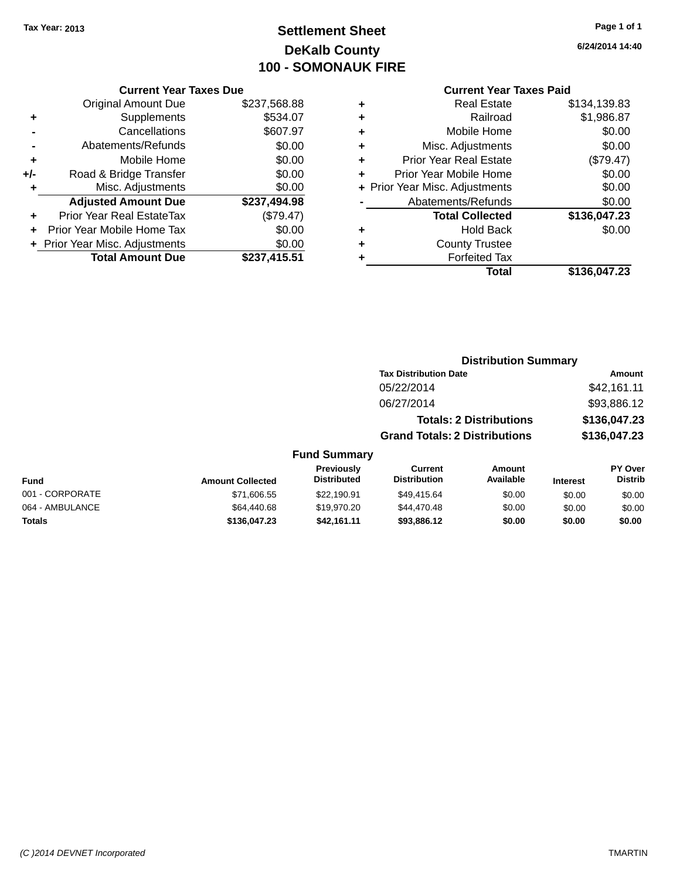## **Settlement Sheet Tax Year: 2013 Page 1 of 1 DeKalb County 100 - SOMONAUK FIRE**

**6/24/2014 14:40**

#### **Current Year Taxes Paid**

| <b>Current Year Taxes Due</b> |              |
|-------------------------------|--------------|
| <b>Original Amount Due</b>    | \$237,568.88 |
| Supplements                   | \$534.07     |
| Cancellations                 | \$607.97     |
| Abatements/Refunds            | \$0.00       |
| Mobile Home                   | \$0.00       |
| Road & Bridge Transfer        | \$0.00       |
| Misc. Adjustments             | \$0.00       |
| <b>Adjusted Amount Due</b>    | \$237,494.98 |
| Prior Year Real EstateTax     | (\$79.47)    |
| Prior Year Mobile Home Tax    | \$0.00       |
| Prior Year Misc. Adjustments  | \$0.00       |
| <b>Total Amount Due</b>       | \$237,415.51 |
|                               |              |

| ٠ | <b>Real Estate</b>             | \$134,139.83 |
|---|--------------------------------|--------------|
| ٠ | Railroad                       | \$1,986.87   |
| ٠ | Mobile Home                    | \$0.00       |
| ٠ | Misc. Adjustments              | \$0.00       |
| ٠ | <b>Prior Year Real Estate</b>  | (\$79.47)    |
| ÷ | Prior Year Mobile Home         | \$0.00       |
|   | + Prior Year Misc. Adjustments | \$0.00       |
|   | Abatements/Refunds             | \$0.00       |
|   | <b>Total Collected</b>         | \$136,047.23 |
| ٠ | Hold Back                      | \$0.00       |
| ٠ | <b>County Trustee</b>          |              |
| ٠ | <b>Forfeited Tax</b>           |              |
|   | Total                          | \$136,047.23 |

|                     | <b>Distribution Summary</b>          |              |
|---------------------|--------------------------------------|--------------|
|                     | <b>Tax Distribution Date</b>         | Amount       |
|                     | 05/22/2014                           | \$42,161.11  |
|                     | 06/27/2014                           | \$93,886.12  |
|                     | <b>Totals: 2 Distributions</b>       | \$136,047.23 |
|                     | <b>Grand Totals: 2 Distributions</b> | \$136,047.23 |
| <b>Fund Summary</b> |                                      |              |

| Fund            | <b>Amount Collected</b> | Previously<br><b>Distributed</b> | Current<br><b>Distribution</b> | Amount<br>Available | <b>Interest</b> | <b>PY Over</b><br><b>Distrib</b> |
|-----------------|-------------------------|----------------------------------|--------------------------------|---------------------|-----------------|----------------------------------|
| 001 - CORPORATE | \$71,606.55             | \$22,190.91                      | \$49.415.64                    | \$0.00              | \$0.00          | \$0.00                           |
| 064 - AMBULANCE | \$64,440.68             | \$19,970.20                      | \$44,470.48                    | \$0.00              | \$0.00          | \$0.00                           |
| <b>Totals</b>   | \$136,047.23            | \$42.161.11                      | \$93,886,12                    | \$0.00              | \$0.00          | \$0.00                           |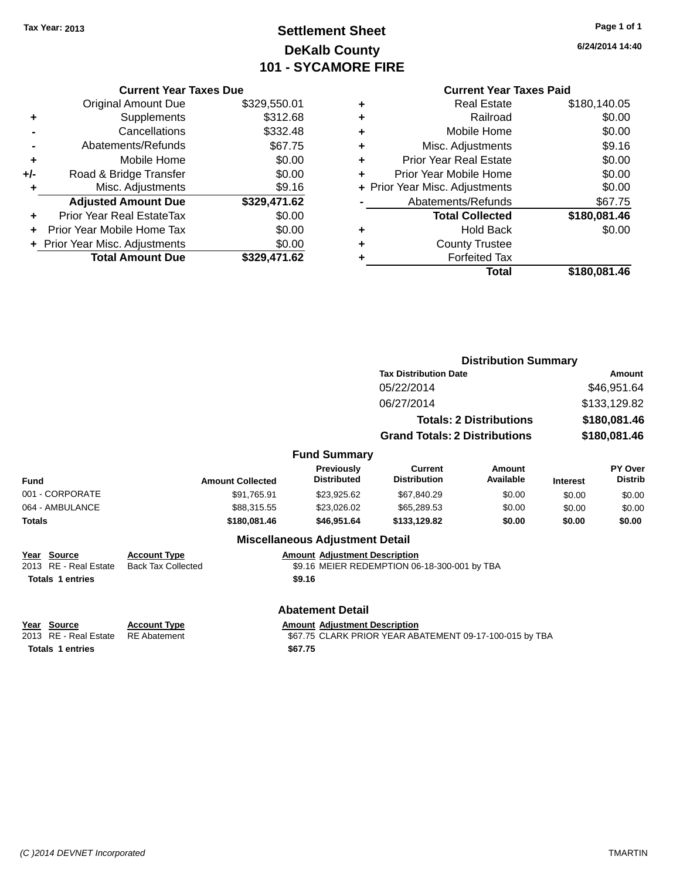## **Settlement Sheet Tax Year: 2013 Page 1 of 1 DeKalb County 101 - SYCAMORE FIRE**

#### **Current Year Taxes Due**

|     | <b>Total Amount Due</b>          | \$329,471.62 |
|-----|----------------------------------|--------------|
|     | + Prior Year Misc. Adjustments   | \$0.00       |
|     | Prior Year Mobile Home Tax       | \$0.00       |
|     | <b>Prior Year Real EstateTax</b> | \$0.00       |
|     | <b>Adjusted Amount Due</b>       | \$329,471.62 |
|     | Misc. Adjustments                | \$9.16       |
| +/- | Road & Bridge Transfer           | \$0.00       |
| ٠   | Mobile Home                      | \$0.00       |
|     | Abatements/Refunds               | \$67.75      |
|     | Cancellations                    | \$332.48     |
| ٠   | Supplements                      | \$312.68     |
|     | <b>Original Amount Due</b>       | \$329,550.01 |
|     |                                  |              |

#### **Current Year Taxes Paid**

|   | Real Estate                    | \$180,140.05 |
|---|--------------------------------|--------------|
| ٠ | Railroad                       | \$0.00       |
| ٠ | Mobile Home                    | \$0.00       |
| ٠ | Misc. Adjustments              | \$9.16       |
| ٠ | <b>Prior Year Real Estate</b>  | \$0.00       |
|   | Prior Year Mobile Home         | \$0.00       |
|   | + Prior Year Misc. Adjustments | \$0.00       |
|   | Abatements/Refunds             | \$67.75      |
|   | <b>Total Collected</b>         | \$180,081.46 |
| ٠ | Hold Back                      | \$0.00       |
| ٠ | <b>County Trustee</b>          |              |
|   | <b>Forfeited Tax</b>           |              |
|   | Total                          | \$180,081.46 |
|   |                                |              |

|                                                                    |                                                  |                                                                                                 | <b>Distribution Summary</b>                  |                                |                 |                           |  |
|--------------------------------------------------------------------|--------------------------------------------------|-------------------------------------------------------------------------------------------------|----------------------------------------------|--------------------------------|-----------------|---------------------------|--|
|                                                                    |                                                  |                                                                                                 | <b>Tax Distribution Date</b>                 |                                |                 | Amount                    |  |
|                                                                    |                                                  |                                                                                                 | 05/22/2014                                   |                                | \$46,951.64     |                           |  |
|                                                                    |                                                  |                                                                                                 | 06/27/2014                                   |                                |                 | \$133,129.82              |  |
|                                                                    |                                                  |                                                                                                 |                                              | <b>Totals: 2 Distributions</b> | \$180,081.46    |                           |  |
|                                                                    |                                                  |                                                                                                 | <b>Grand Totals: 2 Distributions</b>         |                                |                 | \$180,081.46              |  |
|                                                                    |                                                  | <b>Fund Summary</b>                                                                             |                                              |                                |                 |                           |  |
| Fund                                                               | <b>Amount Collected</b>                          | Previously<br><b>Distributed</b>                                                                | Current<br><b>Distribution</b>               | Amount<br>Available            | <b>Interest</b> | PY Over<br><b>Distrib</b> |  |
| 001 - CORPORATE                                                    | \$91,765.91                                      | \$23,925.62                                                                                     | \$67,840.29                                  | \$0.00                         | \$0.00          | \$0.00                    |  |
| 064 - AMBULANCE                                                    | \$88,315.55                                      | \$23,026.02                                                                                     | \$65,289.53                                  | \$0.00                         | \$0.00          | \$0.00                    |  |
| <b>Totals</b>                                                      | \$180,081.46                                     | \$46,951.64                                                                                     | \$133,129.82                                 | \$0.00                         | \$0.00          | \$0.00                    |  |
|                                                                    |                                                  | <b>Miscellaneous Adjustment Detail</b>                                                          |                                              |                                |                 |                           |  |
| Source<br>Year<br>2013 RE - Real Estate<br><b>Totals 1 entries</b> | <b>Account Type</b><br><b>Back Tax Collected</b> | <b>Amount Adjustment Description</b><br>\$9.16                                                  | \$9.16 MEIER REDEMPTION 06-18-300-001 by TBA |                                |                 |                           |  |
|                                                                    |                                                  |                                                                                                 |                                              |                                |                 |                           |  |
|                                                                    |                                                  | <b>Abatement Detail</b>                                                                         |                                              |                                |                 |                           |  |
| Source<br>Year<br>2013 RE - Real Estate                            | <b>Account Type</b><br><b>RE</b> Abatement       | <b>Amount Adjustment Description</b><br>\$67.75 CLARK PRIOR YEAR ABATEMENT 09-17-100-015 by TBA |                                              |                                |                 |                           |  |

**6/24/2014 14:40**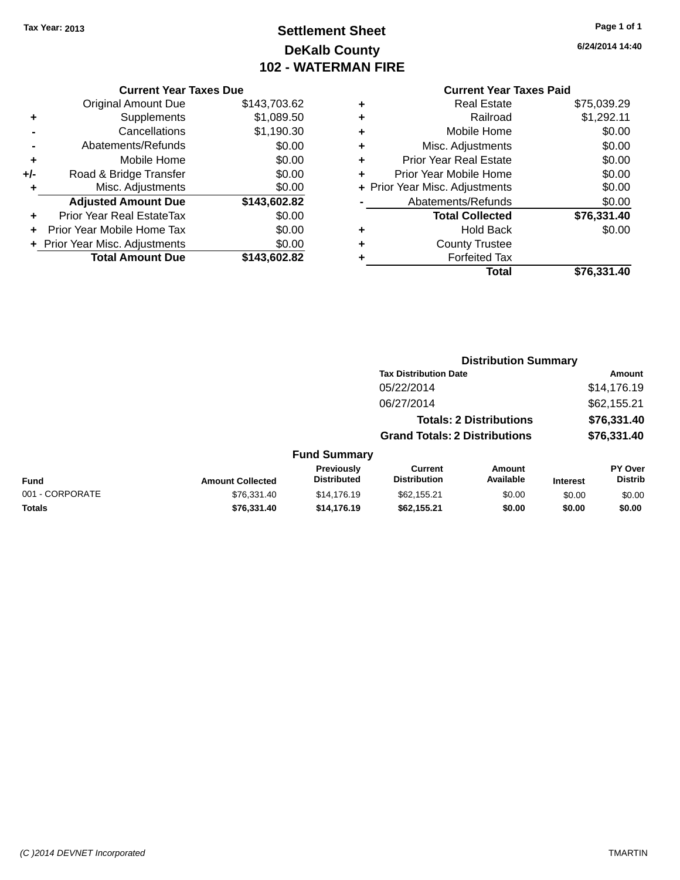## **Settlement Sheet Tax Year: 2013 Page 1 of 1 DeKalb County 102 - WATERMAN FIRE**

**6/24/2014 14:40**

## **Current Year Taxes Due**

|     | <b>Total Amount Due</b>        | \$143.602.82 |
|-----|--------------------------------|--------------|
|     | + Prior Year Misc. Adjustments | \$0.00       |
| ÷   | Prior Year Mobile Home Tax     | \$0.00       |
|     | Prior Year Real EstateTax      | \$0.00       |
|     | <b>Adjusted Amount Due</b>     | \$143,602.82 |
| ٠   | Misc. Adjustments              | \$0.00       |
| +/- | Road & Bridge Transfer         | \$0.00       |
| ٠   | Mobile Home                    | \$0.00       |
|     | Abatements/Refunds             | \$0.00       |
|     | Cancellations                  | \$1,190.30   |
| ٠   | Supplements                    | \$1,089.50   |
|     | <b>Original Amount Due</b>     | \$143,703.62 |
|     |                                |              |

|   | <b>Current Year Taxes Paid</b> |             |
|---|--------------------------------|-------------|
| ٠ | <b>Real Estate</b>             | \$75,039.29 |
| ٠ | Railroad                       | \$1,292.11  |
| ٠ | Mobile Home                    | \$0.00      |
| ٠ | Misc. Adjustments              | \$0.00      |
| ٠ | <b>Prior Year Real Estate</b>  | \$0.00      |
| ÷ | Prior Year Mobile Home         | \$0.00      |
|   | + Prior Year Misc. Adjustments | \$0.00      |
|   | Abatements/Refunds             | \$0.00      |
|   | <b>Total Collected</b>         | \$76,331.40 |
| ٠ | Hold Back                      | \$0.00      |
|   | <b>County Trustee</b>          |             |
| ٠ | <b>Forfeited Tax</b>           |             |
|   | Total                          | \$76,331.40 |

|                 |                         |                                  | <b>Distribution Summary</b>           |                                |                 |                           |
|-----------------|-------------------------|----------------------------------|---------------------------------------|--------------------------------|-----------------|---------------------------|
|                 |                         |                                  | <b>Tax Distribution Date</b>          |                                |                 | <b>Amount</b>             |
|                 |                         |                                  | 05/22/2014                            |                                |                 | \$14,176.19               |
|                 |                         |                                  | 06/27/2014                            |                                |                 | \$62,155.21               |
|                 |                         |                                  |                                       | <b>Totals: 2 Distributions</b> |                 | \$76,331.40               |
|                 |                         |                                  | <b>Grand Totals: 2 Distributions</b>  |                                |                 | \$76,331.40               |
|                 |                         | <b>Fund Summary</b>              |                                       |                                |                 |                           |
| <b>Fund</b>     | <b>Amount Collected</b> | Previously<br><b>Distributed</b> | <b>Current</b><br><b>Distribution</b> | Amount<br>Available            | <b>Interest</b> | PY Over<br><b>Distrib</b> |
| 001 - CORPORATE | \$76.331.40             | \$14,176.19                      | \$62,155.21                           | \$0.00                         | \$0.00          | \$0.00                    |
| <b>Totals</b>   | \$76,331.40             | \$14,176.19                      | \$62,155.21                           | \$0.00                         | \$0.00          | \$0.00                    |
|                 |                         |                                  |                                       |                                |                 |                           |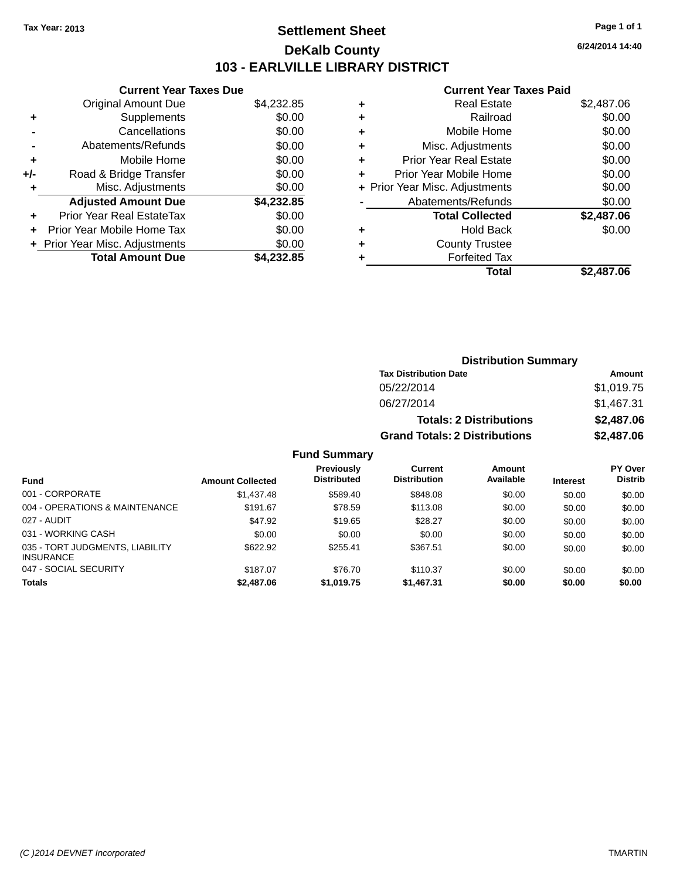## **Settlement Sheet Tax Year: 2013 Page 1 of 1 DeKalb County 103 - EARLVILLE LIBRARY DISTRICT**

**6/24/2014 14:40**

## **Current Year Taxes Paid**

|     | <b>Current Year Taxes Due</b>  |            |
|-----|--------------------------------|------------|
|     | <b>Original Amount Due</b>     | \$4,232.85 |
| ٠   | Supplements                    | \$0.00     |
|     | Cancellations                  | \$0.00     |
|     | Abatements/Refunds             | \$0.00     |
| ÷   | Mobile Home                    | \$0.00     |
| +/- | Road & Bridge Transfer         | \$0.00     |
|     | Misc. Adjustments              | \$0.00     |
|     | <b>Adjusted Amount Due</b>     | \$4,232.85 |
| ٠   | Prior Year Real EstateTax      | \$0.00     |
| ÷   | Prior Year Mobile Home Tax     | \$0.00     |
|     | + Prior Year Misc. Adjustments | \$0.00     |
|     | <b>Total Amount Due</b>        | \$4.232.85 |
|     |                                |            |

|   | Real Estate                    | \$2,487.06 |
|---|--------------------------------|------------|
| ٠ | Railroad                       | \$0.00     |
| ٠ | Mobile Home                    | \$0.00     |
| ٠ | Misc. Adjustments              | \$0.00     |
| ٠ | <b>Prior Year Real Estate</b>  | \$0.00     |
|   | Prior Year Mobile Home         | \$0.00     |
|   | + Prior Year Misc. Adjustments | \$0.00     |
|   | Abatements/Refunds             | \$0.00     |
|   | <b>Total Collected</b>         | \$2,487.06 |
| ٠ | <b>Hold Back</b>               | \$0.00     |
| ٠ | <b>County Trustee</b>          |            |
| ٠ | <b>Forfeited Tax</b>           |            |
|   | Total                          | \$2.487.06 |
|   |                                |            |

| <b>Distribution Summary</b>          |            |  |  |  |
|--------------------------------------|------------|--|--|--|
| <b>Tax Distribution Date</b>         | Amount     |  |  |  |
| 05/22/2014                           | \$1,019.75 |  |  |  |
| 06/27/2014                           | \$1,467.31 |  |  |  |
| <b>Totals: 2 Distributions</b>       | \$2,487.06 |  |  |  |
| <b>Grand Totals: 2 Distributions</b> | \$2,487.06 |  |  |  |

| <b>Fund</b>                                         | <b>Amount Collected</b> | Previously<br><b>Distributed</b> | Current<br><b>Distribution</b> | Amount<br>Available | <b>Interest</b> | <b>PY Over</b><br><b>Distrib</b> |
|-----------------------------------------------------|-------------------------|----------------------------------|--------------------------------|---------------------|-----------------|----------------------------------|
| 001 - CORPORATE                                     | \$1,437.48              | \$589.40                         | \$848.08                       | \$0.00              | \$0.00          | \$0.00                           |
| 004 - OPERATIONS & MAINTENANCE                      | \$191.67                | \$78.59                          | \$113.08                       | \$0.00              | \$0.00          | \$0.00                           |
| 027 - AUDIT                                         | \$47.92                 | \$19.65                          | \$28.27                        | \$0.00              | \$0.00          | \$0.00                           |
| 031 - WORKING CASH                                  | \$0.00                  | \$0.00                           | \$0.00                         | \$0.00              | \$0.00          | \$0.00                           |
| 035 - TORT JUDGMENTS, LIABILITY<br><b>INSURANCE</b> | \$622.92                | \$255.41                         | \$367.51                       | \$0.00              | \$0.00          | \$0.00                           |
| 047 - SOCIAL SECURITY                               | \$187.07                | \$76.70                          | \$110.37                       | \$0.00              | \$0.00          | \$0.00                           |
| <b>Totals</b>                                       | \$2,487.06              | \$1,019.75                       | \$1,467.31                     | \$0.00              | \$0.00          | \$0.00                           |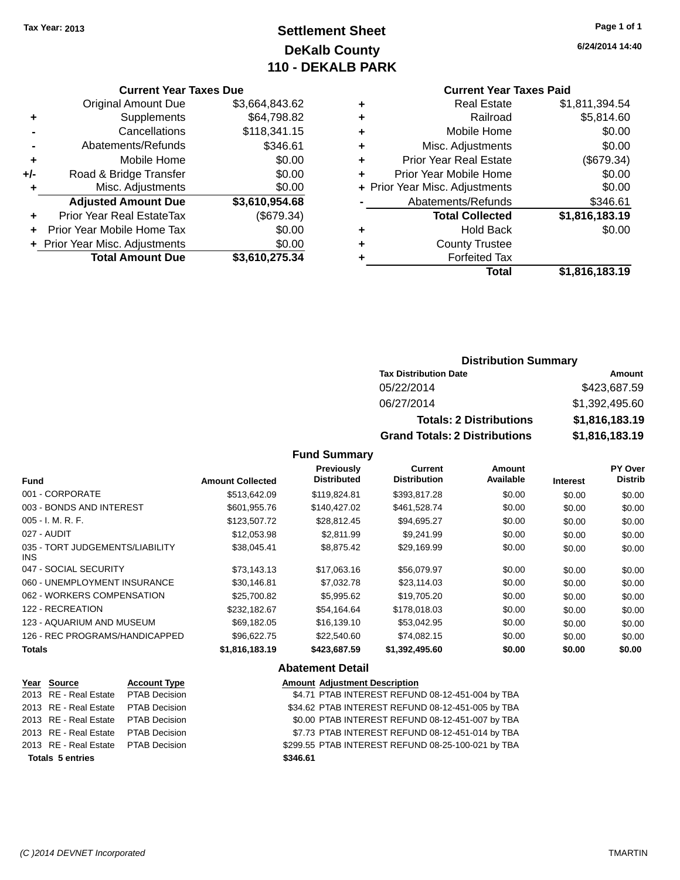## **Settlement Sheet Tax Year: 2013 Page 1 of 1 DeKalb County 110 - DEKALB PARK**

**6/24/2014 14:40**

#### **Current Year Taxes Due**

|       | <b>Original Amount Due</b>       | \$3,664,843.62 |
|-------|----------------------------------|----------------|
| ٠     | Supplements                      | \$64,798.82    |
|       | Cancellations                    | \$118,341.15   |
|       | Abatements/Refunds               | \$346.61       |
| ٠     | Mobile Home                      | \$0.00         |
| $+/-$ | Road & Bridge Transfer           | \$0.00         |
| ٠     | Misc. Adjustments                | \$0.00         |
|       | <b>Adjusted Amount Due</b>       | \$3,610,954.68 |
|       | <b>Prior Year Real EstateTax</b> | (\$679.34)     |
|       | Prior Year Mobile Home Tax       | \$0.00         |
|       | + Prior Year Misc. Adjustments   | \$0.00         |
|       | <b>Total Amount Due</b>          | \$3,610,275.34 |

## **Current Year Taxes Paid**

| ٠ | <b>Real Estate</b>             | \$1,811,394.54 |
|---|--------------------------------|----------------|
| ٠ | Railroad                       | \$5,814.60     |
| ٠ | Mobile Home                    | \$0.00         |
| ٠ | Misc. Adjustments              | \$0.00         |
| ٠ | <b>Prior Year Real Estate</b>  | (\$679.34)     |
| ٠ | Prior Year Mobile Home         | \$0.00         |
|   | + Prior Year Misc. Adjustments | \$0.00         |
|   | Abatements/Refunds             | \$346.61       |
|   | <b>Total Collected</b>         | \$1,816,183.19 |
| ٠ | <b>Hold Back</b>               | \$0.00         |
| ٠ | <b>County Trustee</b>          |                |
|   | <b>Forfeited Tax</b>           |                |
|   | Total                          | \$1,816,183.19 |
|   |                                |                |

## **Distribution Summary**

| <b>Tax Distribution Date</b>         | Amount         |
|--------------------------------------|----------------|
| 05/22/2014                           | \$423,687.59   |
| 06/27/2014                           | \$1,392,495.60 |
| <b>Totals: 2 Distributions</b>       | \$1,816,183.19 |
| <b>Grand Totals: 2 Distributions</b> | \$1,816,183.19 |

## **Fund Summary**

| <b>Fund</b>                             | <b>Amount Collected</b> | Previously<br><b>Distributed</b> | <b>Current</b><br><b>Distribution</b> | Amount<br>Available | <b>Interest</b> | PY Over<br><b>Distrib</b> |
|-----------------------------------------|-------------------------|----------------------------------|---------------------------------------|---------------------|-----------------|---------------------------|
| 001 - CORPORATE                         | \$513,642.09            | \$119,824.81                     | \$393.817.28                          | \$0.00              | \$0.00          | \$0.00                    |
| 003 - BONDS AND INTEREST                | \$601,955.76            | \$140.427.02                     | \$461,528.74                          | \$0.00              | \$0.00          | \$0.00                    |
| $005 - I. M. R. F.$                     | \$123,507.72            | \$28,812.45                      | \$94,695.27                           | \$0.00              | \$0.00          | \$0.00                    |
| 027 - AUDIT                             | \$12,053.98             | \$2.811.99                       | \$9.241.99                            | \$0.00              | \$0.00          | \$0.00                    |
| 035 - TORT JUDGEMENTS/LIABILITY<br>INS. | \$38,045.41             | \$8,875.42                       | \$29,169.99                           | \$0.00              | \$0.00          | \$0.00                    |
| 047 - SOCIAL SECURITY                   | \$73.143.13             | \$17.063.16                      | \$56,079.97                           | \$0.00              | \$0.00          | \$0.00                    |
| 060 - UNEMPLOYMENT INSURANCE            | \$30.146.81             | \$7,032.78                       | \$23,114.03                           | \$0.00              | \$0.00          | \$0.00                    |
| 062 - WORKERS COMPENSATION              | \$25,700.82             | \$5,995.62                       | \$19,705.20                           | \$0.00              | \$0.00          | \$0.00                    |
| 122 - RECREATION                        | \$232.182.67            | \$54.164.64                      | \$178,018.03                          | \$0.00              | \$0.00          | \$0.00                    |
| 123 - AQUARIUM AND MUSEUM               | \$69,182.05             | \$16,139.10                      | \$53,042.95                           | \$0.00              | \$0.00          | \$0.00                    |
| 126 - REC PROGRAMS/HANDICAPPED          | \$96,622,75             | \$22,540.60                      | \$74,082.15                           | \$0.00              | \$0.00          | \$0.00                    |
| <b>Totals</b>                           | \$1,816,183.19          | \$423,687.59                     | \$1,392,495.60                        | \$0.00              | \$0.00          | \$0.00                    |

#### **Abatement Detail**

| Year Source                         | <b>Account Type</b> | <b>Amount Adjustment Description</b>               |
|-------------------------------------|---------------------|----------------------------------------------------|
| 2013 RE - Real Estate PTAB Decision |                     | \$4.71 PTAB INTEREST REFUND 08-12-451-004 by TBA   |
| 2013 RE - Real Estate PTAB Decision |                     | \$34.62 PTAB INTEREST REFUND 08-12-451-005 by TBA  |
| 2013 RE - Real Estate PTAB Decision |                     | \$0.00 PTAB INTEREST REFUND 08-12-451-007 by TBA   |
| 2013 RE - Real Estate PTAB Decision |                     | \$7.73 PTAB INTEREST REFUND 08-12-451-014 by TBA   |
| 2013 RE - Real Estate PTAB Decision |                     | \$299.55 PTAB INTEREST REFUND 08-25-100-021 by TBA |
| <b>Totals 5 entries</b>             |                     | \$346.61                                           |
|                                     |                     |                                                    |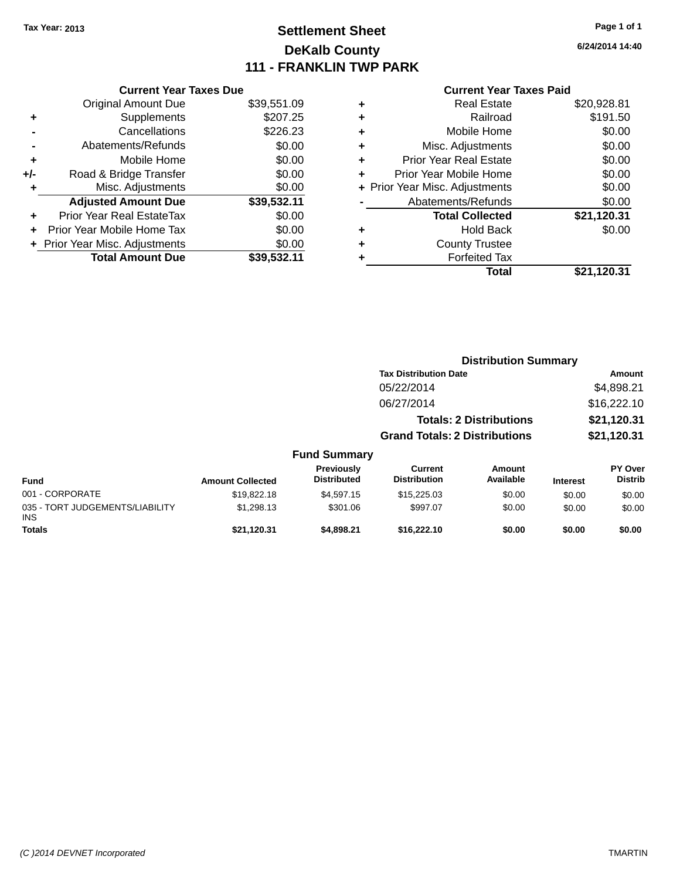## **Settlement Sheet Tax Year: 2013 Page 1 of 1 DeKalb County 111 - FRANKLIN TWP PARK**

**6/24/2014 14:40**

#### **Current Year Taxes Paid**

|     | <b>Current Year Taxes Due</b>  |             |
|-----|--------------------------------|-------------|
|     | <b>Original Amount Due</b>     | \$39,551.09 |
| ٠   | Supplements                    | \$207.25    |
|     | Cancellations                  | \$226.23    |
|     | Abatements/Refunds             | \$0.00      |
| ٠   | Mobile Home                    | \$0.00      |
| +/- | Road & Bridge Transfer         | \$0.00      |
| ٠   | Misc. Adjustments              | \$0.00      |
|     | <b>Adjusted Amount Due</b>     | \$39,532.11 |
| ٠   | Prior Year Real EstateTax      | \$0.00      |
|     | Prior Year Mobile Home Tax     | \$0.00      |
|     | + Prior Year Misc. Adjustments | \$0.00      |
|     | <b>Total Amount Due</b>        | \$39.532.11 |
|     |                                |             |

|   | <b>Real Estate</b>             | \$20,928.81 |
|---|--------------------------------|-------------|
| ٠ | Railroad                       | \$191.50    |
| ٠ | Mobile Home                    | \$0.00      |
| ٠ | Misc. Adjustments              | \$0.00      |
| ٠ | <b>Prior Year Real Estate</b>  | \$0.00      |
| ÷ | Prior Year Mobile Home         | \$0.00      |
|   | + Prior Year Misc. Adjustments | \$0.00      |
|   | Abatements/Refunds             | \$0.00      |
|   | <b>Total Collected</b>         | \$21,120.31 |
| ٠ | <b>Hold Back</b>               | \$0.00      |
|   | <b>County Trustee</b>          |             |
| ٠ | <b>Forfeited Tax</b>           |             |
|   | Total                          | \$21,120.31 |
|   |                                |             |

|                                               |                         |                                  | <b>Distribution Summary</b>           |                                |                 |                                  |
|-----------------------------------------------|-------------------------|----------------------------------|---------------------------------------|--------------------------------|-----------------|----------------------------------|
|                                               |                         |                                  | <b>Tax Distribution Date</b>          |                                |                 | Amount                           |
|                                               |                         |                                  | 05/22/2014                            |                                |                 | \$4,898.21                       |
|                                               |                         |                                  | 06/27/2014                            |                                |                 | \$16,222.10                      |
|                                               |                         |                                  |                                       | <b>Totals: 2 Distributions</b> |                 | \$21,120.31                      |
|                                               |                         |                                  | <b>Grand Totals: 2 Distributions</b>  |                                |                 | \$21,120.31                      |
|                                               |                         | <b>Fund Summary</b>              |                                       |                                |                 |                                  |
| <b>Fund</b>                                   | <b>Amount Collected</b> | Previously<br><b>Distributed</b> | <b>Current</b><br><b>Distribution</b> | Amount<br>Available            | <b>Interest</b> | <b>PY Over</b><br><b>Distrib</b> |
| 001 - CORPORATE                               | \$19,822.18             | \$4,597.15                       | \$15,225.03                           | \$0.00                         | \$0.00          | \$0.00                           |
| 035 - TORT JUDGEMENTS/LIABILITY<br><b>INS</b> | \$1,298.13              | \$301.06                         | \$997.07                              | \$0.00                         | \$0.00          | \$0.00                           |

**Totals \$21,120.31 \$4,898.21 \$16,222.10 \$0.00 \$0.00 \$0.00**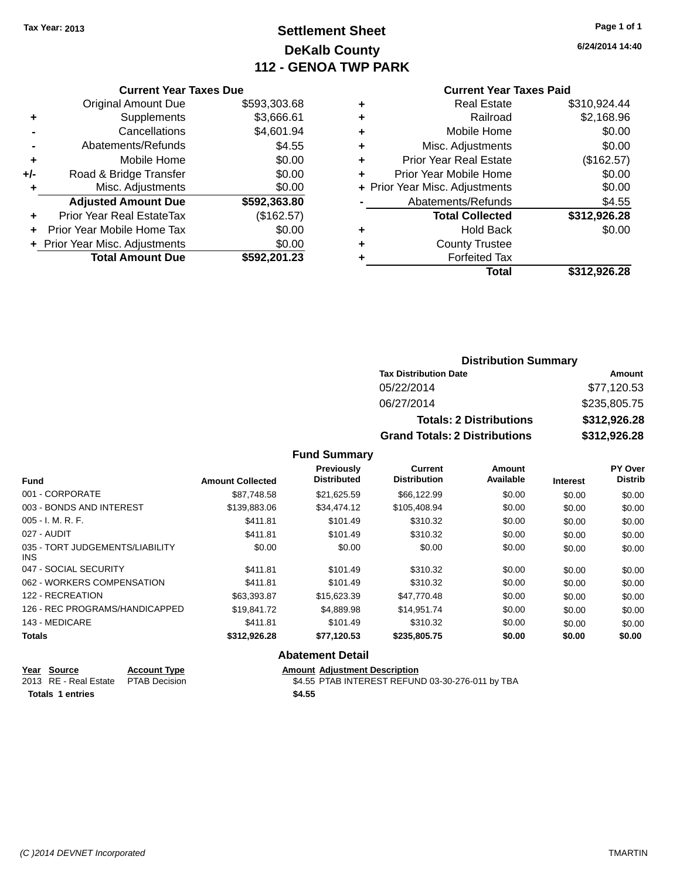## **Settlement Sheet Tax Year: 2013 Page 1 of 1 DeKalb County 112 - GENOA TWP PARK**

## **6/24/2014 14:40**

|     | <b>Current Year Taxes Due</b>  |              |
|-----|--------------------------------|--------------|
|     | <b>Original Amount Due</b>     | \$593,303.68 |
| ٠   | Supplements                    | \$3,666.61   |
|     | Cancellations                  | \$4,601.94   |
|     | Abatements/Refunds             | \$4.55       |
| ٠   | Mobile Home                    | \$0.00       |
| +/- | Road & Bridge Transfer         | \$0.00       |
| ٠   | Misc. Adjustments              | \$0.00       |
|     | <b>Adjusted Amount Due</b>     | \$592,363.80 |
|     | Prior Year Real EstateTax      | (\$162.57)   |
|     | Prior Year Mobile Home Tax     | \$0.00       |
|     | + Prior Year Misc. Adjustments | \$0.00       |
|     | <b>Total Amount Due</b>        | \$592,201.23 |
|     |                                |              |

#### **Current Year Taxes Paid**

|   | <b>Real Estate</b>             | \$310,924.44 |
|---|--------------------------------|--------------|
| ÷ | Railroad                       | \$2,168.96   |
| ٠ | Mobile Home                    | \$0.00       |
| ٠ | Misc. Adjustments              | \$0.00       |
| ٠ | <b>Prior Year Real Estate</b>  | (\$162.57)   |
|   | Prior Year Mobile Home         | \$0.00       |
|   | + Prior Year Misc. Adjustments | \$0.00       |
|   | Abatements/Refunds             | \$4.55       |
|   | <b>Total Collected</b>         | \$312,926.28 |
| ٠ | <b>Hold Back</b>               | \$0.00       |
| ٠ | <b>County Trustee</b>          |              |
|   | <b>Forfeited Tax</b>           |              |
|   | Total                          | \$312,926.28 |
|   |                                |              |

## **Distribution Summary Tax Distribution Date Amount** 05/22/2014 \$77,120.53 06/27/2014 \$235,805.75 **Totals: 2 Distributions \$312,926.28 Grand Totals: 2 Distributions \$312,926.28**

#### **Fund Summary**

| <b>Fund</b>                             | <b>Amount Collected</b> | Previously<br><b>Distributed</b> | Current<br><b>Distribution</b> | Amount<br>Available | <b>Interest</b> | PY Over<br><b>Distrib</b> |
|-----------------------------------------|-------------------------|----------------------------------|--------------------------------|---------------------|-----------------|---------------------------|
| 001 - CORPORATE                         | \$87.748.58             | \$21,625.59                      | \$66,122.99                    | \$0.00              | \$0.00          | \$0.00                    |
| 003 - BONDS AND INTEREST                | \$139,883,06            | \$34,474.12                      | \$105,408.94                   | \$0.00              | \$0.00          | \$0.00                    |
| $005 - I. M. R. F.$                     | \$411.81                | \$101.49                         | \$310.32                       | \$0.00              | \$0.00          | \$0.00                    |
| 027 - AUDIT                             | \$411.81                | \$101.49                         | \$310.32                       | \$0.00              | \$0.00          | \$0.00                    |
| 035 - TORT JUDGEMENTS/LIABILITY<br>INS. | \$0.00                  | \$0.00                           | \$0.00                         | \$0.00              | \$0.00          | \$0.00                    |
| 047 - SOCIAL SECURITY                   | \$411.81                | \$101.49                         | \$310.32                       | \$0.00              | \$0.00          | \$0.00                    |
| 062 - WORKERS COMPENSATION              | \$411.81                | \$101.49                         | \$310.32                       | \$0.00              | \$0.00          | \$0.00                    |
| 122 - RECREATION                        | \$63,393.87             | \$15,623.39                      | \$47.770.48                    | \$0.00              | \$0.00          | \$0.00                    |
| 126 - REC PROGRAMS/HANDICAPPED          | \$19,841.72             | \$4,889.98                       | \$14,951.74                    | \$0.00              | \$0.00          | \$0.00                    |
| 143 - MEDICARE                          | \$411.81                | \$101.49                         | \$310.32                       | \$0.00              | \$0.00          | \$0.00                    |
| <b>Totals</b>                           | \$312,926.28            | \$77,120.53                      | \$235,805.75                   | \$0.00              | \$0.00          | \$0.00                    |

#### **Abatement Detail**

| Year Source                         | <b>Account Type</b> | <b>Amount Adiustment Description</b>             |
|-------------------------------------|---------------------|--------------------------------------------------|
| 2013 RE - Real Estate PTAB Decision |                     | \$4.55 PTAB INTEREST REFUND 03-30-276-011 by TBA |
| Totals 1 entries                    |                     | \$4.55                                           |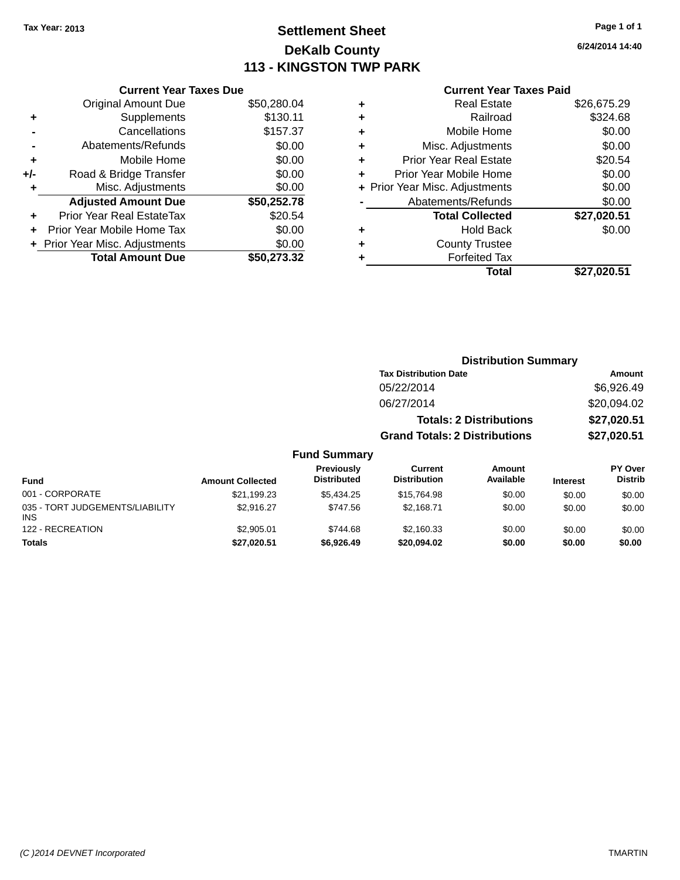## **Settlement Sheet Tax Year: 2013 Page 1 of 1 DeKalb County 113 - KINGSTON TWP PARK**

#### **6/24/2014 14:40**

| <b>Current Year Taxes Paid</b> |  |  |  |
|--------------------------------|--|--|--|
|--------------------------------|--|--|--|

|       | <b>Current Year Taxes Due</b>    |             |
|-------|----------------------------------|-------------|
|       | <b>Original Amount Due</b>       | \$50,280.04 |
| ٠     | Supplements                      | \$130.11    |
|       | Cancellations                    | \$157.37    |
|       | Abatements/Refunds               | \$0.00      |
| ٠     | Mobile Home                      | \$0.00      |
| $+/-$ | Road & Bridge Transfer           | \$0.00      |
|       | Misc. Adjustments                | \$0.00      |
|       | <b>Adjusted Amount Due</b>       | \$50,252.78 |
| ÷     | <b>Prior Year Real EstateTax</b> | \$20.54     |
| ÷     | Prior Year Mobile Home Tax       | \$0.00      |
|       | + Prior Year Misc. Adjustments   | \$0.00      |
|       | <b>Total Amount Due</b>          | \$50.273.32 |

| <b>Real Estate</b>            | \$26,675.29                    |
|-------------------------------|--------------------------------|
| Railroad                      | \$324.68                       |
| Mobile Home                   | \$0.00                         |
| Misc. Adjustments             | \$0.00                         |
| <b>Prior Year Real Estate</b> | \$20.54                        |
| Prior Year Mobile Home        | \$0.00                         |
|                               | \$0.00                         |
| Abatements/Refunds            | \$0.00                         |
| <b>Total Collected</b>        | \$27,020.51                    |
| <b>Hold Back</b>              | \$0.00                         |
| <b>County Trustee</b>         |                                |
| <b>Forfeited Tax</b>          |                                |
| Total                         | \$27,020.51                    |
|                               | + Prior Year Misc. Adjustments |

|                     |                                      | <b>Distribution Summary</b>    |                |
|---------------------|--------------------------------------|--------------------------------|----------------|
|                     | <b>Tax Distribution Date</b>         |                                | Amount         |
|                     | 05/22/2014                           |                                | \$6,926.49     |
|                     | 06/27/2014                           |                                | \$20,094.02    |
|                     |                                      | <b>Totals: 2 Distributions</b> | \$27,020.51    |
|                     | <b>Grand Totals: 2 Distributions</b> |                                | \$27,020.51    |
| <b>Fund Summary</b> |                                      |                                |                |
| <b>Droviaught</b>   | $r_{\text{turbant}}$                 | $A$ messat                     | <b>DV Over</b> |

|                                               |                         | Previously         | Current             | Amount    |                 | PY Over        |
|-----------------------------------------------|-------------------------|--------------------|---------------------|-----------|-----------------|----------------|
| <b>Fund</b>                                   | <b>Amount Collected</b> | <b>Distributed</b> | <b>Distribution</b> | Available | <b>Interest</b> | <b>Distrib</b> |
| 001 - CORPORATE                               | \$21,199.23             | \$5,434.25         | \$15,764.98         | \$0.00    | \$0.00          | \$0.00         |
| 035 - TORT JUDGEMENTS/LIABILITY<br><b>INS</b> | \$2.916.27              | \$747.56           | \$2.168.71          | \$0.00    | \$0.00          | \$0.00         |
| 122 - RECREATION                              | \$2,905.01              | \$744.68           | \$2,160.33          | \$0.00    | \$0.00          | \$0.00         |
| <b>Totals</b>                                 | \$27,020.51             | \$6,926,49         | \$20,094.02         | \$0.00    | \$0.00          | \$0.00         |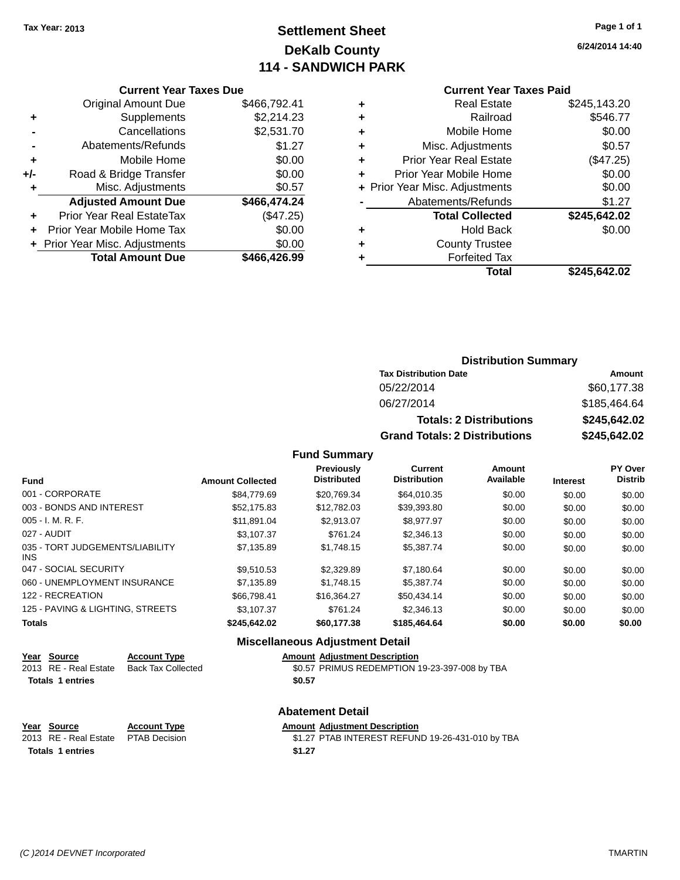## **Settlement Sheet Tax Year: 2013 Page 1 of 1 DeKalb County 114 - SANDWICH PARK**

**6/24/2014 14:40**

#### **Current Year Taxes Paid**

|       | <b>Current Year Taxes Due</b>  |              |
|-------|--------------------------------|--------------|
|       | <b>Original Amount Due</b>     | \$466,792.41 |
| ٠     | Supplements                    | \$2,214.23   |
|       | Cancellations                  | \$2,531.70   |
|       | Abatements/Refunds             | \$1.27       |
| ٠     | Mobile Home                    | \$0.00       |
| $+/-$ | Road & Bridge Transfer         | \$0.00       |
| ٠     | Misc. Adjustments              | \$0.57       |
|       | <b>Adjusted Amount Due</b>     | \$466,474.24 |
| ٠     | Prior Year Real EstateTax      | (\$47.25)    |
|       | Prior Year Mobile Home Tax     | \$0.00       |
|       | + Prior Year Misc. Adjustments | \$0.00       |
|       | <b>Total Amount Due</b>        | \$466,426.99 |
|       |                                |              |

| ٠ | <b>Real Estate</b>             | \$245,143.20 |
|---|--------------------------------|--------------|
| ٠ | Railroad                       | \$546.77     |
| ٠ | Mobile Home                    | \$0.00       |
| ٠ | Misc. Adjustments              | \$0.57       |
| ٠ | <b>Prior Year Real Estate</b>  | (\$47.25)    |
| ٠ | Prior Year Mobile Home         | \$0.00       |
|   | + Prior Year Misc. Adjustments | \$0.00       |
|   | Abatements/Refunds             | \$1.27       |
|   | <b>Total Collected</b>         | \$245,642.02 |
| ٠ | <b>Hold Back</b>               | \$0.00       |
| ٠ | <b>County Trustee</b>          |              |
| ٠ | <b>Forfeited Tax</b>           |              |
|   | Total                          | \$245,642.02 |
|   |                                |              |

## **Distribution Summary Tax Distribution Date Amount** 05/22/2014 \$60,177.38 06/27/2014 \$185,464.64 **Totals: 2 Distributions \$245,642.02 Grand Totals: 2 Distributions \$245,642.02**

#### **Fund Summary**

| <b>Fund</b>                             | <b>Amount Collected</b> | Previously<br><b>Distributed</b> | <b>Current</b><br><b>Distribution</b> | <b>Amount</b><br>Available | <b>Interest</b> | PY Over<br><b>Distrib</b> |
|-----------------------------------------|-------------------------|----------------------------------|---------------------------------------|----------------------------|-----------------|---------------------------|
| 001 - CORPORATE                         | \$84,779.69             | \$20.769.34                      | \$64.010.35                           | \$0.00                     | \$0.00          | \$0.00                    |
| 003 - BONDS AND INTEREST                | \$52.175.83             | \$12,782.03                      | \$39.393.80                           | \$0.00                     | \$0.00          | \$0.00                    |
| $005 - I. M. R. F.$                     | \$11.891.04             | \$2.913.07                       | \$8.977.97                            | \$0.00                     | \$0.00          | \$0.00                    |
| 027 - AUDIT                             | \$3.107.37              | \$761.24                         | \$2,346.13                            | \$0.00                     | \$0.00          | \$0.00                    |
| 035 - TORT JUDGEMENTS/LIABILITY<br>INS. | \$7,135.89              | \$1,748.15                       | \$5,387,74                            | \$0.00                     | \$0.00          | \$0.00                    |
| 047 - SOCIAL SECURITY                   | \$9.510.53              | \$2,329.89                       | \$7.180.64                            | \$0.00                     | \$0.00          | \$0.00                    |
| 060 - UNEMPLOYMENT INSURANCE            | \$7.135.89              | \$1,748.15                       | \$5,387,74                            | \$0.00                     | \$0.00          | \$0.00                    |
| 122 - RECREATION                        | \$66,798,41             | \$16,364.27                      | \$50.434.14                           | \$0.00                     | \$0.00          | \$0.00                    |
| 125 - PAVING & LIGHTING, STREETS        | \$3.107.37              | \$761.24                         | \$2,346.13                            | \$0.00                     | \$0.00          | \$0.00                    |
| <b>Totals</b>                           | \$245.642.02            | \$60,177,38                      | \$185,464,64                          | \$0.00                     | \$0.00          | \$0.00                    |

| <b>Miscellaneous Adjustment Detail</b> |                           |                                               |  |  |  |
|----------------------------------------|---------------------------|-----------------------------------------------|--|--|--|
| Year Source                            | <b>Account Type</b>       | <b>Amount Adjustment Description</b>          |  |  |  |
| 2013 RE - Real Estate                  | <b>Back Tax Collected</b> | \$0.57 PRIMUS REDEMPTION 19-23-397-008 by TBA |  |  |  |
| <b>Totals 1 entries</b>                |                           | \$0.57                                        |  |  |  |
|                                        |                           | <b>Abatement Detail</b>                       |  |  |  |
| Voor Cource                            | Account Type              | Amount Adjustment Description                 |  |  |  |

**Year Source Account Type Amount Adjustment Description** \$1.27 PTAB INTEREST REFUND 19-26-431-010 by TBA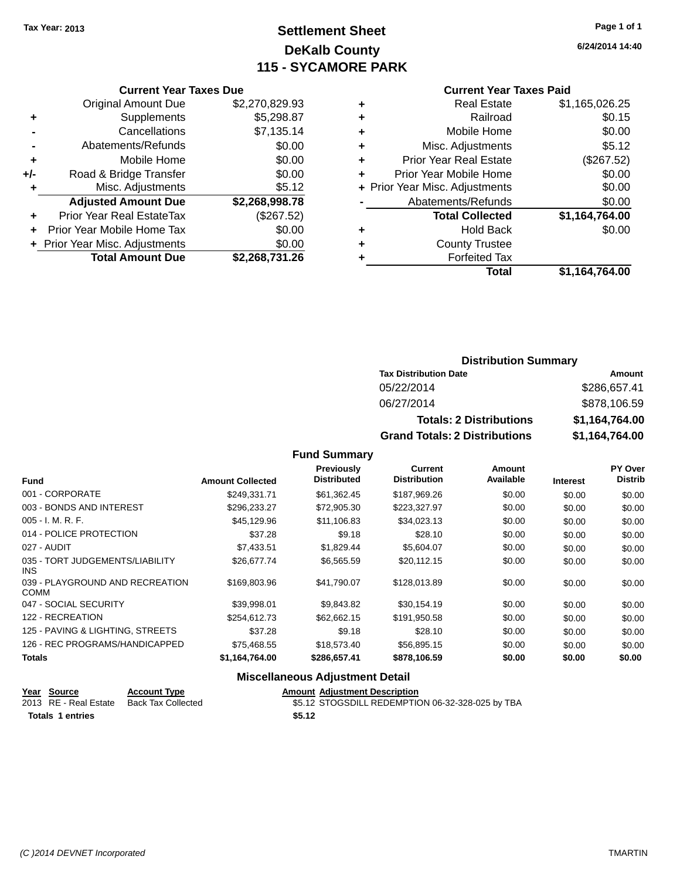## **Settlement Sheet Tax Year: 2013 Page 1 of 1 DeKalb County 115 - SYCAMORE PARK**

**6/24/2014 14:40**

#### **Current Year Taxes Paid**

|     | <b>Total Amount Due</b>        | \$2,268,731.26 |
|-----|--------------------------------|----------------|
|     | + Prior Year Misc. Adjustments | \$0.00         |
| ÷   | Prior Year Mobile Home Tax     | \$0.00         |
| ٠   | Prior Year Real EstateTax      | (\$267.52)     |
|     | <b>Adjusted Amount Due</b>     | \$2,268,998.78 |
| ٠   | Misc. Adjustments              | \$5.12         |
| +/- | Road & Bridge Transfer         | \$0.00         |
| ٠   | Mobile Home                    | \$0.00         |
|     | Abatements/Refunds             | \$0.00         |
|     | Cancellations                  | \$7,135.14     |
| ٠   | Supplements                    | \$5,298.87     |
|     | <b>Original Amount Due</b>     | \$2,270,829.93 |
|     |                                |                |

**Current Year Taxes Due**

|   | <b>Total</b>                   | \$1,164,764.00 |
|---|--------------------------------|----------------|
| ٠ | <b>Forfeited Tax</b>           |                |
| ٠ | <b>County Trustee</b>          |                |
| ٠ | <b>Hold Back</b>               | \$0.00         |
|   | <b>Total Collected</b>         | \$1,164,764.00 |
|   | Abatements/Refunds             | \$0.00         |
|   | + Prior Year Misc. Adjustments | \$0.00         |
| ٠ | Prior Year Mobile Home         | \$0.00         |
| ÷ | <b>Prior Year Real Estate</b>  | (\$267.52)     |
| ٠ | Misc. Adjustments              | \$5.12         |
| ٠ | Mobile Home                    | \$0.00         |
| ÷ | Railroad                       | \$0.15         |
| ٠ | <b>Real Estate</b>             | \$1,165,026.25 |
|   |                                |                |

## **Distribution Summary Tax Distribution Date Amount** 05/22/2014 \$286,657.41 06/27/2014 \$878,106.59 **Totals: 2 Distributions \$1,164,764.00 Grand Totals: 2 Distributions \$1,164,764.00**

#### **Fund Summary**

| <b>Fund</b>                             | <b>Amount Collected</b> | Previously<br><b>Distributed</b> | <b>Current</b><br><b>Distribution</b> | <b>Amount</b><br>Available | <b>Interest</b> | PY Over<br><b>Distrib</b> |
|-----------------------------------------|-------------------------|----------------------------------|---------------------------------------|----------------------------|-----------------|---------------------------|
| 001 - CORPORATE                         | \$249.331.71            | \$61,362.45                      | \$187,969.26                          | \$0.00                     | \$0.00          | \$0.00                    |
| 003 - BONDS AND INTEREST                | \$296,233.27            | \$72,905.30                      | \$223,327.97                          | \$0.00                     | \$0.00          | \$0.00                    |
| $005 - I. M. R. F.$                     | \$45,129.96             | \$11,106.83                      | \$34,023.13                           | \$0.00                     | \$0.00          | \$0.00                    |
| 014 - POLICE PROTECTION                 | \$37.28                 | \$9.18                           | \$28.10                               | \$0.00                     | \$0.00          | \$0.00                    |
| 027 - AUDIT                             | \$7,433.51              | \$1,829.44                       | \$5,604.07                            | \$0.00                     | \$0.00          | \$0.00                    |
| 035 - TORT JUDGEMENTS/LIABILITY<br>INS. | \$26,677.74             | \$6,565.59                       | \$20,112.15                           | \$0.00                     | \$0.00          | \$0.00                    |
| 039 - PLAYGROUND AND RECREATION<br>COMM | \$169,803.96            | \$41,790.07                      | \$128,013.89                          | \$0.00                     | \$0.00          | \$0.00                    |
| 047 - SOCIAL SECURITY                   | \$39.998.01             | \$9,843.82                       | \$30,154.19                           | \$0.00                     | \$0.00          | \$0.00                    |
| 122 - RECREATION                        | \$254,612.73            | \$62,662.15                      | \$191,950.58                          | \$0.00                     | \$0.00          | \$0.00                    |
| 125 - PAVING & LIGHTING, STREETS        | \$37.28                 | \$9.18                           | \$28.10                               | \$0.00                     | \$0.00          | \$0.00                    |
| 126 - REC PROGRAMS/HANDICAPPED          | \$75,468.55             | \$18,573.40                      | \$56,895.15                           | \$0.00                     | \$0.00          | \$0.00                    |
| <b>Totals</b>                           | \$1,164,764.00          | \$286,657.41                     | \$878,106.59                          | \$0.00                     | \$0.00          | \$0.00                    |

## **Miscellaneous Adjustment Detail**

| Year Source             | <b>Account Type</b> | <b>Amount Adjustment Description</b>             |
|-------------------------|---------------------|--------------------------------------------------|
| 2013 RE - Real Estate   | Back Tax Collected  | \$5.12 STOGSDILL REDEMPTION 06-32-328-025 by TBA |
| <b>Totals 1 entries</b> |                     | \$5.12                                           |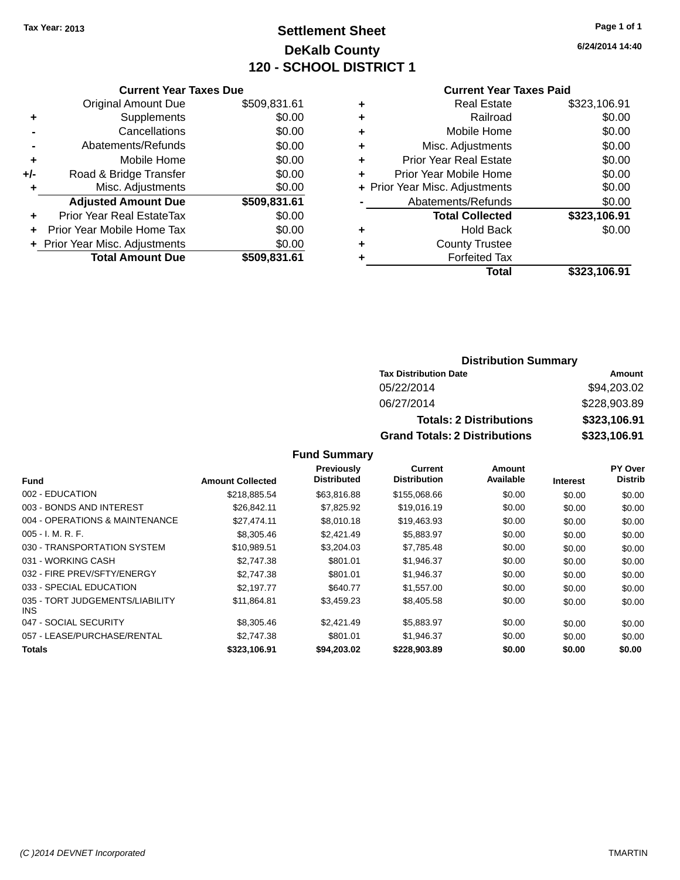## **Settlement Sheet Tax Year: 2013 Page 1 of 1 DeKalb County 120 - SCHOOL DISTRICT 1**

**6/24/2014 14:40**

#### **Current Year Taxes Paid**

|       | <b>Current Year Taxes Due</b>  |              |
|-------|--------------------------------|--------------|
|       | <b>Original Amount Due</b>     | \$509,831.61 |
| ٠     | Supplements                    | \$0.00       |
|       | Cancellations                  | \$0.00       |
|       | Abatements/Refunds             | \$0.00       |
| ٠     | Mobile Home                    | \$0.00       |
| $+/-$ | Road & Bridge Transfer         | \$0.00       |
|       | Misc. Adjustments              | \$0.00       |
|       | <b>Adjusted Amount Due</b>     | \$509,831.61 |
| ٠     | Prior Year Real EstateTax      | \$0.00       |
|       | Prior Year Mobile Home Tax     | \$0.00       |
|       | + Prior Year Misc. Adjustments | \$0.00       |
|       | <b>Total Amount Due</b>        | \$509,831.61 |
|       |                                |              |

| ٠ | <b>Real Estate</b>             | \$323,106.91 |
|---|--------------------------------|--------------|
| ٠ | Railroad                       | \$0.00       |
| ٠ | Mobile Home                    | \$0.00       |
| ٠ | Misc. Adjustments              | \$0.00       |
| ٠ | <b>Prior Year Real Estate</b>  | \$0.00       |
| ٠ | Prior Year Mobile Home         | \$0.00       |
|   | + Prior Year Misc. Adjustments | \$0.00       |
|   | Abatements/Refunds             | \$0.00       |
|   | <b>Total Collected</b>         | \$323,106.91 |
| ٠ | <b>Hold Back</b>               | \$0.00       |
| ٠ | <b>County Trustee</b>          |              |
| ٠ | <b>Forfeited Tax</b>           |              |
|   | Total                          | \$323,106.91 |
|   |                                |              |

#### **Distribution Summary Tax Distribution Date Amount** 05/22/2014 \$94,203.02 06/27/2014 \$228,903.89 **Totals: 2 Distributions \$323,106.91 Grand Totals: 2 Distributions \$323,106.91**

|                                               |                         | Previously         | Current             | Amount    |                 | PY Over        |
|-----------------------------------------------|-------------------------|--------------------|---------------------|-----------|-----------------|----------------|
| <b>Fund</b>                                   | <b>Amount Collected</b> | <b>Distributed</b> | <b>Distribution</b> | Available | <b>Interest</b> | <b>Distrib</b> |
| 002 - EDUCATION                               | \$218,885.54            | \$63,816.88        | \$155,068.66        | \$0.00    | \$0.00          | \$0.00         |
| 003 - BONDS AND INTEREST                      | \$26,842.11             | \$7,825.92         | \$19,016.19         | \$0.00    | \$0.00          | \$0.00         |
| 004 - OPERATIONS & MAINTENANCE                | \$27.474.11             | \$8,010.18         | \$19,463.93         | \$0.00    | \$0.00          | \$0.00         |
| $005 - I. M. R. F.$                           | \$8,305.46              | \$2,421.49         | \$5,883.97          | \$0.00    | \$0.00          | \$0.00         |
| 030 - TRANSPORTATION SYSTEM                   | \$10.989.51             | \$3,204.03         | \$7.785.48          | \$0.00    | \$0.00          | \$0.00         |
| 031 - WORKING CASH                            | \$2,747.38              | \$801.01           | \$1,946.37          | \$0.00    | \$0.00          | \$0.00         |
| 032 - FIRE PREV/SFTY/ENERGY                   | \$2.747.38              | \$801.01           | \$1,946.37          | \$0.00    | \$0.00          | \$0.00         |
| 033 - SPECIAL EDUCATION                       | \$2.197.77              | \$640.77           | \$1,557.00          | \$0.00    | \$0.00          | \$0.00         |
| 035 - TORT JUDGEMENTS/LIABILITY<br><b>INS</b> | \$11,864.81             | \$3,459.23         | \$8,405.58          | \$0.00    | \$0.00          | \$0.00         |
| 047 - SOCIAL SECURITY                         | \$8,305.46              | \$2.421.49         | \$5,883.97          | \$0.00    | \$0.00          | \$0.00         |
| 057 - LEASE/PURCHASE/RENTAL                   | \$2,747.38              | \$801.01           | \$1.946.37          | \$0.00    | \$0.00          | \$0.00         |
| <b>Totals</b>                                 | \$323,106.91            | \$94.203.02        | \$228,903.89        | \$0.00    | \$0.00          | \$0.00         |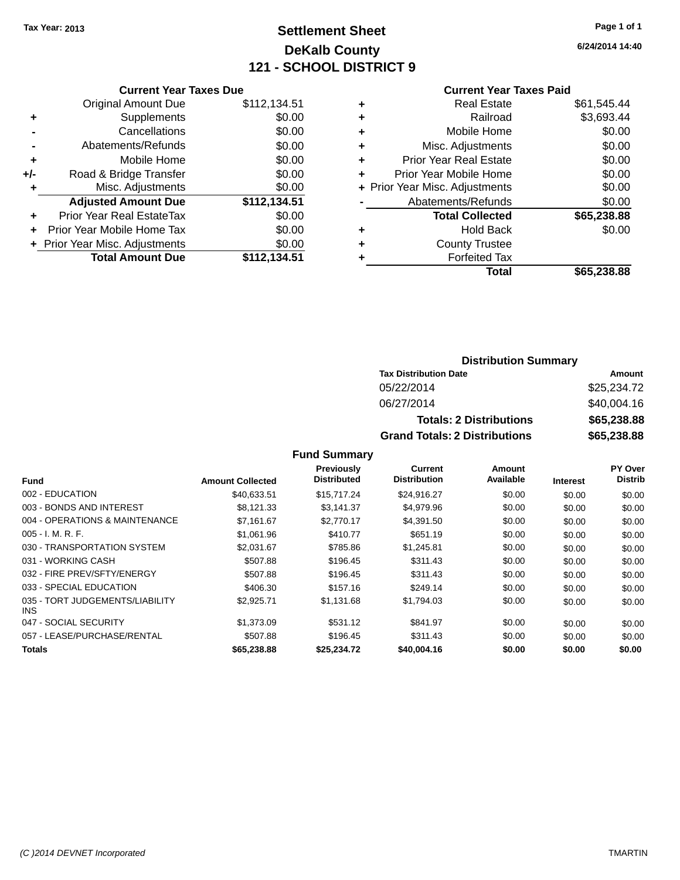## **Settlement Sheet Tax Year: 2013 Page 1 of 1 DeKalb County 121 - SCHOOL DISTRICT 9**

**6/24/2014 14:40**

|     | <b>Current Year Taxes Due</b>    |              |  |  |  |  |
|-----|----------------------------------|--------------|--|--|--|--|
|     | Original Amount Due              | \$112,134.51 |  |  |  |  |
| ٠   | Supplements                      | \$0.00       |  |  |  |  |
|     | Cancellations                    | \$0.00       |  |  |  |  |
|     | Abatements/Refunds               | \$0.00       |  |  |  |  |
| ٠   | Mobile Home                      | \$0.00       |  |  |  |  |
| +/- | Road & Bridge Transfer           | \$0.00       |  |  |  |  |
| ٠   | Misc. Adjustments                | \$0.00       |  |  |  |  |
|     | <b>Adjusted Amount Due</b>       | \$112,134.51 |  |  |  |  |
| ٠   | <b>Prior Year Real EstateTax</b> | \$0.00       |  |  |  |  |
|     | Prior Year Mobile Home Tax       | \$0.00       |  |  |  |  |
|     | + Prior Year Misc. Adjustments   | \$0.00       |  |  |  |  |
|     | <b>Total Amount Due</b>          | \$112,134.51 |  |  |  |  |
|     |                                  |              |  |  |  |  |

#### **Current Year Taxes Paid**

|   | Total                          | \$65,238.88 |
|---|--------------------------------|-------------|
| ٠ | <b>Forfeited Tax</b>           |             |
| ٠ | <b>County Trustee</b>          |             |
| ٠ | <b>Hold Back</b>               | \$0.00      |
|   | <b>Total Collected</b>         | \$65,238.88 |
|   | Abatements/Refunds             | \$0.00      |
|   | + Prior Year Misc. Adjustments | \$0.00      |
| ٠ | Prior Year Mobile Home         | \$0.00      |
| ٠ | <b>Prior Year Real Estate</b>  | \$0.00      |
| ٠ | Misc. Adjustments              | \$0.00      |
| ٠ | Mobile Home                    | \$0.00      |
| ÷ | Railroad                       | \$3,693.44  |
| ٠ | <b>Real Estate</b>             | \$61,545.44 |

#### **Distribution Summary Tax Distribution Date Amount** 05/22/2014 \$25,234.72 06/27/2014 \$40,004.16 **Totals: 2 Distributions \$65,238.88 Grand Totals: 2 Distributions \$65,238.88**

| <b>Fund</b>                                   | <b>Amount Collected</b> | Previously<br><b>Distributed</b> | Current<br><b>Distribution</b> | Amount<br>Available |                 | PY Over<br><b>Distrib</b> |
|-----------------------------------------------|-------------------------|----------------------------------|--------------------------------|---------------------|-----------------|---------------------------|
|                                               |                         |                                  |                                |                     | <b>Interest</b> |                           |
| 002 - EDUCATION                               | \$40.633.51             | \$15,717.24                      | \$24.916.27                    | \$0.00              | \$0.00          | \$0.00                    |
| 003 - BONDS AND INTEREST                      | \$8.121.33              | \$3.141.37                       | \$4,979.96                     | \$0.00              | \$0.00          | \$0.00                    |
| 004 - OPERATIONS & MAINTENANCE                | \$7,161.67              | \$2,770.17                       | \$4,391.50                     | \$0.00              | \$0.00          | \$0.00                    |
| $005 - I. M. R. F.$                           | \$1,061.96              | \$410.77                         | \$651.19                       | \$0.00              | \$0.00          | \$0.00                    |
| 030 - TRANSPORTATION SYSTEM                   | \$2,031.67              | \$785.86                         | \$1,245.81                     | \$0.00              | \$0.00          | \$0.00                    |
| 031 - WORKING CASH                            | \$507.88                | \$196.45                         | \$311.43                       | \$0.00              | \$0.00          | \$0.00                    |
| 032 - FIRE PREV/SFTY/ENERGY                   | \$507.88                | \$196.45                         | \$311.43                       | \$0.00              | \$0.00          | \$0.00                    |
| 033 - SPECIAL EDUCATION                       | \$406.30                | \$157.16                         | \$249.14                       | \$0.00              | \$0.00          | \$0.00                    |
| 035 - TORT JUDGEMENTS/LIABILITY<br><b>INS</b> | \$2,925.71              | \$1,131.68                       | \$1,794.03                     | \$0.00              | \$0.00          | \$0.00                    |
| 047 - SOCIAL SECURITY                         | \$1,373.09              | \$531.12                         | \$841.97                       | \$0.00              | \$0.00          | \$0.00                    |
| 057 - LEASE/PURCHASE/RENTAL                   | \$507.88                | \$196.45                         | \$311.43                       | \$0.00              | \$0.00          | \$0.00                    |
| <b>Totals</b>                                 | \$65,238,88             | \$25.234.72                      | \$40,004.16                    | \$0.00              | \$0.00          | \$0.00                    |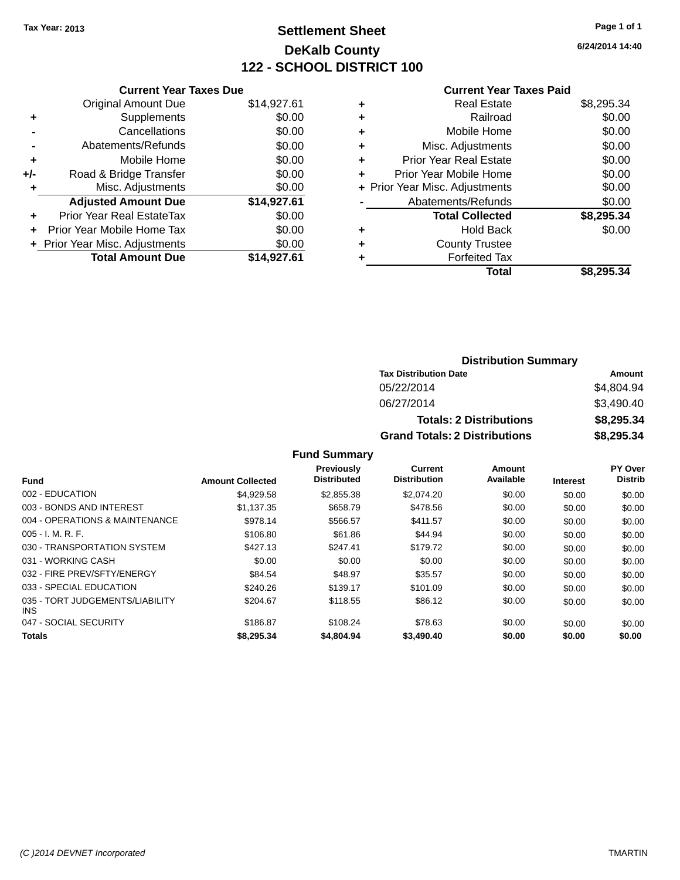## **Settlement Sheet Tax Year: 2013 Page 1 of 1 DeKalb County 122 - SCHOOL DISTRICT 100**

**6/24/2014 14:40**

#### **Current Year Taxes Paid**

| <b>Original Amount Due</b> | \$14,927.61                                                     |
|----------------------------|-----------------------------------------------------------------|
| Supplements                | \$0.00                                                          |
| Cancellations              | \$0.00                                                          |
| Abatements/Refunds         | \$0.00                                                          |
| Mobile Home                | \$0.00                                                          |
| Road & Bridge Transfer     | \$0.00                                                          |
| Misc. Adjustments          | \$0.00                                                          |
| <b>Adjusted Amount Due</b> | \$14,927.61                                                     |
| Prior Year Real EstateTax  | \$0.00                                                          |
| Prior Year Mobile Home Tax | \$0.00                                                          |
|                            | \$0.00                                                          |
| <b>Total Amount Due</b>    | \$14.927.61                                                     |
|                            | <b>Current Year Taxes Due</b><br>+ Prior Year Misc. Adjustments |

| ٠ | <b>Real Estate</b>             | \$8,295.34 |
|---|--------------------------------|------------|
| ٠ | Railroad                       | \$0.00     |
| ٠ | Mobile Home                    | \$0.00     |
| ٠ | Misc. Adjustments              | \$0.00     |
| ٠ | <b>Prior Year Real Estate</b>  | \$0.00     |
| ÷ | Prior Year Mobile Home         | \$0.00     |
|   | + Prior Year Misc. Adjustments | \$0.00     |
|   | Abatements/Refunds             | \$0.00     |
|   | <b>Total Collected</b>         | \$8,295.34 |
| ٠ | Hold Back                      | \$0.00     |
| ٠ | <b>County Trustee</b>          |            |
| ٠ | <b>Forfeited Tax</b>           |            |
|   | Total                          | \$8,295.34 |
|   |                                |            |

| <b>Distribution Summary</b>          |            |  |  |  |
|--------------------------------------|------------|--|--|--|
| <b>Tax Distribution Date</b>         | Amount     |  |  |  |
| 05/22/2014                           | \$4,804.94 |  |  |  |
| 06/27/2014                           | \$3,490.40 |  |  |  |
| <b>Totals: 2 Distributions</b>       | \$8,295.34 |  |  |  |
| <b>Grand Totals: 2 Distributions</b> | \$8,295.34 |  |  |  |

|                                               |                         | <b>Previously</b>  | Current             | Amount    |                 | PY Over        |
|-----------------------------------------------|-------------------------|--------------------|---------------------|-----------|-----------------|----------------|
| <b>Fund</b>                                   | <b>Amount Collected</b> | <b>Distributed</b> | <b>Distribution</b> | Available | <b>Interest</b> | <b>Distrib</b> |
| 002 - EDUCATION                               | \$4.929.58              | \$2,855,38         | \$2,074.20          | \$0.00    | \$0.00          | \$0.00         |
| 003 - BONDS AND INTEREST                      | \$1.137.35              | \$658.79           | \$478.56            | \$0.00    | \$0.00          | \$0.00         |
| 004 - OPERATIONS & MAINTENANCE                | \$978.14                | \$566.57           | \$411.57            | \$0.00    | \$0.00          | \$0.00         |
| $005 - I. M. R. F.$                           | \$106.80                | \$61.86            | \$44.94             | \$0.00    | \$0.00          | \$0.00         |
| 030 - TRANSPORTATION SYSTEM                   | \$427.13                | \$247.41           | \$179.72            | \$0.00    | \$0.00          | \$0.00         |
| 031 - WORKING CASH                            | \$0.00                  | \$0.00             | \$0.00              | \$0.00    | \$0.00          | \$0.00         |
| 032 - FIRE PREV/SFTY/ENERGY                   | \$84.54                 | \$48.97            | \$35.57             | \$0.00    | \$0.00          | \$0.00         |
| 033 - SPECIAL EDUCATION                       | \$240.26                | \$139.17           | \$101.09            | \$0.00    | \$0.00          | \$0.00         |
| 035 - TORT JUDGEMENTS/LIABILITY<br><b>INS</b> | \$204.67                | \$118.55           | \$86.12             | \$0.00    | \$0.00          | \$0.00         |
| 047 - SOCIAL SECURITY                         | \$186.87                | \$108.24           | \$78.63             | \$0.00    | \$0.00          | \$0.00         |
| <b>Totals</b>                                 | \$8,295,34              | \$4,804.94         | \$3,490,40          | \$0.00    | \$0.00          | \$0.00         |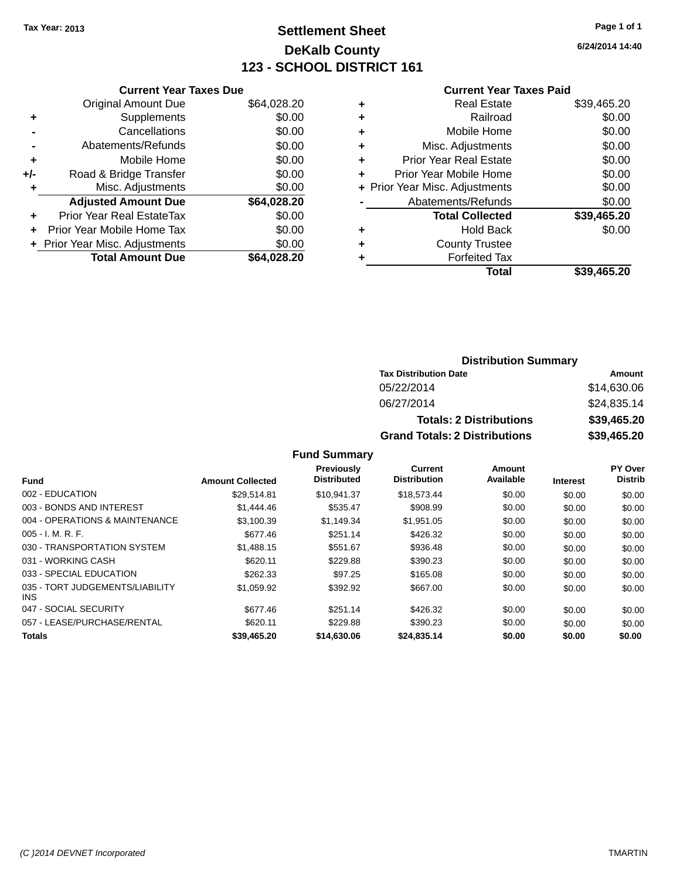## **Settlement Sheet Tax Year: 2013 Page 1 of 1 DeKalb County 123 - SCHOOL DISTRICT 161**

**6/24/2014 14:40**

#### **Current Year Taxes Paid**

|     | <b>Current Year Taxes Due</b>  |             |
|-----|--------------------------------|-------------|
|     | <b>Original Amount Due</b>     | \$64,028.20 |
| ٠   | Supplements                    | \$0.00      |
|     | Cancellations                  | \$0.00      |
|     | Abatements/Refunds             | \$0.00      |
| ٠   | Mobile Home                    | \$0.00      |
| +/- | Road & Bridge Transfer         | \$0.00      |
|     | Misc. Adjustments              | \$0.00      |
|     | <b>Adjusted Amount Due</b>     | \$64,028.20 |
| ÷   | Prior Year Real EstateTax      | \$0.00      |
|     | Prior Year Mobile Home Tax     | \$0.00      |
|     | + Prior Year Misc. Adjustments | \$0.00      |
|     | <b>Total Amount Due</b>        | \$64.028.20 |
|     |                                |             |

| ٠ | <b>Real Estate</b>             | \$39,465.20 |
|---|--------------------------------|-------------|
| ٠ | Railroad                       | \$0.00      |
| ٠ | Mobile Home                    | \$0.00      |
| ٠ | Misc. Adjustments              | \$0.00      |
| ٠ | <b>Prior Year Real Estate</b>  | \$0.00      |
| ٠ | Prior Year Mobile Home         | \$0.00      |
|   | + Prior Year Misc. Adjustments | \$0.00      |
|   | Abatements/Refunds             | \$0.00      |
|   | <b>Total Collected</b>         | \$39,465.20 |
| ٠ | <b>Hold Back</b>               | \$0.00      |
| ٠ | <b>County Trustee</b>          |             |
| ٠ | <b>Forfeited Tax</b>           |             |
|   | Total                          | \$39,465.20 |
|   |                                |             |

#### **Distribution Summary Tax Distribution Date Amount** 05/22/2014 \$14,630.06 06/27/2014 \$24,835.14 **Totals: 2 Distributions \$39,465.20 Grand Totals: 2 Distributions \$39,465.20**

|                                         |                         | Previously<br><b>Distributed</b> | <b>Current</b><br><b>Distribution</b> | Amount<br>Available |                 | <b>PY Over</b><br><b>Distrib</b> |
|-----------------------------------------|-------------------------|----------------------------------|---------------------------------------|---------------------|-----------------|----------------------------------|
| <b>Fund</b>                             | <b>Amount Collected</b> |                                  |                                       |                     | <b>Interest</b> |                                  |
| 002 - EDUCATION                         | \$29.514.81             | \$10.941.37                      | \$18,573.44                           | \$0.00              | \$0.00          | \$0.00                           |
| 003 - BONDS AND INTEREST                | \$1,444.46              | \$535.47                         | \$908.99                              | \$0.00              | \$0.00          | \$0.00                           |
| 004 - OPERATIONS & MAINTENANCE          | \$3.100.39              | \$1.149.34                       | \$1.951.05                            | \$0.00              | \$0.00          | \$0.00                           |
| $005 - I. M. R. F.$                     | \$677.46                | \$251.14                         | \$426.32                              | \$0.00              | \$0.00          | \$0.00                           |
| 030 - TRANSPORTATION SYSTEM             | \$1,488.15              | \$551.67                         | \$936.48                              | \$0.00              | \$0.00          | \$0.00                           |
| 031 - WORKING CASH                      | \$620.11                | \$229.88                         | \$390.23                              | \$0.00              | \$0.00          | \$0.00                           |
| 033 - SPECIAL EDUCATION                 | \$262.33                | \$97.25                          | \$165.08                              | \$0.00              | \$0.00          | \$0.00                           |
| 035 - TORT JUDGEMENTS/LIABILITY<br>INS. | \$1,059.92              | \$392.92                         | \$667.00                              | \$0.00              | \$0.00          | \$0.00                           |
| 047 - SOCIAL SECURITY                   | \$677.46                | \$251.14                         | \$426.32                              | \$0.00              | \$0.00          | \$0.00                           |
| 057 - LEASE/PURCHASE/RENTAL             | \$620.11                | \$229.88                         | \$390.23                              | \$0.00              | \$0.00          | \$0.00                           |
| <b>Totals</b>                           | \$39,465.20             | \$14,630.06                      | \$24,835.14                           | \$0.00              | \$0.00          | \$0.00                           |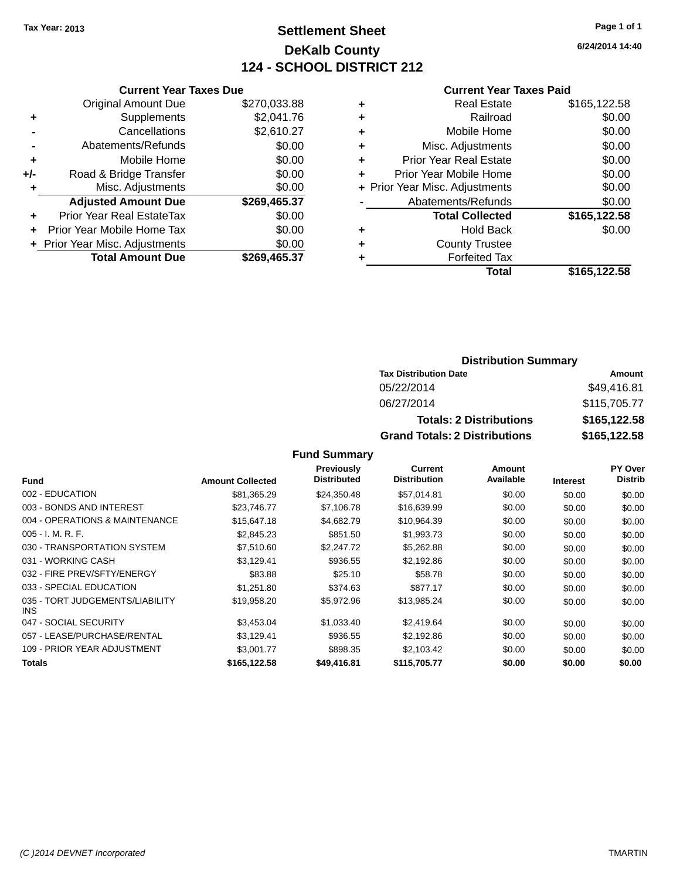## **Settlement Sheet Tax Year: 2013 Page 1 of 1 DeKalb County 124 - SCHOOL DISTRICT 212**

**6/24/2014 14:40**

#### **Current Year Taxes Paid**

|     | <b>Current Year Taxes Due</b>  |              |
|-----|--------------------------------|--------------|
|     | <b>Original Amount Due</b>     | \$270,033.88 |
| ٠   | Supplements                    | \$2,041.76   |
|     | Cancellations                  | \$2,610.27   |
|     | Abatements/Refunds             | \$0.00       |
| ٠   | Mobile Home                    | \$0.00       |
| +/- | Road & Bridge Transfer         | \$0.00       |
|     | Misc. Adjustments              | \$0.00       |
|     | <b>Adjusted Amount Due</b>     | \$269,465.37 |
| ٠   | Prior Year Real EstateTax      | \$0.00       |
|     | Prior Year Mobile Home Tax     | \$0.00       |
|     | + Prior Year Misc. Adjustments | \$0.00       |
|     | <b>Total Amount Due</b>        | \$269,465.37 |
|     |                                |              |

|   | Real Estate                    | \$165,122.58 |
|---|--------------------------------|--------------|
| ٠ | Railroad                       | \$0.00       |
| ٠ | Mobile Home                    | \$0.00       |
| ٠ | Misc. Adjustments              | \$0.00       |
| ٠ | <b>Prior Year Real Estate</b>  | \$0.00       |
| ٠ | Prior Year Mobile Home         | \$0.00       |
|   | + Prior Year Misc. Adjustments | \$0.00       |
|   | Abatements/Refunds             | \$0.00       |
|   | <b>Total Collected</b>         | \$165,122.58 |
| ٠ | <b>Hold Back</b>               | \$0.00       |
| ٠ | <b>County Trustee</b>          |              |
| ٠ | <b>Forfeited Tax</b>           |              |
|   | Total                          | \$165,122.58 |
|   |                                |              |

#### **Distribution Summary Tax Distribution Date Amount** 05/22/2014 \$49,416.81 06/27/2014 \$115,705.77 **Totals: 2 Distributions \$165,122.58 Grand Totals: 2 Distributions \$165,122.58**

|                                         |                         | <b>Previously</b>  | <b>Current</b>      | Amount    |                 | <b>PY Over</b> |
|-----------------------------------------|-------------------------|--------------------|---------------------|-----------|-----------------|----------------|
| Fund                                    | <b>Amount Collected</b> | <b>Distributed</b> | <b>Distribution</b> | Available | <b>Interest</b> | <b>Distrib</b> |
| 002 - EDUCATION                         | \$81.365.29             | \$24,350.48        | \$57.014.81         | \$0.00    | \$0.00          | \$0.00         |
| 003 - BONDS AND INTEREST                | \$23,746.77             | \$7,106.78         | \$16,639.99         | \$0.00    | \$0.00          | \$0.00         |
| 004 - OPERATIONS & MAINTENANCE          | \$15,647.18             | \$4,682.79         | \$10,964.39         | \$0.00    | \$0.00          | \$0.00         |
| $005 - I. M. R. F.$                     | \$2,845.23              | \$851.50           | \$1,993.73          | \$0.00    | \$0.00          | \$0.00         |
| 030 - TRANSPORTATION SYSTEM             | \$7,510.60              | \$2,247.72         | \$5,262.88          | \$0.00    | \$0.00          | \$0.00         |
| 031 - WORKING CASH                      | \$3,129.41              | \$936.55           | \$2,192.86          | \$0.00    | \$0.00          | \$0.00         |
| 032 - FIRE PREV/SFTY/ENERGY             | \$83.88                 | \$25.10            | \$58.78             | \$0.00    | \$0.00          | \$0.00         |
| 033 - SPECIAL EDUCATION                 | \$1.251.80              | \$374.63           | \$877.17            | \$0.00    | \$0.00          | \$0.00         |
| 035 - TORT JUDGEMENTS/LIABILITY<br>INS. | \$19.958.20             | \$5,972.96         | \$13,985.24         | \$0.00    | \$0.00          | \$0.00         |
| 047 - SOCIAL SECURITY                   | \$3,453.04              | \$1,033.40         | \$2,419.64          | \$0.00    | \$0.00          | \$0.00         |
| 057 - LEASE/PURCHASE/RENTAL             | \$3,129.41              | \$936.55           | \$2,192.86          | \$0.00    | \$0.00          | \$0.00         |
| 109 - PRIOR YEAR ADJUSTMENT             | \$3,001.77              | \$898.35           | \$2,103.42          | \$0.00    | \$0.00          | \$0.00         |
| <b>Totals</b>                           | \$165,122.58            | \$49,416.81        | \$115,705.77        | \$0.00    | \$0.00          | \$0.00         |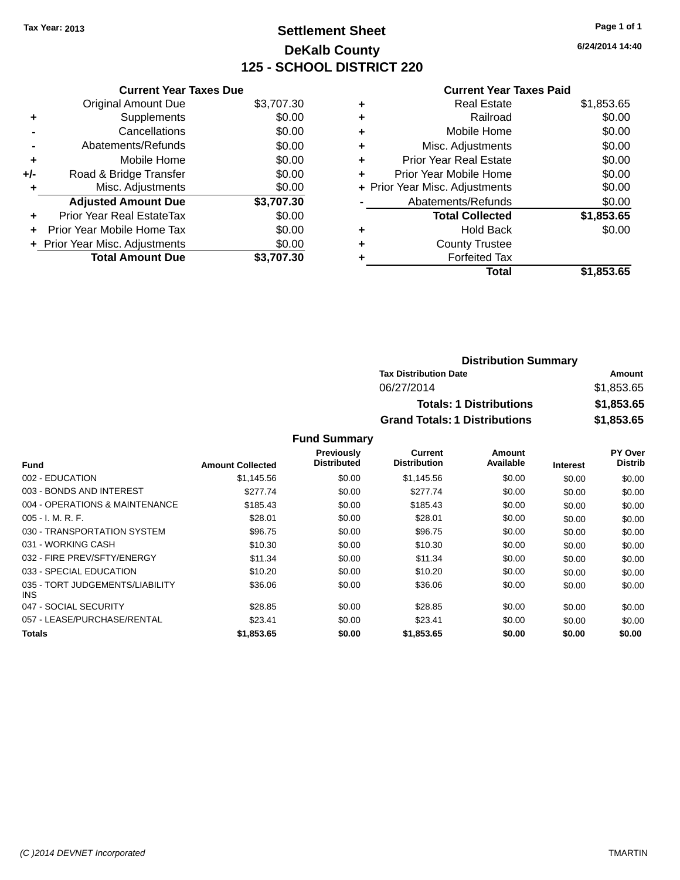## **Settlement Sheet Tax Year: 2013 Page 1 of 1 DeKalb County 125 - SCHOOL DISTRICT 220**

**6/24/2014 14:40**

#### **Current Year Taxes Paid**

| \$3,707.30<br>\$0.00<br>\$0.00 |
|--------------------------------|
|                                |
|                                |
|                                |
| \$0.00                         |
| \$0.00                         |
| \$0.00                         |
| \$0.00                         |
| \$3,707.30                     |
| \$0.00                         |
| \$0.00                         |
| \$0.00                         |
| \$3,707.30                     |
|                                |

|   | <b>Real Estate</b>             | \$1,853.65 |
|---|--------------------------------|------------|
| ٠ | Railroad                       | \$0.00     |
| ٠ | Mobile Home                    | \$0.00     |
| ٠ | Misc. Adjustments              | \$0.00     |
| ٠ | Prior Year Real Estate         | \$0.00     |
|   | Prior Year Mobile Home         | \$0.00     |
|   | + Prior Year Misc. Adjustments | \$0.00     |
|   | Abatements/Refunds             | \$0.00     |
|   | <b>Total Collected</b>         | \$1,853.65 |
| ٠ | Hold Back                      | \$0.00     |
|   | <b>County Trustee</b>          |            |
| ٠ | <b>Forfeited Tax</b>           |            |
|   | Total                          | \$1,853.65 |
|   |                                |            |

| <b>Distribution Summary</b>          |            |
|--------------------------------------|------------|
| <b>Tax Distribution Date</b>         | Amount     |
| 06/27/2014                           | \$1,853.65 |
| <b>Totals: 1 Distributions</b>       | \$1,853.65 |
| <b>Grand Totals: 1 Distributions</b> | \$1,853.65 |

|                                         |                         | Previously         | Current             | Amount    |                 | PY Over        |
|-----------------------------------------|-------------------------|--------------------|---------------------|-----------|-----------------|----------------|
| <b>Fund</b>                             | <b>Amount Collected</b> | <b>Distributed</b> | <b>Distribution</b> | Available | <b>Interest</b> | <b>Distrib</b> |
| 002 - EDUCATION                         | \$1,145.56              | \$0.00             | \$1,145.56          | \$0.00    | \$0.00          | \$0.00         |
| 003 - BONDS AND INTEREST                | \$277.74                | \$0.00             | \$277.74            | \$0.00    | \$0.00          | \$0.00         |
| 004 - OPERATIONS & MAINTENANCE          | \$185.43                | \$0.00             | \$185.43            | \$0.00    | \$0.00          | \$0.00         |
| $005 - I. M. R. F.$                     | \$28.01                 | \$0.00             | \$28.01             | \$0.00    | \$0.00          | \$0.00         |
| 030 - TRANSPORTATION SYSTEM             | \$96.75                 | \$0.00             | \$96.75             | \$0.00    | \$0.00          | \$0.00         |
| 031 - WORKING CASH                      | \$10.30                 | \$0.00             | \$10.30             | \$0.00    | \$0.00          | \$0.00         |
| 032 - FIRE PREV/SFTY/ENERGY             | \$11.34                 | \$0.00             | \$11.34             | \$0.00    | \$0.00          | \$0.00         |
| 033 - SPECIAL EDUCATION                 | \$10.20                 | \$0.00             | \$10.20             | \$0.00    | \$0.00          | \$0.00         |
| 035 - TORT JUDGEMENTS/LIABILITY<br>INS. | \$36.06                 | \$0.00             | \$36.06             | \$0.00    | \$0.00          | \$0.00         |
| 047 - SOCIAL SECURITY                   | \$28.85                 | \$0.00             | \$28.85             | \$0.00    | \$0.00          | \$0.00         |
| 057 - LEASE/PURCHASE/RENTAL             | \$23.41                 | \$0.00             | \$23.41             | \$0.00    | \$0.00          | \$0.00         |
| Totals                                  | \$1,853.65              | \$0.00             | \$1,853.65          | \$0.00    | \$0.00          | \$0.00         |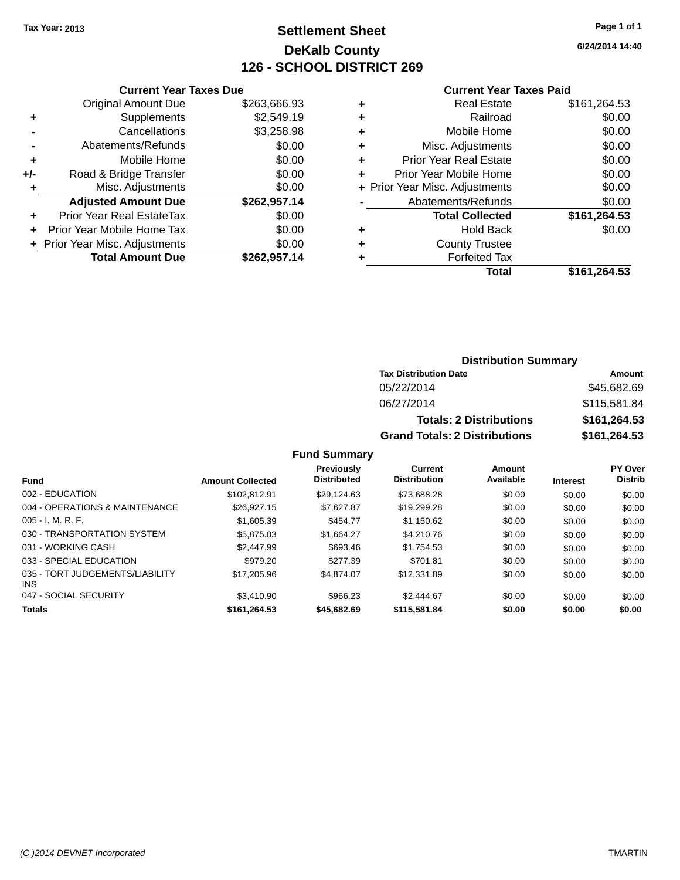## **Settlement Sheet Tax Year: 2013 Page 1 of 1 DeKalb County 126 - SCHOOL DISTRICT 269**

**6/24/2014 14:40**

#### **Current Year Taxes Paid**

|       | <b>Current Year Taxes Due</b>  |              |
|-------|--------------------------------|--------------|
|       | <b>Original Amount Due</b>     | \$263,666.93 |
| ٠     | Supplements                    | \$2,549.19   |
|       | Cancellations                  | \$3,258.98   |
|       | Abatements/Refunds             | \$0.00       |
| ٠     | Mobile Home                    | \$0.00       |
| $+/-$ | Road & Bridge Transfer         | \$0.00       |
|       | Misc. Adjustments              | \$0.00       |
|       | <b>Adjusted Amount Due</b>     | \$262,957.14 |
| ٠     | Prior Year Real EstateTax      | \$0.00       |
|       | Prior Year Mobile Home Tax     | \$0.00       |
|       | + Prior Year Misc. Adjustments | \$0.00       |
|       | <b>Total Amount Due</b>        | \$262,957.14 |
|       |                                |              |

|   | <b>Real Estate</b>             | \$161,264.53 |
|---|--------------------------------|--------------|
| ٠ | Railroad                       | \$0.00       |
| ٠ | Mobile Home                    | \$0.00       |
| ٠ | Misc. Adjustments              | \$0.00       |
| ٠ | <b>Prior Year Real Estate</b>  | \$0.00       |
| ٠ | Prior Year Mobile Home         | \$0.00       |
|   | + Prior Year Misc. Adjustments | \$0.00       |
|   | Abatements/Refunds             | \$0.00       |
|   | <b>Total Collected</b>         | \$161,264.53 |
| ٠ | <b>Hold Back</b>               | \$0.00       |
| ٠ | <b>County Trustee</b>          |              |
| ٠ | <b>Forfeited Tax</b>           |              |
|   | Total                          | \$161.264.53 |
|   |                                |              |

#### **Distribution Summary Tax Distribution Date Amount** 05/22/2014 \$45,682.69 06/27/2014 \$115,581.84 **Totals: 2 Distributions \$161,264.53 Grand Totals: 2 Distributions \$161,264.53**

| <b>Fund</b>                                   | <b>Amount Collected</b> | <b>Previously</b><br><b>Distributed</b> | Current<br><b>Distribution</b> | Amount<br>Available | <b>Interest</b> | <b>PY Over</b><br><b>Distrib</b> |
|-----------------------------------------------|-------------------------|-----------------------------------------|--------------------------------|---------------------|-----------------|----------------------------------|
| 002 - EDUCATION                               | \$102.812.91            | \$29.124.63                             | \$73.688.28                    | \$0.00              | \$0.00          | \$0.00                           |
| 004 - OPERATIONS & MAINTENANCE                | \$26.927.15             | \$7.627.87                              | \$19,299.28                    | \$0.00              | \$0.00          | \$0.00                           |
| $005 - I. M. R. F.$                           | \$1,605.39              | \$454.77                                | \$1.150.62                     | \$0.00              | \$0.00          | \$0.00                           |
| 030 - TRANSPORTATION SYSTEM                   | \$5,875,03              | \$1.664.27                              | \$4,210.76                     | \$0.00              | \$0.00          | \$0.00                           |
| 031 - WORKING CASH                            | \$2,447.99              | \$693.46                                | \$1.754.53                     | \$0.00              | \$0.00          | \$0.00                           |
| 033 - SPECIAL EDUCATION                       | \$979.20                | \$277.39                                | \$701.81                       | \$0.00              | \$0.00          | \$0.00                           |
| 035 - TORT JUDGEMENTS/LIABILITY<br><b>INS</b> | \$17,205.96             | \$4.874.07                              | \$12,331.89                    | \$0.00              | \$0.00          | \$0.00                           |
| 047 - SOCIAL SECURITY                         | \$3,410.90              | \$966.23                                | \$2,444.67                     | \$0.00              | \$0.00          | \$0.00                           |
| <b>Totals</b>                                 | \$161,264.53            | \$45,682.69                             | \$115,581.84                   | \$0.00              | \$0.00          | \$0.00                           |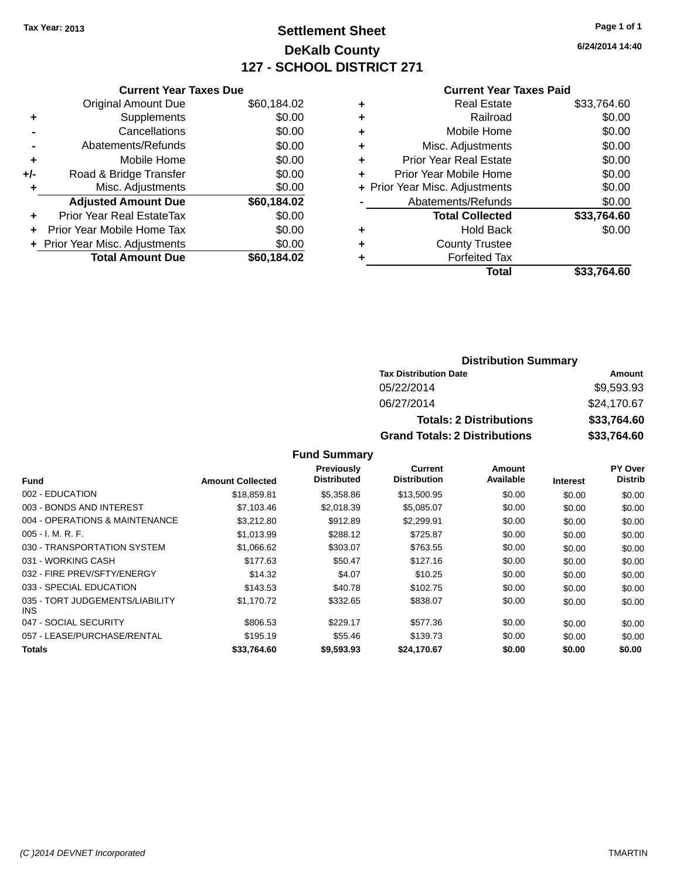## **Settlement Sheet Tax Year: 2013 Page 1 of 1 DeKalb County 127 - SCHOOL DISTRICT 271**

**6/24/2014 14:40**

#### **Current Year Taxes Paid**

|     | <b>Current Year Taxes Due</b>  |             |
|-----|--------------------------------|-------------|
|     | <b>Original Amount Due</b>     | \$60,184.02 |
| ٠   | Supplements                    | \$0.00      |
|     | Cancellations                  | \$0.00      |
|     | Abatements/Refunds             | \$0.00      |
| ٠   | Mobile Home                    | \$0.00      |
| +/- | Road & Bridge Transfer         | \$0.00      |
|     | Misc. Adjustments              | \$0.00      |
|     | <b>Adjusted Amount Due</b>     | \$60,184.02 |
| ٠   | Prior Year Real EstateTax      | \$0.00      |
|     | Prior Year Mobile Home Tax     | \$0.00      |
|     | + Prior Year Misc. Adjustments | \$0.00      |
|     | <b>Total Amount Due</b>        | \$60.184.02 |
|     |                                |             |

|   | <b>Real Estate</b>             | \$33,764.60 |
|---|--------------------------------|-------------|
| ٠ | Railroad                       | \$0.00      |
| ٠ | Mobile Home                    | \$0.00      |
| ٠ | Misc. Adjustments              | \$0.00      |
| ٠ | <b>Prior Year Real Estate</b>  | \$0.00      |
| ٠ | Prior Year Mobile Home         | \$0.00      |
|   | + Prior Year Misc. Adjustments | \$0.00      |
|   | Abatements/Refunds             | \$0.00      |
|   | <b>Total Collected</b>         | \$33,764.60 |
| ٠ | Hold Back                      | \$0.00      |
| ٠ | <b>County Trustee</b>          |             |
| ٠ | <b>Forfeited Tax</b>           |             |
|   | Total                          | \$33.764.60 |
|   |                                |             |

### **Distribution Summary Tax Distribution Date Amount** 05/22/2014 \$9,593.93 06/27/2014 \$24,170.67 **Totals: 2 Distributions \$33,764.60 Grand Totals: 2 Distributions \$33,764.60**

|                                         |                         | Previously         | Current             | Amount    |                 | PY Over        |
|-----------------------------------------|-------------------------|--------------------|---------------------|-----------|-----------------|----------------|
| <b>Fund</b>                             | <b>Amount Collected</b> | <b>Distributed</b> | <b>Distribution</b> | Available | <b>Interest</b> | <b>Distrib</b> |
| 002 - EDUCATION                         | \$18,859.81             | \$5,358.86         | \$13,500.95         | \$0.00    | \$0.00          | \$0.00         |
| 003 - BONDS AND INTEREST                | \$7,103.46              | \$2,018.39         | \$5,085.07          | \$0.00    | \$0.00          | \$0.00         |
| 004 - OPERATIONS & MAINTENANCE          | \$3,212.80              | \$912.89           | \$2,299.91          | \$0.00    | \$0.00          | \$0.00         |
| $005 - I. M. R. F.$                     | \$1,013.99              | \$288.12           | \$725.87            | \$0.00    | \$0.00          | \$0.00         |
| 030 - TRANSPORTATION SYSTEM             | \$1,066.62              | \$303.07           | \$763.55            | \$0.00    | \$0.00          | \$0.00         |
| 031 - WORKING CASH                      | \$177.63                | \$50.47            | \$127.16            | \$0.00    | \$0.00          | \$0.00         |
| 032 - FIRE PREV/SFTY/ENERGY             | \$14.32                 | \$4.07             | \$10.25             | \$0.00    | \$0.00          | \$0.00         |
| 033 - SPECIAL EDUCATION                 | \$143.53                | \$40.78            | \$102.75            | \$0.00    | \$0.00          | \$0.00         |
| 035 - TORT JUDGEMENTS/LIABILITY<br>INS. | \$1,170.72              | \$332.65           | \$838.07            | \$0.00    | \$0.00          | \$0.00         |
| 047 - SOCIAL SECURITY                   | \$806.53                | \$229.17           | \$577.36            | \$0.00    | \$0.00          | \$0.00         |
| 057 - LEASE/PURCHASE/RENTAL             | \$195.19                | \$55.46            | \$139.73            | \$0.00    | \$0.00          | \$0.00         |
| <b>Totals</b>                           | \$33.764.60             | \$9,593.93         | \$24,170.67         | \$0.00    | \$0.00          | \$0.00         |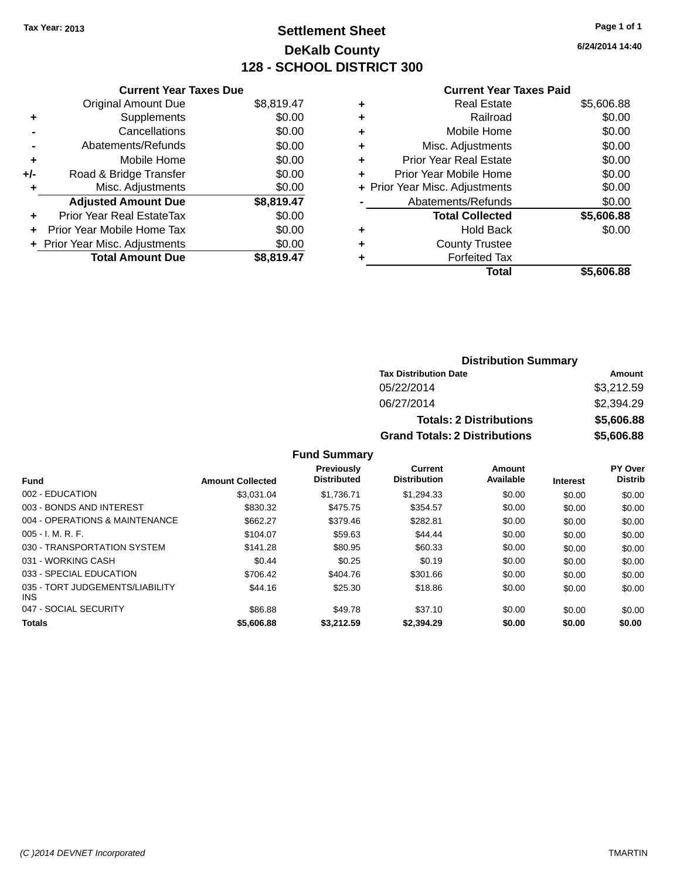## **Settlement Sheet Tax Year: 2013 Page 1 of 1 DeKalb County 128 - SCHOOL DISTRICT 300**

**6/24/2014 14:40**

#### **Current Year Taxes Paid**

|     | <b>Current Year Taxes Due</b>    |            |
|-----|----------------------------------|------------|
|     | <b>Original Amount Due</b>       | \$8,819.47 |
| ٠   | Supplements                      | \$0.00     |
|     | Cancellations                    | \$0.00     |
|     | Abatements/Refunds               | \$0.00     |
| ٠   | Mobile Home                      | \$0.00     |
| +/- | Road & Bridge Transfer           | \$0.00     |
| ٠   | Misc. Adjustments                | \$0.00     |
|     | <b>Adjusted Amount Due</b>       | \$8,819.47 |
| ٠   | <b>Prior Year Real EstateTax</b> | \$0.00     |
| ٠   | Prior Year Mobile Home Tax       | \$0.00     |
|     | + Prior Year Misc. Adjustments   | \$0.00     |
|     | <b>Total Amount Due</b>          | \$8.819.47 |

| ٠ | <b>Real Estate</b>             | \$5,606.88 |
|---|--------------------------------|------------|
| ٠ | Railroad                       | \$0.00     |
| ٠ | Mobile Home                    | \$0.00     |
| ٠ | Misc. Adjustments              | \$0.00     |
| ٠ | <b>Prior Year Real Estate</b>  | \$0.00     |
| ÷ | Prior Year Mobile Home         | \$0.00     |
|   | + Prior Year Misc. Adjustments | \$0.00     |
|   | Abatements/Refunds             | \$0.00     |
|   | <b>Total Collected</b>         | \$5,606.88 |
| ٠ | <b>Hold Back</b>               | \$0.00     |
| ٠ | <b>County Trustee</b>          |            |
| ٠ | <b>Forfeited Tax</b>           |            |
|   | Total                          | \$5,606.88 |
|   |                                |            |

| <b>Distribution Summary</b>          |            |  |  |
|--------------------------------------|------------|--|--|
| <b>Tax Distribution Date</b>         | Amount     |  |  |
| 05/22/2014                           | \$3,212.59 |  |  |
| 06/27/2014                           | \$2,394.29 |  |  |
| <b>Totals: 2 Distributions</b>       | \$5,606.88 |  |  |
| <b>Grand Totals: 2 Distributions</b> | \$5,606.88 |  |  |

| <b>Fund</b>                                   | <b>Amount Collected</b> | <b>Previously</b><br><b>Distributed</b> | Current<br><b>Distribution</b> | Amount<br>Available | <b>Interest</b> | PY Over<br><b>Distrib</b> |
|-----------------------------------------------|-------------------------|-----------------------------------------|--------------------------------|---------------------|-----------------|---------------------------|
| 002 - EDUCATION                               | \$3.031.04              | \$1.736.71                              | \$1.294.33                     | \$0.00              | \$0.00          | \$0.00                    |
| 003 - BONDS AND INTEREST                      | \$830.32                | \$475.75                                | \$354.57                       | \$0.00              | \$0.00          | \$0.00                    |
| 004 - OPERATIONS & MAINTENANCE                | \$662.27                | \$379.46                                | \$282.81                       | \$0.00              | \$0.00          | \$0.00                    |
| $005 - I. M. R. F.$                           | \$104.07                | \$59.63                                 | \$44.44                        | \$0.00              | \$0.00          | \$0.00                    |
| 030 - TRANSPORTATION SYSTEM                   | \$141.28                | \$80.95                                 | \$60.33                        | \$0.00              | \$0.00          | \$0.00                    |
| 031 - WORKING CASH                            | \$0.44                  | \$0.25                                  | \$0.19                         | \$0.00              | \$0.00          | \$0.00                    |
| 033 - SPECIAL EDUCATION                       | \$706.42                | \$404.76                                | \$301.66                       | \$0.00              | \$0.00          | \$0.00                    |
| 035 - TORT JUDGEMENTS/LIABILITY<br><b>INS</b> | \$44.16                 | \$25.30                                 | \$18.86                        | \$0.00              | \$0.00          | \$0.00                    |
| 047 - SOCIAL SECURITY                         | \$86.88                 | \$49.78                                 | \$37.10                        | \$0.00              | \$0.00          | \$0.00                    |
| <b>Totals</b>                                 | \$5,606.88              | \$3,212.59                              | \$2,394.29                     | \$0.00              | \$0.00          | \$0.00                    |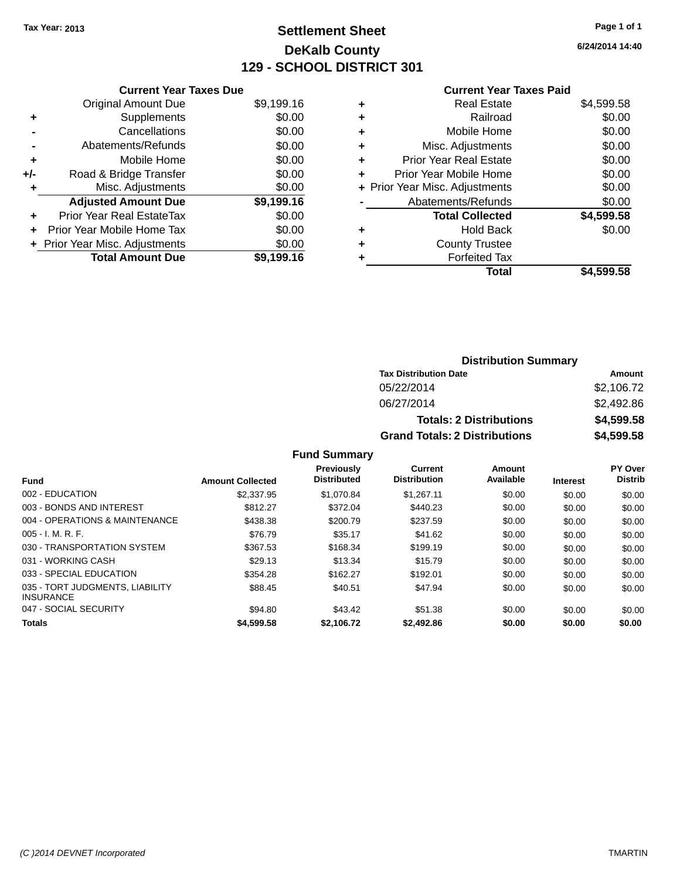## **Settlement Sheet Tax Year: 2013 Page 1 of 1 DeKalb County 129 - SCHOOL DISTRICT 301**

**6/24/2014 14:40**

#### **Current Year Taxes Paid**

| <b>Current Year Taxes Due</b> |                                  |            |  |  |
|-------------------------------|----------------------------------|------------|--|--|
|                               | <b>Original Amount Due</b>       | \$9,199.16 |  |  |
| ٠                             | Supplements                      | \$0.00     |  |  |
|                               | Cancellations                    | \$0.00     |  |  |
|                               | Abatements/Refunds               | \$0.00     |  |  |
| ٠                             | Mobile Home                      | \$0.00     |  |  |
| +/-                           | Road & Bridge Transfer           | \$0.00     |  |  |
| ٠                             | Misc. Adjustments                | \$0.00     |  |  |
|                               | <b>Adjusted Amount Due</b>       | \$9,199.16 |  |  |
| ٠                             | <b>Prior Year Real EstateTax</b> | \$0.00     |  |  |
| ÷                             | Prior Year Mobile Home Tax       | \$0.00     |  |  |
|                               | + Prior Year Misc. Adjustments   | \$0.00     |  |  |
|                               | <b>Total Amount Due</b>          | \$9.199.16 |  |  |

| ٠ | <b>Real Estate</b>             | \$4,599.58 |
|---|--------------------------------|------------|
| ٠ | Railroad                       | \$0.00     |
| ٠ | Mobile Home                    | \$0.00     |
| ٠ | Misc. Adjustments              | \$0.00     |
| ٠ | <b>Prior Year Real Estate</b>  | \$0.00     |
| ٠ | Prior Year Mobile Home         | \$0.00     |
|   | + Prior Year Misc. Adjustments | \$0.00     |
|   | Abatements/Refunds             | \$0.00     |
|   | <b>Total Collected</b>         | \$4,599.58 |
| ٠ | Hold Back                      | \$0.00     |
|   | <b>County Trustee</b>          |            |
| ٠ | <b>Forfeited Tax</b>           |            |
|   | Total                          | \$4,599.58 |
|   |                                |            |

| <b>Distribution Summary</b>          |            |  |  |
|--------------------------------------|------------|--|--|
| <b>Tax Distribution Date</b>         | Amount     |  |  |
| 05/22/2014                           | \$2,106.72 |  |  |
| 06/27/2014                           | \$2,492.86 |  |  |
| <b>Totals: 2 Distributions</b>       | \$4,599.58 |  |  |
| <b>Grand Totals: 2 Distributions</b> | \$4,599.58 |  |  |

| Fund                                                | <b>Amount Collected</b> | <b>Previously</b><br><b>Distributed</b> | Current<br><b>Distribution</b> | Amount<br>Available | <b>Interest</b> | <b>PY Over</b><br><b>Distrib</b> |
|-----------------------------------------------------|-------------------------|-----------------------------------------|--------------------------------|---------------------|-----------------|----------------------------------|
|                                                     |                         |                                         |                                |                     |                 |                                  |
| 002 - EDUCATION                                     | \$2,337.95              | \$1.070.84                              | \$1.267.11                     | \$0.00              | \$0.00          | \$0.00                           |
| 003 - BONDS AND INTEREST                            | \$812.27                | \$372.04                                | \$440.23                       | \$0.00              | \$0.00          | \$0.00                           |
| 004 - OPERATIONS & MAINTENANCE                      | \$438.38                | \$200.79                                | \$237.59                       | \$0.00              | \$0.00          | \$0.00                           |
| $005 - I. M. R. F.$                                 | \$76.79                 | \$35.17                                 | \$41.62                        | \$0.00              | \$0.00          | \$0.00                           |
| 030 - TRANSPORTATION SYSTEM                         | \$367.53                | \$168.34                                | \$199.19                       | \$0.00              | \$0.00          | \$0.00                           |
| 031 - WORKING CASH                                  | \$29.13                 | \$13.34                                 | \$15.79                        | \$0.00              | \$0.00          | \$0.00                           |
| 033 - SPECIAL EDUCATION                             | \$354.28                | \$162.27                                | \$192.01                       | \$0.00              | \$0.00          | \$0.00                           |
| 035 - TORT JUDGMENTS, LIABILITY<br><b>INSURANCE</b> | \$88.45                 | \$40.51                                 | \$47.94                        | \$0.00              | \$0.00          | \$0.00                           |
| 047 - SOCIAL SECURITY                               | \$94.80                 | \$43.42                                 | \$51.38                        | \$0.00              | \$0.00          | \$0.00                           |
| <b>Totals</b>                                       | \$4,599.58              | \$2,106.72                              | \$2,492.86                     | \$0.00              | \$0.00          | \$0.00                           |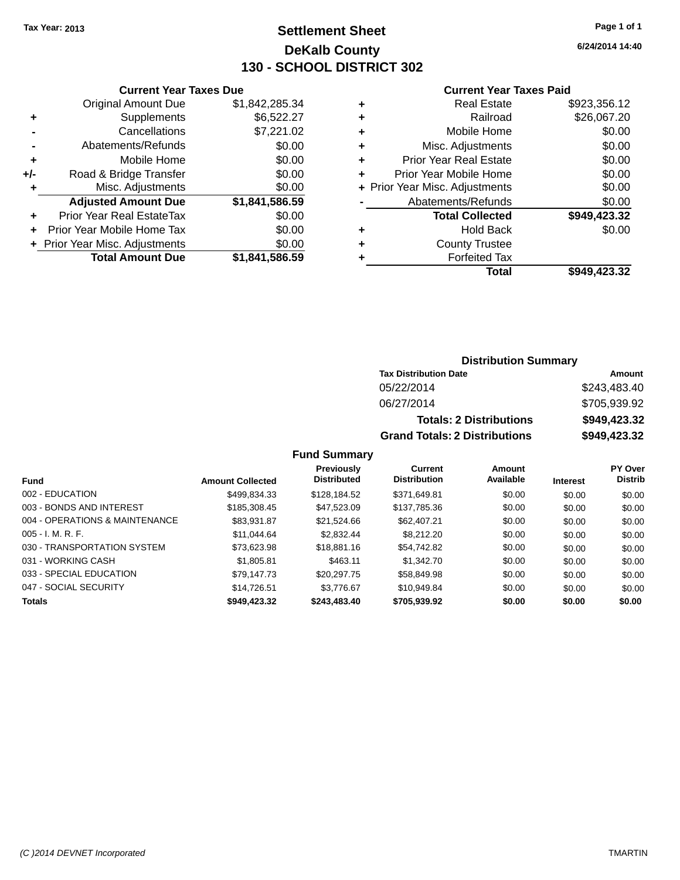## **Settlement Sheet Tax Year: 2013 Page 1 of 1 DeKalb County 130 - SCHOOL DISTRICT 302**

**6/24/2014 14:40**

#### **Current Year Taxes Paid**

|                            | \$0.00                         |
|----------------------------|--------------------------------|
| Prior Year Mobile Home Tax | \$0.00                         |
| Prior Year Real EstateTax  | \$0.00                         |
| <b>Adjusted Amount Due</b> | \$1,841,586.59                 |
| Misc. Adjustments          | \$0.00                         |
| Road & Bridge Transfer     | \$0.00                         |
| Mobile Home                | \$0.00                         |
| Abatements/Refunds         | \$0.00                         |
| Cancellations              | \$7,221.02                     |
| Supplements                | \$6,522.27                     |
| <b>Original Amount Due</b> | \$1,842,285.34                 |
|                            | + Prior Year Misc. Adjustments |

**Current Year Taxes Due**

|   | <b>Real Estate</b>             | \$923,356.12 |
|---|--------------------------------|--------------|
| ٠ | Railroad                       | \$26,067.20  |
| ٠ | Mobile Home                    | \$0.00       |
| ٠ | Misc. Adjustments              | \$0.00       |
| ٠ | <b>Prior Year Real Estate</b>  | \$0.00       |
| ÷ | Prior Year Mobile Home         | \$0.00       |
|   | + Prior Year Misc. Adjustments | \$0.00       |
|   | Abatements/Refunds             | \$0.00       |
|   | <b>Total Collected</b>         | \$949,423.32 |
| ٠ | <b>Hold Back</b>               | \$0.00       |
| ٠ | <b>County Trustee</b>          |              |
| ٠ | <b>Forfeited Tax</b>           |              |
|   | Total                          | \$949,423.32 |
|   |                                |              |

#### **Distribution Summary Tax Distribution Date Amount** 05/22/2014 \$243,483.40 06/27/2014 \$705,939.92 **Totals: 2 Distributions \$949,423.32 Grand Totals: 2 Distributions \$949,423.32**

| Fund                           | <b>Amount Collected</b> | <b>Previously</b><br><b>Distributed</b> | <b>Current</b><br><b>Distribution</b> | Amount<br>Available | <b>Interest</b> | <b>PY Over</b><br><b>Distrib</b> |
|--------------------------------|-------------------------|-----------------------------------------|---------------------------------------|---------------------|-----------------|----------------------------------|
| 002 - EDUCATION                | \$499.834.33            | \$128,184.52                            | \$371.649.81                          | \$0.00              | \$0.00          | \$0.00                           |
| 003 - BONDS AND INTEREST       | \$185,308.45            | \$47,523.09                             | \$137,785.36                          | \$0.00              | \$0.00          | \$0.00                           |
| 004 - OPERATIONS & MAINTENANCE | \$83,931.87             | \$21.524.66                             | \$62,407.21                           | \$0.00              | \$0.00          | \$0.00                           |
| $005 - I. M. R. F.$            | \$11.044.64             | \$2,832.44                              | \$8,212,20                            | \$0.00              | \$0.00          | \$0.00                           |
| 030 - TRANSPORTATION SYSTEM    | \$73,623.98             | \$18,881.16                             | \$54.742.82                           | \$0.00              | \$0.00          | \$0.00                           |
| 031 - WORKING CASH             | \$1,805.81              | \$463.11                                | \$1.342.70                            | \$0.00              | \$0.00          | \$0.00                           |
| 033 - SPECIAL EDUCATION        | \$79.147.73             | \$20,297.75                             | \$58,849.98                           | \$0.00              | \$0.00          | \$0.00                           |
| 047 - SOCIAL SECURITY          | \$14.726.51             | \$3.776.67                              | \$10.949.84                           | \$0.00              | \$0.00          | \$0.00                           |
| <b>Totals</b>                  | \$949,423.32            | \$243,483.40                            | \$705,939.92                          | \$0.00              | \$0.00          | \$0.00                           |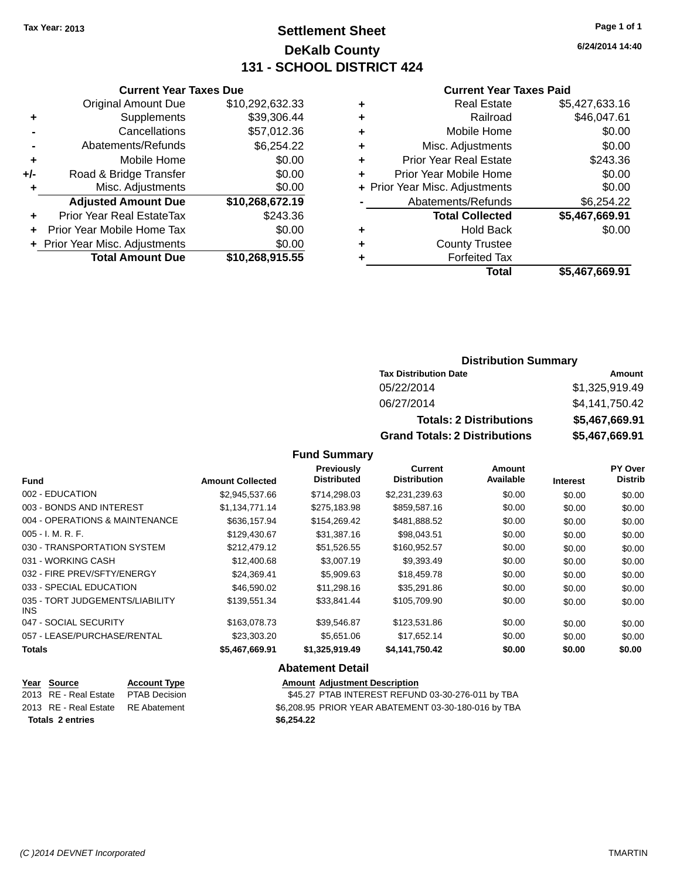## **Settlement Sheet Tax Year: 2013 Page 1 of 1 DeKalb County 131 - SCHOOL DISTRICT 424**

**6/24/2014 14:40**

#### **Current Year Taxes Paid**

|       | <b>Current Year Taxes Due</b>  |                 |
|-------|--------------------------------|-----------------|
|       | <b>Original Amount Due</b>     | \$10,292,632.33 |
| ٠     | Supplements                    | \$39,306.44     |
|       | Cancellations                  | \$57,012.36     |
|       | Abatements/Refunds             | \$6,254.22      |
| ٠     | Mobile Home                    | \$0.00          |
| $+/-$ | Road & Bridge Transfer         | \$0.00          |
|       | Misc. Adjustments              | \$0.00          |
|       | <b>Adjusted Amount Due</b>     | \$10,268,672.19 |
| ÷     | Prior Year Real EstateTax      | \$243.36        |
|       | Prior Year Mobile Home Tax     | \$0.00          |
|       | + Prior Year Misc. Adjustments | \$0.00          |
|       | <b>Total Amount Due</b>        | \$10,268,915.55 |
|       |                                |                 |

| ٠ | <b>Real Estate</b>             | \$5,427,633.16 |
|---|--------------------------------|----------------|
| ٠ | Railroad                       | \$46,047.61    |
| ٠ | Mobile Home                    | \$0.00         |
| ٠ | Misc. Adjustments              | \$0.00         |
| ٠ | <b>Prior Year Real Estate</b>  | \$243.36       |
| ÷ | Prior Year Mobile Home         | \$0.00         |
|   | + Prior Year Misc. Adjustments | \$0.00         |
|   | Abatements/Refunds             | \$6,254.22     |
|   | <b>Total Collected</b>         | \$5,467,669.91 |
| ٠ | <b>Hold Back</b>               | \$0.00         |
| ٠ | <b>County Trustee</b>          |                |
| ٠ | <b>Forfeited Tax</b>           |                |
|   | Total                          | \$5,467,669.91 |
|   |                                |                |

### **Distribution Summary**

| <b>Tax Distribution Date</b>         | Amount         |
|--------------------------------------|----------------|
| 05/22/2014                           | \$1.325.919.49 |
| 06/27/2014                           | \$4,141,750.42 |
| <b>Totals: 2 Distributions</b>       | \$5,467,669.91 |
| <b>Grand Totals: 2 Distributions</b> | \$5,467,669.91 |

### **Fund Summary**

| <b>Fund</b>                                   | <b>Amount Collected</b> | Previously<br><b>Distributed</b> | <b>Current</b><br><b>Distribution</b> | Amount<br>Available | <b>Interest</b> | PY Over<br><b>Distrib</b> |
|-----------------------------------------------|-------------------------|----------------------------------|---------------------------------------|---------------------|-----------------|---------------------------|
|                                               |                         |                                  |                                       |                     |                 |                           |
| 002 - EDUCATION                               | \$2,945,537.66          | \$714.298.03                     | \$2,231,239.63                        | \$0.00              | \$0.00          | \$0.00                    |
| 003 - BONDS AND INTEREST                      | \$1,134,771.14          | \$275,183.98                     | \$859,587.16                          | \$0.00              | \$0.00          | \$0.00                    |
| 004 - OPERATIONS & MAINTENANCE                | \$636,157.94            | \$154,269.42                     | \$481,888.52                          | \$0.00              | \$0.00          | \$0.00                    |
| $005 - I. M. R. F.$                           | \$129,430.67            | \$31,387.16                      | \$98,043.51                           | \$0.00              | \$0.00          | \$0.00                    |
| 030 - TRANSPORTATION SYSTEM                   | \$212.479.12            | \$51,526.55                      | \$160.952.57                          | \$0.00              | \$0.00          | \$0.00                    |
| 031 - WORKING CASH                            | \$12,400.68             | \$3,007.19                       | \$9,393.49                            | \$0.00              | \$0.00          | \$0.00                    |
| 032 - FIRE PREV/SFTY/ENERGY                   | \$24.369.41             | \$5,909.63                       | \$18,459.78                           | \$0.00              | \$0.00          | \$0.00                    |
| 033 - SPECIAL EDUCATION                       | \$46,590.02             | \$11,298.16                      | \$35,291.86                           | \$0.00              | \$0.00          | \$0.00                    |
| 035 - TORT JUDGEMENTS/LIABILITY<br><b>INS</b> | \$139,551.34            | \$33,841.44                      | \$105,709.90                          | \$0.00              | \$0.00          | \$0.00                    |
| 047 - SOCIAL SECURITY                         | \$163,078.73            | \$39.546.87                      | \$123,531.86                          | \$0.00              | \$0.00          | \$0.00                    |
| 057 - LEASE/PURCHASE/RENTAL                   | \$23,303,20             | \$5.651.06                       | \$17.652.14                           | \$0.00              | \$0.00          | \$0.00                    |
| <b>Totals</b>                                 | \$5,467,669.91          | \$1,325,919.49                   | \$4,141,750.42                        | \$0.00              | \$0.00          | \$0.00                    |

#### **Abatement Detail**

| Year Source                        | <b>Account Type</b> | <b>Amount Adjustment Description</b>                 |
|------------------------------------|---------------------|------------------------------------------------------|
| 2013 RE - Real Estate              | PTAB Decision       | \$45.27 PTAB INTEREST REFUND 03-30-276-011 by TBA    |
| 2013 RE - Real Estate RE Abatement |                     | \$6.208.95 PRIOR YEAR ABATEMENT 03-30-180-016 by TBA |
| <b>Totals 2 entries</b>            |                     | \$6.254.22                                           |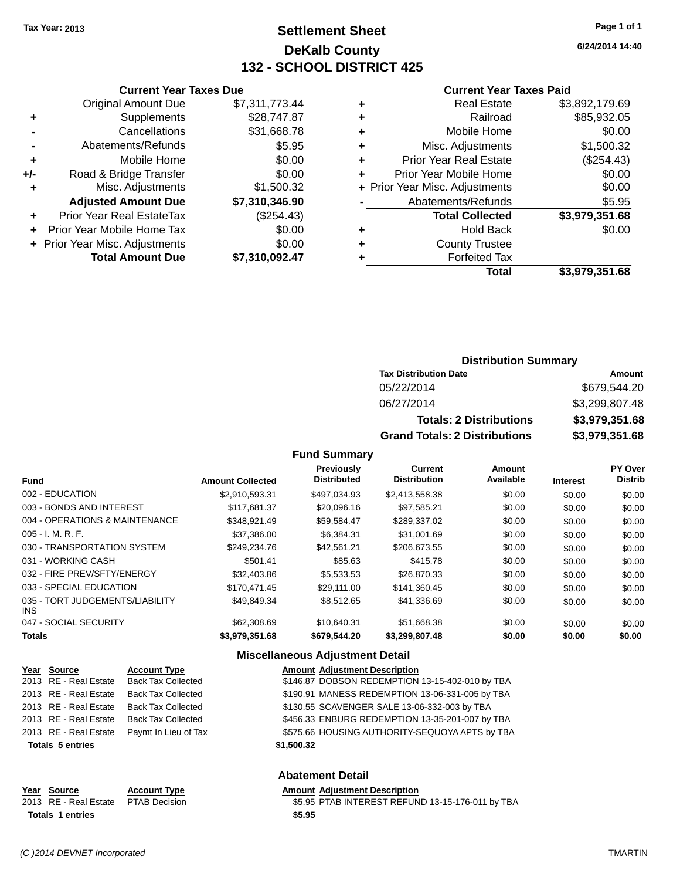## **Settlement Sheet Tax Year: 2013 Page 1 of 1 DeKalb County 132 - SCHOOL DISTRICT 425**

**6/24/2014 14:40**

#### **Current Year Taxes Paid**

|     | <b>Total Amount Due</b>          | \$7,310,092.47 |
|-----|----------------------------------|----------------|
|     | + Prior Year Misc. Adjustments   | \$0.00         |
| ÷   | Prior Year Mobile Home Tax       | \$0.00         |
| ٠   | <b>Prior Year Real EstateTax</b> | (\$254.43)     |
|     | <b>Adjusted Amount Due</b>       | \$7,310,346.90 |
| ٠   | Misc. Adjustments                | \$1,500.32     |
| +/- | Road & Bridge Transfer           | \$0.00         |
| ÷   | Mobile Home                      | \$0.00         |
|     | Abatements/Refunds               | \$5.95         |
|     | Cancellations                    | \$31,668.78    |
| ٠   | Supplements                      | \$28,747.87    |
|     | <b>Original Amount Due</b>       | \$7,311,773.44 |
|     |                                  |                |

**Current Year Taxes Due**

| ٠ | <b>Real Estate</b>             | \$3,892,179.69 |
|---|--------------------------------|----------------|
| ٠ | Railroad                       | \$85,932.05    |
| ٠ | Mobile Home                    | \$0.00         |
| ٠ | Misc. Adjustments              | \$1,500.32     |
| ٠ | <b>Prior Year Real Estate</b>  | (\$254.43)     |
| ÷ | Prior Year Mobile Home         | \$0.00         |
|   | + Prior Year Misc. Adjustments | \$0.00         |
|   | Abatements/Refunds             | \$5.95         |
|   | <b>Total Collected</b>         | \$3,979,351.68 |
| ٠ | Hold Back                      | \$0.00         |
| ٠ | <b>County Trustee</b>          |                |
| ٠ | <b>Forfeited Tax</b>           |                |
|   | Total                          | \$3,979,351.68 |
|   |                                |                |

#### **Distribution Summary Tax Distribution Date Amount** 05/22/2014 \$679,544.20 06/27/2014 \$3,299,807.48 **Totals: 2 Distributions \$3,979,351.68 Grand Totals: 2 Distributions \$3,979,351.68**

#### **Fund Summary**

|                                               |                         | <b>Previously</b><br><b>Distributed</b> | <b>Current</b><br><b>Distribution</b> | Amount<br>Available |                 | <b>PY Over</b><br><b>Distrib</b> |
|-----------------------------------------------|-------------------------|-----------------------------------------|---------------------------------------|---------------------|-----------------|----------------------------------|
| <b>Fund</b>                                   | <b>Amount Collected</b> |                                         |                                       |                     | <b>Interest</b> |                                  |
| 002 - EDUCATION                               | \$2,910,593.31          | \$497,034.93                            | \$2,413,558.38                        | \$0.00              | \$0.00          | \$0.00                           |
| 003 - BONDS AND INTEREST                      | \$117.681.37            | \$20,096.16                             | \$97,585.21                           | \$0.00              | \$0.00          | \$0.00                           |
| 004 - OPERATIONS & MAINTENANCE                | \$348.921.49            | \$59,584.47                             | \$289,337.02                          | \$0.00              | \$0.00          | \$0.00                           |
| $005 - I. M. R. F.$                           | \$37,386,00             | \$6.384.31                              | \$31,001.69                           | \$0.00              | \$0.00          | \$0.00                           |
| 030 - TRANSPORTATION SYSTEM                   | \$249.234.76            | \$42.561.21                             | \$206,673.55                          | \$0.00              | \$0.00          | \$0.00                           |
| 031 - WORKING CASH                            | \$501.41                | \$85.63                                 | \$415.78                              | \$0.00              | \$0.00          | \$0.00                           |
| 032 - FIRE PREV/SFTY/ENERGY                   | \$32,403.86             | \$5.533.53                              | \$26,870.33                           | \$0.00              | \$0.00          | \$0.00                           |
| 033 - SPECIAL EDUCATION                       | \$170.471.45            | \$29,111,00                             | \$141.360.45                          | \$0.00              | \$0.00          | \$0.00                           |
| 035 - TORT JUDGEMENTS/LIABILITY<br><b>INS</b> | \$49,849.34             | \$8,512.65                              | \$41,336.69                           | \$0.00              | \$0.00          | \$0.00                           |
| 047 - SOCIAL SECURITY                         | \$62,308.69             | \$10.640.31                             | \$51,668.38                           | \$0.00              | \$0.00          | \$0.00                           |
| <b>Totals</b>                                 | \$3.979.351.68          | \$679,544.20                            | \$3,299,807.48                        | \$0.00              | \$0.00          | \$0.00                           |

#### **Miscellaneous Adjustment Detail**

| Year Source             | <b>Account Type</b>       | <b>Amount Adjustment Description</b>            |
|-------------------------|---------------------------|-------------------------------------------------|
| 2013 RE - Real Estate   | <b>Back Tax Collected</b> | \$146.87 DOBSON REDEMPTION 13-15-402-010 by TBA |
| 2013 RE - Real Estate   | <b>Back Tax Collected</b> | \$190.91 MANESS REDEMPTION 13-06-331-005 by TBA |
| 2013 RE - Real Estate   | <b>Back Tax Collected</b> | \$130.55 SCAVENGER SALE 13-06-332-003 by TBA    |
| 2013 RE - Real Estate   | <b>Back Tax Collected</b> | \$456.33 ENBURG REDEMPTION 13-35-201-007 by TBA |
| 2013 RE - Real Estate   | Paymt In Lieu of Tax      | \$575.66 HOUSING AUTHORITY-SEQUOYA APTS by TBA  |
| <b>Totals 5 entries</b> |                           | \$1,500.32                                      |
|                         |                           | <b>Abatement Detail</b>                         |

| $\sim$ $\sim$ $\sim$ $\sim$ $\sim$ $\sim$ | Year Source                         | <b>Account Type</b> | Amount |
|-------------------------------------------|-------------------------------------|---------------------|--------|
|                                           | 2013 RE - Real Estate PTAB Decision |                     | \$5.95 |
|                                           | <b>Totals 1 entries</b>             |                     | \$5.95 |

**VEART ACCOUNTED MENUION CONTRACTLY ADDEN ADDEN ADDEN ADDEN ADDEN ACCOUNT ACCOUNT ACCOUNT ACCOUNT** 

Decision **2013 REAL ESTATE ST ATTEREST REFUND 13-15-176-011 by TBA**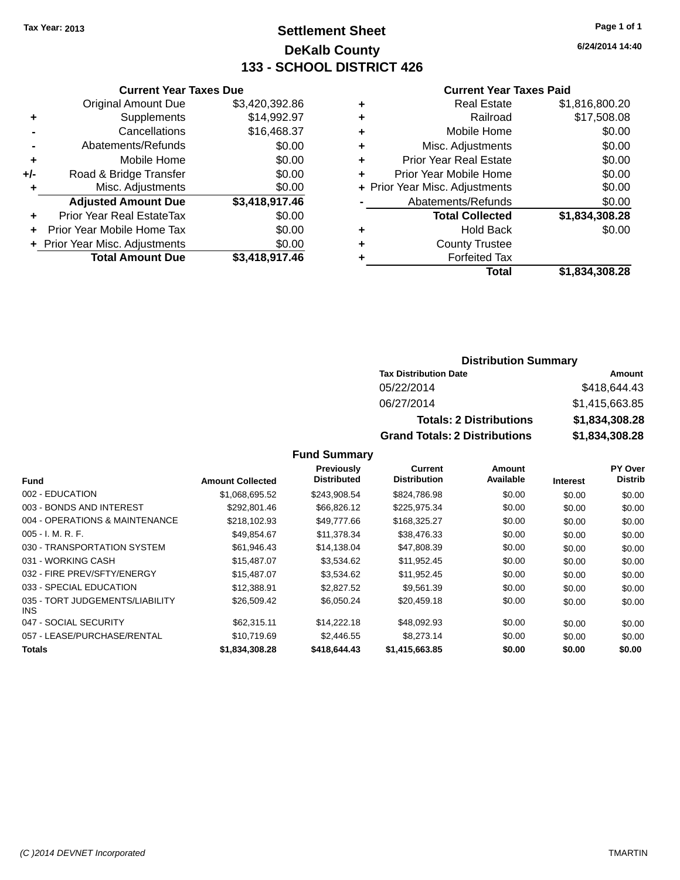## **Settlement Sheet Tax Year: 2013 Page 1 of 1 DeKalb County 133 - SCHOOL DISTRICT 426**

**6/24/2014 14:40**

#### **Current Year Taxes Paid**

|     | <b>Current Year Taxes Due</b>  |                |
|-----|--------------------------------|----------------|
|     | <b>Original Amount Due</b>     | \$3,420,392.86 |
| ٠   | Supplements                    | \$14,992.97    |
|     | Cancellations                  | \$16,468.37    |
|     | Abatements/Refunds             | \$0.00         |
| ٠   | Mobile Home                    | \$0.00         |
| +/- | Road & Bridge Transfer         | \$0.00         |
| ٠   | Misc. Adjustments              | \$0.00         |
|     | <b>Adjusted Amount Due</b>     | \$3,418,917.46 |
| ÷   | Prior Year Real EstateTax      | \$0.00         |
|     | Prior Year Mobile Home Tax     | \$0.00         |
|     | + Prior Year Misc. Adjustments | \$0.00         |
|     | <b>Total Amount Due</b>        | \$3,418,917.46 |

|   | <b>Real Estate</b>             | \$1,816,800.20 |
|---|--------------------------------|----------------|
| ٠ | Railroad                       | \$17,508.08    |
| ٠ | Mobile Home                    | \$0.00         |
| ٠ | Misc. Adjustments              | \$0.00         |
| ٠ | <b>Prior Year Real Estate</b>  | \$0.00         |
| ٠ | Prior Year Mobile Home         | \$0.00         |
|   | + Prior Year Misc. Adjustments | \$0.00         |
|   | Abatements/Refunds             | \$0.00         |
|   | <b>Total Collected</b>         | \$1,834,308.28 |
| ٠ | <b>Hold Back</b>               | \$0.00         |
| ٠ | <b>County Trustee</b>          |                |
| ٠ | <b>Forfeited Tax</b>           |                |
|   | Total                          | \$1,834,308.28 |
|   |                                |                |

### **Distribution Summary**

| <b>Tax Distribution Date</b>         | Amount         |
|--------------------------------------|----------------|
| 05/22/2014                           | \$418,644.43   |
| 06/27/2014                           | \$1,415,663.85 |
| <b>Totals: 2 Distributions</b>       | \$1,834,308.28 |
| <b>Grand Totals: 2 Distributions</b> | \$1,834,308.28 |

|                                               |                         | <b>Previously</b>  | Current             | <b>Amount</b> |                 | PY Over        |
|-----------------------------------------------|-------------------------|--------------------|---------------------|---------------|-----------------|----------------|
| Fund                                          | <b>Amount Collected</b> | <b>Distributed</b> | <b>Distribution</b> | Available     | <b>Interest</b> | <b>Distrib</b> |
| 002 - EDUCATION                               | \$1,068,695.52          | \$243,908.54       | \$824,786.98        | \$0.00        | \$0.00          | \$0.00         |
| 003 - BONDS AND INTEREST                      | \$292,801.46            | \$66,826.12        | \$225,975.34        | \$0.00        | \$0.00          | \$0.00         |
| 004 - OPERATIONS & MAINTENANCE                | \$218,102.93            | \$49,777.66        | \$168,325.27        | \$0.00        | \$0.00          | \$0.00         |
| $005 - I. M. R. F.$                           | \$49,854.67             | \$11,378.34        | \$38,476.33         | \$0.00        | \$0.00          | \$0.00         |
| 030 - TRANSPORTATION SYSTEM                   | \$61,946.43             | \$14,138.04        | \$47,808.39         | \$0.00        | \$0.00          | \$0.00         |
| 031 - WORKING CASH                            | \$15,487.07             | \$3,534.62         | \$11,952.45         | \$0.00        | \$0.00          | \$0.00         |
| 032 - FIRE PREV/SFTY/ENERGY                   | \$15,487.07             | \$3,534.62         | \$11,952.45         | \$0.00        | \$0.00          | \$0.00         |
| 033 - SPECIAL EDUCATION                       | \$12,388.91             | \$2,827.52         | \$9,561.39          | \$0.00        | \$0.00          | \$0.00         |
| 035 - TORT JUDGEMENTS/LIABILITY<br><b>INS</b> | \$26,509.42             | \$6.050.24         | \$20.459.18         | \$0.00        | \$0.00          | \$0.00         |
| 047 - SOCIAL SECURITY                         | \$62.315.11             | \$14,222.18        | \$48,092.93         | \$0.00        | \$0.00          | \$0.00         |
| 057 - LEASE/PURCHASE/RENTAL                   | \$10.719.69             | \$2,446.55         | \$8,273.14          | \$0.00        | \$0.00          | \$0.00         |
| <b>Totals</b>                                 | \$1.834.308.28          | \$418,644,43       | \$1,415,663,85      | \$0.00        | \$0.00          | \$0.00         |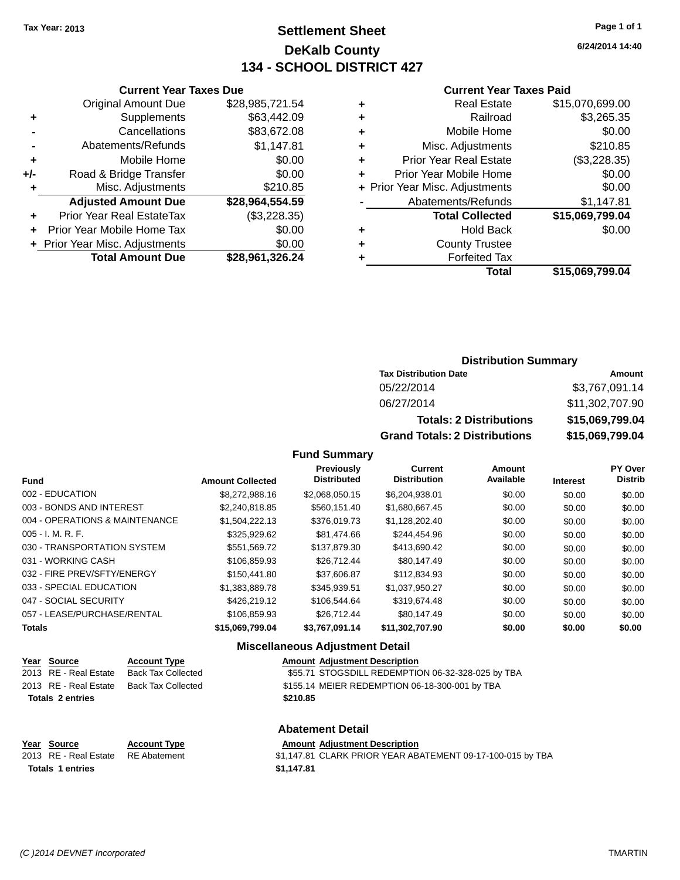## **Settlement Sheet Tax Year: 2013 Page 1 of 1 DeKalb County 134 - SCHOOL DISTRICT 427**

**6/24/2014 14:40**

#### **Current Year Taxes Paid**

|     | Original Amount Due              | \$28,985,721.54 |  |
|-----|----------------------------------|-----------------|--|
| ٠   | Supplements                      | \$63,442.09     |  |
|     | Cancellations                    | \$83,672.08     |  |
|     | Abatements/Refunds               | \$1,147.81      |  |
| ٠   | Mobile Home                      | \$0.00          |  |
| +/- | Road & Bridge Transfer           | \$0.00          |  |
| ٠   | Misc. Adjustments                | \$210.85        |  |
|     | <b>Adjusted Amount Due</b>       | \$28,964,554.59 |  |
| ٠   | <b>Prior Year Real EstateTax</b> | (\$3,228.35)    |  |
|     | Prior Year Mobile Home Tax       | \$0.00          |  |
|     | + Prior Year Misc. Adjustments   | \$0.00          |  |
|     | <b>Total Amount Due</b>          | \$28,961,326.24 |  |
|     |                                  |                 |  |

**Current Year Taxes Due**

|   | <b>Real Estate</b>             | \$15,070,699.00 |
|---|--------------------------------|-----------------|
| ٠ | Railroad                       | \$3,265.35      |
| ٠ | Mobile Home                    | \$0.00          |
| ٠ | Misc. Adjustments              | \$210.85        |
| ٠ | <b>Prior Year Real Estate</b>  | (\$3,228.35)    |
|   | Prior Year Mobile Home         | \$0.00          |
|   | + Prior Year Misc. Adjustments | \$0.00          |
|   | Abatements/Refunds             | \$1,147.81      |
|   | <b>Total Collected</b>         | \$15,069,799.04 |
| ٠ | <b>Hold Back</b>               | \$0.00          |
|   | <b>County Trustee</b>          |                 |
|   | <b>Forfeited Tax</b>           |                 |
|   | Total                          | \$15,069,799.04 |
|   |                                |                 |

#### **Distribution Summary**

| <b>Tax Distribution Date</b>         | Amount          |
|--------------------------------------|-----------------|
| 05/22/2014                           | \$3,767,091.14  |
| 06/27/2014                           | \$11,302,707.90 |
| <b>Totals: 2 Distributions</b>       | \$15,069,799.04 |
| <b>Grand Totals: 2 Distributions</b> | \$15,069,799.04 |

#### **Fund Summary**

|                                |                         | <b>Previously</b><br><b>Distributed</b> | Current<br><b>Distribution</b> | Amount<br>Available |          | PY Over<br><b>Distrib</b> |
|--------------------------------|-------------------------|-----------------------------------------|--------------------------------|---------------------|----------|---------------------------|
| <b>Fund</b>                    | <b>Amount Collected</b> |                                         |                                |                     | Interest |                           |
| 002 - EDUCATION                | \$8,272,988.16          | \$2,068,050.15                          | \$6,204,938.01                 | \$0.00              | \$0.00   | \$0.00                    |
| 003 - BONDS AND INTEREST       | \$2,240,818.85          | \$560,151.40                            | \$1,680,667.45                 | \$0.00              | \$0.00   | \$0.00                    |
| 004 - OPERATIONS & MAINTENANCE | \$1.504.222.13          | \$376,019.73                            | \$1.128.202.40                 | \$0.00              | \$0.00   | \$0.00                    |
| $005 - I. M. R. F.$            | \$325,929.62            | \$81,474.66                             | \$244.454.96                   | \$0.00              | \$0.00   | \$0.00                    |
| 030 - TRANSPORTATION SYSTEM    | \$551,569.72            | \$137,879.30                            | \$413,690.42                   | \$0.00              | \$0.00   | \$0.00                    |
| 031 - WORKING CASH             | \$106.859.93            | \$26.712.44                             | \$80.147.49                    | \$0.00              | \$0.00   | \$0.00                    |
| 032 - FIRE PREV/SFTY/ENERGY    | \$150,441.80            | \$37,606.87                             | \$112,834.93                   | \$0.00              | \$0.00   | \$0.00                    |
| 033 - SPECIAL EDUCATION        | \$1.383.889.78          | \$345.939.51                            | \$1.037.950.27                 | \$0.00              | \$0.00   | \$0.00                    |
| 047 - SOCIAL SECURITY          | \$426,219.12            | \$106.544.64                            | \$319.674.48                   | \$0.00              | \$0.00   | \$0.00                    |
| 057 - LEASE/PURCHASE/RENTAL    | \$106.859.93            | \$26.712.44                             | \$80.147.49                    | \$0.00              | \$0.00   | \$0.00                    |
| <b>Totals</b>                  | \$15,069,799.04         | \$3,767,091.14                          | \$11,302,707.90                | \$0.00              | \$0.00   | \$0.00                    |

#### **Miscellaneous Adjustment Detail**

| Year Source             | <b>Account Type</b> | <b>Amount Adjustment Description</b>              |
|-------------------------|---------------------|---------------------------------------------------|
| 2013 RE - Real Estate   | Back Tax Collected  | \$55.71 STOGSDILL REDEMPTION 06-32-328-025 by TBA |
| 2013 RE - Real Estate   | Back Tax Collected  | \$155.14 MEIER REDEMPTION 06-18-300-001 by TBA    |
| <b>Totals 2 entries</b> |                     | \$210.85                                          |
|                         |                     |                                                   |

**Abatement Detail Year Source Account Type Amount Adjustment Description**

2013 RE - Real Estate RE Abatement \$1,147.81 CLARK PRIOR YEAR ABATEMENT 09-17-100-015 by TBA **Totals 1 entries \$1,147.81**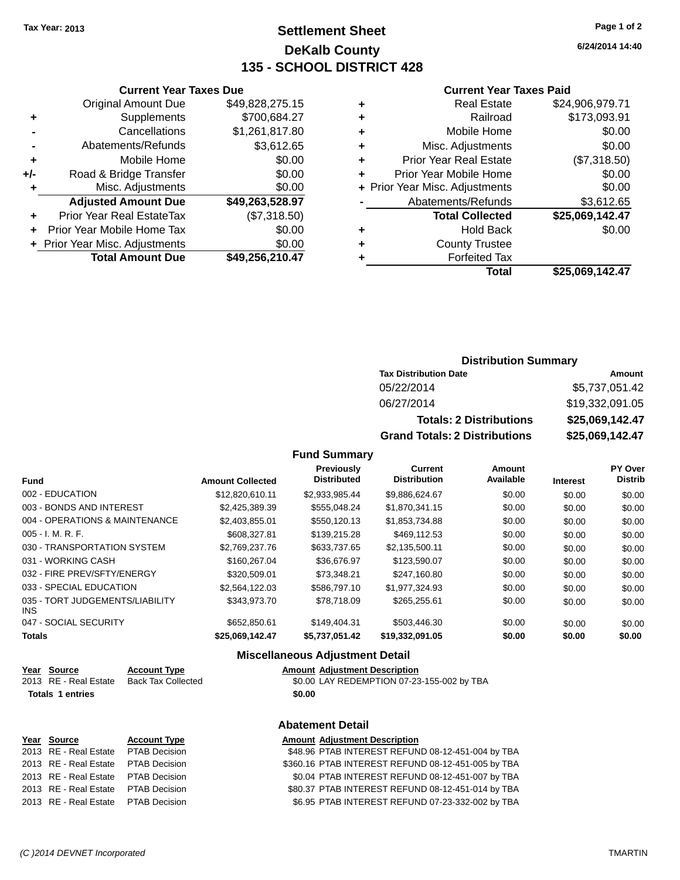**Current Year Taxes Due** Original Amount Due \$49,828,275.15

**Adjusted Amount Due \$49,263,528.97**

**Total Amount Due \$49,256,210.47**

**+** Supplements \$700,684.27 **-** Cancellations \$1,261,817.80 **-** Abatements/Refunds \$3,612.65 **+** Mobile Home \$0.00 **+/-** Road & Bridge Transfer \$0.00 **+** Misc. Adjustments \$0.00

**+** Prior Year Real EstateTax (\$7,318.50) **+** Prior Year Mobile Home Tax \$0.00 **+ Prior Year Misc. Adjustments**  $$0.00$ 

## **Settlement Sheet Tax Year: 2013 Page 1 of 2 DeKalb County 135 - SCHOOL DISTRICT 428**

**6/24/2014 14:40**

#### **Current Year Taxes Paid**

| Total                              | \$25,069,142.47 |
|------------------------------------|-----------------|
| <b>Forfeited Tax</b>               |                 |
| <b>County Trustee</b><br>٠         |                 |
| <b>Hold Back</b><br>٠              | \$0.00          |
| <b>Total Collected</b>             | \$25,069,142.47 |
| Abatements/Refunds                 | \$3,612.65      |
| + Prior Year Misc. Adjustments     | \$0.00          |
| Prior Year Mobile Home<br>٠        | \$0.00          |
| <b>Prior Year Real Estate</b><br>٠ | (\$7,318.50)    |
| Misc. Adjustments<br>٠             | \$0.00          |
| Mobile Home<br>٠                   | \$0.00          |
| Railroad<br>٠                      | \$173,093.91    |
| <b>Real Estate</b><br>٠            | \$24,906,979.71 |
|                                    |                 |

|                              | <b>Distribution Summary</b> |
|------------------------------|-----------------------------|
| <b>Tax Distribution Date</b> | Amount                      |
| 05/22/2014                   | \$5,737,051.42              |
| 06/27/2014                   | \$19.332.091.05             |

| 06/27/2014                           | \$19,332,091.05 |
|--------------------------------------|-----------------|
| <b>Totals: 2 Distributions</b>       | \$25,069,142.47 |
| <b>Grand Totals: 2 Distributions</b> | \$25,069,142.47 |

#### **Fund Summary**

| <b>Fund</b>                             | <b>Amount Collected</b> | <b>Previously</b><br><b>Distributed</b> | <b>Current</b><br><b>Distribution</b> | Amount<br>Available | <b>Interest</b> | <b>PY Over</b><br><b>Distrib</b> |
|-----------------------------------------|-------------------------|-----------------------------------------|---------------------------------------|---------------------|-----------------|----------------------------------|
| 002 - EDUCATION                         | \$12,820,610.11         | \$2,933,985.44                          | \$9,886,624.67                        | \$0.00              | \$0.00          | \$0.00                           |
| 003 - BONDS AND INTEREST                | \$2,425,389.39          | \$555.048.24                            | \$1.870.341.15                        | \$0.00              | \$0.00          | \$0.00                           |
| 004 - OPERATIONS & MAINTENANCE          | \$2,403,855,01          | \$550,120.13                            | \$1,853,734.88                        | \$0.00              | \$0.00          | \$0.00                           |
| $005 - I. M. R. F.$                     | \$608,327.81            | \$139,215.28                            | \$469,112.53                          | \$0.00              | \$0.00          | \$0.00                           |
| 030 - TRANSPORTATION SYSTEM             | \$2,769,237,76          | \$633,737.65                            | \$2,135,500.11                        | \$0.00              | \$0.00          | \$0.00                           |
| 031 - WORKING CASH                      | \$160,267,04            | \$36,676.97                             | \$123,590.07                          | \$0.00              | \$0.00          | \$0.00                           |
| 032 - FIRE PREV/SFTY/ENERGY             | \$320,509.01            | \$73.348.21                             | \$247.160.80                          | \$0.00              | \$0.00          | \$0.00                           |
| 033 - SPECIAL EDUCATION                 | \$2,564,122.03          | \$586,797.10                            | \$1,977,324.93                        | \$0.00              | \$0.00          | \$0.00                           |
| 035 - TORT JUDGEMENTS/LIABILITY<br>INS. | \$343.973.70            | \$78.718.09                             | \$265,255.61                          | \$0.00              | \$0.00          | \$0.00                           |
| 047 - SOCIAL SECURITY                   | \$652,850.61            | \$149,404.31                            | \$503,446.30                          | \$0.00              | \$0.00          | \$0.00                           |
| <b>Totals</b>                           | \$25,069,142.47         | \$5,737,051.42                          | \$19,332,091.05                       | \$0.00              | \$0.00          | \$0.00                           |

#### **Miscellaneous Adjustment Detail**

| Year Source           | <b>Account Type</b>       |        | <b>Amount Adjustment Description</b>       |
|-----------------------|---------------------------|--------|--------------------------------------------|
| 2013 RE - Real Estate | <b>Back Tax Collected</b> |        | \$0.00 LAY REDEMPTION 07-23-155-002 by TBA |
| Totals 1 entries      |                           | \$0.00 |                                            |

#### **Abatement Detail**

| Year Source                         | <b>Account Type</b> | <b>Amount Adjustment Description</b>               |
|-------------------------------------|---------------------|----------------------------------------------------|
| 2013 RE - Real Estate PTAB Decision |                     | \$48.96 PTAB INTEREST REFUND 08-12-451-004 by TBA  |
| 2013 RE - Real Estate PTAB Decision |                     | \$360.16 PTAB INTEREST REFUND 08-12-451-005 by TBA |
| 2013 RE - Real Estate PTAB Decision |                     | \$0.04 PTAB INTEREST REFUND 08-12-451-007 by TBA   |
| 2013 RE - Real Estate PTAB Decision |                     | \$80.37 PTAB INTEREST REFUND 08-12-451-014 by TBA  |
| 2013 RE - Real Estate PTAB Decision |                     | \$6.95 PTAB INTEREST REFUND 07-23-332-002 by TBA   |
|                                     |                     |                                                    |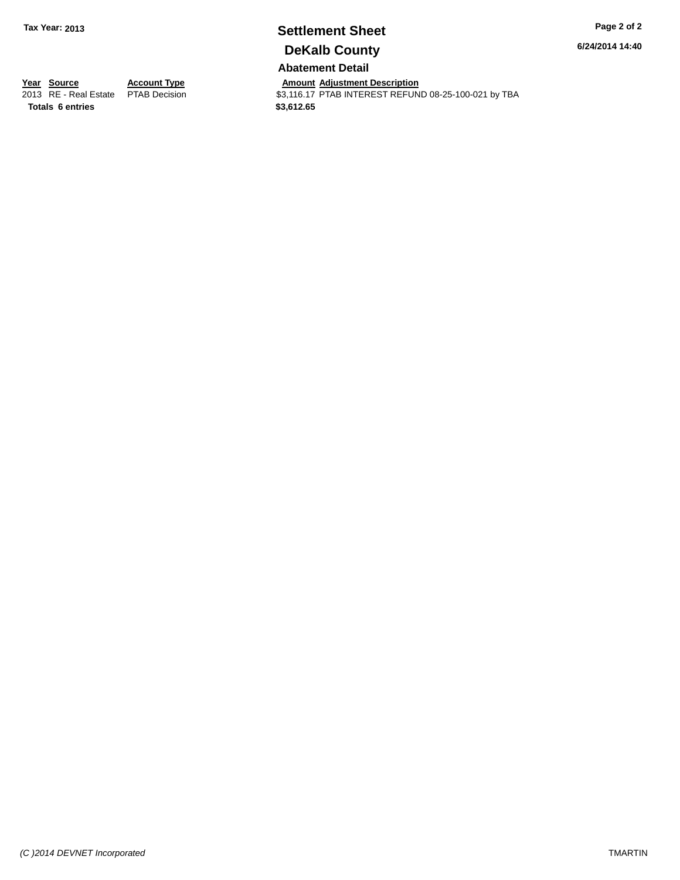# **Settlement Sheet Tax Year: 2013 Page 2 of 2 DeKalb County**

**6/24/2014 14:40**

## **Abatement Detail**

**Totals 6 entries \$3,612.65**

**Year Source Account Type And Amount Adjustment Description**<br>
2013 RE - Real Estate PTAB Decision **Amount Adjustment Description** \$3,116.17 PTAB INTEREST REFUND 08-25-100-021 by TBA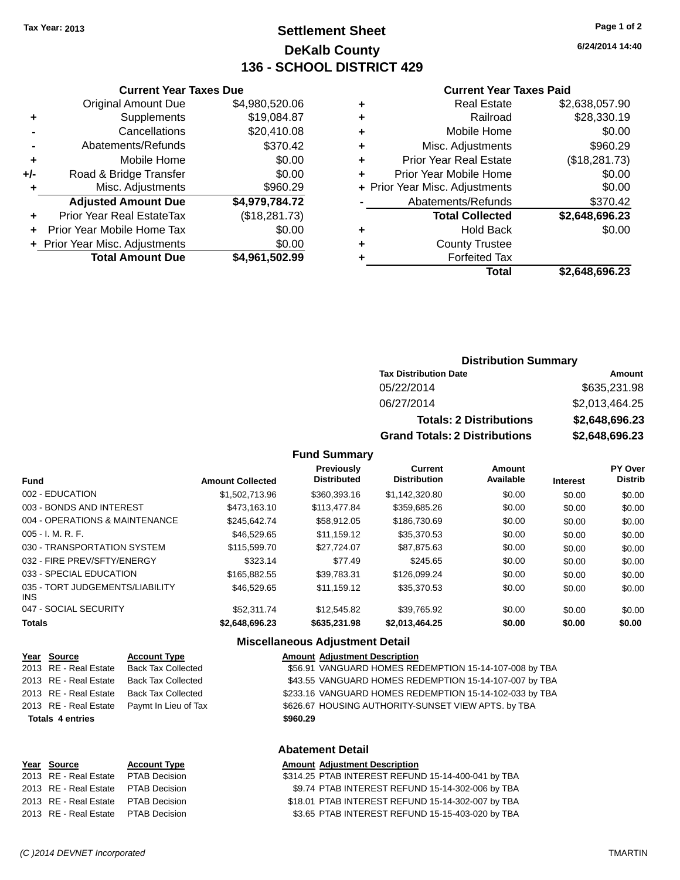## **Settlement Sheet Tax Year: 2013 Page 1 of 2 DeKalb County 136 - SCHOOL DISTRICT 429**

**6/24/2014 14:40**

#### **Current Year Taxes Paid**

|   | Total                          | \$2,648,696.23 |
|---|--------------------------------|----------------|
| ٠ | <b>Forfeited Tax</b>           |                |
| ٠ | <b>County Trustee</b>          |                |
| ٠ | <b>Hold Back</b>               | \$0.00         |
|   | <b>Total Collected</b>         | \$2,648,696.23 |
|   | Abatements/Refunds             | \$370.42       |
|   | + Prior Year Misc. Adjustments | \$0.00         |
| ÷ | Prior Year Mobile Home         | \$0.00         |
| ÷ | <b>Prior Year Real Estate</b>  | (\$18,281.73)  |
| ٠ | Misc. Adjustments              | \$960.29       |
| ٠ | Mobile Home                    | \$0.00         |
| ٠ | Railroad                       | \$28,330.19    |
| ٠ | <b>Real Estate</b>             | \$2,638,057.90 |
|   |                                |                |

| ινιαι                        |                             | <b>PL,UTU,UJU.LJ</b> |
|------------------------------|-----------------------------|----------------------|
|                              |                             |                      |
|                              |                             |                      |
|                              |                             |                      |
|                              |                             |                      |
|                              |                             |                      |
|                              |                             |                      |
|                              | <b>Distribution Summary</b> |                      |
| <b>Tax Distribution Date</b> |                             | Amount               |
| 0.5/22/2014                  |                             |                      |

| <b>Grand Totals: 2 Distributions</b> | \$2,648,696.23 |
|--------------------------------------|----------------|
| <b>Totals: 2 Distributions</b>       | \$2,648,696.23 |
| 06/27/2014                           | \$2,013,464.25 |
| 05/ <i>22</i> /2014                  | \$635,231.98   |

#### **Fund Summary**

| <b>Fund</b>                             | <b>Amount Collected</b> | Previously<br><b>Distributed</b> | <b>Current</b><br><b>Distribution</b> | <b>Amount</b><br>Available | <b>Interest</b> | <b>PY Over</b><br><b>Distrib</b> |
|-----------------------------------------|-------------------------|----------------------------------|---------------------------------------|----------------------------|-----------------|----------------------------------|
| 002 - EDUCATION                         | \$1.502.713.96          | \$360,393.16                     | \$1.142.320.80                        | \$0.00                     | \$0.00          | \$0.00                           |
| 003 - BONDS AND INTEREST                | \$473.163.10            | \$113,477.84                     | \$359.685.26                          | \$0.00                     | \$0.00          | \$0.00                           |
| 004 - OPERATIONS & MAINTENANCE          | \$245,642.74            | \$58,912.05                      | \$186,730.69                          | \$0.00                     | \$0.00          | \$0.00                           |
| $005 - I. M. R. F.$                     | \$46,529.65             | \$11.159.12                      | \$35,370.53                           | \$0.00                     | \$0.00          | \$0.00                           |
| 030 - TRANSPORTATION SYSTEM             | \$115,599.70            | \$27.724.07                      | \$87.875.63                           | \$0.00                     | \$0.00          | \$0.00                           |
| 032 - FIRE PREV/SFTY/ENERGY             | \$323.14                | \$77.49                          | \$245.65                              | \$0.00                     | \$0.00          | \$0.00                           |
| 033 - SPECIAL EDUCATION                 | \$165,882,55            | \$39.783.31                      | \$126,099.24                          | \$0.00                     | \$0.00          | \$0.00                           |
| 035 - TORT JUDGEMENTS/LIABILITY<br>INS. | \$46,529.65             | \$11.159.12                      | \$35,370.53                           | \$0.00                     | \$0.00          | \$0.00                           |
| 047 - SOCIAL SECURITY                   | \$52,311.74             | \$12,545.82                      | \$39.765.92                           | \$0.00                     | \$0.00          | \$0.00                           |
| <b>Totals</b>                           | \$2,648,696.23          | \$635,231,98                     | \$2,013,464.25                        | \$0.00                     | \$0.00          | \$0.00                           |

|                         | <b>Miscellaneous Adjustment Detail</b> |          |                                                         |  |  |
|-------------------------|----------------------------------------|----------|---------------------------------------------------------|--|--|
| Year Source             | <b>Account Type</b>                    |          | <b>Amount Adjustment Description</b>                    |  |  |
| 2013 RE - Real Estate   | <b>Back Tax Collected</b>              |          | \$56.91 VANGUARD HOMES REDEMPTION 15-14-107-008 by TBA  |  |  |
| 2013 RE - Real Estate   | Back Tax Collected                     |          | \$43.55 VANGUARD HOMES REDEMPTION 15-14-107-007 by TBA  |  |  |
| 2013 RE - Real Estate   | <b>Back Tax Collected</b>              |          | \$233.16 VANGUARD HOMES REDEMPTION 15-14-102-033 by TBA |  |  |
| 2013 RE - Real Estate   | Paymt In Lieu of Tax                   |          | \$626.67 HOUSING AUTHORITY-SUNSET VIEW APTS. by TBA     |  |  |
| <b>Totals 4 entries</b> |                                        | \$960.29 |                                                         |  |  |

**Current Year Taxes Due** Original Amount Due \$4,980,520.06

**Adjusted Amount Due \$4,979,784.72**

**Total Amount Due \$4,961,502.99**

**+** Supplements \$19,084.87 **-** Cancellations \$20,410.08 **-** Abatements/Refunds \$370.42 **+** Mobile Home \$0.00 **+/-** Road & Bridge Transfer \$0.00 **+** Misc. Adjustments \$960.29

**+** Prior Year Real EstateTax (\$18,281.73) **+** Prior Year Mobile Home Tax \$0.00 **+** Prior Year Misc. Adjustments  $$0.00$ 

#### **Abatement Detail**

| Year Source                          | <b>Account Type</b> | <b>Amount Adjustment Description</b>               |
|--------------------------------------|---------------------|----------------------------------------------------|
| 2013 RE - Real Estate  PTAB Decision |                     | \$314.25 PTAB INTEREST REFUND 15-14-400-041 by TBA |
| 2013 RE - Real Estate PTAB Decision  |                     | \$9.74 PTAB INTEREST REFUND 15-14-302-006 by TBA   |
| 2013 RE - Real Estate PTAB Decision  |                     | \$18.01 PTAB INTEREST REFUND 15-14-302-007 by TBA  |
| 2013 RE - Real Estate  PTAB Decision |                     | \$3.65 PTAB INTEREST REFUND 15-15-403-020 by TBA   |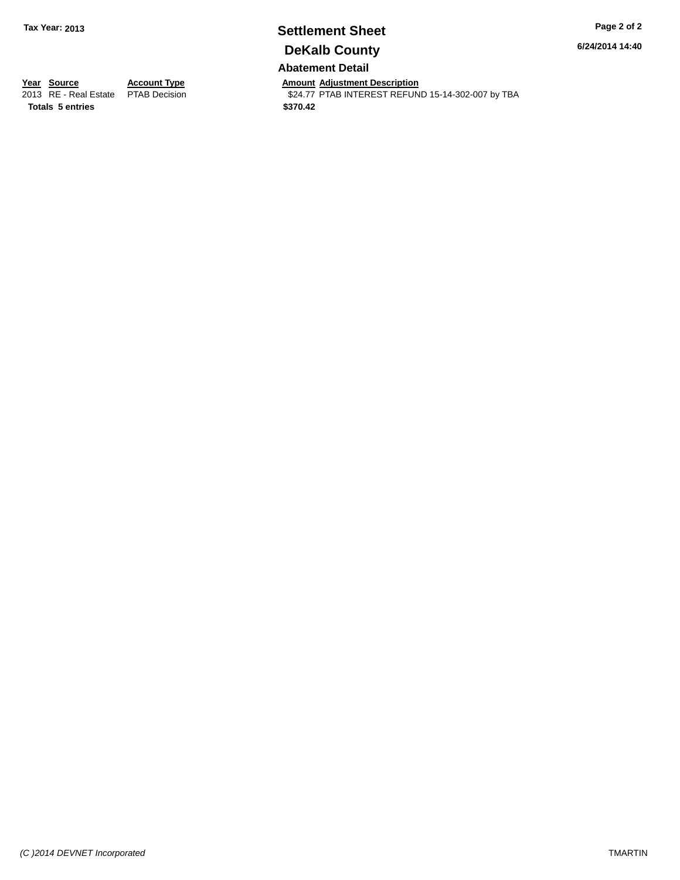# **Settlement Sheet Tax Year: 2013 Page 2 of 2 DeKalb County**

**6/24/2014 14:40**

### **Abatement Detail**

**Totals 5 entries \$370.42**

**Year Source Account Type And Amount Adjustment Description**<br>
2013 RE - Real Estate PTAB Decision **Amount Adjustment Description** \$24.77 PTAB INTEREST REFUND 15-14-302-007 by TBA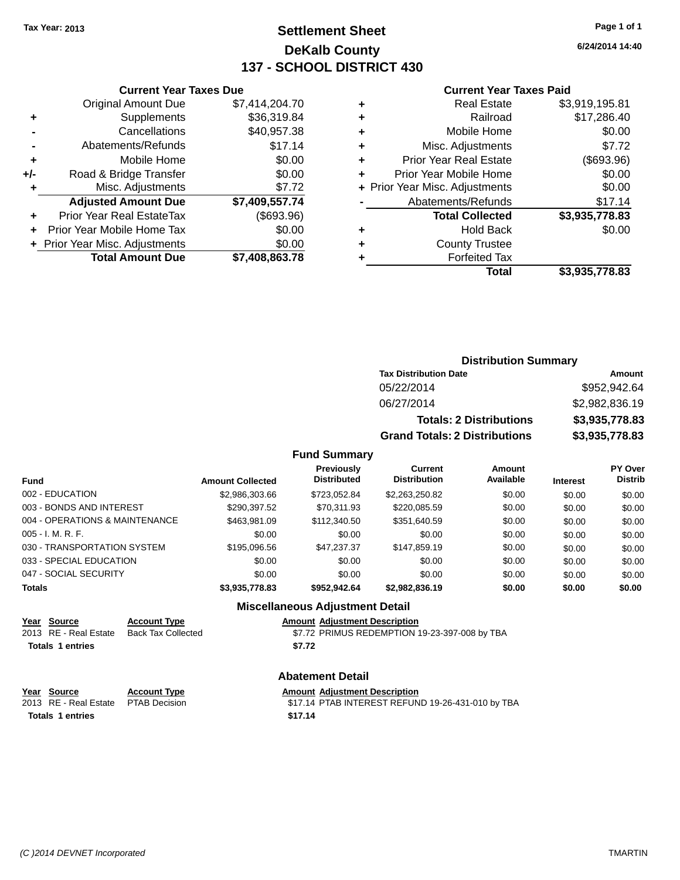## **Settlement Sheet Tax Year: 2013 Page 1 of 1 DeKalb County 137 - SCHOOL DISTRICT 430**

**6/24/2014 14:40**

#### **Current Year Taxes Paid**

|       | <b>Current Year Taxes Due</b>  |                |
|-------|--------------------------------|----------------|
|       | <b>Original Amount Due</b>     | \$7,414,204.70 |
| ٠     | Supplements                    | \$36,319.84    |
|       | Cancellations                  | \$40,957.38    |
|       | Abatements/Refunds             | \$17.14        |
| ٠     | Mobile Home                    | \$0.00         |
| $+/-$ | Road & Bridge Transfer         | \$0.00         |
| ٠     | Misc. Adjustments              | \$7.72         |
|       | <b>Adjusted Amount Due</b>     | \$7,409,557.74 |
|       | Prior Year Real EstateTax      | (\$693.96)     |
|       | Prior Year Mobile Home Tax     | \$0.00         |
|       | + Prior Year Misc. Adjustments | \$0.00         |
|       | <b>Total Amount Due</b>        | \$7,408,863.78 |
|       |                                |                |

| ٠ | <b>Real Estate</b>             | \$3,919,195.81 |
|---|--------------------------------|----------------|
| ٠ | Railroad                       | \$17,286.40    |
| ٠ | Mobile Home                    | \$0.00         |
| ٠ | Misc. Adjustments              | \$7.72         |
| ٠ | <b>Prior Year Real Estate</b>  | (\$693.96)     |
| ٠ | Prior Year Mobile Home         | \$0.00         |
|   | + Prior Year Misc. Adjustments | \$0.00         |
|   | Abatements/Refunds             | \$17.14        |
|   | <b>Total Collected</b>         | \$3,935,778.83 |
| ٠ | <b>Hold Back</b>               | \$0.00         |
|   | <b>County Trustee</b>          |                |
| ٠ | <b>Forfeited Tax</b>           |                |
|   | Total                          | \$3,935,778.83 |
|   |                                |                |

## **Distribution Summary Tax Distribution Date Amount** 05/22/2014 \$952,942.64 06/27/2014 \$2,982,836.19 **Totals: 2 Distributions \$3,935,778.83 Grand Totals: 2 Distributions \$3,935,778.83**

#### **Fund Summary**

| Fund                           | <b>Amount Collected</b> | Previously<br><b>Distributed</b> | Current<br><b>Distribution</b> | Amount<br>Available | <b>Interest</b> | PY Over<br><b>Distrib</b> |
|--------------------------------|-------------------------|----------------------------------|--------------------------------|---------------------|-----------------|---------------------------|
| 002 - EDUCATION                | \$2,986,303.66          | \$723.052.84                     | \$2,263,250.82                 | \$0.00              | \$0.00          | \$0.00                    |
| 003 - BONDS AND INTEREST       | \$290,397.52            | \$70.311.93                      | \$220,085.59                   | \$0.00              | \$0.00          | \$0.00                    |
| 004 - OPERATIONS & MAINTENANCE | \$463.981.09            | \$112,340.50                     | \$351,640.59                   | \$0.00              | \$0.00          | \$0.00                    |
| 005 - I. M. R. F.              | \$0.00                  | \$0.00                           | \$0.00                         | \$0.00              | \$0.00          | \$0.00                    |
| 030 - TRANSPORTATION SYSTEM    | \$195,096.56            | \$47.237.37                      | \$147.859.19                   | \$0.00              | \$0.00          | \$0.00                    |
| 033 - SPECIAL EDUCATION        | \$0.00                  | \$0.00                           | \$0.00                         | \$0.00              | \$0.00          | \$0.00                    |
| 047 - SOCIAL SECURITY          | \$0.00                  | \$0.00                           | \$0.00                         | \$0.00              | \$0.00          | \$0.00                    |
| <b>Totals</b>                  | \$3,935,778.83          | \$952,942.64                     | \$2,982,836.19                 | \$0.00              | \$0.00          | \$0.00                    |

#### **Miscellaneous Adjustment Detail**

| Year Source           | <b>Account Type</b> | <b>Amount Adjustment Description</b>          |
|-----------------------|---------------------|-----------------------------------------------|
| 2013 RE - Real Estate | Back Tax Collected  | \$7.72 PRIMUS REDEMPTION 19-23-397-008 by TBA |
| Totals 1 entries      |                     | \$7.72                                        |

#### **Abatement Detail**

**Year Source Account Type Amount Adjustment Description**<br>2013 RE - Real Estate PTAB Decision **Amount Adjustment Description** \$17.14 PTAB INTEREST REFUND 19-26-431-010 by TBA **Totals 1 entries \$17.14**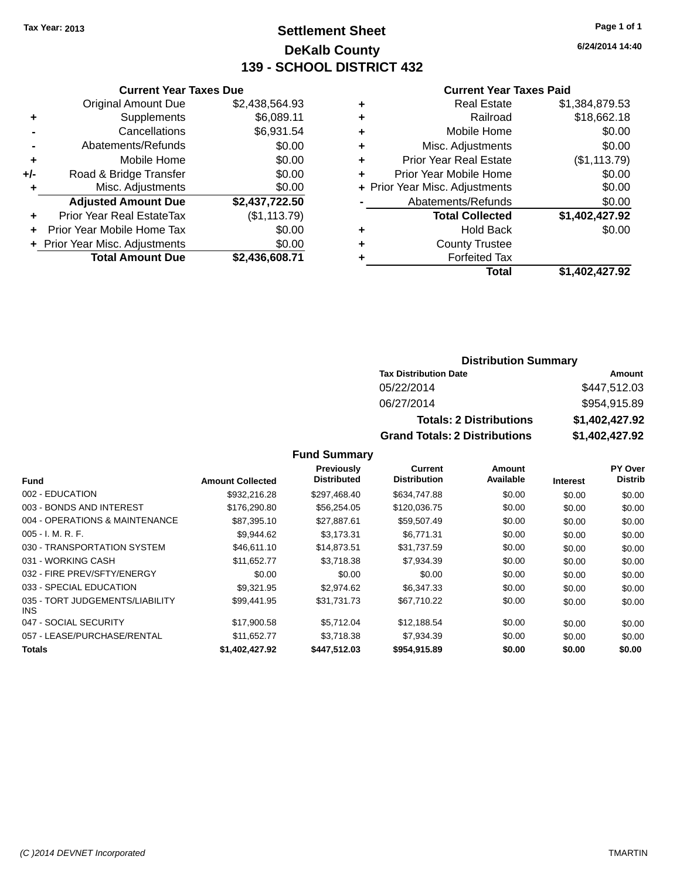## **Settlement Sheet Tax Year: 2013 Page 1 of 1 DeKalb County 139 - SCHOOL DISTRICT 432**

**6/24/2014 14:40**

#### **Current Year Taxes Paid**

|     | <b>Original Amount Due</b>       | \$2,438,564.93 |
|-----|----------------------------------|----------------|
| ٠   | Supplements                      | \$6,089.11     |
|     | Cancellations                    | \$6,931.54     |
|     | Abatements/Refunds               | \$0.00         |
| ٠   | Mobile Home                      | \$0.00         |
| +/- | Road & Bridge Transfer           | \$0.00         |
| ٠   | Misc. Adjustments                | \$0.00         |
|     | <b>Adjusted Amount Due</b>       | \$2,437,722.50 |
| ٠   | <b>Prior Year Real EstateTax</b> | (\$1,113.79)   |
| ٠   | Prior Year Mobile Home Tax       | \$0.00         |
|     | + Prior Year Misc. Adjustments   | \$0.00         |
|     | <b>Total Amount Due</b>          | \$2,436,608.71 |
|     |                                  |                |

**Current Year Taxes Due**

|   | <b>Real Estate</b>             | \$1,384,879.53 |
|---|--------------------------------|----------------|
| ٠ | Railroad                       | \$18,662.18    |
| ٠ | Mobile Home                    | \$0.00         |
| ٠ | Misc. Adjustments              | \$0.00         |
| ٠ | <b>Prior Year Real Estate</b>  | (\$1,113.79)   |
| ÷ | Prior Year Mobile Home         | \$0.00         |
|   | + Prior Year Misc. Adjustments | \$0.00         |
|   | Abatements/Refunds             | \$0.00         |
|   | <b>Total Collected</b>         | \$1,402,427.92 |
| ٠ | <b>Hold Back</b>               | \$0.00         |
| ٠ | <b>County Trustee</b>          |                |
| ٠ | <b>Forfeited Tax</b>           |                |
|   | Total                          | \$1,402,427.92 |
|   |                                |                |

#### **Distribution Summary Tax Distribution Date Amount** 05/22/2014 \$447,512.03 06/27/2014 \$954,915.89 **Totals: 2 Distributions \$1,402,427.92 Grand Totals: 2 Distributions \$1,402,427.92**

|                                               |                         | <b>Previously</b>  | Current             | <b>Amount</b> |                 | PY Over        |
|-----------------------------------------------|-------------------------|--------------------|---------------------|---------------|-----------------|----------------|
| <b>Fund</b>                                   | <b>Amount Collected</b> | <b>Distributed</b> | <b>Distribution</b> | Available     | <b>Interest</b> | <b>Distrib</b> |
| 002 - EDUCATION                               | \$932.216.28            | \$297,468.40       | \$634,747.88        | \$0.00        | \$0.00          | \$0.00         |
| 003 - BONDS AND INTEREST                      | \$176,290.80            | \$56.254.05        | \$120,036.75        | \$0.00        | \$0.00          | \$0.00         |
| 004 - OPERATIONS & MAINTENANCE                | \$87,395.10             | \$27,887.61        | \$59,507.49         | \$0.00        | \$0.00          | \$0.00         |
| $005 - I. M. R. F.$                           | \$9,944.62              | \$3.173.31         | \$6.771.31          | \$0.00        | \$0.00          | \$0.00         |
| 030 - TRANSPORTATION SYSTEM                   | \$46,611.10             | \$14,873.51        | \$31,737.59         | \$0.00        | \$0.00          | \$0.00         |
| 031 - WORKING CASH                            | \$11.652.77             | \$3.718.38         | \$7.934.39          | \$0.00        | \$0.00          | \$0.00         |
| 032 - FIRE PREV/SFTY/ENERGY                   | \$0.00                  | \$0.00             | \$0.00              | \$0.00        | \$0.00          | \$0.00         |
| 033 - SPECIAL EDUCATION                       | \$9,321.95              | \$2,974.62         | \$6,347.33          | \$0.00        | \$0.00          | \$0.00         |
| 035 - TORT JUDGEMENTS/LIABILITY<br><b>INS</b> | \$99.441.95             | \$31.731.73        | \$67,710.22         | \$0.00        | \$0.00          | \$0.00         |
| 047 - SOCIAL SECURITY                         | \$17,900.58             | \$5.712.04         | \$12,188.54         | \$0.00        | \$0.00          | \$0.00         |
| 057 - LEASE/PURCHASE/RENTAL                   | \$11,652.77             | \$3.718.38         | \$7,934.39          | \$0.00        | \$0.00          | \$0.00         |
| Totals                                        | \$1.402.427.92          | \$447.512.03       | \$954.915.89        | \$0.00        | \$0.00          | \$0.00         |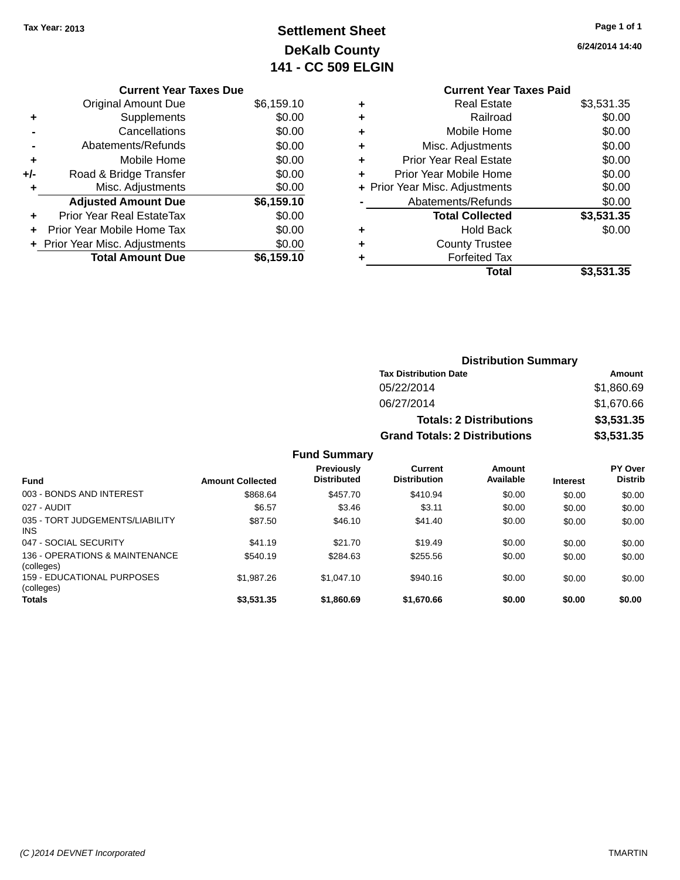## **Settlement Sheet Tax Year: 2013 Page 1 of 1 DeKalb County 141 - CC 509 ELGIN**

|     | <b>Current Year Taxes Due</b>  |            |
|-----|--------------------------------|------------|
|     | <b>Original Amount Due</b>     | \$6,159.10 |
| ٠   | Supplements                    | \$0.00     |
|     | Cancellations                  | \$0.00     |
|     | Abatements/Refunds             | \$0.00     |
| ٠   | Mobile Home                    | \$0.00     |
| +/- | Road & Bridge Transfer         | \$0.00     |
| ٠   | Misc. Adjustments              | \$0.00     |
|     | <b>Adjusted Amount Due</b>     | \$6,159.10 |
|     | Prior Year Real EstateTax      | \$0.00     |
|     | Prior Year Mobile Home Tax     | \$0.00     |
|     | + Prior Year Misc. Adjustments | \$0.00     |
|     | <b>Total Amount Due</b>        | \$6,159.10 |

## **Current Year Taxes Paid +** Real Estate \$3,531.35 **+** Railroad \$0.00

| ٠                              |
|--------------------------------|
| ÷                              |
|                                |
| + Prior Year Misc. Adjustments |
|                                |
|                                |
|                                |
| ٠                              |
|                                |
|                                |
|                                |

**6/24/2014 14:40**

| <b>Distribution Summary</b>          |            |
|--------------------------------------|------------|
| <b>Tax Distribution Date</b>         | Amount     |
| 05/22/2014                           | \$1,860.69 |
| 06/27/2014                           | \$1,670.66 |
| <b>Totals: 2 Distributions</b>       | \$3,531.35 |
| <b>Grand Totals: 2 Distributions</b> | \$3,531.35 |

| <b>Fund</b>                                   | <b>Amount Collected</b> | <b>Previously</b><br><b>Distributed</b> | Current<br><b>Distribution</b> | Amount<br>Available | <b>Interest</b> | <b>PY Over</b><br><b>Distrib</b> |
|-----------------------------------------------|-------------------------|-----------------------------------------|--------------------------------|---------------------|-----------------|----------------------------------|
| 003 - BONDS AND INTEREST                      | \$868.64                | \$457.70                                | \$410.94                       | \$0.00              | \$0.00          | \$0.00                           |
| 027 - AUDIT                                   | \$6.57                  | \$3.46                                  | \$3.11                         | \$0.00              | \$0.00          | \$0.00                           |
| 035 - TORT JUDGEMENTS/LIABILITY<br><b>INS</b> | \$87.50                 | \$46.10                                 | \$41.40                        | \$0.00              | \$0.00          | \$0.00                           |
| 047 - SOCIAL SECURITY                         | \$41.19                 | \$21.70                                 | \$19.49                        | \$0.00              | \$0.00          | \$0.00                           |
| 136 - OPERATIONS & MAINTENANCE<br>(colleges)  | \$540.19                | \$284.63                                | \$255.56                       | \$0.00              | \$0.00          | \$0.00                           |
| 159 - EDUCATIONAL PURPOSES<br>(colleges)      | \$1,987.26              | \$1.047.10                              | \$940.16                       | \$0.00              | \$0.00          | \$0.00                           |
| <b>Totals</b>                                 | \$3,531.35              | \$1,860.69                              | \$1,670.66                     | \$0.00              | \$0.00          | \$0.00                           |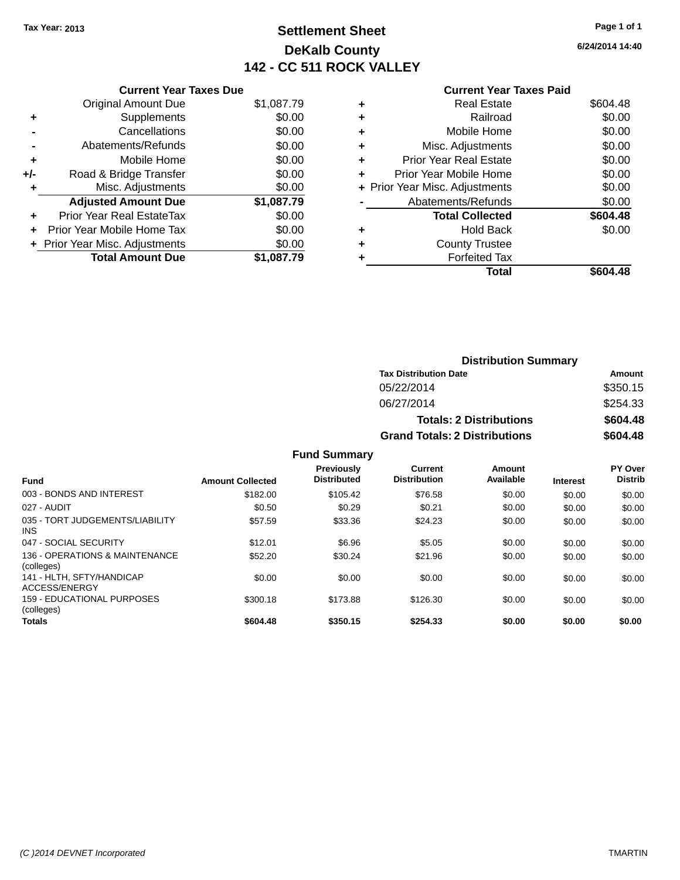## **Settlement Sheet Tax Year: 2013 Page 1 of 1 DeKalb County 142 - CC 511 ROCK VALLEY**

**6/24/2014 14:40**

#### **Current Year Taxes Paid**

|     | <b>Current Year Taxes Due</b>     |            |  |  |  |
|-----|-----------------------------------|------------|--|--|--|
|     | <b>Original Amount Due</b>        | \$1,087.79 |  |  |  |
| ٠   | Supplements                       | \$0.00     |  |  |  |
|     | Cancellations                     | \$0.00     |  |  |  |
|     | Abatements/Refunds                | \$0.00     |  |  |  |
| ٠   | Mobile Home                       | \$0.00     |  |  |  |
| +/- | Road & Bridge Transfer            | \$0.00     |  |  |  |
|     | Misc. Adjustments                 | \$0.00     |  |  |  |
|     | <b>Adjusted Amount Due</b>        | \$1,087.79 |  |  |  |
| ÷   | Prior Year Real EstateTax         | \$0.00     |  |  |  |
| ÷   | <b>Prior Year Mobile Home Tax</b> | \$0.00     |  |  |  |
|     | + Prior Year Misc. Adjustments    | \$0.00     |  |  |  |
|     | <b>Total Amount Due</b>           | \$1.087.79 |  |  |  |

|   | Real Estate                    | \$604.48 |
|---|--------------------------------|----------|
| ٠ | Railroad                       | \$0.00   |
| ٠ | Mobile Home                    | \$0.00   |
| ٠ | Misc. Adjustments              | \$0.00   |
| ٠ | <b>Prior Year Real Estate</b>  | \$0.00   |
| ÷ | Prior Year Mobile Home         | \$0.00   |
|   | + Prior Year Misc. Adjustments | \$0.00   |
|   | Abatements/Refunds             | \$0.00   |
|   | <b>Total Collected</b>         | \$604.48 |
| ٠ | <b>Hold Back</b>               | \$0.00   |
| ٠ | <b>County Trustee</b>          |          |
|   | <b>Forfeited Tax</b>           |          |
|   | Total                          | \$604.48 |
|   |                                |          |

| <b>Distribution Summary</b>          |          |
|--------------------------------------|----------|
| <b>Tax Distribution Date</b>         | Amount   |
| 05/22/2014                           | \$350.15 |
| 06/27/2014                           | \$254.33 |
| <b>Totals: 2 Distributions</b>       | \$604.48 |
| <b>Grand Totals: 2 Distributions</b> | \$604.48 |

| <b>Fund</b>                                     | <b>Amount Collected</b> | Previously<br><b>Distributed</b> | <b>Current</b><br><b>Distribution</b> | Amount<br>Available | <b>Interest</b> | PY Over<br><b>Distrib</b> |
|-------------------------------------------------|-------------------------|----------------------------------|---------------------------------------|---------------------|-----------------|---------------------------|
| 003 - BONDS AND INTEREST                        | \$182.00                | \$105.42                         | \$76.58                               | \$0.00              | \$0.00          | \$0.00                    |
| 027 - AUDIT                                     | \$0.50                  | \$0.29                           | \$0.21                                | \$0.00              | \$0.00          | \$0.00                    |
| 035 - TORT JUDGEMENTS/LIABILITY<br><b>INS</b>   | \$57.59                 | \$33.36                          | \$24.23                               | \$0.00              | \$0.00          | \$0.00                    |
| 047 - SOCIAL SECURITY                           | \$12.01                 | \$6.96                           | \$5.05                                | \$0.00              | \$0.00          | \$0.00                    |
| 136 - OPERATIONS & MAINTENANCE<br>(colleges)    | \$52.20                 | \$30.24                          | \$21.96                               | \$0.00              | \$0.00          | \$0.00                    |
| 141 - HLTH, SFTY/HANDICAP<br>ACCESS/ENERGY      | \$0.00                  | \$0.00                           | \$0.00                                | \$0.00              | \$0.00          | \$0.00                    |
| <b>159 - EDUCATIONAL PURPOSES</b><br>(colleges) | \$300.18                | \$173.88                         | \$126.30                              | \$0.00              | \$0.00          | \$0.00                    |
| <b>Totals</b>                                   | \$604.48                | \$350.15                         | \$254.33                              | \$0.00              | \$0.00          | \$0.00                    |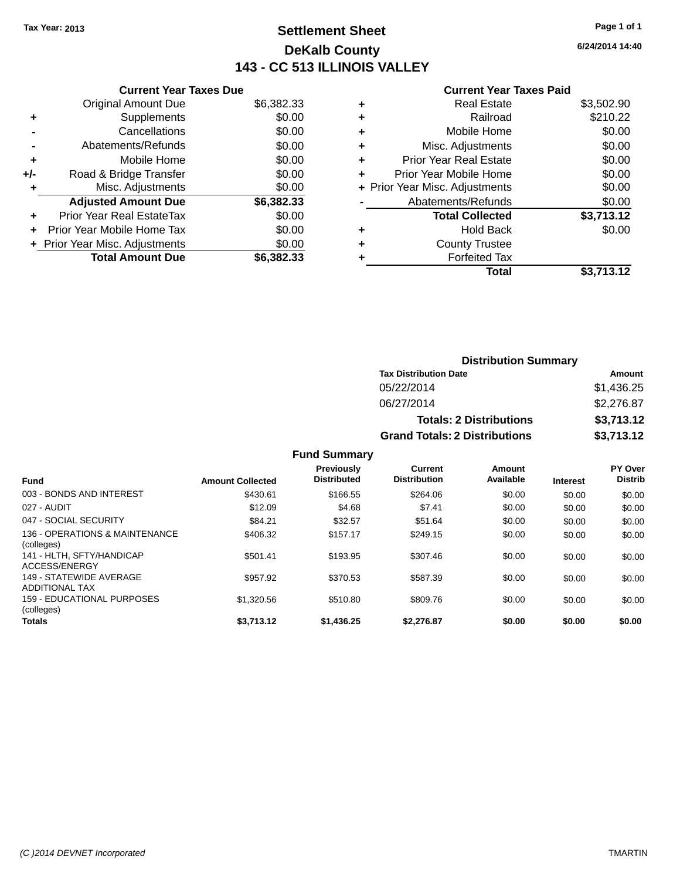## **Settlement Sheet Tax Year: 2013 Page 1 of 1 DeKalb County 143 - CC 513 ILLINOIS VALLEY**

**6/24/2014 14:40**

#### **Current Year Taxes Paid**

|     | <b>Current Year Taxes Due</b>  |            |  |  |  |
|-----|--------------------------------|------------|--|--|--|
|     | <b>Original Amount Due</b>     | \$6,382.33 |  |  |  |
| ÷   | Supplements                    | \$0.00     |  |  |  |
|     | Cancellations                  | \$0.00     |  |  |  |
|     | Abatements/Refunds             | \$0.00     |  |  |  |
| ٠   | Mobile Home                    | \$0.00     |  |  |  |
| +/- | Road & Bridge Transfer         | \$0.00     |  |  |  |
|     | Misc. Adjustments              | \$0.00     |  |  |  |
|     | <b>Adjusted Amount Due</b>     | \$6,382.33 |  |  |  |
| ÷   | Prior Year Real EstateTax      | \$0.00     |  |  |  |
| ٠   | Prior Year Mobile Home Tax     | \$0.00     |  |  |  |
|     | + Prior Year Misc. Adjustments | \$0.00     |  |  |  |
|     | <b>Total Amount Due</b>        | \$6,382,33 |  |  |  |

|   | <b>Real Estate</b>             | \$3,502.90 |
|---|--------------------------------|------------|
| ٠ | Railroad                       | \$210.22   |
| ٠ | Mobile Home                    | \$0.00     |
| ٠ | Misc. Adjustments              | \$0.00     |
| ٠ | <b>Prior Year Real Estate</b>  | \$0.00     |
| ÷ | Prior Year Mobile Home         | \$0.00     |
|   | + Prior Year Misc. Adjustments | \$0.00     |
|   | Abatements/Refunds             | \$0.00     |
|   | <b>Total Collected</b>         | \$3,713.12 |
| ٠ | <b>Hold Back</b>               | \$0.00     |
| ٠ | <b>County Trustee</b>          |            |
| ٠ | <b>Forfeited Tax</b>           |            |
|   | Total                          | \$3,713.12 |
|   |                                |            |

| <b>Distribution Summary</b>          |            |  |  |  |
|--------------------------------------|------------|--|--|--|
| <b>Tax Distribution Date</b>         | Amount     |  |  |  |
| 05/22/2014                           | \$1,436.25 |  |  |  |
| 06/27/2014                           | \$2,276.87 |  |  |  |
| <b>Totals: 2 Distributions</b>       | \$3,713.12 |  |  |  |
| <b>Grand Totals: 2 Distributions</b> | \$3,713.12 |  |  |  |

| <b>Fund</b>                                      | <b>Amount Collected</b> | <b>Previously</b><br><b>Distributed</b> | Current<br><b>Distribution</b> | Amount<br>Available | <b>Interest</b> | PY Over<br><b>Distrib</b> |
|--------------------------------------------------|-------------------------|-----------------------------------------|--------------------------------|---------------------|-----------------|---------------------------|
| 003 - BONDS AND INTEREST                         | \$430.61                | \$166.55                                | \$264.06                       | \$0.00              | \$0.00          | \$0.00                    |
| 027 - AUDIT                                      | \$12.09                 | \$4.68                                  | \$7.41                         | \$0.00              | \$0.00          | \$0.00                    |
| 047 - SOCIAL SECURITY                            | \$84.21                 | \$32.57                                 | \$51.64                        | \$0.00              | \$0.00          | \$0.00                    |
| 136 - OPERATIONS & MAINTENANCE<br>(colleges)     | \$406.32                | \$157.17                                | \$249.15                       | \$0.00              | \$0.00          | \$0.00                    |
| 141 - HLTH, SFTY/HANDICAP<br>ACCESS/ENERGY       | \$501.41                | \$193.95                                | \$307.46                       | \$0.00              | \$0.00          | \$0.00                    |
| 149 - STATEWIDE AVERAGE<br><b>ADDITIONAL TAX</b> | \$957.92                | \$370.53                                | \$587.39                       | \$0.00              | \$0.00          | \$0.00                    |
| 159 - EDUCATIONAL PURPOSES<br>(colleges)         | \$1,320.56              | \$510.80                                | \$809.76                       | \$0.00              | \$0.00          | \$0.00                    |
| <b>Totals</b>                                    | \$3,713.12              | \$1,436.25                              | \$2.276.87                     | \$0.00              | \$0.00          | \$0.00                    |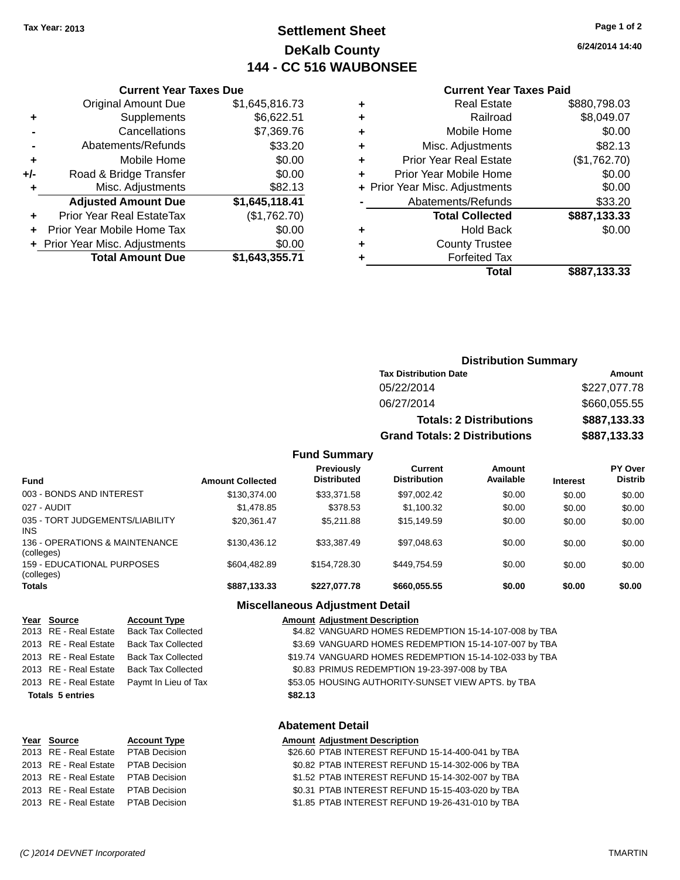## **Settlement Sheet Tax Year: 2013 Page 1 of 2 DeKalb County 144 - CC 516 WAUBONSEE**

**6/24/2014 14:40**

#### **Current Year Taxes Paid**

|     | <b>Current Year Taxes Due</b>            |                |  |  |  |
|-----|------------------------------------------|----------------|--|--|--|
|     | <b>Original Amount Due</b>               | \$1,645,816.73 |  |  |  |
| ٠   | Supplements                              | \$6,622.51     |  |  |  |
|     | Cancellations                            | \$7,369.76     |  |  |  |
|     | Abatements/Refunds                       | \$33.20        |  |  |  |
| ÷   | Mobile Home                              | \$0.00         |  |  |  |
| +/- | Road & Bridge Transfer                   | \$0.00         |  |  |  |
|     | Misc. Adjustments                        | \$82.13        |  |  |  |
|     | <b>Adjusted Amount Due</b>               | \$1,645,118.41 |  |  |  |
| ٠   | Prior Year Real EstateTax                | (\$1,762.70)   |  |  |  |
|     | Prior Year Mobile Home Tax               | \$0.00         |  |  |  |
|     | \$0.00<br>+ Prior Year Misc. Adjustments |                |  |  |  |
|     | <b>Total Amount Due</b>                  | \$1,643,355.71 |  |  |  |
|     |                                          |                |  |  |  |

|   | <b>Real Estate</b>             | \$880,798.03 |
|---|--------------------------------|--------------|
| ٠ | Railroad                       | \$8,049.07   |
| ٠ | Mobile Home                    | \$0.00       |
| ٠ | Misc. Adjustments              | \$82.13      |
| ٠ | <b>Prior Year Real Estate</b>  | (\$1,762.70) |
| ٠ | Prior Year Mobile Home         | \$0.00       |
|   | + Prior Year Misc. Adjustments | \$0.00       |
|   | Abatements/Refunds             | \$33.20      |
|   | <b>Total Collected</b>         | \$887,133.33 |
|   | <b>Hold Back</b>               | \$0.00       |
| ٠ | <b>County Trustee</b>          |              |
|   | <b>Forfeited Tax</b>           |              |
|   | Total                          | \$887,133.33 |
|   |                                |              |

| <b>Distribution Summary</b>          |              |  |  |
|--------------------------------------|--------------|--|--|
| <b>Tax Distribution Date</b>         | Amount       |  |  |
| 05/22/2014                           | \$227,077.78 |  |  |
| 06/27/2014                           | \$660,055.55 |  |  |
| <b>Totals: 2 Distributions</b>       | \$887,133.33 |  |  |
| <b>Grand Totals: 2 Distributions</b> | \$887,133.33 |  |  |

#### **Fund Summary**

| <b>Fund</b>                                   | <b>Amount Collected</b> | <b>Previously</b><br><b>Distributed</b> | Current<br><b>Distribution</b> | Amount<br>Available | <b>Interest</b> | PY Over<br><b>Distrib</b> |
|-----------------------------------------------|-------------------------|-----------------------------------------|--------------------------------|---------------------|-----------------|---------------------------|
| 003 - BONDS AND INTEREST                      | \$130,374,00            | \$33,371.58                             | \$97,002.42                    | \$0.00              | \$0.00          | \$0.00                    |
| 027 - AUDIT                                   | \$1,478.85              | \$378.53                                | \$1,100.32                     | \$0.00              | \$0.00          | \$0.00                    |
| 035 - TORT JUDGEMENTS/LIABILITY<br><b>INS</b> | \$20.361.47             | \$5.211.88                              | \$15,149.59                    | \$0.00              | \$0.00          | \$0.00                    |
| 136 - OPERATIONS & MAINTENANCE<br>(colleges)  | \$130,436.12            | \$33,387.49                             | \$97,048.63                    | \$0.00              | \$0.00          | \$0.00                    |
| 159 - EDUCATIONAL PURPOSES<br>(colleges)      | \$604.482.89            | \$154,728,30                            | \$449.754.59                   | \$0.00              | \$0.00          | \$0.00                    |
| <b>Totals</b>                                 | \$887,133.33            | \$227.077.78                            | \$660,055.55                   | \$0.00              | \$0.00          | \$0.00                    |

#### **Year Source <b>Account Type**  $\overline{2013}$  RE - Real Estate Back Tax Collected 2013 RE - Real Estate Back Tax Collected 2013 RE - Real Estate Back Tax Collected 2013 RE - Real Estate Back Tax Collected 2013 RE - Real Estate Paymt In Lieu of Tax **Totals 5 entries**

## **Miscellaneous Adjustment Detail**

|         | <b>Amount Adjustment Description</b>                   |
|---------|--------------------------------------------------------|
|         | \$4.82 VANGUARD HOMES REDEMPTION 15-14-107-008 by TBA  |
|         | \$3.69 VANGUARD HOMES REDEMPTION 15-14-107-007 by TBA  |
|         | \$19.74 VANGUARD HOMES REDEMPTION 15-14-102-033 by TBA |
|         | \$0.83 PRIMUS REDEMPTION 19-23-397-008 by TBA          |
|         | \$53.05 HOUSING AUTHORITY-SUNSET VIEW APTS. by TBA     |
| \$82.13 |                                                        |

#### **Abatement Detail**

| Year Source                         | <b>Account Type</b> | <b>Amount Adjustment Description</b>              |
|-------------------------------------|---------------------|---------------------------------------------------|
| 2013 RE - Real Estate PTAB Decision |                     | \$26.60 PTAB INTEREST REFUND 15-14-400-041 by TBA |
| 2013 RE - Real Estate               | PTAB Decision       | \$0.82 PTAB INTEREST REFUND 15-14-302-006 by TBA  |
| 2013 RE - Real Estate PTAB Decision |                     | \$1.52 PTAB INTEREST REFUND 15-14-302-007 by TBA  |
| 2013 RE - Real Estate PTAB Decision |                     | \$0.31 PTAB INTEREST REFUND 15-15-403-020 by TBA  |
| 2013 RE - Real Estate PTAB Decision |                     | \$1.85 PTAB INTEREST REFUND 19-26-431-010 by TBA  |
|                                     |                     |                                                   |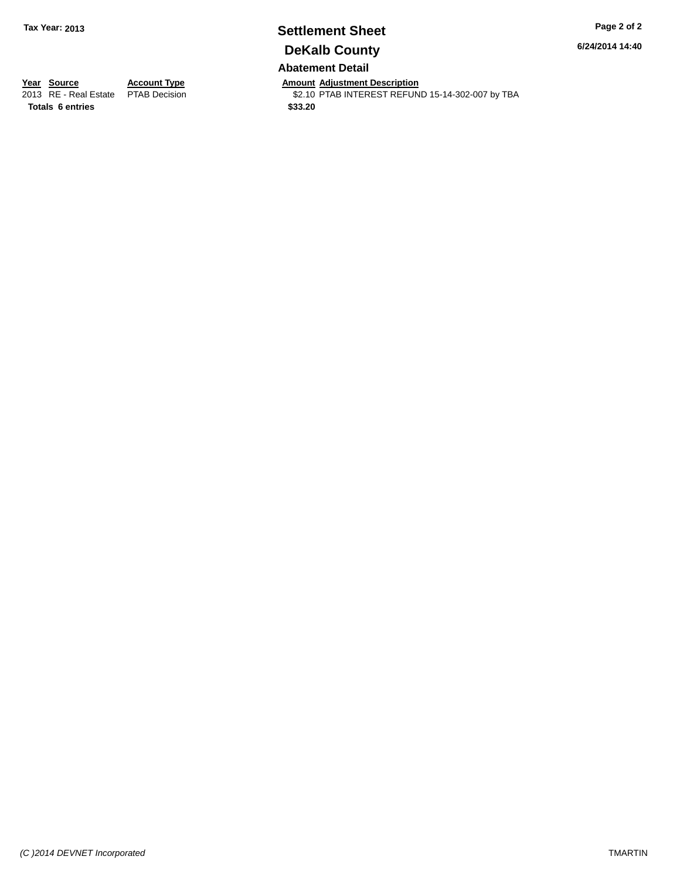# **Settlement Sheet Tax Year: 2013 Page 2 of 2 DeKalb County**

**6/24/2014 14:40**

**Abatement Detail**

**Totals 6 entries \$33.20**

**Year Source Account Type Anneunt Adjustment Description**<br>
2013 RE - Real Estate PTAB Decision **Amount Adjustment Description** \$2.10 PTAB INTEREST REFUND 15-14-302-007 by TBA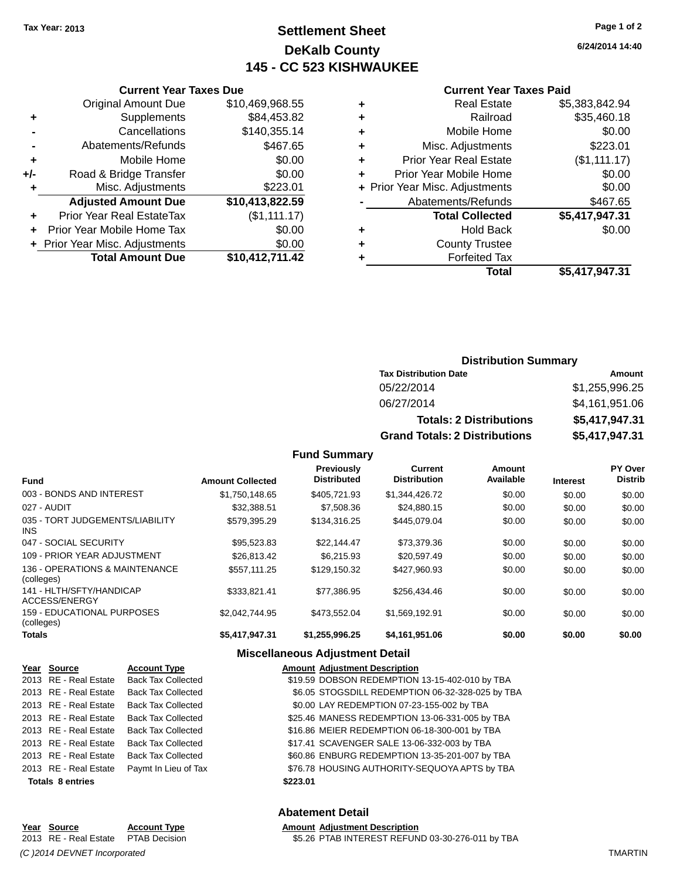## **Settlement Sheet Tax Year: 2013 Page 1 of 2 DeKalb County 145 - CC 523 KISHWAUKEE**

#### **Current Year Taxes Paid**

|       | <b>Total Amount Due</b>          | \$10,412,711.42 |
|-------|----------------------------------|-----------------|
|       | + Prior Year Misc. Adjustments   | \$0.00          |
|       | Prior Year Mobile Home Tax       | \$0.00          |
| ٠     | <b>Prior Year Real EstateTax</b> | (\$1,111.17)    |
|       | <b>Adjusted Amount Due</b>       | \$10,413,822.59 |
| ٠     | Misc. Adjustments                | \$223.01        |
| $+/-$ | Road & Bridge Transfer           | \$0.00          |
| ٠     | Mobile Home                      | \$0.00          |
|       | Abatements/Refunds               | \$467.65        |
|       | Cancellations                    | \$140,355.14    |
| ٠     | Supplements                      | \$84,453.82     |
|       | <b>Original Amount Due</b>       | \$10,469,968.55 |
|       |                                  |                 |

**Current Year Taxes Due**

|   | <b>Real Estate</b>             | \$5,383,842.94 |
|---|--------------------------------|----------------|
| ٠ | Railroad                       | \$35,460.18    |
| ٠ | Mobile Home                    | \$0.00         |
| ٠ | Misc. Adjustments              | \$223.01       |
| ٠ | <b>Prior Year Real Estate</b>  | (\$1,111.17)   |
| ÷ | Prior Year Mobile Home         | \$0.00         |
|   | + Prior Year Misc. Adjustments | \$0.00         |
|   | Abatements/Refunds             | \$467.65       |
|   | <b>Total Collected</b>         | \$5,417,947.31 |
| ٠ | <b>Hold Back</b>               | \$0.00         |
| ٠ | <b>County Trustee</b>          |                |
| ٠ | <b>Forfeited Tax</b>           |                |
|   | Total                          | \$5,417,947.31 |
|   |                                |                |

### **Distribution Summary Tax Distribution Date Amount** 05/22/2014 \$1,255,996.25 06/27/2014 \$4,161,951.06 **Totals: 2 Distributions \$5,417,947.31 Grand Totals: 2 Distributions \$5,417,947.31**

#### **Fund Summary**

| <b>Fund</b>                                  | <b>Amount Collected</b> | <b>Previously</b><br><b>Distributed</b> | Current<br><b>Distribution</b> | Amount<br>Available | <b>Interest</b> | PY Over<br><b>Distrib</b> |
|----------------------------------------------|-------------------------|-----------------------------------------|--------------------------------|---------------------|-----------------|---------------------------|
| 003 - BONDS AND INTEREST                     | \$1.750.148.65          | \$405.721.93                            | \$1,344,426.72                 | \$0.00              | \$0.00          | \$0.00                    |
| 027 - AUDIT                                  | \$32,388.51             | \$7,508.36                              | \$24.880.15                    | \$0.00              | \$0.00          | \$0.00                    |
| 035 - TORT JUDGEMENTS/LIABILITY<br>INS.      | \$579.395.29            | \$134,316,25                            | \$445.079.04                   | \$0.00              | \$0.00          | \$0.00                    |
| 047 - SOCIAL SECURITY                        | \$95,523.83             | \$22.144.47                             | \$73,379.36                    | \$0.00              | \$0.00          | \$0.00                    |
| 109 - PRIOR YEAR ADJUSTMENT                  | \$26,813.42             | \$6.215.93                              | \$20.597.49                    | \$0.00              | \$0.00          | \$0.00                    |
| 136 - OPERATIONS & MAINTENANCE<br>(colleges) | \$557.111.25            | \$129.150.32                            | \$427.960.93                   | \$0.00              | \$0.00          | \$0.00                    |
| 141 - HLTH/SFTY/HANDICAP<br>ACCESS/ENERGY    | \$333,821.41            | \$77.386.95                             | \$256.434.46                   | \$0.00              | \$0.00          | \$0.00                    |
| 159 - EDUCATIONAL PURPOSES<br>(colleges)     | \$2.042.744.95          | \$473.552.04                            | \$1.569.192.91                 | \$0.00              | \$0.00          | \$0.00                    |
| Totals                                       | \$5,417,947.31          | \$1,255,996.25                          | \$4,161,951.06                 | \$0.00              | \$0.00          | \$0.00                    |

#### **Miscellaneous Adjustment Detail**

|                         | Year Source           | <b>Account Type</b>       | <b>Amount Adjustment Description</b>             |
|-------------------------|-----------------------|---------------------------|--------------------------------------------------|
|                         | 2013 RE - Real Estate | <b>Back Tax Collected</b> | \$19.59 DOBSON REDEMPTION 13-15-402-010 by TBA   |
|                         | 2013 RE - Real Estate | <b>Back Tax Collected</b> | \$6.05 STOGSDILL REDEMPTION 06-32-328-025 by TBA |
|                         | 2013 RE - Real Estate | <b>Back Tax Collected</b> | \$0.00 LAY REDEMPTION 07-23-155-002 by TBA       |
|                         | 2013 RE - Real Estate | <b>Back Tax Collected</b> | \$25.46 MANESS REDEMPTION 13-06-331-005 by TBA   |
|                         | 2013 RE - Real Estate | <b>Back Tax Collected</b> | \$16.86 MEIER REDEMPTION 06-18-300-001 by TBA    |
|                         | 2013 RE - Real Estate | <b>Back Tax Collected</b> | \$17.41 SCAVENGER SALE 13-06-332-003 by TBA      |
|                         | 2013 RE - Real Estate | <b>Back Tax Collected</b> | \$60.86 ENBURG REDEMPTION 13-35-201-007 by TBA   |
|                         | 2013 RE - Real Estate | Paymt In Lieu of Tax      | \$76.78 HOUSING AUTHORITY-SEQUOYA APTS by TBA    |
| <b>Totals 8 entries</b> |                       |                           | \$223.01                                         |

#### **Abatement Detail**

## **Year Source Account Type Amount Adjustment Description**<br>2013 RE - Real Estate PTAB Decision **Amount SEAC PTAB INTEREST REFUN** *(C )2014 DEVNET Incorporated* TMARTIN

\$5.26 PTAB INTEREST REFUND 03-30-276-011 by TBA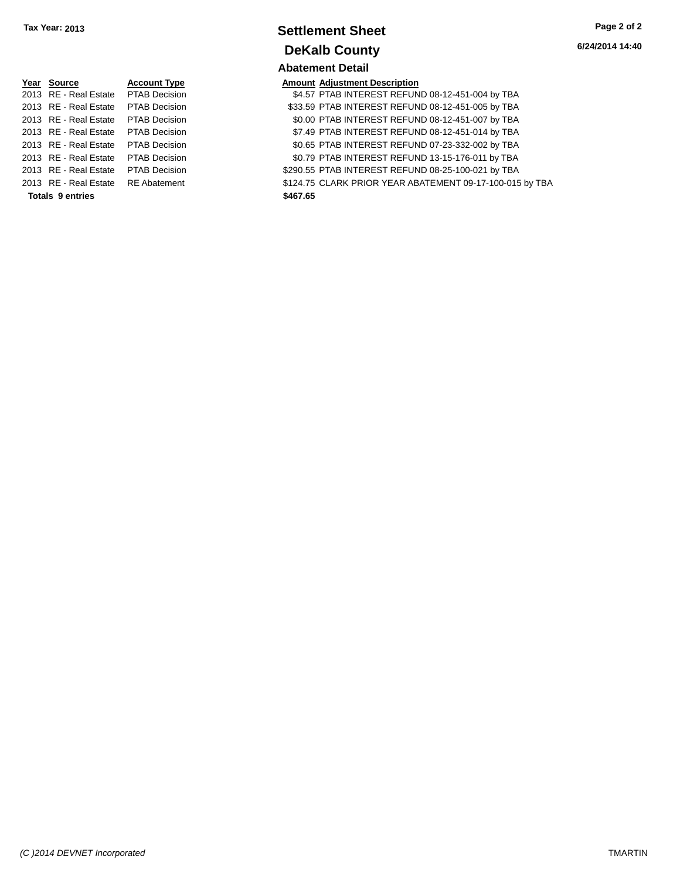| Year Source                         | <b>Account Type</b>  |          | <b>Amount Adjustment Description</b> |
|-------------------------------------|----------------------|----------|--------------------------------------|
| 2013 RE - Real Estate PTAB Decision |                      |          | \$4.57 PTAB INTEREST REFUN           |
| 2013 RE - Real Estate PTAB Decision |                      |          | \$33.59 PTAB INTEREST REFUN          |
| 2013 RE - Real Estate PTAB Decision |                      |          | \$0.00 PTAB INTEREST REFUN           |
| 2013 RE - Real Estate PTAB Decision |                      |          | \$7.49 PTAB INTEREST REFUN           |
| 2013 RE - Real Estate PTAB Decision |                      |          | \$0.65 PTAB INTEREST REFUN           |
| 2013 RE - Real Estate               | <b>PTAB Decision</b> |          | \$0.79 PTAB INTEREST REFUN           |
| 2013 RE - Real Estate               | <b>PTAB Decision</b> |          | \$290.55 PTAB INTEREST REFUN         |
| 2013 RE - Real Estate RE Abatement  |                      |          | \$124.75 CLARK PRIOR YEAR AB         |
| <b>Totals 9 entries</b>             |                      | \$467.65 |                                      |
|                                     |                      |          |                                      |

# **Settlement Sheet Tax Year: 2013 Page 2 of 2 DeKalb County**

**6/24/2014 14:40**

**Abatement Detail**

|                  | Year Source           | <b>Account Type</b>  | <b>Amount Adjustment Description</b>                     |
|------------------|-----------------------|----------------------|----------------------------------------------------------|
|                  | 2013 RE - Real Estate | PTAB Decision        | \$4.57 PTAB INTEREST REFUND 08-12-451-004 by TBA         |
|                  | 2013 RE - Real Estate | PTAB Decision        | \$33.59 PTAB INTEREST REFUND 08-12-451-005 by TBA        |
|                  | 2013 RE - Real Estate | PTAB Decision        | \$0.00 PTAB INTEREST REFUND 08-12-451-007 by TBA         |
|                  | 2013 RE - Real Estate | <b>PTAB Decision</b> | \$7.49 PTAB INTEREST REFUND 08-12-451-014 by TBA         |
|                  | 2013 RE - Real Estate | <b>PTAB Decision</b> | \$0.65 PTAB INTEREST REFUND 07-23-332-002 by TBA         |
|                  | 2013 RE - Real Estate | PTAB Decision        | \$0.79 PTAB INTEREST REFUND 13-15-176-011 by TBA         |
|                  | 2013 RE - Real Estate | <b>PTAB Decision</b> | \$290.55 PTAB INTEREST REFUND 08-25-100-021 by TBA       |
|                  | 2013 RE - Real Estate | <b>RE</b> Abatement  | \$124.75 CLARK PRIOR YEAR ABATEMENT 09-17-100-015 by TBA |
| Totals 9 entries |                       |                      | \$467.65                                                 |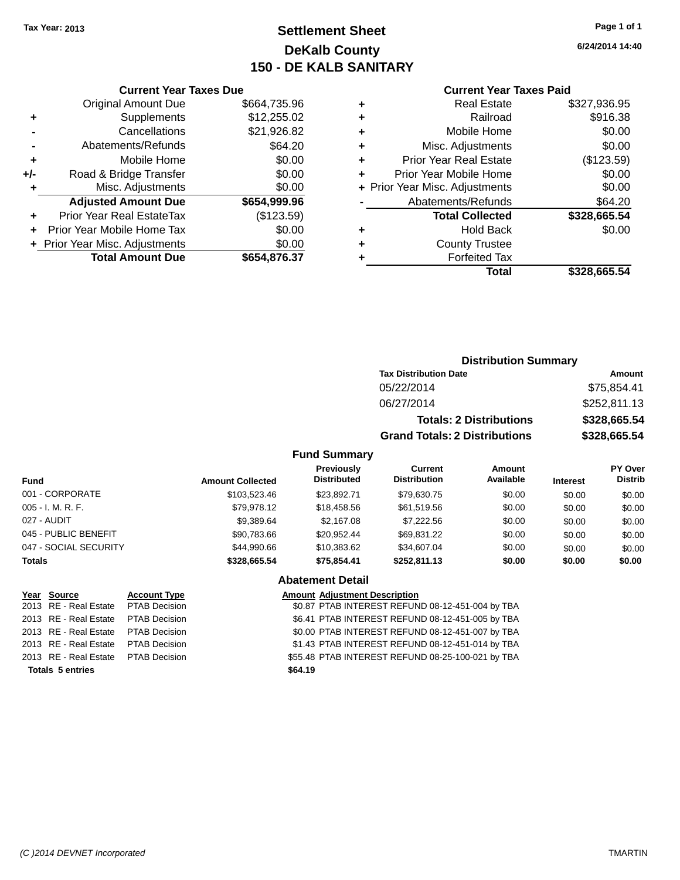## **Settlement Sheet Tax Year: 2013 Page 1 of 1 DeKalb County 150 - DE KALB SANITARY**

**6/24/2014 14:40**

|     | <b>Current Year Taxes Due</b>  |              |  |  |
|-----|--------------------------------|--------------|--|--|
|     | <b>Original Amount Due</b>     | \$664,735.96 |  |  |
| ٠   | Supplements                    | \$12,255.02  |  |  |
|     | Cancellations                  | \$21,926.82  |  |  |
|     | Abatements/Refunds             | \$64.20      |  |  |
| ٠   | Mobile Home                    | \$0.00       |  |  |
| +/- | Road & Bridge Transfer         | \$0.00       |  |  |
| ٠   | Misc. Adjustments              | \$0.00       |  |  |
|     | <b>Adjusted Amount Due</b>     | \$654,999.96 |  |  |
| ٠   | Prior Year Real EstateTax      | (\$123.59)   |  |  |
|     | Prior Year Mobile Home Tax     | \$0.00       |  |  |
|     | + Prior Year Misc. Adjustments | \$0.00       |  |  |
|     | <b>Total Amount Due</b>        | \$654,876.37 |  |  |
|     |                                |              |  |  |

#### **Current Year Taxes Paid**

| ٠ | <b>Real Estate</b>             | \$327,936.95 |
|---|--------------------------------|--------------|
| ÷ | Railroad                       | \$916.38     |
| ٠ | Mobile Home                    | \$0.00       |
| ٠ | Misc. Adjustments              | \$0.00       |
| ٠ | <b>Prior Year Real Estate</b>  | (\$123.59)   |
| ٠ | Prior Year Mobile Home         | \$0.00       |
|   | + Prior Year Misc. Adjustments | \$0.00       |
|   | Abatements/Refunds             | \$64.20      |
|   | <b>Total Collected</b>         | \$328,665.54 |
| ٠ | <b>Hold Back</b>               | \$0.00       |
| ٠ | <b>County Trustee</b>          |              |
| ٠ | <b>Forfeited Tax</b>           |              |
|   | Total                          | \$328,665.54 |
|   |                                |              |

## **Distribution Summary Tax Distribution Date Amount** 05/22/2014 \$75,854.41 06/27/2014 \$252,811.13 **Totals: 2 Distributions \$328,665.54 Grand Totals: 2 Distributions \$328,665.54**

#### **Fund Summary**

| Fund                  | <b>Amount Collected</b> | Previously<br><b>Distributed</b> | Current<br><b>Distribution</b> | Amount<br>Available | <b>Interest</b> | PY Over<br><b>Distrib</b> |
|-----------------------|-------------------------|----------------------------------|--------------------------------|---------------------|-----------------|---------------------------|
| 001 - CORPORATE       | \$103.523.46            | \$23.892.71                      | \$79.630.75                    | \$0.00              | \$0.00          | \$0.00                    |
| 005 - I. M. R. F.     | \$79.978.12             | \$18,458.56                      | \$61,519.56                    | \$0.00              | \$0.00          | \$0.00                    |
| 027 - AUDIT           | \$9,389.64              | \$2.167.08                       | \$7,222.56                     | \$0.00              | \$0.00          | \$0.00                    |
| 045 - PUBLIC BENEFIT  | \$90.783.66             | \$20.952.44                      | \$69.831.22                    | \$0.00              | \$0.00          | \$0.00                    |
| 047 - SOCIAL SECURITY | \$44.990.66             | \$10.383.62                      | \$34,607.04                    | \$0.00              | \$0.00          | \$0.00                    |
| <b>Totals</b>         | \$328,665.54            | \$75.854.41                      | \$252,811.13                   | \$0.00              | \$0.00          | \$0.00                    |

# **Abatement Detail**

**Year Source Account Type Amount Adjustment Description** \$0.87 PTAB INTEREST REFUND 08-12-451-004 by TBA 2013 RE - Real Estate PTAB Decision \$6.41 PTAB INTEREST REFUND 08-12-451-005 by TBA 2013 RE - Real Estate PTAB Decision \$0.00 PTAB INTEREST REFUND 08-12-451-007 by TBA 2013 RE - Real Estate PTAB Decision \$1.43 PTAB INTEREST REFUND 08-12-451-014 by TBA 2013 RE - Real Estate PTAB Decision \$55.48 PTAB INTEREST REFUND 08-25-100-021 by TBA **Totals 5 entries \$64.19**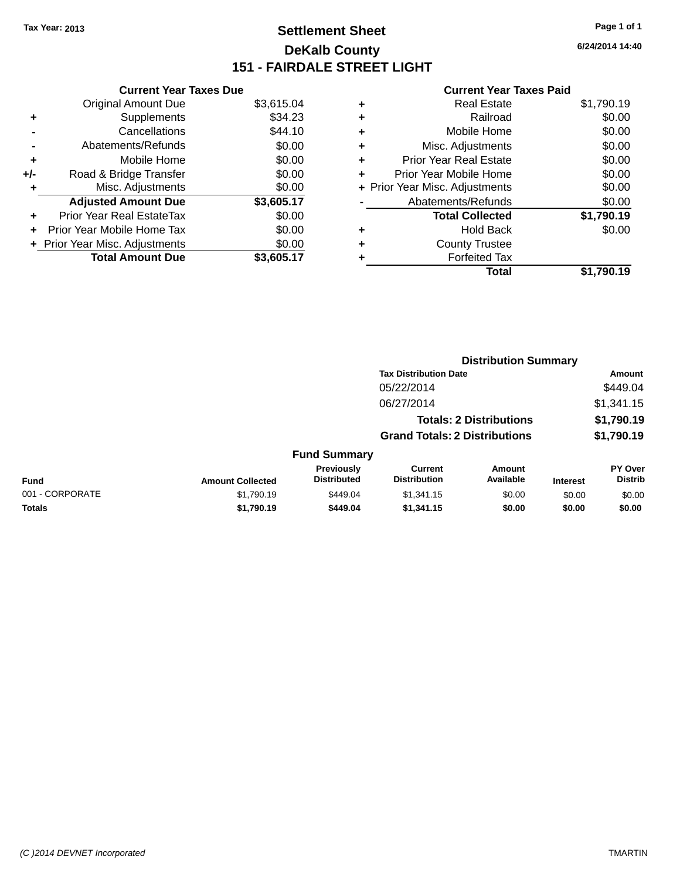## **Settlement Sheet Tax Year: 2013 Page 1 of 1 DeKalb County 151 - FAIRDALE STREET LIGHT**

**6/24/2014 14:40**

|     | <b>Current Year Taxes Due</b>  |            |
|-----|--------------------------------|------------|
|     | <b>Original Amount Due</b>     | \$3,615.04 |
| ÷   | Supplements                    | \$34.23    |
|     | Cancellations                  | \$44.10    |
|     | Abatements/Refunds             | \$0.00     |
| ٠   | Mobile Home                    | \$0.00     |
| +/- | Road & Bridge Transfer         | \$0.00     |
|     | Misc. Adjustments              | \$0.00     |
|     | <b>Adjusted Amount Due</b>     | \$3,605.17 |
| ÷   | Prior Year Real EstateTax      | \$0.00     |
| ٠   | Prior Year Mobile Home Tax     | \$0.00     |
|     | + Prior Year Misc. Adjustments | \$0.00     |
|     | <b>Total Amount Due</b>        | \$3,605.17 |

| ٠ | <b>Real Estate</b>             | \$1,790.19 |
|---|--------------------------------|------------|
| ٠ | Railroad                       | \$0.00     |
| ٠ | Mobile Home                    | \$0.00     |
| ٠ | Misc. Adjustments              | \$0.00     |
| ٠ | <b>Prior Year Real Estate</b>  | \$0.00     |
| ٠ | Prior Year Mobile Home         | \$0.00     |
|   | + Prior Year Misc. Adjustments | \$0.00     |
|   | Abatements/Refunds             | \$0.00     |
|   | <b>Total Collected</b>         | \$1,790.19 |
| ٠ | <b>Hold Back</b>               | \$0.00     |
| ٠ | <b>County Trustee</b>          |            |
| ٠ | <b>Forfeited Tax</b>           |            |
|   | Total                          | \$1.790.19 |
|   |                                |            |

|                 |                         |                                  | <b>Distribution Summary</b>           |                     |                 |                           |  |
|-----------------|-------------------------|----------------------------------|---------------------------------------|---------------------|-----------------|---------------------------|--|
|                 |                         |                                  | <b>Tax Distribution Date</b>          |                     |                 | Amount                    |  |
|                 | 05/22/2014              |                                  |                                       | \$449.04            |                 |                           |  |
|                 |                         |                                  | 06/27/2014                            |                     |                 | \$1,341.15                |  |
|                 |                         |                                  | <b>Totals: 2 Distributions</b>        |                     |                 | \$1,790.19                |  |
|                 |                         |                                  | <b>Grand Totals: 2 Distributions</b>  |                     |                 | \$1,790.19                |  |
|                 |                         | <b>Fund Summary</b>              |                                       |                     |                 |                           |  |
| <b>Fund</b>     | <b>Amount Collected</b> | Previously<br><b>Distributed</b> | <b>Current</b><br><b>Distribution</b> | Amount<br>Available | <b>Interest</b> | PY Over<br><b>Distrib</b> |  |
| 001 - CORPORATE | \$1,790.19              | \$449.04                         | \$1,341.15                            | \$0.00              | \$0.00          | \$0.00                    |  |
| <b>Totals</b>   | \$1,790.19              | \$449.04                         | \$1,341.15                            | \$0.00              | \$0.00          | \$0.00                    |  |
|                 |                         |                                  |                                       |                     |                 |                           |  |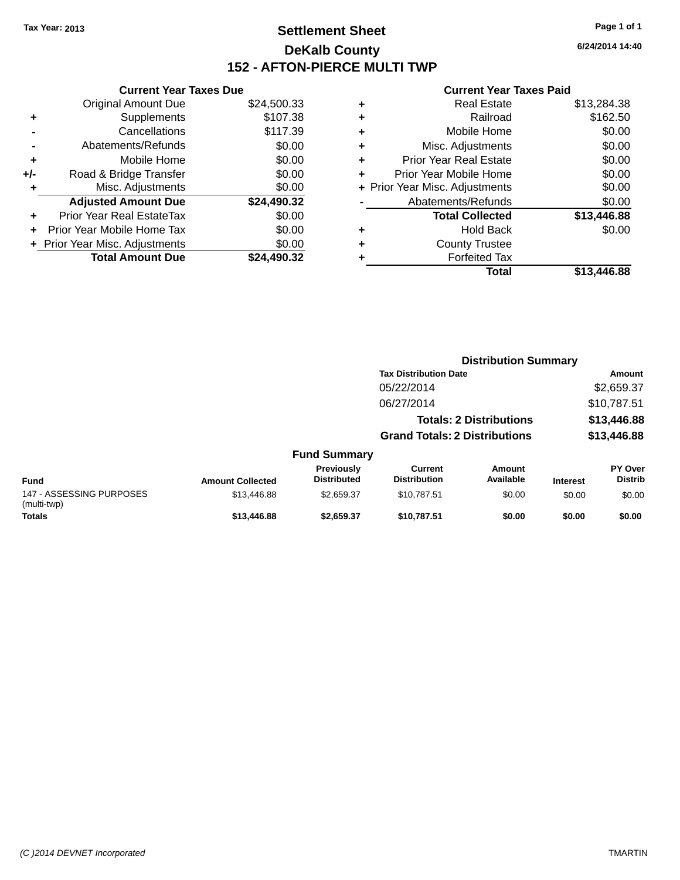## **Settlement Sheet Tax Year: 2013 Page 1 of 1 DeKalb County 152 - AFTON-PIERCE MULTI TWP**

**6/24/2014 14:40**

|     | <b>Current Year Taxes Due</b>  |             |
|-----|--------------------------------|-------------|
|     | <b>Original Amount Due</b>     | \$24,500.33 |
| ٠   | Supplements                    | \$107.38    |
|     | Cancellations                  | \$117.39    |
|     | Abatements/Refunds             | \$0.00      |
| ٠   | Mobile Home                    | \$0.00      |
| +/- | Road & Bridge Transfer         | \$0.00      |
|     | Misc. Adjustments              | \$0.00      |
|     | <b>Adjusted Amount Due</b>     | \$24,490.32 |
| ÷   | Prior Year Real EstateTax      | \$0.00      |
|     | Prior Year Mobile Home Tax     | \$0.00      |
|     | + Prior Year Misc. Adjustments | \$0.00      |
|     | <b>Total Amount Due</b>        | \$24.490.32 |
|     |                                |             |

|   | Total                          | \$13,446.88 |
|---|--------------------------------|-------------|
| ٠ | <b>Forfeited Tax</b>           |             |
| ٠ | <b>County Trustee</b>          |             |
| ٠ | <b>Hold Back</b>               | \$0.00      |
|   | <b>Total Collected</b>         | \$13,446.88 |
|   | Abatements/Refunds             | \$0.00      |
|   | + Prior Year Misc. Adjustments | \$0.00      |
| ٠ | Prior Year Mobile Home         | \$0.00      |
| ÷ | <b>Prior Year Real Estate</b>  | \$0.00      |
| ٠ | Misc. Adjustments              | \$0.00      |
| ÷ | Mobile Home                    | \$0.00      |
| ٠ | Railroad                       | \$162.50    |
| ٠ | <b>Real Estate</b>             | \$13,284.38 |
|   |                                |             |

|                                         |                         |                                  | <b>Distribution Summary</b>           |                                |                 |                                  |
|-----------------------------------------|-------------------------|----------------------------------|---------------------------------------|--------------------------------|-----------------|----------------------------------|
|                                         |                         |                                  | <b>Tax Distribution Date</b>          |                                |                 | Amount                           |
|                                         |                         |                                  | 05/22/2014                            |                                |                 | \$2,659.37                       |
|                                         |                         |                                  | 06/27/2014                            |                                |                 | \$10,787.51                      |
|                                         |                         |                                  |                                       | <b>Totals: 2 Distributions</b> |                 | \$13,446.88                      |
|                                         |                         |                                  | <b>Grand Totals: 2 Distributions</b>  |                                |                 | \$13,446.88                      |
|                                         |                         | <b>Fund Summary</b>              |                                       |                                |                 |                                  |
| <b>Fund</b>                             | <b>Amount Collected</b> | Previously<br><b>Distributed</b> | <b>Current</b><br><b>Distribution</b> | Amount<br>Available            | <b>Interest</b> | <b>PY Over</b><br><b>Distrib</b> |
| 147 - ASSESSING PURPOSES<br>(multi-twp) | \$13,446.88             | \$2.659.37                       | \$10.787.51                           | \$0.00                         | \$0.00          | \$0.00                           |
| <b>Totals</b>                           | \$13,446.88             | \$2,659.37                       | \$10,787.51                           | \$0.00                         | \$0.00          | \$0.00                           |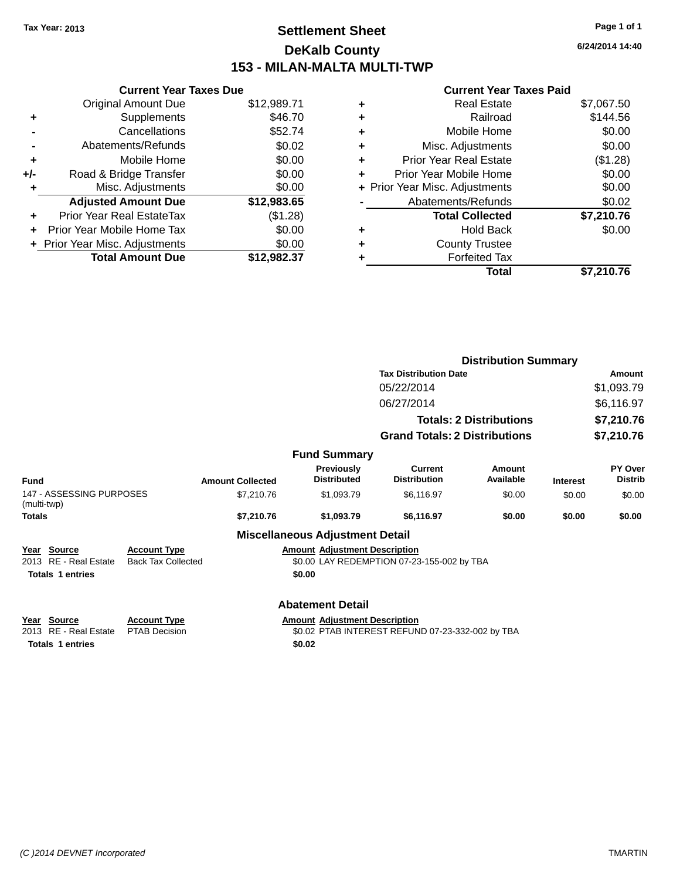## **Settlement Sheet Tax Year: 2013 Page 1 of 1 DeKalb County 153 - MILAN-MALTA MULTI-TWP**

**6/24/2014 14:40**

|     | <b>Current Year Taxes Due</b>  |             |
|-----|--------------------------------|-------------|
|     | <b>Original Amount Due</b>     | \$12,989.71 |
| ٠   | Supplements                    | \$46.70     |
|     | Cancellations                  | \$52.74     |
|     | Abatements/Refunds             | \$0.02      |
| ٠   | Mobile Home                    | \$0.00      |
| +/- | Road & Bridge Transfer         | \$0.00      |
| ٠   | Misc. Adjustments              | \$0.00      |
|     | <b>Adjusted Amount Due</b>     | \$12,983.65 |
| ÷   | Prior Year Real EstateTax      | (\$1.28)    |
|     | Prior Year Mobile Home Tax     | \$0.00      |
|     | + Prior Year Misc. Adjustments | \$0.00      |
|     | <b>Total Amount Due</b>        | \$12,982.37 |
|     |                                |             |

| ٠ | <b>Real Estate</b>             | \$7,067.50 |
|---|--------------------------------|------------|
| ÷ | Railroad                       | \$144.56   |
| ٠ | Mobile Home                    | \$0.00     |
| ٠ | Misc. Adjustments              | \$0.00     |
| ٠ | <b>Prior Year Real Estate</b>  | (\$1.28)   |
| ٠ | Prior Year Mobile Home         | \$0.00     |
|   | + Prior Year Misc. Adjustments | \$0.00     |
|   | Abatements/Refunds             | \$0.02     |
|   | <b>Total Collected</b>         | \$7,210.76 |
| ٠ | <b>Hold Back</b>               | \$0.00     |
| ٠ | <b>County Trustee</b>          |            |
| ٠ | <b>Forfeited Tax</b>           |            |
|   | Total                          | \$7,210.76 |
|   |                                |            |

|                                         |                                                  |                         |                                         |                                                  | <b>Distribution Summary</b>    |                 |                           |
|-----------------------------------------|--------------------------------------------------|-------------------------|-----------------------------------------|--------------------------------------------------|--------------------------------|-----------------|---------------------------|
|                                         |                                                  |                         |                                         | <b>Tax Distribution Date</b>                     |                                |                 | <b>Amount</b>             |
|                                         |                                                  |                         |                                         | 05/22/2014                                       |                                |                 | \$1,093.79                |
|                                         |                                                  |                         |                                         | 06/27/2014                                       |                                |                 | \$6,116.97                |
|                                         |                                                  |                         |                                         |                                                  | <b>Totals: 2 Distributions</b> |                 | \$7,210.76                |
|                                         |                                                  |                         |                                         | <b>Grand Totals: 2 Distributions</b>             |                                |                 | \$7,210.76                |
|                                         |                                                  |                         | <b>Fund Summary</b>                     |                                                  |                                |                 |                           |
| Fund                                    |                                                  | <b>Amount Collected</b> | <b>Previously</b><br><b>Distributed</b> | <b>Current</b><br><b>Distribution</b>            | Amount<br>Available            | <b>Interest</b> | PY Over<br><b>Distrib</b> |
| 147 - ASSESSING PURPOSES<br>(multi-twp) |                                                  | \$7,210.76              | \$1,093.79                              | \$6,116.97                                       | \$0.00                         | \$0.00          | \$0.00                    |
| Totals                                  |                                                  | \$7,210.76              | \$1.093.79                              | \$6,116.97                                       | \$0.00                         | \$0.00          | \$0.00                    |
|                                         |                                                  |                         | <b>Miscellaneous Adjustment Detail</b>  |                                                  |                                |                 |                           |
| Year Source<br>2013 RE - Real Estate    | <b>Account Type</b><br><b>Back Tax Collected</b> |                         | <b>Amount Adjustment Description</b>    | \$0.00 LAY REDEMPTION 07-23-155-002 by TBA       |                                |                 |                           |
| <b>Totals 1 entries</b>                 |                                                  |                         | \$0.00                                  |                                                  |                                |                 |                           |
|                                         |                                                  |                         |                                         |                                                  |                                |                 |                           |
|                                         |                                                  |                         | <b>Abatement Detail</b>                 |                                                  |                                |                 |                           |
| Year Source                             | <b>Account Type</b>                              |                         | <b>Amount Adjustment Description</b>    |                                                  |                                |                 |                           |
| 2013 RE - Real Estate                   | <b>PTAB Decision</b>                             |                         |                                         | \$0.02 PTAB INTEREST REFUND 07-23-332-002 by TBA |                                |                 |                           |
| <b>Totals 1 entries</b>                 |                                                  |                         | \$0.02                                  |                                                  |                                |                 |                           |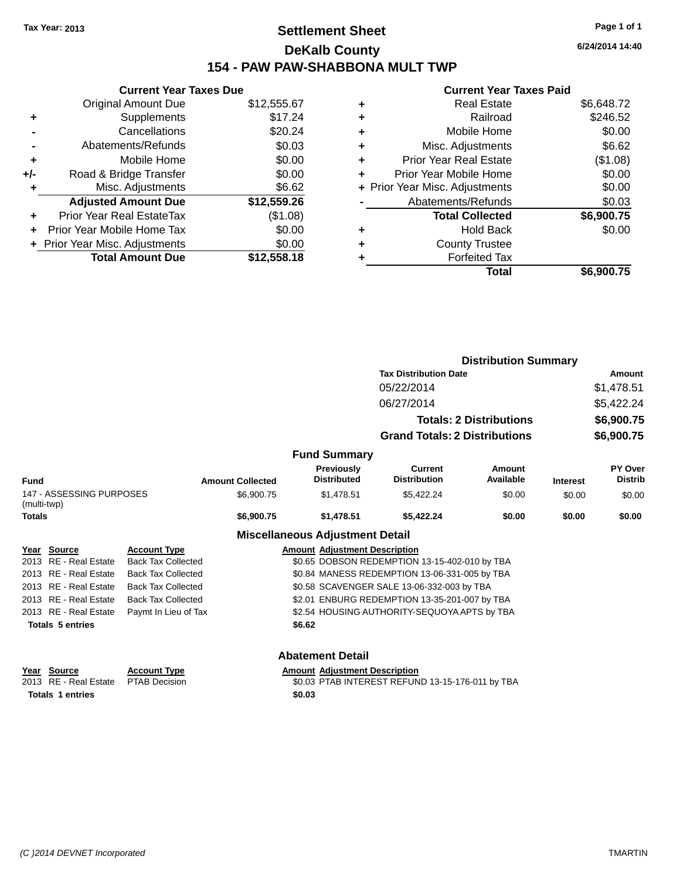## **Settlement Sheet Tax Year: 2013 Page 1 of 1 DeKalb County 154 - PAW PAW-SHABBONA MULT TWP**

| <b>Current Year Taxes Due</b> |                                |  |  |  |  |  |
|-------------------------------|--------------------------------|--|--|--|--|--|
| <b>Original Amount Due</b>    | \$12,555.67                    |  |  |  |  |  |
| Supplements                   | \$17.24                        |  |  |  |  |  |
| Cancellations                 | \$20.24                        |  |  |  |  |  |
| Abatements/Refunds            | \$0.03                         |  |  |  |  |  |
| Mobile Home                   | \$0.00                         |  |  |  |  |  |
| Road & Bridge Transfer        | \$0.00                         |  |  |  |  |  |
| Misc. Adjustments             | \$6.62                         |  |  |  |  |  |
| <b>Adjusted Amount Due</b>    | \$12,559.26                    |  |  |  |  |  |
| Prior Year Real EstateTax     | (\$1.08)                       |  |  |  |  |  |
| Prior Year Mobile Home Tax    | \$0.00                         |  |  |  |  |  |
|                               | \$0.00                         |  |  |  |  |  |
| <b>Total Amount Due</b>       | \$12,558.18                    |  |  |  |  |  |
|                               | + Prior Year Misc. Adjustments |  |  |  |  |  |

#### **Current Year Taxes Paid**

|   | <b>Real Estate</b>             | \$6,648.72 |
|---|--------------------------------|------------|
| ٠ | Railroad                       | \$246.52   |
| ٠ | Mobile Home                    | \$0.00     |
| ٠ | Misc. Adjustments              | \$6.62     |
| ٠ | <b>Prior Year Real Estate</b>  | (\$1.08)   |
|   | Prior Year Mobile Home         | \$0.00     |
|   | + Prior Year Misc. Adjustments | \$0.00     |
|   | Abatements/Refunds             | \$0.03     |
|   | <b>Total Collected</b>         | \$6,900.75 |
| ٠ | Hold Back                      | \$0.00     |
| ٠ | <b>County Trustee</b>          |            |
| ٠ | <b>Forfeited Tax</b>           |            |
|   | Total                          | \$6,900.75 |
|   |                                |            |

|                                   |                          |                           |                                                  | <b>Distribution Summary</b>            |                                               |                                |                 |                           |
|-----------------------------------|--------------------------|---------------------------|--------------------------------------------------|----------------------------------------|-----------------------------------------------|--------------------------------|-----------------|---------------------------|
|                                   |                          |                           |                                                  |                                        | <b>Tax Distribution Date</b>                  |                                |                 | Amount                    |
|                                   |                          |                           |                                                  |                                        | 05/22/2014                                    |                                |                 | \$1,478.51                |
|                                   |                          |                           |                                                  |                                        | 06/27/2014                                    |                                |                 | \$5,422.24                |
|                                   |                          |                           |                                                  |                                        |                                               | <b>Totals: 2 Distributions</b> |                 | \$6,900.75                |
|                                   |                          |                           |                                                  |                                        | <b>Grand Totals: 2 Distributions</b>          |                                |                 | \$6,900.75                |
|                                   |                          |                           |                                                  | <b>Fund Summary</b>                    |                                               |                                |                 |                           |
| Fund                              |                          |                           | <b>Amount Collected</b>                          | Previously<br><b>Distributed</b>       | <b>Current</b><br><b>Distribution</b>         | Amount<br>Available            | <b>Interest</b> | PY Over<br><b>Distrib</b> |
| (multi-twp)                       | 147 - ASSESSING PURPOSES |                           | \$6,900.75                                       | \$1,478.51                             | \$5,422.24                                    | \$0.00                         | \$0.00          | \$0.00                    |
| Totals                            |                          |                           | \$6,900.75                                       | \$1,478.51                             | \$5,422.24                                    | \$0.00                         | \$0.00          | \$0.00                    |
|                                   |                          |                           |                                                  | <b>Miscellaneous Adjustment Detail</b> |                                               |                                |                 |                           |
|                                   | Year Source              | <b>Account Type</b>       |                                                  | <b>Amount Adjustment Description</b>   |                                               |                                |                 |                           |
|                                   | 2013 RE - Real Estate    | <b>Back Tax Collected</b> |                                                  |                                        | \$0.65 DOBSON REDEMPTION 13-15-402-010 by TBA |                                |                 |                           |
|                                   | 2013 RE - Real Estate    | <b>Back Tax Collected</b> |                                                  |                                        | \$0.84 MANESS REDEMPTION 13-06-331-005 by TBA |                                |                 |                           |
|                                   | 2013 RE - Real Estate    | <b>Back Tax Collected</b> |                                                  |                                        | \$0.58 SCAVENGER SALE 13-06-332-003 by TBA    |                                |                 |                           |
|                                   | 2013 RE - Real Estate    | <b>Back Tax Collected</b> |                                                  |                                        | \$2.01 ENBURG REDEMPTION 13-35-201-007 by TBA |                                |                 |                           |
|                                   | 2013 RE - Real Estate    | Paymt In Lieu of Tax      |                                                  |                                        | \$2.54 HOUSING AUTHORITY-SEQUOYA APTS by TBA  |                                |                 |                           |
|                                   | <b>Totals 5 entries</b>  |                           |                                                  | \$6.62                                 |                                               |                                |                 |                           |
|                                   |                          |                           |                                                  | <b>Abatement Detail</b>                |                                               |                                |                 |                           |
|                                   | Year Source              | <b>Account Type</b>       |                                                  | <b>Amount Adjustment Description</b>   |                                               |                                |                 |                           |
|                                   | 2013 RE - Real Estate    | <b>PTAB Decision</b>      | \$0.03 PTAB INTEREST REFUND 13-15-176-011 by TBA |                                        |                                               |                                |                 |                           |
| <b>Totals 1 entries</b><br>\$0.03 |                          |                           |                                                  |                                        |                                               |                                |                 |                           |

**6/24/2014 14:40**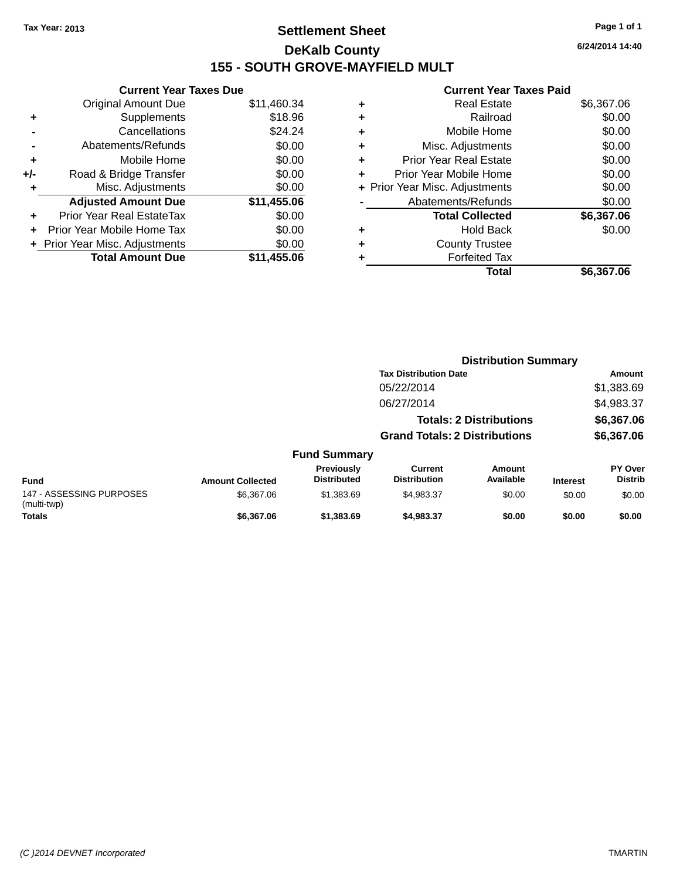## **Settlement Sheet Tax Year: 2013 Page 1 of 1 DeKalb County 155 - SOUTH GROVE-MAYFIELD MULT**

|     | <b>Current Year Taxes Due</b>    |             |  |  |  |  |
|-----|----------------------------------|-------------|--|--|--|--|
|     | <b>Original Amount Due</b>       | \$11,460.34 |  |  |  |  |
| ٠   | Supplements                      | \$18.96     |  |  |  |  |
|     | Cancellations                    | \$24.24     |  |  |  |  |
|     | Abatements/Refunds               | \$0.00      |  |  |  |  |
| ٠   | Mobile Home                      | \$0.00      |  |  |  |  |
| +/- | Road & Bridge Transfer           | \$0.00      |  |  |  |  |
| ٠   | Misc. Adjustments                | \$0.00      |  |  |  |  |
|     | <b>Adjusted Amount Due</b>       | \$11,455.06 |  |  |  |  |
| ÷   | <b>Prior Year Real EstateTax</b> | \$0.00      |  |  |  |  |
|     | Prior Year Mobile Home Tax       | \$0.00      |  |  |  |  |
|     | + Prior Year Misc. Adjustments   | \$0.00      |  |  |  |  |
|     | <b>Total Amount Due</b>          | \$11,455.06 |  |  |  |  |

|   | Real Estate                    | \$6,367.06 |
|---|--------------------------------|------------|
| ٠ | Railroad                       | \$0.00     |
| ٠ | Mobile Home                    | \$0.00     |
| ٠ | Misc. Adjustments              | \$0.00     |
| ٠ | <b>Prior Year Real Estate</b>  | \$0.00     |
| ÷ | Prior Year Mobile Home         | \$0.00     |
|   | + Prior Year Misc. Adjustments | \$0.00     |
|   | Abatements/Refunds             | \$0.00     |
|   | <b>Total Collected</b>         | \$6,367.06 |
| ٠ | Hold Back                      | \$0.00     |
| ٠ | <b>County Trustee</b>          |            |
|   | <b>Forfeited Tax</b>           |            |
|   | Total                          | \$6,367.06 |
|   |                                |            |

|                                         |                         |                                  | <b>Distribution Summary</b>           |                                |                 |                                  |  |
|-----------------------------------------|-------------------------|----------------------------------|---------------------------------------|--------------------------------|-----------------|----------------------------------|--|
|                                         |                         |                                  | <b>Tax Distribution Date</b>          |                                |                 | Amount                           |  |
|                                         |                         |                                  | 05/22/2014                            |                                |                 | \$1,383.69                       |  |
|                                         |                         |                                  | 06/27/2014                            |                                |                 | \$4,983.37                       |  |
|                                         |                         |                                  |                                       | <b>Totals: 2 Distributions</b> |                 | \$6,367.06                       |  |
|                                         |                         |                                  | <b>Grand Totals: 2 Distributions</b>  |                                |                 | \$6,367.06                       |  |
|                                         |                         | <b>Fund Summary</b>              |                                       |                                |                 |                                  |  |
| <b>Fund</b>                             | <b>Amount Collected</b> | Previously<br><b>Distributed</b> | <b>Current</b><br><b>Distribution</b> | Amount<br>Available            | <b>Interest</b> | <b>PY Over</b><br><b>Distrib</b> |  |
| 147 - ASSESSING PURPOSES<br>(multi-twp) | \$6,367.06              | \$1,383.69                       | \$4,983.37                            | \$0.00                         | \$0.00          | \$0.00                           |  |
| <b>Totals</b>                           | \$6,367.06              | \$1,383.69                       | \$4,983.37                            | \$0.00                         | \$0.00          | \$0.00                           |  |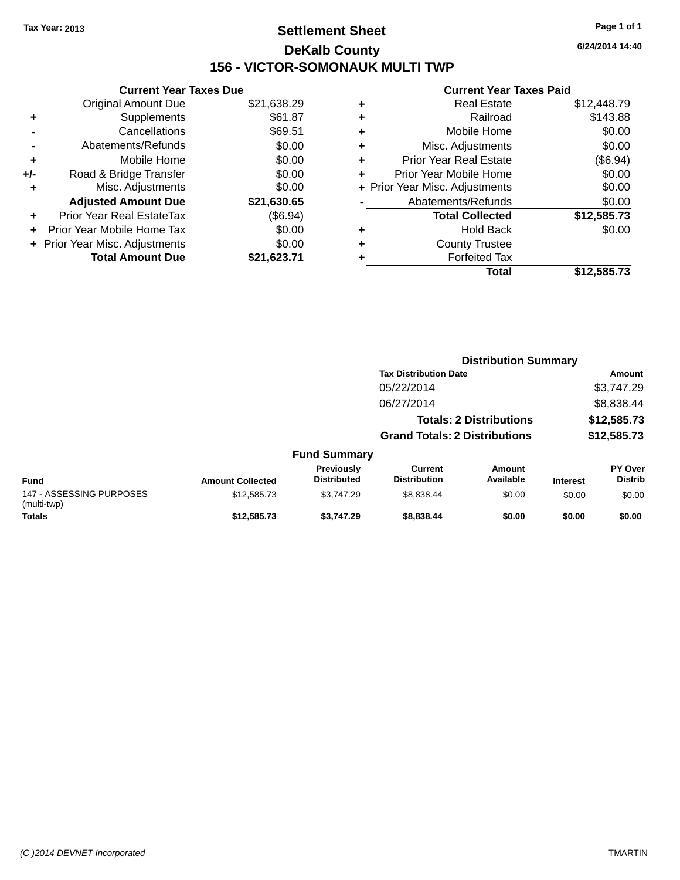## **Settlement Sheet Tax Year: 2013 Page 1 of 1 DeKalb County 156 - VICTOR-SOMONAUK MULTI TWP**

**6/24/2014 14:40**

|     | <b>Current Year Taxes Due</b>            |             |  |  |  |  |
|-----|------------------------------------------|-------------|--|--|--|--|
|     | <b>Original Amount Due</b>               | \$21,638.29 |  |  |  |  |
| ٠   | Supplements                              | \$61.87     |  |  |  |  |
|     | Cancellations                            | \$69.51     |  |  |  |  |
|     | Abatements/Refunds                       | \$0.00      |  |  |  |  |
| ÷   | Mobile Home                              | \$0.00      |  |  |  |  |
| +/- | Road & Bridge Transfer                   | \$0.00      |  |  |  |  |
|     | Misc. Adjustments                        | \$0.00      |  |  |  |  |
|     | <b>Adjusted Amount Due</b>               | \$21,630.65 |  |  |  |  |
|     | Prior Year Real EstateTax                | (\$6.94)    |  |  |  |  |
| ÷   | Prior Year Mobile Home Tax               | \$0.00      |  |  |  |  |
|     | \$0.00<br>+ Prior Year Misc. Adjustments |             |  |  |  |  |
|     | <b>Total Amount Due</b>                  | \$21,623.71 |  |  |  |  |
|     |                                          |             |  |  |  |  |

| ٠ | <b>Real Estate</b>             | \$12,448.79 |
|---|--------------------------------|-------------|
| ٠ | Railroad                       | \$143.88    |
| ٠ | Mobile Home                    | \$0.00      |
| ٠ | Misc. Adjustments              | \$0.00      |
| ٠ | <b>Prior Year Real Estate</b>  | (\$6.94)    |
| ٠ | Prior Year Mobile Home         | \$0.00      |
|   | + Prior Year Misc. Adjustments | \$0.00      |
|   | Abatements/Refunds             | \$0.00      |
|   | <b>Total Collected</b>         | \$12,585.73 |
| ٠ | Hold Back                      | \$0.00      |
| ٠ | <b>County Trustee</b>          |             |
| ٠ | <b>Forfeited Tax</b>           |             |
|   | Total                          | \$12,585.73 |
|   |                                |             |

|                                         |                         |                                  | <b>Distribution Summary</b>           |                                |                 |                           |
|-----------------------------------------|-------------------------|----------------------------------|---------------------------------------|--------------------------------|-----------------|---------------------------|
|                                         |                         |                                  | <b>Tax Distribution Date</b>          |                                |                 | Amount                    |
|                                         |                         |                                  | 05/22/2014                            |                                |                 | \$3,747.29                |
|                                         |                         |                                  | 06/27/2014                            |                                |                 | \$8,838.44                |
|                                         |                         |                                  |                                       | <b>Totals: 2 Distributions</b> |                 | \$12,585.73               |
|                                         |                         |                                  | <b>Grand Totals: 2 Distributions</b>  |                                |                 | \$12,585.73               |
|                                         |                         | <b>Fund Summary</b>              |                                       |                                |                 |                           |
| <b>Fund</b>                             | <b>Amount Collected</b> | Previously<br><b>Distributed</b> | <b>Current</b><br><b>Distribution</b> | Amount<br>Available            | <b>Interest</b> | PY Over<br><b>Distrib</b> |
| 147 - ASSESSING PURPOSES<br>(multi-twp) | \$12,585.73             | \$3,747.29                       | \$8,838.44                            | \$0.00                         | \$0.00          | \$0.00                    |
| <b>Totals</b>                           | \$12,585.73             | \$3,747.29                       | \$8,838.44                            | \$0.00                         | \$0.00          | \$0.00                    |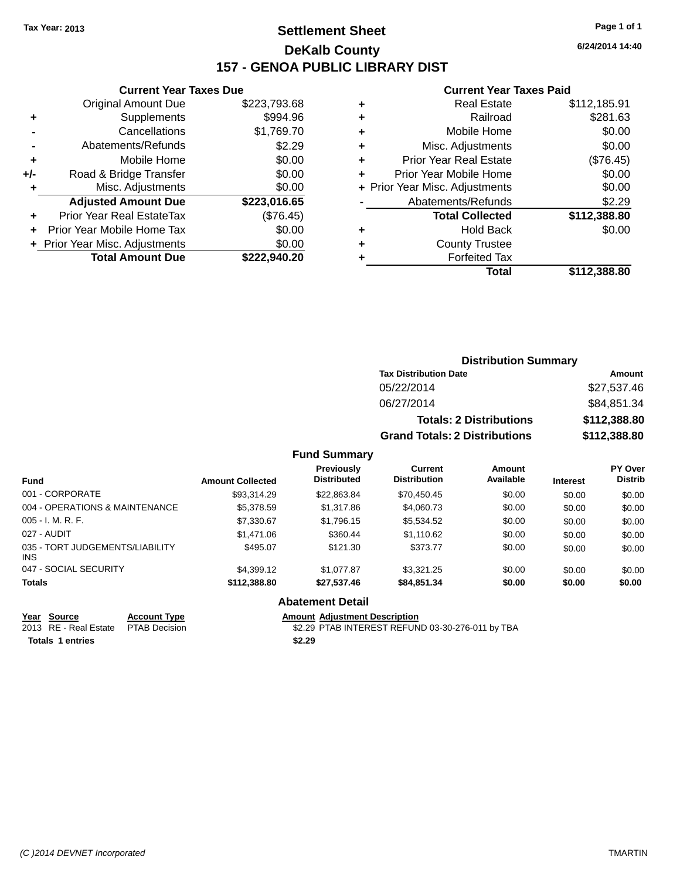## **Settlement Sheet Tax Year: 2013 Page 1 of 1 DeKalb County 157 - GENOA PUBLIC LIBRARY DIST**

#### **Current Year Taxes Due**

|       | <b>Original Amount Due</b>     | \$223,793.68 |
|-------|--------------------------------|--------------|
|       | Supplements                    | \$994.96     |
|       | Cancellations                  | \$1,769.70   |
|       | Abatements/Refunds             | \$2.29       |
| ٠     | Mobile Home                    | \$0.00       |
| $+/-$ | Road & Bridge Transfer         | \$0.00       |
| ٠     | Misc. Adjustments              | \$0.00       |
|       | <b>Adjusted Amount Due</b>     | \$223,016.65 |
| ÷     | Prior Year Real EstateTax      | (\$76.45)    |
|       | Prior Year Mobile Home Tax     | \$0.00       |
|       | + Prior Year Misc. Adjustments | \$0.00       |
|       | <b>Total Amount Due</b>        | \$222.940.20 |
|       |                                |              |

#### **Current Year Taxes Paid**

| ٠ | <b>Real Estate</b>             | \$112,185.91 |
|---|--------------------------------|--------------|
| ٠ | Railroad                       | \$281.63     |
| ٠ | Mobile Home                    | \$0.00       |
| ٠ | Misc. Adjustments              | \$0.00       |
| ٠ | <b>Prior Year Real Estate</b>  | (\$76.45)    |
| ٠ | Prior Year Mobile Home         | \$0.00       |
|   | + Prior Year Misc. Adjustments | \$0.00       |
|   | Abatements/Refunds             | \$2.29       |
|   | <b>Total Collected</b>         | \$112,388.80 |
| ٠ | Hold Back                      | \$0.00       |
| ٠ | <b>County Trustee</b>          |              |
| ٠ | <b>Forfeited Tax</b>           |              |
|   | Total                          | \$112.388.80 |
|   |                                |              |

### **Distribution Summary Tax Distribution Date Amount** 05/22/2014 \$27,537.46 06/27/2014 \$84,851.34 **Totals: 2 Distributions \$112,388.80 Grand Totals: 2 Distributions \$112,388.80**

#### **Fund Summary**

| <b>Fund</b>                             | <b>Amount Collected</b> | Previously<br><b>Distributed</b> | <b>Current</b><br><b>Distribution</b> | Amount<br>Available | <b>Interest</b> | PY Over<br><b>Distrib</b> |
|-----------------------------------------|-------------------------|----------------------------------|---------------------------------------|---------------------|-----------------|---------------------------|
| 001 - CORPORATE                         | \$93.314.29             | \$22,863.84                      | \$70,450.45                           | \$0.00              | \$0.00          | \$0.00                    |
| 004 - OPERATIONS & MAINTENANCE          | \$5,378.59              | \$1,317.86                       | \$4,060.73                            | \$0.00              | \$0.00          | \$0.00                    |
| $005 - I. M. R. F.$                     | \$7,330.67              | \$1,796.15                       | \$5,534.52                            | \$0.00              | \$0.00          | \$0.00                    |
| 027 - AUDIT                             | \$1.471.06              | \$360.44                         | \$1,110.62                            | \$0.00              | \$0.00          | \$0.00                    |
| 035 - TORT JUDGEMENTS/LIABILITY<br>INS. | \$495.07                | \$121.30                         | \$373.77                              | \$0.00              | \$0.00          | \$0.00                    |
| 047 - SOCIAL SECURITY                   | \$4.399.12              | \$1,077.87                       | \$3.321.25                            | \$0.00              | \$0.00          | \$0.00                    |
| <b>Totals</b>                           | \$112,388.80            | \$27,537.46                      | \$84,851.34                           | \$0.00              | \$0.00          | \$0.00                    |

#### **Abatement Detail**

**Totals 1 entries \$2.29**

**Year Source Account Type Anneurs Amount Adjustment Description**<br>
2013 RE - Real Estate PTAB Decision **Amount Adjustment Description** \$2.29 PTAB INTEREST REFUND 03-30-276-011 by TBA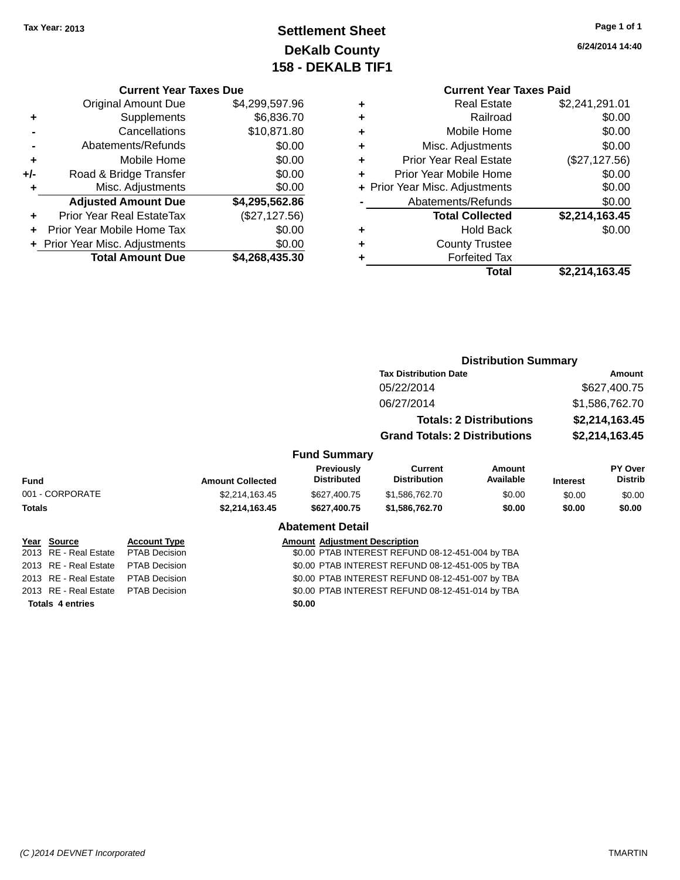## **Settlement Sheet Tax Year: 2013 Page 1 of 1 DeKalb County 158 - DEKALB TIF1**

**6/24/2014 14:40**

#### **Current Year Taxes Due**

|     | <b>Original Amount Due</b>     | \$4,299,597.96 |
|-----|--------------------------------|----------------|
| ٠   | Supplements                    | \$6,836.70     |
|     | Cancellations                  | \$10,871.80    |
|     | Abatements/Refunds             | \$0.00         |
| ٠   | Mobile Home                    | \$0.00         |
| +/- | Road & Bridge Transfer         | \$0.00         |
| ٠   | Misc. Adjustments              | \$0.00         |
|     | <b>Adjusted Amount Due</b>     | \$4,295,562.86 |
|     | Prior Year Real EstateTax      | (\$27,127.56)  |
|     | Prior Year Mobile Home Tax     | \$0.00         |
|     | + Prior Year Misc. Adjustments | \$0.00         |
|     | <b>Total Amount Due</b>        | \$4,268,435.30 |

## **Current Year Taxes Paid**

| ٠ | <b>Real Estate</b>             | \$2,241,291.01 |
|---|--------------------------------|----------------|
| ÷ | Railroad                       | \$0.00         |
| ٠ | Mobile Home                    | \$0.00         |
| ٠ | Misc. Adjustments              | \$0.00         |
| ٠ | <b>Prior Year Real Estate</b>  | (\$27,127.56)  |
| ٠ | Prior Year Mobile Home         | \$0.00         |
|   | + Prior Year Misc. Adjustments | \$0.00         |
|   | Abatements/Refunds             | \$0.00         |
|   | <b>Total Collected</b>         | \$2,214,163.45 |
| ٠ | <b>Hold Back</b>               | \$0.00         |
| ٠ | <b>County Trustee</b>          |                |
| ٠ | <b>Forfeited Tax</b>           |                |
|   | Total                          | \$2,214,163.45 |
|   |                                |                |

#### **Distribution Summary Tax Distribution Date Amount** 05/22/2014 \$627,400.75 06/27/2014 \$1,586,762.70 **Totals: 2 Distributions \$2,214,163.45 Grand Totals: 2 Distributions \$2,214,163.45 Fund Summary Fund Interest Amount Collected Distributed PY Over Distrib Amount Available Current Distribution Previously** 001 - CORPORATE \$2,214,163.45 \$627,400.75 \$1,586,762.70 \$0.00 \$0.00 \$0.00 **Totals \$2,214,163.45 \$627,400.75 \$1,586,762.70 \$0.00 \$0.00 \$0.00 Abatement Detail Year Source Account Type Amount Adjustment Description** 2013 RE - Real Estate PTAB Decision \$0.00 PTAB INTEREST REFUND 08-12-451-004 by TBA 2013 RE - Real Estate PTAB Decision \$0.00 PTAB INTEREST REFUND 08-12-451-005 by TBA 2013 RE - Real Estate PTAB Decision \$0.00 PTAB INTEREST REFUND 08-12-451-007 by TBA 2013 RE - Real Estate PTAB Decision \$0.00 PTAB INTEREST REFUND 08-12-451-014 by TBA

**Totals 4 entries \$0.00**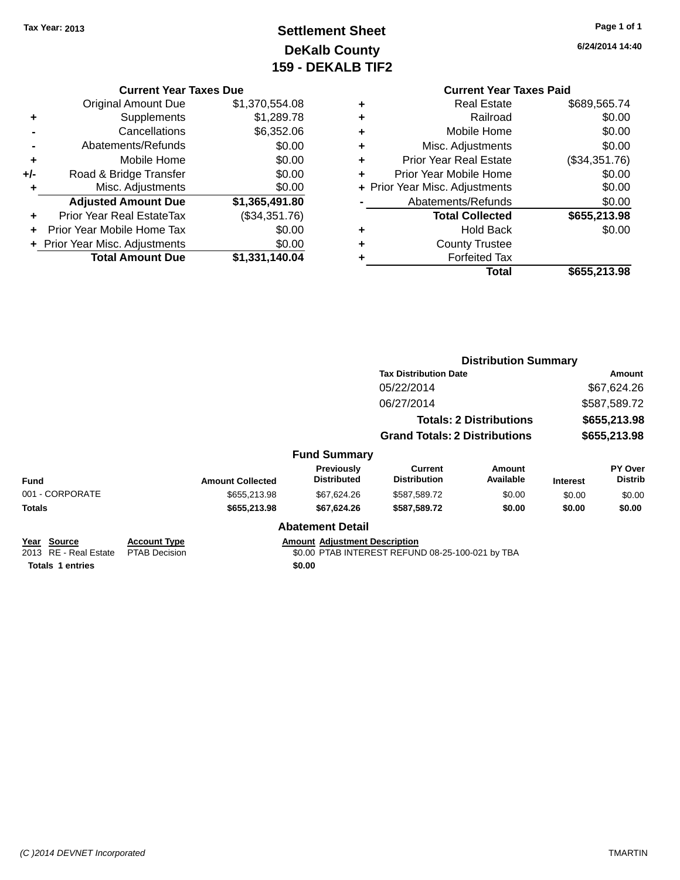## **Settlement Sheet Tax Year: 2013 Page 1 of 1 DeKalb County 159 - DEKALB TIF2**

**6/24/2014 14:40**

#### **Current Year Taxes Due**

|     | <b>Original Amount Due</b>       | \$1,370,554.08 |
|-----|----------------------------------|----------------|
| ٠   | Supplements                      | \$1,289.78     |
|     | Cancellations                    | \$6,352.06     |
|     | Abatements/Refunds               | \$0.00         |
| ÷   | Mobile Home                      | \$0.00         |
| +/- | Road & Bridge Transfer           | \$0.00         |
| ٠   | Misc. Adjustments                | \$0.00         |
|     | <b>Adjusted Amount Due</b>       | \$1,365,491.80 |
|     | <b>Prior Year Real EstateTax</b> | (\$34,351.76)  |
|     | Prior Year Mobile Home Tax       | \$0.00         |
|     | + Prior Year Misc. Adjustments   | \$0.00         |
|     | <b>Total Amount Due</b>          | \$1,331,140.04 |

#### **Current Year Taxes Paid**

|   | <b>Real Estate</b>             | \$689,565.74  |
|---|--------------------------------|---------------|
| ٠ | Railroad                       | \$0.00        |
| ٠ | Mobile Home                    | \$0.00        |
| ٠ | Misc. Adjustments              | \$0.00        |
| ٠ | <b>Prior Year Real Estate</b>  | (\$34,351.76) |
|   | Prior Year Mobile Home         | \$0.00        |
|   | + Prior Year Misc. Adjustments | \$0.00        |
|   | Abatements/Refunds             | \$0.00        |
|   | <b>Total Collected</b>         | \$655,213.98  |
| ٠ | <b>Hold Back</b>               | \$0.00        |
|   | <b>County Trustee</b>          |               |
|   | <b>Forfeited Tax</b>           |               |
|   | Total                          | \$655,213.98  |
|   |                                |               |

#### **Distribution Summary Tax Distribution Date Amount** 05/22/2014 \$67,624.26 06/27/2014 \$587,589.72 **Totals: 2 Distributions \$655,213.98 Grand Totals: 2 Distributions \$655,213.98 Fund Summary Fund Interest Amount Collected Distributed PY Over Distrib Amount Available Current Distribution Previously** 001 - CORPORATE \$655,213.98 \$67,624.26 \$587,589.72 \$0.00 \$0.00 \$0.00 **Totals \$655,213.98 \$67,624.26 \$587,589.72 \$0.00 \$0.00 \$0.00 Abatement Detail Year Source Account Type Amount Adjustment Description** \$0.00 PTAB INTEREST REFUND 08-25-100-021 by TBA

**Totals 1 entries \$0.00**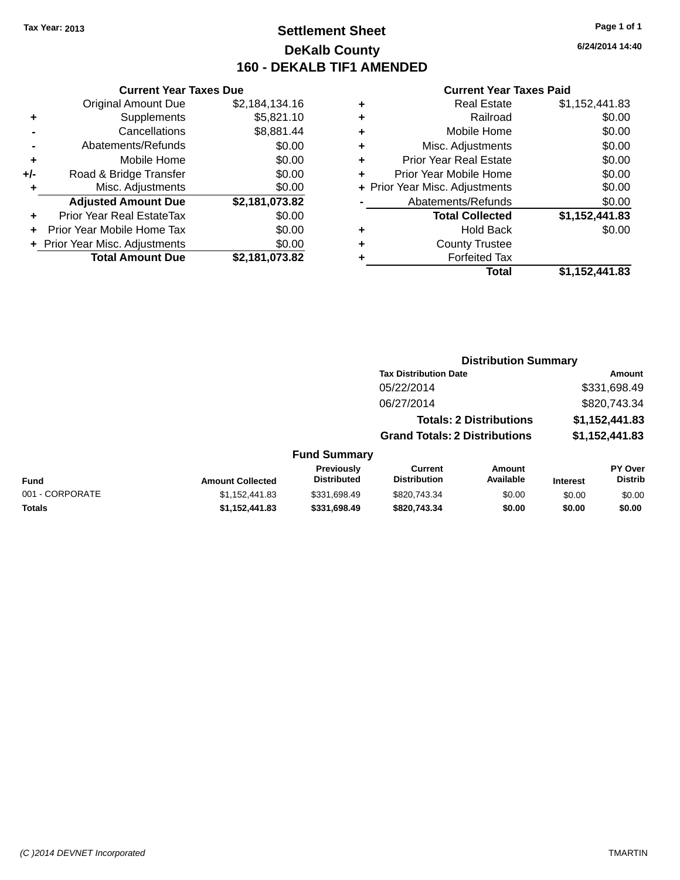## **Settlement Sheet Tax Year: 2013 Page 1 of 1 DeKalb County 160 - DEKALB TIF1 AMENDED**

**6/24/2014 14:40**

#### **Current Year Taxes Paid**

| <b>Current Year Taxes Due</b>            |                |  |  |  |  |  |
|------------------------------------------|----------------|--|--|--|--|--|
| <b>Original Amount Due</b>               | \$2,184,134.16 |  |  |  |  |  |
| \$5,821.10<br>Supplements<br>٠           |                |  |  |  |  |  |
| \$8,881.44<br>Cancellations              |                |  |  |  |  |  |
| \$0.00<br>Abatements/Refunds             |                |  |  |  |  |  |
| Mobile Home                              | \$0.00         |  |  |  |  |  |
| Road & Bridge Transfer                   | \$0.00         |  |  |  |  |  |
| \$0.00<br>Misc. Adjustments<br>٠         |                |  |  |  |  |  |
| <b>Adjusted Amount Due</b>               | \$2,181,073.82 |  |  |  |  |  |
| Prior Year Real EstateTax                | \$0.00         |  |  |  |  |  |
| Prior Year Mobile Home Tax               | \$0.00         |  |  |  |  |  |
| \$0.00<br>+ Prior Year Misc. Adjustments |                |  |  |  |  |  |
| <b>Total Amount Due</b>                  | \$2,181,073.82 |  |  |  |  |  |
|                                          |                |  |  |  |  |  |

|   | <b>Real Estate</b>             | \$1,152,441.83 |
|---|--------------------------------|----------------|
| ٠ | Railroad                       | \$0.00         |
| ٠ | Mobile Home                    | \$0.00         |
| ٠ | Misc. Adjustments              | \$0.00         |
| ٠ | <b>Prior Year Real Estate</b>  | \$0.00         |
| ٠ | Prior Year Mobile Home         | \$0.00         |
|   | + Prior Year Misc. Adjustments | \$0.00         |
|   | Abatements/Refunds             | \$0.00         |
|   | <b>Total Collected</b>         | \$1,152,441.83 |
| ٠ | <b>Hold Back</b>               | \$0.00         |
| ٠ | <b>County Trustee</b>          |                |
| ٠ | <b>Forfeited Tax</b>           |                |
|   | Total                          | \$1,152,441.83 |
|   |                                |                |

| <b>Distribution Summary</b>           |                                                                         |                                                                        |                           |  |
|---------------------------------------|-------------------------------------------------------------------------|------------------------------------------------------------------------|---------------------------|--|
| <b>Tax Distribution Date</b>          |                                                                         |                                                                        | <b>Amount</b>             |  |
| 05/22/2014                            |                                                                         |                                                                        | \$331,698.49              |  |
| 06/27/2014                            |                                                                         |                                                                        | \$820,743.34              |  |
|                                       |                                                                         |                                                                        | \$1,152,441.83            |  |
|                                       |                                                                         |                                                                        | \$1,152,441.83            |  |
|                                       |                                                                         |                                                                        |                           |  |
| <b>Current</b><br><b>Distribution</b> | Amount<br>Available                                                     | <b>Interest</b>                                                        | PY Over<br><b>Distrib</b> |  |
| \$820,743.34                          | \$0.00                                                                  | \$0.00                                                                 | \$0.00                    |  |
|                                       | <b>Fund Summary</b><br>Previously<br><b>Distributed</b><br>\$331,698.49 | <b>Totals: 2 Distributions</b><br><b>Grand Totals: 2 Distributions</b> |                           |  |

**Totals \$1,152,441.83 \$331,698.49 \$820,743.34 \$0.00 \$0.00 \$0.00**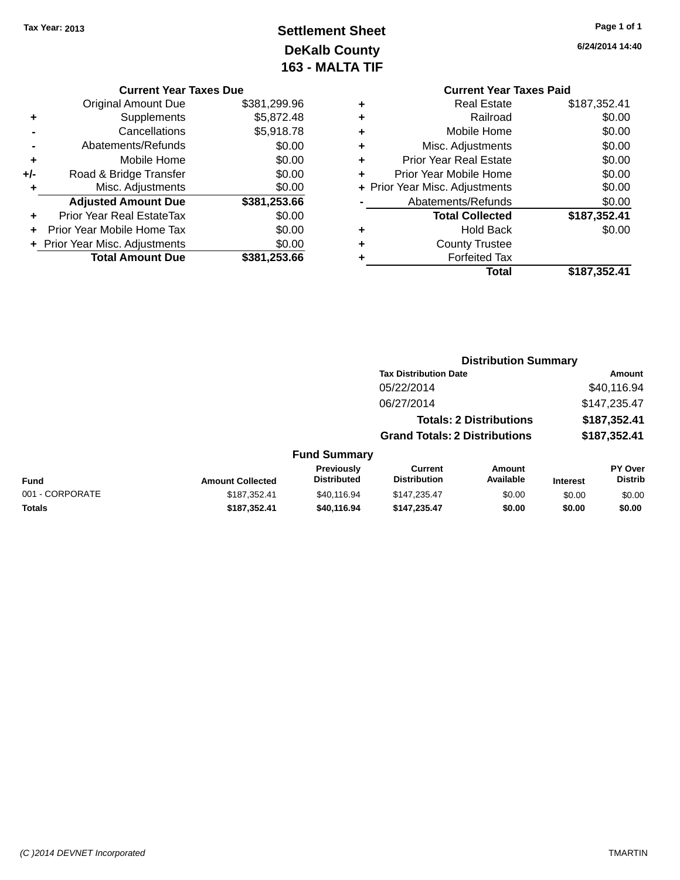## **Settlement Sheet Tax Year: 2013 Page 1 of 1 DeKalb County 163 - MALTA TIF**

|     | <b>Current Year Taxes Due</b>              |              |  |  |  |  |
|-----|--------------------------------------------|--------------|--|--|--|--|
|     | \$381,299.96<br><b>Original Amount Due</b> |              |  |  |  |  |
| ٠   | Supplements                                | \$5,872.48   |  |  |  |  |
|     | \$5,918.78<br>Cancellations                |              |  |  |  |  |
|     | Abatements/Refunds                         | \$0.00       |  |  |  |  |
| ٠   | Mobile Home                                | \$0.00       |  |  |  |  |
| +/- | Road & Bridge Transfer                     | \$0.00       |  |  |  |  |
| ٠   | Misc. Adjustments<br>\$0.00                |              |  |  |  |  |
|     | <b>Adjusted Amount Due</b>                 | \$381,253.66 |  |  |  |  |
|     | Prior Year Real EstateTax                  | \$0.00       |  |  |  |  |
|     | Prior Year Mobile Home Tax                 | \$0.00       |  |  |  |  |
|     | + Prior Year Misc. Adjustments             | \$0.00       |  |  |  |  |
|     | <b>Total Amount Due</b>                    | \$381,253.66 |  |  |  |  |

**6/24/2014 14:40**

|   | <b>Current Year Taxes Paid</b> |              |  |  |  |
|---|--------------------------------|--------------|--|--|--|
| ٠ | <b>Real Estate</b>             | \$187,352.41 |  |  |  |
| ٠ | Railroad                       | \$0.00       |  |  |  |
|   | Mobile Home                    | \$0.00       |  |  |  |
|   | Misc. Adjustments              | \$0.00       |  |  |  |
| ٠ | <b>Prior Year Real Estate</b>  | \$0.00       |  |  |  |
|   | Prior Year Mobile Home         | \$0.00       |  |  |  |
|   | + Prior Year Misc. Adjustments | \$0.00       |  |  |  |
|   | Abatements/Refunds             | \$0.00       |  |  |  |
|   | <b>Total Collected</b>         | \$187,352.41 |  |  |  |
|   | Hold Back                      | \$0.00       |  |  |  |
|   | <b>County Trustee</b>          |              |  |  |  |
|   | <b>Forfeited Tax</b>           |              |  |  |  |
|   | Total                          | \$187,352.41 |  |  |  |
|   |                                |              |  |  |  |

|                         | <b>Distribution Summary</b>      |                                       |                            |                                                                                                        |                           |
|-------------------------|----------------------------------|---------------------------------------|----------------------------|--------------------------------------------------------------------------------------------------------|---------------------------|
|                         |                                  |                                       |                            |                                                                                                        | Amount                    |
|                         |                                  | 05/22/2014                            |                            |                                                                                                        | \$40,116.94               |
|                         |                                  | 06/27/2014                            |                            |                                                                                                        | \$147,235.47              |
|                         |                                  |                                       |                            |                                                                                                        | \$187,352.41              |
|                         |                                  |                                       |                            |                                                                                                        | \$187,352.41              |
|                         |                                  |                                       |                            |                                                                                                        |                           |
| <b>Amount Collected</b> | Previously<br><b>Distributed</b> | <b>Current</b><br><b>Distribution</b> | <b>Amount</b><br>Available | <b>Interest</b>                                                                                        | PY Over<br><b>Distrib</b> |
| \$187,352.41            | \$40.116.94                      | \$147,235.47                          | \$0.00                     | \$0.00                                                                                                 | \$0.00                    |
| \$187.352.41            | \$40,116,94                      | \$147.235.47                          | \$0.00                     | \$0.00                                                                                                 | \$0.00                    |
|                         |                                  |                                       | <b>Fund Summary</b>        | <b>Tax Distribution Date</b><br><b>Totals: 2 Distributions</b><br><b>Grand Totals: 2 Distributions</b> |                           |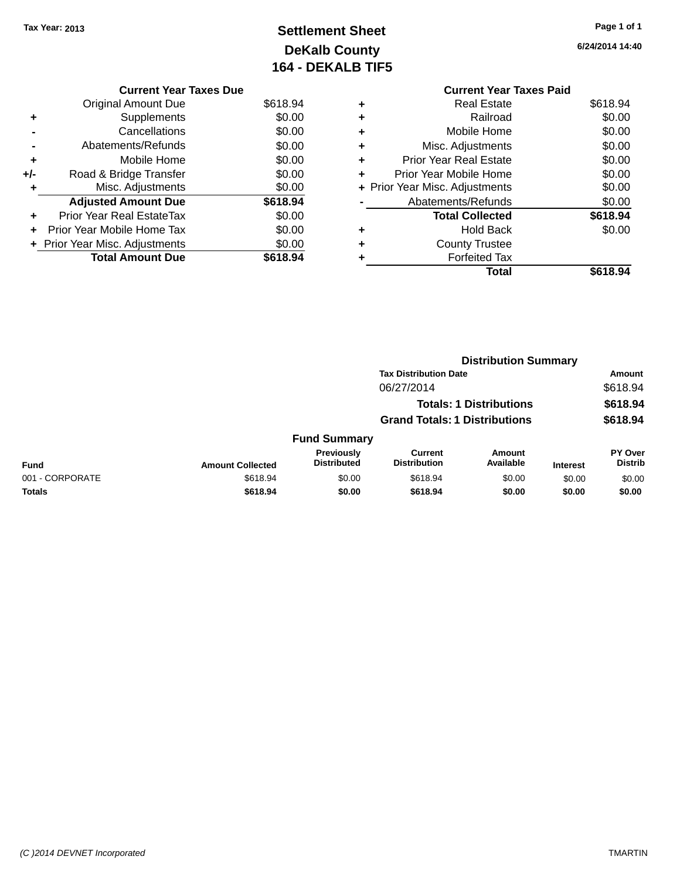## **Settlement Sheet Tax Year: 2013 Page 1 of 1 DeKalb County 164 - DEKALB TIF5**

**6/24/2014 14:40**

|   | <b>Current Year Taxes Paid</b> |          |
|---|--------------------------------|----------|
| ÷ | <b>Real Estate</b>             | \$618.94 |
|   | Railroad                       | \$0.00   |
|   | Mobile Home                    | \$0.00   |
|   | Misc. Adjustments              | \$0.00   |
|   | <b>Prior Year Real Estate</b>  | \$0.00   |
|   | Prior Year Mobile Home         | \$0.00   |
|   | + Prior Year Misc. Adjustments | \$0.00   |
|   | Abatements/Refunds             | \$0.00   |
|   | <b>Total Collected</b>         | \$618.94 |
|   | <b>Hold Back</b>               | \$0.00   |
|   | <b>County Trustee</b>          |          |
|   | <b>Forfeited Tax</b>           |          |
|   | Total                          | \$618.94 |

|     | <b>Current Year Taxes Due</b>  |          |
|-----|--------------------------------|----------|
|     | <b>Original Amount Due</b>     | \$618.94 |
|     | Supplements                    | \$0.00   |
|     | Cancellations                  | \$0.00   |
|     | Abatements/Refunds             | \$0.00   |
| ٠   | Mobile Home                    | \$0.00   |
| +/- | Road & Bridge Transfer         | \$0.00   |
| ٠   | Misc. Adjustments              | \$0.00   |
|     | <b>Adjusted Amount Due</b>     | \$618.94 |
|     | Prior Year Real EstateTax      | \$0.00   |
|     | Prior Year Mobile Home Tax     | \$0.00   |
|     | + Prior Year Misc. Adjustments | \$0.00   |
|     | <b>Total Amount Due</b>        | \$618.94 |
|     |                                |          |

|                 |                         |                                         | <b>Distribution Summary</b>           |                                |                 |                           |
|-----------------|-------------------------|-----------------------------------------|---------------------------------------|--------------------------------|-----------------|---------------------------|
|                 |                         |                                         | <b>Tax Distribution Date</b>          |                                |                 | Amount                    |
|                 |                         |                                         | 06/27/2014                            |                                |                 | \$618.94                  |
|                 |                         |                                         |                                       | <b>Totals: 1 Distributions</b> |                 | \$618.94                  |
|                 |                         |                                         | <b>Grand Totals: 1 Distributions</b>  |                                |                 | \$618.94                  |
|                 |                         | <b>Fund Summary</b>                     |                                       |                                |                 |                           |
| Fund            | <b>Amount Collected</b> | <b>Previously</b><br><b>Distributed</b> | <b>Current</b><br><b>Distribution</b> | Amount<br>Available            | <b>Interest</b> | PY Over<br><b>Distrib</b> |
| 001 - CORPORATE | \$618.94                | \$0.00                                  | \$618.94                              | \$0.00                         | \$0.00          | \$0.00                    |
| <b>Totals</b>   | \$618.94                | \$0.00                                  | \$618.94                              | \$0.00                         | \$0.00          | \$0.00                    |
|                 |                         |                                         |                                       |                                |                 |                           |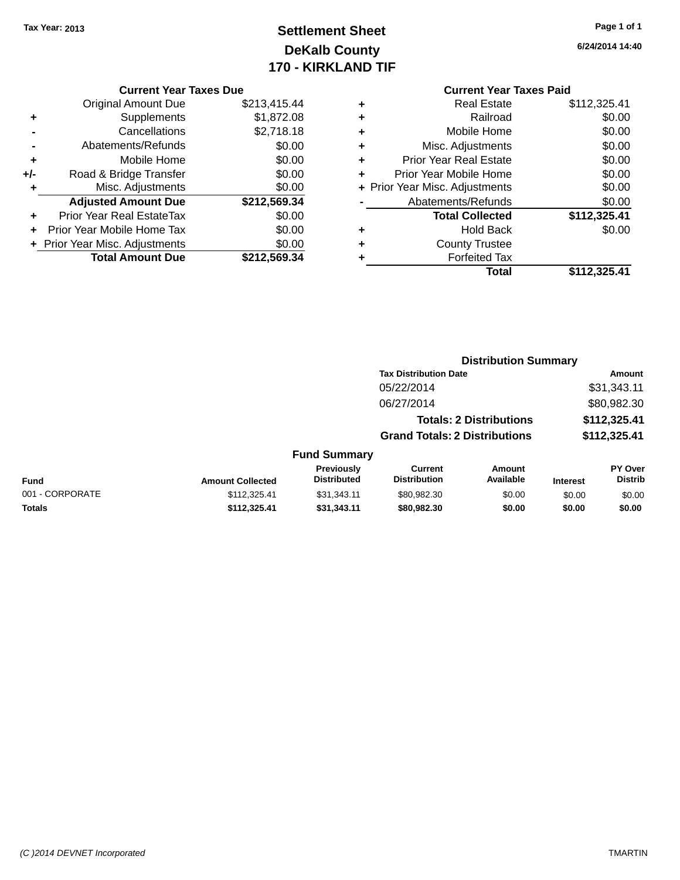### **Settlement Sheet Tax Year: 2013 Page 1 of 1 DeKalb County 170 - KIRKLAND TIF**

**6/24/2014 14:40**

|     | <b>Current Year Taxes Due</b>    |              |
|-----|----------------------------------|--------------|
|     | <b>Original Amount Due</b>       | \$213,415.44 |
| ٠   | Supplements                      | \$1,872.08   |
|     | Cancellations                    | \$2,718.18   |
|     | Abatements/Refunds               | \$0.00       |
| ÷   | Mobile Home                      | \$0.00       |
| +/- | Road & Bridge Transfer           | \$0.00       |
|     | Misc. Adjustments                | \$0.00       |
|     | <b>Adjusted Amount Due</b>       | \$212,569.34 |
| ÷   | <b>Prior Year Real EstateTax</b> | \$0.00       |
|     | Prior Year Mobile Home Tax       | \$0.00       |
|     | + Prior Year Misc. Adjustments   | \$0.00       |
|     | <b>Total Amount Due</b>          | \$212.569.34 |
|     |                                  |              |

|   | <b>Real Estate</b>             | \$112,325.41 |
|---|--------------------------------|--------------|
| ٠ | Railroad                       | \$0.00       |
| ٠ | Mobile Home                    | \$0.00       |
| ٠ | Misc. Adjustments              | \$0.00       |
| ٠ | <b>Prior Year Real Estate</b>  | \$0.00       |
| ٠ | Prior Year Mobile Home         | \$0.00       |
|   | + Prior Year Misc. Adjustments | \$0.00       |
|   | Abatements/Refunds             | \$0.00       |
|   | <b>Total Collected</b>         | \$112,325.41 |
| ٠ | Hold Back                      | \$0.00       |
| ٠ | <b>County Trustee</b>          |              |
| ٠ | <b>Forfeited Tax</b>           |              |
|   | Total                          | \$112,325.41 |
|   |                                |              |

|                         |                                  | <b>Distribution Summary</b>          |                                |                 |                                  |
|-------------------------|----------------------------------|--------------------------------------|--------------------------------|-----------------|----------------------------------|
|                         |                                  | <b>Tax Distribution Date</b>         |                                |                 | Amount                           |
|                         |                                  | 05/22/2014                           |                                |                 | \$31,343.11                      |
|                         |                                  | 06/27/2014                           |                                |                 | \$80,982.30                      |
|                         |                                  |                                      | <b>Totals: 2 Distributions</b> |                 | \$112,325.41                     |
|                         |                                  | <b>Grand Totals: 2 Distributions</b> |                                |                 | \$112,325.41                     |
|                         | <b>Fund Summary</b>              |                                      |                                |                 |                                  |
| <b>Amount Collected</b> | Previously<br><b>Distributed</b> | Current<br><b>Distribution</b>       | Amount<br>Available            | <b>Interest</b> | <b>PY Over</b><br><b>Distrib</b> |
| 0.110205A1              | 0.2121211                        | can nan an                           | en on                          | 0000            | 0000                             |

| Fund            | <b>Amount Collected</b> | Previousiv<br><b>Distributed</b> | ∪urrent<br><b>Distribution</b> | Amount<br>Available | <b>Interest</b> | <b>PY Over</b><br>Distrib |
|-----------------|-------------------------|----------------------------------|--------------------------------|---------------------|-----------------|---------------------------|
| 001 - CORPORATE | \$112.325.41            | \$31.343.11                      | \$80.982.30                    | \$0.00              | \$0.00          | \$0.00                    |
| Totals          | \$112.325.41            | \$31.343.11                      | \$80,982,30                    | \$0.00              | \$0.00          | \$0.00                    |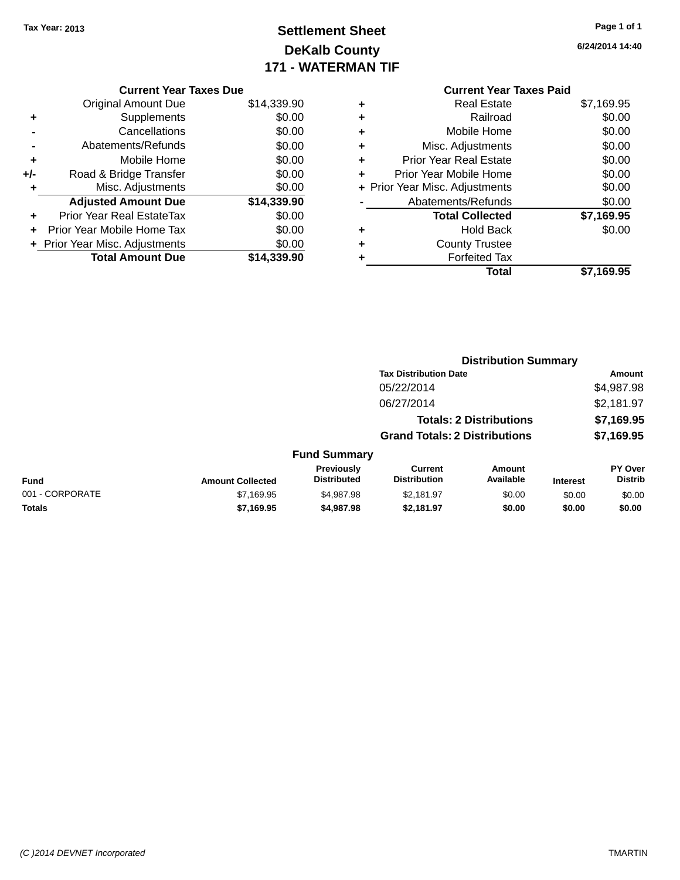### **Settlement Sheet Tax Year: 2013 Page 1 of 1 DeKalb County 171 - WATERMAN TIF**

|     | <b>Current Year Taxes Due</b>    |             |
|-----|----------------------------------|-------------|
|     | <b>Original Amount Due</b>       | \$14,339.90 |
| ٠   | Supplements                      | \$0.00      |
|     | Cancellations                    | \$0.00      |
|     | Abatements/Refunds               | \$0.00      |
| ٠   | Mobile Home                      | \$0.00      |
| +/- | Road & Bridge Transfer           | \$0.00      |
| ٠   | Misc. Adjustments                | \$0.00      |
|     | <b>Adjusted Amount Due</b>       | \$14,339.90 |
| ٠   | <b>Prior Year Real EstateTax</b> | \$0.00      |
|     | Prior Year Mobile Home Tax       | \$0.00      |
|     | + Prior Year Misc. Adjustments   | \$0.00      |
|     | <b>Total Amount Due</b>          | \$14,339.90 |

|   | <b>Current Year Taxes Paid</b> |            |
|---|--------------------------------|------------|
| ٠ | <b>Real Estate</b>             | \$7,169.95 |
| ٠ | Railroad                       | \$0.00     |
| ٠ | Mobile Home                    | \$0.00     |
| ٠ | Misc. Adjustments              | \$0.00     |
| ٠ | <b>Prior Year Real Estate</b>  | \$0.00     |
| ٠ | Prior Year Mobile Home         | \$0.00     |
|   | + Prior Year Misc. Adjustments | \$0.00     |
|   | Abatements/Refunds             | \$0.00     |
|   | <b>Total Collected</b>         | \$7,169.95 |
| ٠ | <b>Hold Back</b>               | \$0.00     |
| ٠ | <b>County Trustee</b>          |            |
|   | <b>Forfeited Tax</b>           |            |
|   | Total                          | \$7,169.95 |
|   |                                |            |

|                 |                         |                                  | <b>Distribution Summary</b>           |                                |                 |                                  |
|-----------------|-------------------------|----------------------------------|---------------------------------------|--------------------------------|-----------------|----------------------------------|
|                 |                         |                                  | <b>Tax Distribution Date</b>          |                                |                 | Amount                           |
|                 |                         |                                  | 05/22/2014                            |                                |                 | \$4,987.98                       |
|                 |                         |                                  | 06/27/2014                            |                                |                 | \$2,181.97                       |
|                 |                         |                                  |                                       | <b>Totals: 2 Distributions</b> |                 | \$7,169.95                       |
|                 |                         |                                  | <b>Grand Totals: 2 Distributions</b>  |                                |                 | \$7,169.95                       |
|                 |                         | <b>Fund Summary</b>              |                                       |                                |                 |                                  |
| <b>Fund</b>     | <b>Amount Collected</b> | Previously<br><b>Distributed</b> | <b>Current</b><br><b>Distribution</b> | Amount<br>Available            | <b>Interest</b> | <b>PY Over</b><br><b>Distrib</b> |
| 001 - CORPORATE | \$7,169.95              | \$4,987.98                       | \$2,181.97                            | \$0.00                         | \$0.00          | \$0.00                           |
| <b>Totals</b>   | \$7,169.95              | \$4,987.98                       | \$2,181.97                            | \$0.00                         | \$0.00          | \$0.00                           |
|                 |                         |                                  |                                       |                                |                 |                                  |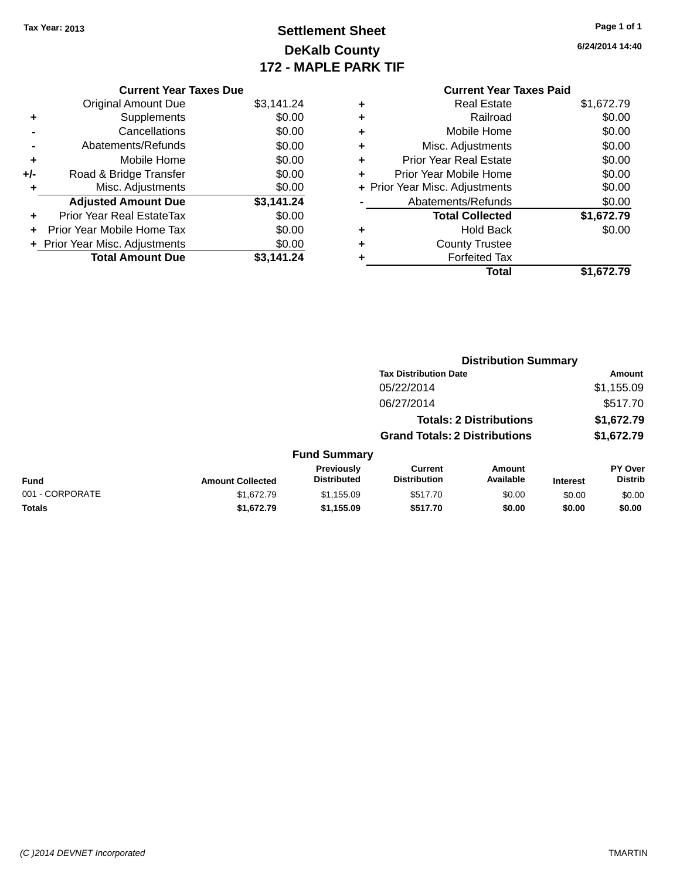### **Settlement Sheet Tax Year: 2013 Page 1 of 1 DeKalb County 172 - MAPLE PARK TIF**

|   | <b>Current Year Taxes Paid</b> |            |
|---|--------------------------------|------------|
| ٠ | <b>Real Estate</b>             | \$1,672.79 |
| ٠ | Railroad                       | \$0.00     |
| ٠ | Mobile Home                    | \$0.00     |
| ٠ | Misc. Adjustments              | \$0.00     |
| ٠ | <b>Prior Year Real Estate</b>  | \$0.00     |
| ÷ | Prior Year Mobile Home         | \$0.00     |
|   | + Prior Year Misc. Adjustments | \$0.00     |
|   | Abatements/Refunds             | \$0.00     |
|   | <b>Total Collected</b>         | \$1,672.79 |
| ٠ | <b>Hold Back</b>               | \$0.00     |
|   | <b>County Trustee</b>          |            |
|   | <b>Forfeited Tax</b>           |            |
|   | Total                          | \$1,672.79 |

|     | <b>Current Year Taxes Due</b>  |            |
|-----|--------------------------------|------------|
|     | <b>Original Amount Due</b>     | \$3,141.24 |
| ٠   | Supplements                    | \$0.00     |
|     | Cancellations                  | \$0.00     |
|     | Abatements/Refunds             | \$0.00     |
| ٠   | Mobile Home                    | \$0.00     |
| +/- | Road & Bridge Transfer         | \$0.00     |
| ٠   | Misc. Adjustments              | \$0.00     |
|     | <b>Adjusted Amount Due</b>     | \$3,141.24 |
| ٠   | Prior Year Real EstateTax      | \$0.00     |
|     | Prior Year Mobile Home Tax     | \$0.00     |
|     | + Prior Year Misc. Adjustments | \$0.00     |
|     | <b>Total Amount Due</b>        | \$3,141.24 |

|                 |                         |                                  |                                       | <b>Distribution Summary</b>    |                 |                                  |
|-----------------|-------------------------|----------------------------------|---------------------------------------|--------------------------------|-----------------|----------------------------------|
|                 |                         |                                  | <b>Tax Distribution Date</b>          |                                |                 | Amount                           |
|                 |                         |                                  | 05/22/2014                            |                                |                 | \$1,155.09                       |
|                 |                         |                                  | 06/27/2014                            |                                |                 | \$517.70                         |
|                 |                         |                                  |                                       | <b>Totals: 2 Distributions</b> |                 | \$1,672.79                       |
|                 |                         |                                  | <b>Grand Totals: 2 Distributions</b>  |                                |                 | \$1,672.79                       |
|                 |                         | <b>Fund Summary</b>              |                                       |                                |                 |                                  |
| <b>Fund</b>     | <b>Amount Collected</b> | Previously<br><b>Distributed</b> | <b>Current</b><br><b>Distribution</b> | Amount<br>Available            | <b>Interest</b> | <b>PY Over</b><br><b>Distrib</b> |
| 001 - CORPORATE | \$1,672.79              | \$1,155.09                       | \$517.70                              | \$0.00                         | \$0.00          | \$0.00                           |
| <b>Totals</b>   | \$1,672.79              | \$1,155.09                       | \$517.70                              | \$0.00                         | \$0.00          | \$0.00                           |
|                 |                         |                                  |                                       |                                |                 |                                  |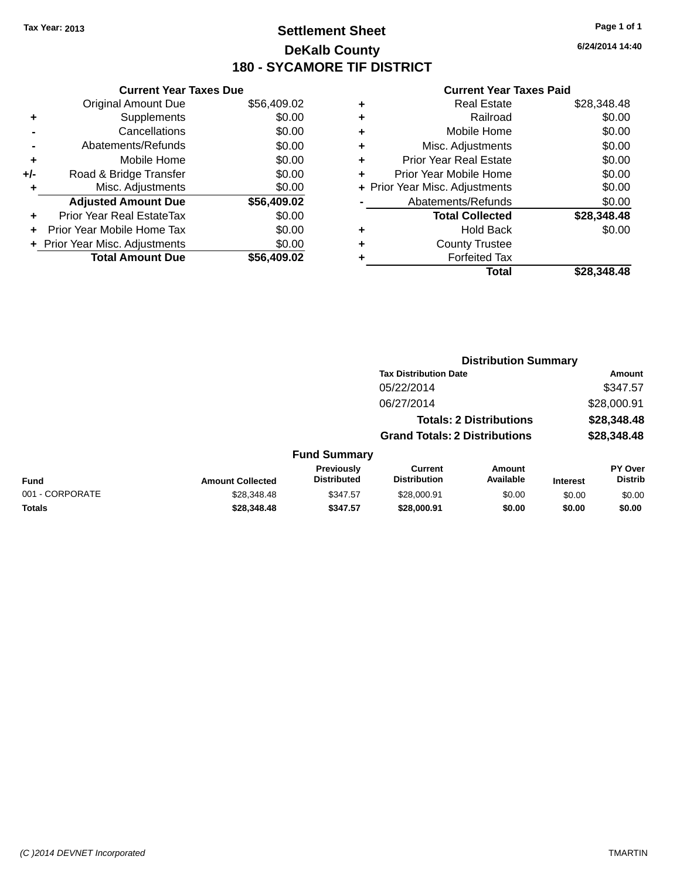### **Settlement Sheet Tax Year: 2013 Page 1 of 1 DeKalb County 180 - SYCAMORE TIF DISTRICT**

**6/24/2014 14:40**

| <b>Original Amount Due</b>   | \$56,409.02                                              |
|------------------------------|----------------------------------------------------------|
| Supplements                  | \$0.00                                                   |
| Cancellations                | \$0.00                                                   |
| Abatements/Refunds           | \$0.00                                                   |
| Mobile Home                  | \$0.00                                                   |
| Road & Bridge Transfer       | \$0.00                                                   |
| Misc. Adjustments            | \$0.00                                                   |
| <b>Adjusted Amount Due</b>   | \$56,409.02                                              |
| Prior Year Real EstateTax    | \$0.00                                                   |
| Prior Year Mobile Home Tax   | \$0.00                                                   |
| Prior Year Misc. Adjustments | \$0.00                                                   |
|                              | \$56.409.02                                              |
|                              | <b>Current Year Taxes Due</b><br><b>Total Amount Due</b> |

| ٠ | <b>Real Estate</b>             | \$28,348.48 |
|---|--------------------------------|-------------|
| ٠ | Railroad                       | \$0.00      |
| ٠ | Mobile Home                    | \$0.00      |
| ٠ | Misc. Adjustments              | \$0.00      |
| ٠ | <b>Prior Year Real Estate</b>  | \$0.00      |
| ٠ | Prior Year Mobile Home         | \$0.00      |
|   | + Prior Year Misc. Adjustments | \$0.00      |
|   | Abatements/Refunds             | \$0.00      |
|   | <b>Total Collected</b>         | \$28,348.48 |
| ٠ | <b>Hold Back</b>               | \$0.00      |
| ٠ | <b>County Trustee</b>          |             |
| ٠ | <b>Forfeited Tax</b>           |             |
|   | Total                          | \$28.348.48 |
|   |                                |             |

|                 |                         |                                  | <b>Distribution Summary</b>           |                                |                 |                                  |  |
|-----------------|-------------------------|----------------------------------|---------------------------------------|--------------------------------|-----------------|----------------------------------|--|
|                 |                         |                                  | <b>Tax Distribution Date</b>          |                                |                 | <b>Amount</b>                    |  |
|                 |                         |                                  | 05/22/2014                            |                                |                 | \$347.57                         |  |
|                 |                         |                                  | 06/27/2014                            |                                |                 | \$28,000.91                      |  |
|                 |                         |                                  |                                       | <b>Totals: 2 Distributions</b> |                 | \$28,348.48                      |  |
|                 |                         |                                  | <b>Grand Totals: 2 Distributions</b>  |                                |                 | \$28,348.48                      |  |
|                 |                         | <b>Fund Summary</b>              |                                       |                                |                 |                                  |  |
| <b>Fund</b>     | <b>Amount Collected</b> | Previously<br><b>Distributed</b> | <b>Current</b><br><b>Distribution</b> | Amount<br>Available            | <b>Interest</b> | <b>PY Over</b><br><b>Distrib</b> |  |
| 001 - CORPORATE | \$28,348.48             | \$347.57                         | \$28,000.91                           | \$0.00                         | \$0.00          | \$0.00                           |  |
| <b>Totals</b>   | \$28,348.48             | \$347.57                         | \$28,000.91                           | \$0.00                         | \$0.00          | \$0.00                           |  |
|                 |                         |                                  |                                       |                                |                 |                                  |  |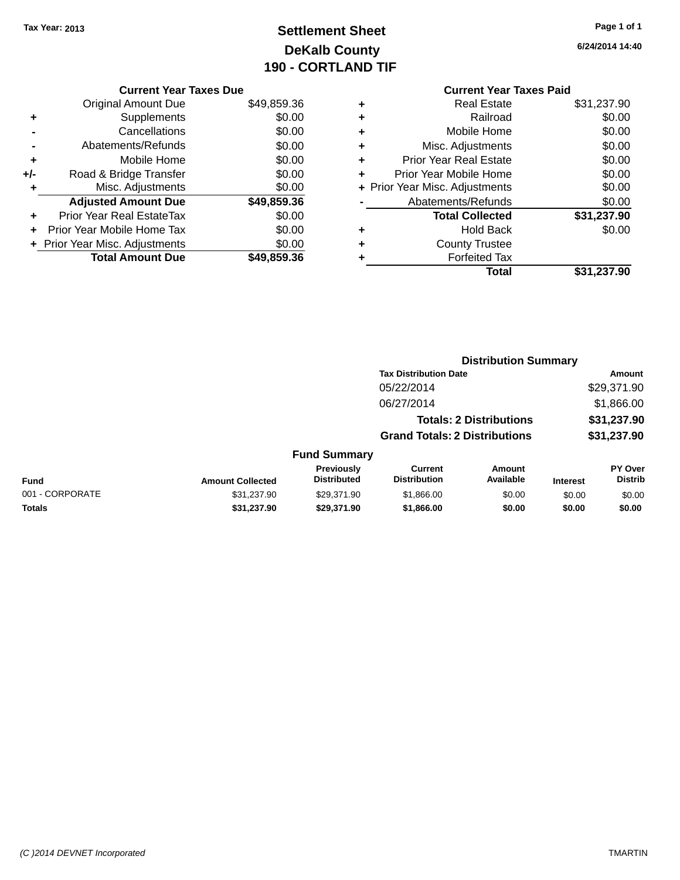### **Settlement Sheet Tax Year: 2013 Page 1 of 1 DeKalb County 190 - CORTLAND TIF**

| Page 1 of 1 |  |  |
|-------------|--|--|
|             |  |  |

**6/24/2014 14:40**

|     | <b>Current Year Taxes Due</b> |             |  |
|-----|-------------------------------|-------------|--|
|     | <b>Original Amount Due</b>    | \$49,859.36 |  |
| ٠   | Supplements                   | \$0.00      |  |
|     | Cancellations                 | \$0.00      |  |
|     | Abatements/Refunds            | \$0.00      |  |
| ٠   | Mobile Home                   | \$0.00      |  |
| +/- | Road & Bridge Transfer        | \$0.00      |  |
| ٠   | Misc. Adjustments             | \$0.00      |  |
|     | <b>Adjusted Amount Due</b>    | \$49,859.36 |  |
| ٠   | Prior Year Real EstateTax     | \$0.00      |  |
| ÷   | Prior Year Mobile Home Tax    | \$0.00      |  |
|     | Prior Year Misc. Adjustments  | \$0.00      |  |
|     | <b>Total Amount Due</b>       | \$49,859.36 |  |
|     |                               |             |  |

#### **Current Year Taxes Paid +** Real Estate \$31,237.90

|   | Total                          | \$31,237.90         |
|---|--------------------------------|---------------------|
|   | <b>Forfeited Tax</b>           |                     |
| ÷ | <b>County Trustee</b>          |                     |
|   | <b>Hold Back</b>               | \$0.00              |
|   | <b>Total Collected</b>         | \$31,237.90         |
|   | Abatements/Refunds             | \$0.00              |
|   | + Prior Year Misc. Adjustments | \$0.00              |
| ÷ | Prior Year Mobile Home         | \$0.00              |
| ٠ | <b>Prior Year Real Estate</b>  | \$0.00              |
| ٠ | Misc. Adjustments              | \$0.00              |
| ٠ | Mobile Home                    | \$0.00              |
| ÷ | Railroad                       | \$0.00              |
| T | ngal Lolal <del>c</del>        | <b>00. וט∠,ו טע</b> |

|                 |                         |                                         | <b>Distribution Summary</b>           |                                |                 |                                  |  |
|-----------------|-------------------------|-----------------------------------------|---------------------------------------|--------------------------------|-----------------|----------------------------------|--|
|                 |                         |                                         | <b>Tax Distribution Date</b>          |                                |                 | Amount                           |  |
|                 |                         |                                         | 05/22/2014                            |                                |                 | \$29,371.90                      |  |
|                 |                         |                                         | 06/27/2014                            |                                |                 | \$1,866.00                       |  |
|                 |                         |                                         |                                       | <b>Totals: 2 Distributions</b> |                 | \$31,237.90                      |  |
|                 |                         |                                         | <b>Grand Totals: 2 Distributions</b>  |                                |                 | \$31,237.90                      |  |
|                 |                         | <b>Fund Summary</b>                     |                                       |                                |                 |                                  |  |
| <b>Fund</b>     | <b>Amount Collected</b> | <b>Previously</b><br><b>Distributed</b> | <b>Current</b><br><b>Distribution</b> | Amount<br>Available            | <b>Interest</b> | <b>PY Over</b><br><b>Distrib</b> |  |
| 001 - CORPORATE | \$31,237.90             | \$29.371.90                             | \$1,866.00                            | \$0.00                         | \$0.00          | \$0.00                           |  |
| <b>Totals</b>   | \$31,237.90             | \$29,371.90                             | \$1,866.00                            | \$0.00                         | \$0.00          | \$0.00                           |  |
|                 |                         |                                         |                                       |                                |                 |                                  |  |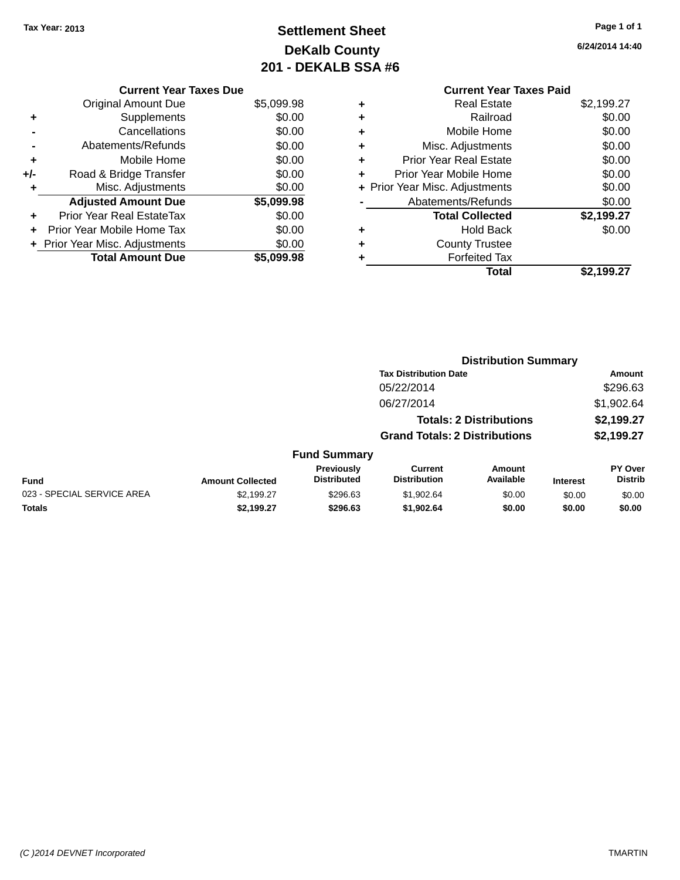### **Settlement Sheet Tax Year: 2013 Page 1 of 1 DeKalb County 201 - DEKALB SSA #6**

**6/24/2014 14:40**

|     | <b>Current Year Taxes Due</b>    |            |
|-----|----------------------------------|------------|
|     | <b>Original Amount Due</b>       | \$5,099.98 |
| ٠   | Supplements                      | \$0.00     |
|     | Cancellations                    | \$0.00     |
|     | Abatements/Refunds               | \$0.00     |
| ٠   | Mobile Home                      | \$0.00     |
| +/- | Road & Bridge Transfer           | \$0.00     |
| ٠   | Misc. Adjustments                | \$0.00     |
|     | <b>Adjusted Amount Due</b>       | \$5,099.98 |
| ٠   | <b>Prior Year Real EstateTax</b> | \$0.00     |
| ÷   | Prior Year Mobile Home Tax       | \$0.00     |
|     | + Prior Year Misc. Adjustments   | \$0.00     |
|     | <b>Total Amount Due</b>          | \$5.099.98 |

#### **Current Year Taxes Paid +** Real Estate \$2,199.27 **+** Railroad \$0.00<br>▲ Mobile Home \$0.00 **+** Mobile Home

|   | Total                          | \$2,199.27 |
|---|--------------------------------|------------|
| ٠ | <b>Forfeited Tax</b>           |            |
| ÷ | <b>County Trustee</b>          |            |
| ٠ | <b>Hold Back</b>               | \$0.00     |
|   | <b>Total Collected</b>         | \$2,199.27 |
|   | Abatements/Refunds             | \$0.00     |
|   | + Prior Year Misc. Adjustments | \$0.00     |
| ÷ | Prior Year Mobile Home         | \$0.00     |
| ÷ | <b>Prior Year Real Estate</b>  | \$0.00     |
| ÷ | Misc. Adjustments              | \$0.00     |
|   | <u>INIONIIC I IUITIC</u>       | vv.vv      |

|                            |                         |                                  | <b>Distribution Summary</b>           |                                |                 |                                  |  |
|----------------------------|-------------------------|----------------------------------|---------------------------------------|--------------------------------|-----------------|----------------------------------|--|
|                            |                         |                                  | <b>Tax Distribution Date</b>          |                                |                 | Amount                           |  |
|                            |                         |                                  | 05/22/2014                            |                                |                 | \$296.63                         |  |
|                            |                         |                                  | 06/27/2014                            |                                |                 | \$1,902.64                       |  |
|                            |                         |                                  |                                       | <b>Totals: 2 Distributions</b> |                 | \$2,199.27                       |  |
|                            |                         |                                  | <b>Grand Totals: 2 Distributions</b>  |                                |                 | \$2,199.27                       |  |
|                            |                         | <b>Fund Summary</b>              |                                       |                                |                 |                                  |  |
| <b>Fund</b>                | <b>Amount Collected</b> | Previously<br><b>Distributed</b> | <b>Current</b><br><b>Distribution</b> | Amount<br>Available            | <b>Interest</b> | <b>PY Over</b><br><b>Distrib</b> |  |
| 023 - SPECIAL SERVICE AREA | \$2,199.27              | \$296.63                         | \$1,902.64                            | \$0.00                         | \$0.00          | \$0.00                           |  |
| <b>Totals</b>              | \$2,199.27              | \$296.63                         | \$1,902.64                            | \$0.00                         | \$0.00          | \$0.00                           |  |
|                            |                         |                                  |                                       |                                |                 |                                  |  |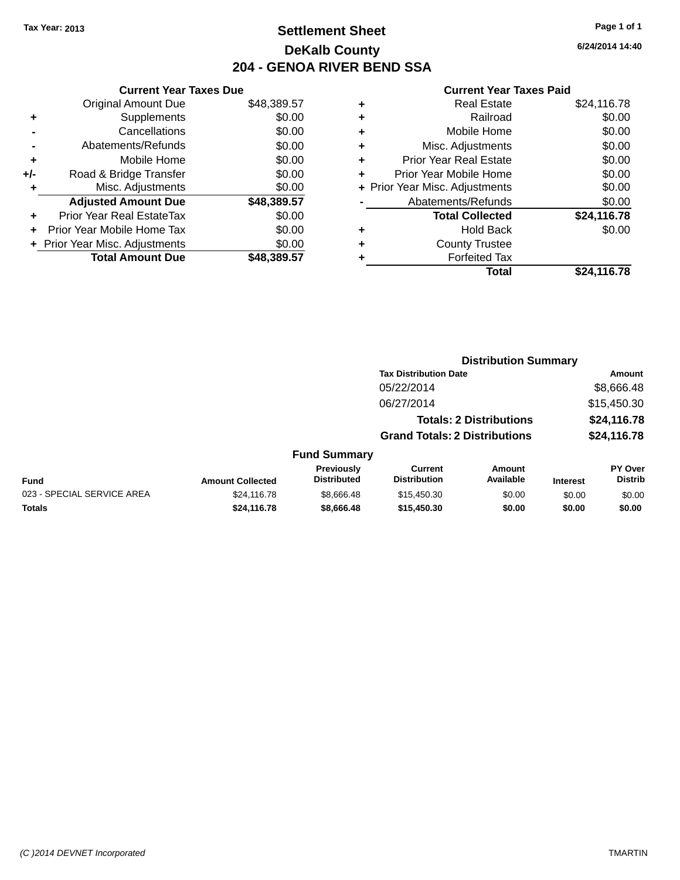### **Settlement Sheet Tax Year: 2013 Page 1 of 1 DeKalb County 204 - GENOA RIVER BEND SSA**

**6/24/2014 14:40**

|     | <b>Current Year Taxes Due</b>  |             |
|-----|--------------------------------|-------------|
|     | Original Amount Due            | \$48,389.57 |
| ٠   | Supplements                    | \$0.00      |
|     | Cancellations                  | \$0.00      |
|     | Abatements/Refunds             | \$0.00      |
| ٠   | Mobile Home                    | \$0.00      |
| +/- | Road & Bridge Transfer         | \$0.00      |
|     | Misc. Adjustments              | \$0.00      |
|     | <b>Adjusted Amount Due</b>     | \$48,389.57 |
| ÷   | Prior Year Real EstateTax      | \$0.00      |
|     | Prior Year Mobile Home Tax     | \$0.00      |
|     | + Prior Year Misc. Adjustments | \$0.00      |
|     | <b>Total Amount Due</b>        | \$48,389.57 |
|     |                                |             |

| <b>Real Estate</b>             | \$24,116.78 |
|--------------------------------|-------------|
| Railroad                       | \$0.00      |
| Mobile Home                    | \$0.00      |
| Misc. Adjustments              | \$0.00      |
| <b>Prior Year Real Estate</b>  | \$0.00      |
| Prior Year Mobile Home         | \$0.00      |
| + Prior Year Misc. Adjustments | \$0.00      |
| Abatements/Refunds             | \$0.00      |
| <b>Total Collected</b>         | \$24,116.78 |
| <b>Hold Back</b>               | \$0.00      |
| <b>County Trustee</b>          |             |
| <b>Forfeited Tax</b>           |             |
| Total                          | \$24,116.78 |
|                                |             |

|                            |                         |                                  |                                       | <b>Distribution Summary</b>    |                 |                           |
|----------------------------|-------------------------|----------------------------------|---------------------------------------|--------------------------------|-----------------|---------------------------|
|                            |                         |                                  | <b>Tax Distribution Date</b>          |                                |                 | Amount                    |
|                            |                         |                                  | 05/22/2014                            |                                |                 | \$8,666.48                |
|                            |                         |                                  | 06/27/2014                            |                                |                 | \$15,450.30               |
|                            |                         |                                  |                                       | <b>Totals: 2 Distributions</b> |                 | \$24,116.78               |
|                            |                         |                                  | <b>Grand Totals: 2 Distributions</b>  |                                |                 | \$24,116.78               |
|                            |                         | <b>Fund Summary</b>              |                                       |                                |                 |                           |
| <b>Fund</b>                | <b>Amount Collected</b> | Previously<br><b>Distributed</b> | <b>Current</b><br><b>Distribution</b> | Amount<br>Available            | <b>Interest</b> | PY Over<br><b>Distrib</b> |
| 023 - SPECIAL SERVICE AREA | \$24,116.78             | \$8,666.48                       | \$15,450.30                           | \$0.00                         | \$0.00          | \$0.00                    |
| <b>Totals</b>              | \$24,116.78             | \$8,666.48                       | \$15,450.30                           | \$0.00                         | \$0.00          | \$0.00                    |
|                            |                         |                                  |                                       |                                |                 |                           |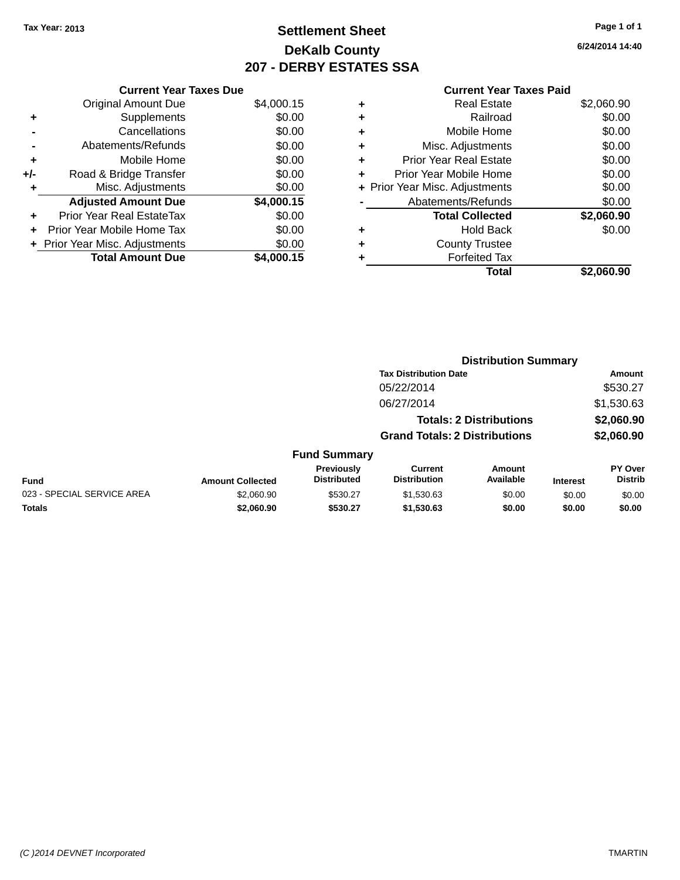### **Settlement Sheet Tax Year: 2013 Page 1 of 1 DeKalb County 207 - DERBY ESTATES SSA**

**6/24/2014 14:40**

|     | <b>Current Year Taxes Due</b>  |            |
|-----|--------------------------------|------------|
|     | <b>Original Amount Due</b>     | \$4,000.15 |
| ٠   | Supplements                    | \$0.00     |
|     | Cancellations                  | \$0.00     |
|     | Abatements/Refunds             | \$0.00     |
| ٠   | Mobile Home                    | \$0.00     |
| +/- | Road & Bridge Transfer         | \$0.00     |
| ٠   | Misc. Adjustments              | \$0.00     |
|     | <b>Adjusted Amount Due</b>     | \$4,000.15 |
| ٠   | Prior Year Real EstateTax      | \$0.00     |
| ٠   | Prior Year Mobile Home Tax     | \$0.00     |
|     | + Prior Year Misc. Adjustments | \$0.00     |
|     | <b>Total Amount Due</b>        | \$4,000.15 |

|   | Total                          | \$2,060.90 |
|---|--------------------------------|------------|
| ٠ | <b>Forfeited Tax</b>           |            |
| ٠ | <b>County Trustee</b>          |            |
| ٠ | <b>Hold Back</b>               | \$0.00     |
|   | <b>Total Collected</b>         | \$2,060.90 |
|   | Abatements/Refunds             | \$0.00     |
|   | + Prior Year Misc. Adjustments | \$0.00     |
| ٠ | Prior Year Mobile Home         | \$0.00     |
| ٠ | <b>Prior Year Real Estate</b>  | \$0.00     |
| ٠ | Misc. Adjustments              | \$0.00     |
| ٠ | Mobile Home                    | \$0.00     |
| ٠ | Railroad                       | \$0.00     |
|   | <b>Real Estate</b>             | \$2,060.90 |

|                            |                         |                                  | <b>Distribution Summary</b>           |                                |                 |                                  |  |
|----------------------------|-------------------------|----------------------------------|---------------------------------------|--------------------------------|-----------------|----------------------------------|--|
|                            |                         |                                  | <b>Tax Distribution Date</b>          |                                |                 | Amount                           |  |
|                            |                         |                                  | 05/22/2014                            |                                |                 | \$530.27                         |  |
|                            |                         |                                  | 06/27/2014                            |                                |                 | \$1,530.63                       |  |
|                            |                         |                                  |                                       | <b>Totals: 2 Distributions</b> |                 | \$2,060.90                       |  |
|                            |                         |                                  | <b>Grand Totals: 2 Distributions</b>  |                                |                 | \$2,060.90                       |  |
|                            |                         | <b>Fund Summary</b>              |                                       |                                |                 |                                  |  |
| <b>Fund</b>                | <b>Amount Collected</b> | Previously<br><b>Distributed</b> | <b>Current</b><br><b>Distribution</b> | Amount<br>Available            | <b>Interest</b> | <b>PY Over</b><br><b>Distrib</b> |  |
| 023 - SPECIAL SERVICE AREA | \$2,060.90              | \$530.27                         | \$1,530.63                            | \$0.00                         | \$0.00          | \$0.00                           |  |
| <b>Totals</b>              | \$2,060.90              | \$530.27                         | \$1,530.63                            | \$0.00                         | \$0.00          | \$0.00                           |  |
|                            |                         |                                  |                                       |                                |                 |                                  |  |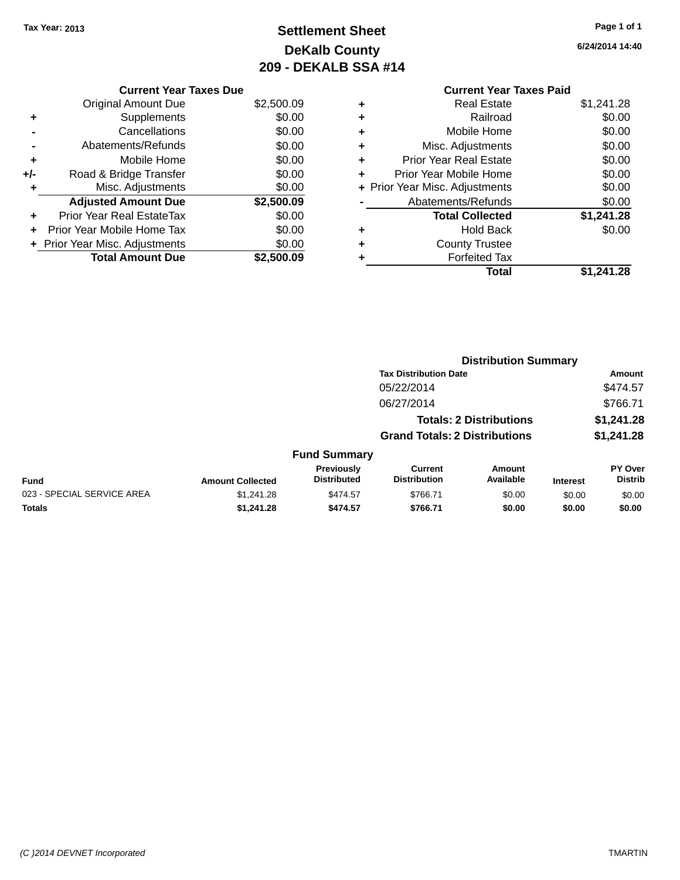### **Settlement Sheet Tax Year: 2013 Page 1 of 1 DeKalb County 209 - DEKALB SSA #14**

| <b>Current Year Taxes Paid</b> |                                |
|--------------------------------|--------------------------------|
| <b>Real Estate</b>             | \$1,241.28                     |
| Railroad                       | \$0.00                         |
| Mobile Home                    | \$0.00                         |
| Misc. Adjustments              | \$0.00                         |
| Prior Year Real Estate         | \$0.00                         |
| Prior Year Mobile Home         | \$0.00                         |
|                                | \$0.00                         |
| Abatements/Refunds             | \$0.00                         |
| <b>Total Collected</b>         | \$1,241.28                     |
| Hold Back                      | \$0.00                         |
| <b>County Trustee</b>          |                                |
| <b>Forfeited Tax</b>           |                                |
| Total                          | \$1.241.28                     |
|                                | + Prior Year Misc. Adjustments |

| <b>Current Year Taxes Due</b>  |            |
|--------------------------------|------------|
| <b>Original Amount Due</b>     | \$2,500.09 |
| Supplements                    | \$0.00     |
| Cancellations                  | \$0.00     |
| Abatements/Refunds             | \$0.00     |
| Mobile Home                    | \$0.00     |
| Road & Bridge Transfer         | \$0.00     |
| Misc. Adjustments              | \$0.00     |
| <b>Adjusted Amount Due</b>     | \$2,500.09 |
| Prior Year Real EstateTax      | \$0.00     |
| Prior Year Mobile Home Tax     | \$0.00     |
| + Prior Year Misc. Adjustments | \$0.00     |
| <b>Total Amount Due</b>        | \$2,500.09 |
|                                |            |

|                            |                         |                                         | <b>Distribution Summary</b>           |                                |                 |                           |
|----------------------------|-------------------------|-----------------------------------------|---------------------------------------|--------------------------------|-----------------|---------------------------|
|                            |                         |                                         | <b>Tax Distribution Date</b>          |                                |                 | Amount                    |
|                            |                         |                                         | 05/22/2014                            |                                |                 | \$474.57                  |
|                            |                         |                                         | 06/27/2014                            |                                |                 | \$766.71                  |
|                            |                         |                                         |                                       | <b>Totals: 2 Distributions</b> |                 | \$1,241.28                |
|                            |                         |                                         | <b>Grand Totals: 2 Distributions</b>  |                                |                 | \$1,241.28                |
|                            |                         | <b>Fund Summary</b>                     |                                       |                                |                 |                           |
| <b>Fund</b>                | <b>Amount Collected</b> | <b>Previously</b><br><b>Distributed</b> | <b>Current</b><br><b>Distribution</b> | Amount<br>Available            | <b>Interest</b> | PY Over<br><b>Distrib</b> |
| 023 - SPECIAL SERVICE AREA | \$1.241.28              | \$474.57                                | \$766.71                              | \$0.00                         | \$0.00          | \$0.00                    |
| <b>Totals</b>              | \$1,241.28              | \$474.57                                | \$766.71                              | \$0.00                         | \$0.00          | \$0.00                    |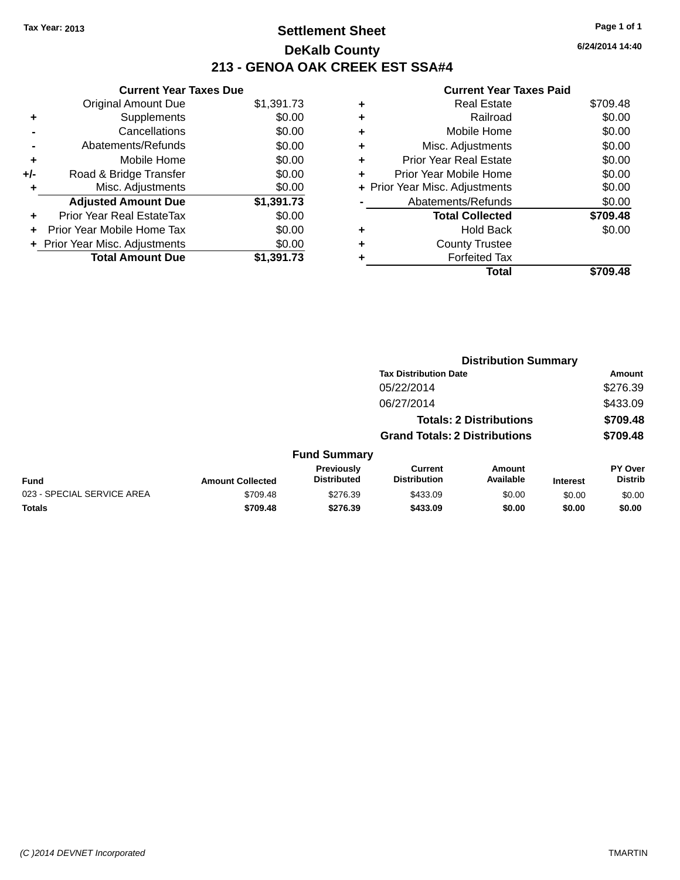### **Settlement Sheet Tax Year: 2013 Page 1 of 1 DeKalb County 213 - GENOA OAK CREEK EST SSA#4**

|       | <b>Current Year Taxes Due</b>  |            |
|-------|--------------------------------|------------|
|       | <b>Original Amount Due</b>     | \$1,391.73 |
| ٠     | Supplements                    | \$0.00     |
|       | Cancellations                  | \$0.00     |
|       | Abatements/Refunds             | \$0.00     |
| ٠     | Mobile Home                    | \$0.00     |
| $+/-$ | Road & Bridge Transfer         | \$0.00     |
| ٠     | Misc. Adjustments              | \$0.00     |
|       | <b>Adjusted Amount Due</b>     | \$1,391.73 |
| ÷     | Prior Year Real EstateTax      | \$0.00     |
|       | Prior Year Mobile Home Tax     | \$0.00     |
|       | + Prior Year Misc. Adjustments | \$0.00     |
|       | <b>Total Amount Due</b>        | \$1,391.73 |

|   | Real Estate                    | \$709.48 |
|---|--------------------------------|----------|
| ٠ | Railroad                       | \$0.00   |
| ٠ | Mobile Home                    | \$0.00   |
| ٠ | Misc. Adjustments              | \$0.00   |
| ٠ | <b>Prior Year Real Estate</b>  | \$0.00   |
| ÷ | Prior Year Mobile Home         | \$0.00   |
|   | + Prior Year Misc. Adjustments | \$0.00   |
|   | Abatements/Refunds             | \$0.00   |
|   | <b>Total Collected</b>         | \$709.48 |
| ٠ | Hold Back                      | \$0.00   |
|   | <b>County Trustee</b>          |          |
|   | <b>Forfeited Tax</b>           |          |
|   | Total                          | \$709.48 |
|   |                                |          |

|                         |                                  | <b>Distribution Summary</b>           |                     |                                                                        |                                  |  |
|-------------------------|----------------------------------|---------------------------------------|---------------------|------------------------------------------------------------------------|----------------------------------|--|
|                         |                                  | <b>Tax Distribution Date</b>          |                     |                                                                        | Amount                           |  |
|                         |                                  | 05/22/2014                            |                     |                                                                        | \$276.39                         |  |
|                         |                                  | 06/27/2014                            |                     |                                                                        | \$433.09                         |  |
|                         |                                  |                                       |                     |                                                                        | \$709.48                         |  |
|                         |                                  |                                       |                     |                                                                        | \$709.48                         |  |
|                         |                                  |                                       |                     |                                                                        |                                  |  |
| <b>Amount Collected</b> | Previously<br><b>Distributed</b> | <b>Current</b><br><b>Distribution</b> | Amount<br>Available | <b>Interest</b>                                                        | <b>PY Over</b><br><b>Distrib</b> |  |
| \$709.48                | \$276.39                         | \$433.09                              | \$0.00              | \$0.00                                                                 | \$0.00                           |  |
| \$709.48                | \$276.39                         | \$433.09                              | \$0.00              | \$0.00                                                                 | \$0.00                           |  |
|                         |                                  |                                       | <b>Fund Summary</b> | <b>Totals: 2 Distributions</b><br><b>Grand Totals: 2 Distributions</b> |                                  |  |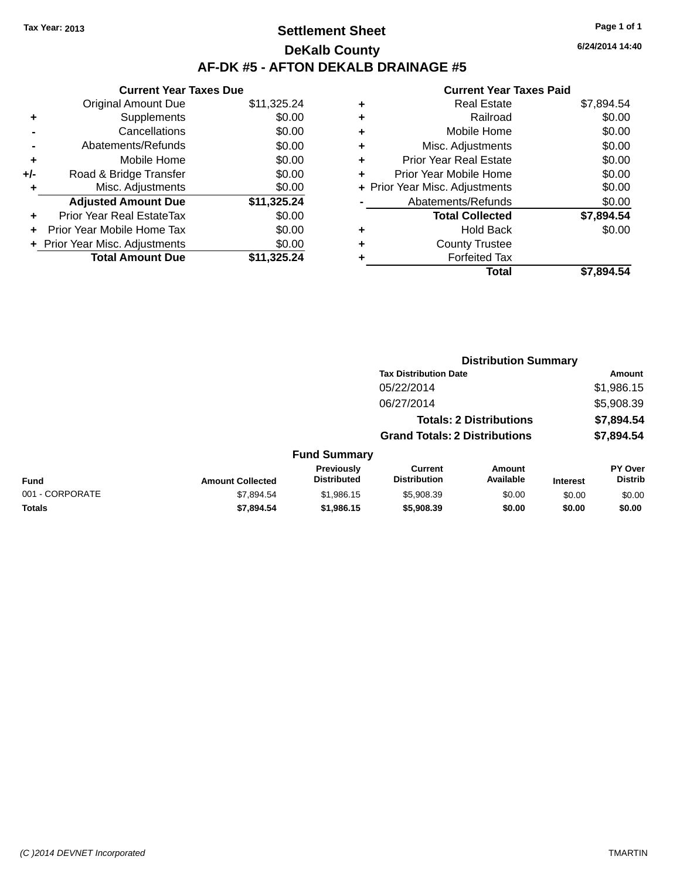### **Settlement Sheet Tax Year: 2013 Page 1 of 1 DeKalb County AF-DK #5 - AFTON DEKALB DRAINAGE #5**

|       | <b>Current Year Taxes Due</b>  |             |
|-------|--------------------------------|-------------|
|       | <b>Original Amount Due</b>     | \$11,325.24 |
| ٠     | Supplements                    | \$0.00      |
|       | Cancellations                  | \$0.00      |
|       | Abatements/Refunds             | \$0.00      |
| ٠     | Mobile Home                    | \$0.00      |
| $+/-$ | Road & Bridge Transfer         | \$0.00      |
| ٠     | Misc. Adjustments              | \$0.00      |
|       | <b>Adjusted Amount Due</b>     | \$11,325.24 |
| ÷     | Prior Year Real EstateTax      | \$0.00      |
|       | Prior Year Mobile Home Tax     | \$0.00      |
|       | + Prior Year Misc. Adjustments | \$0.00      |
|       | <b>Total Amount Due</b>        | \$11,325.24 |

#### **Current Year Taxes Paid**

| ٠ | <b>Real Estate</b>             | \$7,894.54 |
|---|--------------------------------|------------|
| ٠ | Railroad                       | \$0.00     |
| ٠ | Mobile Home                    | \$0.00     |
| ٠ | Misc. Adjustments              | \$0.00     |
| ٠ | <b>Prior Year Real Estate</b>  | \$0.00     |
| ٠ | Prior Year Mobile Home         | \$0.00     |
|   | + Prior Year Misc. Adjustments | \$0.00     |
|   | Abatements/Refunds             | \$0.00     |
|   | <b>Total Collected</b>         | \$7,894.54 |
| ٠ | Hold Back                      | \$0.00     |
| ٠ | <b>County Trustee</b>          |            |
| ٠ | <b>Forfeited Tax</b>           |            |
|   | Total                          | \$7.894.54 |
|   |                                |            |

|                 |                         |                                  | <b>Distribution Summary</b>           |                                |                 |                                  |
|-----------------|-------------------------|----------------------------------|---------------------------------------|--------------------------------|-----------------|----------------------------------|
|                 |                         |                                  | <b>Tax Distribution Date</b>          |                                |                 | Amount                           |
|                 |                         |                                  | 05/22/2014                            |                                |                 | \$1,986.15                       |
|                 |                         |                                  | 06/27/2014                            |                                |                 | \$5,908.39                       |
|                 |                         |                                  |                                       | <b>Totals: 2 Distributions</b> |                 | \$7,894.54                       |
|                 |                         |                                  | <b>Grand Totals: 2 Distributions</b>  |                                |                 | \$7,894.54                       |
|                 |                         | <b>Fund Summary</b>              |                                       |                                |                 |                                  |
| <b>Fund</b>     | <b>Amount Collected</b> | Previously<br><b>Distributed</b> | <b>Current</b><br><b>Distribution</b> | Amount<br>Available            | <b>Interest</b> | <b>PY Over</b><br><b>Distrib</b> |
| 001 - CORPORATE | \$7,894.54              | \$1,986.15                       | \$5,908.39                            | \$0.00                         | \$0.00          | \$0.00                           |
| <b>Totals</b>   | \$7,894.54              | \$1,986.15                       | \$5,908.39                            | \$0.00                         | \$0.00          | \$0.00                           |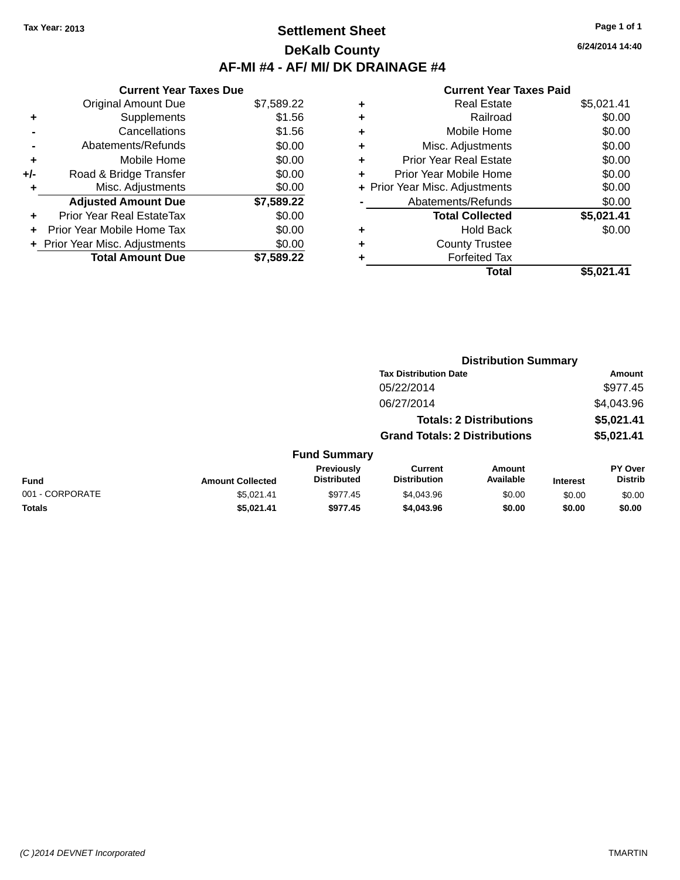### **Settlement Sheet Tax Year: 2013 Page 1 of 1 DeKalb County AF-MI #4 - AF/ MI/ DK DRAINAGE #4**

**Current Year Taxes Due** Original Amount Due \$7,589.22 **+** Supplements \$1.56 **-** Cancellations \$1.56 **-** Abatements/Refunds \$0.00 **+** Mobile Home \$0.00 **+/-** Road & Bridge Transfer \$0.00 **+** Misc. Adjustments \$0.00 **Adjusted Amount Due \$7,589.22 +** Prior Year Real EstateTax \$0.00 **+** Prior Year Mobile Home Tax \$0.00 **+ Prior Year Misc. Adjustments**  $$0.00$ **Total Amount Due \$7,589.22**

#### **Current Year Taxes Paid**

| ٠ | <b>Real Estate</b>             | \$5,021.41 |
|---|--------------------------------|------------|
| ٠ | Railroad                       | \$0.00     |
| ٠ | Mobile Home                    | \$0.00     |
| ٠ | Misc. Adjustments              | \$0.00     |
| ٠ | <b>Prior Year Real Estate</b>  | \$0.00     |
| ٠ | Prior Year Mobile Home         | \$0.00     |
|   | + Prior Year Misc. Adjustments | \$0.00     |
|   | Abatements/Refunds             | \$0.00     |
|   | <b>Total Collected</b>         | \$5,021.41 |
| ٠ | Hold Back                      | \$0.00     |
| ٠ | <b>County Trustee</b>          |            |
| ٠ | <b>Forfeited Tax</b>           |            |
|   | Total                          | \$5,021.41 |
|   |                                |            |

| <b>Distribution Summary</b>  |            |
|------------------------------|------------|
| <b>Tax Distribution Date</b> | Amount     |
| 05/22/2014                   | \$977.45   |
| 06/27/2014                   | \$4,043.96 |

| <b>Fund Summary</b> |                         |                                         |                                |                     |                 |                           |
|---------------------|-------------------------|-----------------------------------------|--------------------------------|---------------------|-----------------|---------------------------|
| <b>Fund</b>         | <b>Amount Collected</b> | <b>Previously</b><br><b>Distributed</b> | Current<br><b>Distribution</b> | Amount<br>Available | <b>Interest</b> | PY Over<br><b>Distrib</b> |
| 001 - CORPORATE     | \$5.021.41              | \$977.45                                | \$4,043.96                     | \$0.00              | \$0.00          | \$0.00                    |
| <b>Totals</b>       | \$5.021.41              | \$977.45                                | \$4,043,96                     | \$0.00              | \$0.00          | \$0.00                    |

**Totals: 2 Distributions \$5,021.41**

**Grand Totals: 2 Distributions \$5,021.41**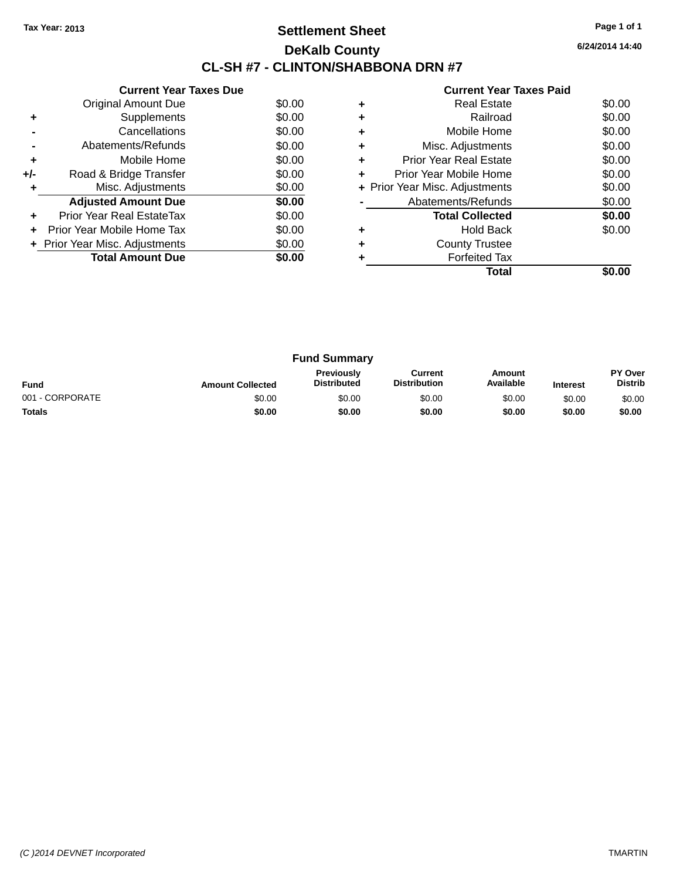### **Settlement Sheet Tax Year: 2013 Page 1 of 1 DeKalb County CL-SH #7 - CLINTON/SHABBONA DRN #7**

**6/24/2014 14:40**

|     | <b>Current Year Taxes Due</b>  |        |
|-----|--------------------------------|--------|
|     | Original Amount Due            | \$0.00 |
| ٠   | Supplements                    | \$0.00 |
|     | Cancellations                  | \$0.00 |
|     | Abatements/Refunds             | \$0.00 |
| ٠   | Mobile Home                    | \$0.00 |
| +/- | Road & Bridge Transfer         | \$0.00 |
| ٠   | Misc. Adjustments              | \$0.00 |
|     | <b>Adjusted Amount Due</b>     | \$0.00 |
| ٠   | Prior Year Real EstateTax      | \$0.00 |
| ÷   | Prior Year Mobile Home Tax     | \$0.00 |
|     | + Prior Year Misc. Adjustments | \$0.00 |
|     | <b>Total Amount Due</b>        | \$0.00 |
|     |                                |        |

|   | <b>Real Estate</b>             | \$0.00 |
|---|--------------------------------|--------|
| ٠ | Railroad                       | \$0.00 |
|   | Mobile Home                    | \$0.00 |
| ٠ | Misc. Adjustments              | \$0.00 |
| ٠ | Prior Year Real Estate         | \$0.00 |
|   | Prior Year Mobile Home         | \$0.00 |
|   | + Prior Year Misc. Adjustments | \$0.00 |
|   | Abatements/Refunds             | \$0.00 |
|   | <b>Total Collected</b>         | \$0.00 |
|   | Hold Back                      | \$0.00 |
|   | <b>County Trustee</b>          |        |
|   | <b>Forfeited Tax</b>           |        |
|   | Total                          |        |

| <b>Fund Summary</b>                                                                                                                                    |        |        |        |        |        |                           |
|--------------------------------------------------------------------------------------------------------------------------------------------------------|--------|--------|--------|--------|--------|---------------------------|
| Previously<br>Current<br>Amount<br>Available<br><b>Distribution</b><br><b>Distributed</b><br><b>Fund</b><br><b>Amount Collected</b><br><b>Interest</b> |        |        |        |        |        | PY Over<br><b>Distrib</b> |
| 001 - CORPORATE                                                                                                                                        | \$0.00 | \$0.00 | \$0.00 | \$0.00 | \$0.00 | \$0.00                    |
| <b>Totals</b>                                                                                                                                          | \$0.00 | \$0.00 | \$0.00 | \$0.00 | \$0.00 | \$0.00                    |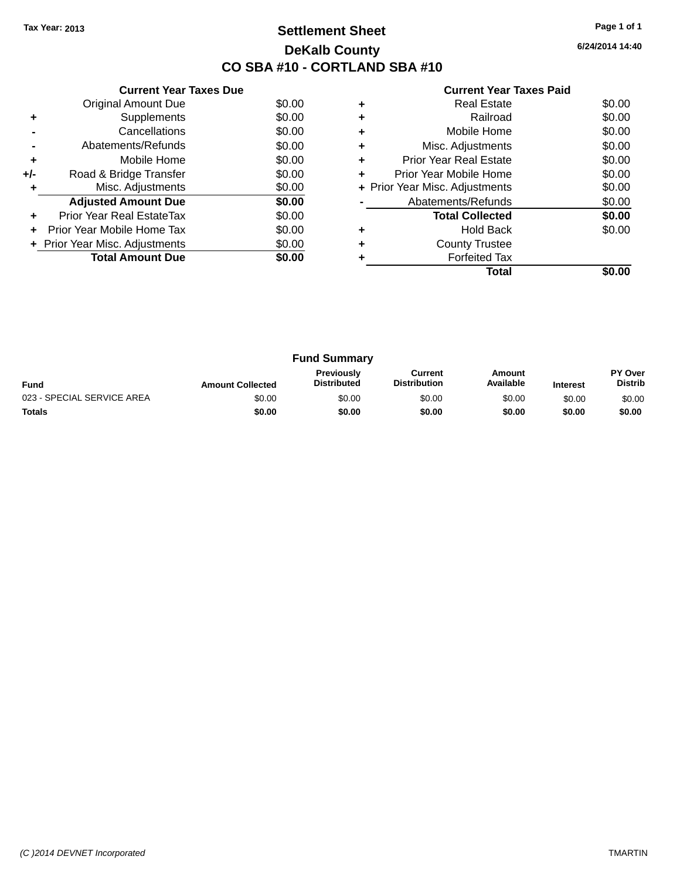### **Settlement Sheet Tax Year: 2013 Page 1 of 1 DeKalb County CO SBA #10 - CORTLAND SBA #10**

**6/24/2014 14:40**

|     | <b>Current Year Taxes Due</b>  |        |
|-----|--------------------------------|--------|
|     | <b>Original Amount Due</b>     | \$0.00 |
| ٠   | Supplements                    | \$0.00 |
|     | Cancellations                  | \$0.00 |
|     | Abatements/Refunds             | \$0.00 |
| ÷   | Mobile Home                    | \$0.00 |
| +/- | Road & Bridge Transfer         | \$0.00 |
|     | Misc. Adjustments              | \$0.00 |
|     | <b>Adjusted Amount Due</b>     | \$0.00 |
|     | Prior Year Real EstateTax      | \$0.00 |
|     | Prior Year Mobile Home Tax     | \$0.00 |
|     | + Prior Year Misc. Adjustments | \$0.00 |
|     | <b>Total Amount Due</b>        | \$0.00 |
|     |                                |        |

|   | Total                          |        |
|---|--------------------------------|--------|
|   | <b>Forfeited Tax</b>           |        |
|   | <b>County Trustee</b>          |        |
|   | Hold Back                      | \$0.00 |
|   | <b>Total Collected</b>         | \$0.00 |
|   | Abatements/Refunds             | \$0.00 |
|   | + Prior Year Misc. Adjustments | \$0.00 |
|   | Prior Year Mobile Home         | \$0.00 |
| ٠ | Prior Year Real Estate         | \$0.00 |
| ٠ | Misc. Adjustments              | \$0.00 |
| ٠ | Mobile Home                    | \$0.00 |
|   | Railroad                       | \$0.00 |
|   | Real Estate                    | \$0.00 |

| <b>Fund Summary</b>        |                         |                                         |                                |                     |                 |                           |
|----------------------------|-------------------------|-----------------------------------------|--------------------------------|---------------------|-----------------|---------------------------|
| <b>Fund</b>                | <b>Amount Collected</b> | <b>Previously</b><br><b>Distributed</b> | Current<br><b>Distribution</b> | Amount<br>Available | <b>Interest</b> | PY Over<br><b>Distrib</b> |
| 023 - SPECIAL SERVICE AREA | \$0.00                  | \$0.00                                  | \$0.00                         | \$0.00              | \$0.00          | \$0.00                    |
| <b>Totals</b>              | \$0.00                  | \$0.00                                  | \$0.00                         | \$0.00              | \$0.00          | \$0.00                    |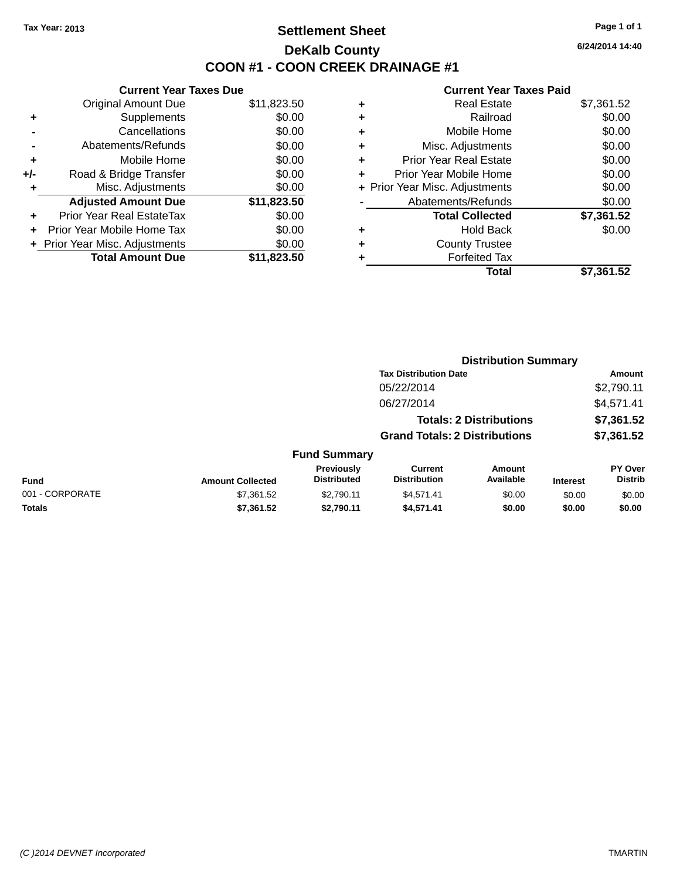### **Settlement Sheet Tax Year: 2013 Page 1 of 1 DeKalb County COON #1 - COON CREEK DRAINAGE #1**

**6/24/2014 14:40**

|     | <b>Current Year Taxes Due</b>  |             |
|-----|--------------------------------|-------------|
|     | <b>Original Amount Due</b>     | \$11,823.50 |
| ٠   | Supplements                    | \$0.00      |
|     | Cancellations                  | \$0.00      |
|     | Abatements/Refunds             | \$0.00      |
| ÷   | Mobile Home                    | \$0.00      |
| +/- | Road & Bridge Transfer         | \$0.00      |
|     | Misc. Adjustments              | \$0.00      |
|     | <b>Adjusted Amount Due</b>     | \$11,823.50 |
| ٠   | Prior Year Real EstateTax      | \$0.00      |
|     | Prior Year Mobile Home Tax     | \$0.00      |
|     | + Prior Year Misc. Adjustments | \$0.00      |
|     | <b>Total Amount Due</b>        | \$11,823.50 |
|     |                                |             |

| ٠ | <b>Real Estate</b>             | \$7,361.52 |
|---|--------------------------------|------------|
| ٠ | Railroad                       | \$0.00     |
| ٠ | Mobile Home                    | \$0.00     |
| ٠ | Misc. Adjustments              | \$0.00     |
| ٠ | <b>Prior Year Real Estate</b>  | \$0.00     |
|   | Prior Year Mobile Home         | \$0.00     |
|   | + Prior Year Misc. Adjustments | \$0.00     |
|   | Abatements/Refunds             | \$0.00     |
|   | <b>Total Collected</b>         | \$7,361.52 |
| ٠ | Hold Back                      | \$0.00     |
| ٠ | <b>County Trustee</b>          |            |
| ٠ | <b>Forfeited Tax</b>           |            |
|   | Total                          | \$7,361.52 |
|   |                                |            |

|                 |                         |                                  | <b>Distribution Summary</b>           |                                |                 |                           |
|-----------------|-------------------------|----------------------------------|---------------------------------------|--------------------------------|-----------------|---------------------------|
|                 |                         |                                  | <b>Tax Distribution Date</b>          |                                |                 | Amount                    |
|                 |                         |                                  | 05/22/2014                            |                                |                 | \$2,790.11                |
|                 |                         |                                  | 06/27/2014                            |                                |                 | \$4,571.41                |
|                 |                         |                                  |                                       | <b>Totals: 2 Distributions</b> |                 | \$7,361.52                |
|                 |                         |                                  | <b>Grand Totals: 2 Distributions</b>  |                                |                 | \$7,361.52                |
|                 |                         | <b>Fund Summary</b>              |                                       |                                |                 |                           |
| <b>Fund</b>     | <b>Amount Collected</b> | Previously<br><b>Distributed</b> | <b>Current</b><br><b>Distribution</b> | <b>Amount</b><br>Available     | <b>Interest</b> | PY Over<br><b>Distrib</b> |
| 001 - CORPORATE | \$7,361.52              | \$2,790.11                       | \$4,571.41                            | \$0.00                         | \$0.00          | \$0.00                    |
| <b>Totals</b>   | \$7,361.52              | \$2,790.11                       | \$4,571.41                            | \$0.00                         | \$0.00          | \$0.00                    |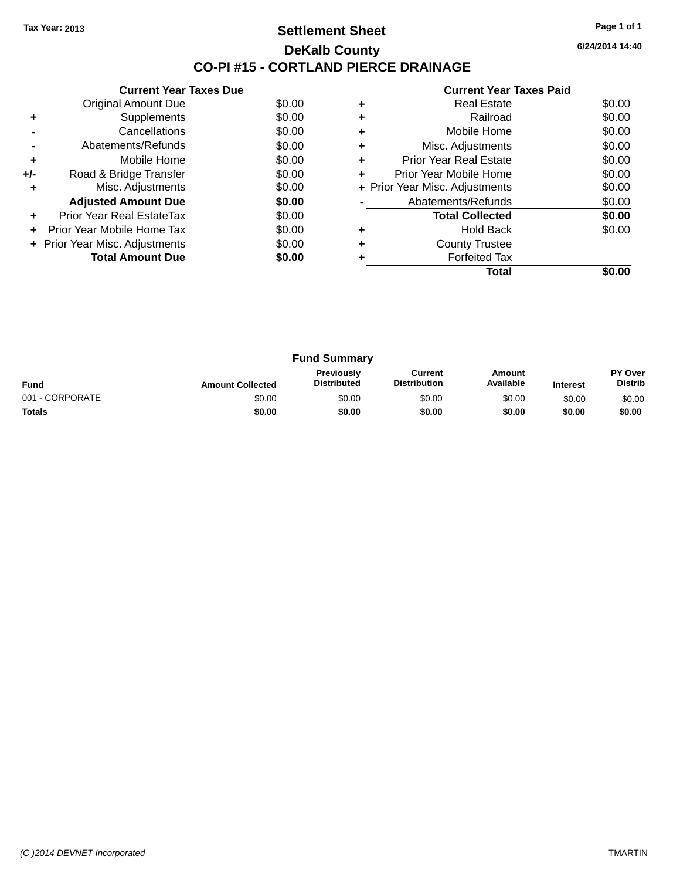#### **Settlement Sheet Tax Year: 2013 Page 1 of 1 DeKalb County CO-PI #15 - CORTLAND PIERCE DRAINAGE**

**6/24/2014 14:40**

|     | <b>Current Year Taxes Due</b>  |        |
|-----|--------------------------------|--------|
|     | <b>Original Amount Due</b>     | \$0.00 |
| ٠   | Supplements                    | \$0.00 |
|     | Cancellations                  | \$0.00 |
|     | Abatements/Refunds             | \$0.00 |
| ٠   | Mobile Home                    | \$0.00 |
| +/- | Road & Bridge Transfer         | \$0.00 |
| ٠   | Misc. Adjustments              | \$0.00 |
|     | <b>Adjusted Amount Due</b>     | \$0.00 |
| ٠   | Prior Year Real EstateTax      | \$0.00 |
|     | Prior Year Mobile Home Tax     | \$0.00 |
|     | + Prior Year Misc. Adjustments | \$0.00 |
|     | <b>Total Amount Due</b>        | \$0.00 |
|     |                                |        |

|   | <b>Real Estate</b>             | \$0.00 |
|---|--------------------------------|--------|
|   | Railroad                       | \$0.00 |
| ٠ | Mobile Home                    | \$0.00 |
| ٠ | Misc. Adjustments              | \$0.00 |
| ٠ | Prior Year Real Estate         | \$0.00 |
|   | Prior Year Mobile Home         | \$0.00 |
|   | + Prior Year Misc. Adjustments | \$0.00 |
|   | Abatements/Refunds             | \$0.00 |
|   | <b>Total Collected</b>         | \$0.00 |
|   | Hold Back                      | \$0.00 |
|   | <b>County Trustee</b>          |        |
|   | <b>Forfeited Tax</b>           |        |
|   | Total                          |        |

| <b>Fund Summary</b> |                         |                                         |                                |                     |                 |                           |
|---------------------|-------------------------|-----------------------------------------|--------------------------------|---------------------|-----------------|---------------------------|
| <b>Fund</b>         | <b>Amount Collected</b> | <b>Previously</b><br><b>Distributed</b> | Current<br><b>Distribution</b> | Amount<br>Available | <b>Interest</b> | PY Over<br><b>Distrib</b> |
| 001 - CORPORATE     | \$0.00                  | \$0.00                                  | \$0.00                         | \$0.00              | \$0.00          | \$0.00                    |
| <b>Totals</b>       | \$0.00                  | \$0.00                                  | \$0.00                         | \$0.00              | \$0.00          | \$0.00                    |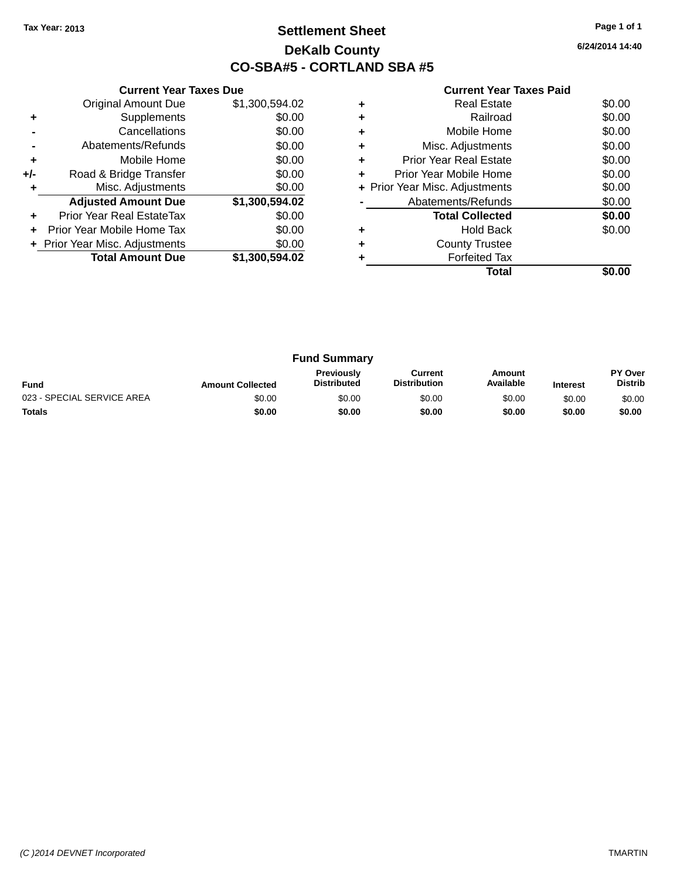### **Settlement Sheet Tax Year: 2013 Page 1 of 1 DeKalb County CO-SBA#5 - CORTLAND SBA #5**

**6/24/2014 14:40**

|     | <b>Current Year Taxes Due</b>  |                |  |  |  |  |
|-----|--------------------------------|----------------|--|--|--|--|
|     | <b>Original Amount Due</b>     | \$1,300,594.02 |  |  |  |  |
| ٠   | Supplements                    | \$0.00         |  |  |  |  |
|     | Cancellations                  | \$0.00         |  |  |  |  |
|     | Abatements/Refunds             | \$0.00         |  |  |  |  |
| ÷   | Mobile Home                    | \$0.00         |  |  |  |  |
| +/- | Road & Bridge Transfer         | \$0.00         |  |  |  |  |
| ٠   | Misc. Adjustments              | \$0.00         |  |  |  |  |
|     | <b>Adjusted Amount Due</b>     | \$1,300,594.02 |  |  |  |  |
| ٠   | Prior Year Real EstateTax      | \$0.00         |  |  |  |  |
| ÷   | Prior Year Mobile Home Tax     | \$0.00         |  |  |  |  |
|     | + Prior Year Misc. Adjustments | \$0.00         |  |  |  |  |
|     | <b>Total Amount Due</b>        | \$1,300,594.02 |  |  |  |  |
|     |                                |                |  |  |  |  |

|   | <b>Real Estate</b>             | \$0.00 |
|---|--------------------------------|--------|
| ٠ | Railroad                       | \$0.00 |
|   | Mobile Home                    | \$0.00 |
|   | Misc. Adjustments              | \$0.00 |
| ٠ | Prior Year Real Estate         | \$0.00 |
| ÷ | Prior Year Mobile Home         | \$0.00 |
|   | + Prior Year Misc. Adjustments | \$0.00 |
|   | Abatements/Refunds             | \$0.00 |
|   | <b>Total Collected</b>         | \$0.00 |
|   | <b>Hold Back</b>               | \$0.00 |
|   | <b>County Trustee</b>          |        |
|   | <b>Forfeited Tax</b>           |        |
|   | Total                          |        |

| <b>Fund Summary</b>        |                         |                                         |                                |                     |                 |                           |
|----------------------------|-------------------------|-----------------------------------------|--------------------------------|---------------------|-----------------|---------------------------|
| <b>Fund</b>                | <b>Amount Collected</b> | <b>Previously</b><br><b>Distributed</b> | Current<br><b>Distribution</b> | Amount<br>Available | <b>Interest</b> | PY Over<br><b>Distrib</b> |
| 023 - SPECIAL SERVICE AREA | \$0.00                  | \$0.00                                  | \$0.00                         | \$0.00              | \$0.00          | \$0.00                    |
| <b>Totals</b>              | \$0.00                  | \$0.00                                  | \$0.00                         | \$0.00              | \$0.00          | \$0.00                    |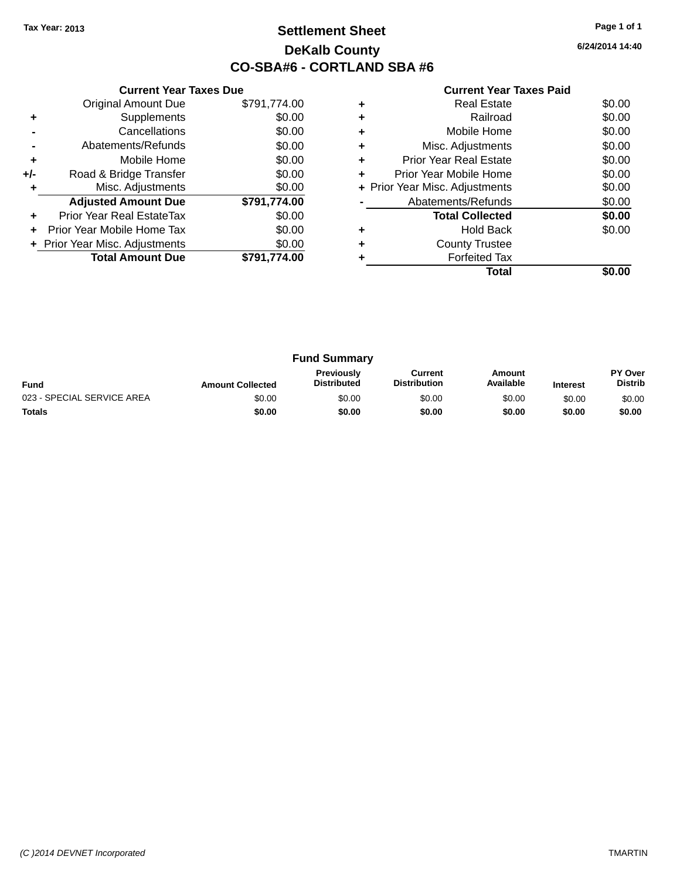### **Settlement Sheet Tax Year: 2013 Page 1 of 1 DeKalb County CO-SBA#6 - CORTLAND SBA #6**

**6/24/2014 14:40**

|     | <b>Current Year Taxes Due</b>  |              |  |  |  |  |
|-----|--------------------------------|--------------|--|--|--|--|
|     | <b>Original Amount Due</b>     | \$791,774.00 |  |  |  |  |
| ٠   | Supplements                    | \$0.00       |  |  |  |  |
|     | Cancellations                  | \$0.00       |  |  |  |  |
|     | Abatements/Refunds             | \$0.00       |  |  |  |  |
| ÷   | Mobile Home                    | \$0.00       |  |  |  |  |
| +/- | Road & Bridge Transfer         | \$0.00       |  |  |  |  |
| ٠   | Misc. Adjustments              | \$0.00       |  |  |  |  |
|     | <b>Adjusted Amount Due</b>     | \$791,774.00 |  |  |  |  |
| ٠   | Prior Year Real EstateTax      | \$0.00       |  |  |  |  |
| ÷   | Prior Year Mobile Home Tax     | \$0.00       |  |  |  |  |
|     | + Prior Year Misc. Adjustments | \$0.00       |  |  |  |  |
|     | <b>Total Amount Due</b>        | \$791.774.00 |  |  |  |  |
|     |                                |              |  |  |  |  |

|   | Real Estate                    | \$0.00 |
|---|--------------------------------|--------|
| ٠ | Railroad                       | \$0.00 |
| ٠ | Mobile Home                    | \$0.00 |
| ٠ | Misc. Adjustments              | \$0.00 |
| ٠ | <b>Prior Year Real Estate</b>  | \$0.00 |
| ٠ | Prior Year Mobile Home         | \$0.00 |
|   | + Prior Year Misc. Adjustments | \$0.00 |
|   | Abatements/Refunds             | \$0.00 |
|   | <b>Total Collected</b>         | \$0.00 |
|   | Hold Back                      | \$0.00 |
| ٠ | <b>County Trustee</b>          |        |
|   | <b>Forfeited Tax</b>           |        |
|   | Total                          |        |

| <b>Fund Summary</b>        |                         |                                         |                                |                     |                 |                           |
|----------------------------|-------------------------|-----------------------------------------|--------------------------------|---------------------|-----------------|---------------------------|
| <b>Fund</b>                | <b>Amount Collected</b> | <b>Previously</b><br><b>Distributed</b> | Current<br><b>Distribution</b> | Amount<br>Available | <b>Interest</b> | PY Over<br><b>Distrib</b> |
| 023 - SPECIAL SERVICE AREA | \$0.00                  | \$0.00                                  | \$0.00                         | \$0.00              | \$0.00          | \$0.00                    |
| <b>Totals</b>              | \$0.00                  | \$0.00                                  | \$0.00                         | \$0.00              | \$0.00          | \$0.00                    |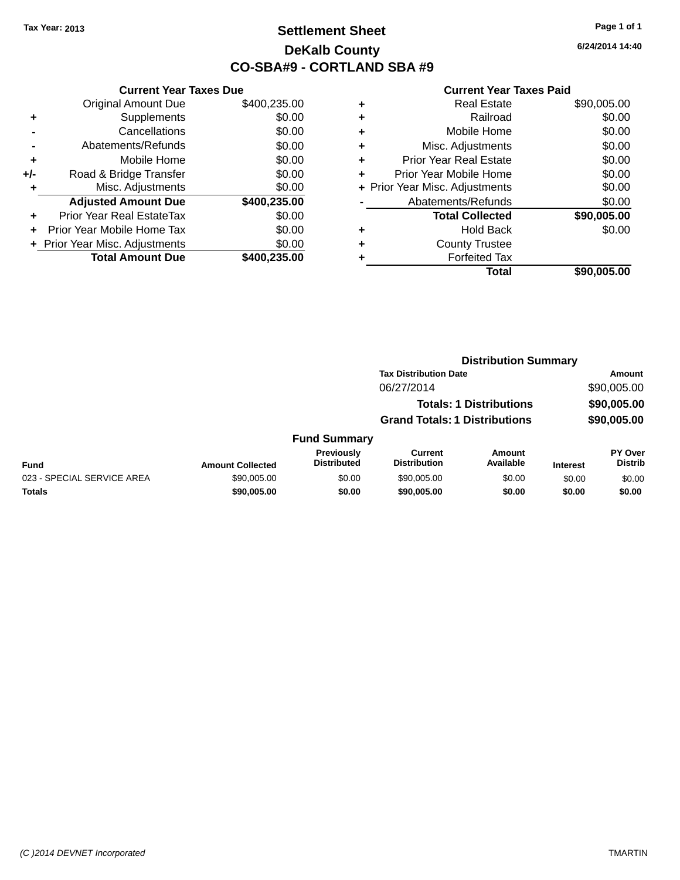### **Settlement Sheet Tax Year: 2013 Page 1 of 1 DeKalb County CO-SBA#9 - CORTLAND SBA #9**

**6/24/2014 14:40**

|     | <b>Current Year Taxes Due</b>  |              |  |  |  |  |
|-----|--------------------------------|--------------|--|--|--|--|
|     | <b>Original Amount Due</b>     | \$400,235.00 |  |  |  |  |
| ٠   | Supplements                    | \$0.00       |  |  |  |  |
|     | Cancellations                  | \$0.00       |  |  |  |  |
|     | Abatements/Refunds             | \$0.00       |  |  |  |  |
| ٠   | Mobile Home                    | \$0.00       |  |  |  |  |
| +/- | Road & Bridge Transfer         | \$0.00       |  |  |  |  |
| ٠   | Misc. Adjustments              | \$0.00       |  |  |  |  |
|     | <b>Adjusted Amount Due</b>     | \$400,235.00 |  |  |  |  |
|     | Prior Year Real EstateTax      | \$0.00       |  |  |  |  |
|     | Prior Year Mobile Home Tax     | \$0.00       |  |  |  |  |
|     | + Prior Year Misc. Adjustments | \$0.00       |  |  |  |  |
|     | <b>Total Amount Due</b>        | \$400,235.00 |  |  |  |  |
|     |                                |              |  |  |  |  |

|   | <b>Real Estate</b>             | \$90,005.00 |
|---|--------------------------------|-------------|
| ٠ | Railroad                       | \$0.00      |
| ٠ | Mobile Home                    | \$0.00      |
| ٠ | Misc. Adjustments              | \$0.00      |
| ٠ | <b>Prior Year Real Estate</b>  | \$0.00      |
| ٠ | Prior Year Mobile Home         | \$0.00      |
|   | + Prior Year Misc. Adjustments | \$0.00      |
|   | Abatements/Refunds             | \$0.00      |
|   | <b>Total Collected</b>         | \$90,005.00 |
| ٠ | <b>Hold Back</b>               | \$0.00      |
| ٠ | <b>County Trustee</b>          |             |
| ٠ | <b>Forfeited Tax</b>           |             |
|   | Total                          | \$90,005.00 |
|   |                                |             |

|                            |                         |                                         |                                      | <b>Distribution Summary</b>    |                 |                                  |
|----------------------------|-------------------------|-----------------------------------------|--------------------------------------|--------------------------------|-----------------|----------------------------------|
|                            |                         |                                         | <b>Tax Distribution Date</b>         |                                |                 | Amount                           |
|                            |                         |                                         | 06/27/2014                           |                                |                 | \$90,005.00                      |
|                            |                         |                                         |                                      | <b>Totals: 1 Distributions</b> |                 | \$90,005.00                      |
|                            |                         |                                         | <b>Grand Totals: 1 Distributions</b> |                                |                 | \$90,005.00                      |
|                            |                         | <b>Fund Summary</b>                     |                                      |                                |                 |                                  |
| <b>Fund</b>                | <b>Amount Collected</b> | <b>Previously</b><br><b>Distributed</b> | Current<br><b>Distribution</b>       | <b>Amount</b><br>Available     | <b>Interest</b> | <b>PY Over</b><br><b>Distrib</b> |
| 023 - SPECIAL SERVICE AREA | \$90,005.00             | \$0.00                                  | \$90,005.00                          | \$0.00                         | \$0.00          | \$0.00                           |
| <b>Totals</b>              | \$90,005.00             | \$0.00                                  | \$90,005,00                          | \$0.00                         | \$0.00          | \$0.00                           |
|                            |                         |                                         |                                      |                                |                 |                                  |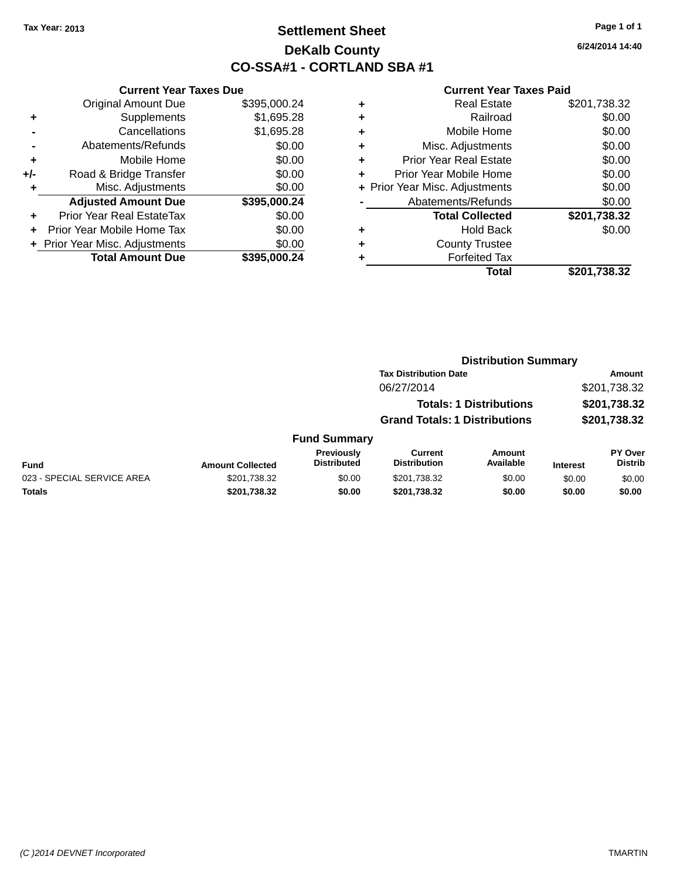### **Settlement Sheet Tax Year: 2013 Page 1 of 1 DeKalb County CO-SSA#1 - CORTLAND SBA #1**

**6/24/2014 14:40**

#### **Current Year Taxes Paid**

| <b>Current Year Taxes Due</b> |                                                                                         |  |  |  |
|-------------------------------|-----------------------------------------------------------------------------------------|--|--|--|
| <b>Original Amount Due</b>    | \$395,000.24                                                                            |  |  |  |
| Supplements                   | \$1,695.28                                                                              |  |  |  |
| Cancellations                 | \$1,695.28                                                                              |  |  |  |
| Abatements/Refunds            | \$0.00                                                                                  |  |  |  |
| Mobile Home                   | \$0.00                                                                                  |  |  |  |
| Road & Bridge Transfer        | \$0.00                                                                                  |  |  |  |
| Misc. Adjustments             | \$0.00                                                                                  |  |  |  |
| <b>Adjusted Amount Due</b>    | \$395,000.24                                                                            |  |  |  |
| Prior Year Real EstateTax     | \$0.00                                                                                  |  |  |  |
|                               | \$0.00                                                                                  |  |  |  |
|                               | \$0.00                                                                                  |  |  |  |
|                               | \$395.000.24                                                                            |  |  |  |
|                               | Prior Year Mobile Home Tax<br>+ Prior Year Misc. Adjustments<br><b>Total Amount Due</b> |  |  |  |

|   | <b>Real Estate</b>             | \$201,738.32 |
|---|--------------------------------|--------------|
| ٠ | Railroad                       | \$0.00       |
| ٠ | Mobile Home                    | \$0.00       |
| ٠ | Misc. Adjustments              | \$0.00       |
| ٠ | <b>Prior Year Real Estate</b>  | \$0.00       |
|   | Prior Year Mobile Home         | \$0.00       |
|   | + Prior Year Misc. Adjustments | \$0.00       |
|   | Abatements/Refunds             | \$0.00       |
|   | <b>Total Collected</b>         | \$201,738.32 |
| ٠ | <b>Hold Back</b>               | \$0.00       |
|   | <b>County Trustee</b>          |              |
| ٠ | <b>Forfeited Tax</b>           |              |
|   | Total                          | \$201,738.32 |
|   |                                |              |

|                            |                         |                                  | <b>Distribution Summary</b>          |                                |                 |                           |
|----------------------------|-------------------------|----------------------------------|--------------------------------------|--------------------------------|-----------------|---------------------------|
|                            |                         |                                  | <b>Tax Distribution Date</b>         |                                |                 | <b>Amount</b>             |
|                            |                         |                                  | 06/27/2014                           |                                | \$201,738.32    |                           |
|                            |                         |                                  |                                      | <b>Totals: 1 Distributions</b> |                 | \$201,738.32              |
|                            |                         |                                  | <b>Grand Totals: 1 Distributions</b> |                                |                 | \$201,738.32              |
|                            |                         | <b>Fund Summary</b>              |                                      |                                |                 |                           |
| <b>Fund</b>                | <b>Amount Collected</b> | Previously<br><b>Distributed</b> | Current<br><b>Distribution</b>       | Amount<br>Available            | <b>Interest</b> | PY Over<br><b>Distrib</b> |
| 023 - SPECIAL SERVICE AREA | \$201,738.32            | \$0.00                           | \$201,738.32                         | \$0.00                         | \$0.00          | \$0.00                    |

**Totals \$201,738.32 \$0.00 \$201,738.32 \$0.00 \$0.00 \$0.00**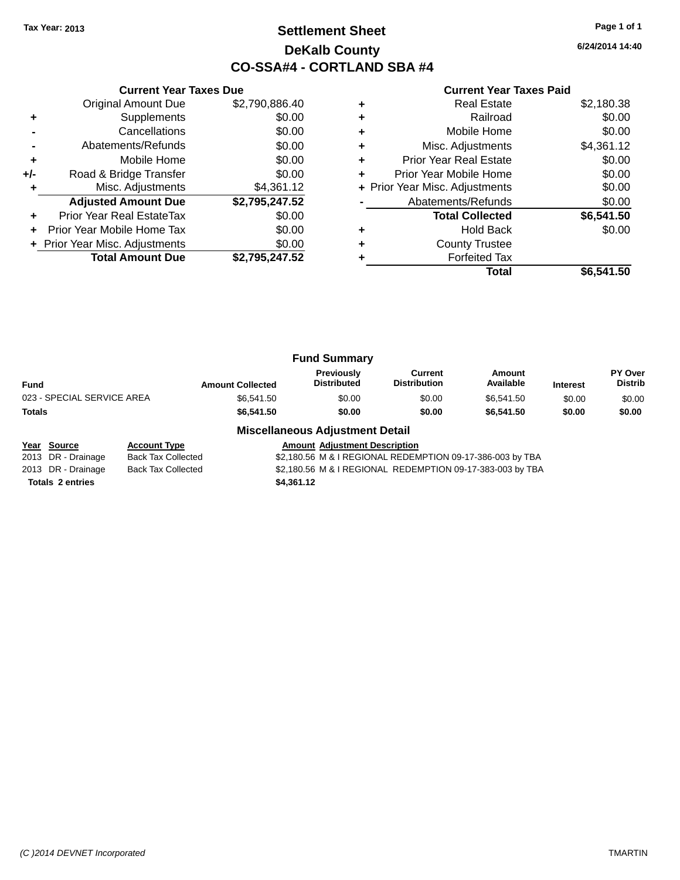### **Settlement Sheet Tax Year: 2013 Page 1 of 1 DeKalb County CO-SSA#4 - CORTLAND SBA #4**

**6/24/2014 14:40**

| <b>Current Year Taxes Paid</b> |  |  |  |
|--------------------------------|--|--|--|
|--------------------------------|--|--|--|

|     | <b>Current Year Taxes Due</b>  |                |  |  |  |  |
|-----|--------------------------------|----------------|--|--|--|--|
|     | <b>Original Amount Due</b>     | \$2,790,886.40 |  |  |  |  |
| ٠   | Supplements                    | \$0.00         |  |  |  |  |
|     | Cancellations                  | \$0.00         |  |  |  |  |
|     | Abatements/Refunds             | \$0.00         |  |  |  |  |
| ٠   | Mobile Home                    | \$0.00         |  |  |  |  |
| +/- | Road & Bridge Transfer         | \$0.00         |  |  |  |  |
|     | Misc. Adjustments              | \$4,361.12     |  |  |  |  |
|     | <b>Adjusted Amount Due</b>     | \$2,795,247.52 |  |  |  |  |
| ٠   | Prior Year Real EstateTax      | \$0.00         |  |  |  |  |
| ÷   | Prior Year Mobile Home Tax     | \$0.00         |  |  |  |  |
|     | + Prior Year Misc. Adjustments | \$0.00         |  |  |  |  |
|     | <b>Total Amount Due</b>        | \$2,795,247.52 |  |  |  |  |
|     |                                |                |  |  |  |  |

|   | <b>Real Estate</b>             | \$2,180.38 |
|---|--------------------------------|------------|
|   | Railroad                       | \$0.00     |
|   | Mobile Home                    | \$0.00     |
| ٠ | Misc. Adjustments              | \$4,361.12 |
| ٠ | <b>Prior Year Real Estate</b>  | \$0.00     |
| ٠ | Prior Year Mobile Home         | \$0.00     |
|   | + Prior Year Misc. Adjustments | \$0.00     |
|   | Abatements/Refunds             | \$0.00     |
|   | <b>Total Collected</b>         | \$6,541.50 |
|   | <b>Hold Back</b>               | \$0.00     |
| ٠ | <b>County Trustee</b>          |            |
|   | <b>Forfeited Tax</b>           |            |
|   | Total                          | \$6.541.50 |

|                            |                         | <b>Fund Summary</b>              |                                |                     |                 |                                  |
|----------------------------|-------------------------|----------------------------------|--------------------------------|---------------------|-----------------|----------------------------------|
| <b>Fund</b>                | <b>Amount Collected</b> | Previously<br><b>Distributed</b> | Current<br><b>Distribution</b> | Amount<br>Available | <b>Interest</b> | <b>PY Over</b><br><b>Distrib</b> |
| 023 - SPECIAL SERVICE AREA | \$6.541.50              | \$0.00                           | \$0.00                         | \$6.541.50          | \$0.00          | \$0.00                           |
| <b>Totals</b>              | \$6,541.50              | \$0.00                           | \$0.00                         | \$6,541.50          | \$0.00          | \$0.00                           |
|                            | - --                    |                                  |                                |                     |                 |                                  |

#### **Miscellaneous Adjustment Detail**

| <u>Year Source</u>      | <b>Account Type</b> |            | <b>Amount Adiustment Description</b> |                                                           |
|-------------------------|---------------------|------------|--------------------------------------|-----------------------------------------------------------|
| 2013 DR - Drainage      | Back Tax Collected  |            |                                      | \$2,180.56 M & I REGIONAL REDEMPTION 09-17-386-003 by TBA |
| 2013 DR - Drainage      | Back Tax Collected  |            |                                      | \$2,180.56 M & I REGIONAL REDEMPTION 09-17-383-003 by TBA |
| <b>Totals 2 entries</b> |                     | \$4,361.12 |                                      |                                                           |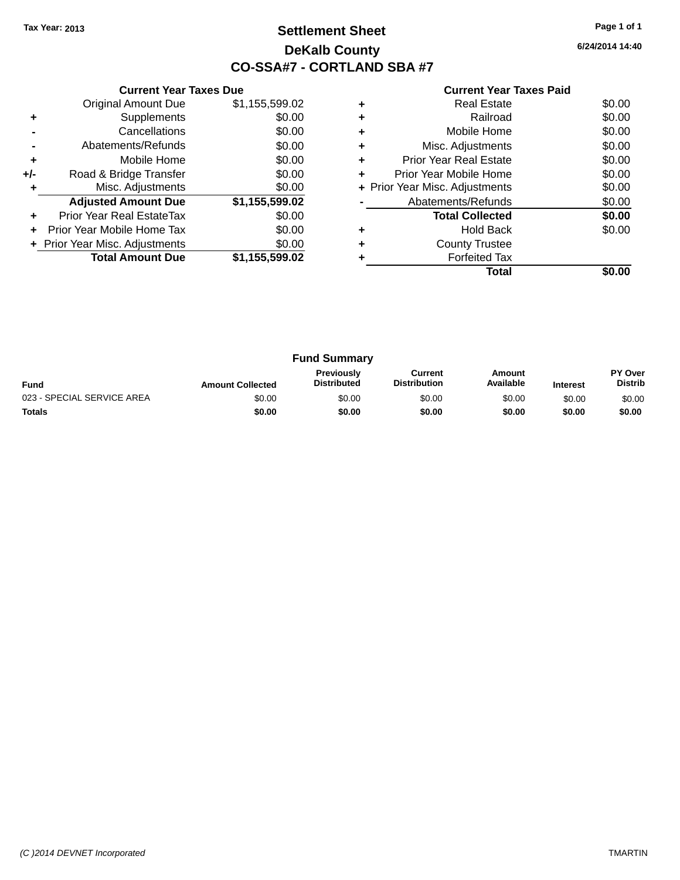### **Settlement Sheet Tax Year: 2013 Page 1 of 1 DeKalb County CO-SSA#7 - CORTLAND SBA #7**

**6/24/2014 14:40**

|     | <b>Current Year Taxes Due</b>  |                |  |  |  |  |  |
|-----|--------------------------------|----------------|--|--|--|--|--|
|     | <b>Original Amount Due</b>     | \$1,155,599.02 |  |  |  |  |  |
| ٠   | Supplements                    | \$0.00         |  |  |  |  |  |
|     | Cancellations                  | \$0.00         |  |  |  |  |  |
|     | \$0.00<br>Abatements/Refunds   |                |  |  |  |  |  |
| ÷   | \$0.00<br>Mobile Home          |                |  |  |  |  |  |
| +/- | Road & Bridge Transfer         | \$0.00         |  |  |  |  |  |
| ٠   | Misc. Adjustments              | \$0.00         |  |  |  |  |  |
|     | <b>Adjusted Amount Due</b>     | \$1,155,599.02 |  |  |  |  |  |
| ٠   | Prior Year Real EstateTax      | \$0.00         |  |  |  |  |  |
| ÷   | Prior Year Mobile Home Tax     | \$0.00         |  |  |  |  |  |
|     | + Prior Year Misc. Adjustments | \$0.00         |  |  |  |  |  |
|     | <b>Total Amount Due</b>        | \$1,155,599.02 |  |  |  |  |  |
|     |                                |                |  |  |  |  |  |

|   | Total                          |        |
|---|--------------------------------|--------|
|   | <b>Forfeited Tax</b>           |        |
| ÷ | <b>County Trustee</b>          |        |
|   | <b>Hold Back</b>               | \$0.00 |
|   | <b>Total Collected</b>         | \$0.00 |
|   | Abatements/Refunds             | \$0.00 |
|   | + Prior Year Misc. Adjustments | \$0.00 |
| ÷ | Prior Year Mobile Home         | \$0.00 |
|   | <b>Prior Year Real Estate</b>  | \$0.00 |
|   | Misc. Adjustments              | \$0.00 |
|   | Mobile Home                    | \$0.00 |
|   | Railroad                       | \$0.00 |
|   | <b>Real Estate</b>             | \$0.00 |

| <b>Fund Summary</b>        |                         |                                         |                                |                     |                 |                           |
|----------------------------|-------------------------|-----------------------------------------|--------------------------------|---------------------|-----------------|---------------------------|
| <b>Fund</b>                | <b>Amount Collected</b> | <b>Previously</b><br><b>Distributed</b> | Current<br><b>Distribution</b> | Amount<br>Available | <b>Interest</b> | PY Over<br><b>Distrib</b> |
| 023 - SPECIAL SERVICE AREA | \$0.00                  | \$0.00                                  | \$0.00                         | \$0.00              | \$0.00          | \$0.00                    |
| <b>Totals</b>              | \$0.00                  | \$0.00                                  | \$0.00                         | \$0.00              | \$0.00          | \$0.00                    |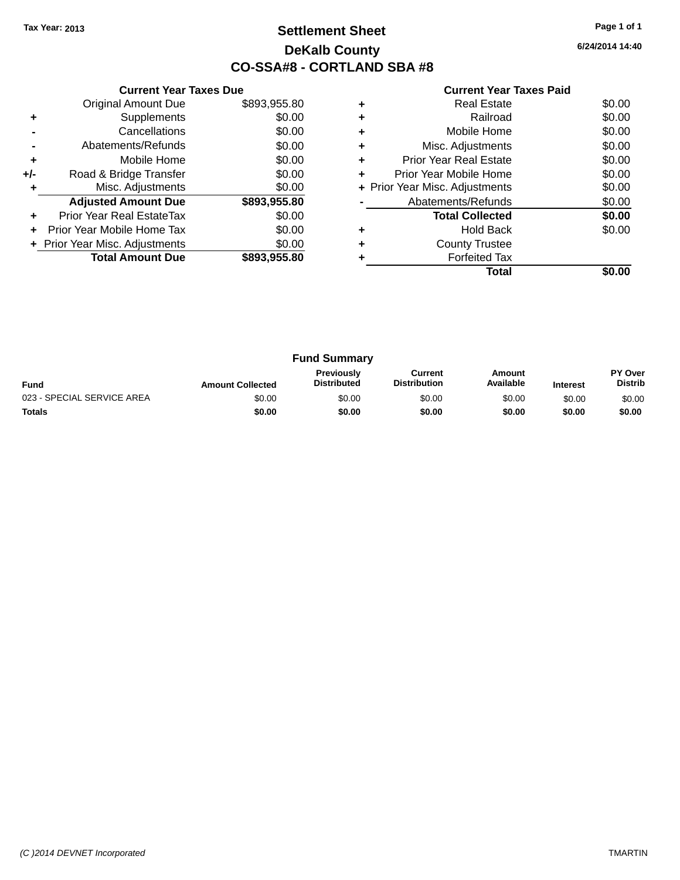### **Settlement Sheet Tax Year: 2013 Page 1 of 1 DeKalb County CO-SSA#8 - CORTLAND SBA #8**

**6/24/2014 14:40**

|     | <b>Current Year Taxes Due</b> |              |  |  |  |  |
|-----|-------------------------------|--------------|--|--|--|--|
|     | <b>Original Amount Due</b>    | \$893,955.80 |  |  |  |  |
| ٠   | Supplements                   | \$0.00       |  |  |  |  |
|     | Cancellations                 | \$0.00       |  |  |  |  |
|     | \$0.00<br>Abatements/Refunds  |              |  |  |  |  |
| ٠   | \$0.00<br>Mobile Home         |              |  |  |  |  |
| +/- | Road & Bridge Transfer        | \$0.00       |  |  |  |  |
| ٠   | Misc. Adjustments             | \$0.00       |  |  |  |  |
|     | <b>Adjusted Amount Due</b>    | \$893,955.80 |  |  |  |  |
| ÷   | Prior Year Real EstateTax     | \$0.00       |  |  |  |  |
|     | Prior Year Mobile Home Tax    | \$0.00       |  |  |  |  |
|     | Prior Year Misc. Adjustments  | \$0.00       |  |  |  |  |
|     | <b>Total Amount Due</b>       | \$893,955,80 |  |  |  |  |
|     |                               |              |  |  |  |  |

|   | Total                          |        |
|---|--------------------------------|--------|
|   | <b>Forfeited Tax</b>           |        |
|   | <b>County Trustee</b>          |        |
| ٠ | <b>Hold Back</b>               | \$0.00 |
|   | <b>Total Collected</b>         | \$0.00 |
|   | Abatements/Refunds             | \$0.00 |
|   | + Prior Year Misc. Adjustments | \$0.00 |
| ٠ | Prior Year Mobile Home         | \$0.00 |
| ٠ | <b>Prior Year Real Estate</b>  | \$0.00 |
| ٠ | Misc. Adjustments              | \$0.00 |
| ٠ | Mobile Home                    | \$0.00 |
| ٠ | Railroad                       | \$0.00 |
|   | <b>Real Estate</b>             | \$0.00 |

| <b>Fund Summary</b>        |                         |                                         |                                |                     |                 |                                  |
|----------------------------|-------------------------|-----------------------------------------|--------------------------------|---------------------|-----------------|----------------------------------|
| <b>Fund</b>                | <b>Amount Collected</b> | <b>Previously</b><br><b>Distributed</b> | Current<br><b>Distribution</b> | Amount<br>Available | <b>Interest</b> | <b>PY Over</b><br><b>Distrib</b> |
| 023 - SPECIAL SERVICE AREA | \$0.00                  | \$0.00                                  | \$0.00                         | \$0.00              | \$0.00          | \$0.00                           |
| <b>Totals</b>              | \$0.00                  | \$0.00                                  | \$0.00                         | \$0.00              | \$0.00          | \$0.00                           |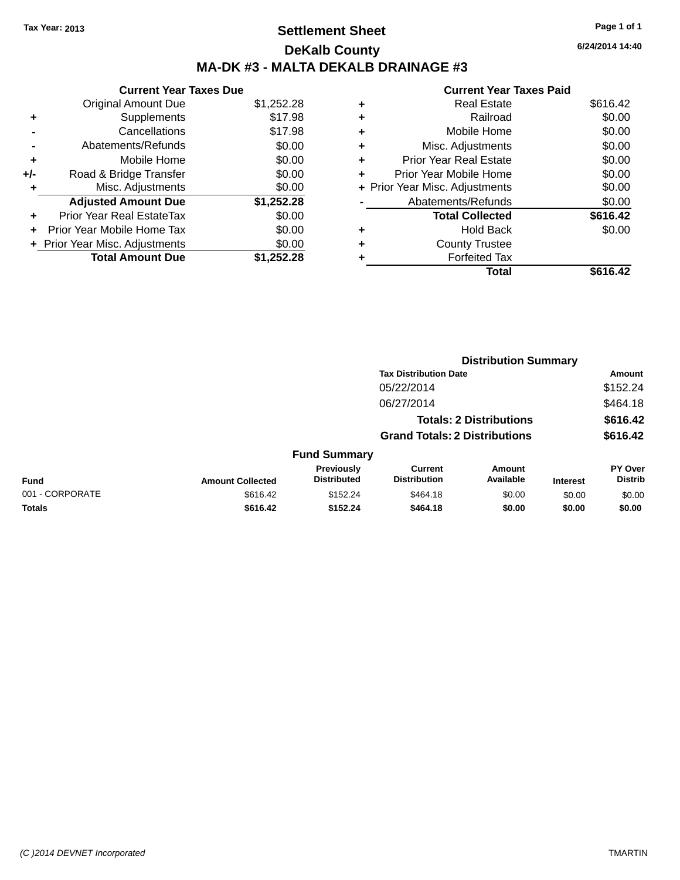### **Settlement Sheet Tax Year: 2013 Page 1 of 1 DeKalb County MA-DK #3 - MALTA DEKALB DRAINAGE #3**

|       | <b>Current Year Taxes Due</b>    |            |  |  |  |  |
|-------|----------------------------------|------------|--|--|--|--|
|       | <b>Original Amount Due</b>       | \$1,252.28 |  |  |  |  |
| ٠     | Supplements                      | \$17.98    |  |  |  |  |
|       | Cancellations                    | \$17.98    |  |  |  |  |
|       | Abatements/Refunds               | \$0.00     |  |  |  |  |
| ٠     | Mobile Home                      | \$0.00     |  |  |  |  |
| $+/-$ | Road & Bridge Transfer           | \$0.00     |  |  |  |  |
|       | Misc. Adjustments                | \$0.00     |  |  |  |  |
|       | <b>Adjusted Amount Due</b>       | \$1,252.28 |  |  |  |  |
|       | <b>Prior Year Real EstateTax</b> | \$0.00     |  |  |  |  |
|       | Prior Year Mobile Home Tax       | \$0.00     |  |  |  |  |
|       | + Prior Year Misc. Adjustments   | \$0.00     |  |  |  |  |
|       | <b>Total Amount Due</b>          | \$1,252.28 |  |  |  |  |

|   | <b>Current Year Taxes Paid</b> |          |
|---|--------------------------------|----------|
| ٠ | <b>Real Estate</b>             | \$616.42 |
| ٠ | Railroad                       | \$0.00   |
| ٠ | Mobile Home                    | \$0.00   |
| ٠ | Misc. Adjustments              | \$0.00   |
| ٠ | <b>Prior Year Real Estate</b>  | \$0.00   |
| ÷ | Prior Year Mobile Home         | \$0.00   |
|   | + Prior Year Misc. Adjustments | \$0.00   |
|   | Abatements/Refunds             | \$0.00   |
|   | <b>Total Collected</b>         | \$616.42 |
| ٠ | <b>Hold Back</b>               | \$0.00   |
|   | <b>County Trustee</b>          |          |
|   | <b>Forfeited Tax</b>           |          |
|   | Total                          | \$616.42 |

|                 |                         |                                  |                                       | <b>Distribution Summary</b>    |                 |                           |
|-----------------|-------------------------|----------------------------------|---------------------------------------|--------------------------------|-----------------|---------------------------|
|                 |                         |                                  | <b>Tax Distribution Date</b>          |                                |                 | <b>Amount</b>             |
|                 |                         |                                  | 05/22/2014                            |                                |                 | \$152.24                  |
|                 |                         |                                  | 06/27/2014                            |                                |                 | \$464.18                  |
|                 |                         |                                  |                                       | <b>Totals: 2 Distributions</b> |                 | \$616.42                  |
|                 |                         |                                  | <b>Grand Totals: 2 Distributions</b>  |                                |                 | \$616.42                  |
|                 |                         | <b>Fund Summary</b>              |                                       |                                |                 |                           |
| <b>Fund</b>     | <b>Amount Collected</b> | Previously<br><b>Distributed</b> | <b>Current</b><br><b>Distribution</b> | Amount<br>Available            | <b>Interest</b> | PY Over<br><b>Distrib</b> |
| 001 - CORPORATE | \$616.42                | \$152.24                         | \$464.18                              | \$0.00                         | \$0.00          | \$0.00                    |
| <b>Totals</b>   | \$616.42                | \$152.24                         | \$464.18                              | \$0.00                         | \$0.00          | \$0.00                    |
|                 |                         |                                  |                                       |                                |                 |                           |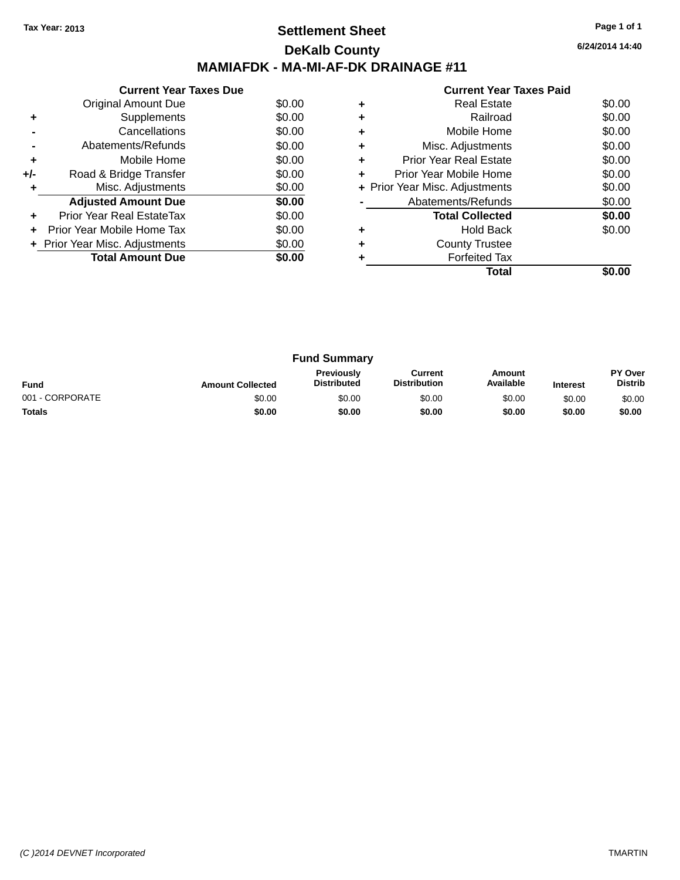### **Settlement Sheet Tax Year: 2013 Page 1 of 1 DeKalb County MAMIAFDK - MA-MI-AF-DK DRAINAGE #11**

**6/24/2014 14:40**

|       | <b>Current Year Taxes Due</b>  |        |
|-------|--------------------------------|--------|
|       | Original Amount Due            | \$0.00 |
| ٠     | Supplements                    | \$0.00 |
|       | Cancellations                  | \$0.00 |
|       | Abatements/Refunds             | \$0.00 |
| ٠     | Mobile Home                    | \$0.00 |
| $+/-$ | Road & Bridge Transfer         | \$0.00 |
|       | Misc. Adjustments              | \$0.00 |
|       | <b>Adjusted Amount Due</b>     | \$0.00 |
|       | Prior Year Real EstateTax      | \$0.00 |
|       | Prior Year Mobile Home Tax     | \$0.00 |
|       | + Prior Year Misc. Adjustments | \$0.00 |
|       | <b>Total Amount Due</b>        | \$0.00 |
|       |                                |        |

|   | <b>Real Estate</b>             | \$0.00 |
|---|--------------------------------|--------|
|   | Railroad                       | \$0.00 |
|   | Mobile Home                    | \$0.00 |
| ٠ | Misc. Adjustments              | \$0.00 |
| ٠ | <b>Prior Year Real Estate</b>  | \$0.00 |
| ٠ | Prior Year Mobile Home         | \$0.00 |
|   | + Prior Year Misc. Adjustments | \$0.00 |
|   | Abatements/Refunds             | \$0.00 |
|   | <b>Total Collected</b>         | \$0.00 |
| ٠ | <b>Hold Back</b>               | \$0.00 |
|   | <b>County Trustee</b>          |        |
|   | <b>Forfeited Tax</b>           |        |
|   | Total                          |        |

| <b>Fund Summary</b> |                         |                                         |                                |                     |                 |                                  |
|---------------------|-------------------------|-----------------------------------------|--------------------------------|---------------------|-----------------|----------------------------------|
| <b>Fund</b>         | <b>Amount Collected</b> | <b>Previously</b><br><b>Distributed</b> | Current<br><b>Distribution</b> | Amount<br>Available | <b>Interest</b> | <b>PY Over</b><br><b>Distrib</b> |
| 001 - CORPORATE     | \$0.00                  | \$0.00                                  | \$0.00                         | \$0.00              | \$0.00          | \$0.00                           |
| <b>Totals</b>       | \$0.00                  | \$0.00                                  | \$0.00                         | \$0.00              | \$0.00          | \$0.00                           |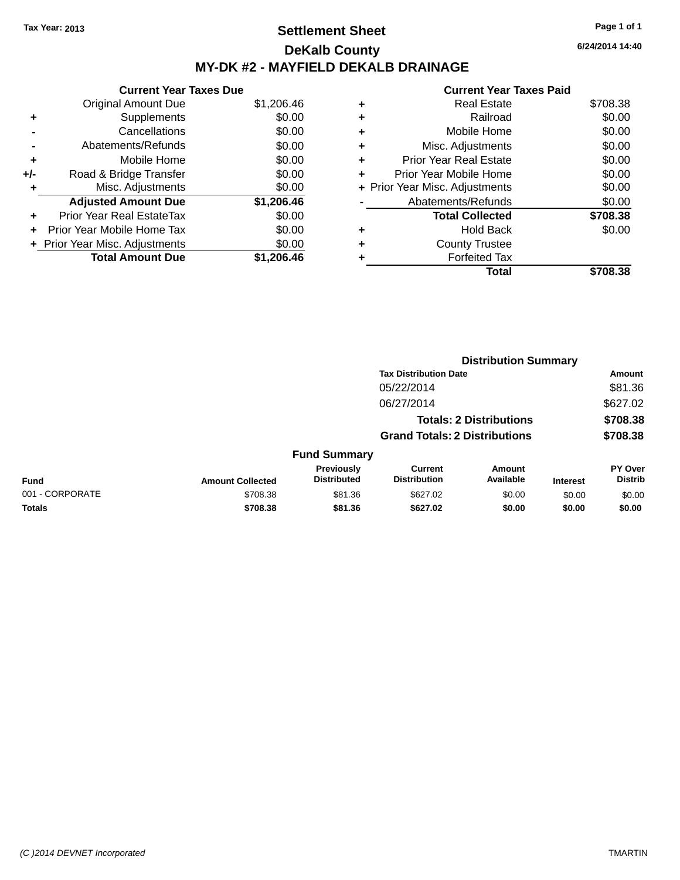### **Settlement Sheet Tax Year: 2013 Page 1 of 1 DeKalb County MY-DK #2 - MAYFIELD DEKALB DRAINAGE**

**Current Year Taxes Due** Original Amount Due \$1,206.46 **+** Supplements \$0.00 **-** Cancellations \$0.00 **-** Abatements/Refunds \$0.00 **+** Mobile Home \$0.00 **+/-** Road & Bridge Transfer \$0.00 **+** Misc. Adjustments \$0.00 **Adjusted Amount Due \$1,206.46 +** Prior Year Real EstateTax \$0.00 **+** Prior Year Mobile Home Tax \$0.00 **+ Prior Year Misc. Adjustments**  $$0.00$ **Total Amount Due \$1,206.46**

|   | <b>Current Year Taxes Paid</b> |          |
|---|--------------------------------|----------|
|   | <b>Real Estate</b>             | \$708.38 |
|   | Railroad                       | \$0.00   |
| ٠ | Mobile Home                    | \$0.00   |
| ٠ | Misc. Adjustments              | \$0.00   |
|   | <b>Prior Year Real Estate</b>  | \$0.00   |
| ÷ | Prior Year Mobile Home         | \$0.00   |
|   | + Prior Year Misc. Adjustments | \$0.00   |
|   | Abatements/Refunds             | \$0.00   |
|   | <b>Total Collected</b>         | \$708.38 |
|   | <b>Hold Back</b>               | \$0.00   |
|   | <b>County Trustee</b>          |          |
|   | <b>Forfeited Tax</b>           |          |
|   | Total                          |          |

|                 | <b>Distribution Summary</b> |                                      |                                       |                                |                 |                                  |
|-----------------|-----------------------------|--------------------------------------|---------------------------------------|--------------------------------|-----------------|----------------------------------|
|                 |                             |                                      | <b>Tax Distribution Date</b>          |                                |                 | Amount                           |
|                 |                             |                                      | 05/22/2014                            |                                |                 | \$81.36                          |
|                 |                             |                                      | 06/27/2014                            |                                |                 | \$627.02                         |
|                 |                             |                                      |                                       | <b>Totals: 2 Distributions</b> |                 | \$708.38                         |
|                 |                             | <b>Grand Totals: 2 Distributions</b> |                                       |                                | \$708.38        |                                  |
|                 |                             | <b>Fund Summary</b>                  |                                       |                                |                 |                                  |
| <b>Fund</b>     | <b>Amount Collected</b>     | Previously<br><b>Distributed</b>     | <b>Current</b><br><b>Distribution</b> | Amount<br>Available            | <b>Interest</b> | <b>PY Over</b><br><b>Distrib</b> |
| 001 - CORPORATE | \$708.38                    | \$81.36                              | \$627.02                              | \$0.00                         | \$0.00          | \$0.00                           |
| <b>Totals</b>   | \$708.38                    | \$81.36                              | \$627.02                              | \$0.00                         | \$0.00          | \$0.00                           |
|                 |                             |                                      |                                       |                                |                 |                                  |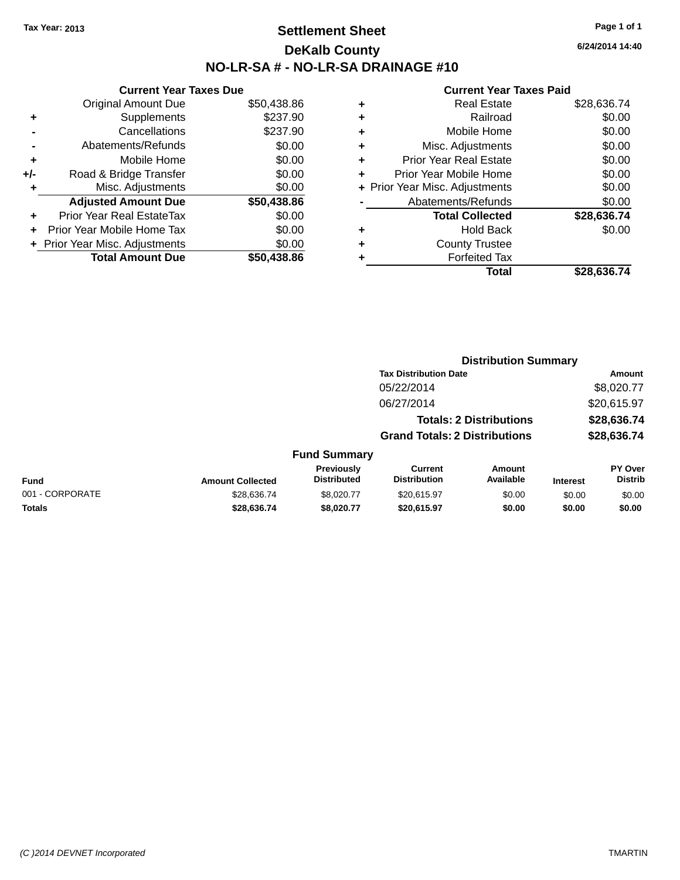### **Settlement Sheet Tax Year: 2013 Page 1 of 1 DeKalb County NO-LR-SA # - NO-LR-SA DRAINAGE #10**

**6/24/2014 14:40**

|     | <b>Current Year Taxes Due</b>  |             |
|-----|--------------------------------|-------------|
|     | <b>Original Amount Due</b>     | \$50,438.86 |
| ٠   | Supplements                    | \$237.90    |
|     | Cancellations                  | \$237.90    |
|     | Abatements/Refunds             | \$0.00      |
| ٠   | Mobile Home                    | \$0.00      |
| +/- | Road & Bridge Transfer         | \$0.00      |
| ٠   | Misc. Adjustments              | \$0.00      |
|     | <b>Adjusted Amount Due</b>     | \$50,438.86 |
|     | Prior Year Real EstateTax      | \$0.00      |
|     | Prior Year Mobile Home Tax     | \$0.00      |
|     | + Prior Year Misc. Adjustments | \$0.00      |
|     | <b>Total Amount Due</b>        | \$50.438.86 |
|     |                                |             |

|   | <b>Real Estate</b>             | \$28,636.74 |
|---|--------------------------------|-------------|
| ٠ | Railroad                       | \$0.00      |
| ٠ | Mobile Home                    | \$0.00      |
| ٠ | Misc. Adjustments              | \$0.00      |
| ٠ | <b>Prior Year Real Estate</b>  | \$0.00      |
| ٠ | Prior Year Mobile Home         | \$0.00      |
|   | + Prior Year Misc. Adjustments | \$0.00      |
|   | Abatements/Refunds             | \$0.00      |
|   | <b>Total Collected</b>         | \$28,636.74 |
| ٠ | <b>Hold Back</b>               | \$0.00      |
| ٠ | <b>County Trustee</b>          |             |
| ٠ | <b>Forfeited Tax</b>           |             |
|   | Total                          | \$28,636.74 |
|   |                                |             |

|                 |                         |                                         | <b>Distribution Summary</b>           |                                |                 |                                  |
|-----------------|-------------------------|-----------------------------------------|---------------------------------------|--------------------------------|-----------------|----------------------------------|
|                 |                         |                                         | <b>Tax Distribution Date</b>          |                                |                 | <b>Amount</b>                    |
|                 |                         |                                         | 05/22/2014                            |                                |                 | \$8,020.77                       |
|                 |                         |                                         | 06/27/2014                            |                                |                 | \$20,615.97                      |
|                 |                         |                                         |                                       | <b>Totals: 2 Distributions</b> |                 | \$28,636.74                      |
|                 |                         |                                         | <b>Grand Totals: 2 Distributions</b>  |                                |                 | \$28,636.74                      |
|                 |                         | <b>Fund Summary</b>                     |                                       |                                |                 |                                  |
| <b>Fund</b>     | <b>Amount Collected</b> | <b>Previously</b><br><b>Distributed</b> | <b>Current</b><br><b>Distribution</b> | Amount<br>Available            | <b>Interest</b> | <b>PY Over</b><br><b>Distrib</b> |
| 001 - CORPORATE | \$28,636.74             | \$8.020.77                              | \$20,615.97                           | \$0.00                         | \$0.00          | \$0.00                           |
| <b>Totals</b>   | \$28,636.74             | \$8,020.77                              | \$20,615.97                           | \$0.00                         | \$0.00          | \$0.00                           |
|                 |                         |                                         |                                       |                                |                 |                                  |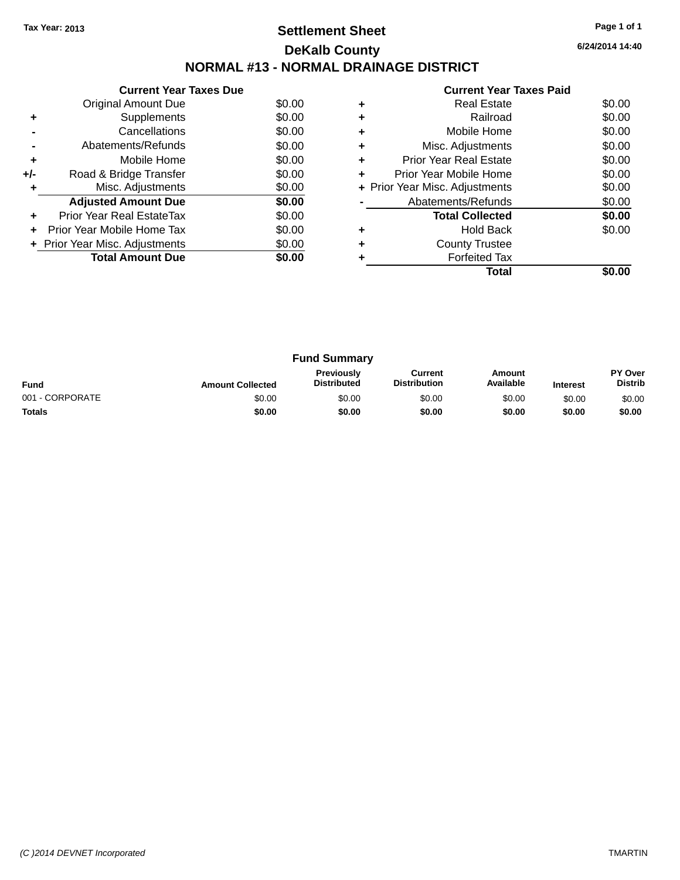### **Settlement Sheet Tax Year: 2013 Page 1 of 1 DeKalb County NORMAL #13 - NORMAL DRAINAGE DISTRICT**

**6/24/2014 14:40**

|     | <b>Current Year Taxes Due</b>  |        |
|-----|--------------------------------|--------|
|     | Original Amount Due            | \$0.00 |
|     | Supplements                    | \$0.00 |
|     | Cancellations                  | \$0.00 |
|     | Abatements/Refunds             | \$0.00 |
| ٠   | Mobile Home                    | \$0.00 |
| +/- | Road & Bridge Transfer         | \$0.00 |
| ٠   | Misc. Adjustments              | \$0.00 |
|     | <b>Adjusted Amount Due</b>     | \$0.00 |
| ٠   | Prior Year Real EstateTax      | \$0.00 |
|     | Prior Year Mobile Home Tax     | \$0.00 |
|     | + Prior Year Misc. Adjustments | \$0.00 |
|     | <b>Total Amount Due</b>        | \$0.00 |
|     |                                |        |

|   | <b>Real Estate</b>             | \$0.00 |
|---|--------------------------------|--------|
| ٠ | Railroad                       | \$0.00 |
| ٠ | Mobile Home                    | \$0.00 |
|   | Misc. Adjustments              | \$0.00 |
|   | <b>Prior Year Real Estate</b>  | \$0.00 |
|   | Prior Year Mobile Home         | \$0.00 |
|   | + Prior Year Misc. Adjustments | \$0.00 |
|   | Abatements/Refunds             | \$0.00 |
|   | <b>Total Collected</b>         | \$0.00 |
| ٠ | <b>Hold Back</b>               | \$0.00 |
|   | <b>County Trustee</b>          |        |
|   | <b>Forfeited Tax</b>           |        |
|   | Total                          |        |
|   |                                |        |

| <b>Fund Summary</b> |                         |                                  |                                |                     |                 |                           |
|---------------------|-------------------------|----------------------------------|--------------------------------|---------------------|-----------------|---------------------------|
| <b>Fund</b>         | <b>Amount Collected</b> | Previously<br><b>Distributed</b> | Current<br><b>Distribution</b> | Amount<br>Available | <b>Interest</b> | PY Over<br><b>Distrib</b> |
| 001 - CORPORATE     | \$0.00                  | \$0.00                           | \$0.00                         | \$0.00              | \$0.00          | \$0.00                    |
| <b>Totals</b>       | \$0.00                  | \$0.00                           | \$0.00                         | \$0.00              | \$0.00          | \$0.00                    |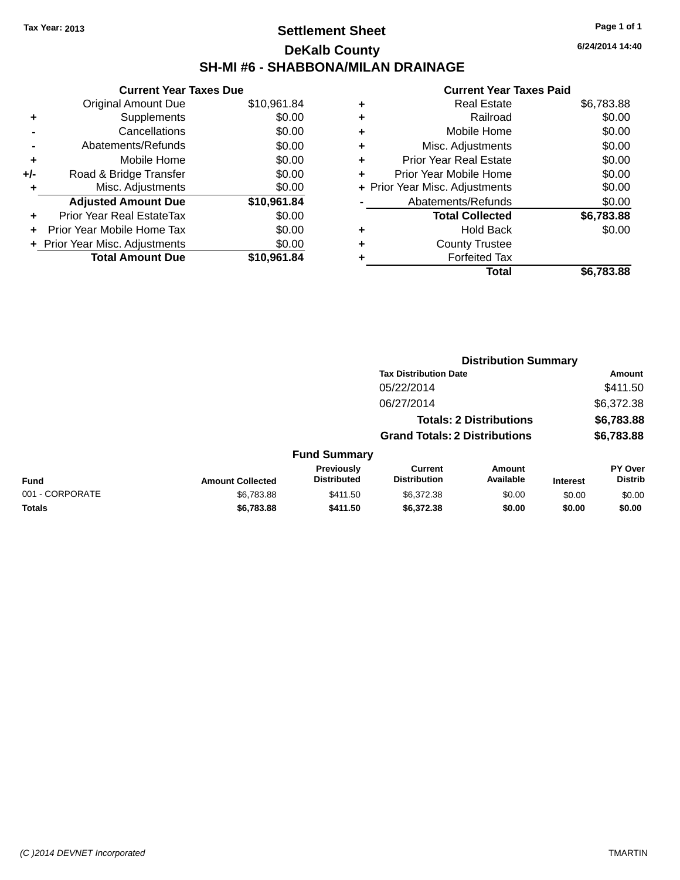### **Settlement Sheet Tax Year: 2013 Page 1 of 1 DeKalb County SH-MI #6 - SHABBONA/MILAN DRAINAGE**

**Current Year Taxes Due** Original Amount Due \$10,961.84 **+** Supplements \$0.00 **-** Cancellations \$0.00 **-** Abatements/Refunds \$0.00 **+** Mobile Home \$0.00 **+/-** Road & Bridge Transfer \$0.00 **+** Misc. Adjustments \$0.00 **Adjusted Amount Due \$10,961.84 +** Prior Year Real EstateTax \$0.00 **+** Prior Year Mobile Home Tax \$0.00 **+ Prior Year Misc. Adjustments**  $$0.00$ **Total Amount Due \$10,961.84**

#### **Current Year Taxes Paid**

|   | <b>Real Estate</b>             | \$6,783.88 |
|---|--------------------------------|------------|
| ٠ | Railroad                       | \$0.00     |
| ٠ | Mobile Home                    | \$0.00     |
| ٠ | Misc. Adjustments              | \$0.00     |
| ٠ | <b>Prior Year Real Estate</b>  | \$0.00     |
| ٠ | Prior Year Mobile Home         | \$0.00     |
|   | + Prior Year Misc. Adjustments | \$0.00     |
|   | Abatements/Refunds             | \$0.00     |
|   | <b>Total Collected</b>         | \$6,783.88 |
| ٠ | Hold Back                      | \$0.00     |
| ٠ | <b>County Trustee</b>          |            |
|   | <b>Forfeited Tax</b>           |            |
|   | Total                          | \$6,783,88 |
|   |                                |            |

|                  |                                      | <b>Distribution Summary</b>    |            |
|------------------|--------------------------------------|--------------------------------|------------|
|                  | <b>Tax Distribution Date</b>         |                                | Amount     |
|                  | 05/22/2014                           |                                | \$411.50   |
|                  | 06/27/2014                           |                                | \$6,372.38 |
|                  |                                      | <b>Totals: 2 Distributions</b> | \$6,783.88 |
|                  | <b>Grand Totals: 2 Distributions</b> |                                | \$6,783.88 |
| <b>Summary</b>   |                                      |                                |            |
| reviouslv        | <b>Current</b>                       | Amount                         | PY Over    |
| المدافع بما استد | Diateikutian                         | $A \cdot A$                    | n:         |

#### **Fund**

| <b>Fund</b>     | <b>Amount Collected</b> | <b>Previously</b><br><b>Distributed</b> | Current<br><b>Distribution</b> | Amount<br>Available | <b>Interest</b> | PY Over<br>Distrib |
|-----------------|-------------------------|-----------------------------------------|--------------------------------|---------------------|-----------------|--------------------|
| 001 - CORPORATE | \$6,783,88              | \$411.50                                | \$6,372.38                     | \$0.00              | \$0.00          | \$0.00             |
| <b>Totals</b>   | \$6,783,88              | \$411.50                                | \$6,372.38                     | \$0.00              | \$0.00          | \$0.00             |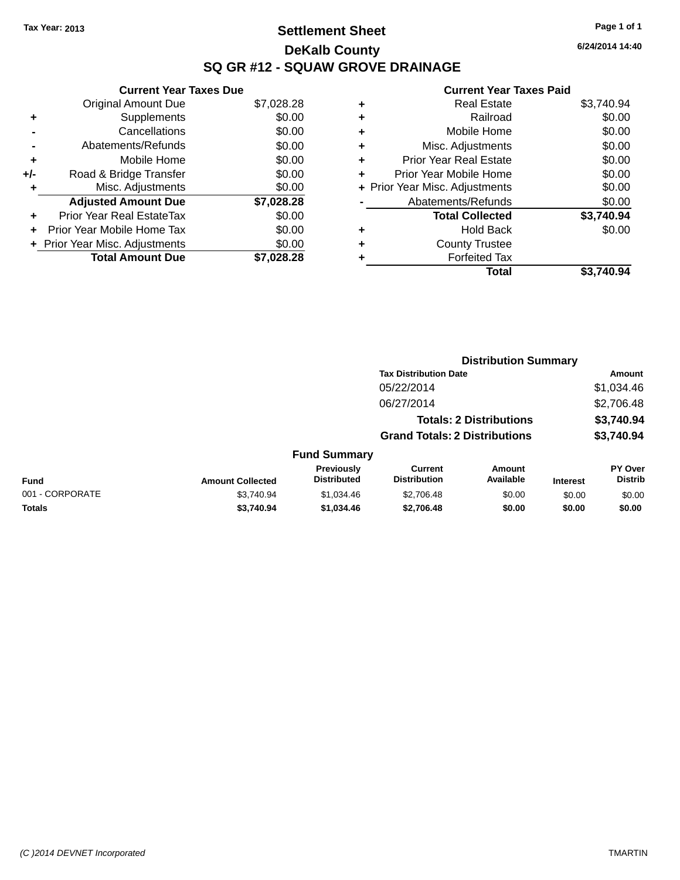### **Settlement Sheet Tax Year: 2013 Page 1 of 1 DeKalb County SQ GR #12 - SQUAW GROVE DRAINAGE**

**6/24/2014 14:40**

|     | <b>Current Year Taxes Due</b>  |            |
|-----|--------------------------------|------------|
|     | Original Amount Due            | \$7,028.28 |
| ٠   | Supplements                    | \$0.00     |
|     | Cancellations                  | \$0.00     |
|     | Abatements/Refunds             | \$0.00     |
| ٠   | Mobile Home                    | \$0.00     |
| +/- | Road & Bridge Transfer         | \$0.00     |
|     | Misc. Adjustments              | \$0.00     |
|     | <b>Adjusted Amount Due</b>     | \$7,028.28 |
| ÷   | Prior Year Real EstateTax      | \$0.00     |
|     | Prior Year Mobile Home Tax     | \$0.00     |
|     | + Prior Year Misc. Adjustments | \$0.00     |
|     | <b>Total Amount Due</b>        | \$7.028.28 |
|     |                                |            |

| ٠ | <b>Real Estate</b>             | \$3,740.94 |
|---|--------------------------------|------------|
| ٠ | Railroad                       | \$0.00     |
| ٠ | Mobile Home                    | \$0.00     |
| ٠ | Misc. Adjustments              | \$0.00     |
| ٠ | <b>Prior Year Real Estate</b>  | \$0.00     |
| ٠ | Prior Year Mobile Home         | \$0.00     |
|   | + Prior Year Misc. Adjustments | \$0.00     |
|   | Abatements/Refunds             | \$0.00     |
|   | <b>Total Collected</b>         | \$3,740.94 |
| ٠ | <b>Hold Back</b>               | \$0.00     |
| ٠ | <b>County Trustee</b>          |            |
|   | <b>Forfeited Tax</b>           |            |
|   | Total                          | \$3.740.94 |
|   |                                |            |

|                 |                         |                                  |                                       | <b>Distribution Summary</b>    |                 |                           |
|-----------------|-------------------------|----------------------------------|---------------------------------------|--------------------------------|-----------------|---------------------------|
|                 |                         |                                  | <b>Tax Distribution Date</b>          |                                |                 | Amount                    |
|                 |                         |                                  | 05/22/2014                            |                                |                 | \$1,034.46                |
|                 |                         |                                  | 06/27/2014                            |                                |                 | \$2,706.48                |
|                 |                         |                                  |                                       | <b>Totals: 2 Distributions</b> |                 | \$3,740.94                |
|                 |                         |                                  | <b>Grand Totals: 2 Distributions</b>  |                                |                 | \$3,740.94                |
|                 |                         | <b>Fund Summary</b>              |                                       |                                |                 |                           |
| <b>Fund</b>     | <b>Amount Collected</b> | Previously<br><b>Distributed</b> | <b>Current</b><br><b>Distribution</b> | Amount<br>Available            | <b>Interest</b> | PY Over<br><b>Distrib</b> |
| 001 - CORPORATE | \$3.740.94              | \$1.034.46                       | \$2,706.48                            | \$0.00                         | \$0.00          | \$0.00                    |
| <b>Totals</b>   | \$3,740.94              | \$1,034.46                       | \$2,706.48                            | \$0.00                         | \$0.00          | \$0.00                    |
|                 |                         |                                  |                                       |                                |                 |                           |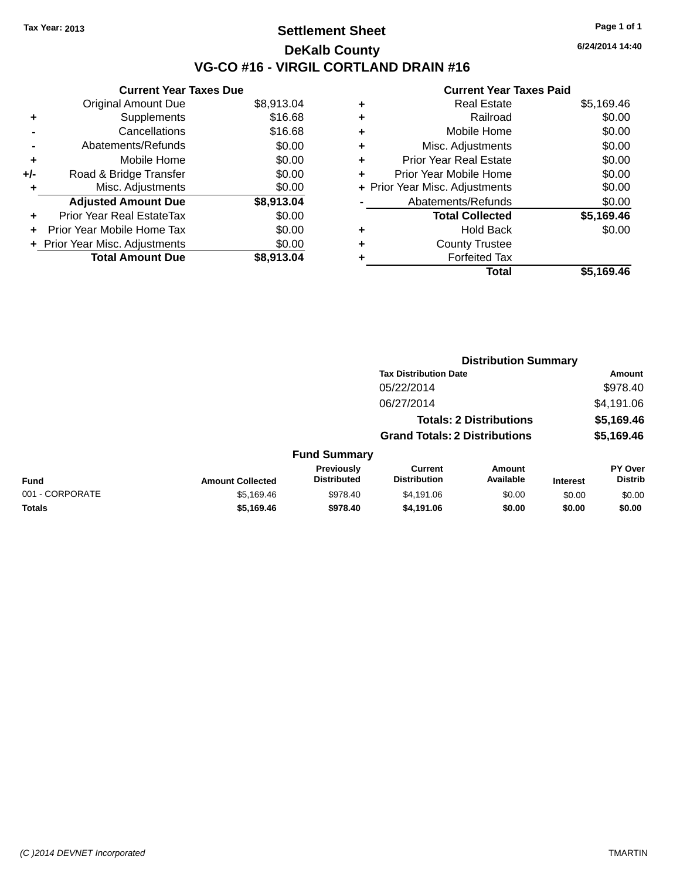### **Settlement Sheet Tax Year: 2013 Page 1 of 1 DeKalb County VG-CO #16 - VIRGIL CORTLAND DRAIN #16**

**6/24/2014 14:40**

|     | <b>Current Year Taxes Due</b>  |            |
|-----|--------------------------------|------------|
|     | <b>Original Amount Due</b>     | \$8,913.04 |
| ٠   | Supplements                    | \$16.68    |
|     | Cancellations                  | \$16.68    |
|     | Abatements/Refunds             | \$0.00     |
| ٠   | Mobile Home                    | \$0.00     |
| +/- | Road & Bridge Transfer         | \$0.00     |
| ٠   | Misc. Adjustments              | \$0.00     |
|     | <b>Adjusted Amount Due</b>     | \$8,913.04 |
| ÷   | Prior Year Real EstateTax      | \$0.00     |
| ÷   | Prior Year Mobile Home Tax     | \$0.00     |
|     | + Prior Year Misc. Adjustments | \$0.00     |
|     | <b>Total Amount Due</b>        | \$8.913.04 |
|     |                                |            |

| ٠ | <b>Real Estate</b>             | \$5,169.46 |
|---|--------------------------------|------------|
| ÷ | Railroad                       | \$0.00     |
| ٠ | Mobile Home                    | \$0.00     |
| ٠ | Misc. Adjustments              | \$0.00     |
| ٠ | <b>Prior Year Real Estate</b>  | \$0.00     |
| ٠ | Prior Year Mobile Home         | \$0.00     |
|   | + Prior Year Misc. Adjustments | \$0.00     |
|   | Abatements/Refunds             | \$0.00     |
|   | <b>Total Collected</b>         | \$5,169.46 |
| ٠ | <b>Hold Back</b>               | \$0.00     |
| ٠ | <b>County Trustee</b>          |            |
| ٠ | <b>Forfeited Tax</b>           |            |
|   | Total                          | \$5,169.46 |
|   |                                |            |

|                 | <b>Distribution Summary</b> |                                  |                                       |                                |                 |                           |
|-----------------|-----------------------------|----------------------------------|---------------------------------------|--------------------------------|-----------------|---------------------------|
|                 |                             |                                  | <b>Tax Distribution Date</b>          |                                |                 | <b>Amount</b>             |
|                 |                             |                                  | 05/22/2014                            |                                |                 | \$978.40                  |
|                 |                             |                                  | 06/27/2014                            |                                |                 | \$4,191.06                |
|                 |                             |                                  |                                       | <b>Totals: 2 Distributions</b> |                 | \$5,169.46                |
|                 |                             |                                  | <b>Grand Totals: 2 Distributions</b>  |                                |                 | \$5,169.46                |
|                 |                             | <b>Fund Summary</b>              |                                       |                                |                 |                           |
| <b>Fund</b>     | <b>Amount Collected</b>     | Previously<br><b>Distributed</b> | <b>Current</b><br><b>Distribution</b> | Amount<br>Available            | <b>Interest</b> | PY Over<br><b>Distrib</b> |
| 001 - CORPORATE | \$5,169.46                  | \$978.40                         | \$4,191,06                            | \$0.00                         | \$0.00          | \$0.00                    |
| <b>Totals</b>   | \$5,169.46                  | \$978.40                         | \$4,191.06                            | \$0.00                         | \$0.00          | \$0.00                    |
|                 |                             |                                  |                                       |                                |                 |                           |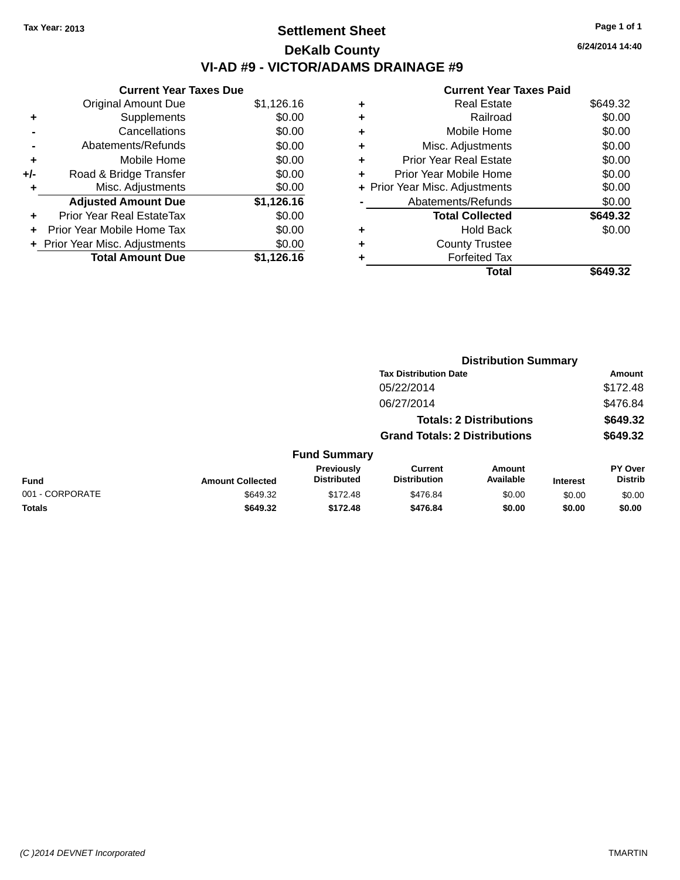### **Settlement Sheet Tax Year: 2013 Page 1 of 1 DeKalb County VI-AD #9 - VICTOR/ADAMS DRAINAGE #9**

|       | <b>Current Year Taxes Due</b>  |            |  |  |  |  |
|-------|--------------------------------|------------|--|--|--|--|
|       | <b>Original Amount Due</b>     | \$1,126.16 |  |  |  |  |
| ٠     | Supplements                    | \$0.00     |  |  |  |  |
|       | Cancellations                  | \$0.00     |  |  |  |  |
|       | Abatements/Refunds             | \$0.00     |  |  |  |  |
| ٠     | Mobile Home                    | \$0.00     |  |  |  |  |
| $+/-$ | Road & Bridge Transfer         | \$0.00     |  |  |  |  |
| ٠     | Misc. Adjustments              | \$0.00     |  |  |  |  |
|       | <b>Adjusted Amount Due</b>     | \$1,126.16 |  |  |  |  |
| ÷     | Prior Year Real EstateTax      | \$0.00     |  |  |  |  |
| ÷     | Prior Year Mobile Home Tax     | \$0.00     |  |  |  |  |
|       | + Prior Year Misc. Adjustments | \$0.00     |  |  |  |  |
|       | <b>Total Amount Due</b>        | \$1,126.16 |  |  |  |  |

#### **Current Year Taxes Paid +** Real Estate \$649.32 **+** Railroad \$0.00 **+** Mobile Home \$0.00 **+** Misc. Adjustments \$0.00 **+** Prior Year Real Estate \$0.00

| Prior Year Mobile Home         | \$0.00   |
|--------------------------------|----------|
| + Prior Year Misc. Adjustments | \$0.00   |
| Abatements/Refunds             | \$0.00   |
| <b>Total Collected</b>         | \$649.32 |
| <b>Hold Back</b>               | \$0.00   |
| <b>County Trustee</b>          |          |
| <b>Forfeited Tax</b>           |          |
| Total                          | \$649.32 |

|                 |                         |                                         | <b>Distribution Summary</b>           |                     |                 |                           |
|-----------------|-------------------------|-----------------------------------------|---------------------------------------|---------------------|-----------------|---------------------------|
|                 |                         |                                         | <b>Tax Distribution Date</b>          |                     |                 | <b>Amount</b>             |
|                 |                         |                                         | 05/22/2014                            |                     |                 | \$172.48                  |
|                 |                         |                                         | 06/27/2014                            |                     |                 | \$476.84                  |
|                 |                         |                                         | <b>Totals: 2 Distributions</b>        |                     |                 | \$649.32                  |
|                 |                         |                                         | <b>Grand Totals: 2 Distributions</b>  |                     |                 | \$649.32                  |
|                 |                         | <b>Fund Summary</b>                     |                                       |                     |                 |                           |
| <b>Fund</b>     | <b>Amount Collected</b> | <b>Previously</b><br><b>Distributed</b> | <b>Current</b><br><b>Distribution</b> | Amount<br>Available | <b>Interest</b> | PY Over<br><b>Distrib</b> |
| 001 - CORPORATE | \$649.32                | \$172.48                                | \$476.84                              | \$0.00              | \$0.00          | \$0.00                    |
| <b>Totals</b>   | \$649.32                | \$172.48                                | \$476.84                              | \$0.00              | \$0.00          | \$0.00                    |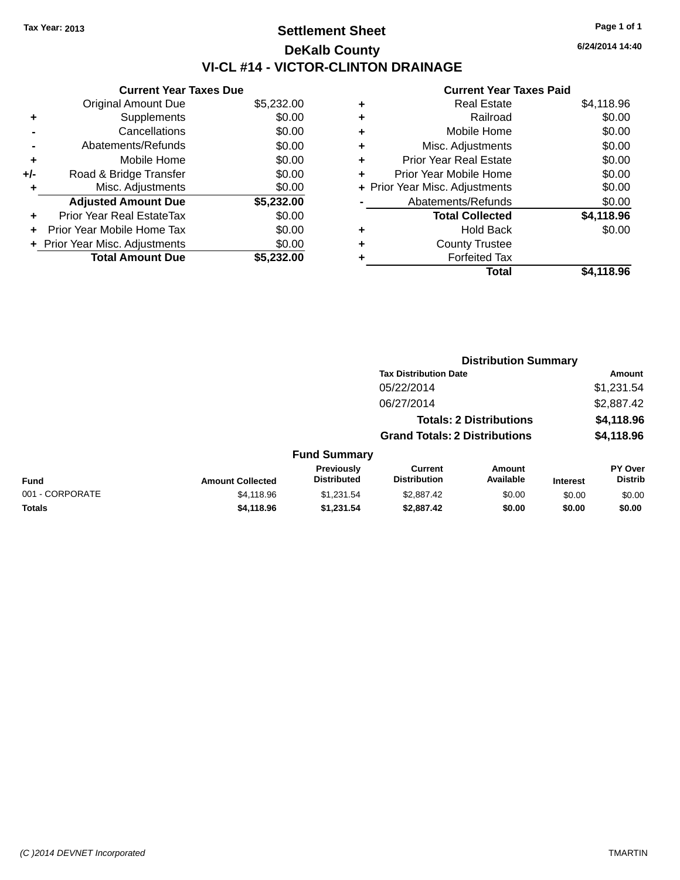### **Settlement Sheet Tax Year: 2013 Page 1 of 1 DeKalb County VI-CL #14 - VICTOR-CLINTON DRAINAGE**

**Current Year Taxes Due** Original Amount Due \$5,232.00 **+** Supplements \$0.00 **-** Cancellations \$0.00 **-** Abatements/Refunds \$0.00 **+** Mobile Home \$0.00 **+/-** Road & Bridge Transfer \$0.00 **+** Misc. Adjustments \$0.00 **Adjusted Amount Due \$5,232.00 +** Prior Year Real EstateTax \$0.00 **+** Prior Year Mobile Home Tax \$0.00 **+** Prior Year Misc. Adjustments  $$0.00$ **Total Amount Due \$5,232.00**

#### **Current Year Taxes Paid +** Real Estate \$4,118.96 **+** Railroad \$0.00 **+** Mobile Home \$0.00 **+** Misc. Adjustments \$0.00 **+** Prior Year Real Estate \$0.00 **+** Prior Year Mobile Home \$0.00 **+** Prior Year Misc. Adjustments  $$0.00$ Abatements/Refunds \$0.00 **Total Collected \$4,118.96 +** Hold Back \$0.00 **+** County Trustee **+** Forfeited Tax **Total \$4,118.96**

**Distribution Summary**

|                 |                         |                                  | <b>Tax Distribution Date</b>                                           |                            |                 | Amount                           |
|-----------------|-------------------------|----------------------------------|------------------------------------------------------------------------|----------------------------|-----------------|----------------------------------|
|                 |                         |                                  | 05/22/2014                                                             |                            |                 | \$1,231.54                       |
|                 |                         |                                  | 06/27/2014                                                             |                            | \$2,887.42      |                                  |
|                 |                         |                                  | <b>Totals: 2 Distributions</b><br><b>Grand Totals: 2 Distributions</b> |                            |                 | \$4,118.96                       |
|                 |                         |                                  |                                                                        |                            | \$4,118.96      |                                  |
|                 |                         | <b>Fund Summary</b>              |                                                                        |                            |                 |                                  |
| <b>Fund</b>     | <b>Amount Collected</b> | Previously<br><b>Distributed</b> | Current<br><b>Distribution</b>                                         | <b>Amount</b><br>Available | <b>Interest</b> | <b>PY Over</b><br><b>Distrib</b> |
| 001 - CORPORATE | \$4,118.96              | \$1,231.54                       | \$2,887.42                                                             | \$0.00                     | \$0.00          | \$0.00                           |
| <b>Totals</b>   | \$4,118.96              | \$1,231.54                       | \$2,887.42                                                             | \$0.00                     | \$0.00          | \$0.00                           |